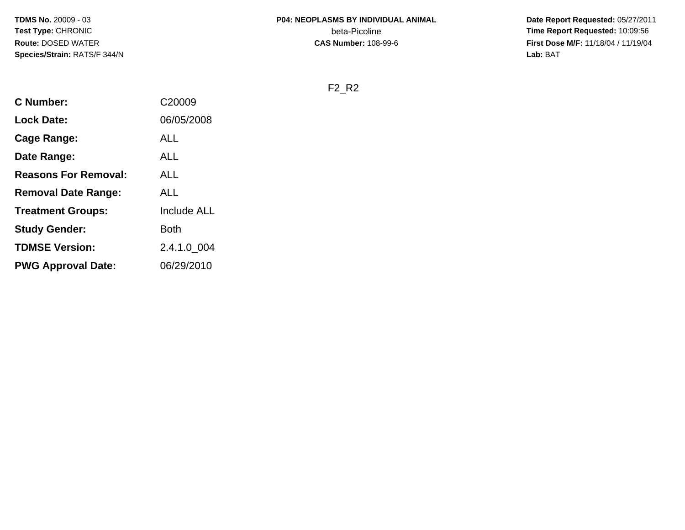**Date Report Requested:** 05/27/2011 **Time Report Requested:** 10:09:56 **First Dose M/F:** 11/18/04 / 11/19/04<br>Lab: BAT **Lab:** BAT

F2\_R2

| <b>C</b> Number:            | C20009             |
|-----------------------------|--------------------|
| <b>Lock Date:</b>           | 06/05/2008         |
| Cage Range:                 | <b>ALL</b>         |
| Date Range:                 | <b>ALL</b>         |
| <b>Reasons For Removal:</b> | ALL                |
| <b>Removal Date Range:</b>  | <b>ALL</b>         |
| <b>Treatment Groups:</b>    | <b>Include ALL</b> |
| <b>Study Gender:</b>        | <b>Both</b>        |
| <b>TDMSE Version:</b>       | 2.4.1.0 004        |
| <b>PWG Approval Date:</b>   | 06/29/2010         |
|                             |                    |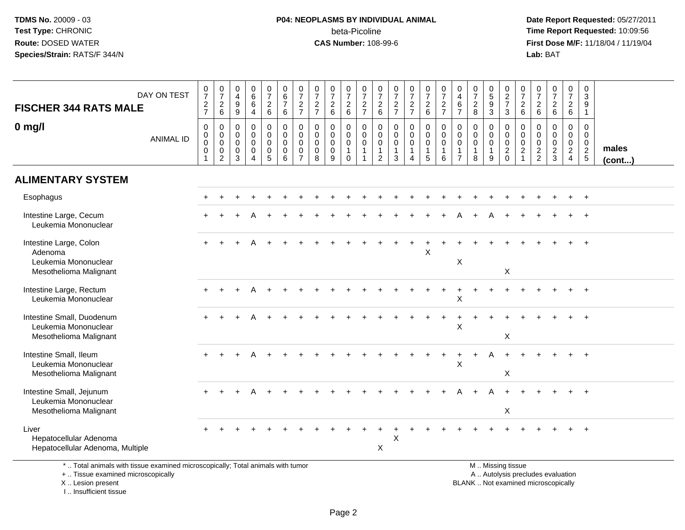# **P04: NEOPLASMS BY INDIVIDUAL ANIMAL**beta-Picoline<br>CAS Number: 108-99-6

 **Date Report Requested:** 05/27/2011 **Time Report Requested:** 10:09:56 **First Dose M/F:** 11/18/04 / 11/19/04<br>**Lab:** BAT **Lab:** BAT

|                                                                                                                       | DAY ON TEST      | $\frac{0}{7}$                                     | $\frac{0}{7}$                                                                                   | 0<br>$\overline{4}$<br>9                  | $\begin{array}{c} 0 \\ 6 \end{array}$<br>$6\overline{6}$         | $\begin{array}{c} 0 \\ 7 \end{array}$                                                    | $\begin{array}{c} 0 \\ 6 \\ 7 \end{array}$                                                 | $\frac{0}{7}$                                                              | $\frac{0}{7}$                                       | $\begin{smallmatrix}0\\7\end{smallmatrix}$                                                    | $\frac{0}{7}$                                                         | $\frac{0}{7}$                                                                              | $\frac{0}{7}$                                                                                  | $\frac{0}{7}$                                                                             | $\frac{0}{7}$<br>$\frac{2}{7}$                                              | $\frac{0}{7}$                   | $072$<br>$72$                                                        | $\begin{smallmatrix}0\0\4\end{smallmatrix}$<br>$\,6\,$                      | $\frac{0}{7}$                                      | $\begin{array}{c} 0 \\ 5 \\ 9 \\ 3 \end{array}$                                    | $\begin{array}{c} 0 \\ 2 \\ 7 \end{array}$                                                    | $\frac{0}{7}$                                         | $\frac{0}{7}$                                    | $\frac{0}{7}$<br>6                          | $\frac{0}{7}$                                | $\pmb{0}$<br>$\overline{3}$<br>$\overline{9}$              |                 |
|-----------------------------------------------------------------------------------------------------------------------|------------------|---------------------------------------------------|-------------------------------------------------------------------------------------------------|-------------------------------------------|------------------------------------------------------------------|------------------------------------------------------------------------------------------|--------------------------------------------------------------------------------------------|----------------------------------------------------------------------------|-----------------------------------------------------|-----------------------------------------------------------------------------------------------|-----------------------------------------------------------------------|--------------------------------------------------------------------------------------------|------------------------------------------------------------------------------------------------|-------------------------------------------------------------------------------------------|-----------------------------------------------------------------------------|---------------------------------|----------------------------------------------------------------------|-----------------------------------------------------------------------------|----------------------------------------------------|------------------------------------------------------------------------------------|-----------------------------------------------------------------------------------------------|-------------------------------------------------------|--------------------------------------------------|---------------------------------------------|----------------------------------------------|------------------------------------------------------------|-----------------|
| <b>FISCHER 344 RATS MALE</b>                                                                                          |                  | $\frac{2}{7}$                                     | $\frac{2}{6}$                                                                                   | $\overline{9}$                            | $\overline{4}$                                                   | $\frac{2}{6}$                                                                            | $\,6\,$                                                                                    | $\frac{2}{7}$                                                              | $\frac{2}{7}$                                       | $\frac{2}{6}$                                                                                 | $\frac{2}{6}$                                                         | $\frac{2}{7}$                                                                              | $\frac{2}{6}$                                                                                  | $\frac{2}{7}$                                                                             |                                                                             | $\frac{2}{6}$                   |                                                                      | $\overline{7}$                                                              | $\frac{2}{8}$                                      |                                                                                    | 3                                                                                             | $\frac{2}{6}$                                         | $\begin{array}{c} 2 \\ 6 \end{array}$            |                                             | $\frac{2}{6}$                                | $\mathbf{1}$                                               |                 |
| $0$ mg/l                                                                                                              | <b>ANIMAL ID</b> | $\mathbf 0$<br>$\pmb{0}$<br>$\mathbf 0$<br>0<br>1 | $\boldsymbol{0}$<br>$\begin{smallmatrix} 0\\0 \end{smallmatrix}$<br>$\pmb{0}$<br>$\overline{2}$ | 0<br>$\mathbf 0$<br>$\mathbf 0$<br>0<br>3 | 0<br>$\mathbf 0$<br>$\mathbf 0$<br>$\mathbf 0$<br>$\overline{4}$ | $\mathsf 0$<br>$\pmb{0}$<br>$\mathsf{O}\xspace$<br>$\begin{array}{c} 0 \\ 5 \end{array}$ | $\mathbf 0$<br>$\begin{smallmatrix}0\0\0\end{smallmatrix}$<br>$\pmb{0}$<br>$6\overline{6}$ | $\mathbf 0$<br>$\mathbf 0$<br>$\mathbf 0$<br>$\mathbf 0$<br>$\overline{7}$ | $\mathbf 0$<br>$\mathbf 0$<br>$\mathbf 0$<br>0<br>8 | $\pmb{0}$<br>$\begin{smallmatrix} 0\\0 \end{smallmatrix}$<br>$\overline{0}$<br>$\overline{9}$ | $\mathbf 0$<br>$\mathbf 0$<br>$\mathbf 0$<br>$\mathbf{1}$<br>$\Omega$ | $\pmb{0}$<br>$\begin{smallmatrix}0\0\0\end{smallmatrix}$<br>$\mathbf{1}$<br>$\overline{1}$ | $\mathsf{O}\xspace$<br>$\mathbf 0$<br>$\check{\mathbf{0}}$<br>$\mathbf{1}$<br>$\boldsymbol{2}$ | $\mathbf 0$<br>$\mathsf{O}\xspace$<br>$\mathsf{O}\xspace$<br>$\mathbf{1}$<br>$\mathbf{3}$ | $\mathbf 0$<br>$\mathbf 0$<br>$\mathbf 0$<br>$\mathbf{1}$<br>$\overline{4}$ | 0<br>0<br>$\mathbf 0$<br>1<br>5 | $\begin{smallmatrix}0\\0\\0\end{smallmatrix}$<br>$\overline{1}$<br>6 | $\mathbf 0$<br>$\mathbf 0$<br>$\mathbf 0$<br>$\mathbf{1}$<br>$\overline{7}$ | 0<br>0<br>$\mathsf{O}\xspace$<br>$\mathbf{1}$<br>8 | $\mathbf 0$<br>$\begin{smallmatrix}0\\0\end{smallmatrix}$<br>$\mathbf{1}$<br>$9\,$ | $\mathsf{O}$<br>$\begin{smallmatrix} 0\\0 \end{smallmatrix}$<br>$\overline{2}$<br>$\mathbf 0$ | $\boldsymbol{0}$<br>$\mathbf 0$<br>$\frac{0}{2}$<br>1 | 0<br>$\mathbf 0$<br>$\mathbf 0$<br>$\frac{2}{2}$ | $\mathbf 0$<br>$\mathbf 0$<br>$\frac{0}{2}$ | $\mathsf{O}$<br>$\mathbf 0$<br>$\frac{0}{2}$ | $\mathbf 0$<br>$\mathbf 0$<br>$\mathbf 0$<br>$\frac{2}{5}$ | males<br>(cont) |
| <b>ALIMENTARY SYSTEM</b>                                                                                              |                  |                                                   |                                                                                                 |                                           |                                                                  |                                                                                          |                                                                                            |                                                                            |                                                     |                                                                                               |                                                                       |                                                                                            |                                                                                                |                                                                                           |                                                                             |                                 |                                                                      |                                                                             |                                                    |                                                                                    |                                                                                               |                                                       |                                                  |                                             |                                              |                                                            |                 |
| Esophagus                                                                                                             |                  |                                                   |                                                                                                 |                                           |                                                                  |                                                                                          |                                                                                            |                                                                            |                                                     |                                                                                               |                                                                       |                                                                                            |                                                                                                |                                                                                           |                                                                             |                                 |                                                                      |                                                                             |                                                    |                                                                                    |                                                                                               |                                                       |                                                  |                                             |                                              | $\div$                                                     |                 |
| Intestine Large, Cecum<br>Leukemia Mononuclear                                                                        |                  |                                                   |                                                                                                 |                                           |                                                                  |                                                                                          |                                                                                            |                                                                            |                                                     |                                                                                               |                                                                       |                                                                                            |                                                                                                |                                                                                           |                                                                             |                                 |                                                                      |                                                                             |                                                    |                                                                                    |                                                                                               |                                                       |                                                  |                                             |                                              |                                                            |                 |
| Intestine Large, Colon<br>Adenoma<br>Leukemia Mononuclear<br>Mesothelioma Malignant                                   |                  | $+$                                               |                                                                                                 |                                           |                                                                  |                                                                                          |                                                                                            |                                                                            |                                                     |                                                                                               |                                                                       |                                                                                            |                                                                                                |                                                                                           |                                                                             | X                               |                                                                      | $\mathsf X$                                                                 |                                                    |                                                                                    | X                                                                                             |                                                       |                                                  |                                             |                                              | $\ddot{}$                                                  |                 |
| Intestine Large, Rectum<br>Leukemia Mononuclear                                                                       |                  |                                                   |                                                                                                 |                                           |                                                                  |                                                                                          |                                                                                            |                                                                            |                                                     |                                                                                               |                                                                       |                                                                                            |                                                                                                |                                                                                           |                                                                             |                                 |                                                                      | $\overline{+}$<br>X                                                         |                                                    |                                                                                    |                                                                                               |                                                       |                                                  |                                             |                                              | $+$                                                        |                 |
| Intestine Small, Duodenum<br>Leukemia Mononuclear<br>Mesothelioma Malignant                                           |                  | $+$                                               |                                                                                                 |                                           |                                                                  |                                                                                          |                                                                                            |                                                                            |                                                     |                                                                                               |                                                                       |                                                                                            |                                                                                                |                                                                                           |                                                                             |                                 |                                                                      | $\mathsf{X}$                                                                |                                                    |                                                                                    | X                                                                                             |                                                       |                                                  |                                             |                                              |                                                            |                 |
| Intestine Small, Ileum<br>Leukemia Mononuclear<br>Mesothelioma Malignant                                              |                  |                                                   |                                                                                                 |                                           |                                                                  |                                                                                          |                                                                                            |                                                                            |                                                     |                                                                                               |                                                                       |                                                                                            |                                                                                                |                                                                                           |                                                                             |                                 | $+$                                                                  | $\ddot{}$<br>X                                                              | $+$                                                | A                                                                                  | $\ddot{}$<br>X                                                                                |                                                       |                                                  |                                             |                                              | $\ddot{+}$                                                 |                 |
| Intestine Small, Jejunum<br>Leukemia Mononuclear<br>Mesothelioma Malignant                                            |                  |                                                   |                                                                                                 |                                           |                                                                  |                                                                                          |                                                                                            |                                                                            |                                                     |                                                                                               |                                                                       |                                                                                            |                                                                                                |                                                                                           |                                                                             |                                 |                                                                      |                                                                             |                                                    |                                                                                    | X                                                                                             |                                                       |                                                  |                                             |                                              | $\ddot{}$                                                  |                 |
| Liver<br>Hepatocellular Adenoma<br>Hepatocellular Adenoma, Multiple                                                   |                  |                                                   |                                                                                                 |                                           |                                                                  |                                                                                          |                                                                                            |                                                                            |                                                     |                                                                                               |                                                                       |                                                                                            | X                                                                                              | X                                                                                         |                                                                             |                                 |                                                                      |                                                                             |                                                    |                                                                                    |                                                                                               |                                                       |                                                  |                                             |                                              | $\ddot{}$                                                  |                 |
| *  Total animals with tissue examined microscopically; Total animals with tumor<br>+  Tissue examined microscopically |                  |                                                   |                                                                                                 |                                           |                                                                  |                                                                                          |                                                                                            |                                                                            |                                                     |                                                                                               |                                                                       |                                                                                            |                                                                                                |                                                                                           |                                                                             |                                 |                                                                      |                                                                             |                                                    |                                                                                    | M. Missing tissue                                                                             |                                                       |                                                  | A  Autolysis precludes evaluation           |                                              |                                                            |                 |

+ .. Tissue examined microscopically

X .. Lesion present

I .. Insufficient tissue

Lesion present BLANK .. Not examined microscopically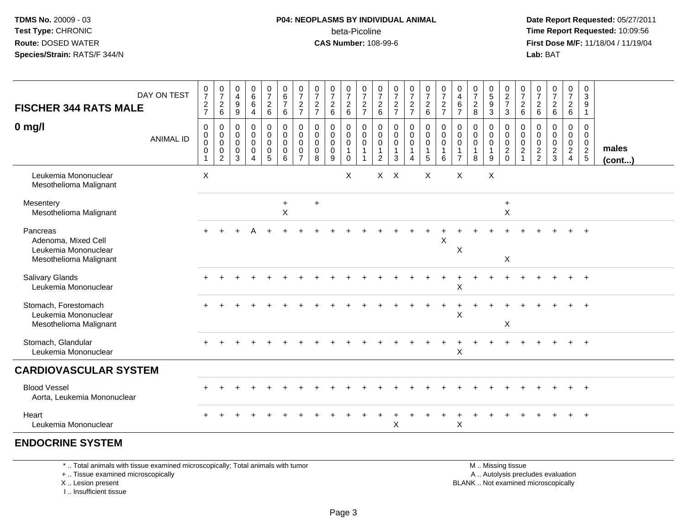### **P04: NEOPLASMS BY INDIVIDUAL ANIMAL**beta-Picoline<br>CAS Number: 108-99-6

 **Date Report Requested:** 05/27/2011 **Time Report Requested:** 10:09:56 **First Dose M/F:** 11/18/04 / 11/19/04<br>**Lab:** BAT **Lab:** BAT

| <b>FISCHER 344 RATS MALE</b>                                                      | DAY ON TEST      | $\frac{0}{7}$<br>$\frac{2}{7}$                                 | $\frac{0}{7}$<br>$\sqrt{2}$<br>6                                          | $\begin{smallmatrix}0\0\4\end{smallmatrix}$<br>$9\,$<br>9 | $\begin{array}{c} 0 \\ 6 \\ 6 \end{array}$<br>$\overline{4}$ | $\begin{smallmatrix}0\\7\end{smallmatrix}$<br>$\frac{2}{6}$ | 0<br>$\frac{6}{7}$<br>$\,6\,$                          | $\frac{0}{7}$<br>$\frac{2}{7}$                       | $\frac{0}{7}$<br>$\frac{2}{7}$            | $\frac{0}{7}$<br>$\sqrt{2}$<br>$\,6\,$ | $\frac{0}{7}$<br>$^2\phantom{1}6$                              | $\frac{0}{7}$<br>$\frac{2}{7}$                                    | $\pmb{0}$<br>$\boldsymbol{7}$<br>$\frac{2}{6}$                    | $\frac{0}{7}$<br>$\frac{2}{7}$          | $\frac{0}{7}$<br>$\frac{2}{7}$                                    | $\begin{smallmatrix}0\\7\end{smallmatrix}$<br>$\frac{2}{6}$          | $\frac{0}{7}$<br>$\frac{2}{7}$                                     | $\mathbf 0$<br>$\overline{\mathbf{4}}$<br>$\,6\,$<br>$\overline{7}$ | $\frac{0}{7}$<br>$\sqrt{2}$<br>8                     | $\begin{array}{c} 0 \\ 5 \\ 9 \end{array}$<br>3 | $\begin{array}{c} 0 \\ 2 \\ 7 \end{array}$<br>3  | $\frac{0}{7}$<br>$\sqrt{2}$<br>6                                          | 0<br>$\boldsymbol{7}$<br>$\sqrt{2}$<br>$\,6\,$                    | $\begin{array}{c} 0 \\ 7 \end{array}$<br>$\frac{2}{6}$ | $\frac{0}{7}$<br>$\overline{2}$<br>$\,6\,$                                  | 0<br>$\sqrt{3}$<br>9<br>$\mathbf{1}$                                          |                       |
|-----------------------------------------------------------------------------------|------------------|----------------------------------------------------------------|---------------------------------------------------------------------------|-----------------------------------------------------------|--------------------------------------------------------------|-------------------------------------------------------------|--------------------------------------------------------|------------------------------------------------------|-------------------------------------------|----------------------------------------|----------------------------------------------------------------|-------------------------------------------------------------------|-------------------------------------------------------------------|-----------------------------------------|-------------------------------------------------------------------|----------------------------------------------------------------------|--------------------------------------------------------------------|---------------------------------------------------------------------|------------------------------------------------------|-------------------------------------------------|--------------------------------------------------|---------------------------------------------------------------------------|-------------------------------------------------------------------|--------------------------------------------------------|-----------------------------------------------------------------------------|-------------------------------------------------------------------------------|-----------------------|
| $0$ mg/l                                                                          | <b>ANIMAL ID</b> | 0<br>0<br>$\ddot{\mathbf{0}}$<br>$\mathbf 0$<br>$\overline{1}$ | 0<br>$\mathsf{O}\xspace$<br>$\overline{0}$<br>$\pmb{0}$<br>$\overline{2}$ | 0<br>$\mathbf 0$<br>0<br>0<br>3                           | 0<br>$\pmb{0}$<br>$\pmb{0}$<br>$\mathbf 0$<br>$\overline{4}$ | 0<br>$\mathsf 0$<br>$\mathbf 0$<br>0<br>$\overline{5}$      | 0<br>$\mathbf 0$<br>$\mathbf 0$<br>0<br>$6\phantom{1}$ | 0<br>$\pmb{0}$<br>$\mathbf 0$<br>0<br>$\overline{7}$ | 0<br>$\mathbf 0$<br>$\mathbf 0$<br>0<br>8 | 0<br>$\pmb{0}$<br>0<br>0<br>9          | 0<br>$\mathbf 0$<br>$\mathbf 0$<br>$\mathbf{1}$<br>$\mathbf 0$ | 0<br>$\mathbf 0$<br>$\mathbf 0$<br>$\mathbf{1}$<br>$\overline{1}$ | 0<br>$\mathbf 0$<br>$\mathbf 0$<br>$\mathbf{1}$<br>$\overline{2}$ | 0<br>$\pmb{0}$<br>$\mathsf 0$<br>1<br>3 | 0<br>$\mathbf 0$<br>$\mathbf 0$<br>$\mathbf{1}$<br>$\overline{4}$ | 0<br>$\mathsf{O}\xspace$<br>$\mathsf{O}\xspace$<br>$\mathbf{1}$<br>5 | $\mathbf 0$<br>$\pmb{0}$<br>$\pmb{0}$<br>$\overline{1}$<br>$\,6\,$ | 0<br>$\mathbf 0$<br>$\mathbf 0$<br>-1<br>$\overline{7}$             | 0<br>$\mathbf 0$<br>$\mathsf 0$<br>$\mathbf{1}$<br>8 | 0<br>$\mathbf 0$<br>$\pmb{0}$<br>9              | 0<br>$\mathbf 0$<br>$\frac{0}{2}$<br>$\mathbf 0$ | 0<br>$\mathbf 0$<br>$\mathsf{O}\xspace$<br>$\overline{2}$<br>$\mathbf{1}$ | 0<br>$\mathbf 0$<br>$\pmb{0}$<br>$\overline{2}$<br>$\overline{c}$ | 0<br>$\mathbf 0$<br>$\frac{0}{2}$                      | 0<br>$\mathbf 0$<br>$\mathsf{O}\xspace$<br>$\overline{2}$<br>$\overline{4}$ | $\mathbf 0$<br>$\mathbf 0$<br>$\mathbf 0$<br>$\overline{2}$<br>$\overline{5}$ | males<br>$($ cont $)$ |
| Leukemia Mononuclear<br>Mesothelioma Malignant                                    |                  | X                                                              |                                                                           |                                                           |                                                              |                                                             |                                                        |                                                      |                                           |                                        | X                                                              |                                                                   |                                                                   | $X$ $X$                                 |                                                                   | X                                                                    |                                                                    | X                                                                   |                                                      | X                                               |                                                  |                                                                           |                                                                   |                                                        |                                                                             |                                                                               |                       |
| Mesentery<br>Mesothelioma Malignant                                               |                  |                                                                |                                                                           |                                                           |                                                              |                                                             | $\ddot{}$<br>$\boldsymbol{\mathsf{X}}$                 |                                                      | $+$                                       |                                        |                                                                |                                                                   |                                                                   |                                         |                                                                   |                                                                      |                                                                    |                                                                     |                                                      |                                                 | $\ddot{}$<br>X                                   |                                                                           |                                                                   |                                                        |                                                                             |                                                                               |                       |
| Pancreas<br>Adenoma, Mixed Cell<br>Leukemia Mononuclear<br>Mesothelioma Malignant |                  |                                                                |                                                                           |                                                           |                                                              |                                                             |                                                        |                                                      |                                           |                                        |                                                                |                                                                   |                                                                   |                                         |                                                                   |                                                                      | X                                                                  | $\pmb{\times}$                                                      |                                                      |                                                 | X                                                |                                                                           |                                                                   |                                                        |                                                                             | $\overline{+}$                                                                |                       |
| <b>Salivary Glands</b><br>Leukemia Mononuclear                                    |                  | $\ddot{}$                                                      |                                                                           |                                                           |                                                              |                                                             |                                                        |                                                      |                                           |                                        |                                                                |                                                                   |                                                                   |                                         |                                                                   |                                                                      |                                                                    | $\pmb{\times}$                                                      |                                                      |                                                 |                                                  |                                                                           |                                                                   |                                                        | $\ddot{}$                                                                   | $+$                                                                           |                       |
| Stomach, Forestomach<br>Leukemia Mononuclear<br>Mesothelioma Malignant            |                  |                                                                |                                                                           |                                                           |                                                              |                                                             |                                                        |                                                      |                                           |                                        |                                                                |                                                                   |                                                                   |                                         |                                                                   |                                                                      |                                                                    | X                                                                   |                                                      |                                                 | X                                                |                                                                           |                                                                   |                                                        |                                                                             |                                                                               |                       |
| Stomach, Glandular<br>Leukemia Mononuclear                                        |                  |                                                                |                                                                           |                                                           |                                                              |                                                             |                                                        |                                                      |                                           |                                        |                                                                |                                                                   |                                                                   |                                         |                                                                   |                                                                      |                                                                    | X                                                                   |                                                      |                                                 |                                                  |                                                                           |                                                                   |                                                        | $\ddot{}$                                                                   | $+$                                                                           |                       |
| <b>CARDIOVASCULAR SYSTEM</b>                                                      |                  |                                                                |                                                                           |                                                           |                                                              |                                                             |                                                        |                                                      |                                           |                                        |                                                                |                                                                   |                                                                   |                                         |                                                                   |                                                                      |                                                                    |                                                                     |                                                      |                                                 |                                                  |                                                                           |                                                                   |                                                        |                                                                             |                                                                               |                       |
| <b>Blood Vessel</b><br>Aorta, Leukemia Mononuclear                                |                  |                                                                |                                                                           |                                                           |                                                              |                                                             |                                                        |                                                      |                                           |                                        |                                                                |                                                                   |                                                                   |                                         |                                                                   |                                                                      |                                                                    |                                                                     |                                                      |                                                 |                                                  |                                                                           |                                                                   |                                                        |                                                                             | $+$                                                                           |                       |
| Heart<br>Leukemia Mononuclear                                                     |                  |                                                                |                                                                           |                                                           |                                                              |                                                             |                                                        |                                                      |                                           |                                        |                                                                |                                                                   |                                                                   | X                                       |                                                                   |                                                                      |                                                                    | $\pmb{\times}$                                                      |                                                      |                                                 |                                                  |                                                                           |                                                                   |                                                        |                                                                             | $+$                                                                           |                       |
| <b>ENDOCRINE SYSTEM</b>                                                           |                  |                                                                |                                                                           |                                                           |                                                              |                                                             |                                                        |                                                      |                                           |                                        |                                                                |                                                                   |                                                                   |                                         |                                                                   |                                                                      |                                                                    |                                                                     |                                                      |                                                 |                                                  |                                                                           |                                                                   |                                                        |                                                                             |                                                                               |                       |

\* .. Total animals with tissue examined microscopically; Total animals with tumor

+ .. Tissue examined microscopically

X .. Lesion present

I .. Insufficient tissue

 M .. Missing tissuey the contract of the contract of the contract of the contract of the contract of the contract of the contract of  $A$ . Autolysis precludes evaluation Lesion present BLANK .. Not examined microscopically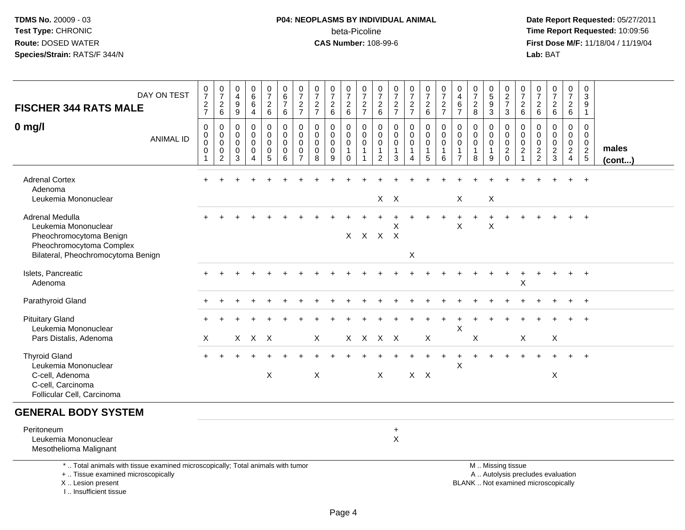# **P04: NEOPLASMS BY INDIVIDUAL ANIMAL**beta-Picoline<br>CAS Number: 108-99-6

 **Date Report Requested:** 05/27/2011 **Time Report Requested:** 10:09:56 **First Dose M/F:** 11/18/04 / 11/19/04<br>Lab: BAT **Lab:** BAT

| <b>FISCHER 344 RATS MALE</b>                                                                                                               | DAY ON TEST      | $072$<br>$727$                                     | $\frac{0}{7}$<br>$\frac{2}{6}$                                     | $\pmb{0}$<br>$\overline{4}$<br>$\boldsymbol{9}$<br>$\overline{9}$ | $\pmb{0}$<br>$\,6\,$<br>$\,6\,$<br>$\overline{4}$   | $\frac{0}{7}$<br>$\frac{2}{6}$                             | $_{6}^{\rm 0}$<br>$\overline{7}$<br>$6\phantom{a}$ | $\frac{0}{7}$<br>$\frac{2}{7}$                      | $\frac{0}{7}$<br>$\frac{2}{7}$ | $\begin{array}{c} 0 \\ 7 \end{array}$<br>$\begin{array}{c} 2 \\ 6 \end{array}$ | $\begin{array}{c} 0 \\ 7 \end{array}$<br>$^2\phantom{1}6$ | $\frac{0}{7}$<br>$\frac{2}{7}$                                    | 0<br>$\overline{7}$<br>$\frac{2}{6}$                 | $\begin{array}{c} 0 \\ 7 \end{array}$<br>$\frac{2}{7}$ | $\begin{array}{c} 0 \\ 7 \end{array}$<br>$\frac{2}{7}$                 | 0726                                                          | $\frac{0}{7}$<br>$\frac{2}{7}$             | $\pmb{0}$<br>$\overline{4}$<br>6<br>$\overline{7}$ | $\frac{0}{7}$<br>8                                             | $\begin{array}{c} 0 \\ 5 \\ 9 \end{array}$<br>$\overline{3}$ | $\begin{array}{c} 0 \\ 2 \\ 7 \end{array}$<br>$\mathbf{3}$ | $\begin{array}{c} 0 \\ 7 \end{array}$<br>$\frac{2}{6}$                       | 0<br>$\overline{7}$<br>$\begin{array}{c} 2 \\ 6 \end{array}$ | $\frac{0}{7}$<br>$\begin{array}{c} 2 \\ 6 \end{array}$                     | $\frac{0}{7}$<br>$\frac{2}{6}$                                 | $\pmb{0}$<br>$\overline{3}$<br>9<br>$\mathbf{1}$                     |                       |
|--------------------------------------------------------------------------------------------------------------------------------------------|------------------|----------------------------------------------------|--------------------------------------------------------------------|-------------------------------------------------------------------|-----------------------------------------------------|------------------------------------------------------------|----------------------------------------------------|-----------------------------------------------------|--------------------------------|--------------------------------------------------------------------------------|-----------------------------------------------------------|-------------------------------------------------------------------|------------------------------------------------------|--------------------------------------------------------|------------------------------------------------------------------------|---------------------------------------------------------------|--------------------------------------------|----------------------------------------------------|----------------------------------------------------------------|--------------------------------------------------------------|------------------------------------------------------------|------------------------------------------------------------------------------|--------------------------------------------------------------|----------------------------------------------------------------------------|----------------------------------------------------------------|----------------------------------------------------------------------|-----------------------|
| $0$ mg/l                                                                                                                                   | <b>ANIMAL ID</b> | $\pmb{0}$<br>0<br>$\pmb{0}$<br>0<br>$\overline{1}$ | $\pmb{0}$<br>$\pmb{0}$<br>$\pmb{0}$<br>$\pmb{0}$<br>$\overline{2}$ | $\Omega$<br>$\mathbf 0$<br>0<br>0<br>3                            | $\Omega$<br>$\mathbf 0$<br>0<br>0<br>$\overline{4}$ | 0<br>$\mathbf 0$<br>$\mathbf 0$<br>$\pmb{0}$<br>$\sqrt{5}$ | 0<br>$\mathbf 0$<br>$\mathbf 0$<br>$\pmb{0}$<br>6  | $\Omega$<br>0<br>$\mathbf 0$<br>0<br>$\overline{7}$ | $\Omega$<br>0<br>0<br>0<br>8   | $\mathbf{0}$<br>$\mathbf 0$<br>$\mathbf 0$<br>$\pmb{0}$<br>9                   | 0<br>0<br>0<br>$\mathbf{1}$<br>$\mathbf 0$                | 0<br>$\mathbf 0$<br>$\mathbf 0$<br>$\mathbf{1}$<br>$\overline{1}$ | $\Omega$<br>0<br>0<br>$\mathbf{1}$<br>$\overline{2}$ | $\Omega$<br>0<br>0<br>$\mathbf{1}$<br>3                | $\mathbf 0$<br>$\mathbf 0$<br>$\pmb{0}$<br>1<br>$\boldsymbol{\Lambda}$ | 0<br>$\mathbf 0$<br>$\mathbf 0$<br>$\mathbf{1}$<br>$\sqrt{5}$ | 0<br>$\mathbf 0$<br>0<br>$\mathbf{1}$<br>6 | 0<br>0<br>$\mathbf 0$<br>1<br>$\overline{7}$       | $\mathbf 0$<br>$\mathbf 0$<br>$\mathbf 0$<br>$\mathbf{1}$<br>8 | $\mathbf{0}$<br>$\mathbf 0$<br>0<br>$\mathbf{1}$<br>9        | 0<br>0<br>0<br>$\overline{c}$<br>$\mathbf 0$               | $\Omega$<br>$\mathbf 0$<br>$\mathbf 0$<br>$\boldsymbol{2}$<br>$\overline{1}$ | 0<br>0<br>0<br>$\overline{c}$<br>$\overline{c}$              | $\Omega$<br>$\mathbf 0$<br>$\mathbf 0$<br>$\boldsymbol{2}$<br>$\mathbf{3}$ | 0<br>0<br>$\boldsymbol{0}$<br>$\overline{2}$<br>$\overline{4}$ | $\Omega$<br>$\mathbf 0$<br>$\pmb{0}$<br>$\sqrt{2}$<br>$\overline{5}$ | males<br>$($ cont $)$ |
| <b>Adrenal Cortex</b><br>Adenoma<br>Leukemia Mononuclear                                                                                   |                  |                                                    |                                                                    |                                                                   |                                                     |                                                            |                                                    |                                                     |                                |                                                                                |                                                           |                                                                   |                                                      | $X$ $X$                                                |                                                                        |                                                               |                                            | X                                                  |                                                                | X                                                            |                                                            |                                                                              |                                                              |                                                                            |                                                                | $\ddot{}$                                                            |                       |
| Adrenal Medulla<br>Leukemia Mononuclear<br>Pheochromocytoma Benign<br>Pheochromocytoma Complex<br>Bilateral, Pheochromocytoma Benign       |                  |                                                    |                                                                    |                                                                   |                                                     |                                                            |                                                    |                                                     |                                |                                                                                |                                                           |                                                                   | X X X X                                              | X                                                      | X                                                                      |                                                               |                                            | X                                                  |                                                                | $\sf X$                                                      |                                                            |                                                                              |                                                              |                                                                            |                                                                | $\ddot{}$                                                            |                       |
| Islets, Pancreatic<br>Adenoma                                                                                                              |                  |                                                    |                                                                    |                                                                   |                                                     |                                                            |                                                    |                                                     |                                |                                                                                |                                                           |                                                                   |                                                      |                                                        |                                                                        |                                                               |                                            |                                                    |                                                                |                                                              | $\ddot{}$                                                  | X                                                                            |                                                              |                                                                            |                                                                | $\ddot{}$                                                            |                       |
| Parathyroid Gland                                                                                                                          |                  |                                                    |                                                                    |                                                                   |                                                     |                                                            |                                                    |                                                     |                                |                                                                                |                                                           |                                                                   |                                                      |                                                        |                                                                        |                                                               |                                            |                                                    |                                                                |                                                              |                                                            |                                                                              |                                                              |                                                                            |                                                                | $+$                                                                  |                       |
| <b>Pituitary Gland</b><br>Leukemia Mononuclear<br>Pars Distalis, Adenoma                                                                   |                  | Χ                                                  |                                                                    |                                                                   | $X$ $X$ $X$                                         |                                                            |                                                    |                                                     | X                              |                                                                                |                                                           |                                                                   | X X X X                                              |                                                        |                                                                        | X                                                             |                                            | X                                                  | X                                                              |                                                              |                                                            | X                                                                            |                                                              | $\mathsf{X}$                                                               |                                                                | $\overline{ }$                                                       |                       |
| <b>Thyroid Gland</b><br>Leukemia Mononuclear<br>C-cell, Adenoma<br>C-cell, Carcinoma<br>Follicular Cell, Carcinoma                         |                  | $+$                                                |                                                                    |                                                                   |                                                     | X                                                          |                                                    |                                                     | $\pmb{\times}$                 |                                                                                |                                                           |                                                                   | $\boldsymbol{\mathsf{X}}$                            |                                                        |                                                                        | $X$ $X$                                                       |                                            | $\ddot{}$<br>$\pmb{\times}$                        |                                                                | $\ddot{}$                                                    | $\ddot{}$                                                  |                                                                              | $+$                                                          | X                                                                          |                                                                | $+$                                                                  |                       |
| <b>GENERAL BODY SYSTEM</b>                                                                                                                 |                  |                                                    |                                                                    |                                                                   |                                                     |                                                            |                                                    |                                                     |                                |                                                                                |                                                           |                                                                   |                                                      |                                                        |                                                                        |                                                               |                                            |                                                    |                                                                |                                                              |                                                            |                                                                              |                                                              |                                                                            |                                                                |                                                                      |                       |
| Peritoneum<br>Leukemia Mononuclear<br>Mesothelioma Malignant                                                                               |                  |                                                    |                                                                    |                                                                   |                                                     |                                                            |                                                    |                                                     |                                |                                                                                |                                                           |                                                                   |                                                      | $\ddot{}$<br>$\mathsf{X}$                              |                                                                        |                                                               |                                            |                                                    |                                                                |                                                              |                                                            |                                                                              |                                                              |                                                                            |                                                                |                                                                      |                       |
| *  Total animals with tissue examined microscopically; Total animals with tumor<br>+  Tissue examined microscopically<br>X  Lesion present |                  |                                                    |                                                                    |                                                                   |                                                     |                                                            |                                                    |                                                     |                                |                                                                                |                                                           |                                                                   |                                                      |                                                        |                                                                        |                                                               |                                            |                                                    |                                                                |                                                              | M  Missing tissue                                          |                                                                              |                                                              | A  Autolysis precludes evaluation<br>BLANK  Not examined microscopically   |                                                                |                                                                      |                       |

I .. Insufficient tissue

BLANK .. Not examined microscopically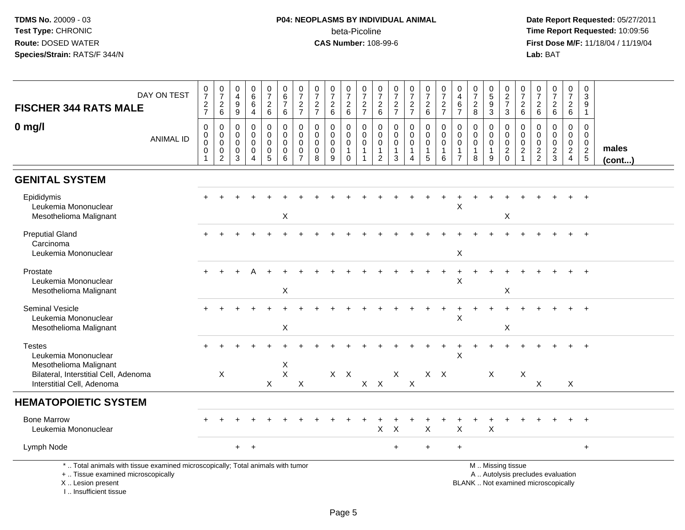## **P04: NEOPLASMS BY INDIVIDUAL ANIMAL**beta-Picoline<br>CAS Number: 108-99-6

 **Date Report Requested:** 05/27/2011 **Time Report Requested:** 10:09:56 **First Dose M/F:** 11/18/04 / 11/19/04<br>Lab: BAT **Lab:** BAT

| DAY ON TEST<br><b>FISCHER 344 RATS MALE</b>                                                                                                | $\frac{0}{7}$<br>$\frac{2}{7}$                                | $\begin{smallmatrix} 0\\7 \end{smallmatrix}$<br>$\overline{c}$<br>6              | 0<br>$\overline{4}$<br>$\boldsymbol{9}$<br>$9\,$ | $\begin{array}{c} 0 \\ 6 \end{array}$<br>$\,6\,$<br>$\overline{4}$                                 | $\begin{array}{c} 0 \\ 7 \end{array}$<br>$\sqrt{2}$<br>$\,6\,$ | $\mathbf 0$<br>$\,6\,$<br>$\boldsymbol{7}$<br>$\,6\,$ | $\frac{0}{7}$<br>$\overline{c}$<br>$\overline{7}$ | $\begin{array}{c} 0 \\ 7 \end{array}$<br>$\frac{2}{7}$ | $\begin{array}{c} 0 \\ 7 \end{array}$<br>$\overline{c}$<br>$\,6\,$ | $\begin{array}{c} 0 \\ 7 \end{array}$<br>$^2\phantom{0}6$      | $\begin{array}{c} 0 \\ 7 \end{array}$<br>$\frac{2}{7}$ | $\frac{0}{7}$<br>$\frac{2}{6}$                                                   | $\frac{0}{7}$<br>$\frac{2}{7}$                                 | $\frac{0}{7}$<br>$\frac{2}{7}$                                   | $\frac{0}{7}$<br>$\begin{array}{c} 2 \\ 6 \end{array}$    | $\begin{array}{c} 0 \\ 7 \end{array}$<br>$\frac{2}{7}$           | $\mathbf 0$<br>$\overline{4}$<br>$\,6\,$<br>$\overline{7}$                    | $\begin{array}{c} 0 \\ 7 \end{array}$<br>$\sqrt{2}$<br>8       | $\begin{array}{c} 0 \\ 5 \end{array}$<br>9<br>$\mathbf{3}$ | $\begin{array}{c} 0 \\ 2 \\ 7 \end{array}$<br>$\mathbf{3}$ | $\frac{0}{7}$<br>$\overline{c}$<br>$6\phantom{1}$                   | 0<br>$\overline{7}$<br>$^2\phantom{1}6$ | $\begin{smallmatrix} 0\\7 \end{smallmatrix}$<br>$\begin{array}{c} 2 \\ 6 \end{array}$ | $\begin{smallmatrix}0\\7\end{smallmatrix}$<br>$\overline{a}$<br>$\,6\,$ | $\mathbf 0$<br>3<br>9<br>$\overline{1}$                                  |                       |
|--------------------------------------------------------------------------------------------------------------------------------------------|---------------------------------------------------------------|----------------------------------------------------------------------------------|--------------------------------------------------|----------------------------------------------------------------------------------------------------|----------------------------------------------------------------|-------------------------------------------------------|---------------------------------------------------|--------------------------------------------------------|--------------------------------------------------------------------|----------------------------------------------------------------|--------------------------------------------------------|----------------------------------------------------------------------------------|----------------------------------------------------------------|------------------------------------------------------------------|-----------------------------------------------------------|------------------------------------------------------------------|-------------------------------------------------------------------------------|----------------------------------------------------------------|------------------------------------------------------------|------------------------------------------------------------|---------------------------------------------------------------------|-----------------------------------------|---------------------------------------------------------------------------------------|-------------------------------------------------------------------------|--------------------------------------------------------------------------|-----------------------|
| $0$ mg/l<br><b>ANIMAL ID</b>                                                                                                               | $\,0\,$<br>$\mathsf{O}$<br>$\ddot{\mathbf{0}}$<br>$\mathbf 0$ | $\pmb{0}$<br>$\mathbf 0$<br>$\mathbf 0$<br>$\mathsf{O}\xspace$<br>$\overline{2}$ | 0<br>$\mathbf 0$<br>$\mathbf 0$<br>0<br>3        | $\mathbf 0$<br>$\mathsf{O}\xspace$<br>$\mathbf 0$<br>$\mathsf{O}\xspace$<br>$\boldsymbol{\Lambda}$ | 0<br>$\mathbf 0$<br>0<br>$\mathbf 0$<br>$\sqrt{5}$             | 0<br>$\mathbf 0$<br>$\mathbf 0$<br>$\pmb{0}$<br>6     | 0<br>0<br>0<br>0<br>$\overline{7}$                | 0<br>$\mathbf 0$<br>0<br>$\mathbf 0$<br>8              | $\mathbf 0$<br>$\mathbf 0$<br>0<br>$\mathsf{O}\xspace$<br>9        | $\mathbf 0$<br>0<br>$\mathbf 0$<br>$\mathbf{1}$<br>$\mathbf 0$ | 0<br>$\Omega$<br>0<br>$\overline{1}$<br>$\overline{1}$ | $\mathbf 0$<br>$\overline{0}$<br>$\mathbf 0$<br>$\overline{1}$<br>$\overline{2}$ | $\mathbf 0$<br>$\mathbf 0$<br>$\mathbf 0$<br>$\mathbf{1}$<br>3 | 0<br>$\mathbf 0$<br>0<br>$\mathbf{1}$<br>$\overline{\mathbf{4}}$ | $\pmb{0}$<br>$\mathbf 0$<br>$\pmb{0}$<br>$\mathbf 1$<br>5 | $\mathbf 0$<br>$\mathbf 0$<br>$\mathbf 0$<br>$\overline{1}$<br>6 | $\mathbf 0$<br>$\mathbf 0$<br>$\mathbf 0$<br>$\overline{1}$<br>$\overline{7}$ | $\mathbf 0$<br>$\mathbf 0$<br>$\mathbf 0$<br>$\mathbf{1}$<br>8 | 0<br>$\mathbf{0}$<br>0<br>1<br>9                           | 0<br>$\mathsf{O}$<br>$\ddot{\mathbf{0}}$<br>$\frac{2}{0}$  | 0<br>$\mathbf 0$<br>$\mathbf 0$<br>$\boldsymbol{2}$<br>$\mathbf{1}$ | 0<br>$\mathbf 0$<br>0<br>$\frac{2}{2}$  | $\mathbf 0$<br>$\mathbf 0$<br>$\mathbf 0$<br>$\frac{2}{3}$                            | 0<br>$\mathbf 0$<br>$\mathbf 0$<br>$\overline{2}$<br>$\overline{4}$     | $\mathbf 0$<br>$\overline{0}$<br>$\mathbf 0$<br>$\sqrt{2}$<br>$\sqrt{5}$ | males<br>$($ cont $)$ |
| <b>GENITAL SYSTEM</b>                                                                                                                      |                                                               |                                                                                  |                                                  |                                                                                                    |                                                                |                                                       |                                                   |                                                        |                                                                    |                                                                |                                                        |                                                                                  |                                                                |                                                                  |                                                           |                                                                  |                                                                               |                                                                |                                                            |                                                            |                                                                     |                                         |                                                                                       |                                                                         |                                                                          |                       |
| Epididymis<br>Leukemia Mononuclear<br>Mesothelioma Malignant                                                                               |                                                               |                                                                                  |                                                  |                                                                                                    |                                                                | $\sf X$                                               |                                                   |                                                        |                                                                    |                                                                |                                                        |                                                                                  |                                                                |                                                                  |                                                           |                                                                  | $\ddot{}$<br>X                                                                |                                                                |                                                            | X                                                          |                                                                     |                                         |                                                                                       |                                                                         | $\overline{+}$                                                           |                       |
| <b>Preputial Gland</b><br>Carcinoma<br>Leukemia Mononuclear                                                                                |                                                               |                                                                                  |                                                  |                                                                                                    |                                                                |                                                       |                                                   |                                                        |                                                                    |                                                                |                                                        |                                                                                  |                                                                |                                                                  |                                                           |                                                                  | $\boldsymbol{\mathsf{X}}$                                                     |                                                                |                                                            |                                                            |                                                                     |                                         |                                                                                       |                                                                         |                                                                          |                       |
| Prostate<br>Leukemia Mononuclear<br>Mesothelioma Malignant                                                                                 |                                                               |                                                                                  |                                                  |                                                                                                    |                                                                | $\boldsymbol{\mathsf{X}}$                             |                                                   |                                                        |                                                                    |                                                                |                                                        |                                                                                  |                                                                |                                                                  |                                                           |                                                                  | $\ddot{}$<br>X                                                                |                                                                |                                                            | X                                                          |                                                                     |                                         |                                                                                       |                                                                         |                                                                          |                       |
| Seminal Vesicle<br>Leukemia Mononuclear<br>Mesothelioma Malignant                                                                          |                                                               |                                                                                  |                                                  |                                                                                                    |                                                                | X                                                     |                                                   |                                                        |                                                                    |                                                                |                                                        |                                                                                  |                                                                |                                                                  |                                                           |                                                                  | $\times$                                                                      |                                                                |                                                            | X                                                          |                                                                     |                                         |                                                                                       |                                                                         | $\div$                                                                   |                       |
| <b>Testes</b><br>Leukemia Mononuclear<br>Mesothelioma Malignant                                                                            |                                                               |                                                                                  |                                                  |                                                                                                    |                                                                | X                                                     |                                                   |                                                        |                                                                    |                                                                |                                                        |                                                                                  |                                                                |                                                                  |                                                           |                                                                  | X                                                                             |                                                                |                                                            |                                                            |                                                                     |                                         |                                                                                       |                                                                         |                                                                          |                       |
| Bilateral, Interstitial Cell, Adenoma<br>Interstitial Cell, Adenoma                                                                        |                                                               | $\boldsymbol{\mathsf{X}}$                                                        |                                                  |                                                                                                    | $\mathsf{X}$                                                   | $\mathsf X$                                           | $\boldsymbol{\mathsf{X}}$                         |                                                        | $X$ $X$                                                            |                                                                |                                                        | $X$ $X$                                                                          | $\boldsymbol{\mathsf{X}}$                                      | $\times$                                                         |                                                           | $X$ $X$                                                          |                                                                               |                                                                | $\boldsymbol{\mathsf{X}}$                                  |                                                            | $\boldsymbol{\mathsf{X}}$                                           | X                                       |                                                                                       | X                                                                       |                                                                          |                       |
| <b>HEMATOPOIETIC SYSTEM</b>                                                                                                                |                                                               |                                                                                  |                                                  |                                                                                                    |                                                                |                                                       |                                                   |                                                        |                                                                    |                                                                |                                                        |                                                                                  |                                                                |                                                                  |                                                           |                                                                  |                                                                               |                                                                |                                                            |                                                            |                                                                     |                                         |                                                                                       |                                                                         |                                                                          |                       |
| <b>Bone Marrow</b><br>Leukemia Mononuclear                                                                                                 |                                                               |                                                                                  |                                                  |                                                                                                    |                                                                |                                                       |                                                   |                                                        |                                                                    |                                                                |                                                        | X                                                                                | $\boldsymbol{\mathsf{X}}$                                      |                                                                  | X                                                         |                                                                  | X                                                                             |                                                                | X                                                          |                                                            |                                                                     |                                         |                                                                                       |                                                                         |                                                                          |                       |
| Lymph Node                                                                                                                                 |                                                               |                                                                                  | $+$                                              | $+$                                                                                                |                                                                |                                                       |                                                   |                                                        |                                                                    |                                                                |                                                        |                                                                                  | $\ddot{}$                                                      |                                                                  | $\ddot{}$                                                 |                                                                  | $\ddot{}$                                                                     |                                                                |                                                            |                                                            |                                                                     |                                         |                                                                                       |                                                                         | $+$                                                                      |                       |
| *  Total animals with tissue examined microscopically; Total animals with tumor<br>+  Tissue examined microscopically<br>X  Lesion present |                                                               |                                                                                  |                                                  |                                                                                                    |                                                                |                                                       |                                                   |                                                        |                                                                    |                                                                |                                                        |                                                                                  |                                                                |                                                                  |                                                           |                                                                  |                                                                               | BLANK  Not examined microscopically                            |                                                            | M  Missing tissue                                          |                                                                     |                                         | A  Autolysis precludes evaluation                                                     |                                                                         |                                                                          |                       |

I .. Insufficient tissue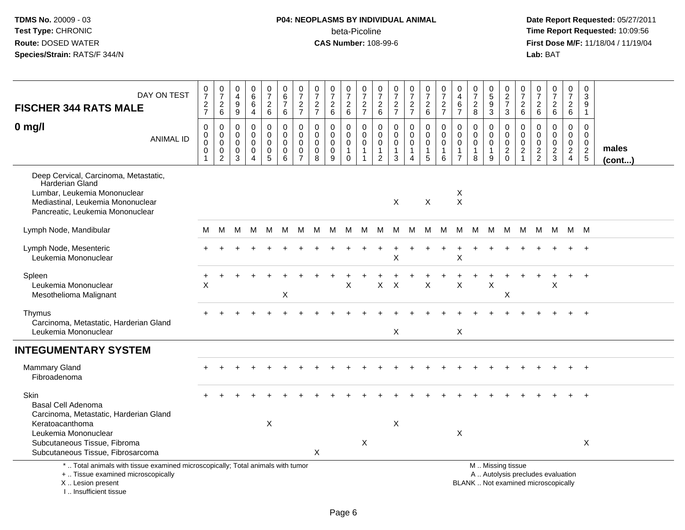# **P04: NEOPLASMS BY INDIVIDUAL ANIMAL**beta-Picoline<br>CAS Number: 108-99-6

| DAY ON TEST<br><b>FISCHER 344 RATS MALE</b>                                                                                                                                                 | $\frac{0}{7}$<br>$\frac{2}{7}$           | $\frac{0}{7}$<br>$\boldsymbol{2}$<br>$\,6\,$       | 0<br>$\overline{4}$<br>9<br>$\boldsymbol{9}$     | $\mathbf 0$<br>6<br>6<br>$\overline{4}$                          | $\frac{0}{7}$<br>$\overline{2}$<br>6                           | $\mathbf 0$<br>$\,6$<br>$\overline{7}$<br>$\,6\,$ | $\frac{0}{7}$<br>$\frac{2}{7}$                                          | 0<br>$\overline{7}$<br>$\overline{2}$<br>$\overline{7}$ | $\frac{0}{7}$<br>$\sqrt{2}$<br>$\,6\,$        | 0<br>$\overline{7}$<br>$\overline{c}$<br>$6\phantom{a}$    | $\frac{0}{7}$<br>$\overline{c}$<br>$\overline{7}$                         | $\frac{0}{7}$<br>$\mathbf{2}$<br>$\,6\,$                                            | 0<br>$\overline{7}$<br>$\frac{2}{7}$                 | $\frac{0}{7}$<br>$\frac{2}{7}$                                        | $\begin{smallmatrix}0\\7\end{smallmatrix}$<br>$\overline{2}$<br>$\,6\,$ | $\pmb{0}$<br>$\overline{7}$<br>$\overline{c}$<br>$\overline{7}$ | 0<br>$\overline{4}$<br>6<br>$\overline{7}$                                          | $\frac{0}{7}$<br>$\overline{2}$<br>8    | $\begin{smallmatrix}0\0\5\end{smallmatrix}$<br>9<br>$\sqrt{3}$ | 0<br>$\frac{2}{7}$<br>$\mathsf 3$                  | $\boldsymbol{0}$<br>$\overline{7}$<br>$\sqrt{2}$<br>$\,6\,$                | 0<br>$\overline{7}$<br>$\overline{2}$<br>$\,6\,$        | $\pmb{0}$<br>$\overline{7}$<br>$\overline{c}$<br>$\,6\,$ | 0<br>$\overline{7}$<br>$\overline{c}$<br>6                                 | $\pmb{0}$<br>$\mathbf{3}$<br>9<br>$\mathbf{1}$   |                       |
|---------------------------------------------------------------------------------------------------------------------------------------------------------------------------------------------|------------------------------------------|----------------------------------------------------|--------------------------------------------------|------------------------------------------------------------------|----------------------------------------------------------------|---------------------------------------------------|-------------------------------------------------------------------------|---------------------------------------------------------|-----------------------------------------------|------------------------------------------------------------|---------------------------------------------------------------------------|-------------------------------------------------------------------------------------|------------------------------------------------------|-----------------------------------------------------------------------|-------------------------------------------------------------------------|-----------------------------------------------------------------|-------------------------------------------------------------------------------------|-----------------------------------------|----------------------------------------------------------------|----------------------------------------------------|----------------------------------------------------------------------------|---------------------------------------------------------|----------------------------------------------------------|----------------------------------------------------------------------------|--------------------------------------------------|-----------------------|
| $0$ mg/l<br><b>ANIMAL ID</b>                                                                                                                                                                | $\mathbf 0$<br>0<br>$\pmb{0}$<br>0<br>-1 | 0<br>$\mathbf 0$<br>$\mathbf 0$<br>0<br>$\sqrt{2}$ | $\Omega$<br>$\mathbf 0$<br>$\mathbf 0$<br>0<br>3 | $\mathbf 0$<br>$\mathbf 0$<br>$\mathbf 0$<br>0<br>$\overline{4}$ | 0<br>$\mathbf 0$<br>$\mathbf 0$<br>$\pmb{0}$<br>$\overline{5}$ | 0<br>0<br>$\mathbf 0$<br>0<br>$6\overline{6}$     | $\mathbf{0}$<br>$\mathbf 0$<br>$\pmb{0}$<br>$\pmb{0}$<br>$\overline{7}$ | $\Omega$<br>$\mathbf 0$<br>$\mathbf 0$<br>0<br>8        | $\Omega$<br>$\Omega$<br>$\mathbf 0$<br>0<br>9 | $\Omega$<br>$\mathbf 0$<br>$\mathbf 0$<br>1<br>$\mathbf 0$ | 0<br>$\mathbf 0$<br>$\mathsf{O}\xspace$<br>$\mathbf{1}$<br>$\overline{1}$ | $\mathbf 0$<br>$\mathbf 0$<br>$\mathsf{O}\xspace$<br>$\mathbf{1}$<br>$\overline{2}$ | 0<br>0<br>$\mathbf 0$<br>$\mathbf 1$<br>$\mathbf{3}$ | $\mathbf 0$<br>$\mathbf 0$<br>$\mathbf 0$<br>$\mathbf{1}$<br>$\Delta$ | 0<br>$\mathbf 0$<br>$\mathbf 0$<br>$\mathbf{1}$<br>5                    | $\Omega$<br>$\mathbf 0$<br>$\mathbf 0$<br>1<br>$6\phantom{a}$   | $\mathbf 0$<br>$\mathbf 0$<br>$\mathsf{O}\xspace$<br>$\mathbf{1}$<br>$\overline{7}$ | $\Omega$<br>0<br>0<br>$\mathbf{1}$<br>8 | $\Omega$<br>$\mathbf 0$<br>$\mathbf 0$<br>1<br>9               | $\Omega$<br>$\mathbf 0$<br>$\mathbf 0$<br>$^2_{0}$ | $\Omega$<br>$\mathbf 0$<br>$\mathbf 0$<br>$\overline{c}$<br>$\overline{1}$ | $\Omega$<br>$\mathbf 0$<br>$\mathbf 0$<br>$\frac{2}{2}$ | $\Omega$<br>$\mathbf 0$<br>$\mathbf 0$<br>$\frac{2}{3}$  | $\Omega$<br>$\mathbf 0$<br>$\mathbf 0$<br>$\overline{a}$<br>$\overline{4}$ | 0<br>$\mathbf 0$<br>$\mathbf 0$<br>$\frac{2}{5}$ | males<br>$($ cont $)$ |
| Deep Cervical, Carcinoma, Metastatic,<br>Harderian Gland<br>Lumbar, Leukemia Mononuclear<br>Mediastinal, Leukemia Mononuclear<br>Pancreatic, Leukemia Mononuclear                           |                                          |                                                    |                                                  |                                                                  |                                                                |                                                   |                                                                         |                                                         |                                               |                                                            |                                                                           |                                                                                     | X                                                    |                                                                       | $\boldsymbol{\mathsf{X}}$                                               |                                                                 | X<br>$\boldsymbol{\mathsf{X}}$                                                      |                                         |                                                                |                                                    |                                                                            |                                                         |                                                          |                                                                            |                                                  |                       |
| Lymph Node, Mandibular                                                                                                                                                                      | м                                        | м                                                  | м                                                | M                                                                | M                                                              | M                                                 | M                                                                       | M                                                       | M                                             | М                                                          | M                                                                         | M                                                                                   | M                                                    | M                                                                     | M                                                                       | M                                                               | М                                                                                   | M                                       | M                                                              | M                                                  | M                                                                          | M                                                       | M                                                        |                                                                            | M M                                              |                       |
| Lymph Node, Mesenteric<br>Leukemia Mononuclear                                                                                                                                              |                                          |                                                    |                                                  |                                                                  |                                                                |                                                   |                                                                         |                                                         |                                               |                                                            |                                                                           |                                                                                     | Χ                                                    |                                                                       |                                                                         |                                                                 | $\mathsf X$                                                                         |                                         |                                                                |                                                    |                                                                            |                                                         |                                                          |                                                                            |                                                  |                       |
| Spleen<br>Leukemia Mononuclear<br>Mesothelioma Malignant                                                                                                                                    | $\ddot{}$<br>X                           |                                                    |                                                  |                                                                  |                                                                | X                                                 |                                                                         |                                                         |                                               | X                                                          |                                                                           | X                                                                                   | $\sf X$                                              |                                                                       | $\sf X$                                                                 |                                                                 | $\pmb{\times}$                                                                      |                                         | X                                                              | X                                                  |                                                                            |                                                         | X                                                        |                                                                            | $\overline{+}$                                   |                       |
| Thymus<br>Carcinoma, Metastatic, Harderian Gland<br>Leukemia Mononuclear                                                                                                                    |                                          |                                                    |                                                  |                                                                  |                                                                |                                                   |                                                                         |                                                         |                                               |                                                            |                                                                           |                                                                                     | X                                                    |                                                                       |                                                                         |                                                                 | X                                                                                   |                                         |                                                                |                                                    |                                                                            |                                                         |                                                          |                                                                            |                                                  |                       |
| <b>INTEGUMENTARY SYSTEM</b>                                                                                                                                                                 |                                          |                                                    |                                                  |                                                                  |                                                                |                                                   |                                                                         |                                                         |                                               |                                                            |                                                                           |                                                                                     |                                                      |                                                                       |                                                                         |                                                                 |                                                                                     |                                         |                                                                |                                                    |                                                                            |                                                         |                                                          |                                                                            |                                                  |                       |
| Mammary Gland<br>Fibroadenoma                                                                                                                                                               |                                          |                                                    |                                                  |                                                                  |                                                                |                                                   |                                                                         |                                                         |                                               |                                                            |                                                                           |                                                                                     |                                                      |                                                                       |                                                                         |                                                                 |                                                                                     |                                         |                                                                |                                                    |                                                                            |                                                         |                                                          |                                                                            |                                                  |                       |
| Skin<br><b>Basal Cell Adenoma</b><br>Carcinoma, Metastatic, Harderian Gland<br>Keratoacanthoma<br>Leukemia Mononuclear<br>Subcutaneous Tissue, Fibroma<br>Subcutaneous Tissue, Fibrosarcoma |                                          |                                                    |                                                  |                                                                  | $\sf X$                                                        |                                                   |                                                                         | X                                                       |                                               |                                                            | $\boldsymbol{X}$                                                          |                                                                                     | X                                                    |                                                                       |                                                                         |                                                                 | Χ                                                                                   |                                         |                                                                |                                                    |                                                                            |                                                         |                                                          |                                                                            | X                                                |                       |
| *  Total animals with tissue examined microscopically; Total animals with tumor<br>+  Tissue examined microscopically<br>X  Lesion present<br>I Insufficient tissue                         |                                          |                                                    |                                                  |                                                                  |                                                                |                                                   |                                                                         |                                                         |                                               |                                                            |                                                                           |                                                                                     |                                                      |                                                                       |                                                                         |                                                                 |                                                                                     | BLANK  Not examined microscopically     |                                                                | M  Missing tissue                                  |                                                                            |                                                         | A  Autolysis precludes evaluation                        |                                                                            |                                                  |                       |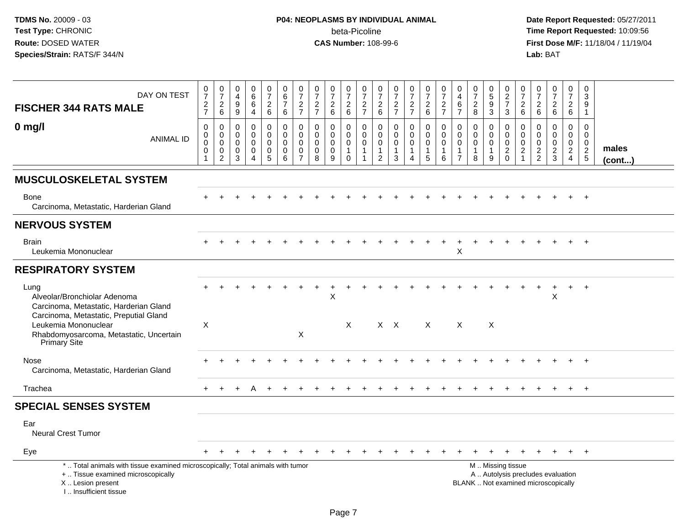# **P04: NEOPLASMS BY INDIVIDUAL ANIMAL**beta-Picoline<br>CAS Number: 108-99-6

| DAY ON TEST<br><b>FISCHER 344 RATS MALE</b>                                                                                                                                                 | $\frac{0}{7}$<br>$\frac{2}{7}$                                | $\frac{0}{7}$<br>$\overline{c}$<br>6      | 0<br>$\overline{4}$<br>9<br>9   | 0<br>$\overline{6}$<br>6<br>$\overline{4}$                    | $\begin{array}{c} 0 \\ 7 \end{array}$<br>$\overline{c}$<br>$6\phantom{a}$ | $\begin{array}{c} 0 \\ 6 \end{array}$<br>$\overline{7}$<br>6 | $\frac{0}{7}$<br>$\overline{2}$<br>$\overline{7}$                       | $\frac{0}{7}$<br>$\frac{2}{7}$                                | $\frac{0}{7}$<br>$^2$ 6                             | $\frac{0}{7}$<br>$\overline{c}$<br>6                        | $\boldsymbol{0}$<br>$\overline{7}$<br>$\frac{2}{7}$    | $\frac{0}{7}$<br>$\begin{array}{c} 2 \\ 6 \end{array}$                        | $\frac{0}{7}$<br>$\frac{2}{7}$                              | $\frac{0}{7}$<br>$\frac{2}{7}$                       | $\frac{0}{7}$<br>$\frac{2}{6}$                     | $\frac{0}{7}$<br>$\overline{\mathbf{c}}$<br>$\overline{7}$  | 0<br>$\overline{4}$<br>$\,6$<br>$\overline{7}$                    | $\frac{0}{7}$<br>$_{\rm 8}^2$                                | $\begin{smallmatrix}0\0\5\end{smallmatrix}$<br>$\boldsymbol{9}$<br>3 | $\begin{array}{c} 0 \\ 2 \\ 7 \end{array}$<br>$\mathbf{3}$ | 0<br>$\overline{7}$<br>$\boldsymbol{2}$<br>6             | $\frac{0}{7}$<br>$^2\phantom{1}6$                | $\frac{0}{7}$<br>$\overline{\mathbf{c}}$<br>$6\phantom{1}$               | $\frac{0}{7}$<br>$\overline{a}$<br>6                                             | $\pmb{0}$<br>$\ensuremath{\mathsf{3}}$<br>9<br>$\mathbf{1}$ |                       |
|---------------------------------------------------------------------------------------------------------------------------------------------------------------------------------------------|---------------------------------------------------------------|-------------------------------------------|---------------------------------|---------------------------------------------------------------|---------------------------------------------------------------------------|--------------------------------------------------------------|-------------------------------------------------------------------------|---------------------------------------------------------------|-----------------------------------------------------|-------------------------------------------------------------|--------------------------------------------------------|-------------------------------------------------------------------------------|-------------------------------------------------------------|------------------------------------------------------|----------------------------------------------------|-------------------------------------------------------------|-------------------------------------------------------------------|--------------------------------------------------------------|----------------------------------------------------------------------|------------------------------------------------------------|----------------------------------------------------------|--------------------------------------------------|--------------------------------------------------------------------------|----------------------------------------------------------------------------------|-------------------------------------------------------------|-----------------------|
| $0$ mg/l<br><b>ANIMAL ID</b>                                                                                                                                                                | $\mathbf 0$<br>$\mathbf 0$<br>$\mathbf 0$<br>$\mathbf 0$<br>1 | 0<br>$\mathbf 0$<br>0<br>$\mathbf 0$<br>2 | 0<br>$\mathbf 0$<br>0<br>0<br>3 | $\mathbf 0$<br>$\mathbf 0$<br>$\mathbf 0$<br>$\mathbf 0$<br>4 | 0<br>$\overline{0}$<br>0<br>$\mathsf 0$<br>5                              | $\mathbf 0$<br>$\Omega$<br>$\mathbf 0$<br>$\mathbf 0$<br>6   | $\mathbf 0$<br>$\Omega$<br>$\mathbf 0$<br>$\mathbf 0$<br>$\overline{7}$ | $\mathbf 0$<br>$\mathbf 0$<br>$\mathbf 0$<br>$\mathbf 0$<br>8 | 0<br>$\mathbf 0$<br>$\mathbf 0$<br>$\mathbf 0$<br>9 | $\mathbf 0$<br>0<br>$\mathbf 0$<br>$\mathbf{1}$<br>$\Omega$ | $\mathbf 0$<br>$\mathbf 0$<br>$\pmb{0}$<br>$\mathbf 1$ | $\mathbf 0$<br>$\mathbf 0$<br>$\mathbf 0$<br>$\overline{1}$<br>$\overline{2}$ | $\mathbf 0$<br>$\Omega$<br>$\mathbf 0$<br>$\mathbf{1}$<br>3 | $\mathbf 0$<br>$\overline{0}$<br>$\pmb{0}$<br>1<br>4 | 0<br>$\mathbf 0$<br>$\pmb{0}$<br>$\mathbf{1}$<br>5 | $\mathbf 0$<br>$\Omega$<br>$\mathbf 0$<br>$\mathbf{1}$<br>6 | $\mathbf 0$<br>0<br>$\mathbf 0$<br>$\mathbf{1}$<br>$\overline{7}$ | $\mathbf 0$<br>$\mathbf 0$<br>$\pmb{0}$<br>$\mathbf{1}$<br>8 | 0<br>$\mathbf 0$<br>0<br>$\overline{1}$<br>9                         | $\mathbf 0$<br>$\mathbf 0$<br>$\mathbf 0$<br>$^2_0$        | $\mathbf 0$<br>$\Omega$<br>$\mathbf 0$<br>$\overline{c}$ | $\mathbf 0$<br>$\mathbf 0$<br>0<br>$\frac{2}{2}$ | $\mathbf 0$<br>$\mathbf 0$<br>$\mathsf 0$<br>$\frac{2}{3}$               | $\mathbf 0$<br>$\overline{0}$<br>$\mathbf 0$<br>$\overline{a}$<br>$\overline{4}$ | $\mathbf 0$<br>$\mathbf 0$<br>$\mathbf 0$<br>$\frac{2}{5}$  | males<br>$($ cont $)$ |
| <b>MUSCULOSKELETAL SYSTEM</b>                                                                                                                                                               |                                                               |                                           |                                 |                                                               |                                                                           |                                                              |                                                                         |                                                               |                                                     |                                                             |                                                        |                                                                               |                                                             |                                                      |                                                    |                                                             |                                                                   |                                                              |                                                                      |                                                            |                                                          |                                                  |                                                                          |                                                                                  |                                                             |                       |
| Bone<br>Carcinoma, Metastatic, Harderian Gland                                                                                                                                              |                                                               |                                           |                                 |                                                               |                                                                           |                                                              |                                                                         |                                                               |                                                     |                                                             |                                                        |                                                                               |                                                             |                                                      |                                                    |                                                             |                                                                   |                                                              |                                                                      |                                                            |                                                          |                                                  |                                                                          |                                                                                  |                                                             |                       |
| <b>NERVOUS SYSTEM</b>                                                                                                                                                                       |                                                               |                                           |                                 |                                                               |                                                                           |                                                              |                                                                         |                                                               |                                                     |                                                             |                                                        |                                                                               |                                                             |                                                      |                                                    |                                                             |                                                                   |                                                              |                                                                      |                                                            |                                                          |                                                  |                                                                          |                                                                                  |                                                             |                       |
| <b>Brain</b><br>Leukemia Mononuclear                                                                                                                                                        |                                                               |                                           |                                 |                                                               |                                                                           |                                                              |                                                                         |                                                               |                                                     |                                                             |                                                        |                                                                               |                                                             |                                                      |                                                    |                                                             | X                                                                 |                                                              |                                                                      |                                                            |                                                          |                                                  |                                                                          |                                                                                  |                                                             |                       |
| <b>RESPIRATORY SYSTEM</b>                                                                                                                                                                   |                                                               |                                           |                                 |                                                               |                                                                           |                                                              |                                                                         |                                                               |                                                     |                                                             |                                                        |                                                                               |                                                             |                                                      |                                                    |                                                             |                                                                   |                                                              |                                                                      |                                                            |                                                          |                                                  |                                                                          |                                                                                  |                                                             |                       |
| Lung<br>Alveolar/Bronchiolar Adenoma<br>Carcinoma, Metastatic, Harderian Gland<br>Carcinoma, Metastatic, Preputial Gland<br>Leukemia Mononuclear<br>Rhabdomyosarcoma, Metastatic, Uncertain | X                                                             |                                           |                                 |                                                               |                                                                           |                                                              | $\mathsf X$                                                             |                                                               | $\ddot{}$<br>X                                      | $\times$                                                    |                                                        |                                                                               | $X$ $X$                                                     |                                                      | $\mathsf{X}$                                       |                                                             | $\boldsymbol{\mathsf{X}}$                                         |                                                              | $\boldsymbol{\mathsf{X}}$                                            |                                                            |                                                          |                                                  | $\ddot{}$<br>X                                                           | $+$                                                                              | $+$                                                         |                       |
| Primary Site                                                                                                                                                                                |                                                               |                                           |                                 |                                                               |                                                                           |                                                              |                                                                         |                                                               |                                                     |                                                             |                                                        |                                                                               |                                                             |                                                      |                                                    |                                                             |                                                                   |                                                              |                                                                      |                                                            |                                                          |                                                  |                                                                          |                                                                                  |                                                             |                       |
| Nose<br>Carcinoma, Metastatic, Harderian Gland                                                                                                                                              |                                                               |                                           |                                 |                                                               |                                                                           |                                                              |                                                                         |                                                               |                                                     |                                                             |                                                        |                                                                               |                                                             |                                                      |                                                    |                                                             |                                                                   |                                                              |                                                                      |                                                            |                                                          |                                                  |                                                                          | $+$                                                                              | $+$                                                         |                       |
| Trachea                                                                                                                                                                                     | $+$                                                           |                                           |                                 | А                                                             |                                                                           |                                                              |                                                                         |                                                               |                                                     |                                                             |                                                        |                                                                               |                                                             |                                                      |                                                    |                                                             |                                                                   |                                                              |                                                                      |                                                            |                                                          |                                                  |                                                                          | $+$                                                                              | $+$                                                         |                       |
| <b>SPECIAL SENSES SYSTEM</b>                                                                                                                                                                |                                                               |                                           |                                 |                                                               |                                                                           |                                                              |                                                                         |                                                               |                                                     |                                                             |                                                        |                                                                               |                                                             |                                                      |                                                    |                                                             |                                                                   |                                                              |                                                                      |                                                            |                                                          |                                                  |                                                                          |                                                                                  |                                                             |                       |
| Ear<br><b>Neural Crest Tumor</b>                                                                                                                                                            |                                                               |                                           |                                 |                                                               |                                                                           |                                                              |                                                                         |                                                               |                                                     |                                                             |                                                        |                                                                               |                                                             |                                                      |                                                    |                                                             |                                                                   |                                                              |                                                                      |                                                            |                                                          |                                                  |                                                                          |                                                                                  |                                                             |                       |
| Eye                                                                                                                                                                                         |                                                               |                                           |                                 |                                                               |                                                                           |                                                              |                                                                         |                                                               |                                                     |                                                             |                                                        |                                                                               |                                                             |                                                      |                                                    |                                                             |                                                                   |                                                              |                                                                      |                                                            |                                                          |                                                  |                                                                          | $+$                                                                              | $+$                                                         |                       |
| *  Total animals with tissue examined microscopically; Total animals with tumor<br>+  Tissue examined microscopically<br>X Lesion present<br>I Insufficient tissue                          |                                                               |                                           |                                 |                                                               |                                                                           |                                                              |                                                                         |                                                               |                                                     |                                                             |                                                        |                                                                               |                                                             |                                                      |                                                    |                                                             |                                                                   |                                                              |                                                                      | M. Missing tissue                                          |                                                          |                                                  | A  Autolysis precludes evaluation<br>BLANK  Not examined microscopically |                                                                                  |                                                             |                       |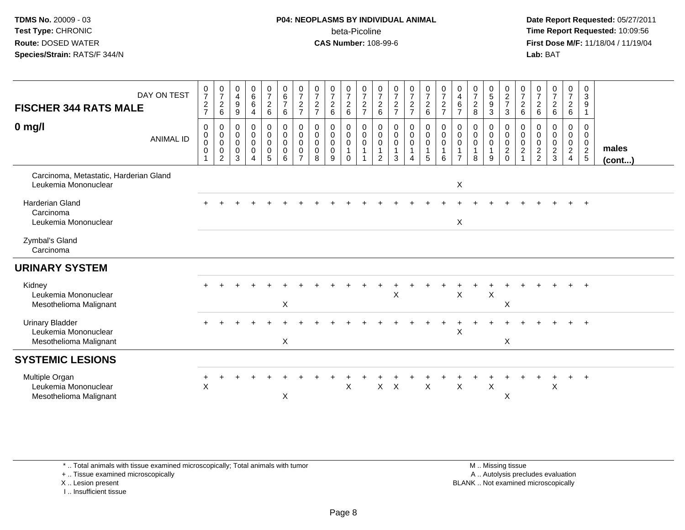### **P04: NEOPLASMS BY INDIVIDUAL ANIMAL**beta-Picoline<br>CAS Number: 108-99-6

 **Date Report Requested:** 05/27/2011 **Time Report Requested:** 10:09:56 **First Dose M/F:** 11/18/04 / 11/19/04<br>**Lab:** BAT **Lab:** BAT

| <b>FISCHER 344 RATS MALE</b><br>$0$ mg/l                                 | DAY ON TEST<br><b>ANIMAL ID</b> | $\frac{0}{7}$<br>$\frac{2}{7}$<br>0<br>$\pmb{0}$<br>$\pmb{0}$<br>$\mathbf 0$ | $\begin{smallmatrix}0\\7\end{smallmatrix}$<br>$\overline{c}$<br>6<br>0<br>$\begin{smallmatrix} 0\\0 \end{smallmatrix}$<br>0<br>2 | 0<br>$\overline{4}$<br>$\boldsymbol{9}$<br>9<br>0<br>0<br>0<br>0<br>3 | $\begin{array}{c} 0 \\ 6 \end{array}$<br>$\,6\,$<br>$\overline{4}$<br>0<br>$\overline{0}$<br>0<br>$\pmb{0}$<br>4 | $\frac{0}{7}$<br>$\overline{a}$<br>$\,6\,$<br>0<br>$\mathbf 0$<br>$\mathsf{O}\xspace$<br>0<br>5 | $\begin{array}{c} 0 \\ 6 \end{array}$<br>$\overline{7}$<br>$\,6\,$<br>$\pmb{0}$<br>$\mathbf 0$<br>$\mathbf 0$<br>$\pmb{0}$<br>$6\phantom{1}6$ | $\frac{0}{7}$<br>$\boldsymbol{2}$<br>$\overline{7}$<br>0<br>$\mathbf 0$<br>$\mathbf 0$<br>$\mathbf 0$<br>$\overline{7}$ | $\frac{0}{7}$<br>$\overline{c}$<br>$\overline{7}$<br>0<br>$\mathsf 0$<br>$\mathbf 0$<br>0<br>8 | $\frac{0}{7}$<br>$\overline{a}$<br>6<br>0<br>$\mathsf{O}\xspace$<br>$\mathbf 0$<br>0<br>9 | $\frac{0}{7}$<br>$\overline{c}$<br>6<br>0<br>$\mathsf{O}$<br>$\boldsymbol{0}$<br>$\mathbf 1$<br>$\mathbf 0$ | $\frac{0}{7}$<br>$\boldsymbol{2}$<br>$\overline{7}$<br>0<br>$\mathbf 0$<br>$\pmb{0}$<br>$\mathbf{1}$ | $\frac{0}{7}$<br>$\overline{2}$<br>$\,6\,$<br>0<br>$\mathbf 0$<br>0<br>$\overline{1}$<br>2 | $\frac{0}{7}$<br>$\frac{2}{7}$<br>0<br>$\pmb{0}$<br>$\mathbf 0$<br>$\mathbf{1}$<br>3 | $\frac{0}{7}$<br>$\overline{a}$<br>$\overline{7}$<br>0<br>0<br>0<br>$\overline{4}$ | $\frac{0}{7}$<br>$\frac{2}{6}$<br>$\mathbf 0$<br>$\ddot{\mathbf{0}}$<br>$\pmb{0}$<br>$\mathbf{1}$<br>5 | $\frac{0}{7}$<br>$\overline{c}$<br>$\overline{7}$<br>0<br>$\mathsf{O}\xspace$<br>$\boldsymbol{0}$<br>$\mathbf{1}$<br>6 | 0<br>$\overline{4}$<br>$\,6\,$<br>$\overline{7}$<br>0<br>0<br>0<br>$\overline{7}$ | $\frac{0}{7}$<br>$\sqrt{2}$<br>$\,8\,$<br>0<br>$\ddot{\mathbf{0}}$<br>$\pmb{0}$<br>$\mathbf{1}$<br>8 | $\begin{array}{c} 0 \\ 5 \end{array}$<br>$\boldsymbol{9}$<br>$\mathbf{3}$<br>0<br>$\mathbf 0$<br>$\pmb{0}$<br>$\overline{1}$<br>9 | $\begin{array}{c} 0 \\ 2 \\ 7 \end{array}$<br>$\mathbf{3}$<br>0<br>$\mathsf{O}\xspace$<br>$\frac{0}{2}$ | $\frac{0}{7}$<br>$\overline{c}$<br>6<br>0<br>$\mathbf 0$<br>0<br>$\overline{c}$ | $\frac{0}{7}$<br>$^2\phantom{1}6$<br>$\mathbf 0$<br>$\pmb{0}$<br>$\mathsf 0$<br>$\frac{2}{2}$ | $\frac{0}{7}$<br>$\overline{a}$<br>$\,6\,$<br>0<br>$\mathbf 0$<br>$\pmb{0}$<br>$\frac{2}{3}$ | $\frac{0}{7}$<br>$\frac{2}{6}$<br>0<br>$\mathbf 0$<br>$\begin{array}{c} 0 \\ 2 \\ 4 \end{array}$ | 0<br>$\mathsf 3$<br>9<br>$\overline{1}$<br>0<br>$\overline{0}$<br>$\begin{array}{c} 0 \\ 2 \\ 5 \end{array}$ | males<br>$($ cont $)$ |
|--------------------------------------------------------------------------|---------------------------------|------------------------------------------------------------------------------|----------------------------------------------------------------------------------------------------------------------------------|-----------------------------------------------------------------------|------------------------------------------------------------------------------------------------------------------|-------------------------------------------------------------------------------------------------|-----------------------------------------------------------------------------------------------------------------------------------------------|-------------------------------------------------------------------------------------------------------------------------|------------------------------------------------------------------------------------------------|-------------------------------------------------------------------------------------------|-------------------------------------------------------------------------------------------------------------|------------------------------------------------------------------------------------------------------|--------------------------------------------------------------------------------------------|--------------------------------------------------------------------------------------|------------------------------------------------------------------------------------|--------------------------------------------------------------------------------------------------------|------------------------------------------------------------------------------------------------------------------------|-----------------------------------------------------------------------------------|------------------------------------------------------------------------------------------------------|-----------------------------------------------------------------------------------------------------------------------------------|---------------------------------------------------------------------------------------------------------|---------------------------------------------------------------------------------|-----------------------------------------------------------------------------------------------|----------------------------------------------------------------------------------------------|--------------------------------------------------------------------------------------------------|--------------------------------------------------------------------------------------------------------------|-----------------------|
| Carcinoma, Metastatic, Harderian Gland<br>Leukemia Mononuclear           |                                 |                                                                              |                                                                                                                                  |                                                                       |                                                                                                                  |                                                                                                 |                                                                                                                                               |                                                                                                                         |                                                                                                |                                                                                           |                                                                                                             |                                                                                                      |                                                                                            |                                                                                      |                                                                                    |                                                                                                        |                                                                                                                        | X                                                                                 |                                                                                                      |                                                                                                                                   |                                                                                                         |                                                                                 |                                                                                               |                                                                                              |                                                                                                  |                                                                                                              |                       |
| <b>Harderian Gland</b><br>Carcinoma<br>Leukemia Mononuclear              |                                 |                                                                              |                                                                                                                                  |                                                                       |                                                                                                                  |                                                                                                 |                                                                                                                                               |                                                                                                                         |                                                                                                |                                                                                           |                                                                                                             |                                                                                                      |                                                                                            |                                                                                      |                                                                                    |                                                                                                        |                                                                                                                        | X                                                                                 |                                                                                                      |                                                                                                                                   |                                                                                                         |                                                                                 |                                                                                               |                                                                                              |                                                                                                  | $+$                                                                                                          |                       |
| Zymbal's Gland<br>Carcinoma                                              |                                 |                                                                              |                                                                                                                                  |                                                                       |                                                                                                                  |                                                                                                 |                                                                                                                                               |                                                                                                                         |                                                                                                |                                                                                           |                                                                                                             |                                                                                                      |                                                                                            |                                                                                      |                                                                                    |                                                                                                        |                                                                                                                        |                                                                                   |                                                                                                      |                                                                                                                                   |                                                                                                         |                                                                                 |                                                                                               |                                                                                              |                                                                                                  |                                                                                                              |                       |
| <b>URINARY SYSTEM</b>                                                    |                                 |                                                                              |                                                                                                                                  |                                                                       |                                                                                                                  |                                                                                                 |                                                                                                                                               |                                                                                                                         |                                                                                                |                                                                                           |                                                                                                             |                                                                                                      |                                                                                            |                                                                                      |                                                                                    |                                                                                                        |                                                                                                                        |                                                                                   |                                                                                                      |                                                                                                                                   |                                                                                                         |                                                                                 |                                                                                               |                                                                                              |                                                                                                  |                                                                                                              |                       |
| Kidney<br>Leukemia Mononuclear<br>Mesothelioma Malignant                 |                                 |                                                                              |                                                                                                                                  |                                                                       |                                                                                                                  |                                                                                                 | X                                                                                                                                             |                                                                                                                         |                                                                                                |                                                                                           |                                                                                                             |                                                                                                      |                                                                                            | X                                                                                    |                                                                                    |                                                                                                        |                                                                                                                        | X                                                                                 |                                                                                                      | X                                                                                                                                 | Χ                                                                                                       |                                                                                 |                                                                                               |                                                                                              |                                                                                                  |                                                                                                              |                       |
| <b>Urinary Bladder</b><br>Leukemia Mononuclear<br>Mesothelioma Malignant |                                 |                                                                              |                                                                                                                                  |                                                                       |                                                                                                                  |                                                                                                 | $\sf X$                                                                                                                                       |                                                                                                                         |                                                                                                |                                                                                           |                                                                                                             |                                                                                                      |                                                                                            |                                                                                      |                                                                                    |                                                                                                        |                                                                                                                        | X                                                                                 |                                                                                                      |                                                                                                                                   | $\boldsymbol{\mathsf{X}}$                                                                               |                                                                                 |                                                                                               |                                                                                              |                                                                                                  |                                                                                                              |                       |
| <b>SYSTEMIC LESIONS</b>                                                  |                                 |                                                                              |                                                                                                                                  |                                                                       |                                                                                                                  |                                                                                                 |                                                                                                                                               |                                                                                                                         |                                                                                                |                                                                                           |                                                                                                             |                                                                                                      |                                                                                            |                                                                                      |                                                                                    |                                                                                                        |                                                                                                                        |                                                                                   |                                                                                                      |                                                                                                                                   |                                                                                                         |                                                                                 |                                                                                               |                                                                                              |                                                                                                  |                                                                                                              |                       |
| Multiple Organ<br>Leukemia Mononuclear<br>Mesothelioma Malignant         |                                 | X                                                                            |                                                                                                                                  |                                                                       |                                                                                                                  |                                                                                                 | X                                                                                                                                             |                                                                                                                         |                                                                                                |                                                                                           | X                                                                                                           |                                                                                                      | X                                                                                          | $\times$                                                                             |                                                                                    | $\boldsymbol{\mathsf{X}}$                                                                              |                                                                                                                        | $\pmb{\times}$                                                                    |                                                                                                      | $\sf X$                                                                                                                           | X                                                                                                       |                                                                                 |                                                                                               | $\sf X$                                                                                      | $\pm$                                                                                            | $+$                                                                                                          |                       |

\* .. Total animals with tissue examined microscopically; Total animals with tumor

+ .. Tissue examined microscopically

X .. Lesion present

I .. Insufficient tissue

 M .. Missing tissuey the contract of the contract of the contract of the contract of the contract of the contract of the contract of  $A$ . Autolysis precludes evaluation Lesion present BLANK .. Not examined microscopically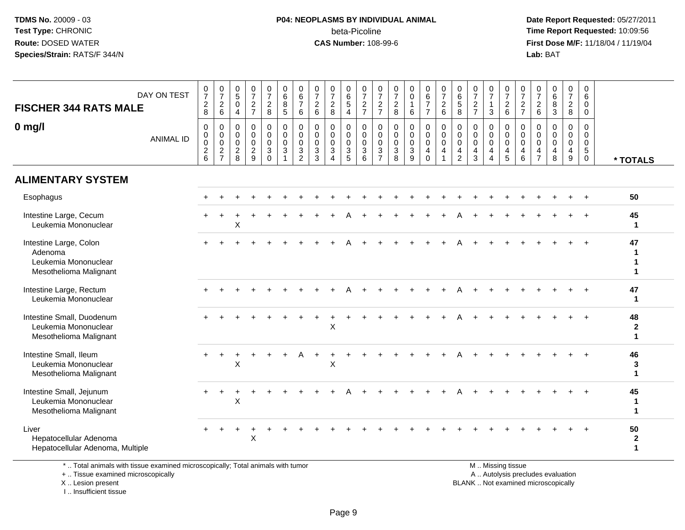### **P04: NEOPLASMS BY INDIVIDUAL ANIMAL**beta-Picoline<br>CAS Number: 108-99-6

 **Date Report Requested:** 05/27/2011 **Time Report Requested:** 10:09:56 **First Dose M/F:** 11/18/04 / 11/19/04<br>**Lab:** BAT **Lab:** BAT

| <b>FISCHER 344 RATS MALE</b>                                                        | DAY ON TEST      | $\frac{0}{7}$<br>$_{\rm 8}^2$                                       | $\frac{0}{7}$<br>$^2\phantom{1}6$                                            | $\begin{array}{c} 0 \\ 5 \end{array}$<br>$\mathbf 0$<br>$\overline{4}$ | $\begin{smallmatrix}0\\7\end{smallmatrix}$<br>$\frac{2}{7}$      | $\begin{array}{c} 0 \\ 7 \end{array}$<br>$\frac{2}{8}$                    | $\begin{array}{c} 0 \\ 6 \end{array}$<br>$\bf 8$<br>$\sqrt{5}$     | $\begin{array}{c} 0 \\ 6 \\ 7 \end{array}$<br>6                               | $\frac{0}{7}$<br>$\overline{c}$<br>6                | $\frac{0}{7}$<br>$_{\rm 8}^2$                                                  | $\begin{array}{c} 0 \\ 6 \\ 5 \end{array}$<br>$\overline{4}$         | $\begin{smallmatrix}0\\7\end{smallmatrix}$<br>$\frac{2}{7}$ | $\frac{0}{7}$<br>$\frac{2}{7}$                                                           | $\frac{0}{7}$<br>$\overline{c}$<br>8     | 0<br>$\pmb{0}$<br>$\mathbf{1}$<br>$\,6\,$                              | $\begin{array}{c} 0 \\ 6 \\ 7 \end{array}$<br>$\overline{7}$ | $\begin{smallmatrix}0\\7\end{smallmatrix}$<br>$\overline{c}$<br>$\,6\,$ | $\begin{array}{c} 0 \\ 6 \\ 5 \end{array}$<br>8    | $\frac{0}{7}$<br>$\frac{2}{7}$                                   | $\frac{0}{7}$<br>$\mathbf{1}$<br>$\mathbf{3}$                           | $\frac{0}{7}$<br>$\begin{array}{c} 2 \\ 6 \end{array}$ | $\frac{0}{7}$<br>$\overline{c}$<br>$\overline{7}$   | $\frac{0}{7}$<br>$^2\phantom{1}6$                      | $\begin{array}{c} 0 \\ 6 \\ 3 \end{array}$                       | $\frac{0}{7}$<br>$\overline{c}$<br>$\bf 8$                   | $\mathbf 0$<br>$\,6\,$<br>$\pmb{0}$<br>$\mathsf{O}\xspace$                       |                                        |
|-------------------------------------------------------------------------------------|------------------|---------------------------------------------------------------------|------------------------------------------------------------------------------|------------------------------------------------------------------------|------------------------------------------------------------------|---------------------------------------------------------------------------|--------------------------------------------------------------------|-------------------------------------------------------------------------------|-----------------------------------------------------|--------------------------------------------------------------------------------|----------------------------------------------------------------------|-------------------------------------------------------------|------------------------------------------------------------------------------------------|------------------------------------------|------------------------------------------------------------------------|--------------------------------------------------------------|-------------------------------------------------------------------------|----------------------------------------------------|------------------------------------------------------------------|-------------------------------------------------------------------------|--------------------------------------------------------|-----------------------------------------------------|--------------------------------------------------------|------------------------------------------------------------------|--------------------------------------------------------------|----------------------------------------------------------------------------------|----------------------------------------|
| $0$ mg/l                                                                            | <b>ANIMAL ID</b> | $\mathbf 0$<br>$\begin{smallmatrix}0\\0\end{smallmatrix}$<br>$^2$ 6 | $\mathbf 0$<br>$\begin{smallmatrix} 0\\0 \end{smallmatrix}$<br>$\frac{2}{7}$ | 0<br>$\mathbf 0$<br>0<br>$\overline{c}$<br>8                           | $\mathbf 0$<br>$\mathbf 0$<br>$\mathsf 0$<br>$\overline{c}$<br>9 | $\pmb{0}$<br>$\overline{0}$<br>0<br>$\ensuremath{\mathsf{3}}$<br>$\Omega$ | 0<br>$\mathsf{O}\xspace$<br>$\pmb{0}$<br>$\ensuremath{\mathsf{3}}$ | $\pmb{0}$<br>$\overline{0}$<br>$\overline{0}$<br>$\sqrt{3}$<br>$\overline{2}$ | $\mathbf 0$<br>$\mathbf 0$<br>$\mathbf 0$<br>3<br>3 | $\mathsf{O}\xspace$<br>$\overline{0}$<br>$\ensuremath{\mathsf{3}}$<br>$\Delta$ | 0<br>$\mathsf{O}\xspace$<br>$\mathsf{O}\xspace$<br>$\mathbf{3}$<br>5 | 0<br>$\mathbf 0$<br>$\mathbf 0$<br>$\mathsf 3$<br>6         | $\mathbf 0$<br>$\mathsf{O}\xspace$<br>$\overline{0}$<br>$\overline{3}$<br>$\overline{7}$ | 0<br>0<br>$\mathbf 0$<br>$\sqrt{3}$<br>8 | $\mathbf 0$<br>$\mathsf{O}\xspace$<br>$\mathbf 0$<br>$\mathbf{3}$<br>9 | 0<br>$\mathbf 0$<br>0<br>4<br>$\Omega$                       | $\pmb{0}$<br>$\ddot{\mathbf{0}}$<br>$\mathbf 0$<br>$\overline{4}$       | $\pmb{0}$<br>$\overline{0}$ <sub>0</sub><br>4<br>2 | $\mathbf 0$<br>$\mathbf 0$<br>$\mathbf 0$<br>$\overline{4}$<br>3 | $\mathbf 0$<br>$\mathbf 0$<br>$\mathbf 0$<br>$\overline{4}$<br>$\Delta$ | $\mathbf 0$<br>$\mathbf 0$<br>$\mathbf 0$<br>4<br>5    | $\mathbf 0$<br>$\mathbf 0$<br>$\mathbf 0$<br>4<br>6 | $\mathbf 0$<br>0<br>$\mathbf 0$<br>4<br>$\overline{7}$ | $\mathbf 0$<br>$\mathbf 0$<br>$\mathbf 0$<br>$\overline{4}$<br>8 | $\pmb{0}$<br>$\mathbf 0$<br>$\pmb{0}$<br>$\overline{4}$<br>9 | $\mathbf 0$<br>$\mathsf{O}\xspace$<br>$\pmb{0}$<br>$\overline{5}$<br>$\mathbf 0$ | * TOTALS                               |
| <b>ALIMENTARY SYSTEM</b>                                                            |                  |                                                                     |                                                                              |                                                                        |                                                                  |                                                                           |                                                                    |                                                                               |                                                     |                                                                                |                                                                      |                                                             |                                                                                          |                                          |                                                                        |                                                              |                                                                         |                                                    |                                                                  |                                                                         |                                                        |                                                     |                                                        |                                                                  |                                                              |                                                                                  |                                        |
| Esophagus                                                                           |                  |                                                                     |                                                                              |                                                                        |                                                                  |                                                                           |                                                                    |                                                                               |                                                     |                                                                                |                                                                      |                                                             |                                                                                          |                                          |                                                                        |                                                              |                                                                         |                                                    |                                                                  |                                                                         |                                                        |                                                     |                                                        |                                                                  |                                                              |                                                                                  | 50                                     |
| Intestine Large, Cecum<br>Leukemia Mononuclear                                      |                  |                                                                     |                                                                              | X                                                                      |                                                                  |                                                                           |                                                                    |                                                                               |                                                     |                                                                                |                                                                      |                                                             |                                                                                          |                                          |                                                                        |                                                              |                                                                         |                                                    |                                                                  |                                                                         |                                                        |                                                     |                                                        |                                                                  |                                                              | $\ddot{}$                                                                        | 45<br>$\mathbf 1$                      |
| Intestine Large, Colon<br>Adenoma<br>Leukemia Mononuclear<br>Mesothelioma Malignant |                  |                                                                     |                                                                              |                                                                        |                                                                  |                                                                           |                                                                    |                                                                               |                                                     |                                                                                |                                                                      |                                                             |                                                                                          |                                          |                                                                        |                                                              |                                                                         |                                                    |                                                                  |                                                                         |                                                        |                                                     |                                                        |                                                                  |                                                              |                                                                                  | 47<br>$\mathbf{1}$<br>1<br>1           |
| Intestine Large, Rectum<br>Leukemia Mononuclear                                     |                  |                                                                     |                                                                              |                                                                        |                                                                  |                                                                           |                                                                    |                                                                               |                                                     |                                                                                |                                                                      |                                                             |                                                                                          |                                          |                                                                        |                                                              |                                                                         |                                                    |                                                                  |                                                                         |                                                        |                                                     |                                                        |                                                                  |                                                              |                                                                                  | 47<br>$\mathbf{1}$                     |
| Intestine Small, Duodenum<br>Leukemia Mononuclear<br>Mesothelioma Malignant         |                  |                                                                     |                                                                              |                                                                        |                                                                  |                                                                           |                                                                    |                                                                               |                                                     | $\mathsf{X}$                                                                   |                                                                      |                                                             |                                                                                          |                                          |                                                                        |                                                              |                                                                         |                                                    |                                                                  |                                                                         |                                                        |                                                     |                                                        |                                                                  |                                                              |                                                                                  | 48<br>$\mathbf{2}$<br>$\mathbf{1}$     |
| Intestine Small, Ileum<br>Leukemia Mononuclear<br>Mesothelioma Malignant            |                  | $+$                                                                 | $\ddot{}$                                                                    | $\ddot{}$<br>X                                                         |                                                                  |                                                                           |                                                                    | A                                                                             | ÷                                                   | X                                                                              |                                                                      |                                                             |                                                                                          |                                          |                                                                        |                                                              |                                                                         |                                                    |                                                                  |                                                                         |                                                        |                                                     |                                                        |                                                                  |                                                              |                                                                                  | 46<br>3<br>$\blacktriangleleft$        |
| Intestine Small, Jejunum<br>Leukemia Mononuclear<br>Mesothelioma Malignant          |                  |                                                                     |                                                                              | $\mathsf{X}$                                                           |                                                                  |                                                                           |                                                                    |                                                                               |                                                     |                                                                                |                                                                      |                                                             |                                                                                          |                                          |                                                                        |                                                              |                                                                         |                                                    |                                                                  |                                                                         |                                                        |                                                     |                                                        |                                                                  |                                                              |                                                                                  | 45<br>$\mathbf{1}$<br>$\mathbf 1$      |
| Liver<br>Hepatocellular Adenoma<br>Hepatocellular Adenoma, Multiple                 |                  |                                                                     |                                                                              |                                                                        | $\pmb{\times}$                                                   |                                                                           |                                                                    |                                                                               |                                                     |                                                                                |                                                                      |                                                             |                                                                                          |                                          |                                                                        |                                                              |                                                                         |                                                    |                                                                  |                                                                         |                                                        |                                                     |                                                        |                                                                  |                                                              |                                                                                  | 50<br>$\boldsymbol{2}$<br>$\mathbf{1}$ |
|                                                                                     |                  |                                                                     |                                                                              |                                                                        |                                                                  |                                                                           |                                                                    |                                                                               |                                                     |                                                                                |                                                                      |                                                             |                                                                                          |                                          |                                                                        |                                                              |                                                                         |                                                    |                                                                  |                                                                         |                                                        |                                                     |                                                        |                                                                  |                                                              |                                                                                  |                                        |

\* .. Total animals with tissue examined microscopically; Total animals with tumor

+ .. Tissue examined microscopically

X .. Lesion present

I .. Insufficient tissue

M .. Missing tissue

y the contract of the contract of the contract of the contract of the contract of the contract of the contract of  $A$ . Autolysis precludes evaluation Lesion present BLANK .. Not examined microscopically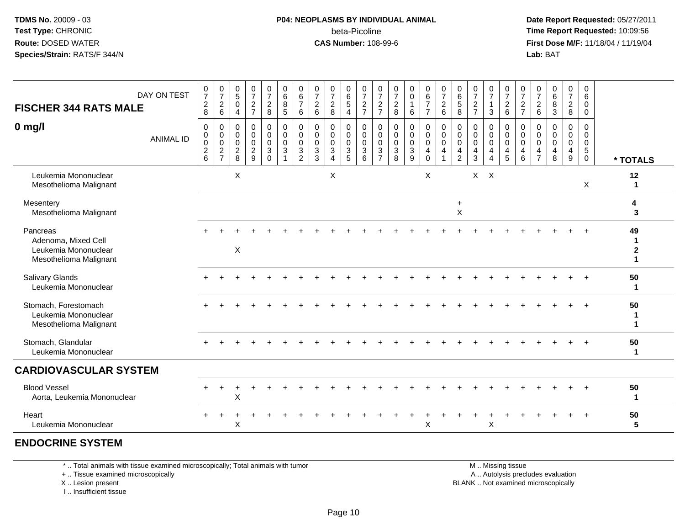### **P04: NEOPLASMS BY INDIVIDUAL ANIMAL**beta-Picoline<br>CAS Number: 108-99-6

 **Date Report Requested:** 05/27/2011 **Time Report Requested:** 10:09:56 **First Dose M/F:** 11/18/04 / 11/19/04<br>**Lab:** BAT **Lab:** BAT

| <b>FISCHER 344 RATS MALE</b>                                                      | DAY ON TEST      | $\frac{0}{7}$<br>$_{\rm 8}^2$                                          | $\frac{0}{7}$<br>$\frac{2}{6}$               | $\begin{array}{c} 0 \\ 5 \end{array}$<br>$\mathbf 0$<br>$\overline{4}$ | $\frac{0}{7}$<br>$\frac{2}{7}$                           | $\frac{0}{7}$<br>$\frac{2}{8}$                                       | 0<br>$\,6$<br>8<br>$\overline{5}$               | $\begin{array}{c} 0 \\ 6 \end{array}$<br>$\overline{7}$<br>$\,6\,$ | $\pmb{0}$<br>$\overline{7}$<br>$\overline{2}$<br>$\,6\,$ | $\frac{0}{7}$<br>$_{\rm 8}^2$                                                     | $_6^0$<br>5<br>$\overline{4}$                    | $\frac{0}{7}$<br>$\frac{2}{7}$                   | $\frac{0}{7}$<br>$\frac{2}{7}$                 | $\frac{0}{7}$<br>$\frac{2}{8}$        | 0<br>$\pmb{0}$<br>$\mathbf{1}$<br>$6\phantom{1}6$        | $_6^0$<br>$\overline{7}$<br>$\overline{7}$ | $\frac{0}{7}$<br>$\frac{2}{6}$ | $\begin{array}{c} 0 \\ 6 \end{array}$<br>$\frac{5}{8}$ | 0<br>$\overline{7}$<br>$\frac{2}{7}$       | $\frac{0}{7}$<br>-1<br>$\mathbf{3}$                                 | 0<br>$\overline{7}$<br>$\overline{c}$<br>$6\phantom{a}$ | $\frac{0}{7}$<br>$\frac{2}{7}$                                                | $\frac{0}{7}$<br>$^2\phantom{1}6$                      | 0<br>$\,6$<br>8<br>$\overline{3}$                | $\begin{array}{c} 0 \\ 7 \end{array}$<br>$\frac{2}{8}$ | 0<br>6<br>$\mathbf 0$<br>$\mathbf 0$                         |                                                               |
|-----------------------------------------------------------------------------------|------------------|------------------------------------------------------------------------|----------------------------------------------|------------------------------------------------------------------------|----------------------------------------------------------|----------------------------------------------------------------------|-------------------------------------------------|--------------------------------------------------------------------|----------------------------------------------------------|-----------------------------------------------------------------------------------|--------------------------------------------------|--------------------------------------------------|------------------------------------------------|---------------------------------------|----------------------------------------------------------|--------------------------------------------|--------------------------------|--------------------------------------------------------|--------------------------------------------|---------------------------------------------------------------------|---------------------------------------------------------|-------------------------------------------------------------------------------|--------------------------------------------------------|--------------------------------------------------|--------------------------------------------------------|--------------------------------------------------------------|---------------------------------------------------------------|
| $0$ mg/l                                                                          | <b>ANIMAL ID</b> | 0<br>$\pmb{0}$<br>$\mathbf 0$<br>$\begin{array}{c} 2 \\ 6 \end{array}$ | 0<br>$\pmb{0}$<br>$\pmb{0}$<br>$\frac{2}{7}$ | 0<br>$\mathbf 0$<br>0<br>$_{8}^2$                                      | $\mathbf 0$<br>$\mathbf 0$<br>$\pmb{0}$<br>$\frac{2}{9}$ | 0<br>$\pmb{0}$<br>$\pmb{0}$<br>$\ensuremath{\mathsf{3}}$<br>$\Omega$ | 0<br>$\mathbf 0$<br>$\mathbf 0$<br>$\mathbf{3}$ | $\pmb{0}$<br>$\ddot{\mathbf{0}}$<br>$\pmb{0}$<br>$\frac{3}{2}$     | 0<br>$\mathbf 0$<br>$\mathbf 0$<br>$\mathbf{3}$<br>3     | 0<br>$\boldsymbol{0}$<br>$\pmb{0}$<br>$\ensuremath{\mathsf{3}}$<br>$\overline{4}$ | 0<br>$\mathbf 0$<br>$\mathbf 0$<br>$\frac{3}{5}$ | 0<br>$\mathbf 0$<br>$\mathbf 0$<br>$\frac{3}{6}$ | 0<br>$\mathsf 0$<br>$\pmb{0}$<br>$\frac{3}{7}$ | 0<br>$\pmb{0}$<br>$\pmb{0}$<br>$_8^3$ | $\pmb{0}$<br>$\mathbf 0$<br>$\mathbf 0$<br>$\frac{3}{9}$ | 0<br>0<br>$\mathbf 0$<br>4<br>$\mathbf 0$  | 0<br>$\overline{0}$<br>0<br>4  | 0<br>$\pmb{0}$<br>$\mathbf 0$<br>4<br>$\overline{2}$   | 0<br>0<br>$\mathbf 0$<br>4<br>$\mathbf{3}$ | 0<br>$\boldsymbol{0}$<br>$\mathbf 0$<br>4<br>$\boldsymbol{\Lambda}$ | 0<br>$\pmb{0}$<br>$\mathbf 0$<br>$\frac{4}{5}$          | 0<br>$\boldsymbol{0}$<br>$\mathbf 0$<br>$\begin{array}{c} 4 \\ 6 \end{array}$ | 0<br>$\mathbf 0$<br>$\mathbf 0$<br>4<br>$\overline{7}$ | $\mathbf 0$<br>$\Omega$<br>$\mathbf 0$<br>4<br>8 | 0<br>$\mathbf 0$<br>$\pmb{0}$<br>$\overline{4}$<br>9   | 0<br>$\mathbf 0$<br>$\mathbf 0$<br>$\sqrt{5}$<br>$\mathbf 0$ | * TOTALS                                                      |
| Leukemia Mononuclear<br>Mesothelioma Malignant                                    |                  |                                                                        |                                              | X                                                                      |                                                          |                                                                      |                                                 |                                                                    |                                                          | X                                                                                 |                                                  |                                                  |                                                |                                       |                                                          | X                                          |                                |                                                        |                                            | $X$ $X$                                                             |                                                         |                                                                               |                                                        |                                                  |                                                        | Χ                                                            | 12<br>$\mathbf{1}$                                            |
| Mesentery<br>Mesothelioma Malignant                                               |                  |                                                                        |                                              |                                                                        |                                                          |                                                                      |                                                 |                                                                    |                                                          |                                                                                   |                                                  |                                                  |                                                |                                       |                                                          |                                            |                                | $\ddot{}$<br>$\mathsf{X}$                              |                                            |                                                                     |                                                         |                                                                               |                                                        |                                                  |                                                        |                                                              | 4<br>3                                                        |
| Pancreas<br>Adenoma, Mixed Cell<br>Leukemia Mononuclear<br>Mesothelioma Malignant |                  |                                                                        |                                              | $\times$                                                               |                                                          |                                                                      |                                                 |                                                                    |                                                          |                                                                                   |                                                  |                                                  |                                                |                                       |                                                          |                                            |                                |                                                        |                                            |                                                                     |                                                         |                                                                               |                                                        |                                                  |                                                        |                                                              | 49<br>$\mathbf 1$<br>$\boldsymbol{2}$<br>$\blacktriangleleft$ |
| Salivary Glands<br>Leukemia Mononuclear                                           |                  |                                                                        |                                              |                                                                        |                                                          |                                                                      |                                                 |                                                                    |                                                          |                                                                                   |                                                  |                                                  |                                                |                                       |                                                          |                                            |                                |                                                        |                                            |                                                                     |                                                         |                                                                               |                                                        |                                                  |                                                        |                                                              | 50<br>$\blacktriangleleft$                                    |
| Stomach, Forestomach<br>Leukemia Mononuclear<br>Mesothelioma Malignant            |                  |                                                                        |                                              |                                                                        |                                                          |                                                                      |                                                 |                                                                    |                                                          |                                                                                   |                                                  |                                                  |                                                |                                       |                                                          |                                            |                                |                                                        |                                            |                                                                     |                                                         |                                                                               |                                                        |                                                  |                                                        |                                                              | 50<br>$\mathbf{1}$<br>$\mathbf 1$                             |
| Stomach, Glandular<br>Leukemia Mononuclear                                        |                  |                                                                        |                                              |                                                                        |                                                          |                                                                      |                                                 |                                                                    |                                                          |                                                                                   |                                                  |                                                  |                                                |                                       |                                                          |                                            |                                |                                                        |                                            |                                                                     |                                                         |                                                                               |                                                        |                                                  |                                                        |                                                              | 50<br>$\mathbf{1}$                                            |
| <b>CARDIOVASCULAR SYSTEM</b>                                                      |                  |                                                                        |                                              |                                                                        |                                                          |                                                                      |                                                 |                                                                    |                                                          |                                                                                   |                                                  |                                                  |                                                |                                       |                                                          |                                            |                                |                                                        |                                            |                                                                     |                                                         |                                                                               |                                                        |                                                  |                                                        |                                                              |                                                               |
| <b>Blood Vessel</b><br>Aorta, Leukemia Mononuclear                                |                  |                                                                        |                                              | X                                                                      |                                                          |                                                                      |                                                 |                                                                    |                                                          |                                                                                   |                                                  |                                                  |                                                |                                       |                                                          |                                            |                                |                                                        |                                            |                                                                     |                                                         |                                                                               |                                                        |                                                  |                                                        |                                                              | 50<br>$\mathbf 1$                                             |
| Heart<br>Leukemia Mononuclear                                                     |                  | $\pm$                                                                  |                                              | Χ                                                                      |                                                          |                                                                      |                                                 |                                                                    |                                                          |                                                                                   |                                                  |                                                  |                                                |                                       |                                                          | Χ                                          |                                |                                                        |                                            | X                                                                   |                                                         |                                                                               |                                                        |                                                  |                                                        |                                                              | 50<br>5                                                       |
| <b>ENDOCRINE SYSTEM</b>                                                           |                  |                                                                        |                                              |                                                                        |                                                          |                                                                      |                                                 |                                                                    |                                                          |                                                                                   |                                                  |                                                  |                                                |                                       |                                                          |                                            |                                |                                                        |                                            |                                                                     |                                                         |                                                                               |                                                        |                                                  |                                                        |                                                              |                                                               |

\* .. Total animals with tissue examined microscopically; Total animals with tumor

+ .. Tissue examined microscopically

 Lesion present BLANK .. Not examined microscopicallyX .. Lesion present

I .. Insufficient tissue

 M .. Missing tissuey the contract of the contract of the contract of the contract of the contract of the contract of the contract of  $A$ . Autolysis precludes evaluation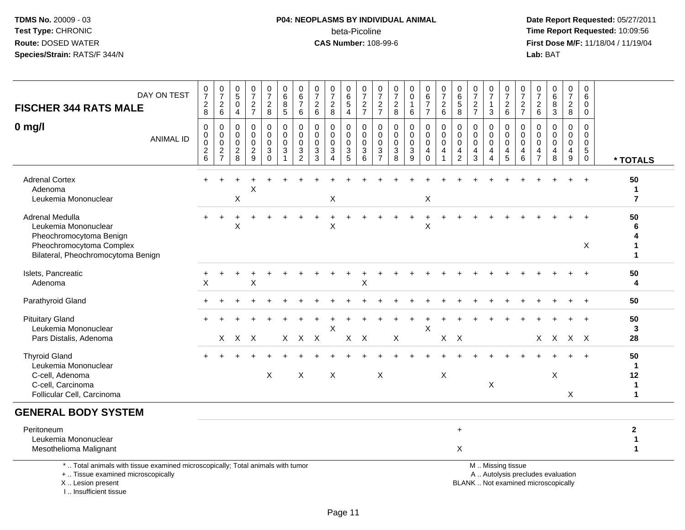# **P04: NEOPLASMS BY INDIVIDUAL ANIMAL**beta-Picoline<br>CAS Number: 108-99-6

 **Date Report Requested:** 05/27/2011 **Time Report Requested:** 10:09:56 **First Dose M/F:** 11/18/04 / 11/19/04<br>Lab: BAT **Lab:** BAT

| <b>FISCHER 344 RATS MALE</b>                                                                                                               | DAY ON TEST      | $\begin{smallmatrix}0\\7\end{smallmatrix}$<br>$_{8}^2$<br>0       | $\begin{array}{c} 0 \\ 7 \end{array}$<br>$^2\phantom{1}6$<br>$\mathbf 0$ | $\mathbf 0$<br>$\overline{5}$<br>$\mathbf 0$<br>$\overline{a}$<br>0 | $\frac{0}{7}$<br>$\frac{2}{7}$<br>$\mathbf 0$ | $\frac{0}{7}$<br>$\frac{2}{8}$<br>0 | $_{6}^{\rm 0}$<br>$\bf 8$<br>$\overline{5}$<br>0 | $\pmb{0}$<br>$\overline{6}$<br>$\overline{7}$<br>$\,6\,$<br>$\mathbf 0$ | 0<br>$\overline{7}$<br>$\overline{c}$<br>$\,6\,$<br>0 | $\begin{array}{c} 0 \\ 7 \end{array}$<br>$\sqrt{2}$<br>8<br>$\mathbf 0$ | 0<br>$\overline{6}$<br>$\mathbf 5$<br>$\overline{4}$<br>0 | $\frac{0}{7}$<br>$\frac{2}{7}$<br>0                        | $\begin{array}{c} 0 \\ 7 \end{array}$<br>$\frac{2}{7}$<br>0 | 0<br>$\overline{7}$<br>$\frac{2}{8}$<br>$\mathbf 0$ | $\mathbf 0$<br>$\mathbf 0$<br>1<br>$\,6\,$<br>$\mathbf 0$ | $\begin{array}{c} 0 \\ 6 \end{array}$<br>$\boldsymbol{7}$<br>$\overline{7}$<br>0 | $\begin{smallmatrix}0\\7\end{smallmatrix}$<br>$^2\phantom{1}6$<br>0 | $_{6}^{\rm 0}$<br>$\,$ 5 $\,$<br>8<br>0           | $\pmb{0}$<br>$\overline{7}$<br>$\sqrt{2}$<br>$\overline{7}$<br>$\mathbf 0$ | $\begin{array}{c} 0 \\ 7 \end{array}$<br>3<br>$\mathbf 0$ | $\frac{0}{7}$<br>$^2\phantom{1}6$<br>0 | $\begin{array}{c} 0 \\ 7 \end{array}$<br>$\frac{2}{7}$<br>$\mathbf 0$ | 0<br>$\overline{7}$<br>2<br>$\,6\,$<br>0 | $\pmb{0}$<br>$6\phantom{a}$<br>8<br>3<br>0                               | $\begin{array}{c} 0 \\ 7 \end{array}$<br>$\sqrt{2}$<br>8<br>0 | $\mathbf 0$<br>6<br>$\mathbf 0$<br>$\mathbf 0$<br>$\mathbf 0$ |                                                      |
|--------------------------------------------------------------------------------------------------------------------------------------------|------------------|-------------------------------------------------------------------|--------------------------------------------------------------------------|---------------------------------------------------------------------|-----------------------------------------------|-------------------------------------|--------------------------------------------------|-------------------------------------------------------------------------|-------------------------------------------------------|-------------------------------------------------------------------------|-----------------------------------------------------------|------------------------------------------------------------|-------------------------------------------------------------|-----------------------------------------------------|-----------------------------------------------------------|----------------------------------------------------------------------------------|---------------------------------------------------------------------|---------------------------------------------------|----------------------------------------------------------------------------|-----------------------------------------------------------|----------------------------------------|-----------------------------------------------------------------------|------------------------------------------|--------------------------------------------------------------------------|---------------------------------------------------------------|---------------------------------------------------------------|------------------------------------------------------|
| $0$ mg/l                                                                                                                                   | <b>ANIMAL ID</b> | $\mathbf 0$<br>$\pmb{0}$<br>$\begin{array}{c} 2 \\ 6 \end{array}$ | $\pmb{0}$<br>$\overline{0}$<br>$\frac{2}{7}$                             | $\mathbf 0$<br>$\mathbf 0$<br>$\frac{2}{8}$                         | $\mathbf 0$<br>$\mathbf 0$<br>$\frac{2}{9}$   | $\mathbf 0$<br>0<br>3<br>$\Omega$   | $\pmb{0}$<br>$\mathsf 0$<br>$\mathbf{3}$<br>1    | $\mathbf 0$<br>$\mathbf 0$<br>$\frac{3}{2}$                             | $\mathbf 0$<br>$\mathbf 0$<br>3<br>3                  | $\mathbf 0$<br>$\mathbf 0$<br>$\sqrt{3}$<br>$\boldsymbol{\Lambda}$      | $\Omega$<br>$\mathbf 0$<br>3<br>5                         | $\mathbf 0$<br>$\mathbf 0$<br>$\sqrt{3}$<br>$\overline{6}$ | $\mathsf{O}\xspace$<br>$\pmb{0}$<br>$\frac{3}{7}$           | $\mathbf 0$<br>$\mathbf 0$<br>$\sqrt{3}$<br>8       | $\mathbf 0$<br>$\mathbf 0$<br>$\sqrt{3}$<br>9             | $\pmb{0}$<br>$\mathbf 0$<br>$\overline{\mathbf{4}}$<br>$\mathbf 0$               | $\pmb{0}$<br>$\pmb{0}$<br>4<br>$\mathbf{1}$                         | $\mathbf 0$<br>$\mathbf 0$<br>4<br>$\overline{2}$ | 0<br>$\mathbf 0$<br>4<br>$\mathbf{3}$                                      | $\mathbf 0$<br>$\pmb{0}$<br>4<br>$\overline{A}$           | $\mathbf 0$<br>$\mathbf 0$<br>4<br>5   | $\mathbf 0$<br>$\mathbf 0$<br>$\overline{4}$<br>$6\phantom{a}$        | $\Omega$<br>0<br>4<br>$\overline{7}$     | $\Omega$<br>$\mathbf 0$<br>4<br>8                                        | $\mathbf 0$<br>$\pmb{0}$<br>4<br>$\boldsymbol{9}$             | $\mathbf 0$<br>$\mathbf 0$<br>$\sqrt{5}$<br>$\mathbf 0$       | * TOTALS                                             |
| <b>Adrenal Cortex</b><br>Adenoma<br>Leukemia Mononuclear                                                                                   |                  |                                                                   |                                                                          | Χ                                                                   | Χ                                             |                                     |                                                  |                                                                         |                                                       | $\boldsymbol{\mathsf{X}}$                                               |                                                           |                                                            |                                                             |                                                     |                                                           | $\mathsf X$                                                                      |                                                                     |                                                   |                                                                            |                                                           |                                        |                                                                       |                                          |                                                                          | $\ddot{}$                                                     | $\ddot{+}$                                                    | 50<br>$\mathbf{1}$<br>$\overline{7}$                 |
| Adrenal Medulla<br>Leukemia Mononuclear<br>Pheochromocytoma Benign<br>Pheochromocytoma Complex<br>Bilateral, Pheochromocytoma Benign       |                  |                                                                   |                                                                          | X                                                                   |                                               |                                     |                                                  |                                                                         |                                                       | X                                                                       |                                                           |                                                            |                                                             |                                                     |                                                           | X                                                                                |                                                                     |                                                   |                                                                            |                                                           |                                        |                                                                       |                                          |                                                                          |                                                               | $\ddot{}$<br>X                                                | 50<br>6<br>4<br>1<br>$\blacktriangleleft$            |
| Islets, Pancreatic<br>Adenoma                                                                                                              |                  | +<br>X                                                            |                                                                          |                                                                     | X                                             |                                     |                                                  |                                                                         |                                                       |                                                                         |                                                           | Χ                                                          |                                                             |                                                     |                                                           |                                                                                  |                                                                     |                                                   |                                                                            |                                                           |                                        |                                                                       |                                          |                                                                          |                                                               | $\ddot{}$                                                     | 50<br>4                                              |
| Parathyroid Gland                                                                                                                          |                  |                                                                   |                                                                          |                                                                     |                                               |                                     |                                                  |                                                                         |                                                       |                                                                         |                                                           |                                                            |                                                             |                                                     |                                                           |                                                                                  |                                                                     |                                                   |                                                                            |                                                           |                                        |                                                                       |                                          |                                                                          |                                                               | $\ddot{}$                                                     | 50                                                   |
| <b>Pituitary Gland</b><br>Leukemia Mononuclear<br>Pars Distalis, Adenoma                                                                   |                  |                                                                   |                                                                          | X X X                                                               |                                               |                                     |                                                  | X X X                                                                   |                                                       | X                                                                       |                                                           | $X$ $X$                                                    |                                                             | X                                                   |                                                           | X                                                                                |                                                                     | $X$ $X$                                           |                                                                            |                                                           |                                        |                                                                       |                                          | X X X X                                                                  |                                                               |                                                               | 50<br>3<br>28                                        |
| <b>Thyroid Gland</b><br>Leukemia Mononuclear<br>C-cell, Adenoma<br>C-cell, Carcinoma<br>Follicular Cell, Carcinoma                         |                  |                                                                   |                                                                          |                                                                     |                                               | X                                   |                                                  | X                                                                       |                                                       | X                                                                       |                                                           |                                                            | $\boldsymbol{\mathsf{X}}$                                   |                                                     |                                                           |                                                                                  | X                                                                   |                                                   |                                                                            | X                                                         |                                        |                                                                       |                                          | X                                                                        | X                                                             | $+$                                                           | 50<br>1<br>12<br>$\mathbf 1$<br>$\blacktriangleleft$ |
| <b>GENERAL BODY SYSTEM</b>                                                                                                                 |                  |                                                                   |                                                                          |                                                                     |                                               |                                     |                                                  |                                                                         |                                                       |                                                                         |                                                           |                                                            |                                                             |                                                     |                                                           |                                                                                  |                                                                     |                                                   |                                                                            |                                                           |                                        |                                                                       |                                          |                                                                          |                                                               |                                                               |                                                      |
| Peritoneum<br>Leukemia Mononuclear<br>Mesothelioma Malignant                                                                               |                  |                                                                   |                                                                          |                                                                     |                                               |                                     |                                                  |                                                                         |                                                       |                                                                         |                                                           |                                                            |                                                             |                                                     |                                                           |                                                                                  |                                                                     | $\ddot{}$<br>$\sf X$                              |                                                                            |                                                           |                                        |                                                                       |                                          |                                                                          |                                                               |                                                               | $\mathbf{2}$<br>$\mathbf{1}$<br>$\mathbf{1}$         |
| *  Total animals with tissue examined microscopically; Total animals with tumor<br>+  Tissue examined microscopically<br>X  Lesion present |                  |                                                                   |                                                                          |                                                                     |                                               |                                     |                                                  |                                                                         |                                                       |                                                                         |                                                           |                                                            |                                                             |                                                     |                                                           |                                                                                  |                                                                     |                                                   |                                                                            |                                                           | M  Missing tissue                      |                                                                       |                                          | A  Autolysis precludes evaluation<br>BLANK  Not examined microscopically |                                                               |                                                               |                                                      |

I .. Insufficient tissue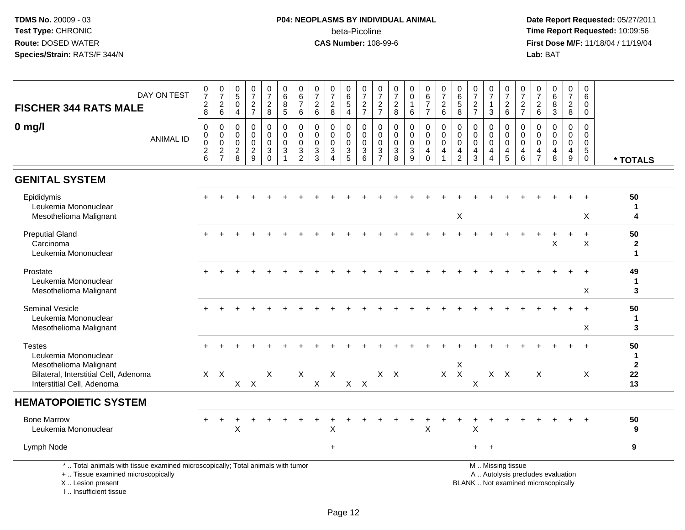## **P04: NEOPLASMS BY INDIVIDUAL ANIMAL**beta-Picoline<br>CAS Number: 108-99-6

 **Date Report Requested:** 05/27/2011 **Time Report Requested:** 10:09:56 **First Dose M/F:** 11/18/04 / 11/19/04<br>Lab: BAT **Lab:** BAT

| DAY ON TEST<br><b>FISCHER 344 RATS MALE</b>                                                                                                | $\frac{0}{7}$<br>$\overline{c}$<br>8                   | $\frac{0}{7}$<br>$\boldsymbol{2}$<br>6                                              | $\begin{array}{c} 0 \\ 5 \end{array}$<br>$\mathbf 0$<br>$\overline{4}$ | $\frac{0}{7}$<br>$\sqrt{2}$<br>$\overline{7}$                                 | $\pmb{0}$<br>$\overline{7}$<br>$\overline{2}$<br>8            | 0<br>6<br>8<br>$\overline{5}$                                  | $\begin{array}{c} 0 \\ 6 \end{array}$<br>$\overline{7}$<br>$\,6\,$ | 0<br>$\overline{7}$<br>$\sqrt{2}$<br>$\,6\,$ | $\frac{0}{7}$<br>$\sqrt{2}$<br>8                  | 0<br>$6\phantom{a}$<br>$\,$ 5 $\,$<br>$\overline{4}$                        | 0<br>$\overline{7}$<br>$\frac{2}{7}$                        | 0<br>$\overline{7}$<br>$\overline{c}$<br>$\overline{7}$                  | 0<br>$\overline{7}$<br>$\boldsymbol{2}$<br>8                | 0<br>$\ddot{\mathbf{0}}$<br>$\mathbf{1}$<br>6          | $\begin{array}{c} 0 \\ 6 \end{array}$<br>$\boldsymbol{7}$<br>$\overline{7}$ | $\frac{0}{7}$<br>$\sqrt{2}$<br>$6\phantom{1}$ | $\begin{array}{c} 0 \\ 6 \end{array}$<br>$\,$ 5 $\,$<br>$\,8\,$               | 0<br>$\overline{7}$<br>$\sqrt{2}$<br>$\overline{7}$                       | $\frac{0}{7}$<br>$\mathbf{1}$<br>3 | 0<br>$\overline{7}$<br>$\overline{c}$<br>$6\phantom{1}$ | 0<br>$\overline{7}$<br>$\overline{\mathbf{c}}$<br>$\overline{7}$ | 0<br>$\overline{7}$<br>$^2\phantom{1}6$                       | $\begin{array}{c} 0 \\ 6 \end{array}$<br>$\bf 8$<br>$\mathbf{3}$         | $\mathbf 0$<br>$\overline{7}$<br>$\sqrt{2}$<br>8                                | 0<br>6<br>$\mathbf 0$<br>$\mathbf 0$                             |                                     |
|--------------------------------------------------------------------------------------------------------------------------------------------|--------------------------------------------------------|-------------------------------------------------------------------------------------|------------------------------------------------------------------------|-------------------------------------------------------------------------------|---------------------------------------------------------------|----------------------------------------------------------------|--------------------------------------------------------------------|----------------------------------------------|---------------------------------------------------|-----------------------------------------------------------------------------|-------------------------------------------------------------|--------------------------------------------------------------------------|-------------------------------------------------------------|--------------------------------------------------------|-----------------------------------------------------------------------------|-----------------------------------------------|-------------------------------------------------------------------------------|---------------------------------------------------------------------------|------------------------------------|---------------------------------------------------------|------------------------------------------------------------------|---------------------------------------------------------------|--------------------------------------------------------------------------|---------------------------------------------------------------------------------|------------------------------------------------------------------|-------------------------------------|
| $0$ mg/l<br><b>ANIMAL ID</b>                                                                                                               | $\mathbf 0$<br>$\mathbf 0$<br>0<br>$\overline{c}$<br>6 | $\mathbf 0$<br>$\mathsf{O}\xspace$<br>$\pmb{0}$<br>$\overline{c}$<br>$\overline{7}$ | $\mathbf 0$<br>0<br>$\mathbf 0$<br>$\overline{c}$<br>8                 | $\mathbf 0$<br>$\mathbf 0$<br>$\mathbf 0$<br>$\overline{2}$<br>$\overline{9}$ | $\mathbf 0$<br>$\mathbf 0$<br>$\mathbf 0$<br>3<br>$\mathbf 0$ | $\mathbf 0$<br>$\mathbf 0$<br>$\mathbf 0$<br>$\mathbf{3}$<br>1 | $\mathbf 0$<br>$\mathbf 0$<br>0<br>3<br>$\overline{2}$             | $\Omega$<br>$\Omega$<br>0<br>3<br>3          | $\mathbf 0$<br>$\Omega$<br>0<br>$\mathbf{3}$<br>4 | $\mathbf 0$<br>$\mathbf 0$<br>$\mathbf 0$<br>$\mathbf{3}$<br>$\overline{5}$ | $\mathbf 0$<br>$\Omega$<br>$\mathbf 0$<br>$\mathbf{3}$<br>6 | $\mathbf 0$<br>$\Omega$<br>$\mathbf 0$<br>$\mathbf{3}$<br>$\overline{7}$ | $\mathbf 0$<br>$\Omega$<br>$\mathbf 0$<br>$\mathbf{3}$<br>8 | $\mathbf 0$<br>$\mathbf 0$<br>0<br>3<br>$\overline{9}$ | 0<br>$\mathbf 0$<br>$\mathbf 0$<br>$\overline{4}$<br>$\mathbf 0$            | $\mathbf 0$<br>$\mathbf 0$<br>0<br>4          | $\mathbf 0$<br>$\mathbf 0$<br>$\mathbf 0$<br>$\overline{4}$<br>$\overline{2}$ | $\mathbf{0}$<br>$\Omega$<br>$\mathbf 0$<br>$\overline{4}$<br>$\mathbf{3}$ | 0<br>$\mathbf 0$<br>0<br>4<br>4    | 0<br>$\mathbf 0$<br>$\mathbf 0$<br>$\overline{4}$<br>5  | 0<br>$\Omega$<br>0<br>4<br>6                                     | $\Omega$<br>$\Omega$<br>0<br>$\overline{4}$<br>$\overline{7}$ | $\mathbf 0$<br>$\Omega$<br>0<br>$\overline{\mathbf{4}}$<br>8             | $\mathbf 0$<br>$\mathbf 0$<br>$\mathbf 0$<br>$\overline{4}$<br>$\boldsymbol{9}$ | $\Omega$<br>$\Omega$<br>$\mathbf 0$<br>$\sqrt{5}$<br>$\mathbf 0$ | * TOTALS                            |
| <b>GENITAL SYSTEM</b>                                                                                                                      |                                                        |                                                                                     |                                                                        |                                                                               |                                                               |                                                                |                                                                    |                                              |                                                   |                                                                             |                                                             |                                                                          |                                                             |                                                        |                                                                             |                                               |                                                                               |                                                                           |                                    |                                                         |                                                                  |                                                               |                                                                          |                                                                                 |                                                                  |                                     |
| Epididymis<br>Leukemia Mononuclear<br>Mesothelioma Malignant                                                                               |                                                        |                                                                                     |                                                                        |                                                                               |                                                               |                                                                |                                                                    |                                              |                                                   |                                                                             |                                                             |                                                                          |                                                             |                                                        |                                                                             |                                               | X                                                                             |                                                                           |                                    |                                                         |                                                                  |                                                               |                                                                          |                                                                                 | Χ                                                                | 50<br>1<br>4                        |
| <b>Preputial Gland</b><br>Carcinoma<br>Leukemia Mononuclear                                                                                |                                                        |                                                                                     |                                                                        |                                                                               |                                                               |                                                                |                                                                    |                                              |                                                   |                                                                             |                                                             |                                                                          |                                                             |                                                        |                                                                             |                                               |                                                                               |                                                                           |                                    |                                                         |                                                                  |                                                               | X                                                                        |                                                                                 | $+$<br>X                                                         | 50<br>$\mathbf 2$<br>$\mathbf{1}$   |
| Prostate<br>Leukemia Mononuclear<br>Mesothelioma Malignant                                                                                 |                                                        |                                                                                     |                                                                        |                                                                               |                                                               |                                                                |                                                                    |                                              |                                                   |                                                                             |                                                             |                                                                          |                                                             |                                                        |                                                                             |                                               |                                                                               |                                                                           |                                    |                                                         |                                                                  |                                                               |                                                                          |                                                                                 | X                                                                | 49<br>1<br>3                        |
| <b>Seminal Vesicle</b><br>Leukemia Mononuclear<br>Mesothelioma Malignant                                                                   |                                                        |                                                                                     |                                                                        |                                                                               |                                                               |                                                                |                                                                    |                                              |                                                   |                                                                             |                                                             |                                                                          |                                                             |                                                        |                                                                             |                                               |                                                                               |                                                                           |                                    |                                                         |                                                                  |                                                               |                                                                          |                                                                                 | X                                                                | 50<br>1<br>3                        |
| <b>Testes</b><br>Leukemia Mononuclear<br>Mesothelioma Malignant<br>Bilateral, Interstitial Cell, Adenoma<br>Interstitial Cell, Adenoma     |                                                        | $X$ $X$                                                                             |                                                                        | $X$ $X$                                                                       | X                                                             |                                                                | $\boldsymbol{X}$                                                   | $\pmb{\times}$                               | X                                                 |                                                                             | $X$ $X$                                                     |                                                                          | $X$ $X$                                                     |                                                        |                                                                             |                                               | X<br>$X$ $X$                                                                  | X                                                                         |                                    | $X$ $X$                                                 |                                                                  | $\boldsymbol{\mathsf{X}}$                                     |                                                                          |                                                                                 | X                                                                | 50<br>1<br>$\mathbf{2}$<br>22<br>13 |
| <b>HEMATOPOIETIC SYSTEM</b>                                                                                                                |                                                        |                                                                                     |                                                                        |                                                                               |                                                               |                                                                |                                                                    |                                              |                                                   |                                                                             |                                                             |                                                                          |                                                             |                                                        |                                                                             |                                               |                                                                               |                                                                           |                                    |                                                         |                                                                  |                                                               |                                                                          |                                                                                 |                                                                  |                                     |
| <b>Bone Marrow</b><br>Leukemia Mononuclear                                                                                                 |                                                        |                                                                                     | X                                                                      |                                                                               |                                                               |                                                                |                                                                    |                                              | X                                                 |                                                                             |                                                             |                                                                          |                                                             |                                                        | X                                                                           |                                               |                                                                               | X                                                                         |                                    |                                                         |                                                                  |                                                               |                                                                          |                                                                                 |                                                                  | 50<br>9                             |
| Lymph Node                                                                                                                                 |                                                        |                                                                                     |                                                                        |                                                                               |                                                               |                                                                |                                                                    |                                              | $\ddot{}$                                         |                                                                             |                                                             |                                                                          |                                                             |                                                        |                                                                             |                                               |                                                                               | $+$                                                                       | $+$                                |                                                         |                                                                  |                                                               |                                                                          |                                                                                 |                                                                  | 9                                   |
| *  Total animals with tissue examined microscopically; Total animals with tumor<br>+  Tissue examined microscopically<br>X  Lesion present |                                                        |                                                                                     |                                                                        |                                                                               |                                                               |                                                                |                                                                    |                                              |                                                   |                                                                             |                                                             |                                                                          |                                                             |                                                        |                                                                             |                                               |                                                                               |                                                                           |                                    | M  Missing tissue                                       |                                                                  |                                                               | A  Autolysis precludes evaluation<br>BLANK  Not examined microscopically |                                                                                 |                                                                  |                                     |

I .. Insufficient tissue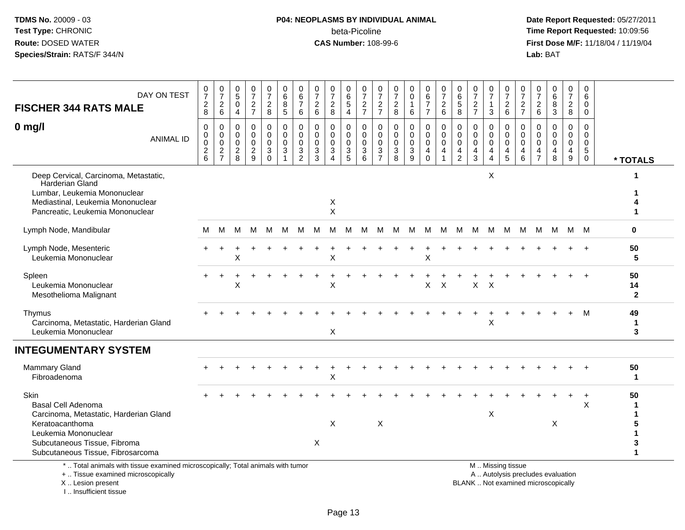# **P04: NEOPLASMS BY INDIVIDUAL ANIMAL**beta-Picoline<br>CAS Number: 108-99-6

 **Date Report Requested:** 05/27/2011 **Time Report Requested:** 10:09:56 **First Dose M/F:** 11/18/04 / 11/19/04<br>**Lab:** BAT **Lab:** BAT

| DAY ON TEST<br><b>FISCHER 344 RATS MALE</b>                                                                                                                                                 | 0<br>$\overline{7}$<br>$\overline{2}$<br>8           | $\pmb{0}$<br>$\overline{7}$<br>$\sqrt{2}$<br>6   | 0<br>5<br>0<br>$\overline{4}$                  | $\frac{0}{7}$<br>$\overline{2}$<br>$\overline{7}$        | 0<br>$\overline{7}$<br>$\overline{c}$<br>8        | 0<br>6<br>8<br>5                      | 0<br>$\,6\,$<br>$\overline{7}$<br>$\,6\,$                  | 0<br>$\overline{7}$<br>$\overline{2}$<br>$6\phantom{1}$     | 0<br>$\overline{7}$<br>$\overline{2}$<br>8                                    | 0<br>6<br>5<br>4                          | 0<br>$\overline{7}$<br>$\frac{2}{7}$       | 0<br>$\overline{7}$<br>$\overline{c}$<br>$\overline{7}$ | 0<br>$\overline{7}$<br>$\overline{c}$<br>8                                  | $\boldsymbol{0}$<br>$\pmb{0}$<br>$\mathbf{1}$<br>6           | 0<br>$\,6\,$<br>$\overline{7}$<br>$\overline{7}$ | 0<br>$\overline{7}$<br>$\sqrt{2}$<br>$6\phantom{a}$                           | 0<br>6<br>$\sqrt{5}$<br>8                              | 0<br>$\overline{7}$<br>$\overline{2}$<br>$\overline{7}$          | 0<br>$\overline{7}$<br>$\mathbf{1}$<br>3                  | 0<br>$\overline{7}$<br>$\frac{2}{6}$                                                          | 0<br>$\overline{7}$<br>$\frac{2}{7}$                | 0<br>$\overline{7}$<br>$\overline{2}$<br>$6\phantom{1}$       | 0<br>$\,6\,$<br>8<br>$\mathbf{3}$                          | 0<br>$\overline{7}$<br>$\overline{2}$<br>8 | 0<br>$\,6\,$<br>$\Omega$<br>$\mathbf 0$                          |                          |
|---------------------------------------------------------------------------------------------------------------------------------------------------------------------------------------------|------------------------------------------------------|--------------------------------------------------|------------------------------------------------|----------------------------------------------------------|---------------------------------------------------|---------------------------------------|------------------------------------------------------------|-------------------------------------------------------------|-------------------------------------------------------------------------------|-------------------------------------------|--------------------------------------------|---------------------------------------------------------|-----------------------------------------------------------------------------|--------------------------------------------------------------|--------------------------------------------------|-------------------------------------------------------------------------------|--------------------------------------------------------|------------------------------------------------------------------|-----------------------------------------------------------|-----------------------------------------------------------------------------------------------|-----------------------------------------------------|---------------------------------------------------------------|------------------------------------------------------------|--------------------------------------------|------------------------------------------------------------------|--------------------------|
| $0$ mg/l<br><b>ANIMAL ID</b>                                                                                                                                                                | 0<br>0<br>0<br>$\begin{array}{c} 2 \\ 6 \end{array}$ | 0<br>$\mathbf 0$<br>$\mathbf 0$<br>$\frac{2}{7}$ | 0<br>$\mathbf 0$<br>0<br>$\boldsymbol{2}$<br>8 | 0<br>$\mathbf 0$<br>$\mathbf 0$<br>$\boldsymbol{2}$<br>9 | 0<br>0<br>$\mathbf 0$<br>$\mathbf{3}$<br>$\Omega$ | 0<br>0<br>$\mathbf 0$<br>$\mathbf{3}$ | $\mathbf 0$<br>$\mathbf 0$<br>$\mathbf 0$<br>$\frac{3}{2}$ | $\mathbf 0$<br>$\Omega$<br>$\mathbf 0$<br>$\mathbf{3}$<br>3 | $\mathbf 0$<br>$\Omega$<br>$\Omega$<br>$\mathbf{3}$<br>$\boldsymbol{\Lambda}$ | 0<br>$\mathbf 0$<br>$\mathbf 0$<br>3<br>5 | 0<br>0<br>$\mathbf 0$<br>$\mathbf{3}$<br>6 | 0<br>0<br>$\mathbf 0$<br>$\mathbf{3}$<br>$\overline{7}$ | $\mathbf 0$<br>$\mathbf 0$<br>$\mathbf 0$<br>$\ensuremath{\mathsf{3}}$<br>8 | $\mathbf 0$<br>$\mathbf 0$<br>$\mathbf 0$<br>$\sqrt{3}$<br>9 | 0<br>0<br>0<br>4<br>$\mathbf 0$                  | $\mathbf 0$<br>$\mathbf 0$<br>$\mathbf 0$<br>$\overline{a}$<br>$\overline{1}$ | 0<br>$\mathbf 0$<br>$\mathbf 0$<br>4<br>$\overline{2}$ | $\mathbf 0$<br>$\mathbf 0$<br>$\mathbf 0$<br>$\overline{4}$<br>3 | 0<br>0<br>$\mathbf 0$<br>$\overline{4}$<br>$\overline{4}$ | 0<br>0<br>0<br>$\overline{4}$<br>5                                                            | 0<br>$\Omega$<br>$\mathbf 0$<br>$\overline{4}$<br>6 | 0<br>$\Omega$<br>$\Omega$<br>$\overline{4}$<br>$\overline{7}$ | $\mathbf 0$<br>$\Omega$<br>$\Omega$<br>$\overline{4}$<br>8 | $\mathbf 0$<br>$\mathbf 0$<br>0<br>4<br>9  | 0<br>$\mathbf 0$<br>$\mathbf 0$<br>$\overline{5}$<br>$\mathbf 0$ | * TOTALS                 |
| Deep Cervical, Carcinoma, Metastatic,<br>Harderian Gland<br>Lumbar, Leukemia Mononuclear<br>Mediastinal, Leukemia Mononuclear<br>Pancreatic, Leukemia Mononuclear                           |                                                      |                                                  |                                                |                                                          |                                                   |                                       |                                                            |                                                             | X<br>$\pmb{\times}$                                                           |                                           |                                            |                                                         |                                                                             |                                                              |                                                  |                                                                               |                                                        |                                                                  | X                                                         |                                                                                               |                                                     |                                                               |                                                            |                                            |                                                                  |                          |
| Lymph Node, Mandibular                                                                                                                                                                      | м                                                    | M                                                | M                                              | M                                                        | M                                                 | M                                     | м                                                          | M                                                           | M                                                                             | м                                         | M                                          | M                                                       | M                                                                           | M                                                            | M                                                | M                                                                             | M                                                      | M                                                                | M                                                         | M                                                                                             | M                                                   | м                                                             | M                                                          |                                            | M M                                                              | $\bf{0}$                 |
| Lymph Node, Mesenteric<br>Leukemia Mononuclear                                                                                                                                              |                                                      |                                                  | X                                              |                                                          |                                                   |                                       |                                                            |                                                             | X                                                                             |                                           |                                            |                                                         |                                                                             |                                                              | X                                                |                                                                               |                                                        |                                                                  |                                                           |                                                                                               |                                                     |                                                               |                                                            |                                            |                                                                  | 50<br>5                  |
| Spleen<br>Leukemia Mononuclear<br>Mesothelioma Malignant                                                                                                                                    |                                                      |                                                  | Χ                                              |                                                          |                                                   |                                       |                                                            |                                                             | X                                                                             |                                           |                                            |                                                         |                                                                             |                                                              | X                                                | $\times$                                                                      |                                                        | X                                                                | $\mathsf{X}$                                              |                                                                                               |                                                     |                                                               |                                                            |                                            |                                                                  | 50<br>14<br>$\mathbf{2}$ |
| Thymus<br>Carcinoma, Metastatic, Harderian Gland<br>Leukemia Mononuclear                                                                                                                    |                                                      |                                                  |                                                |                                                          |                                                   |                                       |                                                            |                                                             | X                                                                             |                                           |                                            |                                                         |                                                                             |                                                              |                                                  |                                                                               |                                                        |                                                                  | X                                                         |                                                                                               |                                                     |                                                               |                                                            |                                            | M                                                                | 49<br>$\mathbf 1$<br>3   |
| <b>INTEGUMENTARY SYSTEM</b>                                                                                                                                                                 |                                                      |                                                  |                                                |                                                          |                                                   |                                       |                                                            |                                                             |                                                                               |                                           |                                            |                                                         |                                                                             |                                                              |                                                  |                                                                               |                                                        |                                                                  |                                                           |                                                                                               |                                                     |                                                               |                                                            |                                            |                                                                  |                          |
| <b>Mammary Gland</b><br>Fibroadenoma                                                                                                                                                        |                                                      |                                                  |                                                |                                                          |                                                   |                                       |                                                            |                                                             | X                                                                             |                                           |                                            |                                                         |                                                                             |                                                              |                                                  |                                                                               |                                                        |                                                                  |                                                           |                                                                                               |                                                     |                                                               |                                                            |                                            |                                                                  | 50<br>$\mathbf 1$        |
| Skin<br><b>Basal Cell Adenoma</b><br>Carcinoma, Metastatic, Harderian Gland<br>Keratoacanthoma<br>Leukemia Mononuclear<br>Subcutaneous Tissue, Fibroma<br>Subcutaneous Tissue, Fibrosarcoma |                                                      |                                                  |                                                |                                                          |                                                   |                                       |                                                            | X                                                           | X                                                                             |                                           |                                            | X                                                       |                                                                             |                                                              |                                                  |                                                                               |                                                        |                                                                  | X                                                         |                                                                                               |                                                     |                                                               | $\boldsymbol{\mathsf{X}}$                                  |                                            | $\times$                                                         | 50<br>5<br>3<br>-1       |
| *  Total animals with tissue examined microscopically; Total animals with tumor<br>+  Tissue examined microscopically<br>X  Lesion present                                                  |                                                      |                                                  |                                                |                                                          |                                                   |                                       |                                                            |                                                             |                                                                               |                                           |                                            |                                                         |                                                                             |                                                              |                                                  |                                                                               |                                                        |                                                                  |                                                           | M  Missing tissue<br>A  Autolysis precludes evaluation<br>BLANK  Not examined microscopically |                                                     |                                                               |                                                            |                                            |                                                                  |                          |

I .. Insufficient tissue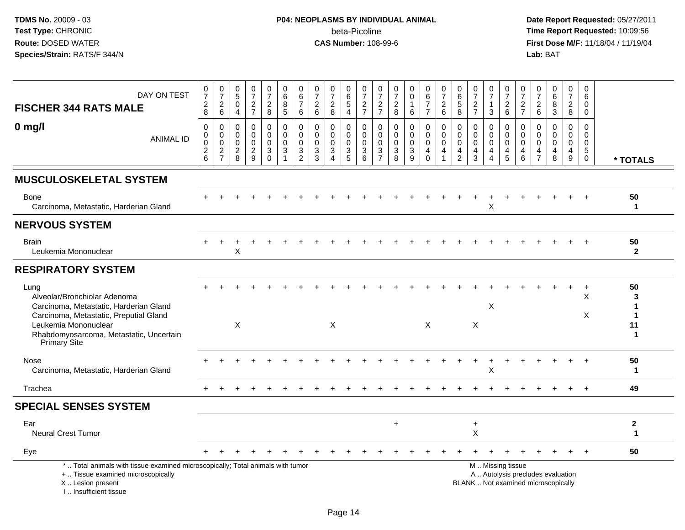# **P04: NEOPLASMS BY INDIVIDUAL ANIMAL**beta-Picoline<br>CAS Number: 108-99-6

| DAY ON TEST<br><b>FISCHER 344 RATS MALE</b>                                                                                                                                                                 | $\frac{0}{7}$<br>$\sqrt{2}$<br>8                                 | $\frac{0}{7}$<br>$\overline{c}$<br>6                                  | 0<br>$\overline{5}$<br>$\mathbf 0$<br>$\overline{4}$      | $\begin{array}{c} 0 \\ 7 \end{array}$<br>$\frac{2}{7}$ | $\begin{array}{c} 0 \\ 7 \end{array}$<br>$\sqrt{2}$<br>$\,8\,$    | 0<br>6<br>$\bf8$<br>$5\phantom{.0}$                        | 0<br>6<br>$\overline{7}$<br>6                                  | 0<br>$\overline{7}$<br>$\overline{c}$<br>$\,6\,$           | $\frac{0}{7}$<br>$\overline{c}$<br>8                          | $\begin{array}{c} 0 \\ 6 \end{array}$<br>$\overline{5}$<br>$\overline{4}$ | $\frac{0}{7}$<br>$\frac{2}{7}$                  | 0<br>$\overline{7}$<br>$\overline{c}$<br>$\overline{7}$                | $\frac{0}{7}$<br>$\overline{c}$<br>8                                        | 0<br>$\tilde{0}$<br>$\mathbf{1}$<br>6               | $\begin{array}{c} 0 \\ 6 \end{array}$<br>$\overline{7}$<br>$\overline{7}$ | $\frac{0}{7}$<br>$\sqrt{2}$<br>$\,6\,$              | 0<br>$\,6\,$<br>$\sqrt{5}$<br>8                                   | 0<br>$\overline{7}$<br>$\sqrt{2}$<br>$\overline{7}$    | $\frac{0}{7}$<br>1<br>3                             | $\frac{0}{7}$<br>$\overline{2}$<br>$6\phantom{1}$ | 0<br>$\overline{7}$<br>$\frac{2}{7}$   | $\frac{0}{7}$<br>$\overline{c}$<br>6      | 0<br>$\,6\,$<br>$\bf8$<br>3                                              | 0<br>$\overline{7}$<br>$\overline{c}$<br>8 | 0<br>6<br>0<br>0                                                  |                                        |
|-------------------------------------------------------------------------------------------------------------------------------------------------------------------------------------------------------------|------------------------------------------------------------------|-----------------------------------------------------------------------|-----------------------------------------------------------|--------------------------------------------------------|-------------------------------------------------------------------|------------------------------------------------------------|----------------------------------------------------------------|------------------------------------------------------------|---------------------------------------------------------------|---------------------------------------------------------------------------|-------------------------------------------------|------------------------------------------------------------------------|-----------------------------------------------------------------------------|-----------------------------------------------------|---------------------------------------------------------------------------|-----------------------------------------------------|-------------------------------------------------------------------|--------------------------------------------------------|-----------------------------------------------------|---------------------------------------------------|----------------------------------------|-------------------------------------------|--------------------------------------------------------------------------|--------------------------------------------|-------------------------------------------------------------------|----------------------------------------|
| $0$ mg/l<br><b>ANIMAL ID</b>                                                                                                                                                                                | $\mathbf 0$<br>$\pmb{0}$<br>$\mathbf 0$<br>$\boldsymbol{2}$<br>6 | 0<br>$\mathbf 0$<br>$\mathbf 0$<br>$\boldsymbol{2}$<br>$\overline{7}$ | $\mathbf 0$<br>$\mathbf 0$<br>$\Omega$<br>$\sqrt{2}$<br>8 | $\mathbf 0$<br>$\mathbf 0$<br>0<br>$\sqrt{2}$<br>9     | 0<br>$\overline{0}$<br>0<br>$\ensuremath{\mathsf{3}}$<br>$\Omega$ | 0<br>$\Omega$<br>$\mathbf 0$<br>$\sqrt{3}$<br>$\mathbf{1}$ | 0<br>$\Omega$<br>$\mathbf 0$<br>$\mathbf{3}$<br>$\overline{c}$ | $\mathbf 0$<br>$\Omega$<br>$\mathbf 0$<br>$\mathbf 3$<br>3 | 0<br>$\mathbf 0$<br>0<br>$\sqrt{3}$<br>$\boldsymbol{\Lambda}$ | 0<br>$\mathbf 0$<br>$\mathbf 0$<br>$\mathbf{3}$<br>$\sqrt{5}$             | 0<br>$\Omega$<br>$\mathbf 0$<br>$\sqrt{3}$<br>6 | $\mathbf 0$<br>$\Omega$<br>$\mathbf 0$<br>$\sqrt{3}$<br>$\overline{7}$ | $\mathbf 0$<br>$\mathbf 0$<br>$\mathbf 0$<br>$\ensuremath{\mathsf{3}}$<br>8 | $\mathbf 0$<br>$\mathbf 0$<br>$\mathbf 0$<br>3<br>9 | 0<br>$\mathbf 0$<br>0<br>4<br>$\Omega$                                    | 0<br>$\Omega$<br>$\mathbf 0$<br>4<br>$\overline{1}$ | $\mathbf 0$<br>$\mathbf{0}$<br>$\mathbf 0$<br>4<br>$\overline{2}$ | $\mathbf 0$<br>$\Omega$<br>$\Omega$<br>4<br>$\sqrt{3}$ | 0<br>$\Omega$<br>$\mathbf 0$<br>4<br>$\overline{4}$ | 0<br>$\mathbf 0$<br>0<br>4<br>5                   | 0<br>$\Omega$<br>$\mathbf 0$<br>4<br>6 | 0<br>$\Omega$<br>0<br>4<br>$\overline{7}$ | $\mathbf 0$<br>$\Omega$<br>$\Omega$<br>4<br>$\bf8$                       | 0<br>$\Omega$<br>0<br>4<br>9               | $\mathbf 0$<br>0<br>$\mathbf 0$<br>$5\phantom{.0}$<br>$\mathbf 0$ | * TOTALS                               |
| <b>MUSCULOSKELETAL SYSTEM</b>                                                                                                                                                                               |                                                                  |                                                                       |                                                           |                                                        |                                                                   |                                                            |                                                                |                                                            |                                                               |                                                                           |                                                 |                                                                        |                                                                             |                                                     |                                                                           |                                                     |                                                                   |                                                        |                                                     |                                                   |                                        |                                           |                                                                          |                                            |                                                                   |                                        |
| Bone<br>Carcinoma, Metastatic, Harderian Gland                                                                                                                                                              |                                                                  |                                                                       |                                                           |                                                        |                                                                   |                                                            |                                                                |                                                            |                                                               |                                                                           |                                                 |                                                                        |                                                                             |                                                     |                                                                           |                                                     |                                                                   |                                                        | X                                                   |                                                   |                                        |                                           |                                                                          |                                            |                                                                   | 50<br>$\mathbf 1$                      |
| <b>NERVOUS SYSTEM</b>                                                                                                                                                                                       |                                                                  |                                                                       |                                                           |                                                        |                                                                   |                                                            |                                                                |                                                            |                                                               |                                                                           |                                                 |                                                                        |                                                                             |                                                     |                                                                           |                                                     |                                                                   |                                                        |                                                     |                                                   |                                        |                                           |                                                                          |                                            |                                                                   |                                        |
| <b>Brain</b><br>Leukemia Mononuclear                                                                                                                                                                        |                                                                  |                                                                       | х                                                         |                                                        |                                                                   |                                                            |                                                                |                                                            |                                                               |                                                                           |                                                 |                                                                        |                                                                             |                                                     |                                                                           |                                                     |                                                                   |                                                        |                                                     |                                                   |                                        |                                           |                                                                          |                                            |                                                                   | 50<br>$\overline{2}$                   |
| <b>RESPIRATORY SYSTEM</b>                                                                                                                                                                                   |                                                                  |                                                                       |                                                           |                                                        |                                                                   |                                                            |                                                                |                                                            |                                                               |                                                                           |                                                 |                                                                        |                                                                             |                                                     |                                                                           |                                                     |                                                                   |                                                        |                                                     |                                                   |                                        |                                           |                                                                          |                                            |                                                                   |                                        |
| Lung<br>Alveolar/Bronchiolar Adenoma<br>Carcinoma, Metastatic, Harderian Gland<br>Carcinoma, Metastatic, Preputial Gland<br>Leukemia Mononuclear<br>Rhabdomyosarcoma, Metastatic, Uncertain<br>Primary Site |                                                                  |                                                                       | $\times$                                                  |                                                        |                                                                   |                                                            |                                                                |                                                            | X                                                             |                                                                           |                                                 |                                                                        |                                                                             |                                                     | $\times$                                                                  |                                                     |                                                                   | X                                                      | X                                                   |                                                   |                                        |                                           |                                                                          |                                            | $\ddot{}$<br>X<br>X                                               | 50<br>3<br>1<br>1<br>11<br>$\mathbf 1$ |
| Nose<br>Carcinoma, Metastatic, Harderian Gland                                                                                                                                                              |                                                                  |                                                                       |                                                           |                                                        |                                                                   |                                                            |                                                                |                                                            |                                                               |                                                                           |                                                 |                                                                        |                                                                             |                                                     |                                                                           |                                                     |                                                                   |                                                        | X                                                   |                                                   |                                        |                                           |                                                                          |                                            | $\ddot{}$                                                         | 50<br>1                                |
| Trachea                                                                                                                                                                                                     |                                                                  |                                                                       |                                                           |                                                        |                                                                   |                                                            |                                                                |                                                            |                                                               |                                                                           |                                                 |                                                                        |                                                                             |                                                     |                                                                           |                                                     |                                                                   |                                                        |                                                     |                                                   |                                        |                                           |                                                                          |                                            | $+$                                                               | 49                                     |
| <b>SPECIAL SENSES SYSTEM</b>                                                                                                                                                                                |                                                                  |                                                                       |                                                           |                                                        |                                                                   |                                                            |                                                                |                                                            |                                                               |                                                                           |                                                 |                                                                        |                                                                             |                                                     |                                                                           |                                                     |                                                                   |                                                        |                                                     |                                                   |                                        |                                           |                                                                          |                                            |                                                                   |                                        |
| Ear<br><b>Neural Crest Tumor</b>                                                                                                                                                                            |                                                                  |                                                                       |                                                           |                                                        |                                                                   |                                                            |                                                                |                                                            |                                                               |                                                                           |                                                 |                                                                        | $\ddot{}$                                                                   |                                                     |                                                                           |                                                     |                                                                   | $\ddot{}$<br>$\pmb{\times}$                            |                                                     |                                                   |                                        |                                           |                                                                          |                                            |                                                                   | $\boldsymbol{2}$<br>$\mathbf 1$        |
| Eye                                                                                                                                                                                                         |                                                                  |                                                                       |                                                           |                                                        |                                                                   |                                                            |                                                                |                                                            |                                                               |                                                                           |                                                 |                                                                        |                                                                             |                                                     |                                                                           |                                                     |                                                                   |                                                        |                                                     |                                                   |                                        |                                           |                                                                          |                                            |                                                                   | 50                                     |
| *  Total animals with tissue examined microscopically; Total animals with tumor<br>+  Tissue examined microscopically<br>X  Lesion present<br>I Insufficient tissue                                         |                                                                  |                                                                       |                                                           |                                                        |                                                                   |                                                            |                                                                |                                                            |                                                               |                                                                           |                                                 |                                                                        |                                                                             |                                                     |                                                                           |                                                     |                                                                   |                                                        |                                                     | M  Missing tissue                                 |                                        |                                           | A  Autolysis precludes evaluation<br>BLANK  Not examined microscopically |                                            |                                                                   |                                        |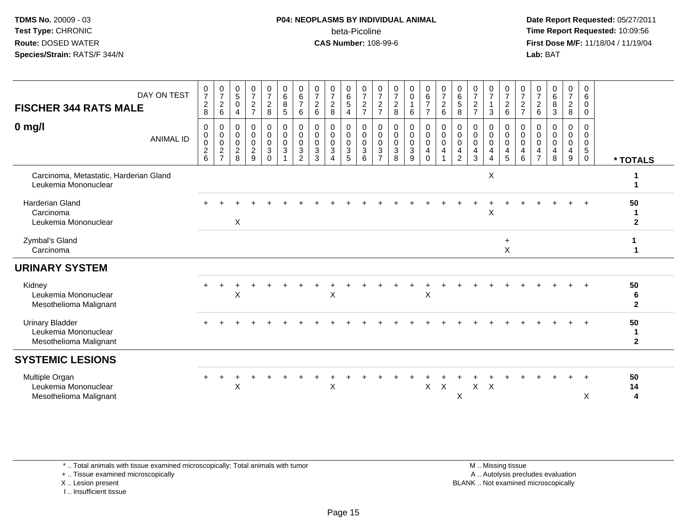### **P04: NEOPLASMS BY INDIVIDUAL ANIMAL**beta-Picoline<br>CAS Number: 108-99-6

 **Date Report Requested:** 05/27/2011 **Time Report Requested:** 10:09:56 **First Dose M/F:** 11/18/04 / 11/19/04<br>**Lab:** BAT **Lab:** BAT

| <b>FISCHER 344 RATS MALE</b>                                             | DAY ON TEST      | $\frac{0}{7}$<br>$_{8}^{\rm 2}$                    | $\frac{0}{7}$<br>$^2$ 6                        | 0<br>$\sqrt{5}$<br>$\mathbf 0$<br>4  | 0<br>$\overline{7}$<br>$\overline{2}$<br>$\overline{7}$                       | 0<br>$\overline{7}$<br>$\overline{c}$<br>8                                | $\mathbf 0$<br>$\frac{6}{8}$<br>5                          | 0<br>$\frac{6}{7}$<br>6                                             | 0<br>$\overline{7}$<br>$\sqrt{2}$<br>$\,6\,$ | $\pmb{0}$<br>$\overline{7}$<br>$\sqrt{2}$<br>8     | 0<br>$\frac{6}{5}$<br>$\overline{4}$                       | 0<br>$\boldsymbol{7}$<br>$\overline{c}$<br>$\overline{7}$ | 0<br>$\overline{7}$<br>$\overline{2}$<br>$\overline{7}$ | 0<br>$\frac{7}{8}$                                  | $\begin{matrix} 0 \\ 0 \\ 1 \end{matrix}$<br>6                                                 | $\begin{array}{c} 0 \\ 6 \\ 7 \end{array}$<br>$\overline{7}$                           | $\begin{array}{c} 0 \\ 7 \\ 2 \end{array}$<br>$\,6\,$                                                    | 0<br>$\frac{6}{5}$<br>8                                | 0<br>$\boldsymbol{7}$<br>$\mathbf 2$<br>$\overline{7}$ | 0<br>$\overline{7}$<br>$\mathbf{1}$<br>3 | 0<br>$\overline{7}$<br>$\overline{a}$<br>$6\phantom{a}$ | 0<br>$\boldsymbol{7}$<br>$\frac{2}{7}$                           | 0<br>$\overline{7}$<br>$\sqrt{2}$<br>$\,6$             | 0<br>6<br>8<br>3                          | $\mathbf 0$<br>$\overline{7}$<br>$\frac{2}{8}$ | $\pmb{0}$<br>6<br>0<br>$\mathbf 0$                           |                            |
|--------------------------------------------------------------------------|------------------|----------------------------------------------------|------------------------------------------------|--------------------------------------|-------------------------------------------------------------------------------|---------------------------------------------------------------------------|------------------------------------------------------------|---------------------------------------------------------------------|----------------------------------------------|----------------------------------------------------|------------------------------------------------------------|-----------------------------------------------------------|---------------------------------------------------------|-----------------------------------------------------|------------------------------------------------------------------------------------------------|----------------------------------------------------------------------------------------|----------------------------------------------------------------------------------------------------------|--------------------------------------------------------|--------------------------------------------------------|------------------------------------------|---------------------------------------------------------|------------------------------------------------------------------|--------------------------------------------------------|-------------------------------------------|------------------------------------------------|--------------------------------------------------------------|----------------------------|
| $0$ mg/l                                                                 | <b>ANIMAL ID</b> | 0<br>$\pmb{0}$<br>$\pmb{0}$<br>$\overline{c}$<br>6 | 0<br>$\pmb{0}$<br>$\mathbf 0$<br>$\frac{2}{7}$ | 0<br>0<br>0<br>$\boldsymbol{2}$<br>8 | $\mathbf 0$<br>$\mathbf 0$<br>$\mathbf 0$<br>$\overline{2}$<br>$\overline{9}$ | 0<br>$\mathsf{O}$<br>$\mathbf 0$<br>$\ensuremath{\mathsf{3}}$<br>$\Omega$ | $\pmb{0}$<br>$\mathbf 0$<br>0<br>$\ensuremath{\mathsf{3}}$ | $\pmb{0}$<br>$\pmb{0}$<br>$\pmb{0}$<br>$\sqrt{3}$<br>$\overline{2}$ | 0<br>$\mathbf 0$<br>0<br>$\sqrt{3}$<br>3     | 0<br>$\mathbf 0$<br>$\mathbf 0$<br>$\sqrt{3}$<br>Δ | 0<br>$\mathsf{O}\xspace$<br>$\pmb{0}$<br>$\mathbf{3}$<br>5 | 0<br>$\mathbf 0$<br>$\mathbf 0$<br>$\sqrt{3}$<br>6        | 0<br>0<br>0<br>$\sqrt{3}$<br>$\overline{7}$             | 0<br>$\mathbf 0$<br>$\mathbf 0$<br>$\mathsf 3$<br>8 | $\pmb{0}$<br>$\mathsf{O}\xspace$<br>$\pmb{0}$<br>$\ensuremath{\mathsf{3}}$<br>$\boldsymbol{9}$ | $\begin{smallmatrix}0\0\0\end{smallmatrix}$<br>$\mathsf{O}\xspace$<br>4<br>$\mathbf 0$ | $\begin{smallmatrix} 0\\0 \end{smallmatrix}$<br>$\mathbf 0$<br>$\overline{\mathbf{4}}$<br>$\overline{1}$ | 0<br>$\mathbf 0$<br>$\mathbf 0$<br>4<br>$\overline{2}$ | 0<br>$\mathsf{O}\xspace$<br>$\mathbf 0$<br>4<br>3      | 0<br>$\pmb{0}$<br>$\mathbf 0$<br>4<br>4  | 0<br>$\mathbf 0$<br>$\mathbf 0$<br>4<br>$5\phantom{.0}$ | $\mathbf 0$<br>$\mathbf 0$<br>$\mathbf 0$<br>$\overline{4}$<br>6 | 0<br>$\mathbf 0$<br>$\mathbf 0$<br>4<br>$\overline{7}$ | 0<br>$\mathbf 0$<br>$\mathbf 0$<br>4<br>8 | 0<br>0<br>0<br>$\overline{\mathbf{4}}$<br>9    | 0<br>$\mathbf 0$<br>$\mathbf 0$<br>$\sqrt{5}$<br>$\mathbf 0$ | * TOTALS                   |
| Carcinoma, Metastatic, Harderian Gland<br>Leukemia Mononuclear           |                  |                                                    |                                                |                                      |                                                                               |                                                                           |                                                            |                                                                     |                                              |                                                    |                                                            |                                                           |                                                         |                                                     |                                                                                                |                                                                                        |                                                                                                          |                                                        |                                                        | X                                        |                                                         |                                                                  |                                                        |                                           |                                                |                                                              |                            |
| <b>Harderian Gland</b><br>Carcinoma<br>Leukemia Mononuclear              |                  |                                                    |                                                | X                                    |                                                                               |                                                                           |                                                            |                                                                     |                                              |                                                    |                                                            |                                                           |                                                         |                                                     |                                                                                                |                                                                                        |                                                                                                          |                                                        |                                                        | X                                        |                                                         |                                                                  |                                                        |                                           |                                                |                                                              | 50<br>$\overline{2}$       |
| Zymbal's Gland<br>Carcinoma                                              |                  |                                                    |                                                |                                      |                                                                               |                                                                           |                                                            |                                                                     |                                              |                                                    |                                                            |                                                           |                                                         |                                                     |                                                                                                |                                                                                        |                                                                                                          |                                                        |                                                        |                                          | $\ddot{}$<br>X                                          |                                                                  |                                                        |                                           |                                                |                                                              |                            |
| <b>URINARY SYSTEM</b>                                                    |                  |                                                    |                                                |                                      |                                                                               |                                                                           |                                                            |                                                                     |                                              |                                                    |                                                            |                                                           |                                                         |                                                     |                                                                                                |                                                                                        |                                                                                                          |                                                        |                                                        |                                          |                                                         |                                                                  |                                                        |                                           |                                                |                                                              |                            |
| Kidney<br>Leukemia Mononuclear<br>Mesothelioma Malignant                 |                  |                                                    |                                                | X                                    |                                                                               |                                                                           |                                                            |                                                                     |                                              | X                                                  |                                                            |                                                           |                                                         |                                                     |                                                                                                | X                                                                                      |                                                                                                          |                                                        |                                                        |                                          |                                                         |                                                                  |                                                        |                                           |                                                |                                                              | 50<br>6<br>$\mathbf{2}$    |
| <b>Urinary Bladder</b><br>Leukemia Mononuclear<br>Mesothelioma Malignant |                  |                                                    |                                                |                                      |                                                                               |                                                                           |                                                            |                                                                     |                                              |                                                    |                                                            |                                                           |                                                         |                                                     |                                                                                                |                                                                                        |                                                                                                          |                                                        |                                                        |                                          |                                                         |                                                                  |                                                        |                                           |                                                |                                                              | 50<br>-1<br>$\overline{2}$ |
| <b>SYSTEMIC LESIONS</b>                                                  |                  |                                                    |                                                |                                      |                                                                               |                                                                           |                                                            |                                                                     |                                              |                                                    |                                                            |                                                           |                                                         |                                                     |                                                                                                |                                                                                        |                                                                                                          |                                                        |                                                        |                                          |                                                         |                                                                  |                                                        |                                           |                                                |                                                              |                            |
| Multiple Organ<br>Leukemia Mononuclear<br>Mesothelioma Malignant         |                  |                                                    |                                                | X                                    |                                                                               |                                                                           |                                                            |                                                                     |                                              | X                                                  |                                                            |                                                           |                                                         |                                                     |                                                                                                | X                                                                                      | $\boldsymbol{X}$                                                                                         | X                                                      | $X$ $X$                                                |                                          |                                                         |                                                                  |                                                        |                                           |                                                | X                                                            | 50<br>14<br>4              |

\* .. Total animals with tissue examined microscopically; Total animals with tumor

+ .. Tissue examined microscopically

X .. Lesion present

I .. Insufficient tissue

 M .. Missing tissuey the contract of the contract of the contract of the contract of the contract of the contract of the contract of  $A$ . Autolysis precludes evaluation Lesion present BLANK .. Not examined microscopically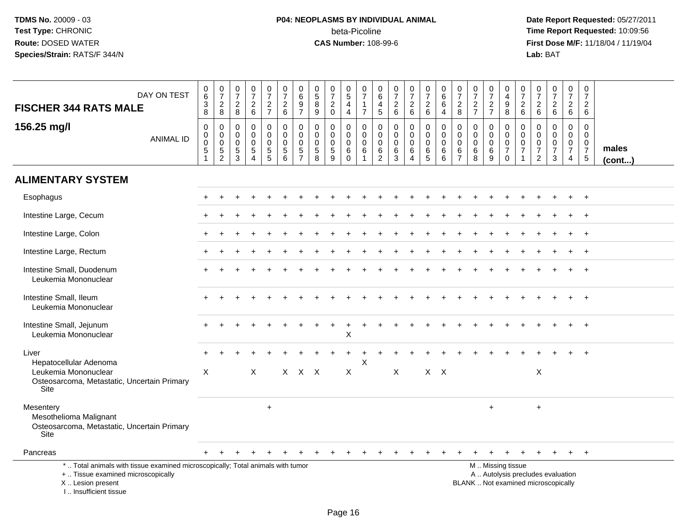# **P04: NEOPLASMS BY INDIVIDUAL ANIMAL**beta-Picoline<br>CAS Number: 108-99-6

| DAY ON TEST<br><b>FISCHER 344 RATS MALE</b>                                                                                                                          | $_{6}^{\rm 0}$<br>$\frac{3}{8}$                                | $\begin{smallmatrix}0\\7\end{smallmatrix}$<br>$\overline{c}$<br>8 | $\begin{smallmatrix}0\\7\end{smallmatrix}$<br>$_{\rm 8}^2$       | $\frac{0}{7}$<br>$\begin{array}{c} 2 \\ 6 \end{array}$             | $\begin{array}{c} 0 \\ 7 \end{array}$<br>$rac{2}{7}$                     | $\begin{array}{c} 0 \\ 7 \end{array}$<br>$\sqrt{2}$<br>$6\phantom{1}$  | $\begin{array}{c} 0 \\ 6 \end{array}$<br>9<br>$\overline{7}$ | $\begin{array}{c} 0 \\ 5 \\ 8 \end{array}$<br>9              | $\frac{0}{7}$<br>$\overline{c}$<br>$\mathbf 0$ | $\begin{array}{c} 0 \\ 5 \end{array}$<br>$\overline{4}$<br>$\overline{4}$ | $\begin{array}{c} 0 \\ 7 \end{array}$<br>$\mathbf{1}$<br>$\overline{7}$    | 0<br>$\,6\,$<br>$\overline{4}$<br>$\sqrt{5}$                      | $\frac{0}{7}$<br>$\frac{2}{6}$                              | $\frac{0}{7}$<br>$\begin{array}{c} 2 \\ 6 \end{array}$       | $\begin{array}{c} 0 \\ 7 \end{array}$<br>$\frac{2}{6}$                | $\begin{array}{c} 0 \\ 6 \end{array}$<br>$6\phantom{a}$<br>$\overline{4}$ | 0<br>$\frac{5}{7}$<br>$_{8}^2$                                   | $\frac{0}{7}$<br>$\frac{2}{7}$                            | $\begin{array}{c} 0 \\ 7 \end{array}$<br>$\frac{2}{7}$ | $\mathbf 0$<br>$\overline{4}$<br>$\boldsymbol{9}$<br>8                     | $\frac{0}{7}$<br>$\boldsymbol{2}$<br>6                                      | $\frac{0}{7}$<br>$\begin{array}{c} 2 \\ 6 \end{array}$                     | $\frac{0}{7}$<br>$\frac{2}{6}$                                            | $\begin{smallmatrix}0\\7\end{smallmatrix}$<br>$\frac{2}{6}$ | $\mathbf 0$<br>$\overline{7}$<br>$\sqrt{2}$<br>6                           |                       |
|----------------------------------------------------------------------------------------------------------------------------------------------------------------------|----------------------------------------------------------------|-------------------------------------------------------------------|------------------------------------------------------------------|--------------------------------------------------------------------|--------------------------------------------------------------------------|------------------------------------------------------------------------|--------------------------------------------------------------|--------------------------------------------------------------|------------------------------------------------|---------------------------------------------------------------------------|----------------------------------------------------------------------------|-------------------------------------------------------------------|-------------------------------------------------------------|--------------------------------------------------------------|-----------------------------------------------------------------------|---------------------------------------------------------------------------|------------------------------------------------------------------|-----------------------------------------------------------|--------------------------------------------------------|----------------------------------------------------------------------------|-----------------------------------------------------------------------------|----------------------------------------------------------------------------|---------------------------------------------------------------------------|-------------------------------------------------------------|----------------------------------------------------------------------------|-----------------------|
| 156.25 mg/l<br><b>ANIMAL ID</b>                                                                                                                                      | $\pmb{0}$<br>$_{\rm 0}^{\rm 0}$<br>$\,$ 5 $\,$<br>$\mathbf{1}$ | $\mathbf 0$<br>$\mathbf 0$<br>$\mathbf 0$<br>5<br>$\overline{2}$  | $\mathbf 0$<br>0<br>$\mathbf 0$<br>$\,$ 5 $\,$<br>$\mathfrak{S}$ | 0<br>$\mathsf{O}\xspace$<br>$\mathbf 0$<br>$\,$ 5 $\,$<br>$\Delta$ | 0<br>$\mathbf 0$<br>$\mathbf 0$<br>$\begin{array}{c} 5 \\ 5 \end{array}$ | $\mathbf 0$<br>$\mathbf 0$<br>$\Omega$<br>$\sqrt{5}$<br>$6\phantom{1}$ | 0<br>$\mathbf 0$<br>$\Omega$<br>$\frac{5}{7}$                | $\mathbf 0$<br>$\mathbf 0$<br>$\mathbf 0$<br>$\sqrt{5}$<br>8 | 0<br>$\mathbf 0$<br>0<br>5<br>9                | 0<br>$\mathbf 0$<br>$\mathbf 0$<br>6<br>$\mathsf{O}\xspace$               | $\mathbf 0$<br>$\mathsf{O}\xspace$<br>$\mathbf 0$<br>$\,6$<br>$\mathbf{1}$ | $\mathbf 0$<br>$\mathbf 0$<br>$\mathbf{0}$<br>6<br>$\overline{2}$ | $\mathbf 0$<br>$\mathbf 0$<br>$\Omega$<br>6<br>$\mathbf{3}$ | 0<br>$\mathbf 0$<br>$\mathbf 0$<br>$\,6\,$<br>$\overline{4}$ | $\pmb{0}$<br>$\mathbf 0$<br>$\mathbf 0$<br>$\,6\,$<br>$5\phantom{.0}$ | $\mathbf 0$<br>$\mathsf{O}\xspace$<br>$\mathbf 0$<br>$\,6$<br>6           | $\mathbf 0$<br>$\mathbf 0$<br>$\mathbf 0$<br>6<br>$\overline{7}$ | $\mathbf 0$<br>$\mathbf 0$<br>$\mathbf 0$<br>$\,6\,$<br>8 | 0<br>$\mathbf 0$<br>$\mathbf 0$<br>6<br>9              | $\mathbf 0$<br>$\mathbf 0$<br>$\mathbf 0$<br>$\overline{7}$<br>$\mathbf 0$ | $\mathbf 0$<br>$\mathbf 0$<br>$\mathbf 0$<br>$\overline{7}$<br>$\mathbf{1}$ | $\Omega$<br>$\mathbf 0$<br>$\mathbf 0$<br>$\overline{7}$<br>$\overline{2}$ | $\mathbf 0$<br>$\mathbf 0$<br>$\pmb{0}$<br>$\overline{7}$<br>$\mathbf{3}$ | $\mathbf 0$<br>$\overline{0}$<br>0<br>$\overline{7}$<br>4   | $\mathbf{0}$<br>$\mathbf 0$<br>$\mathbf 0$<br>$\overline{7}$<br>$\sqrt{5}$ | males<br>$($ cont $)$ |
| <b>ALIMENTARY SYSTEM</b>                                                                                                                                             |                                                                |                                                                   |                                                                  |                                                                    |                                                                          |                                                                        |                                                              |                                                              |                                                |                                                                           |                                                                            |                                                                   |                                                             |                                                              |                                                                       |                                                                           |                                                                  |                                                           |                                                        |                                                                            |                                                                             |                                                                            |                                                                           |                                                             |                                                                            |                       |
| Esophagus                                                                                                                                                            |                                                                |                                                                   |                                                                  |                                                                    |                                                                          |                                                                        |                                                              |                                                              |                                                |                                                                           |                                                                            |                                                                   |                                                             |                                                              |                                                                       |                                                                           |                                                                  |                                                           |                                                        |                                                                            |                                                                             |                                                                            |                                                                           |                                                             |                                                                            |                       |
| Intestine Large, Cecum                                                                                                                                               |                                                                |                                                                   |                                                                  |                                                                    |                                                                          |                                                                        |                                                              |                                                              |                                                |                                                                           |                                                                            |                                                                   |                                                             |                                                              |                                                                       |                                                                           |                                                                  |                                                           |                                                        |                                                                            |                                                                             |                                                                            |                                                                           |                                                             |                                                                            |                       |
| Intestine Large, Colon                                                                                                                                               |                                                                |                                                                   |                                                                  |                                                                    |                                                                          |                                                                        |                                                              |                                                              |                                                |                                                                           |                                                                            |                                                                   |                                                             |                                                              |                                                                       |                                                                           |                                                                  |                                                           |                                                        |                                                                            |                                                                             |                                                                            |                                                                           |                                                             | $\overline{+}$                                                             |                       |
| Intestine Large, Rectum                                                                                                                                              |                                                                |                                                                   |                                                                  |                                                                    |                                                                          |                                                                        |                                                              |                                                              |                                                |                                                                           |                                                                            |                                                                   |                                                             |                                                              |                                                                       |                                                                           |                                                                  |                                                           |                                                        |                                                                            |                                                                             |                                                                            |                                                                           |                                                             |                                                                            |                       |
| Intestine Small, Duodenum<br>Leukemia Mononuclear                                                                                                                    |                                                                |                                                                   |                                                                  |                                                                    |                                                                          |                                                                        |                                                              |                                                              |                                                |                                                                           |                                                                            |                                                                   |                                                             |                                                              |                                                                       |                                                                           |                                                                  |                                                           |                                                        |                                                                            |                                                                             |                                                                            |                                                                           |                                                             |                                                                            |                       |
| Intestine Small, Ileum<br>Leukemia Mononuclear                                                                                                                       |                                                                |                                                                   |                                                                  |                                                                    |                                                                          |                                                                        |                                                              |                                                              |                                                |                                                                           |                                                                            |                                                                   |                                                             |                                                              |                                                                       |                                                                           |                                                                  |                                                           |                                                        |                                                                            |                                                                             |                                                                            |                                                                           |                                                             |                                                                            |                       |
| Intestine Small, Jejunum<br>Leukemia Mononuclear                                                                                                                     |                                                                |                                                                   |                                                                  |                                                                    |                                                                          |                                                                        |                                                              |                                                              |                                                | Χ                                                                         |                                                                            |                                                                   |                                                             |                                                              |                                                                       |                                                                           |                                                                  |                                                           |                                                        |                                                                            |                                                                             |                                                                            |                                                                           |                                                             |                                                                            |                       |
| Liver<br>Hepatocellular Adenoma                                                                                                                                      |                                                                |                                                                   |                                                                  |                                                                    |                                                                          |                                                                        |                                                              |                                                              |                                                |                                                                           | $\pmb{\times}$                                                             |                                                                   |                                                             |                                                              |                                                                       |                                                                           |                                                                  |                                                           |                                                        |                                                                            |                                                                             |                                                                            |                                                                           |                                                             |                                                                            |                       |
| Leukemia Mononuclear<br>Osteosarcoma, Metastatic, Uncertain Primary<br>Site                                                                                          | X                                                              |                                                                   |                                                                  | X                                                                  |                                                                          | X                                                                      |                                                              | $X$ $X$                                                      |                                                | X                                                                         |                                                                            |                                                                   | X                                                           |                                                              |                                                                       | $X$ $X$                                                                   |                                                                  |                                                           |                                                        |                                                                            |                                                                             | X                                                                          |                                                                           |                                                             |                                                                            |                       |
| Mesentery<br>Mesothelioma Malignant<br>Osteosarcoma, Metastatic, Uncertain Primary<br>Site                                                                           |                                                                |                                                                   |                                                                  |                                                                    | $\qquad \qquad +$                                                        |                                                                        |                                                              |                                                              |                                                |                                                                           |                                                                            |                                                                   |                                                             |                                                              |                                                                       |                                                                           |                                                                  |                                                           | $\ddot{}$                                              |                                                                            |                                                                             | $\ddot{}$                                                                  |                                                                           |                                                             |                                                                            |                       |
| Pancreas                                                                                                                                                             |                                                                |                                                                   |                                                                  |                                                                    |                                                                          |                                                                        |                                                              |                                                              |                                                |                                                                           |                                                                            |                                                                   |                                                             |                                                              |                                                                       |                                                                           |                                                                  |                                                           |                                                        |                                                                            |                                                                             |                                                                            |                                                                           |                                                             | $+$                                                                        |                       |
| *  Total animals with tissue examined microscopically; Total animals with tumor<br>+  Tissue examined microscopically<br>X  Lesion present<br>L. Insufficient tissue |                                                                |                                                                   |                                                                  |                                                                    |                                                                          |                                                                        |                                                              |                                                              |                                                |                                                                           |                                                                            |                                                                   |                                                             |                                                              |                                                                       |                                                                           |                                                                  |                                                           |                                                        | M  Missing tissue                                                          |                                                                             |                                                                            | A  Autolysis precludes evaluation<br>BLANK  Not examined microscopically  |                                                             |                                                                            |                       |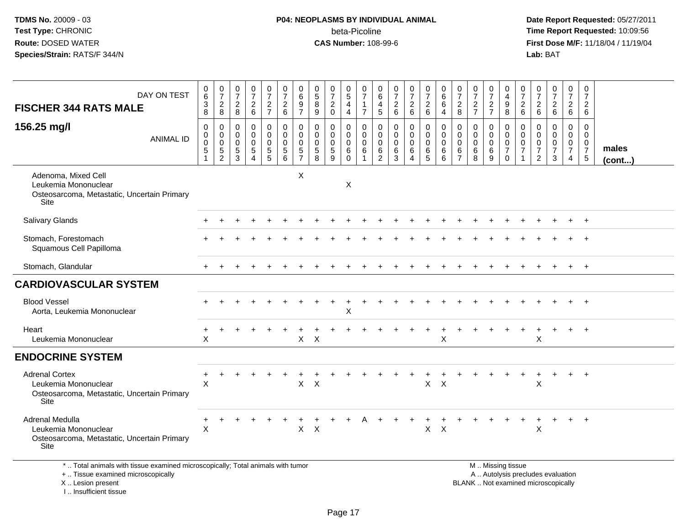## **P04: NEOPLASMS BY INDIVIDUAL ANIMAL**beta-Picoline<br>CAS Number: 108-99-6

 **Date Report Requested:** 05/27/2011 **Time Report Requested:** 10:09:56 **First Dose M/F:** 11/18/04 / 11/19/04<br>**Lab:** BAT **Lab:** BAT

| DAY ON TEST<br><b>FISCHER 344 RATS MALE</b>                                                               | 0<br>$\,6\,$<br>$\sqrt{3}$<br>8            | $\frac{0}{7}$<br>$\overline{c}$<br>8                             | $\frac{0}{7}$<br>$\overline{a}$<br>8                | $\frac{0}{7}$<br>$\frac{2}{6}$            | $\frac{0}{7}$<br>$\frac{2}{7}$                   | $\frac{0}{7}$<br>$\begin{array}{c} 2 \\ 6 \end{array}$       | $\mathbf 0$<br>6<br>$9\,$<br>$\overline{7}$                      | 0<br>$\overline{5}$<br>8<br>9                                | $\frac{0}{7}$<br>$\overline{c}$<br>$\mathbf 0$                | $\begin{matrix} 0 \\ 5 \end{matrix}$<br>4<br>$\overline{4}$ | 0<br>$\overline{7}$<br>$\mathbf{1}$<br>$\overline{7}$ | 0<br>$\,6$<br>$\overline{4}$<br>5                      | $\frac{0}{7}$<br>$\frac{2}{6}$                            | $\frac{0}{7}$<br>$\begin{array}{c} 2 \\ 6 \end{array}$ | 0<br>$\overline{7}$<br>$\overline{c}$<br>6          | 0<br>$\,6$<br>6<br>4                                | $\frac{0}{7}$<br>$\overline{c}$<br>8                | $\frac{0}{7}$<br>$\frac{2}{7}$  | $\frac{0}{7}$<br>$\frac{2}{7}$                      | 0<br>$\overline{a}$<br>$\boldsymbol{9}$<br>8                               | 0<br>$\overline{7}$<br>$\frac{2}{6}$                                        | 0<br>$\overline{7}$<br>$\begin{array}{c} 2 \\ 6 \end{array}$ | $\frac{0}{7}$<br>$\frac{2}{6}$               | $\frac{0}{7}$<br>$\frac{2}{6}$                                                | 0<br>$\overline{7}$<br>$\overline{2}$<br>6            |                       |
|-----------------------------------------------------------------------------------------------------------|--------------------------------------------|------------------------------------------------------------------|-----------------------------------------------------|-------------------------------------------|--------------------------------------------------|--------------------------------------------------------------|------------------------------------------------------------------|--------------------------------------------------------------|---------------------------------------------------------------|-------------------------------------------------------------|-------------------------------------------------------|--------------------------------------------------------|-----------------------------------------------------------|--------------------------------------------------------|-----------------------------------------------------|-----------------------------------------------------|-----------------------------------------------------|---------------------------------|-----------------------------------------------------|----------------------------------------------------------------------------|-----------------------------------------------------------------------------|--------------------------------------------------------------|----------------------------------------------|-------------------------------------------------------------------------------|-------------------------------------------------------|-----------------------|
| 156.25 mg/l<br><b>ANIMAL ID</b>                                                                           | $\mathbf 0$<br>0<br>$\mathbf 0$<br>5<br>-1 | $\mathbf 0$<br>$\mathbf 0$<br>0<br>$\,$ 5 $\,$<br>$\overline{2}$ | $\mathbf 0$<br>$\mathbf 0$<br>$\mathbf 0$<br>5<br>3 | $\mathbf 0$<br>0<br>$\mathbf 0$<br>5<br>4 | 0<br>$\mathbf 0$<br>$\mathbf 0$<br>$\frac{5}{5}$ | $\mathbf 0$<br>$\mathbf 0$<br>$\mathbf 0$<br>$\sqrt{5}$<br>6 | $\mathbf 0$<br>$\mathbf 0$<br>$\mathbf 0$<br>5<br>$\overline{7}$ | $\mathbf 0$<br>$\mathbf 0$<br>$\mathbf 0$<br>$\sqrt{5}$<br>8 | $\mathbf{0}$<br>$\mathbf 0$<br>$\mathbf 0$<br>$\sqrt{5}$<br>9 | 0<br>$\mathbf 0$<br>$\mathbf 0$<br>6<br>$\mathbf 0$         | $\mathbf 0$<br>$\mathbf 0$<br>$\mathbf 0$<br>6<br>1   | $\mathbf 0$<br>0<br>$\mathbf 0$<br>6<br>$\overline{2}$ | $\mathbf 0$<br>$\mathbf 0$<br>$\mathbf 0$<br>$\,6\,$<br>3 | 0<br>$\mathbf 0$<br>0<br>6<br>4                        | $\mathbf 0$<br>$\mathbf 0$<br>$\mathbf 0$<br>6<br>5 | $\mathbf 0$<br>$\mathbf 0$<br>$\mathbf 0$<br>6<br>6 | $\Omega$<br>0<br>$\mathbf 0$<br>6<br>$\overline{7}$ | $\mathbf 0$<br>0<br>0<br>6<br>8 | $\mathbf 0$<br>$\mathbf 0$<br>$\mathbf 0$<br>6<br>9 | $\mathbf 0$<br>$\mathbf 0$<br>$\mathbf 0$<br>$\overline{7}$<br>$\mathbf 0$ | $\mathbf 0$<br>$\mathbf 0$<br>$\mathbf 0$<br>$\overline{7}$<br>$\mathbf{1}$ | $\mathbf 0$<br>0<br>0<br>7<br>$\overline{2}$                 | $\mathbf 0$<br>0<br>0<br>$\overline{7}$<br>3 | $\mathbf 0$<br>$\mathbf 0$<br>$\mathbf 0$<br>$\overline{7}$<br>$\overline{4}$ | $\mathbf 0$<br>0<br>0<br>$\overline{7}$<br>$\sqrt{5}$ | males<br>$($ cont $)$ |
| Adenoma, Mixed Cell<br>Leukemia Mononuclear<br>Osteosarcoma, Metastatic, Uncertain Primary<br><b>Site</b> |                                            |                                                                  |                                                     |                                           |                                                  |                                                              | $\pmb{\times}$                                                   |                                                              |                                                               | $\boldsymbol{\mathsf{X}}$                                   |                                                       |                                                        |                                                           |                                                        |                                                     |                                                     |                                                     |                                 |                                                     |                                                                            |                                                                             |                                                              |                                              |                                                                               |                                                       |                       |
| <b>Salivary Glands</b>                                                                                    |                                            |                                                                  |                                                     |                                           |                                                  |                                                              |                                                                  |                                                              |                                                               |                                                             |                                                       |                                                        |                                                           |                                                        |                                                     |                                                     |                                                     |                                 |                                                     |                                                                            |                                                                             |                                                              |                                              |                                                                               | $\ddot{}$                                             |                       |
| Stomach, Forestomach<br>Squamous Cell Papilloma                                                           |                                            |                                                                  |                                                     |                                           |                                                  |                                                              |                                                                  |                                                              |                                                               |                                                             |                                                       |                                                        |                                                           |                                                        |                                                     |                                                     |                                                     |                                 |                                                     |                                                                            |                                                                             |                                                              |                                              |                                                                               |                                                       |                       |
| Stomach, Glandular                                                                                        |                                            |                                                                  |                                                     |                                           |                                                  |                                                              |                                                                  |                                                              |                                                               |                                                             |                                                       |                                                        |                                                           |                                                        |                                                     |                                                     |                                                     |                                 |                                                     |                                                                            |                                                                             |                                                              |                                              |                                                                               | $+$                                                   |                       |
| <b>CARDIOVASCULAR SYSTEM</b>                                                                              |                                            |                                                                  |                                                     |                                           |                                                  |                                                              |                                                                  |                                                              |                                                               |                                                             |                                                       |                                                        |                                                           |                                                        |                                                     |                                                     |                                                     |                                 |                                                     |                                                                            |                                                                             |                                                              |                                              |                                                                               |                                                       |                       |
| <b>Blood Vessel</b><br>Aorta, Leukemia Mononuclear                                                        |                                            |                                                                  |                                                     |                                           |                                                  |                                                              |                                                                  |                                                              |                                                               | X                                                           |                                                       |                                                        |                                                           |                                                        |                                                     |                                                     |                                                     |                                 |                                                     |                                                                            |                                                                             |                                                              |                                              |                                                                               | $+$                                                   |                       |
| Heart<br>Leukemia Mononuclear                                                                             | X                                          |                                                                  |                                                     |                                           |                                                  |                                                              | $\mathsf{X}$                                                     | $\times$                                                     |                                                               |                                                             |                                                       |                                                        |                                                           |                                                        |                                                     | X                                                   |                                                     |                                 |                                                     |                                                                            |                                                                             | X                                                            |                                              |                                                                               |                                                       |                       |
| <b>ENDOCRINE SYSTEM</b>                                                                                   |                                            |                                                                  |                                                     |                                           |                                                  |                                                              |                                                                  |                                                              |                                                               |                                                             |                                                       |                                                        |                                                           |                                                        |                                                     |                                                     |                                                     |                                 |                                                     |                                                                            |                                                                             |                                                              |                                              |                                                                               |                                                       |                       |
| <b>Adrenal Cortex</b><br>Leukemia Mononuclear<br>Osteosarcoma, Metastatic, Uncertain Primary<br>Site      | +<br>$\sf X$                               |                                                                  |                                                     |                                           |                                                  |                                                              | X                                                                | X                                                            |                                                               |                                                             |                                                       |                                                        |                                                           |                                                        | X                                                   | $\times$                                            |                                                     |                                 |                                                     |                                                                            |                                                                             | X                                                            |                                              | $+$                                                                           | $^{+}$                                                |                       |
| Adrenal Medulla<br>Leukemia Mononuclear<br>Osteosarcoma, Metastatic, Uncertain Primary<br><b>Site</b>     | +<br>$\times$                              |                                                                  |                                                     |                                           |                                                  |                                                              | X                                                                | $\boldsymbol{\mathsf{X}}$                                    |                                                               |                                                             |                                                       |                                                        |                                                           |                                                        | X                                                   | $\times$                                            |                                                     |                                 |                                                     |                                                                            |                                                                             | X                                                            | $\ddot{}$                                    | $+$                                                                           | $+$                                                   |                       |
| *  Total animals with tissue examined microscopically; Total animals with tumor                           |                                            |                                                                  |                                                     |                                           |                                                  |                                                              |                                                                  |                                                              |                                                               |                                                             |                                                       |                                                        |                                                           |                                                        |                                                     |                                                     |                                                     |                                 |                                                     | M  Missing tissue                                                          |                                                                             |                                                              |                                              |                                                                               |                                                       |                       |

+ .. Tissue examined microscopically

X .. Lesion present

I .. Insufficient tissue

M .. Missing tissue A .. Autolysis precludes evaluation Lesion present BLANK .. Not examined microscopically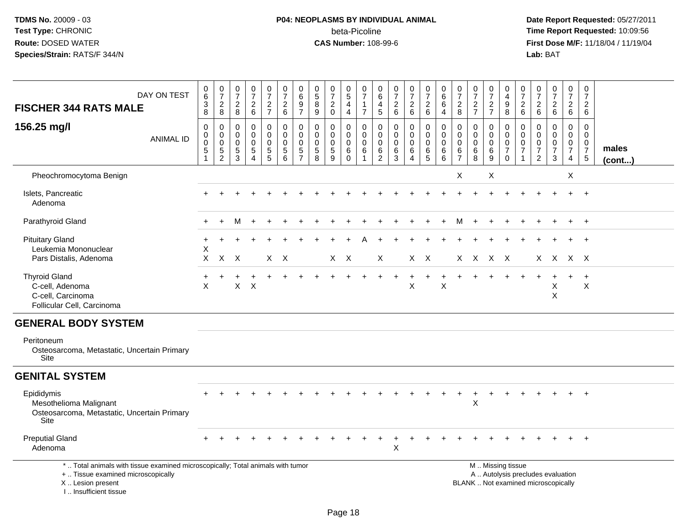I .. Insufficient tissue

## **P04: NEOPLASMS BY INDIVIDUAL ANIMAL**beta-Picoline<br>CAS Number: 108-99-6

| DAY ON TEST<br><b>FISCHER 344 RATS MALE</b>                                                                                                | 0<br>$6\phantom{1}$<br>3<br>8         | $\begin{array}{c} 0 \\ 7 \end{array}$<br>$\sqrt{2}$<br>8              | $\frac{0}{7}$<br>$\overline{a}$<br>8      | $\pmb{0}$<br>$\overline{7}$<br>$\begin{array}{c} 2 \\ 6 \end{array}$ | $\begin{smallmatrix} 0\\7 \end{smallmatrix}$<br>$\frac{2}{7}$                            | $\frac{0}{7}$<br>$\frac{2}{6}$          | $\pmb{0}$<br>$\overline{6}$<br>$\boldsymbol{9}$<br>$\overline{7}$         | 0<br>$\overline{5}$<br>8<br>9             | $\frac{0}{7}$<br>$\overline{2}$<br>$\mathbf 0$ | $\begin{array}{c} 0 \\ 5 \end{array}$<br>4<br>$\overline{4}$ | $\frac{0}{7}$<br>$\mathbf{1}$<br>$\overline{7}$ | $\mathbf 0$<br>6<br>$\overline{4}$<br>$\sqrt{5}$                     | 0<br>$\overline{7}$<br>$\overline{c}$<br>$\,6\,$ | $\begin{array}{c} 0 \\ 7 \end{array}$<br>$\sqrt{2}$<br>6         | $\frac{0}{7}$<br>$\frac{2}{6}$  | $_{6}^{\rm 0}$<br>$6\phantom{a}$<br>$\overline{4}$ | $\frac{0}{7}$<br>$\sqrt{2}$<br>8                   | $\begin{array}{c} 0 \\ 7 \end{array}$<br>$\frac{2}{7}$ | $\begin{array}{c} 0 \\ 7 \end{array}$<br>$\sqrt{2}$<br>$\overline{7}$ | $\mathbf 0$<br>$\overline{4}$<br>$\boldsymbol{9}$<br>8      | $\frac{0}{7}$<br>$\overline{c}$<br>6                    | $\frac{0}{7}$<br>$\overline{c}$<br>$6\phantom{1}$         | $\begin{array}{c} 0 \\ 7 \end{array}$<br>$\frac{2}{6}$                   | $\begin{array}{c} 0 \\ 7 \end{array}$<br>$\sqrt{2}$<br>6                  | $\pmb{0}$<br>$\overline{7}$<br>$\frac{2}{6}$                        |                       |
|--------------------------------------------------------------------------------------------------------------------------------------------|---------------------------------------|-----------------------------------------------------------------------|-------------------------------------------|----------------------------------------------------------------------|------------------------------------------------------------------------------------------|-----------------------------------------|---------------------------------------------------------------------------|-------------------------------------------|------------------------------------------------|--------------------------------------------------------------|-------------------------------------------------|----------------------------------------------------------------------|--------------------------------------------------|------------------------------------------------------------------|---------------------------------|----------------------------------------------------|----------------------------------------------------|--------------------------------------------------------|-----------------------------------------------------------------------|-------------------------------------------------------------|---------------------------------------------------------|-----------------------------------------------------------|--------------------------------------------------------------------------|---------------------------------------------------------------------------|---------------------------------------------------------------------|-----------------------|
| 156.25 mg/l<br><b>ANIMAL ID</b>                                                                                                            | 0<br>$\pmb{0}$<br>$\pmb{0}$<br>5<br>1 | 0<br>$\mathsf{O}\xspace$<br>$\pmb{0}$<br>$\sqrt{5}$<br>$\overline{2}$ | 0<br>$\mathbf 0$<br>$\mathbf 0$<br>5<br>3 | 0<br>0<br>$\mathbf 0$<br>5<br>$\overline{4}$                         | $\mathbf 0$<br>$\mathsf{O}\xspace$<br>$\pmb{0}$<br>$\begin{array}{c} 5 \\ 5 \end{array}$ | 0<br>0<br>$\pmb{0}$<br>$\,$ 5 $\,$<br>6 | $\mathbf 0$<br>$\mathbf 0$<br>$\mathbf 0$<br>$\sqrt{5}$<br>$\overline{7}$ | 0<br>$\mathbf 0$<br>$\mathbf 0$<br>5<br>8 | 0<br>0<br>$\mathbf 0$<br>$\sqrt{5}$<br>9       | $\mathbf 0$<br>$\mathbf 0$<br>$\mathbf 0$<br>6<br>$\Omega$   | 0<br>0<br>$\mathbf 0$<br>6                      | $\mathbf 0$<br>$\mathbf 0$<br>$\pmb{0}$<br>$\,6\,$<br>$\overline{2}$ | 0<br>$\Omega$<br>$\mathbf 0$<br>6<br>3           | $\mathbf 0$<br>$\mathbf 0$<br>$\mathbf 0$<br>6<br>$\overline{4}$ | 0<br>$\mathbf 0$<br>0<br>6<br>5 | 0<br>$\mathbf 0$<br>$\mathbf 0$<br>6<br>6          | 0<br>$\pmb{0}$<br>$\pmb{0}$<br>6<br>$\overline{7}$ | 0<br>$\mathbf 0$<br>$\mathbf 0$<br>$\,6\,$<br>8        | $\mathbf 0$<br>$\mathbf 0$<br>$\mathbf 0$<br>$\,6$<br>9               | 0<br>$\mathbf 0$<br>$\pmb{0}$<br>$\overline{7}$<br>$\Omega$ | 0<br>$\mathbf 0$<br>0<br>$\overline{7}$<br>$\mathbf{1}$ | 0<br>$\mathbf 0$<br>0<br>$\overline{7}$<br>$\overline{2}$ | 0<br>$\mathbf 0$<br>0<br>$\overline{7}$<br>3                             | 0<br>$\mathsf{O}\xspace$<br>$\pmb{0}$<br>$\overline{7}$<br>$\overline{4}$ | 0<br>$\mathbf 0$<br>$\mathbf 0$<br>$\overline{7}$<br>$\overline{5}$ | males<br>$($ cont $)$ |
| Pheochromocytoma Benign                                                                                                                    |                                       |                                                                       |                                           |                                                                      |                                                                                          |                                         |                                                                           |                                           |                                                |                                                              |                                                 |                                                                      |                                                  |                                                                  |                                 |                                                    | Χ                                                  |                                                        | X                                                                     |                                                             |                                                         |                                                           |                                                                          | Χ                                                                         |                                                                     |                       |
| Islets, Pancreatic<br>Adenoma                                                                                                              |                                       |                                                                       |                                           |                                                                      |                                                                                          |                                         |                                                                           |                                           |                                                |                                                              |                                                 |                                                                      |                                                  |                                                                  |                                 |                                                    |                                                    |                                                        |                                                                       |                                                             |                                                         |                                                           |                                                                          | $\ddot{}$                                                                 | $+$                                                                 |                       |
| Parathyroid Gland                                                                                                                          |                                       |                                                                       |                                           |                                                                      |                                                                                          |                                         |                                                                           |                                           |                                                |                                                              |                                                 |                                                                      |                                                  |                                                                  |                                 |                                                    | м                                                  |                                                        |                                                                       |                                                             |                                                         |                                                           |                                                                          |                                                                           |                                                                     |                       |
| <b>Pituitary Gland</b><br>Leukemia Mononuclear<br>Pars Distalis, Adenoma                                                                   | +<br>X<br>X                           | $\mathsf{X}$                                                          | $\mathsf{X}$                              |                                                                      |                                                                                          | $X \times$                              |                                                                           |                                           |                                                | $X \times$                                                   |                                                 | X                                                                    |                                                  |                                                                  | $X$ $X$                         |                                                    |                                                    | X X X X                                                |                                                                       |                                                             |                                                         |                                                           | X X X X                                                                  |                                                                           |                                                                     |                       |
| <b>Thyroid Gland</b><br>C-cell, Adenoma<br>C-cell, Carcinoma<br>Follicular Cell, Carcinoma                                                 | X                                     |                                                                       | $\mathsf{X}$                              | X                                                                    |                                                                                          |                                         |                                                                           |                                           |                                                |                                                              |                                                 |                                                                      |                                                  | X                                                                |                                 | $\sf X$                                            |                                                    |                                                        |                                                                       |                                                             |                                                         |                                                           | X<br>X                                                                   |                                                                           | $\ddot{}$<br>$\pmb{\times}$                                         |                       |
| <b>GENERAL BODY SYSTEM</b>                                                                                                                 |                                       |                                                                       |                                           |                                                                      |                                                                                          |                                         |                                                                           |                                           |                                                |                                                              |                                                 |                                                                      |                                                  |                                                                  |                                 |                                                    |                                                    |                                                        |                                                                       |                                                             |                                                         |                                                           |                                                                          |                                                                           |                                                                     |                       |
| Peritoneum<br>Osteosarcoma, Metastatic, Uncertain Primary<br>Site                                                                          |                                       |                                                                       |                                           |                                                                      |                                                                                          |                                         |                                                                           |                                           |                                                |                                                              |                                                 |                                                                      |                                                  |                                                                  |                                 |                                                    |                                                    |                                                        |                                                                       |                                                             |                                                         |                                                           |                                                                          |                                                                           |                                                                     |                       |
| <b>GENITAL SYSTEM</b>                                                                                                                      |                                       |                                                                       |                                           |                                                                      |                                                                                          |                                         |                                                                           |                                           |                                                |                                                              |                                                 |                                                                      |                                                  |                                                                  |                                 |                                                    |                                                    |                                                        |                                                                       |                                                             |                                                         |                                                           |                                                                          |                                                                           |                                                                     |                       |
| Epididymis<br>Mesothelioma Malignant<br>Osteosarcoma, Metastatic, Uncertain Primary<br>Site                                                |                                       |                                                                       |                                           |                                                                      |                                                                                          |                                         |                                                                           |                                           |                                                |                                                              |                                                 |                                                                      |                                                  |                                                                  |                                 |                                                    | $\div$                                             | $\pm$<br>X                                             |                                                                       |                                                             |                                                         |                                                           |                                                                          |                                                                           | $+$                                                                 |                       |
| <b>Preputial Gland</b><br>Adenoma                                                                                                          |                                       |                                                                       |                                           |                                                                      |                                                                                          |                                         |                                                                           |                                           |                                                |                                                              |                                                 |                                                                      | X                                                |                                                                  |                                 |                                                    |                                                    |                                                        |                                                                       |                                                             |                                                         |                                                           |                                                                          |                                                                           |                                                                     |                       |
| *  Total animals with tissue examined microscopically; Total animals with tumor<br>+  Tissue examined microscopically<br>X  Lesion present |                                       |                                                                       |                                           |                                                                      |                                                                                          |                                         |                                                                           |                                           |                                                |                                                              |                                                 |                                                                      |                                                  |                                                                  |                                 |                                                    |                                                    |                                                        |                                                                       | M  Missing tissue                                           |                                                         |                                                           | A  Autolysis precludes evaluation<br>BLANK  Not examined microscopically |                                                                           |                                                                     |                       |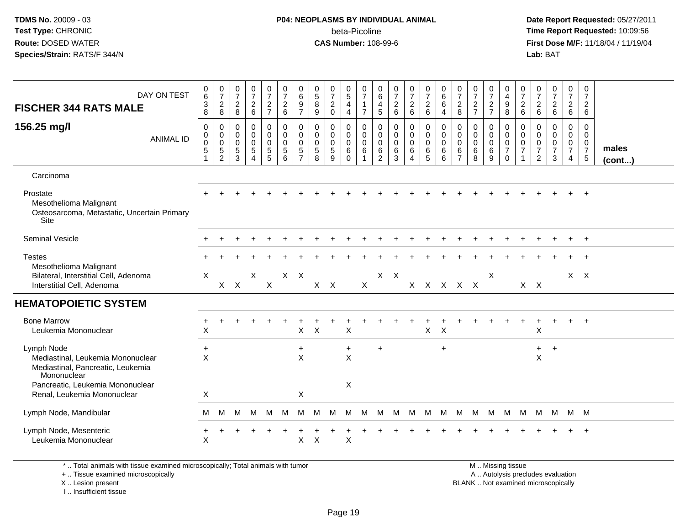### **P04: NEOPLASMS BY INDIVIDUAL ANIMAL**beta-Picoline<br>CAS Number: 108-99-6

 **Date Report Requested:** 05/27/2011 **Time Report Requested:** 10:09:56 **First Dose M/F:** 11/18/04 / 11/19/04<br>**Lab:** BAT **Lab:** BAT

| DAY ON TEST<br><b>FISCHER 344 RATS MALE</b><br>156.25 mg/l<br><b>ANIMAL ID</b>                                                                                         | $_{6}^{\rm 0}$<br>$\frac{3}{8}$<br>$\pmb{0}$<br>$\mathbf 0$<br>$\pmb{0}$<br>$\sqrt{5}$<br>$\mathbf{1}$ | 0728<br>$\mathbf 0$<br>$\overline{0}$<br>0<br>$\sqrt{5}$<br>$\overline{2}$ | $\frac{0}{7}$<br>$\frac{2}{8}$<br>$\mathbf 0$<br>$\mathbf 0$<br>$\boldsymbol{0}$<br>$\sqrt{5}$<br>$\overline{3}$ | $\begin{smallmatrix}0\\7\end{smallmatrix}$<br>$\begin{array}{c} 2 \\ 6 \end{array}$<br>$\pmb{0}$<br>$\mathbf 0$<br>$\mathbf 0$<br>$\sqrt{5}$<br>$\overline{4}$ | $\frac{0}{7}$<br>$\frac{2}{7}$<br>0<br>$\mathbf 0$<br>0<br>5<br>5 | 0726<br>$\begin{smallmatrix} 0\\0 \end{smallmatrix}$<br>$\mathsf{O}\xspace$<br>$\sqrt{5}$<br>6 | 0697<br>$\pmb{0}$<br>$\ddot{\mathbf{0}}$<br>$\mathbf 0$<br>5<br>$\overline{7}$ | $\begin{smallmatrix}0\0\5\end{smallmatrix}$<br>$\bf 8$<br>$9\,$<br>0<br>$\mathbf 0$<br>0<br>$\sqrt{5}$<br>8 | $\frac{0}{7}$<br>$\sqrt{2}$<br>$\mathbf 0$<br>$\mathbf 0$<br>$\mathbf 0$<br>$\mathbf 0$<br>$\sqrt{5}$<br>9 | $\begin{array}{c} 0 \\ 5 \end{array}$<br>$\overline{4}$<br>4<br>0<br>$\mathbf 0$<br>$\mathbf 0$<br>6<br>$\Omega$ | $\,0\,$<br>$\overline{7}$<br>$\mathbf{1}$<br>$\overline{7}$<br>$\mathbf 0$<br>$\overline{0}$<br>$\mathbf 0$<br>6<br>$\mathbf{1}$ | 0<br>$6\phantom{a}$<br>$\overline{\mathbf{4}}$<br>5<br>0<br>$\mathsf{O}\xspace$<br>0<br>6<br>$\overline{c}$ | 0726<br>$\mathsf 0$<br>$\mathsf{O}\xspace$<br>0<br>6<br>$\mathbf{3}$ | $\frac{0}{7}$<br>$\overline{2}$<br>$\,6\,$<br>$\mathsf{O}\xspace$<br>$\ddot{\mathbf{0}}$<br>0<br>$\,6\,$<br>$\overline{4}$ | 0726<br>$\begin{smallmatrix} 0\\0 \end{smallmatrix}$<br>$\mathbf 0$<br>$\,6\,$<br>$\overline{5}$ | $\begin{array}{c} 0 \\ 6 \end{array}$<br>$\,6\,$<br>4<br>$\pmb{0}$<br>$\overline{0}$<br>$\mathbf 0$<br>6<br>6 | $\frac{0}{7}$<br>$\overline{c}$<br>8<br>0<br>$\mathbf 0$<br>0<br>6<br>$\overline{7}$ | $\frac{0}{7}$<br>$\frac{2}{7}$<br>0<br>$\ddot{\mathbf{0}}$<br>$\mathbf 0$<br>$\,6\,$<br>8 | $\frac{0}{7}$<br>$\overline{c}$<br>$\overline{7}$<br>$\mathbf 0$<br>$\mathbf 0$<br>0<br>6<br>9 | 0<br>$\overline{4}$<br>$\frac{9}{8}$<br>0<br>$\overline{0}$<br>$\mathbf 0$<br>$\overline{7}$<br>$\mathbf 0$ | $\frac{0}{7}$<br>$\frac{2}{6}$<br>$\mathbf 0$<br>$\ddot{\mathbf{0}}$<br>$\mathbf 0$<br>$\overline{7}$ | 0<br>$\overline{7}$<br>$\overline{c}$<br>$\,6\,$<br>$\mathbf 0$<br>$\mathbf 0$<br>0<br>$\overline{7}$<br>2 | $\begin{array}{c} 0 \\ 7 \end{array}$<br>$\overline{c}$<br>$\,6\,$<br>$\mathbf 0$<br>$\mathbf 0$<br>$\mathbf 0$<br>$\overline{7}$<br>3 | $\frac{0}{7}$<br>$\frac{2}{6}$<br>0<br>$\overline{0}$<br>0<br>$\overline{7}$<br>4 | $\pmb{0}$<br>$\overline{7}$<br>$\frac{2}{6}$<br>$\mathsf{O}$<br>$\mathbf 0$<br>$\mathbf 0$<br>$\overline{7}$<br>$\overline{5}$ | males<br>$($ cont $)$ |
|------------------------------------------------------------------------------------------------------------------------------------------------------------------------|--------------------------------------------------------------------------------------------------------|----------------------------------------------------------------------------|------------------------------------------------------------------------------------------------------------------|----------------------------------------------------------------------------------------------------------------------------------------------------------------|-------------------------------------------------------------------|------------------------------------------------------------------------------------------------|--------------------------------------------------------------------------------|-------------------------------------------------------------------------------------------------------------|------------------------------------------------------------------------------------------------------------|------------------------------------------------------------------------------------------------------------------|----------------------------------------------------------------------------------------------------------------------------------|-------------------------------------------------------------------------------------------------------------|----------------------------------------------------------------------|----------------------------------------------------------------------------------------------------------------------------|--------------------------------------------------------------------------------------------------|---------------------------------------------------------------------------------------------------------------|--------------------------------------------------------------------------------------|-------------------------------------------------------------------------------------------|------------------------------------------------------------------------------------------------|-------------------------------------------------------------------------------------------------------------|-------------------------------------------------------------------------------------------------------|------------------------------------------------------------------------------------------------------------|----------------------------------------------------------------------------------------------------------------------------------------|-----------------------------------------------------------------------------------|--------------------------------------------------------------------------------------------------------------------------------|-----------------------|
| Carcinoma                                                                                                                                                              |                                                                                                        |                                                                            |                                                                                                                  |                                                                                                                                                                |                                                                   |                                                                                                |                                                                                |                                                                                                             |                                                                                                            |                                                                                                                  |                                                                                                                                  |                                                                                                             |                                                                      |                                                                                                                            |                                                                                                  |                                                                                                               |                                                                                      |                                                                                           |                                                                                                |                                                                                                             |                                                                                                       |                                                                                                            |                                                                                                                                        |                                                                                   |                                                                                                                                |                       |
| Prostate<br>Mesothelioma Malignant<br>Osteosarcoma, Metastatic, Uncertain Primary<br>Site                                                                              |                                                                                                        |                                                                            |                                                                                                                  |                                                                                                                                                                |                                                                   |                                                                                                |                                                                                |                                                                                                             |                                                                                                            |                                                                                                                  |                                                                                                                                  |                                                                                                             |                                                                      |                                                                                                                            |                                                                                                  |                                                                                                               |                                                                                      |                                                                                           |                                                                                                |                                                                                                             |                                                                                                       |                                                                                                            |                                                                                                                                        |                                                                                   |                                                                                                                                |                       |
| <b>Seminal Vesicle</b>                                                                                                                                                 |                                                                                                        |                                                                            |                                                                                                                  |                                                                                                                                                                |                                                                   |                                                                                                |                                                                                |                                                                                                             |                                                                                                            |                                                                                                                  |                                                                                                                                  |                                                                                                             |                                                                      |                                                                                                                            |                                                                                                  |                                                                                                               |                                                                                      |                                                                                           |                                                                                                |                                                                                                             |                                                                                                       |                                                                                                            |                                                                                                                                        |                                                                                   | $+$                                                                                                                            |                       |
| <b>Testes</b><br>Mesothelioma Malignant<br>Bilateral, Interstitial Cell, Adenoma<br>Interstitial Cell, Adenoma                                                         | $\mathsf{X}$                                                                                           |                                                                            | $X$ $X$                                                                                                          | X                                                                                                                                                              | $\mathsf{X}$                                                      |                                                                                                | $X$ $X$                                                                        |                                                                                                             | $X$ $X$                                                                                                    |                                                                                                                  | $\mathsf{X}$                                                                                                                     |                                                                                                             | $X$ $X$                                                              |                                                                                                                            | x x x x x                                                                                        |                                                                                                               |                                                                                      |                                                                                           | X                                                                                              |                                                                                                             |                                                                                                       | $X$ $X$                                                                                                    |                                                                                                                                        |                                                                                   | $X$ $X$                                                                                                                        |                       |
| <b>HEMATOPOIETIC SYSTEM</b>                                                                                                                                            |                                                                                                        |                                                                            |                                                                                                                  |                                                                                                                                                                |                                                                   |                                                                                                |                                                                                |                                                                                                             |                                                                                                            |                                                                                                                  |                                                                                                                                  |                                                                                                             |                                                                      |                                                                                                                            |                                                                                                  |                                                                                                               |                                                                                      |                                                                                           |                                                                                                |                                                                                                             |                                                                                                       |                                                                                                            |                                                                                                                                        |                                                                                   |                                                                                                                                |                       |
| <b>Bone Marrow</b><br>Leukemia Mononuclear                                                                                                                             | $\ddot{}$<br>$\mathsf X$                                                                               |                                                                            |                                                                                                                  |                                                                                                                                                                |                                                                   |                                                                                                | $\mathsf{X}$                                                                   | $\mathsf{X}$                                                                                                |                                                                                                            | $\mathsf{X}$                                                                                                     |                                                                                                                                  |                                                                                                             |                                                                      |                                                                                                                            | $\mathsf{X}$                                                                                     | $\boldsymbol{\mathsf{X}}$                                                                                     |                                                                                      |                                                                                           |                                                                                                |                                                                                                             |                                                                                                       | $\sf X$                                                                                                    |                                                                                                                                        | $\ddot{}$                                                                         | $+$                                                                                                                            |                       |
| Lymph Node<br>Mediastinal, Leukemia Mononuclear<br>Mediastinal, Pancreatic, Leukemia<br>Mononuclear<br>Pancreatic, Leukemia Mononuclear<br>Renal, Leukemia Mononuclear | $\ddot{}$<br>$\pmb{\times}$<br>X                                                                       |                                                                            |                                                                                                                  |                                                                                                                                                                |                                                                   |                                                                                                | $\ddot{}$<br>$\pmb{\times}$<br>$\mathsf X$                                     |                                                                                                             |                                                                                                            | $\ddot{}$<br>$\mathsf X$<br>$\mathsf X$                                                                          |                                                                                                                                  | $\ddot{}$                                                                                                   |                                                                      |                                                                                                                            |                                                                                                  | $+$                                                                                                           |                                                                                      |                                                                                           |                                                                                                |                                                                                                             |                                                                                                       | $+$<br>$\mathsf X$                                                                                         | $+$                                                                                                                                    |                                                                                   |                                                                                                                                |                       |
| Lymph Node, Mandibular                                                                                                                                                 | M                                                                                                      | м                                                                          | м                                                                                                                | M                                                                                                                                                              | M                                                                 | M                                                                                              | M                                                                              | M                                                                                                           | M                                                                                                          | M                                                                                                                | M                                                                                                                                | M                                                                                                           |                                                                      | M M M                                                                                                                      |                                                                                                  | M                                                                                                             | M                                                                                    |                                                                                           |                                                                                                | M M M                                                                                                       | M                                                                                                     | M                                                                                                          |                                                                                                                                        | M M M                                                                             |                                                                                                                                |                       |
| Lymph Node, Mesenteric<br>Leukemia Mononuclear                                                                                                                         | +<br>X                                                                                                 |                                                                            |                                                                                                                  |                                                                                                                                                                |                                                                   |                                                                                                | X                                                                              | X                                                                                                           |                                                                                                            | $\mathsf X$                                                                                                      |                                                                                                                                  |                                                                                                             |                                                                      |                                                                                                                            |                                                                                                  |                                                                                                               |                                                                                      |                                                                                           |                                                                                                |                                                                                                             |                                                                                                       |                                                                                                            |                                                                                                                                        |                                                                                   |                                                                                                                                |                       |

\* .. Total animals with tissue examined microscopically; Total animals with tumor

+ .. Tissue examined microscopically

X .. Lesion present

I .. Insufficient tissue

 M .. Missing tissuey the contract of the contract of the contract of the contract of the contract of the contract of the contract of  $A$ . Autolysis precludes evaluation

Lesion present BLANK .. Not examined microscopically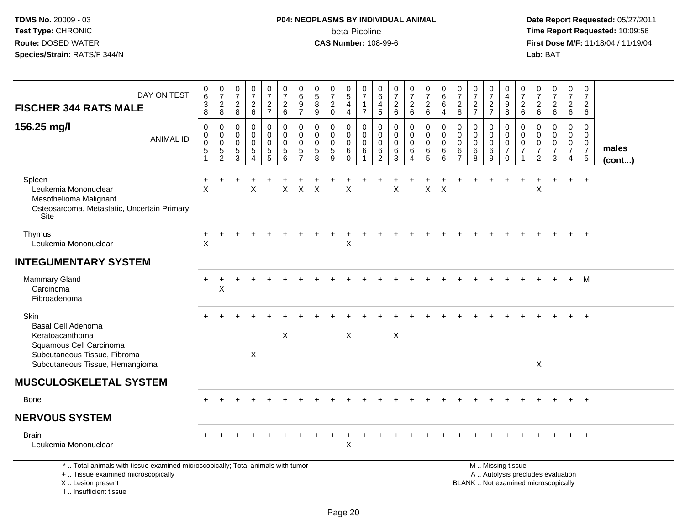# **P04: NEOPLASMS BY INDIVIDUAL ANIMAL**beta-Picoline<br>CAS Number: 108-99-6

| DAY ON TEST<br><b>FISCHER 344 RATS MALE</b>                                                                                                                           | $\begin{array}{c} 0 \\ 6 \end{array}$<br>$_8^3$ | $\begin{array}{c} 0 \\ 7 \\ 2 \\ 8 \end{array}$            | $\begin{array}{c} 0 \\ 7 \end{array}$<br>$\frac{2}{8}$                   | $\frac{0}{7}$<br>$\overline{a}$<br>$\,6\,$             | $\frac{0}{7}$<br>$\frac{2}{7}$                           | $\begin{smallmatrix}0\\7\end{smallmatrix}$<br>$\overline{c}$<br>6   | 0<br>6<br>$\frac{9}{7}$                                                    | $\begin{array}{c} 0 \\ 5 \end{array}$<br>$\,8\,$<br>9        | $\frac{0}{7}$<br>$\sqrt{2}$<br>$\mathbf 0$             | 0<br>5<br>4<br>$\overline{4}$                                 | 0<br>$\overline{7}$<br>$\mathbf{1}$<br>$\overline{7}$          | 0<br>6<br>$\overline{4}$<br>$\overline{5}$             | $\frac{0}{7}$<br>$\begin{array}{c} 2 \\ 6 \end{array}$ | $\begin{array}{c} 0 \\ 7 \end{array}$<br>$\frac{2}{6}$     | $\frac{0}{7}$<br>$\frac{2}{6}$                                    | 0<br>$6\phantom{a}$<br>$\,6$<br>$\overline{4}$                | $\frac{0}{7}$<br>$\overline{c}$<br>8                       | $\frac{0}{7}$<br>$\frac{2}{7}$                            | 0<br>$\overline{7}$<br>$\frac{2}{7}$      | $\mathbf 0$<br>$\overline{4}$<br>$_{\rm 8}^{\rm 9}$                        | 0<br>$\overline{7}$<br>$\frac{2}{6}$                                          | 0<br>$\overline{7}$<br>$^2\phantom{1}6$                                       | $\frac{0}{7}$<br>$\overline{a}$<br>$6\phantom{1}$                        | 0<br>$\overline{7}$<br>$\begin{array}{c} 2 \\ 6 \end{array}$ | 0<br>$\overline{7}$<br>$\overline{2}$<br>6                                    |                       |
|-----------------------------------------------------------------------------------------------------------------------------------------------------------------------|-------------------------------------------------|------------------------------------------------------------|--------------------------------------------------------------------------|--------------------------------------------------------|----------------------------------------------------------|---------------------------------------------------------------------|----------------------------------------------------------------------------|--------------------------------------------------------------|--------------------------------------------------------|---------------------------------------------------------------|----------------------------------------------------------------|--------------------------------------------------------|--------------------------------------------------------|------------------------------------------------------------|-------------------------------------------------------------------|---------------------------------------------------------------|------------------------------------------------------------|-----------------------------------------------------------|-------------------------------------------|----------------------------------------------------------------------------|-------------------------------------------------------------------------------|-------------------------------------------------------------------------------|--------------------------------------------------------------------------|--------------------------------------------------------------|-------------------------------------------------------------------------------|-----------------------|
| 156.25 mg/l<br><b>ANIMAL ID</b>                                                                                                                                       | 0<br>0<br>$\mathbf 0$<br>5<br>$\overline{1}$    | $\mathbf 0$<br>$\mathbf 0$<br>$\mathbf 0$<br>$\frac{5}{2}$ | $\mathbf 0$<br>$\mathbf 0$<br>$\mathbf 0$<br>$\,$ 5 $\,$<br>$\mathbf{3}$ | 0<br>$\mathbf 0$<br>$\mathbf 0$<br>5<br>$\overline{4}$ | 0<br>$\ddot{\mathbf{0}}$<br>$\mathbf 0$<br>$\frac{5}{5}$ | $\mathbf 0$<br>$\mathsf{O}\xspace$<br>$\pmb{0}$<br>$\mathbf 5$<br>6 | $\mathbf 0$<br>$\mathbf 0$<br>$\mathbf 0$<br>$\,$ 5 $\,$<br>$\overline{7}$ | $\mathbf 0$<br>$\mathbf 0$<br>$\mathbf 0$<br>$\sqrt{5}$<br>8 | 0<br>$\mathbf 0$<br>$\mathbf 0$<br>$\sqrt{5}$<br>$9\,$ | $\mathbf 0$<br>$\mathbf 0$<br>$\mathbf 0$<br>6<br>$\mathbf 0$ | $\mathbf 0$<br>$\mathbf 0$<br>$\mathbf 0$<br>6<br>$\mathbf{1}$ | 0<br>$\mathbf 0$<br>$\mathbf 0$<br>6<br>$\overline{c}$ | 0<br>$\mathbf 0$<br>$\mathbf 0$<br>6<br>$\mathbf{3}$   | 0<br>$\mathbf 0$<br>$\mathbf 0$<br>$\,6$<br>$\overline{4}$ | $\mathbf 0$<br>$\boldsymbol{0}$<br>$\mathbf 0$<br>6<br>$\sqrt{5}$ | $\mathbf 0$<br>$\mathbf 0$<br>$\Omega$<br>6<br>$6\phantom{a}$ | $\Omega$<br>$\mathbf 0$<br>$\Omega$<br>6<br>$\overline{7}$ | $\mathbf 0$<br>$\mathbf 0$<br>$\mathbf 0$<br>$\,6\,$<br>8 | 0<br>$\mathbf 0$<br>$\mathbf 0$<br>6<br>9 | $\mathbf 0$<br>$\mathbf 0$<br>$\mathbf 0$<br>$\overline{7}$<br>$\mathbf 0$ | $\mathbf 0$<br>$\mathbf 0$<br>$\mathbf 0$<br>$\overline{7}$<br>$\overline{1}$ | $\mathbf 0$<br>$\mathbf 0$<br>$\mathbf 0$<br>$\overline{7}$<br>$\overline{c}$ | 0<br>$\mathbf 0$<br>$\mathbf 0$<br>$\overline{7}$<br>3                   | 0<br>$\mathbf 0$<br>$\mathbf 0$<br>$\overline{7}$<br>4       | $\mathbf 0$<br>$\mathbf 0$<br>$\mathbf 0$<br>$\overline{7}$<br>$\overline{5}$ | males<br>$($ cont $)$ |
| Spleen<br>Leukemia Mononuclear<br>Mesothelioma Malignant<br>Osteosarcoma, Metastatic, Uncertain Primary<br>Site                                                       | $\ddot{}$<br>$\times$                           |                                                            |                                                                          | X                                                      |                                                          | X                                                                   | $\mathsf{X}$                                                               | $\mathsf{X}$                                                 |                                                        | $\times$                                                      |                                                                |                                                        | X                                                      |                                                            | $\pmb{\times}$                                                    | $\boldsymbol{\mathsf{X}}$                                     |                                                            |                                                           |                                           |                                                                            |                                                                               | X                                                                             | $\ddot{}$                                                                | $+$                                                          | $+$                                                                           |                       |
| Thymus<br>Leukemia Mononuclear                                                                                                                                        | X                                               |                                                            |                                                                          |                                                        |                                                          |                                                                     |                                                                            |                                                              |                                                        | Х                                                             |                                                                |                                                        |                                                        |                                                            |                                                                   |                                                               |                                                            |                                                           |                                           |                                                                            |                                                                               |                                                                               |                                                                          |                                                              |                                                                               |                       |
| <b>INTEGUMENTARY SYSTEM</b>                                                                                                                                           |                                                 |                                                            |                                                                          |                                                        |                                                          |                                                                     |                                                                            |                                                              |                                                        |                                                               |                                                                |                                                        |                                                        |                                                            |                                                                   |                                                               |                                                            |                                                           |                                           |                                                                            |                                                                               |                                                                               |                                                                          |                                                              |                                                                               |                       |
| <b>Mammary Gland</b><br>Carcinoma<br>Fibroadenoma                                                                                                                     |                                                 | X                                                          |                                                                          |                                                        |                                                          |                                                                     |                                                                            |                                                              |                                                        |                                                               |                                                                |                                                        |                                                        |                                                            |                                                                   |                                                               |                                                            |                                                           |                                           |                                                                            |                                                                               |                                                                               |                                                                          |                                                              | M                                                                             |                       |
| <b>Skin</b><br><b>Basal Cell Adenoma</b><br>Keratoacanthoma<br>Squamous Cell Carcinoma<br>Subcutaneous Tissue, Fibroma<br>Subcutaneous Tissue, Hemangioma             |                                                 |                                                            |                                                                          | X                                                      |                                                          | X                                                                   |                                                                            |                                                              |                                                        | X                                                             |                                                                |                                                        | $\boldsymbol{\mathsf{X}}$                              |                                                            |                                                                   |                                                               |                                                            |                                                           |                                           |                                                                            |                                                                               | $\sf X$                                                                       |                                                                          |                                                              | $\overline{1}$                                                                |                       |
| <b>MUSCULOSKELETAL SYSTEM</b>                                                                                                                                         |                                                 |                                                            |                                                                          |                                                        |                                                          |                                                                     |                                                                            |                                                              |                                                        |                                                               |                                                                |                                                        |                                                        |                                                            |                                                                   |                                                               |                                                            |                                                           |                                           |                                                                            |                                                                               |                                                                               |                                                                          |                                                              |                                                                               |                       |
| <b>Bone</b>                                                                                                                                                           |                                                 |                                                            |                                                                          |                                                        |                                                          |                                                                     |                                                                            |                                                              |                                                        |                                                               |                                                                |                                                        |                                                        |                                                            |                                                                   |                                                               |                                                            |                                                           |                                           |                                                                            |                                                                               |                                                                               | $\ddot{}$                                                                | $\ddot{}$                                                    | $+$                                                                           |                       |
| <b>NERVOUS SYSTEM</b>                                                                                                                                                 |                                                 |                                                            |                                                                          |                                                        |                                                          |                                                                     |                                                                            |                                                              |                                                        |                                                               |                                                                |                                                        |                                                        |                                                            |                                                                   |                                                               |                                                            |                                                           |                                           |                                                                            |                                                                               |                                                                               |                                                                          |                                                              |                                                                               |                       |
| <b>Brain</b><br>Leukemia Mononuclear                                                                                                                                  |                                                 |                                                            |                                                                          |                                                        |                                                          |                                                                     |                                                                            |                                                              |                                                        | X                                                             |                                                                |                                                        |                                                        |                                                            |                                                                   |                                                               |                                                            |                                                           |                                           |                                                                            |                                                                               |                                                                               |                                                                          |                                                              |                                                                               |                       |
| *  Total animals with tissue examined microscopically; Total animals with tumor<br>+  Tissue examined microscopically<br>X  Lesion present<br>I., Insufficient tissue |                                                 |                                                            |                                                                          |                                                        |                                                          |                                                                     |                                                                            |                                                              |                                                        |                                                               |                                                                |                                                        |                                                        |                                                            |                                                                   |                                                               |                                                            | M  Missing tissue                                         |                                           |                                                                            |                                                                               |                                                                               | A  Autolysis precludes evaluation<br>BLANK  Not examined microscopically |                                                              |                                                                               |                       |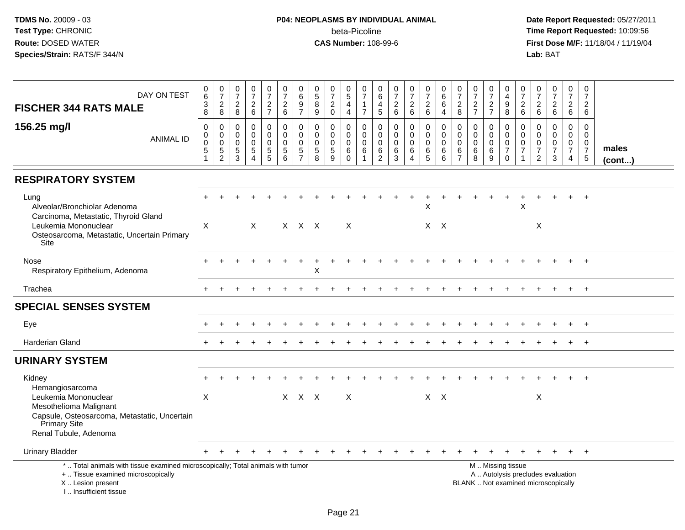| DAY ON TEST<br><b>FISCHER 344 RATS MALE</b>                                                                                                                          | $\pmb{0}$<br>$6\overline{6}$<br>$_8^3$ | $\frac{0}{7}$<br>8                                         | $\frac{0}{7}$<br>$\frac{2}{8}$                                          | $\frac{0}{7}$<br>$\overline{a}$<br>$\,6\,$ | $\frac{0}{7}$<br>$\frac{2}{7}$                             | $\begin{array}{c} 0 \\ 7 \end{array}$<br>$\overline{c}$<br>6 | 0<br>6<br>$\frac{9}{7}$                                         | $\begin{array}{c} 0 \\ 5 \end{array}$<br>$\overline{8}$<br>9 | $\frac{0}{7}$<br>$\overline{c}$<br>$\mathbf 0$     | $\pmb{0}$<br>$\overline{5}$<br>$\overline{\mathbf{4}}$<br>$\overline{4}$ | 0<br>$\overline{7}$<br>1<br>$\overline{7}$ | 0<br>6<br>$\overline{4}$<br>$5\phantom{.0}$                      | $\frac{0}{7}$<br>$\overline{c}$<br>6         | 0<br>$\overline{7}$<br>$\overline{a}$<br>$6\phantom{1}$   | $\frac{0}{7}$<br>$\sqrt{2}$<br>$6\phantom{1}6$            | 0<br>$\,6\,$<br>$\,6\,$<br>$\overline{4}$     | 0<br>$\overline{7}$<br>$\boldsymbol{2}$<br>8               | $\frac{0}{7}$<br>$\overline{c}$<br>$\overline{7}$ | 0<br>$\overline{7}$<br>$\frac{2}{7}$          | $\mathbf 0$<br>4<br>$\boldsymbol{9}$<br>8                                                     | 0<br>$\overline{7}$<br>$\begin{array}{c} 2 \\ 6 \end{array}$ | $\begin{smallmatrix}0\\7\end{smallmatrix}$<br>$\begin{array}{c} 2 \\ 6 \end{array}$ | $\frac{0}{7}$<br>$\overline{2}$<br>6                   | 0<br>$\overline{7}$<br>$\overline{c}$<br>6                    | 0<br>$\overline{7}$<br>$\overline{2}$<br>6                      |                 |
|----------------------------------------------------------------------------------------------------------------------------------------------------------------------|----------------------------------------|------------------------------------------------------------|-------------------------------------------------------------------------|--------------------------------------------|------------------------------------------------------------|--------------------------------------------------------------|-----------------------------------------------------------------|--------------------------------------------------------------|----------------------------------------------------|--------------------------------------------------------------------------|--------------------------------------------|------------------------------------------------------------------|----------------------------------------------|-----------------------------------------------------------|-----------------------------------------------------------|-----------------------------------------------|------------------------------------------------------------|---------------------------------------------------|-----------------------------------------------|-----------------------------------------------------------------------------------------------|--------------------------------------------------------------|-------------------------------------------------------------------------------------|--------------------------------------------------------|---------------------------------------------------------------|-----------------------------------------------------------------|-----------------|
| 156.25 mg/l<br><b>ANIMAL ID</b>                                                                                                                                      | 0<br>0<br>$\mathbf 0$<br>5             | $\mathbf 0$<br>$\mathbf 0$<br>$\mathbf 0$<br>$\frac{5}{2}$ | $\mathbf 0$<br>$\mathbf 0$<br>$\mathbf 0$<br>$\sqrt{5}$<br>$\mathbf{3}$ | 0<br>$\mathbf 0$<br>$\mathbf 0$<br>5<br>4  | $\pmb{0}$<br>$\pmb{0}$<br>$\pmb{0}$<br>5<br>$\overline{5}$ | 0<br>$\mathbf 0$<br>$\mathbf 0$<br>5<br>$6\phantom{a}$       | $\mathbf 0$<br>0<br>$\mathbf 0$<br>$\sqrt{5}$<br>$\overline{7}$ | $\mathbf 0$<br>$\mathbf 0$<br>$\pmb{0}$<br>$\sqrt{5}$<br>8   | 0<br>$\mathbf 0$<br>$\mathbf 0$<br>$\sqrt{5}$<br>9 | $\mathbf 0$<br>$\mathbf 0$<br>$\mathbf 0$<br>6<br>$\mathbf 0$            | 0<br>$\mathbf 0$<br>$\Omega$<br>6          | $\mathbf 0$<br>$\mathbf 0$<br>$\mathbf 0$<br>6<br>$\overline{2}$ | 0<br>$\overline{0}$<br>$\mathbf 0$<br>6<br>3 | 0<br>$\overline{0}$<br>$\mathbf 0$<br>6<br>$\overline{4}$ | $\pmb{0}$<br>$\mathsf{O}\xspace$<br>$\mathbf 0$<br>6<br>5 | $\mathbf 0$<br>$\Omega$<br>$\Omega$<br>6<br>6 | $\Omega$<br>$\mathbf 0$<br>$\Omega$<br>6<br>$\overline{7}$ | 0<br>$\mathbf 0$<br>$\mathbf 0$<br>6<br>8         | 0<br>$\mathbf 0$<br>$\mathbf 0$<br>6<br>$9\,$ | 0<br>$\mathsf{O}\xspace$<br>$\mathbf 0$<br>$\overline{7}$<br>$\mathbf 0$                      | $\mathbf 0$<br>$\mathbf 0$<br>$\mathbf 0$<br>7               | $\mathbf 0$<br>$\mathbf 0$<br>$\boldsymbol{0}$<br>$\overline{7}$<br>$\overline{2}$  | 0<br>$\mathbf 0$<br>$\mathbf 0$<br>$\overline{7}$<br>3 | $\Omega$<br>$\mathbf 0$<br>$\mathbf 0$<br>$\overline{7}$<br>4 | $\Omega$<br>$\mathbf{0}$<br>0<br>$\boldsymbol{7}$<br>$\sqrt{5}$ | males<br>(cont) |
| <b>RESPIRATORY SYSTEM</b>                                                                                                                                            |                                        |                                                            |                                                                         |                                            |                                                            |                                                              |                                                                 |                                                              |                                                    |                                                                          |                                            |                                                                  |                                              |                                                           |                                                           |                                               |                                                            |                                                   |                                               |                                                                                               |                                                              |                                                                                     |                                                        |                                                               |                                                                 |                 |
| Lung<br>Alveolar/Bronchiolar Adenoma<br>Carcinoma, Metastatic, Thyroid Gland<br>Leukemia Mononuclear<br>Osteosarcoma, Metastatic, Uncertain Primary<br>Site          | X                                      |                                                            |                                                                         | $\sf X$                                    |                                                            |                                                              | X X X                                                           |                                                              |                                                    | $\times$                                                                 |                                            |                                                                  |                                              |                                                           | X<br>$X$ $X$                                              |                                               |                                                            |                                                   |                                               |                                                                                               | X                                                            | X                                                                                   |                                                        |                                                               |                                                                 |                 |
| Nose<br>Respiratory Epithelium, Adenoma                                                                                                                              |                                        |                                                            |                                                                         |                                            |                                                            |                                                              |                                                                 | X                                                            |                                                    |                                                                          |                                            |                                                                  |                                              |                                                           |                                                           |                                               |                                                            |                                                   |                                               |                                                                                               |                                                              |                                                                                     |                                                        |                                                               |                                                                 |                 |
| Trachea                                                                                                                                                              |                                        |                                                            |                                                                         |                                            |                                                            |                                                              |                                                                 |                                                              |                                                    |                                                                          |                                            |                                                                  |                                              |                                                           |                                                           |                                               |                                                            |                                                   |                                               |                                                                                               |                                                              |                                                                                     |                                                        |                                                               | $+$                                                             |                 |
| <b>SPECIAL SENSES SYSTEM</b>                                                                                                                                         |                                        |                                                            |                                                                         |                                            |                                                            |                                                              |                                                                 |                                                              |                                                    |                                                                          |                                            |                                                                  |                                              |                                                           |                                                           |                                               |                                                            |                                                   |                                               |                                                                                               |                                                              |                                                                                     |                                                        |                                                               |                                                                 |                 |
| Eye                                                                                                                                                                  |                                        |                                                            |                                                                         |                                            |                                                            |                                                              |                                                                 |                                                              |                                                    |                                                                          |                                            |                                                                  |                                              |                                                           |                                                           |                                               |                                                            |                                                   |                                               |                                                                                               |                                                              |                                                                                     |                                                        |                                                               |                                                                 |                 |
| <b>Harderian Gland</b>                                                                                                                                               |                                        |                                                            |                                                                         |                                            |                                                            |                                                              |                                                                 |                                                              |                                                    |                                                                          |                                            |                                                                  |                                              |                                                           |                                                           |                                               |                                                            |                                                   |                                               |                                                                                               |                                                              |                                                                                     |                                                        |                                                               | $+$                                                             |                 |
| <b>URINARY SYSTEM</b>                                                                                                                                                |                                        |                                                            |                                                                         |                                            |                                                            |                                                              |                                                                 |                                                              |                                                    |                                                                          |                                            |                                                                  |                                              |                                                           |                                                           |                                               |                                                            |                                                   |                                               |                                                                                               |                                                              |                                                                                     |                                                        |                                                               |                                                                 |                 |
| Kidney<br>Hemangiosarcoma<br>Leukemia Mononuclear<br>Mesothelioma Malignant<br>Capsule, Osteosarcoma, Metastatic, Uncertain<br>Primary Site<br>Renal Tubule, Adenoma | $\times$                               |                                                            |                                                                         |                                            |                                                            |                                                              | X X X                                                           |                                                              |                                                    | $\times$                                                                 |                                            |                                                                  |                                              |                                                           | $X \times$                                                |                                               |                                                            |                                                   |                                               |                                                                                               |                                                              | X                                                                                   |                                                        |                                                               |                                                                 |                 |
| <b>Urinary Bladder</b>                                                                                                                                               |                                        |                                                            |                                                                         |                                            |                                                            |                                                              |                                                                 |                                                              |                                                    |                                                                          |                                            |                                                                  |                                              |                                                           |                                                           |                                               |                                                            |                                                   |                                               |                                                                                               |                                                              |                                                                                     |                                                        |                                                               | $+$                                                             |                 |
| *  Total animals with tissue examined microscopically; Total animals with tumor<br>+  Tissue examined microscopically<br>X  Lesion present<br>I Insufficient tissue  |                                        |                                                            |                                                                         |                                            |                                                            |                                                              |                                                                 |                                                              |                                                    |                                                                          |                                            |                                                                  |                                              |                                                           |                                                           |                                               |                                                            |                                                   |                                               | M  Missing tissue<br>A  Autolysis precludes evaluation<br>BLANK  Not examined microscopically |                                                              |                                                                                     |                                                        |                                                               |                                                                 |                 |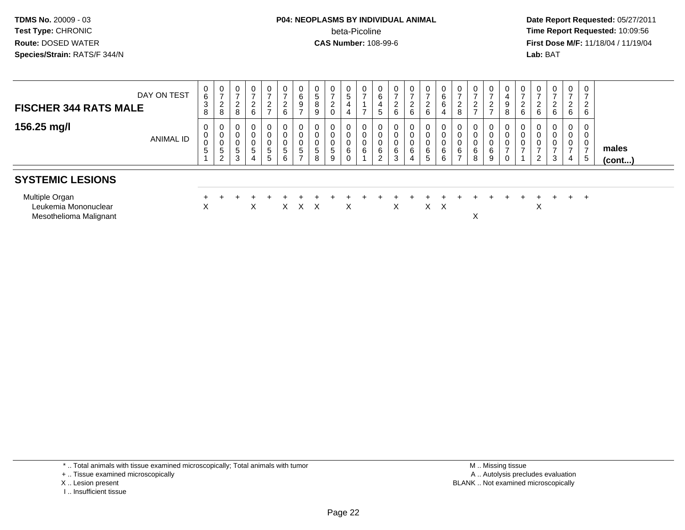# **P04: NEOPLASMS BY INDIVIDUAL ANIMAL**beta-Picoline<br>CAS Number: 108-99-6

 **Date Report Requested:** 05/27/2011 **Time Report Requested:** 10:09:56 **First Dose M/F:** 11/18/04 / 11/19/04<br>**Lab:** BAT **Lab:** BAT

| <b>FISCHER 344 RATS MALE</b><br>156.25 mg/l                      | DAY ON TEST<br>ANIMAL ID | 0<br>6<br>3<br>8<br>$\mathbf{0}$<br>0<br>0<br>5 | $\frac{0}{7}$<br>$\overline{2}$<br>8<br>0<br>$\pmb{0}$<br>$\pmb{0}$ | $\overline{0}$<br>$\sim$<br>$\epsilon$<br>8<br>U<br>5 | $\mathbf 0$<br>$\overline{ }$<br>$\frac{2}{6}$<br>$\mathbf 0$<br>$5\phantom{.0}$ | $\mathbf 0$<br>$\overline{ }$<br>$\frac{2}{7}$<br>0<br>$\boldsymbol{0}$<br>$\mathbf 0$<br>5 | $\overline{0}$<br>-<br>$\frac{2}{6}$<br>0<br>0<br>0<br>$5^{\circ}$ | $\mathbf 0$<br>$\,6\,$<br>9<br>$\rightarrow$<br>$\mathbf 0$<br>$\pmb{0}$<br>$\pmb{0}$<br>$\sqrt{5}$ | 0<br>$\sqrt{5}$<br>$^8_9$<br>$\mathbf 0$<br>$\pmb{0}$<br>0<br>$\sqrt{5}$ | $\frac{0}{7}$<br>$^2_{\rm 0}$<br>0<br>$\pmb{0}$<br>$\pmb{0}$<br>$\sqrt{5}$ | 0<br>5<br>4<br>4<br>0<br>0<br>0<br>6 | 0<br>$\overline{ }$<br>$\overline{ }$<br>0<br>0<br>6 | 0<br>6<br>4<br>$5\phantom{.0}$<br>0<br>0<br>0<br>6 | $\frac{0}{7}$<br>$\frac{2}{6}$<br>$\mathbf 0$<br>$\mathbf 0$<br>6 | 0<br>$\rightarrow$<br>$\overline{2}$<br>6<br>0<br>0<br>0<br>6 | $\mathbf 0$<br>$\overline{ }$<br>$\begin{array}{c} 2 \\ 6 \end{array}$<br>$\mathbf 0$<br>$\boldsymbol{0}$<br>$\boldsymbol{0}$<br>6 | 0<br>$\,6\,$<br>$\,6\,$<br>$\overline{4}$<br>0<br>$\pmb{0}$<br>0<br>$\,6\,$ | $\frac{0}{7}$<br>$_{\rm 8}^2$<br>0<br>$\pmb{0}$<br>$\pmb{0}$<br>$rac{6}{7}$ | $\overline{ }$<br>$\overline{2}$<br>$\overline{ }$<br>6 | $\overline{ }$<br>ົ<br>$\frac{2}{7}$<br>υ<br>6 | 0<br>9<br>8<br>$\overline{ }$ | 0<br>2<br>$6\phantom{1}$<br>0<br>0<br>0 | $rac{2}{6}$<br>0<br>0 | 0<br>$\rightarrow$<br>$\frac{2}{6}$<br>0<br>0<br>0<br>$\overline{ }$ | $\overline{0}$<br>$\overline{ }$<br>$\overline{2}$<br>6<br>$\mathbf{0}$<br>$\mathbf{0}$<br>0<br>$\overline{ }$ | $\mathbf 0$<br>$\overline{ }$<br>$\overline{2}$<br>6<br>0<br>0<br>0 | males  |
|------------------------------------------------------------------|--------------------------|-------------------------------------------------|---------------------------------------------------------------------|-------------------------------------------------------|----------------------------------------------------------------------------------|---------------------------------------------------------------------------------------------|--------------------------------------------------------------------|-----------------------------------------------------------------------------------------------------|--------------------------------------------------------------------------|----------------------------------------------------------------------------|--------------------------------------|------------------------------------------------------|----------------------------------------------------|-------------------------------------------------------------------|---------------------------------------------------------------|------------------------------------------------------------------------------------------------------------------------------------|-----------------------------------------------------------------------------|-----------------------------------------------------------------------------|---------------------------------------------------------|------------------------------------------------|-------------------------------|-----------------------------------------|-----------------------|----------------------------------------------------------------------|----------------------------------------------------------------------------------------------------------------|---------------------------------------------------------------------|--------|
| <b>SYSTEMIC LESIONS</b>                                          |                          |                                                 | $\frac{5}{2}$                                                       | 3                                                     | 4                                                                                | $5\phantom{.0}$                                                                             | 6                                                                  | $\rightarrow$                                                                                       | 8                                                                        | 9                                                                          | 0                                    |                                                      | $\overline{2}$                                     | 3                                                                 | 4                                                             | $5\phantom{.0}$                                                                                                                    | 6                                                                           |                                                                             | 8                                                       | 9                                              |                               |                                         | 2                     | 3                                                                    | 4                                                                                                              | -5                                                                  | (cont) |
| Multiple Organ<br>Leukemia Mononuclear<br>Mesothelioma Malignant |                          | X                                               |                                                                     |                                                       | X                                                                                |                                                                                             | X                                                                  | X                                                                                                   | $\mathsf{X}$                                                             |                                                                            | X                                    |                                                      |                                                    | X                                                                 |                                                               |                                                                                                                                    | $X \times$                                                                  |                                                                             | X                                                       |                                                |                               |                                         | ∧                     |                                                                      | $\div$                                                                                                         | $+$                                                                 |        |

\* .. Total animals with tissue examined microscopically; Total animals with tumor

+ .. Tissue examined microscopically

- X .. Lesion present
- I .. Insufficient tissue

 M .. Missing tissuey the contract of the contract of the contract of the contract of the contract of the contract of the contract of  $A$ . Autolysis precludes evaluation Lesion present BLANK .. Not examined microscopically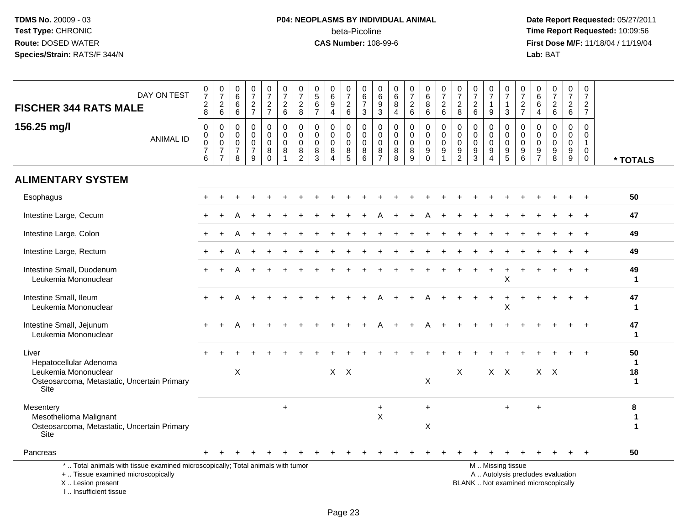# **P04: NEOPLASMS BY INDIVIDUAL ANIMAL**beta-Picoline<br>CAS Number: 108-99-6

| DAY ON TEST<br><b>FISCHER 344 RATS MALE</b>                                                                                                                         | $\frac{0}{7}$<br>$\begin{array}{c} 2 \\ 8 \end{array}$           | $\frac{0}{7}$<br>$\overline{2}$<br>$\,6\,$                                    | $\begin{array}{c} 0 \\ 6 \end{array}$<br>6<br>$6\phantom{1}6$ | $\frac{0}{7}$<br>$\overline{2}$<br>$\overline{7}$                 | $\frac{0}{7}$<br>$\frac{2}{7}$                            | $\frac{0}{7}$<br>$\overline{c}$<br>$6\phantom{a}$ | $\frac{0}{7}$<br>$\boldsymbol{2}$<br>$\,8\,$                            | $\begin{array}{c} 0 \\ 5 \end{array}$<br>$6\phantom{a}$<br>$\overline{7}$ | $\begin{array}{c} 0 \\ 6 \end{array}$<br>$\overline{9}$<br>$\overline{4}$ | $\frac{0}{7}$<br>$^2\phantom{1}6$                        | 0<br>$\,6\,$<br>$\overline{7}$<br>3               | 0<br>6<br>9<br>$\mathbf{3}$                                | $\begin{array}{c} 0 \\ 6 \end{array}$<br>8<br>$\overline{4}$ | $\frac{0}{7}$<br>$\overline{a}$<br>$6\phantom{1}$                    | $_{6}^{\rm 0}$<br>$\overline{8}$<br>$6\phantom{a}$ | $\frac{0}{7}$<br>$\overline{c}$<br>$\,6\,$                 | $\begin{array}{c} 0 \\ 7 \end{array}$<br>$\boldsymbol{2}$<br>8     | $\frac{0}{7}$<br>$\begin{array}{c} 2 \\ 6 \end{array}$     | 0<br>$\overline{7}$<br>$\mathbf{1}$<br>9                 | 0<br>$\overline{7}$<br>$\mathbf{1}$<br>3              | $\frac{0}{7}$<br>$\boldsymbol{2}$<br>$\overline{7}$ | $_{6}^{\rm 0}$<br>$6\overline{6}$<br>$\overline{4}$                      | $\frac{0}{7}$<br>$\overline{a}$<br>$6\phantom{a}$        | $\pmb{0}$<br>$\overline{7}$<br>$\overline{c}$<br>$6\phantom{1}$ | $\mathbf 0$<br>$\overline{7}$<br>$\overline{2}$<br>$\overline{7}$ |                               |
|---------------------------------------------------------------------------------------------------------------------------------------------------------------------|------------------------------------------------------------------|-------------------------------------------------------------------------------|---------------------------------------------------------------|-------------------------------------------------------------------|-----------------------------------------------------------|---------------------------------------------------|-------------------------------------------------------------------------|---------------------------------------------------------------------------|---------------------------------------------------------------------------|----------------------------------------------------------|---------------------------------------------------|------------------------------------------------------------|--------------------------------------------------------------|----------------------------------------------------------------------|----------------------------------------------------|------------------------------------------------------------|--------------------------------------------------------------------|------------------------------------------------------------|----------------------------------------------------------|-------------------------------------------------------|-----------------------------------------------------|--------------------------------------------------------------------------|----------------------------------------------------------|-----------------------------------------------------------------|-------------------------------------------------------------------|-------------------------------|
| 156.25 mg/l<br><b>ANIMAL ID</b>                                                                                                                                     | $\mathbf 0$<br>$\mathbf 0$<br>$\mathbf 0$<br>$\overline{7}$<br>6 | $\mathbf 0$<br>$\mathbf 0$<br>$\mathbf 0$<br>$\overline{7}$<br>$\overline{7}$ | $\Omega$<br>$\mathbf 0$<br>$\Omega$<br>$\overline{7}$<br>8    | $\mathbf{0}$<br>$\mathbf 0$<br>$\mathbf 0$<br>$\overline{7}$<br>9 | 0<br>$\mathbf 0$<br>$\mathbf 0$<br>$\bf 8$<br>$\mathbf 0$ | $\mathbf 0$<br>$\mathbf 0$<br>$\mathbf 0$<br>8    | $\mathbf 0$<br>0<br>0<br>$\begin{smallmatrix} 8 \\ 2 \end{smallmatrix}$ | $\mathbf 0$<br>$\mathbf 0$<br>0<br>$\bf 8$<br>$\mathbf{3}$                | $\mathbf 0$<br>$\mathbf 0$<br>$\mathbf 0$<br>$\bf8$<br>$\overline{4}$     | $\mathbf 0$<br>$\mathbf 0$<br>$\mathbf 0$<br>$\, 8$<br>5 | $\Omega$<br>$\mathbf 0$<br>$\mathbf{0}$<br>8<br>6 | $\Omega$<br>$\mathbf 0$<br>$\Omega$<br>8<br>$\overline{7}$ | $\mathbf{0}$<br>$\mathbf 0$<br>$\mathbf 0$<br>8<br>8         | $\mathbf 0$<br>$\mathbf 0$<br>$\pmb{0}$<br>$\bf 8$<br>$\overline{9}$ | $\mathbf 0$<br>$\mathbf 0$<br>0<br>9<br>$\Omega$   | $\Omega$<br>$\mathbf 0$<br>$\mathbf 0$<br>$\boldsymbol{9}$ | $\mathbf 0$<br>$\mathbf 0$<br>$\mathbf 0$<br>$\boldsymbol{9}$<br>2 | $\mathbf 0$<br>$\mathbf 0$<br>$\mathbf 0$<br>$\frac{9}{3}$ | 0<br>$\mathbf{0}$<br>$\mathbf{0}$<br>9<br>$\overline{4}$ | $\mathbf{0}$<br>$\mathbf 0$<br>$\mathbf{0}$<br>9<br>5 | $\Omega$<br>$\Omega$<br>$\Omega$<br>$9\,$<br>6      | $\mathbf 0$<br>$\mathbf 0$<br>$\mathbf 0$<br>9<br>$\overline{7}$         | $\mathbf 0$<br>$\mathbf 0$<br>0<br>$\boldsymbol{9}$<br>8 | $\Omega$<br>$\overline{0}$<br>$\mathbf 0$<br>9<br>9             | $\Omega$<br>$\mathbf 0$<br>$\mathbf{1}$<br>$\mathbf 0$<br>0       | * TOTALS                      |
| <b>ALIMENTARY SYSTEM</b>                                                                                                                                            |                                                                  |                                                                               |                                                               |                                                                   |                                                           |                                                   |                                                                         |                                                                           |                                                                           |                                                          |                                                   |                                                            |                                                              |                                                                      |                                                    |                                                            |                                                                    |                                                            |                                                          |                                                       |                                                     |                                                                          |                                                          |                                                                 |                                                                   |                               |
| Esophagus                                                                                                                                                           |                                                                  |                                                                               |                                                               |                                                                   |                                                           |                                                   |                                                                         |                                                                           |                                                                           |                                                          |                                                   |                                                            |                                                              |                                                                      |                                                    |                                                            |                                                                    |                                                            |                                                          |                                                       |                                                     |                                                                          |                                                          |                                                                 | $\ddot{}$                                                         | 50                            |
| Intestine Large, Cecum                                                                                                                                              |                                                                  |                                                                               |                                                               |                                                                   |                                                           |                                                   |                                                                         |                                                                           |                                                                           |                                                          |                                                   |                                                            |                                                              |                                                                      |                                                    |                                                            |                                                                    |                                                            |                                                          |                                                       |                                                     |                                                                          |                                                          |                                                                 | $\ddot{+}$                                                        | 47                            |
| Intestine Large, Colon                                                                                                                                              |                                                                  |                                                                               |                                                               |                                                                   |                                                           |                                                   |                                                                         |                                                                           |                                                                           |                                                          |                                                   |                                                            |                                                              |                                                                      |                                                    |                                                            |                                                                    |                                                            |                                                          |                                                       |                                                     |                                                                          |                                                          |                                                                 |                                                                   | 49                            |
| Intestine Large, Rectum                                                                                                                                             |                                                                  |                                                                               |                                                               |                                                                   |                                                           |                                                   |                                                                         |                                                                           |                                                                           |                                                          |                                                   |                                                            |                                                              |                                                                      |                                                    |                                                            |                                                                    |                                                            |                                                          |                                                       |                                                     |                                                                          |                                                          |                                                                 |                                                                   | 49                            |
| Intestine Small, Duodenum<br>Leukemia Mononuclear                                                                                                                   |                                                                  |                                                                               |                                                               |                                                                   |                                                           |                                                   |                                                                         |                                                                           |                                                                           |                                                          |                                                   |                                                            |                                                              |                                                                      |                                                    |                                                            |                                                                    |                                                            |                                                          | X                                                     |                                                     |                                                                          |                                                          |                                                                 | $\div$                                                            | 49<br>$\mathbf 1$             |
| Intestine Small, Ileum<br>Leukemia Mononuclear                                                                                                                      |                                                                  |                                                                               |                                                               |                                                                   |                                                           |                                                   |                                                                         |                                                                           |                                                                           |                                                          |                                                   |                                                            |                                                              |                                                                      |                                                    |                                                            |                                                                    |                                                            | $\div$                                                   | X                                                     |                                                     |                                                                          |                                                          |                                                                 | $\ddot{}$                                                         | 47<br>$\mathbf 1$             |
| Intestine Small, Jejunum<br>Leukemia Mononuclear                                                                                                                    |                                                                  |                                                                               |                                                               |                                                                   |                                                           |                                                   |                                                                         |                                                                           |                                                                           |                                                          |                                                   |                                                            |                                                              |                                                                      |                                                    |                                                            |                                                                    |                                                            |                                                          |                                                       |                                                     |                                                                          |                                                          |                                                                 |                                                                   | 47<br>$\mathbf 1$             |
| Liver<br>Hepatocellular Adenoma<br>Leukemia Mononuclear<br>Osteosarcoma, Metastatic, Uncertain Primary<br>Site                                                      |                                                                  |                                                                               | $\boldsymbol{\mathsf{X}}$                                     |                                                                   |                                                           |                                                   |                                                                         |                                                                           |                                                                           | $X$ $X$                                                  |                                                   |                                                            |                                                              |                                                                      | X                                                  |                                                            | X                                                                  |                                                            |                                                          | $X$ $X$                                               |                                                     |                                                                          | $X$ $X$                                                  |                                                                 |                                                                   | 50<br>$\mathbf{1}$<br>18<br>1 |
| Mesentery<br>Mesothelioma Malignant<br>Osteosarcoma, Metastatic, Uncertain Primary<br>Site                                                                          |                                                                  |                                                                               |                                                               |                                                                   |                                                           | $\ddot{}$                                         |                                                                         |                                                                           |                                                                           |                                                          |                                                   | $+$<br>$\pmb{\times}$                                      |                                                              |                                                                      | $+$<br>X                                           |                                                            |                                                                    |                                                            |                                                          | $+$                                                   |                                                     |                                                                          |                                                          |                                                                 |                                                                   | 8<br>1<br>1                   |
| Pancreas                                                                                                                                                            |                                                                  |                                                                               |                                                               |                                                                   |                                                           |                                                   |                                                                         |                                                                           |                                                                           |                                                          |                                                   |                                                            |                                                              |                                                                      |                                                    |                                                            |                                                                    |                                                            |                                                          |                                                       |                                                     |                                                                          |                                                          |                                                                 |                                                                   | 50                            |
| *  Total animals with tissue examined microscopically; Total animals with tumor<br>+  Tissue examined microscopically<br>X  Lesion present<br>I Insufficient tissue |                                                                  |                                                                               |                                                               |                                                                   |                                                           |                                                   |                                                                         |                                                                           |                                                                           |                                                          |                                                   |                                                            |                                                              |                                                                      |                                                    |                                                            |                                                                    |                                                            |                                                          | M  Missing tissue                                     |                                                     | A  Autolysis precludes evaluation<br>BLANK  Not examined microscopically |                                                          |                                                                 |                                                                   |                               |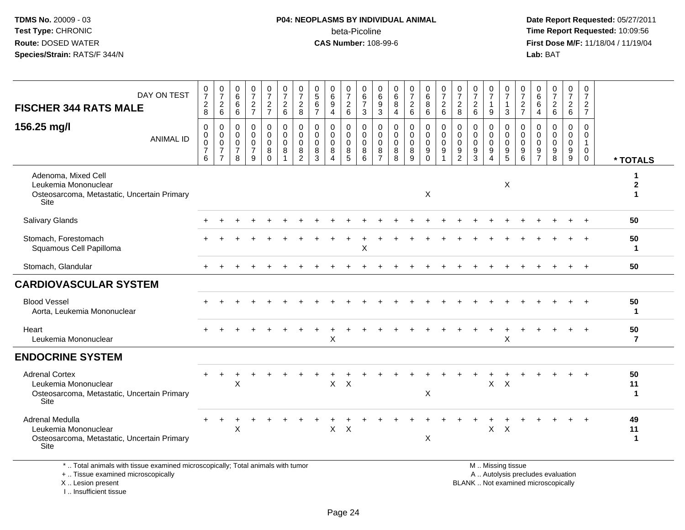# **P04: NEOPLASMS BY INDIVIDUAL ANIMAL**beta-Picoline<br>CAS Number: 108-99-6

 **Date Report Requested:** 05/27/2011 **Time Report Requested:** 10:09:56 **First Dose M/F:** 11/18/04 / 11/19/04<br>**Lab:** BAT **Lab:** BAT

| DAY ON TEST<br><b>FISCHER 344 RATS MALE</b>                                                                           | $\frac{0}{7}$<br>$\overline{c}$<br>8                   | $\frac{0}{7}$<br>$\overline{c}$<br>$6\phantom{1}$                     | 0<br>$6\phantom{a}$<br>6<br>6                                 | 0<br>$\overline{7}$<br>$\overline{c}$<br>$\overline{7}$            | 0<br>$\overline{7}$<br>$\boldsymbol{2}$<br>$\overline{7}$ | $\frac{0}{7}$<br>$\overline{c}$<br>6      | 0<br>$\overline{7}$<br>$\overline{c}$<br>8       | $\begin{array}{c} 0 \\ 5 \end{array}$<br>$\,6\,$<br>$\overline{7}$ | 0<br>$\,6\,$<br>9<br>$\overline{4}$                        | $\frac{0}{7}$<br>$\overline{c}$<br>6                   | 0<br>$\,6$<br>$\overline{7}$<br>3      | 0<br>$\,6\,$<br>9<br>$\mathbf{3}$                                | 0<br>$\,6\,$<br>8<br>4                    | $\frac{0}{7}$<br>$\overline{c}$<br>6                                   | $^{\rm o}_{\rm 6}$<br>$\,8\,$<br>6                            | 0<br>$\overline{7}$<br>$\overline{a}$<br>$6\phantom{1}$ | $\frac{0}{7}$<br>$\boldsymbol{2}$<br>8                                       | 0<br>$\overline{7}$<br>$\overline{c}$<br>$6\phantom{1}$ | 0<br>$\overline{7}$<br>$\overline{1}$<br>9                                      | 0<br>$\overline{7}$<br>-1<br>3         | $\frac{0}{7}$<br>$\overline{c}$<br>$\overline{7}$                                  | $_6^0$<br>6<br>4                       | $\begin{smallmatrix}0\\7\end{smallmatrix}$<br>$\overline{2}$<br>$6\phantom{1}$ | 0<br>$\overline{7}$<br>$\boldsymbol{2}$<br>$6\phantom{1}$ | 0<br>$\overline{7}$<br>$\overline{2}$<br>$\overline{7}$    |                                 |
|-----------------------------------------------------------------------------------------------------------------------|--------------------------------------------------------|-----------------------------------------------------------------------|---------------------------------------------------------------|--------------------------------------------------------------------|-----------------------------------------------------------|-------------------------------------------|--------------------------------------------------|--------------------------------------------------------------------|------------------------------------------------------------|--------------------------------------------------------|----------------------------------------|------------------------------------------------------------------|-------------------------------------------|------------------------------------------------------------------------|---------------------------------------------------------------|---------------------------------------------------------|------------------------------------------------------------------------------|---------------------------------------------------------|---------------------------------------------------------------------------------|----------------------------------------|------------------------------------------------------------------------------------|----------------------------------------|--------------------------------------------------------------------------------|-----------------------------------------------------------|------------------------------------------------------------|---------------------------------|
| 156.25 mg/l<br><b>ANIMAL ID</b>                                                                                       | $\mathbf 0$<br>$\mathbf 0$<br>0<br>$\overline{7}$<br>6 | $\mathbf 0$<br>0<br>$\mathbf 0$<br>$\boldsymbol{7}$<br>$\overline{7}$ | $\Omega$<br>$\mathbf 0$<br>$\mathbf 0$<br>$\overline{7}$<br>8 | $\mathbf 0$<br>$\mathbf 0$<br>$\mathbf 0$<br>$\boldsymbol{7}$<br>9 | $\Omega$<br>0<br>$\mathbf 0$<br>8<br>$\Omega$             | $\mathbf 0$<br>0<br>$\mathbf 0$<br>8<br>1 | $\Omega$<br>$\mathbf 0$<br>$\mathbf 0$<br>8<br>2 | $\mathbf 0$<br>$\mathbf 0$<br>0<br>8<br>3                          | $\Omega$<br>$\overline{0}$<br>$\mathbf 0$<br>8<br>$\Delta$ | $\mathbf 0$<br>$\mathbf 0$<br>$\,0\,$<br>$\frac{8}{5}$ | $\Omega$<br>0<br>$\mathbf 0$<br>8<br>6 | $\mathbf 0$<br>$\mathbf 0$<br>$\mathbf 0$<br>8<br>$\overline{7}$ | $\mathbf 0$<br>0<br>$\mathbf 0$<br>8<br>8 | $\mathbf 0$<br>$\mathbf 0$<br>$\pmb{0}$<br>$\bf 8$<br>$\boldsymbol{9}$ | $\mathbf 0$<br>$\mathbf 0$<br>$\mathbf 0$<br>9<br>$\mathbf 0$ | $\Omega$<br>0<br>$\mathbf 0$<br>9                       | $\Omega$<br>$\mathbf 0$<br>$\mathbf 0$<br>$\boldsymbol{9}$<br>$\overline{2}$ | $\mathbf 0$<br>0<br>0<br>9<br>$\mathbf{3}$              | $\mathbf 0$<br>$\mathbf 0$<br>$\mathbf 0$<br>$\boldsymbol{9}$<br>$\overline{4}$ | $\Omega$<br>0<br>$\mathbf 0$<br>9<br>5 | $\mathbf 0$<br>$\mathbf 0$<br>$\mathbf 0$<br>$\begin{array}{c} 9 \\ 6 \end{array}$ | 0<br>0<br>$\mathbf 0$<br>$\frac{9}{7}$ | $\mathbf 0$<br>0<br>$\mathsf{O}$<br>$\frac{9}{8}$                              | $\Omega$<br>$\mathbf 0$<br>$\mathbf 0$<br>9<br>9          | $\Omega$<br>$\Omega$<br>$\overline{1}$<br>0<br>$\mathbf 0$ | * TOTALS                        |
| Adenoma, Mixed Cell<br>Leukemia Mononuclear<br>Osteosarcoma, Metastatic, Uncertain Primary<br>Site                    |                                                        |                                                                       |                                                               |                                                                    |                                                           |                                           |                                                  |                                                                    |                                                            |                                                        |                                        |                                                                  |                                           |                                                                        | X                                                             |                                                         |                                                                              |                                                         |                                                                                 | X                                      |                                                                                    |                                        |                                                                                |                                                           |                                                            | 1<br>$\mathbf 2$<br>$\mathbf 1$ |
| Salivary Glands                                                                                                       |                                                        |                                                                       |                                                               |                                                                    |                                                           |                                           |                                                  |                                                                    |                                                            |                                                        |                                        |                                                                  |                                           |                                                                        |                                                               |                                                         |                                                                              |                                                         |                                                                                 |                                        |                                                                                    |                                        |                                                                                |                                                           |                                                            | 50                              |
| Stomach, Forestomach<br>Squamous Cell Papilloma                                                                       |                                                        |                                                                       |                                                               |                                                                    |                                                           |                                           |                                                  |                                                                    |                                                            |                                                        | X                                      |                                                                  |                                           |                                                                        |                                                               |                                                         |                                                                              |                                                         |                                                                                 |                                        |                                                                                    |                                        |                                                                                |                                                           |                                                            | 50<br>1                         |
| Stomach, Glandular                                                                                                    |                                                        |                                                                       |                                                               |                                                                    |                                                           |                                           |                                                  |                                                                    |                                                            |                                                        |                                        |                                                                  |                                           |                                                                        |                                                               |                                                         |                                                                              |                                                         |                                                                                 |                                        |                                                                                    |                                        |                                                                                |                                                           |                                                            | 50                              |
| <b>CARDIOVASCULAR SYSTEM</b>                                                                                          |                                                        |                                                                       |                                                               |                                                                    |                                                           |                                           |                                                  |                                                                    |                                                            |                                                        |                                        |                                                                  |                                           |                                                                        |                                                               |                                                         |                                                                              |                                                         |                                                                                 |                                        |                                                                                    |                                        |                                                                                |                                                           |                                                            |                                 |
| <b>Blood Vessel</b><br>Aorta, Leukemia Mononuclear                                                                    |                                                        |                                                                       |                                                               |                                                                    |                                                           |                                           |                                                  |                                                                    |                                                            |                                                        |                                        |                                                                  |                                           |                                                                        |                                                               |                                                         |                                                                              |                                                         |                                                                                 |                                        |                                                                                    |                                        |                                                                                |                                                           |                                                            | 50<br>1                         |
| Heart<br>Leukemia Mononuclear                                                                                         |                                                        |                                                                       |                                                               |                                                                    |                                                           |                                           |                                                  |                                                                    | $\mathsf{X}$                                               |                                                        |                                        |                                                                  |                                           |                                                                        |                                                               |                                                         |                                                                              |                                                         |                                                                                 | X                                      |                                                                                    |                                        |                                                                                |                                                           |                                                            | 50<br>$\overline{7}$            |
| <b>ENDOCRINE SYSTEM</b>                                                                                               |                                                        |                                                                       |                                                               |                                                                    |                                                           |                                           |                                                  |                                                                    |                                                            |                                                        |                                        |                                                                  |                                           |                                                                        |                                                               |                                                         |                                                                              |                                                         |                                                                                 |                                        |                                                                                    |                                        |                                                                                |                                                           |                                                            |                                 |
| <b>Adrenal Cortex</b><br>Leukemia Mononuclear<br>Osteosarcoma, Metastatic, Uncertain Primary<br>Site                  |                                                        |                                                                       | X                                                             |                                                                    |                                                           |                                           |                                                  |                                                                    | $\mathsf{X}$                                               | $\mathsf{X}$                                           |                                        |                                                                  |                                           |                                                                        | X                                                             |                                                         |                                                                              |                                                         | X                                                                               | $\boldsymbol{\mathsf{X}}$              |                                                                                    |                                        |                                                                                |                                                           |                                                            | 50<br>11<br>1                   |
| Adrenal Medulla<br>Leukemia Mononuclear<br>Osteosarcoma, Metastatic, Uncertain Primary<br>Site                        |                                                        |                                                                       | Χ                                                             |                                                                    |                                                           |                                           |                                                  |                                                                    | X                                                          | $\mathsf{X}$                                           |                                        |                                                                  |                                           |                                                                        | X                                                             |                                                         |                                                                              |                                                         | $\mathsf{X}$                                                                    | $\boldsymbol{\mathsf{X}}$              |                                                                                    |                                        |                                                                                |                                                           |                                                            | 49<br>11<br>1                   |
| *  Total animals with tissue examined microscopically; Total animals with tumor<br>+  Tissue examined microscopically |                                                        |                                                                       |                                                               |                                                                    |                                                           |                                           |                                                  |                                                                    |                                                            |                                                        |                                        |                                                                  |                                           |                                                                        |                                                               |                                                         |                                                                              |                                                         | M. Missing tissue<br>A  Autolysis precludes evaluation                          |                                        |                                                                                    |                                        |                                                                                |                                                           |                                                            |                                 |

X .. Lesion present

I .. Insufficient tissue

y the contract of the contract of the contract of the contract of the contract of the contract of the contract of  $A$ . Autolysis precludes evaluation

Lesion present BLANK .. Not examined microscopically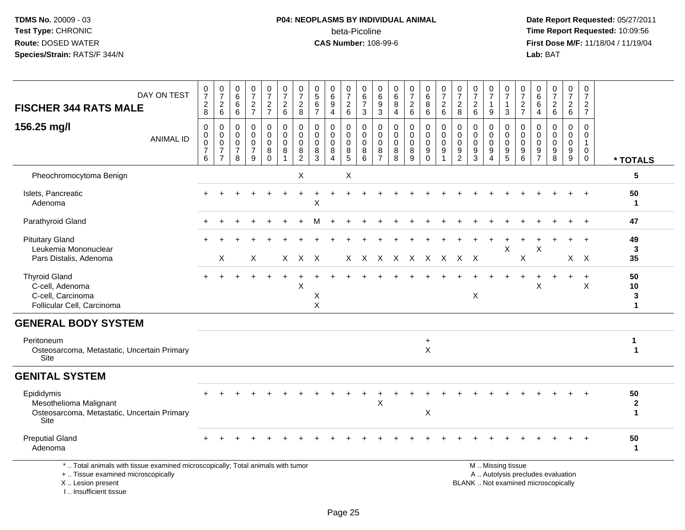# **P04: NEOPLASMS BY INDIVIDUAL ANIMAL**beta-Picoline<br>CAS Number: 108-99-6

 **Date Report Requested:** 05/27/2011 **Time Report Requested:** 10:09:56 **First Dose M/F:** 11/18/04 / 11/19/04<br>**Lab:** BAT **Lab:** BAT

| DAY ON TEST<br><b>FISCHER 344 RATS MALE</b>                                                                                                | 0<br>$\overline{7}$<br>$\overline{c}$<br>8                       | $\begin{array}{c} 0 \\ 7 \end{array}$<br>$\overline{c}$<br>6      | 0<br>$6\overline{6}$<br>6<br>6                                     | $\frac{0}{7}$<br>$\frac{2}{7}$                                 | $\frac{0}{7}$<br>$\overline{c}$<br>$\overline{7}$ | $\frac{0}{7}$<br>$\sqrt{2}$<br>$\,6\,$                                    | 0<br>$\overline{7}$<br>$\overline{c}$<br>8                        | 0<br>$\overline{5}$<br>$\,6\,$<br>$\overline{7}$ | 0<br>$6\phantom{a}$<br>$\boldsymbol{9}$<br>$\overline{4}$ | 0<br>$\overline{7}$<br>$\overline{a}$<br>6 | $\boldsymbol{0}$<br>$\,6\,$<br>$\overline{7}$<br>3  | $\mathbf 0$<br>$6\overline{6}$<br>$\boldsymbol{9}$<br>$\mathbf{3}$ | 0<br>$6\phantom{a}$<br>8<br>$\overline{4}$    | $\frac{0}{7}$<br>$\overline{a}$<br>6                | 0<br>$6\overline{6}$<br>8<br>6                                   | $\begin{smallmatrix}0\\7\end{smallmatrix}$<br>$\overline{c}$<br>6 | $\frac{0}{7}$<br>$\overline{c}$<br>8                           | $\frac{0}{7}$<br>$\sqrt{2}$<br>$6\phantom{1}$                      | 0<br>$\overline{7}$<br>$\mathbf{1}$<br>9  | 0<br>$\overline{7}$<br>$\mathbf{1}$<br>3                | 0<br>$\overline{7}$<br>$\overline{\mathbf{c}}$<br>$\overline{7}$ | 0<br>$\,6\,$<br>6<br>4                           | $\frac{0}{7}$<br>$\begin{array}{c} 2 \\ 6 \end{array}$                   | 0<br>$\overline{7}$<br>$\begin{array}{c} 2 \\ 6 \end{array}$ | 0<br>$\overline{7}$<br>$\boldsymbol{2}$<br>$\overline{7}$            |                         |
|--------------------------------------------------------------------------------------------------------------------------------------------|------------------------------------------------------------------|-------------------------------------------------------------------|--------------------------------------------------------------------|----------------------------------------------------------------|---------------------------------------------------|---------------------------------------------------------------------------|-------------------------------------------------------------------|--------------------------------------------------|-----------------------------------------------------------|--------------------------------------------|-----------------------------------------------------|--------------------------------------------------------------------|-----------------------------------------------|-----------------------------------------------------|------------------------------------------------------------------|-------------------------------------------------------------------|----------------------------------------------------------------|--------------------------------------------------------------------|-------------------------------------------|---------------------------------------------------------|------------------------------------------------------------------|--------------------------------------------------|--------------------------------------------------------------------------|--------------------------------------------------------------|----------------------------------------------------------------------|-------------------------|
| 156.25 mg/l<br><b>ANIMAL ID</b>                                                                                                            | $\mathbf 0$<br>$\mathbf 0$<br>$\mathbf 0$<br>$\overline{7}$<br>6 | 0<br>$\mathbf 0$<br>$\pmb{0}$<br>$\overline{7}$<br>$\overline{7}$ | $\mathbf 0$<br>$\mathbf 0$<br>$\mathbf 0$<br>$\boldsymbol{7}$<br>8 | $\mathbf 0$<br>$\mathbf 0$<br>$\pmb{0}$<br>$\overline{7}$<br>9 | 0<br>$\mathbf 0$<br>0<br>8<br>$\Omega$            | $\mathbf 0$<br>$\mathbf 0$<br>$\mathbf 0$<br>8<br>$\overline{\mathbf{1}}$ | $\mathbf 0$<br>$\mathbf{0}$<br>$\mathbf 0$<br>8<br>$\overline{c}$ | $\Omega$<br>$\Omega$<br>$\mathbf 0$<br>8<br>3    | 0<br>$\mathbf 0$<br>$\mathbf 0$<br>8<br>4                 | 0<br>$\mathbf 0$<br>0<br>8<br>5            | $\mathbf 0$<br>$\mathbf 0$<br>$\mathbf 0$<br>8<br>6 | $\mathbf 0$<br>$\mathbf 0$<br>$\mathbf 0$<br>8<br>$\overline{7}$   | $\mathbf 0$<br>$\Omega$<br>$\Omega$<br>8<br>8 | $\mathbf 0$<br>$\mathbf 0$<br>$\mathbf 0$<br>8<br>9 | 0<br>$\pmb{0}$<br>$\mathbf 0$<br>$\boldsymbol{9}$<br>$\mathbf 0$ | $\mathbf 0$<br>$\mathbf 0$<br>$\pmb{0}$<br>9                      | $\mathbf 0$<br>$\mathbf 0$<br>$\pmb{0}$<br>9<br>$\overline{2}$ | $\mathbf 0$<br>$\mathbf 0$<br>$\mathbf 0$<br>$\boldsymbol{9}$<br>3 | 0<br>$\mathbf 0$<br>$\mathbf 0$<br>9<br>4 | $\mathbf 0$<br>$\mathbf 0$<br>$\mathbf 0$<br>$9\,$<br>5 | $\mathbf 0$<br>$\Omega$<br>$\mathbf 0$<br>9<br>6                 | $\Omega$<br>$\Omega$<br>0<br>9<br>$\overline{7}$ | $\mathbf 0$<br>$\mathbf 0$<br>$\pmb{0}$<br>9<br>8                        | $\mathbf 0$<br>$\mathbf 0$<br>$\mathbf 0$<br>9<br>9          | $\Omega$<br>$\Omega$<br>$\overline{1}$<br>$\mathbf 0$<br>$\mathbf 0$ | * TOTALS                |
| Pheochromocytoma Benign                                                                                                                    |                                                                  |                                                                   |                                                                    |                                                                |                                                   |                                                                           | X                                                                 |                                                  |                                                           | X                                          |                                                     |                                                                    |                                               |                                                     |                                                                  |                                                                   |                                                                |                                                                    |                                           |                                                         |                                                                  |                                                  |                                                                          |                                                              |                                                                      | 5                       |
| Islets, Pancreatic<br>Adenoma                                                                                                              |                                                                  |                                                                   |                                                                    |                                                                |                                                   |                                                                           |                                                                   | X                                                |                                                           |                                            |                                                     |                                                                    |                                               |                                                     |                                                                  |                                                                   |                                                                |                                                                    |                                           |                                                         |                                                                  |                                                  |                                                                          |                                                              |                                                                      | 50<br>$\mathbf 1$       |
| Parathyroid Gland                                                                                                                          |                                                                  |                                                                   |                                                                    |                                                                |                                                   |                                                                           |                                                                   |                                                  |                                                           |                                            |                                                     |                                                                    |                                               |                                                     |                                                                  |                                                                   |                                                                |                                                                    |                                           |                                                         |                                                                  |                                                  |                                                                          |                                                              |                                                                      | 47                      |
| <b>Pituitary Gland</b><br>Leukemia Mononuclear<br>Pars Distalis, Adenoma                                                                   |                                                                  | X                                                                 |                                                                    | X                                                              |                                                   |                                                                           | $X$ $X$ $X$                                                       |                                                  |                                                           | X.                                         |                                                     |                                                                    | X X X X X X X X                               |                                                     |                                                                  |                                                                   |                                                                |                                                                    |                                           | Х                                                       | $\mathsf X$                                                      | X                                                |                                                                          |                                                              | $X \times$                                                           | 49<br>3<br>35           |
| <b>Thyroid Gland</b><br>C-cell, Adenoma<br>C-cell, Carcinoma<br>Follicular Cell, Carcinoma                                                 |                                                                  |                                                                   |                                                                    |                                                                |                                                   |                                                                           | X                                                                 | X<br>X                                           |                                                           |                                            |                                                     |                                                                    |                                               |                                                     |                                                                  |                                                                   |                                                                | $\mathsf X$                                                        |                                           |                                                         |                                                                  | X                                                |                                                                          | $\ddot{}$                                                    | $\ddot{}$<br>$\boldsymbol{\mathsf{X}}$                               | 50<br>10<br>3<br>1      |
| <b>GENERAL BODY SYSTEM</b>                                                                                                                 |                                                                  |                                                                   |                                                                    |                                                                |                                                   |                                                                           |                                                                   |                                                  |                                                           |                                            |                                                     |                                                                    |                                               |                                                     |                                                                  |                                                                   |                                                                |                                                                    |                                           |                                                         |                                                                  |                                                  |                                                                          |                                                              |                                                                      |                         |
| Peritoneum<br>Osteosarcoma, Metastatic, Uncertain Primary<br>Site                                                                          |                                                                  |                                                                   |                                                                    |                                                                |                                                   |                                                                           |                                                                   |                                                  |                                                           |                                            |                                                     |                                                                    |                                               |                                                     | $\ddot{}$<br>X                                                   |                                                                   |                                                                |                                                                    |                                           |                                                         |                                                                  |                                                  |                                                                          |                                                              |                                                                      | 1<br>$\mathbf{1}$       |
| <b>GENITAL SYSTEM</b>                                                                                                                      |                                                                  |                                                                   |                                                                    |                                                                |                                                   |                                                                           |                                                                   |                                                  |                                                           |                                            |                                                     |                                                                    |                                               |                                                     |                                                                  |                                                                   |                                                                |                                                                    |                                           |                                                         |                                                                  |                                                  |                                                                          |                                                              |                                                                      |                         |
| Epididymis<br>Mesothelioma Malignant<br>Osteosarcoma, Metastatic, Uncertain Primary<br>Site                                                |                                                                  |                                                                   |                                                                    |                                                                |                                                   |                                                                           |                                                                   |                                                  |                                                           |                                            |                                                     | Х                                                                  |                                               |                                                     | X                                                                |                                                                   |                                                                |                                                                    |                                           |                                                         |                                                                  |                                                  |                                                                          |                                                              |                                                                      | 50<br>$\mathbf{2}$<br>1 |
| <b>Preputial Gland</b><br>Adenoma                                                                                                          |                                                                  |                                                                   |                                                                    |                                                                |                                                   |                                                                           |                                                                   |                                                  |                                                           |                                            |                                                     |                                                                    |                                               |                                                     |                                                                  |                                                                   |                                                                |                                                                    |                                           |                                                         |                                                                  |                                                  |                                                                          |                                                              |                                                                      | 50<br>$\mathbf{1}$      |
| *  Total animals with tissue examined microscopically; Total animals with tumor<br>+  Tissue examined microscopically<br>X  Lesion present |                                                                  |                                                                   |                                                                    |                                                                |                                                   |                                                                           |                                                                   |                                                  |                                                           |                                            |                                                     |                                                                    |                                               |                                                     |                                                                  |                                                                   |                                                                |                                                                    |                                           | M  Missing tissue                                       |                                                                  |                                                  | A  Autolysis precludes evaluation<br>BLANK  Not examined microscopically |                                                              |                                                                      |                         |

I .. Insufficient tissue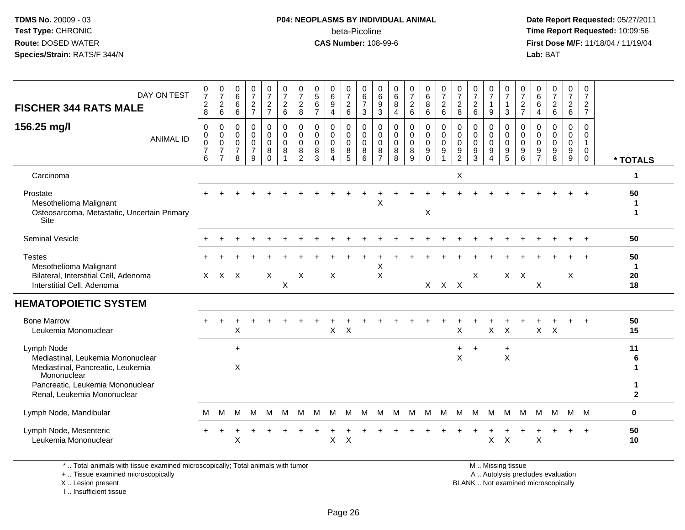### **P04: NEOPLASMS BY INDIVIDUAL ANIMAL**beta-Picoline<br>CAS Number: 108-99-6

 **Date Report Requested:** 05/27/2011 **Time Report Requested:** 10:09:56 **First Dose M/F:** 11/18/04 / 11/19/04<br>**Lab:** BAT **Lab:** BAT

| DAY ON TEST<br><b>FISCHER 344 RATS MALE</b>                                                                                                                            | 0<br>$\boldsymbol{7}$<br>$\boldsymbol{2}$<br>8         | $\pmb{0}$<br>$\boldsymbol{7}$<br>$^2\phantom{1}6$ | $\pmb{0}$<br>$\,6$<br>$\,6\,$<br>6                               | $\frac{0}{7}$<br>$\boldsymbol{2}$<br>$\overline{7}$    | $\frac{0}{7}$<br>$\frac{2}{7}$                   | $\frac{0}{7}$<br>$\overline{c}$<br>$\,6\,$                           | 0<br>$\overline{7}$<br>$\overline{2}$<br>8 | 0<br>$\mathbf 5$<br>$\,6$<br>$\overline{7}$ | 0<br>$\,6\,$<br>$\boldsymbol{9}$<br>$\overline{4}$ | 0<br>$\boldsymbol{7}$<br>$^2\phantom{1}6$               | 0<br>$\,6\,$<br>$\overline{7}$<br>$\mathbf{3}$ | 0<br>$\,6$<br>$\boldsymbol{9}$<br>3 | $_{6}^{\rm 0}$<br>$\, 8$<br>$\overline{4}$ | $\frac{0}{7}$<br>$\overline{c}$<br>6 | $_{6}^{\rm 0}$<br>8<br>6                                          | $\frac{0}{7}$<br>$\frac{2}{6}$                                                  | 0<br>$\overline{7}$<br>$\overline{c}$<br>$\,8\,$ | $\frac{0}{7}$<br>$\begin{array}{c} 2 \\ 6 \end{array}$           | $\frac{0}{7}$<br>$\mathbf{1}$<br>9                              | 0<br>$\overline{7}$<br>1<br>$\mathbf{3}$ | 0<br>$\boldsymbol{7}$<br>$\frac{2}{7}$              | 0<br>$\,6$<br>6<br>4                                | $\frac{0}{7}$<br>$\overline{2}$<br>$\,6$         | 0<br>$\overline{7}$<br>$\frac{2}{6}$ | 0<br>$\boldsymbol{7}$<br>$\frac{2}{7}$               |                               |
|------------------------------------------------------------------------------------------------------------------------------------------------------------------------|--------------------------------------------------------|---------------------------------------------------|------------------------------------------------------------------|--------------------------------------------------------|--------------------------------------------------|----------------------------------------------------------------------|--------------------------------------------|---------------------------------------------|----------------------------------------------------|---------------------------------------------------------|------------------------------------------------|-------------------------------------|--------------------------------------------|--------------------------------------|-------------------------------------------------------------------|---------------------------------------------------------------------------------|--------------------------------------------------|------------------------------------------------------------------|-----------------------------------------------------------------|------------------------------------------|-----------------------------------------------------|-----------------------------------------------------|--------------------------------------------------|--------------------------------------|------------------------------------------------------|-------------------------------|
| 156.25 mg/l<br><b>ANIMAL ID</b>                                                                                                                                        | $\mathbf 0$<br>0<br>$\mathbf 0$<br>$\overline{7}$<br>6 | 0<br>0<br>0<br>$\overline{7}$<br>$\overline{7}$   | $\mathbf 0$<br>$\mathbf 0$<br>$\mathbf 0$<br>$\overline{7}$<br>8 | 0<br>$\mathbf 0$<br>$\mathbf 0$<br>$\overline{7}$<br>9 | 0<br>$\mathbf 0$<br>$\mathbf 0$<br>8<br>$\Omega$ | $\pmb{0}$<br>$\ddot{\mathbf{0}}$<br>$\mathbf 0$<br>8<br>$\mathbf{1}$ | 0<br>$\mathbf 0$<br>$\mathbf 0$<br>8<br>2  | $\mathbf 0$<br>0<br>$\mathbf 0$<br>8<br>3   | 0<br>0<br>0<br>8<br>4                              | 0<br>$\mathbf 0$<br>$\mathbf 0$<br>8<br>$5\phantom{.0}$ | 0<br>$\mathbf 0$<br>$\mathbf 0$<br>8<br>6      | 0<br>0<br>0<br>8<br>$\overline{7}$  | 0<br>0<br>$\mathbf 0$<br>$\bf 8$<br>8      | 0<br>$\mathsf 0$<br>0<br>8<br>9      | $\mathbf 0$<br>$\overline{0}$<br>$\mathbf 0$<br>$9\,$<br>$\Omega$ | $\mathbf 0$<br>$\mathbf 0$<br>$\mathbf 0$<br>$\boldsymbol{9}$<br>$\overline{1}$ | 0<br>$\mathbf 0$<br>0<br>9<br>$\overline{c}$     | $\mathbf 0$<br>$\pmb{0}$<br>$\mathbf 0$<br>$\boldsymbol{9}$<br>3 | 0<br>$\mathsf{O}$<br>$\mathbf 0$<br>9<br>$\boldsymbol{\Lambda}$ | 0<br>0<br>$\mathsf{O}$<br>9<br>5         | $\mathbf 0$<br>$\mathbf 0$<br>$\mathbf 0$<br>9<br>6 | 0<br>$\Omega$<br>$\mathbf 0$<br>9<br>$\overline{7}$ | $\mathbf 0$<br>$\mathbf 0$<br>$\Omega$<br>9<br>8 | 0<br>$\mathbf 0$<br>0<br>$9\,$<br>9  | 0<br>0<br>$\mathbf{1}$<br>$\mathbf 0$<br>$\mathbf 0$ | * TOTALS                      |
| Carcinoma                                                                                                                                                              |                                                        |                                                   |                                                                  |                                                        |                                                  |                                                                      |                                            |                                             |                                                    |                                                         |                                                |                                     |                                            |                                      |                                                                   |                                                                                 | Χ                                                |                                                                  |                                                                 |                                          |                                                     |                                                     |                                                  |                                      |                                                      | 1                             |
| Prostate<br>Mesothelioma Malignant<br>Osteosarcoma, Metastatic, Uncertain Primary<br>Site                                                                              |                                                        |                                                   |                                                                  |                                                        |                                                  |                                                                      |                                            |                                             |                                                    |                                                         |                                                | X                                   |                                            |                                      | X                                                                 |                                                                                 |                                                  |                                                                  |                                                                 |                                          |                                                     |                                                     |                                                  |                                      |                                                      | 50<br>1<br>1                  |
| Seminal Vesicle                                                                                                                                                        |                                                        |                                                   |                                                                  |                                                        |                                                  |                                                                      |                                            |                                             |                                                    |                                                         |                                                |                                     |                                            |                                      |                                                                   |                                                                                 |                                                  |                                                                  |                                                                 |                                          |                                                     |                                                     |                                                  |                                      |                                                      | 50                            |
| <b>Testes</b><br>Mesothelioma Malignant<br>Bilateral, Interstitial Cell, Adenoma<br>Interstitial Cell, Adenoma                                                         |                                                        | X X X                                             |                                                                  |                                                        | X                                                | $\boldsymbol{\mathsf{X}}$                                            | X                                          |                                             | X                                                  |                                                         |                                                | X<br>X                              |                                            |                                      |                                                                   | $X$ $X$ $X$                                                                     |                                                  | X                                                                |                                                                 | $X$ $X$                                  |                                                     | $\boldsymbol{\mathsf{X}}$                           |                                                  | X                                    |                                                      | 50<br>$\mathbf 1$<br>20<br>18 |
| <b>HEMATOPOIETIC SYSTEM</b>                                                                                                                                            |                                                        |                                                   |                                                                  |                                                        |                                                  |                                                                      |                                            |                                             |                                                    |                                                         |                                                |                                     |                                            |                                      |                                                                   |                                                                                 |                                                  |                                                                  |                                                                 |                                          |                                                     |                                                     |                                                  |                                      |                                                      |                               |
| <b>Bone Marrow</b><br>Leukemia Mononuclear                                                                                                                             |                                                        |                                                   | X                                                                |                                                        |                                                  |                                                                      |                                            |                                             | X                                                  | $\times$                                                |                                                |                                     |                                            |                                      |                                                                   |                                                                                 | X                                                |                                                                  | $\mathsf{X}$                                                    | $\boldsymbol{\mathsf{X}}$                |                                                     | X                                                   | $\boldsymbol{\mathsf{X}}$                        |                                      |                                                      | 50<br>15                      |
| Lymph Node<br>Mediastinal, Leukemia Mononuclear<br>Mediastinal, Pancreatic, Leukemia<br>Mononuclear<br>Pancreatic, Leukemia Mononuclear<br>Renal, Leukemia Mononuclear |                                                        |                                                   | $\ddot{}$<br>X                                                   |                                                        |                                                  |                                                                      |                                            |                                             |                                                    |                                                         |                                                |                                     |                                            |                                      |                                                                   |                                                                                 | X                                                |                                                                  |                                                                 | ÷<br>X                                   |                                                     |                                                     |                                                  |                                      |                                                      | 11<br>6<br>1<br>$\mathbf{2}$  |
| Lymph Node, Mandibular                                                                                                                                                 | м                                                      | м                                                 | м                                                                | м                                                      | м                                                | м                                                                    | M                                          | м                                           | м                                                  | м                                                       | м                                              | м                                   | м                                          | M                                    | M                                                                 | м                                                                               | M                                                | M                                                                | M                                                               | M                                        | М                                                   | м                                                   | м                                                |                                      | M M                                                  | 0                             |
| Lymph Node, Mesenteric<br>Leukemia Mononuclear                                                                                                                         |                                                        |                                                   | X                                                                |                                                        |                                                  |                                                                      |                                            |                                             | X                                                  | X                                                       |                                                |                                     |                                            |                                      |                                                                   |                                                                                 |                                                  |                                                                  | X                                                               | X                                        |                                                     | X                                                   |                                                  |                                      | $\ddot{}$                                            | 50<br>10                      |

\* .. Total animals with tissue examined microscopically; Total animals with tumor

+ .. Tissue examined microscopically

X .. Lesion present

I .. Insufficient tissue

M .. Missing tissue

y the contract of the contract of the contract of the contract of the contract of the contract of the contract of  $A$ . Autolysis precludes evaluation

Lesion present BLANK .. Not examined microscopically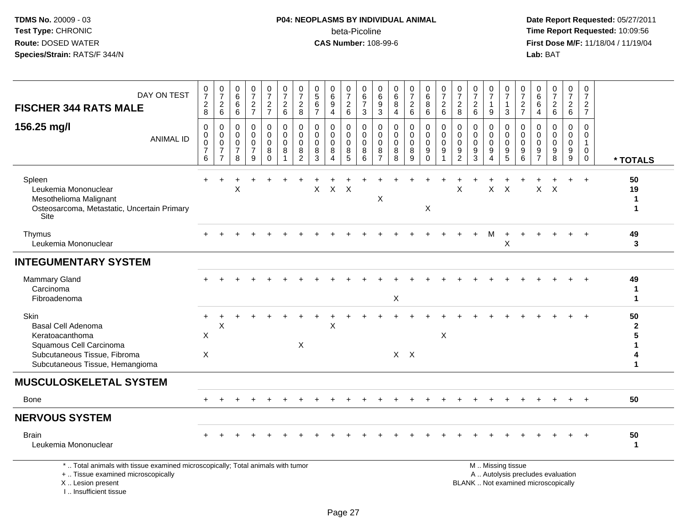I .. Insufficient tissue

# **P04: NEOPLASMS BY INDIVIDUAL ANIMAL**beta-Picoline<br>CAS Number: 108-99-6

 **Date Report Requested:** 05/27/2011 **Time Report Requested:** 10:09:56 **First Dose M/F:** 11/18/04 / 11/19/04<br>**Lab:** BAT **Lab:** BAT

| DAY ON TEST<br><b>FISCHER 344 RATS MALE</b><br>156.25 mg/l<br><b>ANIMAL ID</b>                                                                     | $\boldsymbol{0}$<br>$\overline{7}$<br>$\sqrt{2}$<br>8<br>$\Omega$<br>$\mathbf{0}$<br>$\mathbf 0$ | $\frac{0}{7}$<br>$\overline{c}$<br>6<br>$\mathbf 0$<br>0<br>$\mathbf 0$ | 0<br>$6\overline{6}$<br>6<br>6<br>$\Omega$<br>$\Omega$<br>$\mathbf 0$ | $\frac{0}{7}$<br>$\overline{a}$<br>$\overline{7}$<br>$\mathbf 0$<br>$\Omega$<br>$\mathbf 0$ | $\frac{0}{7}$<br>$\overline{a}$<br>$\overline{7}$<br>$\mathbf 0$<br>0<br>0 | $\frac{0}{7}$<br>$\sqrt{2}$<br>$6\phantom{1}6$<br>$\mathbf 0$<br>$\Omega$<br>$\mathbf 0$ | 0<br>$\overline{7}$<br>$\overline{2}$<br>8<br>$\Omega$<br>$\Omega$<br>$\mathbf 0$ | 0<br>$\overline{5}$<br>6<br>$\overline{7}$<br>$\Omega$<br>$\Omega$<br>$\mathbf 0$ | 0<br>$6\phantom{a}$<br>$\boldsymbol{9}$<br>$\overline{4}$<br>0<br>$\Omega$<br>$\mathbf 0$ | 0<br>$\overline{7}$<br>$\overline{c}$<br>$\,6\,$<br>$\Omega$<br>$\Omega$<br>$\mathbf 0$ | 0<br>$\,6\,$<br>$\overline{7}$<br>$\mathbf{3}$<br>$\mathbf 0$<br>$\Omega$<br>0 | 0<br>$\,6\,$<br>9<br>3<br>$\mathbf 0$<br>$\Omega$<br>$\mathbf 0$ | 0<br>$6\phantom{a}$<br>8<br>$\overline{4}$<br>$\Omega$<br>$\Omega$<br>$\mathbf 0$ | $\frac{0}{7}$<br>$\sqrt{2}$<br>6<br>$\mathbf 0$<br>$\mathbf 0$<br>$\mathbf 0$ | 0<br>6<br>8<br>6<br>$\mathbf 0$<br>$\mathbf 0$<br>0 | $\frac{0}{7}$<br>$\overline{c}$<br>6<br>$\Omega$<br>$\Omega$<br>0 | 0<br>$\overline{7}$<br>$\boldsymbol{2}$<br>8<br>$\Omega$<br>$\Omega$<br>0 | $\frac{0}{7}$<br>$\sqrt{2}$<br>6<br>$\mathbf 0$<br>$\mathbf{0}$<br>$\mathbf 0$ | 0<br>$\overline{7}$<br>$\mathbf{1}$<br>9<br>$\Omega$<br>$\Omega$<br>$\mathbf 0$ | 0<br>$\overline{7}$<br>$\mathbf{1}$<br>3<br>$\Omega$<br>$\Omega$<br>$\mathbf 0$ | 0<br>$\overline{7}$<br>$\overline{c}$<br>$\overline{7}$<br>$\Omega$<br>$\Omega$<br>$\mathbf 0$ | 0<br>6<br>6<br>$\overline{4}$<br>$\Omega$<br>$\Omega$<br>0 | $\frac{0}{7}$<br>$\overline{c}$<br>$6\phantom{a}$<br>$\mathbf 0$<br>$\Omega$<br>$\mathbf 0$ | 0<br>$\overline{7}$<br>$\sqrt{2}$<br>$6\phantom{1}$<br>$\Omega$<br>$\Omega$<br>$\mathbf 0$ | 0<br>$\overline{7}$<br>$\overline{c}$<br>$\overline{7}$<br>$\Omega$<br>$\Omega$<br>$\overline{1}$ |                                 |
|----------------------------------------------------------------------------------------------------------------------------------------------------|--------------------------------------------------------------------------------------------------|-------------------------------------------------------------------------|-----------------------------------------------------------------------|---------------------------------------------------------------------------------------------|----------------------------------------------------------------------------|------------------------------------------------------------------------------------------|-----------------------------------------------------------------------------------|-----------------------------------------------------------------------------------|-------------------------------------------------------------------------------------------|-----------------------------------------------------------------------------------------|--------------------------------------------------------------------------------|------------------------------------------------------------------|-----------------------------------------------------------------------------------|-------------------------------------------------------------------------------|-----------------------------------------------------|-------------------------------------------------------------------|---------------------------------------------------------------------------|--------------------------------------------------------------------------------|---------------------------------------------------------------------------------|---------------------------------------------------------------------------------|------------------------------------------------------------------------------------------------|------------------------------------------------------------|---------------------------------------------------------------------------------------------|--------------------------------------------------------------------------------------------|---------------------------------------------------------------------------------------------------|---------------------------------|
|                                                                                                                                                    | $\overline{7}$<br>6                                                                              | $\overline{7}$<br>$\overline{7}$                                        | $\overline{7}$<br>8                                                   | $\overline{7}$<br>9                                                                         | 8<br>$\overline{0}$                                                        | 8                                                                                        | 8<br>$\overline{2}$                                                               | 8<br>3                                                                            | 8<br>Δ                                                                                    | 8<br>5                                                                                  | 8<br>6                                                                         | 8<br>$\overline{7}$                                              | 8<br>8                                                                            | 8<br>$\overline{9}$                                                           | 9<br>$\mathbf 0$                                    | 9                                                                 | 9<br>$\overline{2}$                                                       | $9\,$<br>$\overline{3}$                                                        | 9<br>$\overline{A}$                                                             | $9\,$<br>$\overline{5}$                                                         | 9<br>6                                                                                         | 9<br>$\overline{7}$                                        | 9<br>$\overline{8}$                                                                         | 9<br>9                                                                                     | $\mathbf 0$<br>$\mathbf 0$                                                                        | * TOTALS                        |
| Spleen<br>Leukemia Mononuclear<br>Mesothelioma Malignant<br>Osteosarcoma, Metastatic, Uncertain Primary<br>Site                                    |                                                                                                  |                                                                         | X                                                                     |                                                                                             |                                                                            |                                                                                          |                                                                                   | X                                                                                 | $\mathsf X$                                                                               | $\mathsf{X}$                                                                            |                                                                                | X                                                                |                                                                                   |                                                                               | X                                                   |                                                                   | X                                                                         |                                                                                | $\mathsf X$                                                                     | $\sf X$                                                                         |                                                                                                |                                                            | $X$ $X$                                                                                     |                                                                                            | $+$                                                                                               | 50<br>19<br>$\mathbf 1$<br>1    |
| Thymus<br>Leukemia Mononuclear                                                                                                                     |                                                                                                  |                                                                         |                                                                       |                                                                                             |                                                                            |                                                                                          |                                                                                   |                                                                                   |                                                                                           |                                                                                         |                                                                                |                                                                  |                                                                                   |                                                                               |                                                     |                                                                   |                                                                           |                                                                                | M                                                                               | X                                                                               |                                                                                                |                                                            |                                                                                             |                                                                                            | $\ddot{}$                                                                                         | 49<br>3                         |
| <b>INTEGUMENTARY SYSTEM</b>                                                                                                                        |                                                                                                  |                                                                         |                                                                       |                                                                                             |                                                                            |                                                                                          |                                                                                   |                                                                                   |                                                                                           |                                                                                         |                                                                                |                                                                  |                                                                                   |                                                                               |                                                     |                                                                   |                                                                           |                                                                                |                                                                                 |                                                                                 |                                                                                                |                                                            |                                                                                             |                                                                                            |                                                                                                   |                                 |
| Mammary Gland<br>Carcinoma<br>Fibroadenoma                                                                                                         |                                                                                                  |                                                                         |                                                                       |                                                                                             |                                                                            |                                                                                          |                                                                                   |                                                                                   |                                                                                           |                                                                                         |                                                                                |                                                                  | X                                                                                 |                                                                               |                                                     |                                                                   |                                                                           |                                                                                |                                                                                 |                                                                                 |                                                                                                |                                                            |                                                                                             |                                                                                            |                                                                                                   | 49<br>ำ<br>$\blacktriangleleft$ |
| Skin<br><b>Basal Cell Adenoma</b><br>Keratoacanthoma<br>Squamous Cell Carcinoma<br>Subcutaneous Tissue, Fibroma<br>Subcutaneous Tissue, Hemangioma | X<br>$\boldsymbol{\mathsf{X}}$                                                                   | X                                                                       |                                                                       |                                                                                             |                                                                            |                                                                                          | $\pmb{\times}$                                                                    |                                                                                   | x                                                                                         |                                                                                         |                                                                                |                                                                  |                                                                                   | $X$ $X$                                                                       |                                                     | X                                                                 |                                                                           |                                                                                |                                                                                 |                                                                                 |                                                                                                |                                                            |                                                                                             |                                                                                            |                                                                                                   | 50<br>$\mathbf{2}$<br>1         |
| <b>MUSCULOSKELETAL SYSTEM</b>                                                                                                                      |                                                                                                  |                                                                         |                                                                       |                                                                                             |                                                                            |                                                                                          |                                                                                   |                                                                                   |                                                                                           |                                                                                         |                                                                                |                                                                  |                                                                                   |                                                                               |                                                     |                                                                   |                                                                           |                                                                                |                                                                                 |                                                                                 |                                                                                                |                                                            |                                                                                             |                                                                                            |                                                                                                   |                                 |
| Bone                                                                                                                                               |                                                                                                  |                                                                         |                                                                       |                                                                                             |                                                                            |                                                                                          |                                                                                   |                                                                                   |                                                                                           |                                                                                         |                                                                                |                                                                  |                                                                                   |                                                                               |                                                     |                                                                   |                                                                           |                                                                                |                                                                                 |                                                                                 |                                                                                                |                                                            |                                                                                             |                                                                                            | $+$                                                                                               | 50                              |
| <b>NERVOUS SYSTEM</b>                                                                                                                              |                                                                                                  |                                                                         |                                                                       |                                                                                             |                                                                            |                                                                                          |                                                                                   |                                                                                   |                                                                                           |                                                                                         |                                                                                |                                                                  |                                                                                   |                                                                               |                                                     |                                                                   |                                                                           |                                                                                |                                                                                 |                                                                                 |                                                                                                |                                                            |                                                                                             |                                                                                            |                                                                                                   |                                 |
| <b>Brain</b><br>Leukemia Mononuclear                                                                                                               |                                                                                                  |                                                                         |                                                                       |                                                                                             |                                                                            |                                                                                          |                                                                                   |                                                                                   |                                                                                           |                                                                                         |                                                                                |                                                                  |                                                                                   |                                                                               |                                                     |                                                                   |                                                                           |                                                                                |                                                                                 |                                                                                 |                                                                                                |                                                            |                                                                                             |                                                                                            |                                                                                                   | 50<br>1                         |
| *  Total animals with tissue examined microscopically; Total animals with tumor<br>+  Tissue examined microscopically<br>X  Lesion present         |                                                                                                  |                                                                         |                                                                       |                                                                                             |                                                                            |                                                                                          |                                                                                   |                                                                                   |                                                                                           |                                                                                         |                                                                                |                                                                  |                                                                                   |                                                                               |                                                     |                                                                   |                                                                           |                                                                                |                                                                                 | M  Missing tissue                                                               |                                                                                                |                                                            | A  Autolysis precludes evaluation<br>BLANK  Not examined microscopically                    |                                                                                            |                                                                                                   |                                 |

Page 27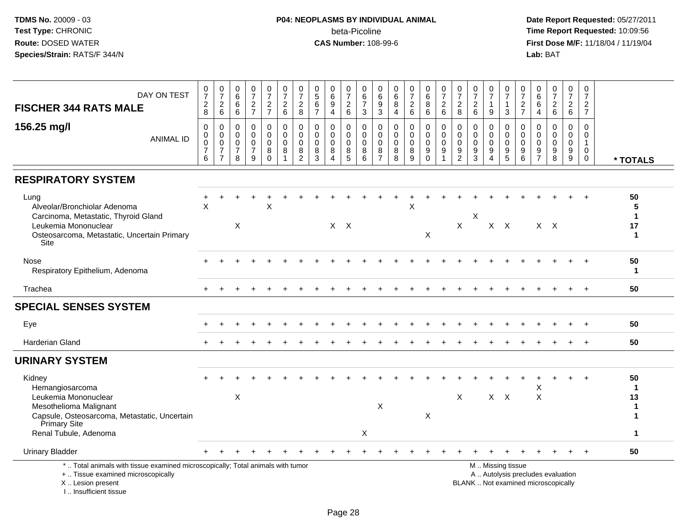# **P04: NEOPLASMS BY INDIVIDUAL ANIMAL**beta-Picoline<br>CAS Number: 108-99-6

| DAY ON TEST<br><b>FISCHER 344 RATS MALE</b><br>156.25 mg/l                                                                                                            | $\frac{0}{7}$<br>$_{8}^{\rm 2}$<br>$\mathbf 0$<br>0 | $\frac{0}{7}$<br>$\overline{c}$<br>$6\phantom{a}$<br>$\,0\,$<br>$\mathsf{O}\xspace$ | $\pmb{0}$<br>$6\overline{6}$<br>$\,6\,$<br>$\,6\,$<br>$\mathbf 0$<br>$\mathbf 0$ | $\frac{0}{7}$<br>$\frac{2}{7}$<br>$\pmb{0}$<br>$\Omega$ | $\frac{0}{7}$<br>$\frac{2}{7}$<br>$\mathbf 0$<br>$\mathbf 0$ | $\pmb{0}$<br>$\overline{7}$<br>$\frac{2}{6}$<br>$\pmb{0}$<br>$\mathbf 0$ | $\frac{0}{7}$<br>$\overline{c}$<br>8<br>$\pmb{0}$<br>$\Omega$ | $\begin{array}{c} 0 \\ 5 \end{array}$<br>$\,6\,$<br>$\overline{7}$<br>0<br>$\mathbf 0$ | $\begin{array}{c} 0 \\ 6 \end{array}$<br>$\boldsymbol{9}$<br>$\overline{4}$<br>$\mathbf 0$<br>$\mathbf 0$ | 0<br>$\overline{7}$<br>$\sqrt{2}$<br>$6\phantom{1}$<br>0<br>$\mathbf 0$ | 0<br>$\,6\,$<br>$\overline{7}$<br>$\mathsf 3$<br>$\mathbf 0$<br>$\mathbf 0$ | 0<br>$\,6\,$<br>$\boldsymbol{9}$<br>$\mathbf{3}$<br>$\mathbf 0$<br>$\mathbf 0$ | 0<br>$\,6\,$<br>$\bf 8$<br>$\overline{4}$<br>$\pmb{0}$<br>$\Omega$ | $\begin{array}{c} 0 \\ 7 \end{array}$<br>$\boldsymbol{2}$<br>$6\phantom{a}$<br>$\pmb{0}$<br>$\mathbf 0$ | $\begin{array}{c} 0 \\ 6 \end{array}$<br>8<br>$\,6\,$<br>$\mathbf 0$<br>$\mathbf 0$ | $\frac{0}{7}$<br>$\boldsymbol{2}$<br>$6\phantom{1}6$<br>$\pmb{0}$<br>$\mathbf 0$ | $\frac{0}{7}$<br>$\overline{c}$<br>$\bf 8$<br>0<br>$\mathbf 0$ | $\frac{0}{7}$<br>$\begin{array}{c} 2 \\ 6 \end{array}$<br>$\pmb{0}$<br>$\mathbf 0$ | $\frac{0}{7}$<br>$\mathbf{1}$<br>9<br>0<br>$\Omega$ | $\frac{0}{7}$<br>$\mathbf{1}$<br>$\mathbf{3}$<br>0<br>0 | $\mathbf 0$<br>$\overline{7}$<br>$\frac{2}{7}$<br>$\mathbf 0$<br>$\mathbf 0$ | 0<br>$\,6\,$<br>6<br>$\overline{4}$<br>0<br>$\mathbf{0}$ | $\begin{array}{c} 0 \\ 7 \end{array}$<br>$\boldsymbol{2}$<br>$\,6\,$<br>$\Omega$<br>$\mathbf{0}$ | $\frac{0}{7}$<br>$\frac{2}{6}$<br>0<br>$\Omega$ | $\pmb{0}$<br>$\overline{7}$<br>$\frac{2}{7}$<br>$\mathsf 0$<br>$\mathbf 0$ |                                             |
|-----------------------------------------------------------------------------------------------------------------------------------------------------------------------|-----------------------------------------------------|-------------------------------------------------------------------------------------|----------------------------------------------------------------------------------|---------------------------------------------------------|--------------------------------------------------------------|--------------------------------------------------------------------------|---------------------------------------------------------------|----------------------------------------------------------------------------------------|-----------------------------------------------------------------------------------------------------------|-------------------------------------------------------------------------|-----------------------------------------------------------------------------|--------------------------------------------------------------------------------|--------------------------------------------------------------------|---------------------------------------------------------------------------------------------------------|-------------------------------------------------------------------------------------|----------------------------------------------------------------------------------|----------------------------------------------------------------|------------------------------------------------------------------------------------|-----------------------------------------------------|---------------------------------------------------------|------------------------------------------------------------------------------|----------------------------------------------------------|--------------------------------------------------------------------------------------------------|-------------------------------------------------|----------------------------------------------------------------------------|---------------------------------------------|
| <b>ANIMAL ID</b>                                                                                                                                                      | $\mathsf 0$<br>$\overline{7}$<br>6                  | $\mathbf 0$<br>$\overline{7}$<br>$\overline{7}$                                     | $\pmb{0}$<br>$\overline{7}$<br>8                                                 | $\mathbf 0$<br>$\overline{7}$<br>9                      | $\mathbf 0$<br>8<br>$\Omega$                                 | $\pmb{0}$<br>8<br>$\mathbf{1}$                                           | $\mathsf{O}\xspace$<br>8<br>$\overline{2}$                    | $\mathsf{O}\xspace$<br>8<br>$\mathbf{3}$                                               | $\pmb{0}$<br>8<br>$\overline{4}$                                                                          | $\mathsf 0$<br>8<br>5                                                   | $\mathbf 0$<br>8<br>6                                                       | $\mathbf 0$<br>8<br>$\overline{7}$                                             | 0<br>8<br>8                                                        | $\pmb{0}$<br>$\bf 8$<br>$\overline{9}$                                                                  | $\mathbf 0$<br>$\boldsymbol{9}$<br>$\mathbf 0$                                      | $\mathbf 0$<br>9<br>$\overline{1}$                                               | $\pmb{0}$<br>9<br>$\overline{2}$                               | $\pmb{0}$<br>$9\,$<br>$\mathbf{3}$                                                 | $\mathbf 0$<br>9<br>$\boldsymbol{\Lambda}$          | $\mathsf{O}\xspace$<br>9<br>5                           | $\mathbf 0$<br>$\boldsymbol{9}$<br>$6\phantom{1}6$                           | 0<br>9<br>$\overline{7}$                                 | $\mathbf 0$<br>$9\,$<br>8                                                                        | $\mathsf 0$<br>9<br>9                           | $\mathbf{1}$<br>$\mathbf 0$<br>$\mathbf 0$                                 | * TOTALS                                    |
| <b>RESPIRATORY SYSTEM</b>                                                                                                                                             |                                                     |                                                                                     |                                                                                  |                                                         |                                                              |                                                                          |                                                               |                                                                                        |                                                                                                           |                                                                         |                                                                             |                                                                                |                                                                    |                                                                                                         |                                                                                     |                                                                                  |                                                                |                                                                                    |                                                     |                                                         |                                                                              |                                                          |                                                                                                  |                                                 |                                                                            |                                             |
| Lung<br>Alveolar/Bronchiolar Adenoma<br>Carcinoma, Metastatic, Thyroid Gland<br>Leukemia Mononuclear<br>Osteosarcoma, Metastatic, Uncertain Primary<br>Site           | +<br>$\times$                                       |                                                                                     | $\mathsf X$                                                                      |                                                         | X                                                            |                                                                          |                                                               |                                                                                        | $X$ $X$                                                                                                   |                                                                         |                                                                             |                                                                                |                                                                    | X                                                                                                       | X                                                                                   |                                                                                  | $\mathsf{X}$                                                   | Χ                                                                                  |                                                     | $X$ $X$                                                 |                                                                              |                                                          | $X \times X$                                                                                     |                                                 |                                                                            | 50<br>5<br>$\mathbf 1$<br>17<br>$\mathbf 1$ |
| Nose<br>Respiratory Epithelium, Adenoma                                                                                                                               |                                                     |                                                                                     |                                                                                  |                                                         |                                                              |                                                                          |                                                               |                                                                                        |                                                                                                           |                                                                         |                                                                             |                                                                                |                                                                    |                                                                                                         |                                                                                     |                                                                                  |                                                                |                                                                                    |                                                     |                                                         |                                                                              |                                                          |                                                                                                  |                                                 |                                                                            | 50<br>$\mathbf{1}$                          |
| Trachea                                                                                                                                                               |                                                     |                                                                                     |                                                                                  |                                                         |                                                              |                                                                          |                                                               |                                                                                        |                                                                                                           |                                                                         |                                                                             |                                                                                |                                                                    |                                                                                                         |                                                                                     |                                                                                  |                                                                |                                                                                    |                                                     |                                                         |                                                                              |                                                          |                                                                                                  |                                                 | $\overline{+}$                                                             | 50                                          |
| <b>SPECIAL SENSES SYSTEM</b>                                                                                                                                          |                                                     |                                                                                     |                                                                                  |                                                         |                                                              |                                                                          |                                                               |                                                                                        |                                                                                                           |                                                                         |                                                                             |                                                                                |                                                                    |                                                                                                         |                                                                                     |                                                                                  |                                                                |                                                                                    |                                                     |                                                         |                                                                              |                                                          |                                                                                                  |                                                 |                                                                            |                                             |
| Eye                                                                                                                                                                   |                                                     |                                                                                     |                                                                                  |                                                         |                                                              |                                                                          |                                                               |                                                                                        |                                                                                                           |                                                                         |                                                                             |                                                                                |                                                                    |                                                                                                         |                                                                                     |                                                                                  |                                                                |                                                                                    |                                                     |                                                         |                                                                              |                                                          |                                                                                                  |                                                 |                                                                            | 50                                          |
| Harderian Gland                                                                                                                                                       |                                                     |                                                                                     |                                                                                  |                                                         |                                                              |                                                                          |                                                               |                                                                                        |                                                                                                           |                                                                         |                                                                             |                                                                                |                                                                    |                                                                                                         |                                                                                     |                                                                                  |                                                                |                                                                                    |                                                     |                                                         |                                                                              |                                                          |                                                                                                  |                                                 |                                                                            | 50                                          |
| <b>URINARY SYSTEM</b>                                                                                                                                                 |                                                     |                                                                                     |                                                                                  |                                                         |                                                              |                                                                          |                                                               |                                                                                        |                                                                                                           |                                                                         |                                                                             |                                                                                |                                                                    |                                                                                                         |                                                                                     |                                                                                  |                                                                |                                                                                    |                                                     |                                                         |                                                                              |                                                          |                                                                                                  |                                                 |                                                                            |                                             |
| Kidney<br>Hemangiosarcoma<br>Leukemia Mononuclear<br>Mesothelioma Malignant                                                                                           |                                                     |                                                                                     | X                                                                                |                                                         |                                                              |                                                                          |                                                               |                                                                                        |                                                                                                           |                                                                         |                                                                             | X                                                                              |                                                                    |                                                                                                         |                                                                                     |                                                                                  | $\times$                                                       |                                                                                    |                                                     | $X$ $X$                                                 |                                                                              | X<br>$\times$                                            |                                                                                                  | $\ddot{}$                                       | $\ddot{}$                                                                  | 50<br>$\mathbf 1$<br>13<br>$\mathbf 1$      |
| Capsule, Osteosarcoma, Metastatic, Uncertain<br>Primary Site<br>Renal Tubule, Adenoma                                                                                 |                                                     |                                                                                     |                                                                                  |                                                         |                                                              |                                                                          |                                                               |                                                                                        |                                                                                                           |                                                                         | X                                                                           |                                                                                |                                                                    |                                                                                                         | X                                                                                   |                                                                                  |                                                                |                                                                                    |                                                     |                                                         |                                                                              |                                                          |                                                                                                  |                                                 |                                                                            | 1<br>1                                      |
| <b>Urinary Bladder</b>                                                                                                                                                |                                                     |                                                                                     |                                                                                  |                                                         |                                                              |                                                                          |                                                               |                                                                                        |                                                                                                           |                                                                         |                                                                             |                                                                                |                                                                    |                                                                                                         |                                                                                     |                                                                                  |                                                                |                                                                                    |                                                     |                                                         |                                                                              |                                                          |                                                                                                  |                                                 |                                                                            | 50                                          |
| *  Total animals with tissue examined microscopically; Total animals with tumor<br>+  Tissue examined microscopically<br>X  Lesion present<br>I., Insufficient tissue |                                                     |                                                                                     |                                                                                  |                                                         |                                                              |                                                                          |                                                               |                                                                                        |                                                                                                           |                                                                         |                                                                             |                                                                                |                                                                    |                                                                                                         |                                                                                     |                                                                                  |                                                                |                                                                                    |                                                     | M  Missing tissue                                       |                                                                              |                                                          | A  Autolysis precludes evaluation<br>BLANK  Not examined microscopically                         |                                                 |                                                                            |                                             |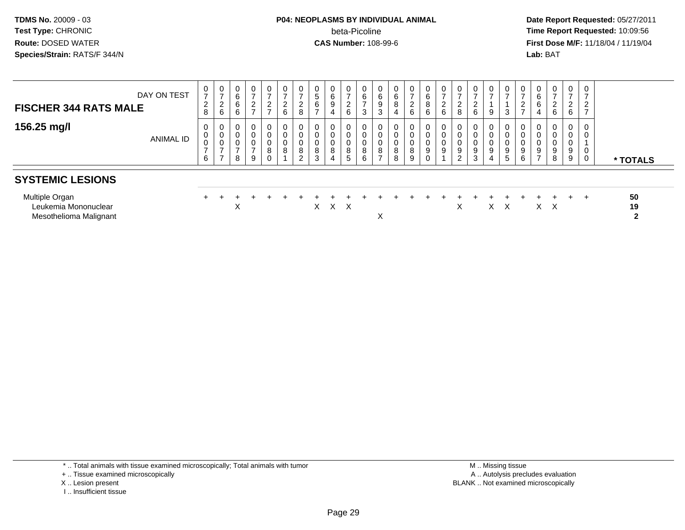# **P04: NEOPLASMS BY INDIVIDUAL ANIMAL**beta-Picoline<br>CAS Number: 108-99-6

 **Date Report Requested:** 05/27/2011 **Time Report Requested:** 10:09:56 **First Dose M/F:** 11/18/04 / 11/19/04<br>**Lab:** BAT **Lab:** BAT

| <b>FISCHER 344 RATS MALE</b>                                     | DAY ON TEST | 0<br>$\overline{ }$<br>$\overline{2}$<br>8 | $\frac{0}{7}$<br>$\overline{c}$<br>$6\phantom{a}$    | $\mathbf 0$<br>6<br>6<br>6 | $\overline{0}$<br>$\overline{2}$ | 0<br>$\rightarrow$<br>$\frac{2}{7}$ | $\frac{0}{7}$<br>$\frac{2}{6}$ | 0<br>$\rightarrow$<br>∩<br>$\epsilon$<br>8 | $\begin{array}{c} 0 \\ 5 \end{array}$<br>6 | 0<br>$\,6\,$<br>9<br>4 | 0<br>$\overline{ }$<br>$\overline{c}$<br>6 | $\boldsymbol{0}$<br>$\,6\,$<br>$\overline{ }$<br>3       | 6<br>9<br>دت | 6<br>4      | $\frac{0}{7}$<br>$\overline{2}$<br>6 | $_6^0$<br>8<br>6 | 0<br>-<br>$\overline{c}$<br>$6\phantom{a}$ | $\frac{0}{7}$<br>$\overline{2}$<br>$\,8\,$        | 0<br>$\overline{ }$<br>6             | $\frac{0}{7}$<br>9    | $\mathbf 0$<br>3      |        | 6<br>6<br>4         | $\overline{0}$<br>$\rightarrow$<br>$\overline{2}$<br>6 | 0<br>$\rightarrow$<br>2<br>6 | 0<br>$\rightarrow$<br>2<br>$\overline{ }$ |                          |
|------------------------------------------------------------------|-------------|--------------------------------------------|------------------------------------------------------|----------------------------|----------------------------------|-------------------------------------|--------------------------------|--------------------------------------------|--------------------------------------------|------------------------|--------------------------------------------|----------------------------------------------------------|--------------|-------------|--------------------------------------|------------------|--------------------------------------------|---------------------------------------------------|--------------------------------------|-----------------------|-----------------------|--------|---------------------|--------------------------------------------------------|------------------------------|-------------------------------------------|--------------------------|
| 156.25 mg/l                                                      | ANIMAL ID   | 0<br>0<br>0<br>$\overline{ }$<br>6         | 0<br>$\boldsymbol{0}$<br>$\pmb{0}$<br>$\overline{ }$ | 0<br>0<br>8                | $\mathbf 0$<br>0<br>9            | 0<br>0<br>0<br>8<br>0               | 0<br>0<br>$\pmb{0}$<br>8       | $\overline{0}$<br>0<br>0<br>8<br>2         | 0<br>0<br>0<br>8<br>3                      | 0<br>0<br>0<br>8<br>4  | 0<br>0<br>0<br>8<br>5                      | $\mathbf 0$<br>$\mathbf 0$<br>$\mathbf 0$<br>$\, 8$<br>6 | 8            | 0<br>8<br>8 | $\mathbf 0$<br>0<br>0<br>8<br>9      | 0<br>0<br>0<br>9 | 0<br>0<br>0<br>$\boldsymbol{9}$            | 0<br>0<br>0<br>$\boldsymbol{9}$<br>$\overline{2}$ | 0<br>0<br>0<br>$\boldsymbol{9}$<br>3 | 0<br>0<br>0<br>9<br>4 | 0<br>U<br>U<br>9<br>5 | 9<br>6 | 9<br>$\overline{7}$ | $\mathbf 0$<br>0<br>0<br>9<br>8                        | 0<br>0<br>9<br>9             | $\mathbf 0$<br>0<br>0<br>0                | * TOTALS                 |
| <b>SYSTEMIC LESIONS</b>                                          |             |                                            |                                                      |                            |                                  |                                     |                                |                                            |                                            |                        |                                            |                                                          |              |             |                                      |                  |                                            |                                                   |                                      |                       |                       |        |                     |                                                        |                              |                                           |                          |
| Multiple Organ<br>Leukemia Mononuclear<br>Mesothelioma Malignant |             |                                            |                                                      | X                          |                                  |                                     |                                |                                            |                                            | X X X                  |                                            |                                                          | ↗            |             |                                      |                  |                                            | X                                                 |                                      |                       | $X \times$            |        |                     | $X \times$                                             | ÷.                           |                                           | 50<br>19<br>$\mathbf{2}$ |

\* .. Total animals with tissue examined microscopically; Total animals with tumor

+ .. Tissue examined microscopically

X .. Lesion present

I .. Insufficient tissue

 M .. Missing tissuey the contract of the contract of the contract of the contract of the contract of the contract of the contract of  $A$ . Autolysis precludes evaluation Lesion present BLANK .. Not examined microscopically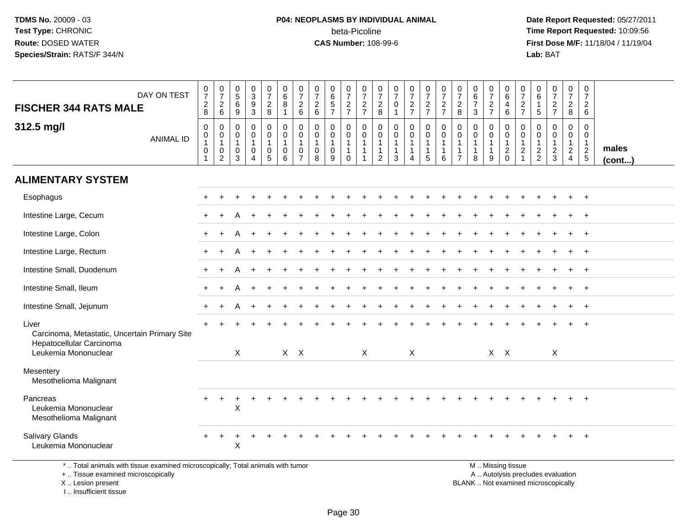# **P04: NEOPLASMS BY INDIVIDUAL ANIMAL**beta-Picoline<br>CAS Number: 108-99-6

 **Date Report Requested:** 05/27/2011 **Time Report Requested:** 10:09:56 **First Dose M/F:** 11/18/04 / 11/19/04<br>**Lab:** BAT **Lab:** BAT

| DAY ON TEST<br><b>FISCHER 344 RATS MALE</b>                                                                           | $\frac{0}{7}$                                                             | $\frac{0}{7}$                                 | $\begin{array}{c} 0 \\ 5 \end{array}$<br>$\,6\,$ | $_{3}^{\rm 0}$<br>$\boldsymbol{9}$                      | $\begin{smallmatrix}0\\7\end{smallmatrix}$ | $\begin{matrix} 0 \\ 6 \end{matrix}$<br>8                                      | $\frac{0}{7}$<br>$\overline{2}$                                          | $\frac{0}{7}$                                                | $_{6}^{\rm 0}$<br>$\frac{5}{7}$            | $\begin{array}{c} 0 \\ 7 \end{array}$                           | $\begin{array}{c} 0 \\ 7 \end{array}$      | $\frac{0}{7}$                                                                    | $\frac{0}{7}$<br>$\mathbf 0$                          | $\frac{0}{7}$                                           | $\frac{0}{7}$                                                   | $\frac{0}{7}$                               | $\pmb{0}$<br>$\overline{7}$                                                 | $_{6}^{\rm 0}$<br>$\overline{7}$                              | $\frac{0}{7}$                                           | 0<br>$6\phantom{1}$<br>$\overline{4}$                                     | 0<br>$\overline{7}$                            | 0<br>6<br>$\mathbf{1}$                                      | $\frac{0}{7}$                                     | 0<br>$\overline{7}$                     | 0<br>$\overline{7}$<br>$\overline{2}$                         |                 |
|-----------------------------------------------------------------------------------------------------------------------|---------------------------------------------------------------------------|-----------------------------------------------|--------------------------------------------------|---------------------------------------------------------|--------------------------------------------|--------------------------------------------------------------------------------|--------------------------------------------------------------------------|--------------------------------------------------------------|--------------------------------------------|-----------------------------------------------------------------|--------------------------------------------|----------------------------------------------------------------------------------|-------------------------------------------------------|---------------------------------------------------------|-----------------------------------------------------------------|---------------------------------------------|-----------------------------------------------------------------------------|---------------------------------------------------------------|---------------------------------------------------------|---------------------------------------------------------------------------|------------------------------------------------|-------------------------------------------------------------|---------------------------------------------------|-----------------------------------------|---------------------------------------------------------------|-----------------|
|                                                                                                                       | $\frac{2}{8}$                                                             | $^2\phantom{1}6$                              | $\boldsymbol{9}$                                 | 3                                                       | $_{\rm 8}^2$                               | $\overline{1}$                                                                 | 6                                                                        | $\frac{2}{6}$                                                |                                            | $\frac{2}{7}$                                                   | $\frac{2}{7}$                              | $_{\rm 8}^2$                                                                     | $\overline{1}$                                        | $\frac{2}{7}$                                           | $rac{2}{7}$                                                     | $\frac{2}{7}$                               | $_{\rm 8}^2$                                                                | $\mathbf{3}$                                                  | $\frac{2}{7}$                                           | 6                                                                         | $\frac{2}{7}$                                  | $\overline{5}$                                              | $\frac{2}{7}$                                     | $\frac{2}{8}$                           | 6                                                             |                 |
| 312.5 mg/l<br><b>ANIMAL ID</b>                                                                                        | $\mathbf 0$<br>$\pmb{0}$<br>$\overline{1}$<br>$\mathbf 0$<br>$\mathbf{1}$ | 0<br>0<br>$\mathbf{1}$<br>0<br>$\overline{2}$ | 0<br>$\mathbf 0$<br>$\overline{1}$<br>0<br>3     | 0<br>0<br>$\mathbf{1}$<br>$\mathbf 0$<br>$\overline{4}$ | $\mathbf 0$<br>0<br>1<br>0<br>5            | $\mathbf 0$<br>$\mathbf 0$<br>$\overline{1}$<br>$\mathbf 0$<br>$6\phantom{1}6$ | $\mathbf 0$<br>$\mathbf 0$<br>$\mathbf{1}$<br>$\Omega$<br>$\overline{7}$ | $\mathbf 0$<br>$\mathbf 0$<br>$\mathbf{1}$<br>$\pmb{0}$<br>8 | 0<br>$\mathbf 0$<br>$\mathbf{1}$<br>0<br>9 | $\mathbf 0$<br>$\mathbf 0$<br>$\mathbf{1}$<br>$\mathbf{1}$<br>0 | $\mathbf 0$<br>$\mathbf 0$<br>$\mathbf{1}$ | $\mathbf 0$<br>$\mathbf 0$<br>$\overline{1}$<br>$\overline{1}$<br>$\overline{2}$ | $\mathbf 0$<br>0<br>$\mathbf{1}$<br>$\mathbf{1}$<br>3 | 0<br>$\mathbf 0$<br>$\mathbf{1}$<br>1<br>$\overline{4}$ | $\mathbf 0$<br>$\mathbf 0$<br>$\mathbf{1}$<br>$\mathbf{1}$<br>5 | 0<br>0<br>$\mathbf{1}$<br>$\mathbf{1}$<br>6 | $\mathbf 0$<br>$\mathbf 0$<br>$\mathbf 1$<br>$\mathbf{1}$<br>$\overline{7}$ | $\mathbf 0$<br>$\pmb{0}$<br>$\mathbf{1}$<br>$\mathbf{1}$<br>8 | 0<br>$\mathbf 0$<br>$\overline{1}$<br>$\mathbf{1}$<br>9 | $\mathbf 0$<br>$\mathsf 0$<br>$\overline{1}$<br>$\sqrt{2}$<br>$\mathbf 0$ | 0<br>$\mathbf 0$<br>$\sqrt{2}$<br>$\mathbf{1}$ | $\mathbf 0$<br>$\mathbf 0$<br>$\mathbf{1}$<br>$\frac{2}{2}$ | 0<br>$\mathbf 0$<br>$\mathbf{1}$<br>$\frac{2}{3}$ | 0<br>0<br>$\mathbf{1}$<br>$\frac{2}{4}$ | $\mathbf 0$<br>$\mathbf 0$<br>$\overline{1}$<br>$\frac{2}{5}$ | males<br>(cont) |
| <b>ALIMENTARY SYSTEM</b>                                                                                              |                                                                           |                                               |                                                  |                                                         |                                            |                                                                                |                                                                          |                                                              |                                            |                                                                 |                                            |                                                                                  |                                                       |                                                         |                                                                 |                                             |                                                                             |                                                               |                                                         |                                                                           |                                                |                                                             |                                                   |                                         |                                                               |                 |
| Esophagus                                                                                                             |                                                                           |                                               |                                                  |                                                         |                                            |                                                                                |                                                                          |                                                              |                                            |                                                                 |                                            |                                                                                  |                                                       |                                                         |                                                                 |                                             |                                                                             |                                                               |                                                         |                                                                           |                                                |                                                             |                                                   |                                         |                                                               |                 |
| Intestine Large, Cecum                                                                                                |                                                                           |                                               |                                                  |                                                         |                                            |                                                                                |                                                                          |                                                              |                                            |                                                                 |                                            |                                                                                  |                                                       |                                                         |                                                                 |                                             |                                                                             |                                                               |                                                         |                                                                           |                                                |                                                             |                                                   |                                         |                                                               |                 |
| Intestine Large, Colon                                                                                                |                                                                           |                                               |                                                  |                                                         |                                            |                                                                                |                                                                          |                                                              |                                            |                                                                 |                                            |                                                                                  |                                                       |                                                         |                                                                 |                                             |                                                                             |                                                               |                                                         |                                                                           |                                                |                                                             |                                                   |                                         |                                                               |                 |
| Intestine Large, Rectum                                                                                               |                                                                           |                                               |                                                  |                                                         |                                            |                                                                                |                                                                          |                                                              |                                            |                                                                 |                                            |                                                                                  |                                                       |                                                         |                                                                 |                                             |                                                                             |                                                               |                                                         |                                                                           |                                                |                                                             |                                                   |                                         | $\overline{+}$                                                |                 |
| Intestine Small, Duodenum                                                                                             |                                                                           |                                               |                                                  |                                                         |                                            |                                                                                |                                                                          |                                                              |                                            |                                                                 |                                            |                                                                                  |                                                       |                                                         |                                                                 |                                             |                                                                             |                                                               |                                                         |                                                                           |                                                |                                                             |                                                   |                                         | $+$                                                           |                 |
| Intestine Small, Ileum                                                                                                |                                                                           |                                               |                                                  |                                                         |                                            |                                                                                |                                                                          |                                                              |                                            |                                                                 |                                            |                                                                                  |                                                       |                                                         |                                                                 |                                             |                                                                             |                                                               |                                                         |                                                                           |                                                |                                                             |                                                   |                                         |                                                               |                 |
| Intestine Small, Jejunum                                                                                              |                                                                           |                                               | Δ                                                |                                                         |                                            |                                                                                |                                                                          |                                                              |                                            |                                                                 |                                            |                                                                                  |                                                       |                                                         |                                                                 |                                             |                                                                             |                                                               |                                                         |                                                                           |                                                |                                                             |                                                   |                                         | $\overline{+}$                                                |                 |
| Liver<br>Carcinoma, Metastatic, Uncertain Primary Site<br>Hepatocellular Carcinoma<br>Leukemia Mononuclear            |                                                                           |                                               | $\mathsf{X}$                                     |                                                         |                                            |                                                                                | $X$ $X$                                                                  |                                                              |                                            |                                                                 | $\mathsf{X}$                               |                                                                                  |                                                       | $\sf X$                                                 |                                                                 |                                             |                                                                             |                                                               |                                                         | $X$ $X$                                                                   |                                                |                                                             | X                                                 |                                         |                                                               |                 |
| Mesentery<br>Mesothelioma Malignant                                                                                   |                                                                           |                                               |                                                  |                                                         |                                            |                                                                                |                                                                          |                                                              |                                            |                                                                 |                                            |                                                                                  |                                                       |                                                         |                                                                 |                                             |                                                                             |                                                               |                                                         |                                                                           |                                                |                                                             |                                                   |                                         |                                                               |                 |
| Pancreas<br>Leukemia Mononuclear<br>Mesothelioma Malignant                                                            |                                                                           | $\ddot{}$                                     | X                                                |                                                         |                                            |                                                                                |                                                                          |                                                              |                                            |                                                                 |                                            |                                                                                  |                                                       |                                                         |                                                                 |                                             |                                                                             |                                                               |                                                         |                                                                           |                                                |                                                             |                                                   |                                         | $\overline{+}$                                                |                 |
| <b>Salivary Glands</b><br>Leukemia Mononuclear                                                                        |                                                                           | $\ddot{}$                                     | +<br>X                                           | ÷                                                       |                                            |                                                                                |                                                                          |                                                              |                                            |                                                                 |                                            |                                                                                  |                                                       |                                                         |                                                                 |                                             |                                                                             |                                                               |                                                         |                                                                           |                                                |                                                             |                                                   |                                         | $+$                                                           |                 |
| *  Total animals with tissue examined microscopically; Total animals with tumor<br>+  Tissue examined microscopically |                                                                           |                                               |                                                  |                                                         |                                            |                                                                                |                                                                          |                                                              |                                            |                                                                 |                                            |                                                                                  |                                                       |                                                         |                                                                 |                                             |                                                                             |                                                               |                                                         | M  Missing tissue                                                         |                                                |                                                             | A  Autolysis precludes evaluation                 |                                         |                                                               |                 |

X .. Lesion present

I .. Insufficient tissue

Lesion present BLANK .. Not examined microscopically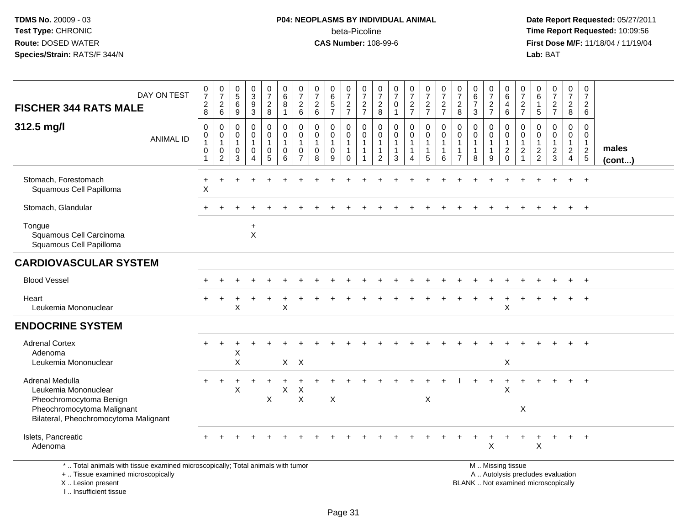# **P04: NEOPLASMS BY INDIVIDUAL ANIMAL**beta-Picoline<br>CAS Number: 108-99-6

 **Date Report Requested:** 05/27/2011 **Time Report Requested:** 10:09:56 **First Dose M/F:** 11/18/04 / 11/19/04<br>**Lab:** BAT **Lab:** BAT

| <b>FISCHER 344 RATS MALE</b>                                                                                                              | DAY ON TEST      | $\frac{0}{7}$<br>$\begin{array}{c} 2 \\ 8 \end{array}$ | $\frac{0}{7}$<br>$\begin{array}{c} 2 \\ 6 \end{array}$ | $\begin{array}{c} 0 \\ 5 \end{array}$<br>6<br>9                | $_3^0$<br>9<br>$\mathbf{3}$                                  | $\begin{smallmatrix}0\\7\end{smallmatrix}$<br>$\overline{a}$<br>8 | $\begin{array}{c} 0 \\ 6 \end{array}$<br>$\,8\,$<br>$\mathbf{1}$ | $\frac{0}{7}$<br>$\begin{array}{c} 2 \\ 6 \end{array}$                        | 0<br>$\overline{7}$<br>$\sqrt{2}$<br>6                          | 0<br>$6\phantom{1}6$<br>$\frac{5}{7}$    | $\pmb{0}$<br>$\overline{7}$<br>$rac{2}{7}$                      | 0<br>$\overline{7}$<br>$\overline{a}$<br>$\overline{7}$ | 0<br>$\overline{7}$<br>$_{8}^{\rm 2}$                         | $\frac{0}{7}$<br>0<br>$\overline{1}$                          | $\frac{0}{7}$<br>$\frac{2}{7}$                        | $\begin{array}{c} 0 \\ 7 \end{array}$<br>$rac{2}{7}$            | $\frac{0}{7}$<br>$\frac{2}{7}$   | 0<br>$\overline{7}$<br>$\overline{2}$<br>8                      | $_{6}^{\rm 0}$<br>$\overline{7}$<br>$\mathfrak{Z}$ | $\frac{0}{7}$<br>$\frac{2}{7}$                                      | 0<br>$\,6\,$<br>4<br>$\,6\,$                                      | $\mathbf 0$<br>$\overline{7}$<br>$\overline{c}$<br>$\overline{7}$ | 0<br>$6\overline{6}$<br>$\mathbf{1}$<br>5         | $\frac{0}{7}$<br>$\frac{2}{7}$                    | 0<br>$\overline{7}$<br>$\overline{2}$<br>8        | 0<br>$\overline{7}$<br>$\overline{2}$<br>6                  |                 |
|-------------------------------------------------------------------------------------------------------------------------------------------|------------------|--------------------------------------------------------|--------------------------------------------------------|----------------------------------------------------------------|--------------------------------------------------------------|-------------------------------------------------------------------|------------------------------------------------------------------|-------------------------------------------------------------------------------|-----------------------------------------------------------------|------------------------------------------|-----------------------------------------------------------------|---------------------------------------------------------|---------------------------------------------------------------|---------------------------------------------------------------|-------------------------------------------------------|-----------------------------------------------------------------|----------------------------------|-----------------------------------------------------------------|----------------------------------------------------|---------------------------------------------------------------------|-------------------------------------------------------------------|-------------------------------------------------------------------|---------------------------------------------------|---------------------------------------------------|---------------------------------------------------|-------------------------------------------------------------|-----------------|
| 312.5 mg/l                                                                                                                                | <b>ANIMAL ID</b> | $\mathbf 0$<br>0<br>$\mathbf{1}$<br>$\mathbf 0$<br>1   | 0<br>0<br>$\mathbf{1}$<br>0<br>$\overline{c}$          | $\mathbf 0$<br>$\mathbf 0$<br>$\mathbf{1}$<br>$\mathbf 0$<br>3 | $\mathbf 0$<br>$\mathbf 0$<br>$\mathbf{1}$<br>$\pmb{0}$<br>4 | $\mathbf 0$<br>0<br>$\overline{1}$<br>$\pmb{0}$<br>5              | $\mathbf 0$<br>$\pmb{0}$<br>$\mathbf{1}$<br>$\pmb{0}$<br>6       | $\mathbf 0$<br>$\mathbf 0$<br>$\overline{1}$<br>$\mathbf 0$<br>$\overline{7}$ | $\mathbf 0$<br>0<br>$\mathbf{1}$<br>$\mathbf 0$<br>$\mathbf{8}$ | 0<br>0<br>$\mathbf{1}$<br>$\pmb{0}$<br>9 | 0<br>$\mathbf 0$<br>$\mathbf{1}$<br>$\mathbf{1}$<br>$\mathbf 0$ | $\mathbf 0$<br>0<br>$\mathbf{1}$<br>$\mathbf 1$<br>1    | $\Omega$<br>0<br>$\mathbf 1$<br>$\mathbf 1$<br>$\overline{2}$ | $\mathbf 0$<br>$\pmb{0}$<br>$\mathbf{1}$<br>$\mathbf{1}$<br>3 | $\mathbf 0$<br>0<br>$\mathbf{1}$<br>$\mathbf{1}$<br>4 | $\mathbf 0$<br>$\mathbf 0$<br>$\mathbf{1}$<br>$\mathbf{1}$<br>5 | 0<br>0<br>$\mathbf{1}$<br>1<br>6 | $\Omega$<br>0<br>$\mathbf{1}$<br>$\mathbf{1}$<br>$\overline{7}$ | $\mathbf 0$<br>0<br>$\mathbf{1}$<br>8              | $\mathbf 0$<br>$\mathbf 0$<br>$\overline{1}$<br>$\overline{1}$<br>9 | $\mathbf 0$<br>0<br>$\mathbf{1}$<br>$\overline{c}$<br>$\mathbf 0$ | 0<br>$\mathbf 0$<br>1<br>$\overline{c}$<br>1                      | 0<br>$\mathbf 0$<br>$\mathbf{1}$<br>$\frac{2}{2}$ | $\mathbf 0$<br>0<br>$\mathbf{1}$<br>$\frac{2}{3}$ | $\mathbf 0$<br>0<br>$\mathbf{1}$<br>$\frac{2}{4}$ | $\mathbf 0$<br>$\mathbf 0$<br>$\mathbf{1}$<br>$\frac{2}{5}$ | males<br>(cont) |
| Stomach, Forestomach<br>Squamous Cell Papilloma                                                                                           |                  | $\overline{ }$<br>X                                    |                                                        |                                                                |                                                              |                                                                   |                                                                  |                                                                               |                                                                 |                                          |                                                                 |                                                         |                                                               |                                                               |                                                       |                                                                 |                                  |                                                                 |                                                    |                                                                     |                                                                   |                                                                   |                                                   |                                                   |                                                   | $+$                                                         |                 |
| Stomach, Glandular                                                                                                                        |                  |                                                        |                                                        |                                                                |                                                              |                                                                   |                                                                  |                                                                               |                                                                 |                                          |                                                                 |                                                         |                                                               |                                                               |                                                       |                                                                 |                                  |                                                                 |                                                    |                                                                     |                                                                   |                                                                   |                                                   |                                                   |                                                   |                                                             |                 |
| Tongue<br>Squamous Cell Carcinoma<br>Squamous Cell Papilloma                                                                              |                  |                                                        |                                                        |                                                                | $\ddot{}$<br>$\boldsymbol{\mathsf{X}}$                       |                                                                   |                                                                  |                                                                               |                                                                 |                                          |                                                                 |                                                         |                                                               |                                                               |                                                       |                                                                 |                                  |                                                                 |                                                    |                                                                     |                                                                   |                                                                   |                                                   |                                                   |                                                   |                                                             |                 |
| <b>CARDIOVASCULAR SYSTEM</b>                                                                                                              |                  |                                                        |                                                        |                                                                |                                                              |                                                                   |                                                                  |                                                                               |                                                                 |                                          |                                                                 |                                                         |                                                               |                                                               |                                                       |                                                                 |                                  |                                                                 |                                                    |                                                                     |                                                                   |                                                                   |                                                   |                                                   |                                                   |                                                             |                 |
| <b>Blood Vessel</b>                                                                                                                       |                  |                                                        |                                                        |                                                                |                                                              |                                                                   |                                                                  |                                                                               |                                                                 |                                          |                                                                 |                                                         |                                                               |                                                               |                                                       |                                                                 |                                  |                                                                 |                                                    |                                                                     |                                                                   |                                                                   |                                                   |                                                   |                                                   | $+$                                                         |                 |
| Heart<br>Leukemia Mononuclear                                                                                                             |                  |                                                        |                                                        | X                                                              |                                                              |                                                                   | X                                                                |                                                                               |                                                                 |                                          |                                                                 |                                                         |                                                               |                                                               |                                                       |                                                                 |                                  |                                                                 |                                                    |                                                                     | X                                                                 |                                                                   |                                                   |                                                   |                                                   |                                                             |                 |
| <b>ENDOCRINE SYSTEM</b>                                                                                                                   |                  |                                                        |                                                        |                                                                |                                                              |                                                                   |                                                                  |                                                                               |                                                                 |                                          |                                                                 |                                                         |                                                               |                                                               |                                                       |                                                                 |                                  |                                                                 |                                                    |                                                                     |                                                                   |                                                                   |                                                   |                                                   |                                                   |                                                             |                 |
| <b>Adrenal Cortex</b><br>Adenoma<br>Leukemia Mononuclear                                                                                  |                  |                                                        |                                                        | X<br>X                                                         |                                                              |                                                                   |                                                                  | $X$ $X$                                                                       |                                                                 |                                          |                                                                 |                                                         |                                                               |                                                               |                                                       |                                                                 |                                  |                                                                 |                                                    |                                                                     | $\boldsymbol{\mathsf{X}}$                                         |                                                                   |                                                   |                                                   |                                                   |                                                             |                 |
| Adrenal Medulla<br>Leukemia Mononuclear<br>Pheochromocytoma Benign<br>Pheochromocytoma Malignant<br>Bilateral, Pheochromocytoma Malignant |                  |                                                        |                                                        | X                                                              |                                                              | $\boldsymbol{\mathsf{X}}$                                         | X                                                                | X<br>$\pmb{\times}$                                                           |                                                                 | $\pmb{\times}$                           |                                                                 |                                                         |                                                               |                                                               |                                                       | X                                                               |                                  |                                                                 |                                                    |                                                                     | $\times$                                                          | $\mathsf X$                                                       |                                                   |                                                   |                                                   |                                                             |                 |
| Islets, Pancreatic<br>Adenoma                                                                                                             |                  |                                                        |                                                        |                                                                |                                                              |                                                                   |                                                                  |                                                                               |                                                                 |                                          |                                                                 |                                                         |                                                               |                                                               |                                                       |                                                                 |                                  |                                                                 |                                                    | $\sf X$                                                             |                                                                   |                                                                   | $\boldsymbol{\mathsf{X}}$                         |                                                   | $\ddot{}$                                         | $+$                                                         |                 |
| *  Total animals with tissue examined microscopically; Total animals with tumor<br>+  Tissue examined microscopically                     |                  |                                                        |                                                        |                                                                |                                                              |                                                                   |                                                                  |                                                                               |                                                                 |                                          |                                                                 |                                                         |                                                               |                                                               |                                                       |                                                                 |                                  |                                                                 |                                                    |                                                                     | M  Missing tissue<br>A  Autolysis precludes evaluation            |                                                                   |                                                   |                                                   |                                                   |                                                             |                 |

 Lesion present BLANK .. Not examined microscopicallyX .. Lesion present

I .. Insufficient tissue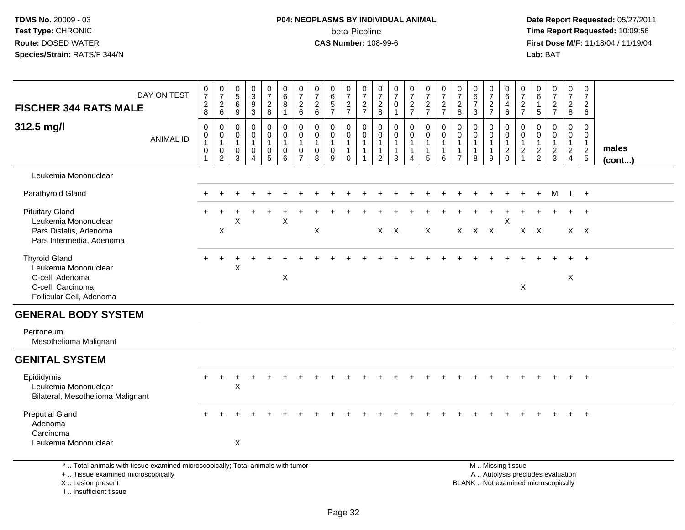# **P04: NEOPLASMS BY INDIVIDUAL ANIMAL**beta-Picoline<br>CAS Number: 108-99-6

 **Date Report Requested:** 05/27/2011 **Time Report Requested:** 10:09:56 **First Dose M/F:** 11/18/04 / 11/19/04<br>**Lab:** BAT **Lab:** BAT

| DAY ON TEST<br><b>FISCHER 344 RATS MALE</b>                                                                      | $\frac{0}{7}$<br>$_{\rm 8}^2$                   | $\frac{0}{7}$<br>$\overline{2}$<br>$\,6\,$                      | 0<br>$\overline{5}$<br>$\,6\,$<br>$\boldsymbol{9}$             | $\frac{0}{3}$<br>$\overline{9}$<br>$\overline{3}$                           | $\frac{0}{7}$<br>$\frac{2}{8}$                       | $\begin{array}{c} 0 \\ 6 \end{array}$<br>$\overline{8}$<br>$\mathbf{1}$   | $\frac{0}{7}$<br>$\overline{c}$<br>$\,6\,$                      | $\frac{0}{7}$<br>$^2\phantom{1}6$  | $\begin{array}{c} 0 \\ 6 \end{array}$<br>$\frac{5}{7}$         | $\frac{0}{7}$<br>$\frac{2}{7}$                                  | 0<br>$\overline{7}$<br>$\frac{2}{7}$                                       | 0<br>$\overline{7}$<br>$_{8}^2$                                              | 0<br>$\overline{7}$<br>0<br>$\overline{1}$                      | $\frac{0}{7}$<br>$\frac{2}{7}$                        | $\frac{0}{7}$<br>$\frac{2}{7}$                                     | $\frac{0}{7}$<br>$\frac{2}{7}$                                      | 0<br>$\overline{7}$<br>$\overline{c}$<br>8                         | 0<br>$\,6\,$<br>$\overline{7}$<br>$\mathfrak{Z}$                | $\frac{0}{7}$<br>$\frac{2}{7}$                                  | $\begin{matrix} 0 \\ 6 \end{matrix}$<br>$\overline{4}$<br>$6\phantom{a}$    | $\frac{0}{7}$<br>$\frac{2}{7}$                                             | 0<br>6<br>$\mathbf{1}$<br>$\sqrt{5}$           | $\frac{0}{7}$<br>$\frac{2}{7}$                    | 0<br>$\overline{7}$<br>$\overline{c}$<br>8              | 0<br>$\overline{7}$<br>$\sqrt{2}$<br>$\,6\,$                                     |                 |
|------------------------------------------------------------------------------------------------------------------|-------------------------------------------------|-----------------------------------------------------------------|----------------------------------------------------------------|-----------------------------------------------------------------------------|------------------------------------------------------|---------------------------------------------------------------------------|-----------------------------------------------------------------|------------------------------------|----------------------------------------------------------------|-----------------------------------------------------------------|----------------------------------------------------------------------------|------------------------------------------------------------------------------|-----------------------------------------------------------------|-------------------------------------------------------|--------------------------------------------------------------------|---------------------------------------------------------------------|--------------------------------------------------------------------|-----------------------------------------------------------------|-----------------------------------------------------------------|-----------------------------------------------------------------------------|----------------------------------------------------------------------------|------------------------------------------------|---------------------------------------------------|---------------------------------------------------------|----------------------------------------------------------------------------------|-----------------|
| 312.5 mg/l<br><b>ANIMAL ID</b>                                                                                   | $\mathbf 0$<br>0<br>$\mathbf{1}$<br>$\mathbf 0$ | $\mathbf 0$<br>$\mathbf 0$<br>$\overline{1}$<br>0<br>$\sqrt{2}$ | $\mathbf 0$<br>$\mathbf 0$<br>$\mathbf{1}$<br>$\mathbf 0$<br>3 | $\mathbf 0$<br>$\mathbf 0$<br>$\mathbf{1}$<br>$\mathbf 0$<br>$\overline{4}$ | 0<br>$\mathbf 0$<br>$\mathbf{1}$<br>$\mathbf 0$<br>5 | $\pmb{0}$<br>$\mathbf 0$<br>$\mathbf{1}$<br>$\mathbf 0$<br>$6\phantom{1}$ | $\mathbf 0$<br>$\pmb{0}$<br>$\mathbf{1}$<br>0<br>$\overline{7}$ | 0<br>0<br>$\overline{1}$<br>0<br>8 | $\mathbf 0$<br>$\mathbf 0$<br>$\mathbf{1}$<br>$\mathbf 0$<br>9 | 0<br>$\mathbf 0$<br>$\mathbf{1}$<br>$\mathbf{1}$<br>$\mathbf 0$ | $\mathbf 0$<br>$\mathbf 0$<br>$\mathbf{1}$<br>$\mathbf{1}$<br>$\mathbf{1}$ | $\mathbf 0$<br>$\mathbf 0$<br>$\mathbf{1}$<br>$\mathbf{1}$<br>$\overline{2}$ | $\mathbf 0$<br>$\mathbf 0$<br>$\mathbf{1}$<br>$\mathbf{1}$<br>3 | 0<br>$\pmb{0}$<br>1<br>$\mathbf{1}$<br>$\overline{4}$ | 0<br>$\mathbf 0$<br>$\overline{1}$<br>$\overline{1}$<br>$\sqrt{5}$ | $\mathbf 0$<br>$\mathbf 0$<br>$\overline{1}$<br>$\overline{1}$<br>6 | $\mathbf 0$<br>0<br>$\mathbf{1}$<br>$\mathbf{1}$<br>$\overline{7}$ | $\mathbf 0$<br>$\mathbf 0$<br>$\mathbf{1}$<br>$\mathbf{1}$<br>8 | $\mathbf 0$<br>$\mathbf 0$<br>$\mathbf{1}$<br>$\mathbf{1}$<br>9 | $\mathbf 0$<br>$\mathbf 0$<br>$\mathbf{1}$<br>$\overline{c}$<br>$\mathbf 0$ | 0<br>$\mathsf{O}\xspace$<br>$\mathbf{1}$<br>$\overline{c}$<br>$\mathbf{1}$ | $\Omega$<br>0<br>$\mathbf{1}$<br>$\frac{2}{2}$ | 0<br>$\mathbf 0$<br>$\mathbf{1}$<br>$\frac{2}{3}$ | 0<br>$\mathbf 0$<br>$\mathbf{1}$<br>$\overline{2}$<br>4 | $\mathbf 0$<br>$\mathbf 0$<br>$\overline{1}$<br>$\overline{2}$<br>$\overline{5}$ | males<br>(cont) |
| Leukemia Mononuclear                                                                                             |                                                 |                                                                 |                                                                |                                                                             |                                                      |                                                                           |                                                                 |                                    |                                                                |                                                                 |                                                                            |                                                                              |                                                                 |                                                       |                                                                    |                                                                     |                                                                    |                                                                 |                                                                 |                                                                             |                                                                            |                                                |                                                   |                                                         |                                                                                  |                 |
| Parathyroid Gland                                                                                                |                                                 |                                                                 |                                                                |                                                                             |                                                      |                                                                           |                                                                 |                                    |                                                                |                                                                 |                                                                            |                                                                              |                                                                 |                                                       |                                                                    |                                                                     |                                                                    |                                                                 |                                                                 |                                                                             |                                                                            | $+$                                            | M                                                 |                                                         | $\frac{1}{2}$                                                                    |                 |
| <b>Pituitary Gland</b><br>Leukemia Mononuclear<br>Pars Distalis, Adenoma<br>Pars Intermedia, Adenoma             | $+$                                             | X                                                               | Χ                                                              |                                                                             |                                                      | $\sf X$                                                                   |                                                                 | $\boldsymbol{\mathsf{X}}$          |                                                                |                                                                 |                                                                            |                                                                              | $X$ $X$                                                         |                                                       | $\mathsf{X}$                                                       |                                                                     |                                                                    | X X X                                                           |                                                                 | $\sf X$                                                                     |                                                                            | $X$ $X$                                        |                                                   | $\ddot{}$                                               | $+$<br>$X \times$                                                                |                 |
| <b>Thyroid Gland</b><br>Leukemia Mononuclear<br>C-cell, Adenoma<br>C-cell, Carcinoma<br>Follicular Cell, Adenoma | $+$                                             |                                                                 | $\pmb{\times}$                                                 |                                                                             |                                                      | X                                                                         |                                                                 |                                    |                                                                |                                                                 |                                                                            |                                                                              |                                                                 |                                                       |                                                                    |                                                                     |                                                                    |                                                                 |                                                                 |                                                                             | X                                                                          |                                                |                                                   | X                                                       | $+$                                                                              |                 |
| <b>GENERAL BODY SYSTEM</b>                                                                                       |                                                 |                                                                 |                                                                |                                                                             |                                                      |                                                                           |                                                                 |                                    |                                                                |                                                                 |                                                                            |                                                                              |                                                                 |                                                       |                                                                    |                                                                     |                                                                    |                                                                 |                                                                 |                                                                             |                                                                            |                                                |                                                   |                                                         |                                                                                  |                 |
| Peritoneum<br>Mesothelioma Malignant                                                                             |                                                 |                                                                 |                                                                |                                                                             |                                                      |                                                                           |                                                                 |                                    |                                                                |                                                                 |                                                                            |                                                                              |                                                                 |                                                       |                                                                    |                                                                     |                                                                    |                                                                 |                                                                 |                                                                             |                                                                            |                                                |                                                   |                                                         |                                                                                  |                 |
| <b>GENITAL SYSTEM</b>                                                                                            |                                                 |                                                                 |                                                                |                                                                             |                                                      |                                                                           |                                                                 |                                    |                                                                |                                                                 |                                                                            |                                                                              |                                                                 |                                                       |                                                                    |                                                                     |                                                                    |                                                                 |                                                                 |                                                                             |                                                                            |                                                |                                                   |                                                         |                                                                                  |                 |
| Epididymis<br>Leukemia Mononuclear<br>Bilateral, Mesothelioma Malignant                                          | $\ddot{}$                                       | $\ddot{}$                                                       | +<br>X                                                         |                                                                             |                                                      |                                                                           |                                                                 |                                    |                                                                |                                                                 |                                                                            |                                                                              |                                                                 |                                                       |                                                                    |                                                                     |                                                                    |                                                                 |                                                                 |                                                                             |                                                                            |                                                |                                                   |                                                         | $+$                                                                              |                 |
| <b>Preputial Gland</b><br>Adenoma<br>Carcinoma<br>Leukemia Mononuclear                                           |                                                 |                                                                 | $\pmb{\times}$                                                 |                                                                             |                                                      |                                                                           |                                                                 |                                    |                                                                |                                                                 |                                                                            |                                                                              |                                                                 |                                                       |                                                                    |                                                                     |                                                                    |                                                                 |                                                                 |                                                                             |                                                                            |                                                |                                                   |                                                         | $+$                                                                              |                 |
| *  Total animals with tissue examined microscopically; Total animals with tumor                                  |                                                 |                                                                 |                                                                |                                                                             |                                                      |                                                                           |                                                                 |                                    |                                                                |                                                                 |                                                                            |                                                                              |                                                                 |                                                       |                                                                    |                                                                     |                                                                    |                                                                 |                                                                 | M  Missing tissue                                                           |                                                                            |                                                |                                                   |                                                         |                                                                                  |                 |

+ .. Tissue examined microscopically

X .. Lesion present

I .. Insufficient tissue

M .. Missing tissue A .. Autolysis precludes evaluation Lesion present BLANK .. Not examined microscopically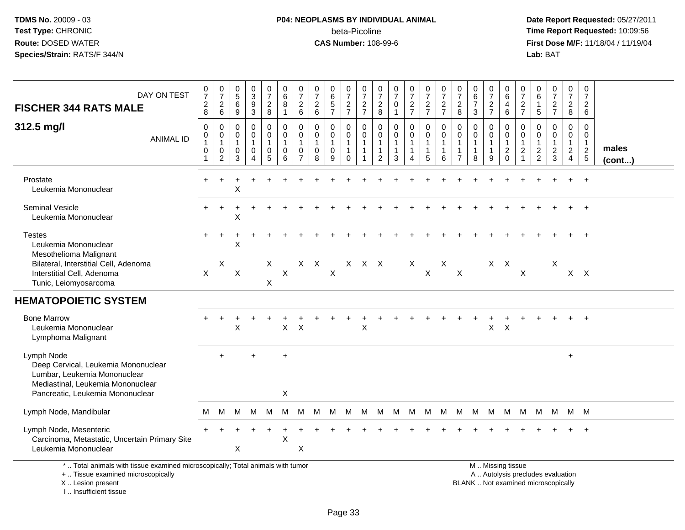# **P04: NEOPLASMS BY INDIVIDUAL ANIMAL**beta-Picoline<br>CAS Number: 108-99-6

 **Date Report Requested:** 05/27/2011 **Time Report Requested:** 10:09:56 **First Dose M/F:** 11/18/04 / 11/19/04<br>**Lab:** BAT **Lab:** BAT

| DAY ON TEST<br><b>FISCHER 344 RATS MALE</b><br>312.5 mg/l                                                                                                  | $\frac{0}{7}$<br>$\frac{2}{8}$<br>$\mathbf 0$  | $\frac{0}{7}$<br>$\overline{2}$<br>$6\phantom{1}6$<br>0 | $\begin{array}{c} 0 \\ 5 \end{array}$<br>6<br>$9\,$<br>0 | $_{3}^{\rm 0}$<br>$\frac{9}{3}$<br>0  | $\begin{array}{c} 0 \\ 7 \end{array}$<br>$\overline{2}$<br>8<br>$\mathbf 0$ | $\begin{array}{c} 0 \\ 6 \end{array}$<br>8<br>$\mathbf{1}$<br>0 | $\frac{0}{7}$<br>$^2\phantom{0}6$<br>$\mathbf 0$               | $\frac{0}{7}$<br>$\frac{2}{6}$<br>$\mathbf 0$   | 0<br>$\,6$<br>$\frac{5}{7}$<br>0              | $\pmb{0}$<br>$\overline{7}$<br>$\frac{2}{7}$<br>0          | 0<br>$\overline{7}$<br>$\frac{2}{7}$<br>0 | 0<br>$\overline{7}$<br>$_{8}^2$<br>0                | $\frac{0}{7}$<br>$\pmb{0}$<br>$\mathbf{1}$<br>$\mathbf 0$ | $\frac{0}{7}$<br>$rac{2}{7}$<br>$\mathbf 0$     | $\frac{0}{7}$<br>$rac{2}{7}$<br>$\mathbf 0$          | $\frac{0}{7}$<br>$\frac{2}{7}$<br>0 | $\frac{0}{7}$<br>$\sqrt{2}$<br>8<br>$\mathbf 0$            | $_{6}^{\rm 0}$<br>$\overline{7}$<br>$\mathbf{3}$<br>$\mathbf 0$ | 0<br>$\overline{7}$<br>$\frac{2}{7}$<br>0          | 0<br>$\,6\,$<br>4<br>$\,6\,$<br>$\mathbf 0$                  | 0<br>$\overline{7}$<br>$\frac{2}{7}$<br>0                       | 0<br>$\,6\,$<br>$\mathbf{1}$<br>$\sqrt{5}$<br>0                   | $\frac{0}{7}$<br>$\frac{2}{7}$<br>0          | $\pmb{0}$<br>$\overline{7}$<br>$\overline{a}$<br>8<br>$\mathbf 0$ | 0<br>$\overline{7}$<br>$\overline{2}$<br>$\,6\,$<br>$\mathbf 0$ |                 |
|------------------------------------------------------------------------------------------------------------------------------------------------------------|------------------------------------------------|---------------------------------------------------------|----------------------------------------------------------|---------------------------------------|-----------------------------------------------------------------------------|-----------------------------------------------------------------|----------------------------------------------------------------|-------------------------------------------------|-----------------------------------------------|------------------------------------------------------------|-------------------------------------------|-----------------------------------------------------|-----------------------------------------------------------|-------------------------------------------------|------------------------------------------------------|-------------------------------------|------------------------------------------------------------|-----------------------------------------------------------------|----------------------------------------------------|--------------------------------------------------------------|-----------------------------------------------------------------|-------------------------------------------------------------------|----------------------------------------------|-------------------------------------------------------------------|-----------------------------------------------------------------|-----------------|
| <b>ANIMAL ID</b>                                                                                                                                           | $\pmb{0}$<br>$\mathbf{1}$<br>$\mathbf 0$<br>-1 | 0<br>$\mathbf{1}$<br>$\mathbf 0$<br>$\overline{c}$      | $\mathbf 0$<br>$\mathbf{1}$<br>$\mathbf 0$<br>3          | $\mathbf 0$<br>$\mathbf{1}$<br>0<br>4 | 0<br>$\mathbf{1}$<br>$\mathbf 0$<br>5                                       | $\mathbf 0$<br>1<br>$\mathbf 0$<br>$6\phantom{a}$               | $\mathbf 0$<br>$\overline{1}$<br>$\mathbf 0$<br>$\overline{7}$ | $\mathbf 0$<br>$\mathbf{1}$<br>$\mathbf 0$<br>8 | 0<br>$\mathbf{1}$<br>$\mathsf{O}\xspace$<br>9 | $\mathbf 0$<br>$\mathbf{1}$<br>$\mathbf{1}$<br>$\mathbf 0$ | 0<br>$\mathbf{1}$<br>$\mathbf 1$<br>1     | 0<br>$\mathbf{1}$<br>$\mathbf{1}$<br>$\overline{2}$ | $\pmb{0}$<br>$\mathbf{1}$<br>$\mathbf{1}$<br>$\mathbf{3}$ | $\mathbf 0$<br>$\mathbf{1}$<br>$\mathbf 1$<br>4 | $\mathbf 0$<br>$\overline{1}$<br>$\overline{1}$<br>5 | $\mathbf 0$<br>1<br>1<br>6          | $\Omega$<br>$\mathbf{1}$<br>$\mathbf{1}$<br>$\overline{7}$ | $\mathbf 0$<br>$\mathbf{1}$<br>$\mathbf{1}$<br>8                | $\mathbf 0$<br>$\overline{1}$<br>$\mathbf{1}$<br>9 | $\mathbf 0$<br>$\mathbf{1}$<br>$\overline{c}$<br>$\mathbf 0$ | $\mathbf 0$<br>$\mathbf{1}$<br>$\boldsymbol{2}$<br>$\mathbf{1}$ | $\mathbf 0$<br>$\mathbf{1}$<br>$\boldsymbol{2}$<br>$\overline{2}$ | $\mathbf 0$<br>$\mathbf{1}$<br>$\frac{2}{3}$ | $\mathbf 0$<br>$\mathbf{1}$<br>$\frac{2}{4}$                      | $\mathbf 0$<br>$\mathbf{1}$<br>$\frac{2}{5}$                    | males<br>(cont) |
| Prostate<br>Leukemia Mononuclear                                                                                                                           |                                                |                                                         | Χ                                                        |                                       |                                                                             |                                                                 |                                                                |                                                 |                                               |                                                            |                                           |                                                     |                                                           |                                                 |                                                      |                                     |                                                            |                                                                 |                                                    |                                                              |                                                                 |                                                                   |                                              |                                                                   | $\overline{+}$                                                  |                 |
| Seminal Vesicle<br>Leukemia Mononuclear                                                                                                                    |                                                |                                                         | Χ                                                        |                                       |                                                                             |                                                                 |                                                                |                                                 |                                               |                                                            |                                           |                                                     |                                                           |                                                 |                                                      |                                     |                                                            |                                                                 |                                                    |                                                              |                                                                 |                                                                   |                                              |                                                                   |                                                                 |                 |
| <b>Testes</b><br>Leukemia Mononuclear<br>Mesothelioma Malignant                                                                                            | $\ddot{}$                                      | $\ddot{}$                                               | X                                                        |                                       |                                                                             |                                                                 |                                                                |                                                 |                                               |                                                            |                                           |                                                     |                                                           |                                                 |                                                      |                                     |                                                            |                                                                 |                                                    |                                                              |                                                                 |                                                                   |                                              |                                                                   | $\ddot{}$                                                       |                 |
| Bilateral, Interstitial Cell, Adenoma<br>Interstitial Cell, Adenoma<br>Tunic, Leiomyosarcoma                                                               | $\boldsymbol{\mathsf{X}}$                      | $\boldsymbol{\mathsf{X}}$                               | $\sf X$                                                  |                                       | Χ<br>X                                                                      | $\boldsymbol{\mathsf{X}}$                                       |                                                                | $X$ $X$                                         | $\boldsymbol{\mathsf{X}}$                     |                                                            | X X X                                     |                                                     |                                                           | X                                               | $\mathsf{X}$                                         | $\boldsymbol{X}$                    | $\boldsymbol{X}$                                           |                                                                 | $X$ $X$                                            |                                                              | $\boldsymbol{\mathsf{X}}$                                       |                                                                   | Χ                                            |                                                                   | $X$ $X$                                                         |                 |
| <b>HEMATOPOIETIC SYSTEM</b>                                                                                                                                |                                                |                                                         |                                                          |                                       |                                                                             |                                                                 |                                                                |                                                 |                                               |                                                            |                                           |                                                     |                                                           |                                                 |                                                      |                                     |                                                            |                                                                 |                                                    |                                                              |                                                                 |                                                                   |                                              |                                                                   |                                                                 |                 |
| <b>Bone Marrow</b><br>Leukemia Mononuclear<br>Lymphoma Malignant                                                                                           |                                                |                                                         | X                                                        |                                       |                                                                             | $\mathsf{X}$                                                    | $\boldsymbol{\mathsf{X}}$                                      |                                                 |                                               |                                                            | $\mathsf X$                               |                                                     |                                                           |                                                 |                                                      |                                     |                                                            |                                                                 | X                                                  | $\mathsf{X}$                                                 |                                                                 |                                                                   |                                              | $+$                                                               | $+$                                                             |                 |
| Lymph Node<br>Deep Cervical, Leukemia Mononuclear<br>Lumbar, Leukemia Mononuclear<br>Mediastinal, Leukemia Mononuclear<br>Pancreatic, Leukemia Mononuclear |                                                | $\ddot{}$                                               |                                                          | $\div$                                |                                                                             | $\ddot{}$<br>X                                                  |                                                                |                                                 |                                               |                                                            |                                           |                                                     |                                                           |                                                 |                                                      |                                     |                                                            |                                                                 |                                                    |                                                              |                                                                 |                                                                   |                                              | $+$                                                               |                                                                 |                 |
| Lymph Node, Mandibular                                                                                                                                     | м                                              | м                                                       | М                                                        | M                                     | M                                                                           | м                                                               | м                                                              | м                                               | м                                             | M                                                          | M                                         | M                                                   | M                                                         | M                                               | M                                                    | M                                   | M                                                          | M                                                               | M                                                  | M                                                            | M                                                               | M                                                                 | M                                            |                                                                   | M M                                                             |                 |
| Lymph Node, Mesenteric<br>Carcinoma, Metastatic, Uncertain Primary Site<br>Leukemia Mononuclear                                                            |                                                |                                                         | X                                                        |                                       |                                                                             | $\mathsf X$                                                     | X                                                              |                                                 |                                               |                                                            |                                           |                                                     |                                                           |                                                 |                                                      |                                     |                                                            |                                                                 |                                                    |                                                              |                                                                 |                                                                   |                                              |                                                                   | $\ddot{}$                                                       |                 |
| *  Total animals with tissue examined microscopically; Total animals with tumor<br>+  Tissue examined microscopically                                      |                                                |                                                         |                                                          |                                       |                                                                             |                                                                 |                                                                |                                                 |                                               |                                                            |                                           |                                                     |                                                           |                                                 |                                                      |                                     |                                                            |                                                                 |                                                    | M  Missing tissue                                            |                                                                 |                                                                   | A  Autolysis precludes evaluation            |                                                                   |                                                                 |                 |

I .. Insufficient tissue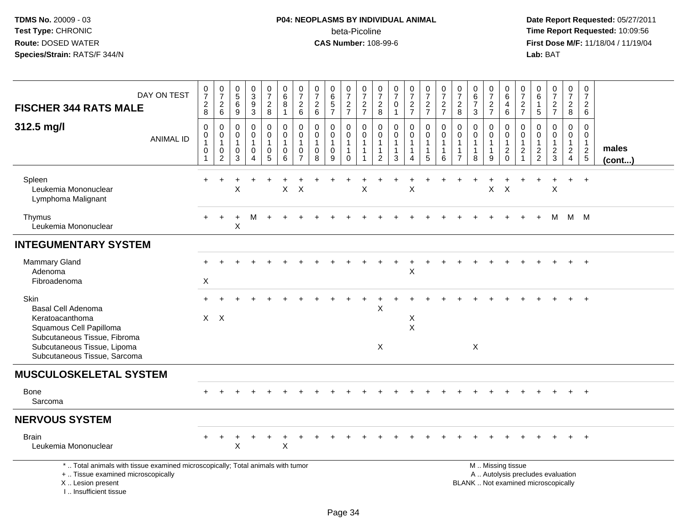# **P04: NEOPLASMS BY INDIVIDUAL ANIMAL**beta-Picoline<br>CAS Number: 108-99-6

| DAY ON TEST<br><b>FISCHER 344 RATS MALE</b>                                                                                                                             | $\begin{array}{c} 0 \\ 7 \end{array}$<br>$\sqrt{2}$<br>8        | $\frac{0}{7}$<br>$\sqrt{2}$<br>6                           | $\begin{array}{c} 0 \\ 5 \\ 6 \end{array}$<br>9      | $\begin{smallmatrix}0\3\9\end{smallmatrix}$<br>3          | $\frac{0}{7}$<br>$\frac{2}{8}$  | $\begin{array}{c} 0 \\ 6 \end{array}$<br>$\,8\,$<br>$\mathbf{1}$ | $\frac{0}{7}$<br>$\sqrt{2}$<br>$\,6\,$                              | $\frac{0}{7}$<br>$\sqrt{2}$<br>6                            | 0<br>6<br>5<br>7                           | $\begin{smallmatrix}0\\7\end{smallmatrix}$<br>$\frac{2}{7}$               | $\frac{0}{7}$<br>$\frac{2}{7}$                    | $\frac{0}{7}$<br>$\frac{2}{8}$                                                        | $\begin{array}{c} 0 \\ 7 \end{array}$<br>$\pmb{0}$<br>$\mathbf{1}$ | $\frac{0}{7}$<br>$\frac{2}{7}$                     | $\frac{0}{7}$<br>$\frac{2}{7}$                                        | $\frac{0}{7}$<br>$\frac{2}{7}$                                  | 0<br>$\boldsymbol{7}$<br>$\sqrt{2}$<br>8 | $\begin{array}{c} 0 \\ 6 \end{array}$<br>$\overline{7}$<br>3    | $\frac{0}{7}$<br>$\frac{2}{7}$                       | 0<br>$\,6\,$<br>4<br>$\,6\,$                                               | $\frac{0}{7}$<br>$\frac{2}{7}$                                                               | 0<br>6<br>$\mathbf{1}$<br>$\sqrt{5}$                | $\begin{array}{c} 0 \\ 7 \end{array}$<br>$\frac{2}{7}$                   | $\begin{array}{c} 0 \\ 7 \end{array}$<br>$\frac{2}{8}$               | $\frac{0}{7}$<br>$\overline{c}$<br>6                        |                 |
|-------------------------------------------------------------------------------------------------------------------------------------------------------------------------|-----------------------------------------------------------------|------------------------------------------------------------|------------------------------------------------------|-----------------------------------------------------------|---------------------------------|------------------------------------------------------------------|---------------------------------------------------------------------|-------------------------------------------------------------|--------------------------------------------|---------------------------------------------------------------------------|---------------------------------------------------|---------------------------------------------------------------------------------------|--------------------------------------------------------------------|----------------------------------------------------|-----------------------------------------------------------------------|-----------------------------------------------------------------|------------------------------------------|-----------------------------------------------------------------|------------------------------------------------------|----------------------------------------------------------------------------|----------------------------------------------------------------------------------------------|-----------------------------------------------------|--------------------------------------------------------------------------|----------------------------------------------------------------------|-------------------------------------------------------------|-----------------|
| 312.5 mg/l<br><b>ANIMAL ID</b>                                                                                                                                          | $\mathbf 0$<br>$\mathbf 0$<br>$\mathbf{1}$<br>0<br>$\mathbf{1}$ | $\mathbf 0$<br>$\pmb{0}$<br>1<br>$\mathbf 0$<br>$\sqrt{2}$ | $\mathbf 0$<br>$\mathbf 0$<br>$\mathbf{1}$<br>0<br>3 | $\pmb{0}$<br>$\mathbf 0$<br>$\mathbf{1}$<br>0<br>$\Delta$ | 0<br>$\mathbf 0$<br>1<br>0<br>5 | $\mathbf 0$<br>$\pmb{0}$<br>$\overline{1}$<br>0<br>6             | 0<br>$\mathbf 0$<br>$\overline{1}$<br>$\mathbf 0$<br>$\overline{7}$ | $\Omega$<br>$\mathbf 0$<br>$\mathbf{1}$<br>$\mathbf 0$<br>8 | 0<br>$\mathbf 0$<br>$\mathbf{1}$<br>0<br>9 | $\mathbf 0$<br>$\mathbf 0$<br>$\mathbf{1}$<br>$\mathbf{1}$<br>$\mathbf 0$ | $\mathbf 0$<br>$\mathsf 0$<br>$\overline{1}$<br>1 | $\mathbf 0$<br>$\boldsymbol{0}$<br>$\overline{1}$<br>$\overline{1}$<br>$\overline{2}$ | $\mathbf 0$<br>$\mathbf 0$<br>$\mathbf{1}$<br>$\mathbf{1}$<br>3    | 0<br>$\mathbf 0$<br>$\mathbf{1}$<br>$\overline{4}$ | $\pmb{0}$<br>$\ddot{\mathbf{0}}$<br>$\mathbf{1}$<br>$\mathbf{1}$<br>5 | $\mathbf 0$<br>$\mathsf 0$<br>$\mathbf{1}$<br>$\mathbf{1}$<br>6 | 0<br>$\mathbf 0$<br>-1<br>$\overline{7}$ | $\mathbf 0$<br>$\mathbf 0$<br>$\mathbf{1}$<br>$\mathbf{1}$<br>8 | 0<br>$\mathbf 0$<br>$\mathbf{1}$<br>$\mathbf 1$<br>9 | $\mathbf 0$<br>$\mathbf 0$<br>$\mathbf{1}$<br>$\boldsymbol{2}$<br>$\Omega$ | $\mathbf 0$<br>$\mathsf{O}\xspace$<br>$\mathbf{1}$<br>$\overline{c}$<br>$\blacktriangleleft$ | $\mathbf 0$<br>0<br>$\overline{1}$<br>$\frac{2}{2}$ | $\mathbf 0$<br>$\mathbf 0$<br>1<br>$\frac{2}{3}$                         | 0<br>$\mathbf 0$<br>$\mathbf{1}$<br>$\overline{a}$<br>$\overline{4}$ | $\mathbf 0$<br>$\mathsf 0$<br>$\overline{1}$<br>$rac{2}{5}$ | males<br>(cont) |
| Spleen<br>Leukemia Mononuclear<br>Lymphoma Malignant                                                                                                                    | $\ddot{}$                                                       |                                                            | X                                                    |                                                           | +                               | $\sf X$                                                          | $\sf X$                                                             |                                                             |                                            |                                                                           | $\mathsf X$                                       |                                                                                       |                                                                    | X                                                  |                                                                       |                                                                 |                                          |                                                                 | X                                                    | $\boldsymbol{\mathsf{X}}$                                                  |                                                                                              |                                                     | X                                                                        | $+$                                                                  | $+$                                                         |                 |
| Thymus<br>Leukemia Mononuclear                                                                                                                                          | $\div$                                                          | $\div$                                                     | X                                                    | M                                                         | $\ddot{}$                       |                                                                  |                                                                     |                                                             |                                            |                                                                           |                                                   |                                                                                       |                                                                    |                                                    |                                                                       |                                                                 |                                          |                                                                 |                                                      |                                                                            |                                                                                              |                                                     | м                                                                        | M                                                                    | M                                                           |                 |
| <b>INTEGUMENTARY SYSTEM</b>                                                                                                                                             |                                                                 |                                                            |                                                      |                                                           |                                 |                                                                  |                                                                     |                                                             |                                            |                                                                           |                                                   |                                                                                       |                                                                    |                                                    |                                                                       |                                                                 |                                          |                                                                 |                                                      |                                                                            |                                                                                              |                                                     |                                                                          |                                                                      |                                                             |                 |
| Mammary Gland<br>Adenoma<br>Fibroadenoma                                                                                                                                | $\boldsymbol{\mathsf{X}}$                                       |                                                            |                                                      |                                                           |                                 |                                                                  |                                                                     |                                                             |                                            |                                                                           |                                                   |                                                                                       |                                                                    | $\sf X$                                            |                                                                       |                                                                 |                                          |                                                                 |                                                      |                                                                            |                                                                                              |                                                     |                                                                          |                                                                      | $\overline{+}$                                              |                 |
| Skin<br>Basal Cell Adenoma<br>Keratoacanthoma<br>Squamous Cell Papilloma<br>Subcutaneous Tissue, Fibroma<br>Subcutaneous Tissue, Lipoma<br>Subcutaneous Tissue, Sarcoma | $\mathsf{X}$                                                    | $\mathsf{X}$                                               |                                                      |                                                           |                                 |                                                                  |                                                                     |                                                             |                                            |                                                                           |                                                   | X<br>$\boldsymbol{\mathsf{X}}$                                                        |                                                                    | X<br>$\sf X$                                       |                                                                       |                                                                 |                                          | X                                                               |                                                      |                                                                            |                                                                                              |                                                     |                                                                          |                                                                      |                                                             |                 |
| <b>MUSCULOSKELETAL SYSTEM</b>                                                                                                                                           |                                                                 |                                                            |                                                      |                                                           |                                 |                                                                  |                                                                     |                                                             |                                            |                                                                           |                                                   |                                                                                       |                                                                    |                                                    |                                                                       |                                                                 |                                          |                                                                 |                                                      |                                                                            |                                                                                              |                                                     |                                                                          |                                                                      |                                                             |                 |
| <b>Bone</b><br>Sarcoma                                                                                                                                                  |                                                                 |                                                            |                                                      |                                                           |                                 |                                                                  |                                                                     |                                                             |                                            |                                                                           |                                                   |                                                                                       |                                                                    |                                                    |                                                                       |                                                                 |                                          |                                                                 |                                                      |                                                                            |                                                                                              |                                                     |                                                                          |                                                                      |                                                             |                 |
| <b>NERVOUS SYSTEM</b>                                                                                                                                                   |                                                                 |                                                            |                                                      |                                                           |                                 |                                                                  |                                                                     |                                                             |                                            |                                                                           |                                                   |                                                                                       |                                                                    |                                                    |                                                                       |                                                                 |                                          |                                                                 |                                                      |                                                                            |                                                                                              |                                                     |                                                                          |                                                                      |                                                             |                 |
| <b>Brain</b><br>Leukemia Mononuclear                                                                                                                                    |                                                                 |                                                            | $\boldsymbol{\mathsf{X}}$                            |                                                           |                                 | $\sf X$                                                          |                                                                     |                                                             |                                            |                                                                           |                                                   |                                                                                       |                                                                    |                                                    |                                                                       |                                                                 |                                          |                                                                 |                                                      |                                                                            |                                                                                              |                                                     |                                                                          |                                                                      |                                                             |                 |
| *  Total animals with tissue examined microscopically; Total animals with tumor<br>+  Tissue examined microscopically<br>X  Lesion present<br>I Insufficient tissue     |                                                                 |                                                            |                                                      |                                                           |                                 |                                                                  |                                                                     |                                                             |                                            |                                                                           |                                                   |                                                                                       |                                                                    |                                                    |                                                                       |                                                                 |                                          | M  Missing tissue                                               |                                                      |                                                                            |                                                                                              |                                                     | A  Autolysis precludes evaluation<br>BLANK  Not examined microscopically |                                                                      |                                                             |                 |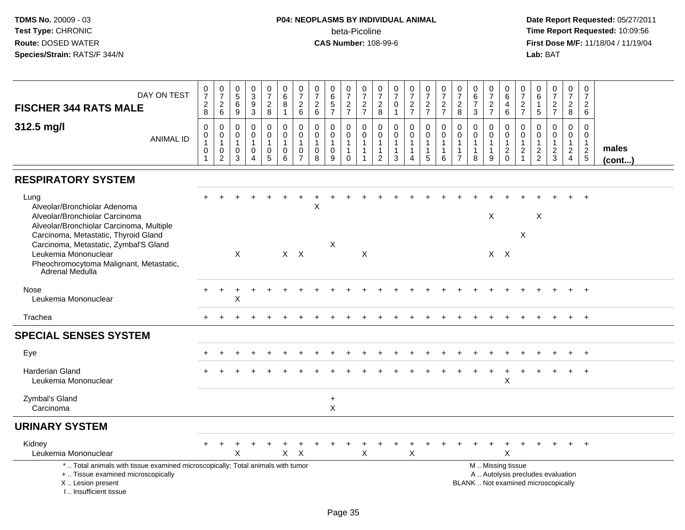## **P04: NEOPLASMS BY INDIVIDUAL ANIMAL**beta-Picoline<br>CAS Number: 108-99-6

| DAY ON TEST                                                                                                                                                           | $\frac{0}{7}$                                                   | $\frac{0}{7}$                                                   | $\begin{array}{c} 0 \\ 5 \end{array}$                   | $_3^0$                                                  | $\begin{smallmatrix}0\\7\end{smallmatrix}$                 | $\begin{array}{c} 0 \\ 6 \end{array}$                          | 0<br>$\overline{7}$                                                        | $\frac{0}{7}$                                                  | $_{6}^{\rm 0}$                       | $\frac{0}{7}$                                                       | $\frac{0}{7}$                                             | 0<br>$\boldsymbol{7}$                                                        | $\begin{array}{c} 0 \\ 7 \end{array}$                   | $\begin{array}{c} 0 \\ 7 \end{array}$                                | $\begin{array}{c} 0 \\ 7 \end{array}$                                        | $\frac{0}{7}$                                        | $\frac{0}{7}$                                                                | $0\over 6$<br>$\overline{7}$                | $\begin{array}{c} 0 \\ 7 \end{array}$                 | $\mathbf 0$<br>$\overline{6}$                                                                 | $\mathbf 0$<br>$\overline{7}$                               | $\mathbf 0$<br>$\overline{6}$                                 | $\frac{0}{7}$                                        | $\frac{0}{7}$                                                             | $\frac{0}{7}$                                             |                 |
|-----------------------------------------------------------------------------------------------------------------------------------------------------------------------|-----------------------------------------------------------------|-----------------------------------------------------------------|---------------------------------------------------------|---------------------------------------------------------|------------------------------------------------------------|----------------------------------------------------------------|----------------------------------------------------------------------------|----------------------------------------------------------------|--------------------------------------|---------------------------------------------------------------------|-----------------------------------------------------------|------------------------------------------------------------------------------|---------------------------------------------------------|----------------------------------------------------------------------|------------------------------------------------------------------------------|------------------------------------------------------|------------------------------------------------------------------------------|---------------------------------------------|-------------------------------------------------------|-----------------------------------------------------------------------------------------------|-------------------------------------------------------------|---------------------------------------------------------------|------------------------------------------------------|---------------------------------------------------------------------------|-----------------------------------------------------------|-----------------|
| <b>FISCHER 344 RATS MALE</b>                                                                                                                                          | $\frac{2}{8}$                                                   | $^2$ 6                                                          | $6\phantom{a}$<br>9                                     | $\frac{9}{3}$                                           | $\frac{2}{8}$                                              | $\bf 8$<br>$\overline{1}$                                      | $\sqrt{2}$<br>6                                                            | $\sqrt{2}$<br>6                                                | $\mathbf 5$<br>$\overline{7}$        | $\frac{2}{7}$                                                       | $\overline{c}$<br>$\overline{7}$                          | $_{\rm 8}^2$                                                                 | $\pmb{0}$<br>$\mathbf{1}$                               | $\frac{2}{7}$                                                        | $\frac{2}{7}$                                                                | $\frac{2}{7}$                                        | $\frac{2}{8}$                                                                | 3                                           | $\frac{2}{7}$                                         | $\overline{4}$<br>6                                                                           | $\frac{2}{7}$                                               | $\overline{1}$<br>$\sqrt{5}$                                  | $rac{2}{7}$                                          | $\boldsymbol{2}$<br>8                                                     | $\overline{c}$<br>6                                       |                 |
| 312.5 mg/l<br><b>ANIMAL ID</b>                                                                                                                                        | $\mathbf 0$<br>0<br>$\mathbf{1}$<br>$\mathbf 0$<br>$\mathbf{1}$ | $\mathbf 0$<br>$\pmb{0}$<br>$\mathbf{1}$<br>0<br>$\overline{c}$ | $\mathbf 0$<br>0<br>$\overline{1}$<br>$\mathbf{0}$<br>3 | 0<br>$\mathsf 0$<br>$\mathbf{1}$<br>0<br>$\overline{4}$ | 0<br>$\overline{0}$<br>$\mathbf{1}$<br>0<br>$\overline{5}$ | $\mathbf 0$<br>$\pmb{0}$<br>$\overline{1}$<br>$\mathbf 0$<br>6 | $\Omega$<br>$\mathbf 0$<br>$\overline{1}$<br>$\mathbf 0$<br>$\overline{7}$ | $\mathbf 0$<br>$\mathbf 0$<br>$\mathbf{1}$<br>$\mathbf 0$<br>8 | 0<br>$\mathbf 0$<br>$\mathbf 0$<br>9 | $\pmb{0}$<br>$\pmb{0}$<br>$\mathbf{1}$<br>$\mathbf{1}$<br>$\pmb{0}$ | $\mathbf 0$<br>$\mathbf 0$<br>$\mathbf{1}$<br>$\mathbf 1$ | $\mathbf 0$<br>$\mathbf 0$<br>$\mathbf{1}$<br>$\mathbf{1}$<br>$\overline{2}$ | $\mathbf 0$<br>$\mathsf{O}\xspace$<br>$\mathbf{1}$<br>3 | 0<br>$\pmb{0}$<br>$\overline{1}$<br>$\overline{1}$<br>$\overline{4}$ | $\mathbf 0$<br>$\mathbf 0$<br>$\mathbf{1}$<br>$\mathbf{1}$<br>$\overline{5}$ | $\mathbf 0$<br>$\mathbf 0$<br>1<br>$\mathbf{1}$<br>6 | $\mathbf 0$<br>$\mathbf 0$<br>$\mathbf{1}$<br>$\mathbf{1}$<br>$\overline{7}$ | 0<br>0<br>$\mathbf{1}$<br>$\mathbf{1}$<br>8 | 0<br>$\mathbf 0$<br>$\mathbf{1}$<br>$\mathbf{1}$<br>9 | 0<br>$\mathsf{O}\xspace$<br>$\mathbf{1}$<br>$^2_{\rm 0}$                                      | $\mathbf 0$<br>$\mathbf 0$<br>$\mathbf{1}$<br>$\frac{2}{1}$ | $\mathbf 0$<br>$\mathbf 0$<br>$\overline{1}$<br>$\frac{2}{2}$ | 0<br>$\overline{0}$<br>$\mathbf{1}$<br>$\frac{2}{3}$ | $\Omega$<br>$\mathbf 0$<br>$\overline{1}$<br>$\sqrt{2}$<br>$\overline{4}$ | $\Omega$<br>$\mathbf{0}$<br>$\mathbf{1}$<br>$\frac{2}{5}$ | males<br>(cont) |
| <b>RESPIRATORY SYSTEM</b>                                                                                                                                             |                                                                 |                                                                 |                                                         |                                                         |                                                            |                                                                |                                                                            |                                                                |                                      |                                                                     |                                                           |                                                                              |                                                         |                                                                      |                                                                              |                                                      |                                                                              |                                             |                                                       |                                                                                               |                                                             |                                                               |                                                      |                                                                           |                                                           |                 |
| Lung<br>Alveolar/Bronchiolar Adenoma<br>Alveolar/Bronchiolar Carcinoma<br>Alveolar/Bronchiolar Carcinoma, Multiple<br>Carcinoma, Metastatic, Thyroid Gland            |                                                                 |                                                                 |                                                         |                                                         |                                                            |                                                                |                                                                            | $\pmb{\times}$                                                 |                                      |                                                                     |                                                           |                                                                              |                                                         |                                                                      |                                                                              |                                                      |                                                                              |                                             | X                                                     |                                                                                               | $\mathsf X$                                                 | $\times$                                                      |                                                      |                                                                           |                                                           |                 |
| Carcinoma, Metastatic, Zymbal'S Gland<br>Leukemia Mononuclear<br>Pheochromocytoma Malignant, Metastatic,<br>Adrenal Medulla                                           |                                                                 |                                                                 | $\mathsf X$                                             |                                                         |                                                            | $X$ $X$                                                        |                                                                            |                                                                | X                                    |                                                                     | X                                                         |                                                                              |                                                         |                                                                      |                                                                              |                                                      |                                                                              |                                             |                                                       | $X$ $X$                                                                                       |                                                             |                                                               |                                                      |                                                                           |                                                           |                 |
| Nose<br>Leukemia Mononuclear                                                                                                                                          |                                                                 |                                                                 | X                                                       |                                                         |                                                            |                                                                |                                                                            |                                                                |                                      |                                                                     |                                                           |                                                                              |                                                         |                                                                      |                                                                              |                                                      |                                                                              |                                             |                                                       |                                                                                               |                                                             |                                                               |                                                      |                                                                           |                                                           |                 |
| Trachea                                                                                                                                                               |                                                                 |                                                                 |                                                         |                                                         |                                                            |                                                                |                                                                            |                                                                |                                      |                                                                     |                                                           |                                                                              |                                                         |                                                                      |                                                                              |                                                      |                                                                              |                                             |                                                       |                                                                                               |                                                             |                                                               |                                                      |                                                                           | $+$                                                       |                 |
| <b>SPECIAL SENSES SYSTEM</b>                                                                                                                                          |                                                                 |                                                                 |                                                         |                                                         |                                                            |                                                                |                                                                            |                                                                |                                      |                                                                     |                                                           |                                                                              |                                                         |                                                                      |                                                                              |                                                      |                                                                              |                                             |                                                       |                                                                                               |                                                             |                                                               |                                                      |                                                                           |                                                           |                 |
| Eye                                                                                                                                                                   |                                                                 |                                                                 |                                                         |                                                         |                                                            |                                                                |                                                                            |                                                                |                                      |                                                                     |                                                           |                                                                              |                                                         |                                                                      |                                                                              |                                                      |                                                                              |                                             |                                                       |                                                                                               |                                                             |                                                               |                                                      |                                                                           |                                                           |                 |
| <b>Harderian Gland</b><br>Leukemia Mononuclear                                                                                                                        |                                                                 |                                                                 |                                                         |                                                         |                                                            |                                                                |                                                                            |                                                                |                                      |                                                                     |                                                           |                                                                              |                                                         |                                                                      |                                                                              |                                                      |                                                                              |                                             |                                                       | X                                                                                             |                                                             |                                                               |                                                      |                                                                           |                                                           |                 |
| Zymbal's Gland<br>Carcinoma                                                                                                                                           |                                                                 |                                                                 |                                                         |                                                         |                                                            |                                                                |                                                                            |                                                                | $\ddot{}$<br>X                       |                                                                     |                                                           |                                                                              |                                                         |                                                                      |                                                                              |                                                      |                                                                              |                                             |                                                       |                                                                                               |                                                             |                                                               |                                                      |                                                                           |                                                           |                 |
| <b>URINARY SYSTEM</b>                                                                                                                                                 |                                                                 |                                                                 |                                                         |                                                         |                                                            |                                                                |                                                                            |                                                                |                                      |                                                                     |                                                           |                                                                              |                                                         |                                                                      |                                                                              |                                                      |                                                                              |                                             |                                                       |                                                                                               |                                                             |                                                               |                                                      |                                                                           |                                                           |                 |
| Kidney<br>Leukemia Mononuclear                                                                                                                                        |                                                                 |                                                                 | X                                                       |                                                         |                                                            | X                                                              | $\times$                                                                   |                                                                |                                      |                                                                     | X                                                         |                                                                              |                                                         | X                                                                    |                                                                              |                                                      |                                                                              |                                             |                                                       | X                                                                                             |                                                             |                                                               |                                                      |                                                                           |                                                           |                 |
| *  Total animals with tissue examined microscopically; Total animals with tumor<br>+  Tissue examined microscopically<br>X  Lesion present<br>I., Insufficient tissue |                                                                 |                                                                 |                                                         |                                                         |                                                            |                                                                |                                                                            |                                                                |                                      |                                                                     |                                                           |                                                                              |                                                         |                                                                      |                                                                              |                                                      |                                                                              |                                             |                                                       | M  Missing tissue<br>A  Autolysis precludes evaluation<br>BLANK  Not examined microscopically |                                                             |                                                               |                                                      |                                                                           |                                                           |                 |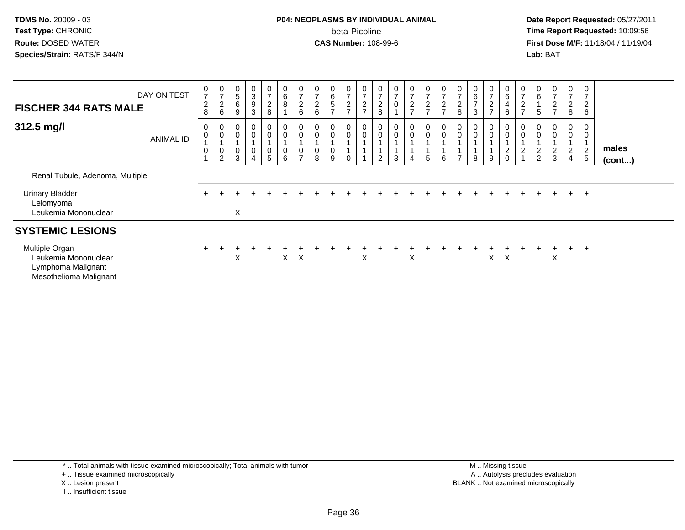## **P04: NEOPLASMS BY INDIVIDUAL ANIMAL**beta-Picoline<br>CAS Number: 108-99-6

 **Date Report Requested:** 05/27/2011 **Time Report Requested:** 10:09:56 **First Dose M/F:** 11/18/04 / 11/19/04<br>**Lab:** BAT **Lab:** BAT

| <b>FISCHER 344 RATS MALE</b>                                                           | DAY ON TEST      | $\frac{0}{7}$<br>$\sqrt{2}$<br>8      | $\frac{0}{7}$<br>$^2\phantom{1}6$               | $\begin{array}{c} 0 \\ 5 \end{array}$<br>6<br>9 | $_{3}^{\rm 0}$<br>$\boldsymbol{9}$<br>$\mathbf{3}$ | $\frac{0}{7}$<br>$_{\rm 8}^2$ | $\pmb{0}$<br>$\,6\,$<br>8                      | $\frac{0}{7}$<br>$^2\phantom{1}6$             | $\begin{array}{c} 0 \\ 7 \end{array}$<br>$\frac{2}{6}$        | $\begin{array}{c} 0 \\ 6 \end{array}$<br>$\sqrt{5}$<br>$\rightarrow$ | $\frac{0}{7}$<br>$\frac{2}{7}$ | $\frac{0}{7}$<br>$\frac{2}{7}$ | $\frac{0}{7}$<br>$\overline{2}$<br>8              | $\frac{0}{7}$<br>$\pmb{0}$  | $\frac{0}{7}$<br>$\frac{2}{7}$ | $\frac{0}{7}$<br>$\frac{2}{7}$                  | $\frac{0}{7}$<br>$\frac{2}{7}$ | $\frac{0}{7}$<br>$_{\rm 8}^2$        | $\begin{array}{c} 0 \\ 6 \end{array}$<br>$\overline{z}$<br>3 | $\frac{0}{7}$<br>$\frac{2}{7}$ | $_{6}^{\rm 0}$<br>4<br>$6\phantom{.}6$ | $\frac{0}{7}$<br>$\boldsymbol{2}$<br>$\overline{ }$                             | $_{6}^{\rm 0}$<br>5                            | $\frac{0}{7}$<br>$\frac{2}{7}$  | $\frac{0}{7}$<br>$\overline{c}$<br>8       | 0<br>$\overline{7}$<br>$\sqrt{2}$<br>6  |                       |
|----------------------------------------------------------------------------------------|------------------|---------------------------------------|-------------------------------------------------|-------------------------------------------------|----------------------------------------------------|-------------------------------|------------------------------------------------|-----------------------------------------------|---------------------------------------------------------------|----------------------------------------------------------------------|--------------------------------|--------------------------------|---------------------------------------------------|-----------------------------|--------------------------------|-------------------------------------------------|--------------------------------|--------------------------------------|--------------------------------------------------------------|--------------------------------|----------------------------------------|---------------------------------------------------------------------------------|------------------------------------------------|---------------------------------|--------------------------------------------|-----------------------------------------|-----------------------|
| 312.5 mg/l                                                                             | <b>ANIMAL ID</b> | $\pmb{0}$<br>$\pmb{0}$<br>$\mathbf 0$ | $_{\rm 0}^{\rm 0}$<br>$\,0\,$<br>$\overline{2}$ | $_{\rm 0}^{\rm 0}$<br>0<br>3                    | $_{\rm 0}^{\rm 0}$<br>$\pmb{0}$                    | 0<br>0<br>0<br>5              | 0<br>$\boldsymbol{0}$<br>$\boldsymbol{0}$<br>6 | 0<br>$\pmb{0}$<br>$\pmb{0}$<br>$\overline{ }$ | $\begin{smallmatrix}0\0\0\end{smallmatrix}$<br>$\pmb{0}$<br>8 | 0<br>0<br>9                                                          | 0<br>$\mathbf 0$<br>$\Omega$   | 0<br>$\pmb{0}$                 | $\begin{smallmatrix} 0\\0 \end{smallmatrix}$<br>2 | $\pmb{0}$<br>$\pmb{0}$<br>3 | 0<br>$\boldsymbol{0}$<br>4     | $\begin{smallmatrix}0\\0\end{smallmatrix}$<br>5 | $\mathbf 0$<br>$\pmb{0}$<br>6  | $_{\rm 0}^{\rm 0}$<br>$\overline{ }$ | $_{\rm 0}^{\rm 0}$<br>8                                      | 0<br>$\mathbf 0$<br>9          | $\bar{0}$<br>$^2_{\rm 0}$              | $\begin{smallmatrix}0\0\0\end{smallmatrix}$<br>$\overline{A}$<br>$\overline{c}$ | 0<br>$\overline{\mathbf{c}}$<br>$\overline{2}$ | 0<br>$\pmb{0}$<br>$\frac{2}{3}$ | 0<br>0<br>$\overline{c}$<br>$\overline{4}$ | 0<br>$\mathbf 0$<br>$\overline{c}$<br>5 | males<br>$($ cont $)$ |
| Renal Tubule, Adenoma, Multiple                                                        |                  |                                       |                                                 |                                                 |                                                    |                               |                                                |                                               |                                                               |                                                                      |                                |                                |                                                   |                             |                                |                                                 |                                |                                      |                                                              |                                |                                        |                                                                                 |                                                |                                 |                                            |                                         |                       |
| <b>Urinary Bladder</b><br>Leiomyoma<br>Leukemia Mononuclear                            |                  |                                       |                                                 | X                                               |                                                    |                               |                                                |                                               |                                                               |                                                                      |                                |                                |                                                   |                             |                                |                                                 |                                |                                      |                                                              |                                |                                        |                                                                                 |                                                |                                 | $+$                                        | $+$                                     |                       |
| <b>SYSTEMIC LESIONS</b>                                                                |                  |                                       |                                                 |                                                 |                                                    |                               |                                                |                                               |                                                               |                                                                      |                                |                                |                                                   |                             |                                |                                                 |                                |                                      |                                                              |                                |                                        |                                                                                 |                                                |                                 |                                            |                                         |                       |
| Multiple Organ<br>Leukemia Mononuclear<br>Lymphoma Malignant<br>Mesothelioma Malignant |                  |                                       |                                                 | X                                               |                                                    |                               | $\times$                                       | $\mathsf{X}$                                  |                                                               |                                                                      |                                | X                              |                                                   |                             | X                              |                                                 |                                |                                      |                                                              | X                              | $\mathsf{X}$                           |                                                                                 |                                                | X                               | $\pm$                                      | $\pm$                                   |                       |

- + .. Tissue examined microscopically
- X .. Lesion present
- I .. Insufficient tissue

 M .. Missing tissuey the contract of the contract of the contract of the contract of the contract of the contract of the contract of  $A$ . Autolysis precludes evaluation Lesion present BLANK .. Not examined microscopically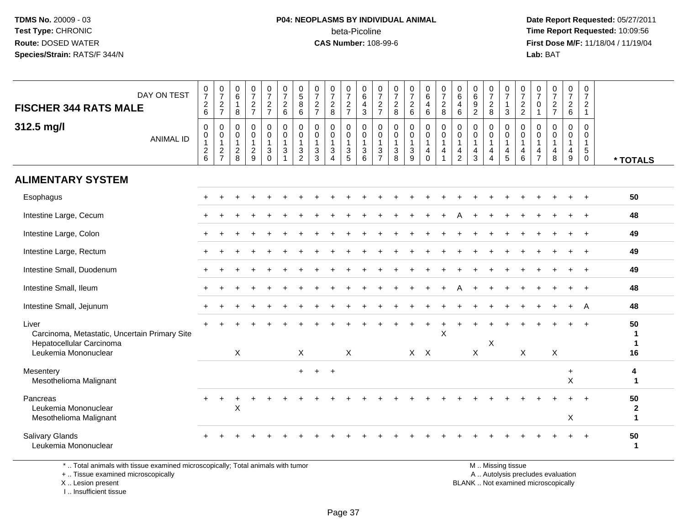#### **P04: NEOPLASMS BY INDIVIDUAL ANIMAL**beta-Picoline<br>CAS Number: 108-99-6

 **Date Report Requested:** 05/27/2011 **Time Report Requested:** 10:09:56 **First Dose M/F:** 11/18/04 / 11/19/04 Lab: BAT **Lab:** BAT

| DAY ON TEST<br><b>FISCHER 344 RATS MALE</b><br>312.5 mg/l<br><b>ANIMAL ID</b>                              | $\begin{array}{c} 0 \\ 7 \end{array}$<br>$\boldsymbol{2}$<br>$6\phantom{1}$<br>$\mathbf 0$<br>0<br>$\overline{1}$<br>$\boldsymbol{2}$ | $\frac{0}{7}$<br>$\frac{2}{7}$<br>0<br>$\pmb{0}$<br>$\mathbf{1}$<br>$\sqrt{2}$ | $\begin{array}{c} 0 \\ 6 \end{array}$<br>$\mathbf{1}$<br>$\, 8$<br>$\mathbf 0$<br>$\boldsymbol{0}$<br>$\mathbf{1}$<br>$\sqrt{2}$ | $\frac{0}{7}$<br>$\sqrt{2}$<br>$\overline{7}$<br>$\mathbf 0$<br>$\mathbf 0$<br>$\sqrt{2}$ | $\frac{0}{7}$<br>$\frac{2}{7}$<br>$\pmb{0}$<br>$\pmb{0}$<br>$\overline{1}$<br>$\ensuremath{\mathsf{3}}$ | $\frac{0}{7}$<br>$\overline{c}$<br>6<br>$\mathsf 0$<br>$\mathbf 0$<br>$\mathbf{1}$<br>$\sqrt{3}$ | $\begin{array}{c} 0 \\ 5 \end{array}$<br>8<br>6<br>0<br>0<br>1<br>$\mathbf{3}$ | $\begin{smallmatrix}0\\7\end{smallmatrix}$<br>$rac{2}{7}$<br>0<br>$\mathbf 0$<br>$\mathbf{1}$<br>$\mathbf{3}$ | $\frac{0}{7}$<br>$\overline{c}$<br>8<br>0<br>0<br>$\mathbf{1}$<br>3 | $\frac{0}{7}$<br>$\frac{2}{7}$<br>0<br>$\mathsf{O}\xspace$<br>$\mathbf{1}$<br>$\ensuremath{\mathsf{3}}$ | $\pmb{0}$<br>6<br>$\overline{4}$<br>$\mathbf{3}$<br>$\mathbf 0$<br>$\pmb{0}$<br>$\overline{1}$<br>$\sqrt{3}$ | 0<br>$\overline{7}$<br>$\overline{c}$<br>$\overline{7}$<br>0<br>0<br>$\mathbf 1$<br>$\mathbf{3}$ | $\frac{0}{7}$<br>$\overline{2}$<br>8<br>$\mathbf 0$<br>$\mathbf 0$<br>$\mathbf{1}$<br>$\sqrt{3}$ | $\frac{0}{7}$<br>$\overline{a}$<br>6<br>0<br>0<br>$\mathbf{3}$ | $\begin{array}{c} 0 \\ 6 \end{array}$<br>$\overline{4}$<br>$\,6\,$<br>0<br>$\mathbf 0$<br>$\mathbf{1}$<br>$\overline{4}$ | $\frac{0}{7}$<br>$\overline{c}$<br>8<br>$\mathbf 0$<br>$\pmb{0}$<br>1<br>$\overline{4}$ | $\pmb{0}$<br>$6\overline{6}$<br>$\overline{4}$<br>$6\phantom{1}$<br>$\mathbf 0$<br>0<br>$\overline{1}$<br>$\overline{4}$ | $\begin{array}{c} 0 \\ 6 \end{array}$<br>$\boldsymbol{9}$<br>$\overline{2}$<br>$\mathbf 0$<br>$\mathbf 0$<br>$\mathbf{1}$<br>$\overline{a}$ | 0<br>$\overline{7}$<br>$\sqrt{2}$<br>8<br>0<br>0<br>1<br>$\overline{4}$ | 0<br>$\overline{7}$<br>$\mathbf{1}$<br>$\mathbf{3}$<br>0<br>$\mathbf 0$<br>$\mathbf{1}$<br>4 | 0<br>$\overline{7}$<br>$\overline{c}$<br>$\overline{2}$<br>$\mathbf 0$<br>0<br>$\mathbf{1}$<br>4 | $\frac{0}{7}$<br>$\pmb{0}$<br>$\mathbf 1$<br>$\mathbf 0$<br>0<br>$\mathbf{1}$<br>4 | $\begin{array}{c} 0 \\ 7 \end{array}$<br>$\frac{2}{7}$<br>$\mathbf 0$<br>0<br>$\mathbf{1}$<br>4 | $\mathbf 0$<br>$\overline{7}$<br>$\sqrt{2}$<br>$\,6\,$<br>0<br>0<br>$\overline{1}$<br>$\overline{4}$ | $\pmb{0}$<br>$\overline{7}$<br>$\overline{2}$<br>$\mathbf{1}$<br>$\mathbf 0$<br>$\mathbf 0$<br>$\mathbf{1}$<br>$\sqrt{5}$ |                                    |
|------------------------------------------------------------------------------------------------------------|---------------------------------------------------------------------------------------------------------------------------------------|--------------------------------------------------------------------------------|----------------------------------------------------------------------------------------------------------------------------------|-------------------------------------------------------------------------------------------|---------------------------------------------------------------------------------------------------------|--------------------------------------------------------------------------------------------------|--------------------------------------------------------------------------------|---------------------------------------------------------------------------------------------------------------|---------------------------------------------------------------------|---------------------------------------------------------------------------------------------------------|--------------------------------------------------------------------------------------------------------------|--------------------------------------------------------------------------------------------------|--------------------------------------------------------------------------------------------------|----------------------------------------------------------------|--------------------------------------------------------------------------------------------------------------------------|-----------------------------------------------------------------------------------------|--------------------------------------------------------------------------------------------------------------------------|---------------------------------------------------------------------------------------------------------------------------------------------|-------------------------------------------------------------------------|----------------------------------------------------------------------------------------------|--------------------------------------------------------------------------------------------------|------------------------------------------------------------------------------------|-------------------------------------------------------------------------------------------------|------------------------------------------------------------------------------------------------------|---------------------------------------------------------------------------------------------------------------------------|------------------------------------|
|                                                                                                            | 6                                                                                                                                     | $\overline{7}$                                                                 | 8                                                                                                                                | 9                                                                                         | $\mathbf 0$                                                                                             | $\mathbf{1}$                                                                                     | $\overline{2}$                                                                 | 3                                                                                                             | $\Delta$                                                            | 5                                                                                                       | 6                                                                                                            | $\overline{7}$                                                                                   | 8                                                                                                | 9                                                              | $\Omega$                                                                                                                 |                                                                                         | $\overline{2}$                                                                                                           | 3                                                                                                                                           | $\overline{4}$                                                          | 5                                                                                            | 6                                                                                                | $\overline{7}$                                                                     | 8                                                                                               | 9                                                                                                    | $\mathbf 0$                                                                                                               | * TOTALS                           |
| <b>ALIMENTARY SYSTEM</b>                                                                                   |                                                                                                                                       |                                                                                |                                                                                                                                  |                                                                                           |                                                                                                         |                                                                                                  |                                                                                |                                                                                                               |                                                                     |                                                                                                         |                                                                                                              |                                                                                                  |                                                                                                  |                                                                |                                                                                                                          |                                                                                         |                                                                                                                          |                                                                                                                                             |                                                                         |                                                                                              |                                                                                                  |                                                                                    |                                                                                                 |                                                                                                      |                                                                                                                           |                                    |
| Esophagus                                                                                                  |                                                                                                                                       |                                                                                |                                                                                                                                  |                                                                                           |                                                                                                         |                                                                                                  |                                                                                |                                                                                                               |                                                                     |                                                                                                         |                                                                                                              |                                                                                                  |                                                                                                  |                                                                |                                                                                                                          |                                                                                         |                                                                                                                          |                                                                                                                                             |                                                                         |                                                                                              |                                                                                                  |                                                                                    |                                                                                                 |                                                                                                      |                                                                                                                           | 50                                 |
| Intestine Large, Cecum                                                                                     |                                                                                                                                       |                                                                                |                                                                                                                                  |                                                                                           |                                                                                                         |                                                                                                  |                                                                                |                                                                                                               |                                                                     |                                                                                                         |                                                                                                              |                                                                                                  |                                                                                                  |                                                                |                                                                                                                          |                                                                                         | А                                                                                                                        |                                                                                                                                             |                                                                         |                                                                                              |                                                                                                  |                                                                                    |                                                                                                 | $+$                                                                                                  | $+$                                                                                                                       | 48                                 |
| Intestine Large, Colon                                                                                     |                                                                                                                                       |                                                                                |                                                                                                                                  |                                                                                           |                                                                                                         |                                                                                                  |                                                                                |                                                                                                               |                                                                     |                                                                                                         |                                                                                                              |                                                                                                  |                                                                                                  |                                                                |                                                                                                                          |                                                                                         |                                                                                                                          |                                                                                                                                             |                                                                         |                                                                                              |                                                                                                  |                                                                                    |                                                                                                 |                                                                                                      | $\overline{ }$                                                                                                            | 49                                 |
| Intestine Large, Rectum                                                                                    |                                                                                                                                       |                                                                                |                                                                                                                                  |                                                                                           |                                                                                                         |                                                                                                  |                                                                                |                                                                                                               |                                                                     |                                                                                                         |                                                                                                              |                                                                                                  |                                                                                                  |                                                                |                                                                                                                          |                                                                                         |                                                                                                                          |                                                                                                                                             |                                                                         |                                                                                              |                                                                                                  |                                                                                    |                                                                                                 |                                                                                                      |                                                                                                                           | 49                                 |
| Intestine Small, Duodenum                                                                                  |                                                                                                                                       |                                                                                |                                                                                                                                  |                                                                                           |                                                                                                         |                                                                                                  |                                                                                |                                                                                                               |                                                                     |                                                                                                         |                                                                                                              |                                                                                                  |                                                                                                  |                                                                |                                                                                                                          |                                                                                         |                                                                                                                          |                                                                                                                                             |                                                                         |                                                                                              |                                                                                                  |                                                                                    |                                                                                                 |                                                                                                      |                                                                                                                           | 49                                 |
| Intestine Small, Ileum                                                                                     |                                                                                                                                       |                                                                                |                                                                                                                                  |                                                                                           |                                                                                                         |                                                                                                  |                                                                                |                                                                                                               |                                                                     |                                                                                                         |                                                                                                              |                                                                                                  |                                                                                                  |                                                                |                                                                                                                          |                                                                                         |                                                                                                                          |                                                                                                                                             |                                                                         |                                                                                              |                                                                                                  |                                                                                    |                                                                                                 |                                                                                                      | $\overline{+}$                                                                                                            | 48                                 |
| Intestine Small, Jejunum                                                                                   |                                                                                                                                       |                                                                                |                                                                                                                                  |                                                                                           |                                                                                                         |                                                                                                  |                                                                                |                                                                                                               |                                                                     |                                                                                                         |                                                                                                              |                                                                                                  |                                                                                                  |                                                                |                                                                                                                          |                                                                                         |                                                                                                                          |                                                                                                                                             |                                                                         |                                                                                              |                                                                                                  |                                                                                    |                                                                                                 |                                                                                                      | A                                                                                                                         | 48                                 |
| Liver<br>Carcinoma, Metastatic, Uncertain Primary Site<br>Hepatocellular Carcinoma<br>Leukemia Mononuclear |                                                                                                                                       |                                                                                | $\pmb{\times}$                                                                                                                   |                                                                                           |                                                                                                         |                                                                                                  | $\sf X$                                                                        |                                                                                                               |                                                                     | X                                                                                                       |                                                                                                              |                                                                                                  |                                                                                                  | $X$ $X$                                                        |                                                                                                                          | $\boldsymbol{\mathsf{X}}$                                                               |                                                                                                                          | $\mathsf X$                                                                                                                                 | X                                                                       |                                                                                              | $\sf X$                                                                                          |                                                                                    | X                                                                                               |                                                                                                      |                                                                                                                           | 50<br>1<br>1<br>16                 |
| Mesentery<br>Mesothelioma Malignant                                                                        |                                                                                                                                       |                                                                                |                                                                                                                                  |                                                                                           |                                                                                                         |                                                                                                  | $+$                                                                            |                                                                                                               | $+$                                                                 |                                                                                                         |                                                                                                              |                                                                                                  |                                                                                                  |                                                                |                                                                                                                          |                                                                                         |                                                                                                                          |                                                                                                                                             |                                                                         |                                                                                              |                                                                                                  |                                                                                    |                                                                                                 | $+$<br>$\times$                                                                                      |                                                                                                                           | 4<br>1                             |
| Pancreas<br>Leukemia Mononuclear<br>Mesothelioma Malignant                                                 |                                                                                                                                       |                                                                                | $\pmb{\times}$                                                                                                                   |                                                                                           |                                                                                                         |                                                                                                  |                                                                                |                                                                                                               |                                                                     |                                                                                                         |                                                                                                              |                                                                                                  |                                                                                                  |                                                                |                                                                                                                          |                                                                                         |                                                                                                                          |                                                                                                                                             |                                                                         |                                                                                              |                                                                                                  |                                                                                    |                                                                                                 | X                                                                                                    |                                                                                                                           | 50<br>$\mathbf{2}$<br>$\mathbf{1}$ |
| Salivary Glands<br>Leukemia Mononuclear                                                                    |                                                                                                                                       |                                                                                |                                                                                                                                  |                                                                                           |                                                                                                         |                                                                                                  |                                                                                |                                                                                                               |                                                                     |                                                                                                         |                                                                                                              |                                                                                                  |                                                                                                  |                                                                |                                                                                                                          |                                                                                         |                                                                                                                          |                                                                                                                                             |                                                                         |                                                                                              |                                                                                                  |                                                                                    |                                                                                                 |                                                                                                      |                                                                                                                           | 50<br>$\mathbf{1}$                 |

\* .. Total animals with tissue examined microscopically; Total animals with tumor

+ .. Tissue examined microscopically

X .. Lesion present

I .. Insufficient tissue

M .. Missing tissue

y the contract of the contract of the contract of the contract of the contract of the contract of the contract of  $A$ . Autolysis precludes evaluation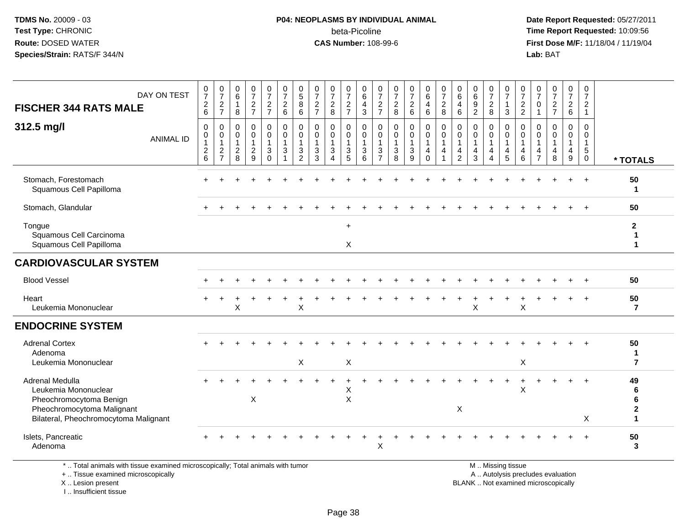#### **P04: NEOPLASMS BY INDIVIDUAL ANIMAL**beta-Picoline<br>CAS Number: 108-99-6

 **Date Report Requested:** 05/27/2011 **Time Report Requested:** 10:09:56 **First Dose M/F:** 11/18/04 / 11/19/04 Lab: BAT **Lab:** BAT

| DAY ON TEST                                                                                                                                      | $\frac{0}{7}$                           | $\frac{0}{7}$                                                          | 0<br>6                                                         | 0<br>$\overline{7}$                               | $\frac{0}{7}$                                                          | $\frac{0}{7}$                         | $\begin{array}{c} 0 \\ 5 \end{array}$ | $\frac{0}{7}$                             | 0<br>$\overline{7}$                                  | 0<br>$\overline{7}$                                         | 0<br>$\overline{6}$                               | 0<br>$\overline{7}$                                  | $\begin{array}{c} 0 \\ 7 \end{array}$ | $\begin{array}{c} 0 \\ 7 \end{array}$                 | 0<br>6                                                                   | 0<br>$\overline{7}$ | 0<br>$6\overline{6}$                              | 0<br>$\overline{6}$ | $\frac{0}{7}$                               | 0<br>$\overline{7}$                                            | 0<br>$\overline{7}$                | 0<br>$\overline{7}$            | $\frac{0}{7}$                    | $\frac{0}{7}$                                                    | 0<br>$\overline{7}$              |                                     |
|--------------------------------------------------------------------------------------------------------------------------------------------------|-----------------------------------------|------------------------------------------------------------------------|----------------------------------------------------------------|---------------------------------------------------|------------------------------------------------------------------------|---------------------------------------|---------------------------------------|-------------------------------------------|------------------------------------------------------|-------------------------------------------------------------|---------------------------------------------------|------------------------------------------------------|---------------------------------------|-------------------------------------------------------|--------------------------------------------------------------------------|---------------------|---------------------------------------------------|---------------------|---------------------------------------------|----------------------------------------------------------------|------------------------------------|--------------------------------|----------------------------------|------------------------------------------------------------------|----------------------------------|-------------------------------------|
| <b>FISCHER 344 RATS MALE</b>                                                                                                                     | $\overline{c}$<br>6                     | $\overline{2}$<br>$\overline{7}$                                       | $\mathbf{1}$<br>8                                              | $\overline{c}$<br>$\overline{7}$                  | $\frac{2}{7}$                                                          | $\overline{c}$<br>$6\phantom{a}$      | 8<br>6                                | $\overline{2}$<br>$\overline{7}$          | $\sqrt{2}$<br>8                                      | $\sqrt{2}$<br>$\overline{7}$                                | 4<br>3                                            | $\overline{2}$<br>$\overline{7}$                     | $\boldsymbol{2}$<br>8                 | $\frac{2}{6}$                                         | $\overline{a}$<br>$6\phantom{1}6$                                        | $\overline{c}$<br>8 | $\overline{4}$<br>$6\phantom{1}$                  | 9<br>$\overline{2}$ | $\overline{c}$<br>8                         | $\mathbf{1}$<br>$\mathbf{3}$                                   | $\overline{2}$<br>$\overline{c}$   | $\Omega$                       | $\overline{a}$<br>$\overline{7}$ | $\overline{2}$<br>$\,6\,$                                        | $\overline{2}$<br>$\overline{1}$ |                                     |
| 312.5 mg/l<br><b>ANIMAL ID</b>                                                                                                                   | $\mathbf 0$<br>0<br>$\overline{c}$<br>6 | $\mathbf 0$<br>0<br>$\overline{1}$<br>$\overline{2}$<br>$\overline{7}$ | $\Omega$<br>$\mathbf 0$<br>$\mathbf{1}$<br>$\overline{2}$<br>8 | $\mathbf 0$<br>$\mathbf 0$<br>$\overline{c}$<br>9 | $\mathbf 0$<br>$\mathbf 0$<br>$\mathbf{1}$<br>$\mathbf{3}$<br>$\Omega$ | 0<br>$\mathbf 0$<br>$\mathbf{1}$<br>3 | $\Omega$<br>$\mathbf 0$<br>3<br>2     | $\mathbf 0$<br>$\mathbf 0$<br>1<br>3<br>3 | $\mathbf 0$<br>$\mathbf 0$<br>$\mathbf{1}$<br>3<br>4 | $\Omega$<br>$\mathbf 0$<br>$\mathbf 1$<br>$\mathbf{3}$<br>5 | $\Omega$<br>$\mathbf 0$<br>$\mathbf{1}$<br>3<br>6 | $\Omega$<br>0<br>$\mathbf{1}$<br>3<br>$\overline{7}$ | $\mathbf 0$<br>0<br>$\mathbf{3}$<br>8 | 0<br>$\mathbf 0$<br>$\overline{1}$<br>$\sqrt{3}$<br>9 | $\mathbf 0$<br>$\mathbf 0$<br>$\mathbf{1}$<br>$\overline{a}$<br>$\Omega$ | 0<br>0<br>4         | $\Omega$<br>$\mathbf 0$<br>$\mathbf{1}$<br>4<br>2 | 0<br>0<br>4<br>3    | $\Omega$<br>$\Omega$<br>$\overline{4}$<br>4 | $\Omega$<br>$\mathbf 0$<br>$\mathbf{1}$<br>$\overline{4}$<br>5 | $\Omega$<br>$\mathbf{1}$<br>4<br>6 | $\Omega$<br>$\Omega$<br>4<br>7 | 0<br>$\mathbf 0$<br>4<br>8       | $\mathbf 0$<br>$\mathbf 0$<br>$\mathbf 1$<br>$\overline{4}$<br>9 | $\Omega$<br>0<br>1<br>5<br>0     | * TOTALS                            |
| Stomach, Forestomach<br>Squamous Cell Papilloma                                                                                                  |                                         |                                                                        |                                                                |                                                   |                                                                        |                                       |                                       |                                           |                                                      |                                                             |                                                   |                                                      |                                       |                                                       |                                                                          |                     |                                                   |                     |                                             |                                                                |                                    |                                |                                  |                                                                  | $\ddot{}$                        | 50<br>1                             |
| Stomach, Glandular                                                                                                                               |                                         |                                                                        |                                                                |                                                   |                                                                        |                                       |                                       |                                           |                                                      |                                                             |                                                   |                                                      |                                       |                                                       |                                                                          |                     |                                                   |                     |                                             |                                                                |                                    |                                |                                  |                                                                  |                                  | 50                                  |
| Tongue<br>Squamous Cell Carcinoma<br>Squamous Cell Papilloma                                                                                     |                                         |                                                                        |                                                                |                                                   |                                                                        |                                       |                                       |                                           |                                                      | $\ddot{}$<br>X                                              |                                                   |                                                      |                                       |                                                       |                                                                          |                     |                                                   |                     |                                             |                                                                |                                    |                                |                                  |                                                                  |                                  | $\mathbf{2}$<br>1<br>$\mathbf 1$    |
| <b>CARDIOVASCULAR SYSTEM</b>                                                                                                                     |                                         |                                                                        |                                                                |                                                   |                                                                        |                                       |                                       |                                           |                                                      |                                                             |                                                   |                                                      |                                       |                                                       |                                                                          |                     |                                                   |                     |                                             |                                                                |                                    |                                |                                  |                                                                  |                                  |                                     |
| <b>Blood Vessel</b>                                                                                                                              |                                         |                                                                        |                                                                |                                                   |                                                                        |                                       |                                       |                                           |                                                      |                                                             |                                                   |                                                      |                                       |                                                       |                                                                          |                     |                                                   |                     |                                             |                                                                |                                    |                                |                                  |                                                                  |                                  | 50                                  |
| Heart<br>Leukemia Mononuclear                                                                                                                    |                                         |                                                                        | X                                                              |                                                   |                                                                        |                                       | X                                     |                                           |                                                      |                                                             |                                                   |                                                      |                                       |                                                       |                                                                          |                     |                                                   | X                   |                                             |                                                                | $\times$                           |                                |                                  |                                                                  | $\overline{+}$                   | 50<br>$\overline{7}$                |
| <b>ENDOCRINE SYSTEM</b>                                                                                                                          |                                         |                                                                        |                                                                |                                                   |                                                                        |                                       |                                       |                                           |                                                      |                                                             |                                                   |                                                      |                                       |                                                       |                                                                          |                     |                                                   |                     |                                             |                                                                |                                    |                                |                                  |                                                                  |                                  |                                     |
| <b>Adrenal Cortex</b><br>Adenoma<br>Leukemia Mononuclear                                                                                         |                                         |                                                                        |                                                                |                                                   |                                                                        |                                       | $\boldsymbol{\mathsf{X}}$             |                                           |                                                      | X                                                           |                                                   |                                                      |                                       |                                                       |                                                                          |                     |                                                   |                     |                                             |                                                                | $\mathsf X$                        |                                |                                  |                                                                  |                                  | 50<br>$\mathbf 1$<br>$\overline{7}$ |
| <b>Adrenal Medulla</b><br>Leukemia Mononuclear<br>Pheochromocytoma Benign<br>Pheochromocytoma Malignant<br>Bilateral, Pheochromocytoma Malignant |                                         |                                                                        |                                                                | Χ                                                 |                                                                        |                                       |                                       |                                           |                                                      | X<br>$\mathsf X$                                            |                                                   |                                                      |                                       |                                                       |                                                                          |                     | $\mathsf X$                                       |                     |                                             |                                                                | X                                  |                                |                                  |                                                                  | $\div$<br>X                      | 49<br>6<br>6<br>$\mathbf 1$         |
| Islets, Pancreatic<br>Adenoma                                                                                                                    |                                         |                                                                        |                                                                |                                                   |                                                                        |                                       |                                       |                                           |                                                      |                                                             |                                                   | X                                                    |                                       |                                                       |                                                                          |                     |                                                   |                     |                                             |                                                                |                                    |                                |                                  |                                                                  |                                  | 50<br>3                             |

\* .. Total animals with tissue examined microscopically; Total animals with tumor

+ .. Tissue examined microscopically

X .. Lesion present

I .. Insufficient tissue

M .. Missing tissue

y the contract of the contract of the contract of the contract of the contract of the contract of the contract of  $A$ . Autolysis precludes evaluation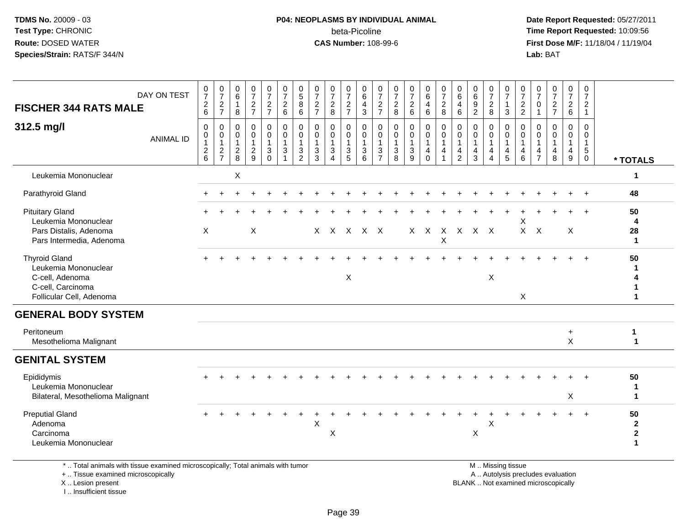#### **P04: NEOPLASMS BY INDIVIDUAL ANIMAL**beta-Picoline<br>CAS Number: 108-99-6

 **Date Report Requested:** 05/27/2011 **Time Report Requested:** 10:09:56 **First Dose M/F:** 11/18/04 / 11/19/04<br>Lab: BAT **Lab:** BAT

| <b>FISCHER 344 RATS MALE</b>                                                                                          | DAY ON TEST      | $\frac{0}{7}$<br>$\frac{2}{6}$                      | $\frac{0}{7}$<br>$\frac{2}{7}$                                       | $\pmb{0}$<br>$\,6\,$<br>$\mathbf{1}$<br>8                 | $\frac{0}{7}$<br>$rac{2}{7}$                                      | $\begin{smallmatrix}0\\7\end{smallmatrix}$<br>$\frac{2}{7}$ | $\frac{0}{7}$<br>$\frac{2}{6}$                                          | $\begin{array}{c} 0 \\ 5 \end{array}$<br>8<br>6          | $\begin{array}{c} 0 \\ 7 \end{array}$<br>$\frac{2}{7}$ | $\frac{0}{7}$<br>$\frac{2}{8}$                                                            | 0<br>$\overline{7}$<br>$\frac{2}{7}$ | 0<br>$\,6\,$<br>$\overline{a}$<br>$\mathbf{3}$                       | 0<br>$\overline{7}$<br>$\frac{2}{7}$                     | $\frac{0}{7}$<br>$\frac{2}{8}$            | $\begin{array}{c} 0 \\ 7 \end{array}$<br>$\begin{array}{c} 2 \\ 6 \end{array}$ | $\begin{array}{c} 0 \\ 6 \end{array}$<br>$\overline{a}$<br>$\,6\,$ | $\frac{0}{7}$<br>$\frac{2}{8}$                                  | 0<br>$\,6\,$<br>4<br>6                                  | $_{6}^{\rm 0}$<br>$\frac{9}{2}$               | $\frac{0}{7}$<br>$\overline{2}$<br>$\overline{8}$                                     | $\frac{0}{7}$<br>$\mathbf{1}$<br>$\mathbf{3}$                     | $\pmb{0}$<br>$\overline{7}$<br>$\frac{2}{2}$                        | 0<br>$\overline{7}$<br>0<br>$\mathbf{1}$          | $\frac{0}{7}$<br>$\frac{2}{7}$         | 0<br>$\overline{7}$<br>$\frac{2}{6}$ | $\begin{array}{c} 0 \\ 7 \end{array}$<br>$\begin{array}{c} 2 \\ 1 \end{array}$ |                                                    |
|-----------------------------------------------------------------------------------------------------------------------|------------------|-----------------------------------------------------|----------------------------------------------------------------------|-----------------------------------------------------------|-------------------------------------------------------------------|-------------------------------------------------------------|-------------------------------------------------------------------------|----------------------------------------------------------|--------------------------------------------------------|-------------------------------------------------------------------------------------------|--------------------------------------|----------------------------------------------------------------------|----------------------------------------------------------|-------------------------------------------|--------------------------------------------------------------------------------|--------------------------------------------------------------------|-----------------------------------------------------------------|---------------------------------------------------------|-----------------------------------------------|---------------------------------------------------------------------------------------|-------------------------------------------------------------------|---------------------------------------------------------------------|---------------------------------------------------|----------------------------------------|--------------------------------------|--------------------------------------------------------------------------------|----------------------------------------------------|
| 312.5 mg/l                                                                                                            | <b>ANIMAL ID</b> | 0<br>$\pmb{0}$<br>$\overline{1}$<br>$\sqrt{2}$<br>6 | 0<br>$\pmb{0}$<br>$\mathbf{1}$<br>$\boldsymbol{2}$<br>$\overline{7}$ | $\mathbf 0$<br>0<br>$\overline{1}$<br>$\overline{c}$<br>8 | $\mathbf 0$<br>$\mathbf 0$<br>$\mathbf{1}$<br>$\overline{c}$<br>9 | 0<br>$\mathbf 0$<br>$\mathbf{1}$<br>3<br>$\mathbf 0$        | $\mathbf 0$<br>$\pmb{0}$<br>$\mathbf{1}$<br>$\mathsf 3$<br>$\mathbf{1}$ | $\mathbf{0}$<br>0<br>$\mathbf{1}$<br>3<br>$\overline{2}$ | 0<br>0<br>$\mathbf{1}$<br>3<br>3                       | $\mathbf 0$<br>$\pmb{0}$<br>$\overline{1}$<br>$\ensuremath{\mathsf{3}}$<br>$\overline{4}$ | 0<br>0<br>-1<br>$\frac{3}{5}$        | $\boldsymbol{0}$<br>$\mathbf 0$<br>$\overline{1}$<br>$\sqrt{3}$<br>6 | 0<br>0<br>$\mathbf{1}$<br>$\mathbf{3}$<br>$\overline{7}$ | 0<br>0<br>$\mathbf{1}$<br>$\sqrt{3}$<br>8 | $\mathbf 0$<br>$\pmb{0}$<br>1<br>$\ensuremath{\mathsf{3}}$<br>9                | 0<br>$\mathbf 0$<br>$\mathbf{1}$<br>$\overline{4}$<br>$\mathbf 0$  | $\mathbf 0$<br>$\mathbf 0$<br>$\mathbf{1}$<br>4<br>$\mathbf{1}$ | $\mathbf 0$<br>0<br>$\mathbf{1}$<br>4<br>$\overline{2}$ | 0<br>$\pmb{0}$<br>$\mathbf{1}$<br>$rac{4}{3}$ | $\mathbf{0}$<br>$\pmb{0}$<br>$\mathbf{1}$<br>$\overline{4}$<br>$\boldsymbol{\Lambda}$ | 0<br>$\mathsf{O}$<br>$\mathbf{1}$<br>$\overline{\mathbf{r}}$<br>5 | $\mathbf 0$<br>$\mathbf 0$<br>$\overline{1}$<br>$\overline{4}$<br>6 | $\Omega$<br>$\Omega$<br>-1<br>4<br>$\overline{7}$ | $\mathbf 0$<br>$\Omega$<br>1<br>4<br>8 | 0<br>0<br>$\mathbf{1}$<br>4<br>9     | $\mathbf 0$<br>$\mathbf 0$<br>$\mathbf{1}$<br>$\sqrt{5}$<br>$\mathbf 0$        | * TOTALS                                           |
| Leukemia Mononuclear                                                                                                  |                  |                                                     |                                                                      | X                                                         |                                                                   |                                                             |                                                                         |                                                          |                                                        |                                                                                           |                                      |                                                                      |                                                          |                                           |                                                                                |                                                                    |                                                                 |                                                         |                                               |                                                                                       |                                                                   |                                                                     |                                                   |                                        |                                      |                                                                                | 1                                                  |
| Parathyroid Gland                                                                                                     |                  |                                                     |                                                                      |                                                           |                                                                   |                                                             |                                                                         |                                                          |                                                        |                                                                                           |                                      |                                                                      |                                                          |                                           |                                                                                |                                                                    |                                                                 |                                                         |                                               |                                                                                       |                                                                   |                                                                     |                                                   |                                        |                                      | $\ddot{}$                                                                      | 48                                                 |
| <b>Pituitary Gland</b><br>Leukemia Mononuclear<br>Pars Distalis, Adenoma<br>Pars Intermedia, Adenoma                  |                  | X                                                   |                                                                      |                                                           | X                                                                 |                                                             |                                                                         |                                                          |                                                        | x x x x x                                                                                 |                                      |                                                                      |                                                          |                                           |                                                                                | $X$ $X$                                                            | X                                                               |                                                         | X X X X                                       |                                                                                       |                                                                   | X<br>$\mathsf{X}$                                                   | $\boldsymbol{\mathsf{X}}$                         |                                        | X                                    |                                                                                | 50<br>4<br>28<br>$\mathbf 1$                       |
| <b>Thyroid Gland</b><br>Leukemia Mononuclear<br>C-cell, Adenoma<br>C-cell, Carcinoma<br>Follicular Cell, Adenoma      |                  |                                                     |                                                                      |                                                           |                                                                   |                                                             |                                                                         |                                                          |                                                        |                                                                                           | X                                    |                                                                      |                                                          |                                           |                                                                                |                                                                    |                                                                 |                                                         |                                               | X                                                                                     |                                                                   | X                                                                   |                                                   |                                        |                                      |                                                                                | 50                                                 |
| <b>GENERAL BODY SYSTEM</b>                                                                                            |                  |                                                     |                                                                      |                                                           |                                                                   |                                                             |                                                                         |                                                          |                                                        |                                                                                           |                                      |                                                                      |                                                          |                                           |                                                                                |                                                                    |                                                                 |                                                         |                                               |                                                                                       |                                                                   |                                                                     |                                                   |                                        |                                      |                                                                                |                                                    |
| Peritoneum<br>Mesothelioma Malignant                                                                                  |                  |                                                     |                                                                      |                                                           |                                                                   |                                                             |                                                                         |                                                          |                                                        |                                                                                           |                                      |                                                                      |                                                          |                                           |                                                                                |                                                                    |                                                                 |                                                         |                                               |                                                                                       |                                                                   |                                                                     |                                                   |                                        | $+$<br>$\mathsf{X}$                  |                                                                                | 1<br>$\mathbf{1}$                                  |
| <b>GENITAL SYSTEM</b>                                                                                                 |                  |                                                     |                                                                      |                                                           |                                                                   |                                                             |                                                                         |                                                          |                                                        |                                                                                           |                                      |                                                                      |                                                          |                                           |                                                                                |                                                                    |                                                                 |                                                         |                                               |                                                                                       |                                                                   |                                                                     |                                                   |                                        |                                      |                                                                                |                                                    |
| Epididymis<br>Leukemia Mononuclear<br>Bilateral, Mesothelioma Malignant                                               |                  |                                                     |                                                                      |                                                           |                                                                   |                                                             |                                                                         |                                                          |                                                        |                                                                                           |                                      |                                                                      |                                                          |                                           |                                                                                |                                                                    |                                                                 |                                                         |                                               |                                                                                       |                                                                   |                                                                     |                                                   |                                        | X                                    |                                                                                | 50<br>$\mathbf 1$<br>1                             |
| <b>Preputial Gland</b><br>Adenoma<br>Carcinoma<br>Leukemia Mononuclear                                                |                  |                                                     |                                                                      |                                                           |                                                                   |                                                             |                                                                         |                                                          | X                                                      | X                                                                                         |                                      |                                                                      |                                                          |                                           |                                                                                |                                                                    |                                                                 |                                                         | X                                             | X                                                                                     |                                                                   |                                                                     |                                                   |                                        | $\div$                               | $\overline{+}$                                                                 | 50<br>$\mathbf{2}$<br>$\mathbf{2}$<br>$\mathbf{1}$ |
| *  Total animals with tissue examined microscopically; Total animals with tumor<br>+  Tissue examined microscopically |                  |                                                     |                                                                      |                                                           |                                                                   |                                                             |                                                                         |                                                          |                                                        |                                                                                           |                                      |                                                                      |                                                          |                                           |                                                                                |                                                                    |                                                                 |                                                         |                                               |                                                                                       | M  Missing tissue                                                 |                                                                     |                                                   | A  Autolysis precludes evaluation      |                                      |                                                                                |                                                    |

X .. Lesion present

I .. Insufficient tissue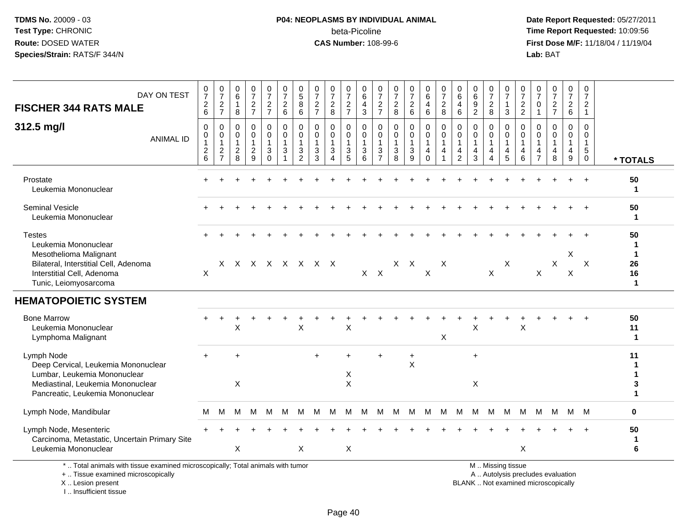#### **P04: NEOPLASMS BY INDIVIDUAL ANIMAL**beta-Picoline<br>CAS Number: 108-99-6

 **Date Report Requested:** 05/27/2011 **Time Report Requested:** 10:09:56 **First Dose M/F:** 11/18/04 / 11/19/04 Lab: BAT **Lab:** BAT

| DAY ON TEST<br><b>FISCHER 344 RATS MALE</b><br>312.5 mg/l<br><b>ANIMAL ID</b>                                                                                   | $\begin{array}{c} 0 \\ 7 \end{array}$<br>$\sqrt{2}$<br>6<br>$\mathbf 0$<br>0<br>$\mathbf 1$<br>$\overline{c}$<br>6 | $\frac{0}{7}$<br>$\overline{c}$<br>$\overline{7}$<br>$\Omega$<br>0<br>$\mathbf{1}$<br>$\overline{2}$<br>$\overline{7}$ | 0<br>6<br>$\mathbf{1}$<br>8<br>$\Omega$<br>0<br>$\overline{1}$<br>$\overline{c}$<br>8 | $\frac{0}{7}$<br>$\frac{2}{7}$<br>0<br>0<br>$\mathbf{1}$<br>$\overline{c}$<br>9 | $\begin{smallmatrix}0\\7\end{smallmatrix}$<br>$\frac{2}{7}$<br>$\mathbf 0$<br>$\mathbf 0$<br>$\mathbf{1}$<br>3<br>$\Omega$ | $\frac{0}{7}$<br>$\sqrt{2}$<br>6<br>$\mathbf 0$<br>$\mathbf 0$<br>$\mathbf{1}$<br>3<br>$\overline{1}$ | $\begin{array}{c} 0 \\ 5 \end{array}$<br>8<br>$\,6\,$<br>$\mathbf 0$<br>0<br>$\overline{1}$<br>3<br>$\overline{2}$ | $\frac{0}{7}$<br>$\sqrt{2}$<br>$\overline{7}$<br>$\Omega$<br>$\mathbf 0$<br>$\mathbf{1}$<br>$\sqrt{3}$<br>3 | $\frac{0}{7}$<br>$\overline{\mathbf{c}}$<br>8<br>0<br>0<br>$\mathbf{1}$<br>3<br>4 | $\frac{0}{7}$<br>$\sqrt{2}$<br>$\overline{7}$<br>$\mathbf 0$<br>$\mathbf 0$<br>$\mathbf{1}$<br>$\sqrt{3}$<br>5 | 0<br>$\,6\,$<br>$\overline{\mathbf{4}}$<br>3<br>$\mathbf 0$<br>0<br>$\mathbf{1}$<br>3<br>6 | $\frac{0}{7}$<br>$\sqrt{2}$<br>$\overline{7}$<br>$\mathbf 0$<br>$\mathbf 0$<br>$\overline{1}$<br>$\mathbf{3}$<br>$\overline{7}$ | $\frac{0}{7}$<br>$\boldsymbol{2}$<br>8<br>$\mathbf 0$<br>$\mathbf 0$<br>$\mathbf{1}$<br>$\sqrt{3}$<br>8 | $\frac{0}{7}$<br>$\overline{a}$<br>6<br>0<br>0<br>1<br>3<br>9 | $_{6}^{\rm 0}$<br>$\overline{4}$<br>6<br>$\mathbf 0$<br>$\mathbf 0$<br>$\mathbf{1}$<br>$\overline{\mathbf{4}}$<br>$\Omega$ | $\frac{0}{7}$<br>$\overline{c}$<br>8<br>$\mathbf 0$<br>0<br>$\mathbf{1}$<br>4<br>1 | 0<br>$\,6$<br>$\overline{4}$<br>$\,6$<br>$\Omega$<br>0<br>4<br>$\overline{c}$ | $\begin{array}{c} 0 \\ 6 \end{array}$<br>$9$<br>$\overline{2}$<br>$\mathbf 0$<br>$\mathbf 0$<br>$\mathbf{1}$<br>4<br>3 | $\frac{0}{7}$<br>$\boldsymbol{2}$<br>8<br>0<br>$\mathbf 0$<br>$\mathbf{1}$<br>4<br>4 | 0<br>$\overline{7}$<br>$\mathbf{1}$<br>3<br>$\Omega$<br>$\mathbf 0$<br>$\mathbf{1}$<br>4<br>5 | 0<br>$\overline{7}$<br>$\overline{c}$<br>$\overline{2}$<br>$\Omega$<br>0<br>$\mathbf{1}$<br>4<br>6 | 0<br>$\overline{7}$<br>0<br>$\overline{1}$<br>$\Omega$<br>0<br>$\mathbf 1$<br>4<br>$\overline{7}$ | $\begin{smallmatrix}0\\7\end{smallmatrix}$<br>$\frac{2}{7}$<br>$\Omega$<br>$\mathbf 0$<br>$\mathbf{1}$<br>$\overline{4}$<br>8 | $\begin{array}{c} 0 \\ 7 \end{array}$<br>$\sqrt{2}$<br>$6\phantom{a}$<br>$\Omega$<br>$\mathbf 0$<br>$\mathbf{1}$<br>4<br>9 | $\mathbf 0$<br>$\overline{7}$<br>$\overline{2}$<br>$\overline{1}$<br>$\Omega$<br>$\mathbf 0$<br>$\overline{1}$<br>$\sqrt{5}$<br>$\mathbf 0$ |                                                    |
|-----------------------------------------------------------------------------------------------------------------------------------------------------------------|--------------------------------------------------------------------------------------------------------------------|------------------------------------------------------------------------------------------------------------------------|---------------------------------------------------------------------------------------|---------------------------------------------------------------------------------|----------------------------------------------------------------------------------------------------------------------------|-------------------------------------------------------------------------------------------------------|--------------------------------------------------------------------------------------------------------------------|-------------------------------------------------------------------------------------------------------------|-----------------------------------------------------------------------------------|----------------------------------------------------------------------------------------------------------------|--------------------------------------------------------------------------------------------|---------------------------------------------------------------------------------------------------------------------------------|---------------------------------------------------------------------------------------------------------|---------------------------------------------------------------|----------------------------------------------------------------------------------------------------------------------------|------------------------------------------------------------------------------------|-------------------------------------------------------------------------------|------------------------------------------------------------------------------------------------------------------------|--------------------------------------------------------------------------------------|-----------------------------------------------------------------------------------------------|----------------------------------------------------------------------------------------------------|---------------------------------------------------------------------------------------------------|-------------------------------------------------------------------------------------------------------------------------------|----------------------------------------------------------------------------------------------------------------------------|---------------------------------------------------------------------------------------------------------------------------------------------|----------------------------------------------------|
|                                                                                                                                                                 |                                                                                                                    |                                                                                                                        |                                                                                       |                                                                                 |                                                                                                                            |                                                                                                       |                                                                                                                    |                                                                                                             |                                                                                   |                                                                                                                |                                                                                            |                                                                                                                                 |                                                                                                         |                                                               |                                                                                                                            |                                                                                    |                                                                               |                                                                                                                        |                                                                                      |                                                                                               |                                                                                                    |                                                                                                   |                                                                                                                               |                                                                                                                            |                                                                                                                                             | * TOTALS                                           |
| Prostate<br>Leukemia Mononuclear                                                                                                                                |                                                                                                                    |                                                                                                                        |                                                                                       |                                                                                 |                                                                                                                            |                                                                                                       |                                                                                                                    |                                                                                                             |                                                                                   |                                                                                                                |                                                                                            |                                                                                                                                 |                                                                                                         |                                                               |                                                                                                                            |                                                                                    |                                                                               |                                                                                                                        |                                                                                      |                                                                                               |                                                                                                    |                                                                                                   |                                                                                                                               |                                                                                                                            |                                                                                                                                             | 50<br>$\mathbf 1$                                  |
| <b>Seminal Vesicle</b><br>Leukemia Mononuclear                                                                                                                  |                                                                                                                    |                                                                                                                        |                                                                                       |                                                                                 |                                                                                                                            |                                                                                                       |                                                                                                                    |                                                                                                             |                                                                                   |                                                                                                                |                                                                                            |                                                                                                                                 |                                                                                                         |                                                               |                                                                                                                            |                                                                                    |                                                                               |                                                                                                                        |                                                                                      |                                                                                               |                                                                                                    |                                                                                                   |                                                                                                                               |                                                                                                                            | $\overline{+}$                                                                                                                              | 50<br>1                                            |
| <b>Testes</b><br>Leukemia Mononuclear<br>Mesothelioma Malignant<br>Bilateral, Interstitial Cell, Adenoma<br>Interstitial Cell, Adenoma<br>Tunic, Leiomyosarcoma | X                                                                                                                  |                                                                                                                        |                                                                                       |                                                                                 |                                                                                                                            |                                                                                                       |                                                                                                                    | X X X X X X X X                                                                                             |                                                                                   |                                                                                                                | $X$ $X$                                                                                    |                                                                                                                                 | $X$ $X$                                                                                                 |                                                               | $\boldsymbol{\mathsf{X}}$                                                                                                  | $\times$                                                                           |                                                                               |                                                                                                                        | X                                                                                    | X                                                                                             |                                                                                                    | X                                                                                                 | X                                                                                                                             | X<br>$\boldsymbol{\mathsf{X}}$                                                                                             | X                                                                                                                                           | 50<br>1<br>$\mathbf 1$<br>26<br>16<br>$\mathbf{1}$ |
| <b>HEMATOPOIETIC SYSTEM</b>                                                                                                                                     |                                                                                                                    |                                                                                                                        |                                                                                       |                                                                                 |                                                                                                                            |                                                                                                       |                                                                                                                    |                                                                                                             |                                                                                   |                                                                                                                |                                                                                            |                                                                                                                                 |                                                                                                         |                                                               |                                                                                                                            |                                                                                    |                                                                               |                                                                                                                        |                                                                                      |                                                                                               |                                                                                                    |                                                                                                   |                                                                                                                               |                                                                                                                            |                                                                                                                                             |                                                    |
| <b>Bone Marrow</b><br>Leukemia Mononuclear<br>Lymphoma Malignant                                                                                                |                                                                                                                    |                                                                                                                        | X                                                                                     |                                                                                 |                                                                                                                            |                                                                                                       | $\boldsymbol{\mathsf{X}}$                                                                                          |                                                                                                             |                                                                                   | $\times$                                                                                                       |                                                                                            |                                                                                                                                 |                                                                                                         |                                                               |                                                                                                                            | X                                                                                  |                                                                               | X                                                                                                                      |                                                                                      |                                                                                               | $\mathsf X$                                                                                        |                                                                                                   |                                                                                                                               |                                                                                                                            |                                                                                                                                             | 50<br>11<br>$\mathbf{1}$                           |
| Lymph Node<br>Deep Cervical, Leukemia Mononuclear<br>Lumbar, Leukemia Mononuclear<br>Mediastinal, Leukemia Mononuclear<br>Pancreatic, Leukemia Mononuclear      |                                                                                                                    |                                                                                                                        | ÷<br>$\mathsf{X}$                                                                     |                                                                                 |                                                                                                                            |                                                                                                       |                                                                                                                    | ÷                                                                                                           |                                                                                   | X<br>$\mathsf{X}$                                                                                              |                                                                                            |                                                                                                                                 |                                                                                                         | $\ddot{}$<br>X                                                |                                                                                                                            |                                                                                    |                                                                               | $\ddot{}$<br>X                                                                                                         |                                                                                      |                                                                                               |                                                                                                    |                                                                                                   |                                                                                                                               |                                                                                                                            |                                                                                                                                             | 11<br>1<br>3<br>1                                  |
| Lymph Node, Mandibular                                                                                                                                          | м                                                                                                                  | м                                                                                                                      | M                                                                                     | $M_{\odot}$                                                                     | M                                                                                                                          | M                                                                                                     | м                                                                                                                  | M                                                                                                           | M                                                                                 | M                                                                                                              | M                                                                                          | M                                                                                                                               | M M                                                                                                     |                                                               | M                                                                                                                          | M                                                                                  | M M                                                                           |                                                                                                                        | M                                                                                    | M                                                                                             | M                                                                                                  |                                                                                                   | M M                                                                                                                           | M M                                                                                                                        |                                                                                                                                             | $\mathbf 0$                                        |
| Lymph Node, Mesenteric<br>Carcinoma, Metastatic, Uncertain Primary Site<br>Leukemia Mononuclear                                                                 |                                                                                                                    |                                                                                                                        | X                                                                                     |                                                                                 |                                                                                                                            |                                                                                                       | X                                                                                                                  |                                                                                                             |                                                                                   | X                                                                                                              |                                                                                            |                                                                                                                                 |                                                                                                         |                                                               |                                                                                                                            |                                                                                    |                                                                               |                                                                                                                        |                                                                                      |                                                                                               | X                                                                                                  |                                                                                                   |                                                                                                                               |                                                                                                                            |                                                                                                                                             | 50<br>1<br>6                                       |
| * Total animals with tissue examined microsconically: Total animals with tumor                                                                                  |                                                                                                                    |                                                                                                                        |                                                                                       |                                                                                 |                                                                                                                            |                                                                                                       |                                                                                                                    |                                                                                                             |                                                                                   |                                                                                                                |                                                                                            |                                                                                                                                 |                                                                                                         |                                                               |                                                                                                                            |                                                                                    |                                                                               |                                                                                                                        |                                                                                      | M Miccinaticcup                                                                               |                                                                                                    |                                                                                                   |                                                                                                                               |                                                                                                                            |                                                                                                                                             |                                                    |

\* .. Total animals with tissue examined microscopically; Total animals with tumor

+ .. Tissue examined microscopically

X .. Lesion present

I .. Insufficient tissue

M .. Missing tissue

y the contract of the contract of the contract of the contract of the contract of the contract of the contract of  $A$ . Autolysis precludes evaluation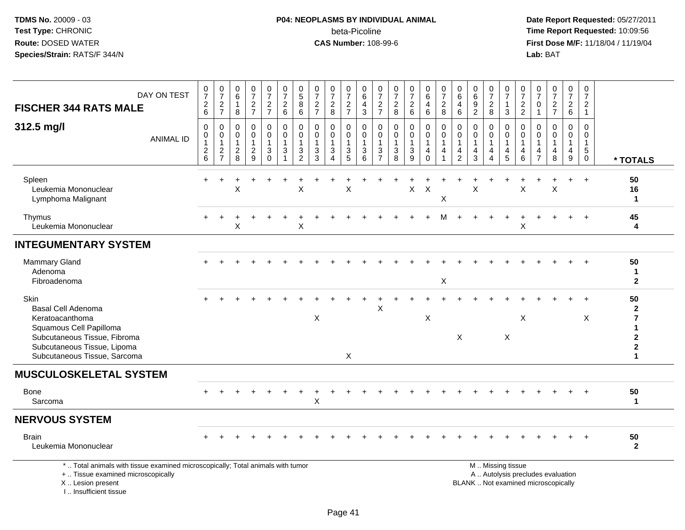## **P04: NEOPLASMS BY INDIVIDUAL ANIMAL**beta-Picoline<br>CAS Number: 108-99-6

| DAY ON TEST<br><b>FISCHER 344 RATS MALE</b>                                                                                                                                    | $\frac{0}{7}$<br>$\sqrt{2}$<br>6                          | $\frac{0}{7}$<br>$\frac{2}{7}$                            | $\begin{array}{c} 0 \\ 6 \end{array}$<br>$\overline{1}$<br>8 | $\frac{0}{7}$<br>$\frac{2}{7}$                            | $\boldsymbol{0}$<br>$\overline{7}$<br>$\frac{2}{7}$                       | $\frac{0}{7}$<br>$\sqrt{2}$<br>6                                               | $\pmb{0}$<br>$\overline{5}$<br>8<br>6                                                       | $\frac{0}{7}$<br>$\boldsymbol{2}$<br>$\overline{7}$         | $\frac{0}{7}$<br>$_{\rm 8}^2$                           | $\begin{array}{c} 0 \\ 7 \end{array}$<br>$\frac{2}{7}$      | $\mathbf 0$<br>$6\phantom{a}$<br>$\overline{4}$<br>$\mathbf{3}$ | $\pmb{0}$<br>$\overline{7}$<br>$\frac{2}{7}$                  | $\begin{array}{c} 0 \\ 7 \end{array}$<br>$\boldsymbol{2}$<br>8               | $\frac{0}{7}$<br>$\begin{array}{c} 2 \\ 6 \end{array}$ | $_{6}^{\rm 0}$<br>4<br>6                                       | $\frac{0}{7}$<br>$\overline{\mathbf{c}}$<br>8   | 0<br>$\,6$<br>$\overline{4}$<br>6                                              | $\mathbf 0$<br>$\overline{6}$<br>$\frac{9}{2}$              | $\frac{0}{7}$<br>$\frac{2}{8}$                                                | $\begin{array}{c} 0 \\ 7 \end{array}$<br>$\mathbf{1}$<br>3                            | 0<br>$\overline{7}$<br>$\frac{2}{2}$ | $\frac{0}{7}$<br>$\mathbf 0$<br>$\mathbf{1}$   | $\frac{0}{7}$<br>$\frac{2}{7}$                                           | 0<br>$\overline{7}$<br>$\frac{2}{6}$ | $\mathbf 0$<br>$\overline{7}$<br>$\sqrt{2}$<br>$\mathbf{1}$                 |                                                                            |
|--------------------------------------------------------------------------------------------------------------------------------------------------------------------------------|-----------------------------------------------------------|-----------------------------------------------------------|--------------------------------------------------------------|-----------------------------------------------------------|---------------------------------------------------------------------------|--------------------------------------------------------------------------------|---------------------------------------------------------------------------------------------|-------------------------------------------------------------|---------------------------------------------------------|-------------------------------------------------------------|-----------------------------------------------------------------|---------------------------------------------------------------|------------------------------------------------------------------------------|--------------------------------------------------------|----------------------------------------------------------------|-------------------------------------------------|--------------------------------------------------------------------------------|-------------------------------------------------------------|-------------------------------------------------------------------------------|---------------------------------------------------------------------------------------|--------------------------------------|------------------------------------------------|--------------------------------------------------------------------------|--------------------------------------|-----------------------------------------------------------------------------|----------------------------------------------------------------------------|
| 312.5 mg/l<br><b>ANIMAL ID</b>                                                                                                                                                 | $\mathbf 0$<br>$\pmb{0}$<br>$\mathbf{1}$<br>$\frac{2}{6}$ | $\mathbf 0$<br>$\pmb{0}$<br>$\mathbf{1}$<br>$\frac{2}{7}$ | 0<br>0<br>$\mathbf{1}$<br>$\frac{2}{8}$                      | $\mathbf 0$<br>$\pmb{0}$<br>$\mathbf{1}$<br>$\frac{2}{9}$ | 0<br>$\mathbf 0$<br>$\mathbf{1}$<br>$\ensuremath{\mathsf{3}}$<br>$\Omega$ | $\mathbf 0$<br>$\mathbf 0$<br>$\overline{1}$<br>$\mathbf{3}$<br>$\overline{1}$ | $\mathbf 0$<br>$\mathbf 0$<br>$\overline{1}$<br>$\ensuremath{\mathsf{3}}$<br>$\overline{2}$ | $\mathbf 0$<br>$\mathbf 0$<br>$\mathbf{1}$<br>$\frac{3}{3}$ | 0<br>$\mathbf 0$<br>$\mathbf{1}$<br>3<br>$\overline{A}$ | $\mathbf 0$<br>$\mathbf 0$<br>$\mathbf{1}$<br>$\frac{3}{5}$ | $\mathbf 0$<br>$\pmb{0}$<br>$\overline{1}$<br>$\frac{3}{6}$     | $\mathbf 0$<br>$\mathbf 0$<br>$\overline{1}$<br>$\frac{3}{7}$ | $\mathbf 0$<br>$\mathbf 0$<br>$\mathbf{1}$<br>$\ensuremath{\mathsf{3}}$<br>8 | 0<br>$\pmb{0}$<br>$\mathbf{1}$<br>$\frac{3}{9}$        | 0<br>$\mathbf 0$<br>$\mathbf{1}$<br>$\overline{4}$<br>$\Omega$ | $\mathbf 0$<br>$\mathbf 0$<br>$\mathbf{1}$<br>4 | $\mathbf 0$<br>$\mathbf 0$<br>$\mathbf{1}$<br>$\overline{4}$<br>$\overline{2}$ | $\mathbf 0$<br>$\mathbf 0$<br>$\mathbf{1}$<br>$\frac{4}{3}$ | 0<br>$\mathbf 0$<br>$\mathbf{1}$<br>$\overline{\mathbf{4}}$<br>$\overline{4}$ | $\mathbf 0$<br>$\mathbf 0$<br>$\overline{1}$<br>$\begin{array}{c} 4 \\ 5 \end{array}$ | 0<br>$\mathbf{0}$<br>4<br>6          | 0<br>$\Omega$<br>$\mathbf{1}$<br>$\frac{4}{7}$ | $\mathbf 0$<br>$\mathbf 0$<br>$\mathbf{1}$<br>$\frac{4}{8}$              | 0<br>$\Omega$<br>$\overline{4}$<br>9 | $\mathbf 0$<br>$\mathbf 0$<br>$\mathbf{1}$<br>$\overline{5}$<br>$\mathbf 0$ | * TOTALS                                                                   |
| Spleen<br>Leukemia Mononuclear<br>Lymphoma Malignant                                                                                                                           |                                                           |                                                           | X                                                            |                                                           |                                                                           |                                                                                | X                                                                                           |                                                             |                                                         | X                                                           |                                                                 |                                                               |                                                                              | $\sf X$                                                | $\boldsymbol{\mathsf{X}}$                                      | Χ                                               |                                                                                | $\mathsf X$                                                 |                                                                               |                                                                                       | X                                    |                                                | X                                                                        |                                      | $+$                                                                         | 50<br>16<br>$\mathbf{1}$                                                   |
| Thymus<br>Leukemia Mononuclear                                                                                                                                                 |                                                           |                                                           | X                                                            |                                                           |                                                                           |                                                                                | X                                                                                           |                                                             |                                                         |                                                             |                                                                 |                                                               |                                                                              |                                                        |                                                                | М                                               |                                                                                |                                                             |                                                                               |                                                                                       | Χ                                    |                                                |                                                                          |                                      | $+$                                                                         | 45<br>4                                                                    |
| <b>INTEGUMENTARY SYSTEM</b>                                                                                                                                                    |                                                           |                                                           |                                                              |                                                           |                                                                           |                                                                                |                                                                                             |                                                             |                                                         |                                                             |                                                                 |                                                               |                                                                              |                                                        |                                                                |                                                 |                                                                                |                                                             |                                                                               |                                                                                       |                                      |                                                |                                                                          |                                      |                                                                             |                                                                            |
| Mammary Gland<br>Adenoma<br>Fibroadenoma                                                                                                                                       |                                                           |                                                           |                                                              |                                                           |                                                                           |                                                                                |                                                                                             |                                                             |                                                         |                                                             |                                                                 |                                                               |                                                                              |                                                        |                                                                | $\boldsymbol{\mathsf{X}}$                       |                                                                                |                                                             |                                                                               |                                                                                       |                                      |                                                |                                                                          |                                      |                                                                             | 50<br>1<br>$\mathbf{2}$                                                    |
| Skin<br><b>Basal Cell Adenoma</b><br>Keratoacanthoma<br>Squamous Cell Papilloma<br>Subcutaneous Tissue, Fibroma<br>Subcutaneous Tissue, Lipoma<br>Subcutaneous Tissue, Sarcoma |                                                           |                                                           |                                                              |                                                           |                                                                           |                                                                                |                                                                                             | X                                                           |                                                         | X                                                           |                                                                 | X                                                             |                                                                              |                                                        | X                                                              |                                                 | $\mathsf X$                                                                    |                                                             |                                                                               | $\boldsymbol{\mathsf{X}}$                                                             | X                                    |                                                |                                                                          |                                      | X                                                                           | 50<br>$\mathbf{2}$<br>7<br>1<br>$\mathbf 2$<br>$\mathbf 2$<br>$\mathbf{1}$ |
| <b>MUSCULOSKELETAL SYSTEM</b>                                                                                                                                                  |                                                           |                                                           |                                                              |                                                           |                                                                           |                                                                                |                                                                                             |                                                             |                                                         |                                                             |                                                                 |                                                               |                                                                              |                                                        |                                                                |                                                 |                                                                                |                                                             |                                                                               |                                                                                       |                                      |                                                |                                                                          |                                      |                                                                             |                                                                            |
| Bone<br>Sarcoma                                                                                                                                                                |                                                           |                                                           |                                                              |                                                           |                                                                           |                                                                                |                                                                                             | $\sf X$                                                     |                                                         |                                                             |                                                                 |                                                               |                                                                              |                                                        |                                                                |                                                 |                                                                                |                                                             |                                                                               |                                                                                       |                                      |                                                |                                                                          |                                      |                                                                             | 50<br>$\mathbf 1$                                                          |
| <b>NERVOUS SYSTEM</b>                                                                                                                                                          |                                                           |                                                           |                                                              |                                                           |                                                                           |                                                                                |                                                                                             |                                                             |                                                         |                                                             |                                                                 |                                                               |                                                                              |                                                        |                                                                |                                                 |                                                                                |                                                             |                                                                               |                                                                                       |                                      |                                                |                                                                          |                                      |                                                                             |                                                                            |
| <b>Brain</b><br>Leukemia Mononuclear                                                                                                                                           |                                                           |                                                           |                                                              |                                                           |                                                                           |                                                                                |                                                                                             |                                                             |                                                         |                                                             |                                                                 |                                                               |                                                                              |                                                        |                                                                |                                                 |                                                                                |                                                             |                                                                               |                                                                                       |                                      |                                                |                                                                          |                                      |                                                                             | 50<br>$\mathbf{2}$                                                         |
| *  Total animals with tissue examined microscopically; Total animals with tumor<br>+  Tissue examined microscopically<br>X  Lesion present<br>I., Insufficient tissue          |                                                           |                                                           |                                                              |                                                           |                                                                           |                                                                                |                                                                                             |                                                             |                                                         |                                                             |                                                                 |                                                               |                                                                              |                                                        |                                                                |                                                 |                                                                                |                                                             |                                                                               | M  Missing tissue                                                                     |                                      |                                                | A  Autolysis precludes evaluation<br>BLANK  Not examined microscopically |                                      |                                                                             |                                                                            |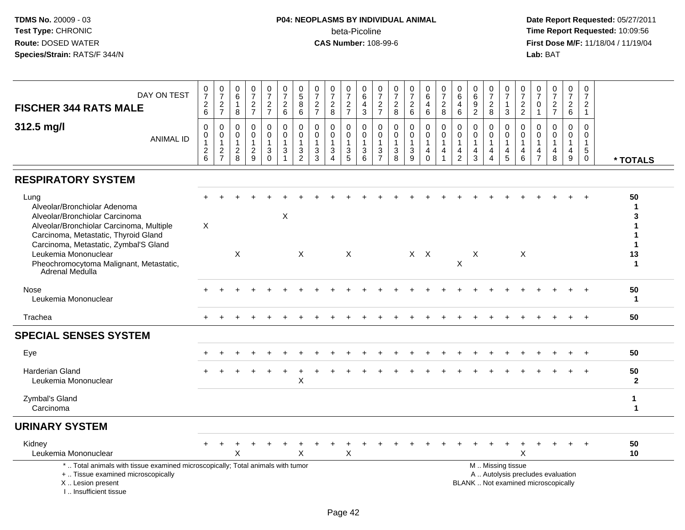#### **P04: NEOPLASMS BY INDIVIDUAL ANIMAL**beta-Picoline<br>CAS Number: 108-99-6

| DAY ON TEST<br><b>FISCHER 344 RATS MALE</b>                                                                                                                                                                                                                                               | $\frac{0}{7}$<br>$^2\phantom{1}6$                                                        | $\frac{0}{7}$<br>$\frac{2}{7}$                              | 0<br>$\,6\,$<br>$\mathbf{1}$<br>8            | $\frac{0}{7}$<br>$\frac{2}{7}$                              | $\frac{0}{7}$<br>$\frac{2}{7}$         | $\frac{0}{7}$<br>$\overline{a}$<br>6                   | $\pmb{0}$<br>$\overline{5}$<br>$\,8\,$<br>6                   | 0<br>$\overline{7}$<br>$\overline{\mathbf{c}}$<br>$\overline{7}$ | 0<br>$\overline{7}$<br>$\sqrt{2}$<br>8                                                            | 0<br>$\overline{7}$<br>$\frac{2}{7}$ | $_{6}^{\rm 0}$<br>$\overline{4}$<br>3                              | $\frac{0}{7}$<br>$\frac{2}{7}$                            | 0<br>$\boldsymbol{7}$<br>$\overline{a}$<br>8                      | $\frac{0}{7}$<br>$\sqrt{2}$<br>$\,6\,$                      | 0<br>6<br>$\overline{4}$<br>6                                   | 0<br>$\overline{7}$<br>$\boldsymbol{2}$<br>8 | 0<br>$\overline{6}$<br>4<br>6                                                  | 0<br>$\,6\,$<br>9<br>$\overline{2}$                  | 0<br>$\overline{7}$<br>$\overline{\mathbf{c}}$<br>8    | $\mathbf 0$<br>$\overline{7}$<br>$\mathbf{1}$<br>3  | 0<br>$\overline{7}$<br>$\frac{2}{2}$                      | 0<br>$\overline{7}$<br>$\mathbf 0$<br>$\overline{1}$ | $\mathbf 0$<br>$\overline{7}$<br>$\frac{2}{7}$ | $\frac{0}{7}$<br>$\overline{a}$<br>6             | $\pmb{0}$<br>$\overline{7}$<br>$\overline{2}$<br>$\mathbf{1}$               |                                   |
|-------------------------------------------------------------------------------------------------------------------------------------------------------------------------------------------------------------------------------------------------------------------------------------------|------------------------------------------------------------------------------------------|-------------------------------------------------------------|----------------------------------------------|-------------------------------------------------------------|----------------------------------------|--------------------------------------------------------|---------------------------------------------------------------|------------------------------------------------------------------|---------------------------------------------------------------------------------------------------|--------------------------------------|--------------------------------------------------------------------|-----------------------------------------------------------|-------------------------------------------------------------------|-------------------------------------------------------------|-----------------------------------------------------------------|----------------------------------------------|--------------------------------------------------------------------------------|------------------------------------------------------|--------------------------------------------------------|-----------------------------------------------------|-----------------------------------------------------------|------------------------------------------------------|------------------------------------------------|--------------------------------------------------|-----------------------------------------------------------------------------|-----------------------------------|
| 312.5 mg/l<br><b>ANIMAL ID</b>                                                                                                                                                                                                                                                            | $\mathbf 0$<br>$\boldsymbol{0}$<br>$\mathbf{1}$<br>$\begin{array}{c} 2 \\ 6 \end{array}$ | $\mathbf 0$<br>$\mathbf 0$<br>$\mathbf{1}$<br>$\frac{2}{7}$ | 0<br>$\mathbf 0$<br>1<br>$\overline{c}$<br>8 | $\mathbf 0$<br>$\mathbf 0$<br>$\mathbf{1}$<br>$\frac{2}{9}$ | 0<br>$\mathbf 0$<br>1<br>$\frac{3}{0}$ | 0<br>$\mathsf{O}\xspace$<br>$\mathbf{1}$<br>$\sqrt{3}$ | $\mathbf 0$<br>$\mathbf 0$<br>$\overline{1}$<br>$\frac{3}{2}$ | 0<br>$\Omega$<br>-1<br>$\ensuremath{\mathsf{3}}$<br>3            | $\mathbf 0$<br>$\mathbf 0$<br>$\mathbf{1}$<br>$\ensuremath{\mathsf{3}}$<br>$\boldsymbol{\Lambda}$ | 0<br>$\Omega$<br>$\frac{3}{5}$       | 0<br>$\mathbf 0$<br>$\mathbf{1}$<br>$\ensuremath{\mathsf{3}}$<br>6 | $\mathbf 0$<br>$\pmb{0}$<br>$\mathbf{1}$<br>$\frac{3}{7}$ | $\mathbf 0$<br>$\mathbf 0$<br>1<br>$\ensuremath{\mathsf{3}}$<br>8 | $\mathbf 0$<br>$\mathbf 0$<br>$\mathbf{1}$<br>$\frac{3}{9}$ | 0<br>$\mathbf{0}$<br>$\mathbf{1}$<br>$\overline{4}$<br>$\Omega$ | $\mathbf 0$<br>$\mathbf 0$<br>1<br>4<br>1    | $\mathbf 0$<br>$\mathbf 0$<br>$\mathbf{1}$<br>$\overline{4}$<br>$\overline{2}$ | $\Omega$<br>0<br>$\mathbf{1}$<br>$\overline{4}$<br>3 | $\Omega$<br>$\mathbf 0$<br>4<br>$\boldsymbol{\Lambda}$ | 0<br>$\mathbf 0$<br>$\overline{1}$<br>$\frac{4}{5}$ | 0<br>$\mathbf 0$<br>$\overline{1}$<br>$\overline{4}$<br>6 | 0<br>$\Omega$<br>$\mathbf{1}$<br>4<br>$\overline{7}$ | 0<br>$\Omega$<br>$\mathbf{1}$<br>4<br>8        | 0<br>$\mathbf 0$<br>$\mathbf 1$<br>$\frac{4}{9}$ | $\mathbf 0$<br>$\mathbf 0$<br>$\mathbf{1}$<br>$\overline{5}$<br>$\mathbf 0$ | * TOTALS                          |
| <b>RESPIRATORY SYSTEM</b>                                                                                                                                                                                                                                                                 |                                                                                          |                                                             |                                              |                                                             |                                        |                                                        |                                                               |                                                                  |                                                                                                   |                                      |                                                                    |                                                           |                                                                   |                                                             |                                                                 |                                              |                                                                                |                                                      |                                                        |                                                     |                                                           |                                                      |                                                |                                                  |                                                                             |                                   |
| Lung<br>Alveolar/Bronchiolar Adenoma<br>Alveolar/Bronchiolar Carcinoma<br>Alveolar/Bronchiolar Carcinoma, Multiple<br>Carcinoma, Metastatic, Thyroid Gland<br>Carcinoma, Metastatic, Zymbal'S Gland<br>Leukemia Mononuclear<br>Pheochromocytoma Malignant, Metastatic,<br>Adrenal Medulla | X                                                                                        |                                                             | $\boldsymbol{\mathsf{X}}$                    |                                                             |                                        | X                                                      | X                                                             |                                                                  |                                                                                                   | X                                    |                                                                    |                                                           |                                                                   |                                                             | $X$ $X$                                                         |                                              | X                                                                              | X                                                    |                                                        |                                                     | $\times$                                                  |                                                      |                                                |                                                  |                                                                             | 50<br>3<br>1<br>13<br>$\mathbf 1$ |
| Nose<br>Leukemia Mononuclear                                                                                                                                                                                                                                                              |                                                                                          |                                                             |                                              |                                                             |                                        |                                                        |                                                               |                                                                  |                                                                                                   |                                      |                                                                    |                                                           |                                                                   |                                                             |                                                                 |                                              |                                                                                |                                                      |                                                        |                                                     |                                                           |                                                      |                                                |                                                  |                                                                             | 50<br>$\mathbf 1$                 |
| Trachea                                                                                                                                                                                                                                                                                   |                                                                                          |                                                             |                                              |                                                             |                                        |                                                        |                                                               |                                                                  |                                                                                                   |                                      |                                                                    |                                                           |                                                                   |                                                             |                                                                 |                                              |                                                                                |                                                      |                                                        |                                                     |                                                           |                                                      |                                                |                                                  |                                                                             | 50                                |
| <b>SPECIAL SENSES SYSTEM</b>                                                                                                                                                                                                                                                              |                                                                                          |                                                             |                                              |                                                             |                                        |                                                        |                                                               |                                                                  |                                                                                                   |                                      |                                                                    |                                                           |                                                                   |                                                             |                                                                 |                                              |                                                                                |                                                      |                                                        |                                                     |                                                           |                                                      |                                                |                                                  |                                                                             |                                   |
| Eye                                                                                                                                                                                                                                                                                       |                                                                                          |                                                             |                                              |                                                             |                                        |                                                        |                                                               |                                                                  |                                                                                                   |                                      |                                                                    |                                                           |                                                                   |                                                             |                                                                 |                                              |                                                                                |                                                      |                                                        |                                                     |                                                           |                                                      |                                                |                                                  |                                                                             | 50                                |
| Harderian Gland<br>Leukemia Mononuclear                                                                                                                                                                                                                                                   |                                                                                          |                                                             |                                              |                                                             |                                        |                                                        | X                                                             |                                                                  |                                                                                                   |                                      |                                                                    |                                                           |                                                                   |                                                             |                                                                 |                                              |                                                                                |                                                      |                                                        |                                                     |                                                           |                                                      |                                                |                                                  |                                                                             | 50<br>$\mathbf{2}$                |
| Zymbal's Gland<br>Carcinoma                                                                                                                                                                                                                                                               |                                                                                          |                                                             |                                              |                                                             |                                        |                                                        |                                                               |                                                                  |                                                                                                   |                                      |                                                                    |                                                           |                                                                   |                                                             |                                                                 |                                              |                                                                                |                                                      |                                                        |                                                     |                                                           |                                                      |                                                |                                                  |                                                                             | $\mathbf 1$<br>$\mathbf 1$        |
| <b>URINARY SYSTEM</b>                                                                                                                                                                                                                                                                     |                                                                                          |                                                             |                                              |                                                             |                                        |                                                        |                                                               |                                                                  |                                                                                                   |                                      |                                                                    |                                                           |                                                                   |                                                             |                                                                 |                                              |                                                                                |                                                      |                                                        |                                                     |                                                           |                                                      |                                                |                                                  |                                                                             |                                   |
| Kidney<br>Leukemia Mononuclear                                                                                                                                                                                                                                                            |                                                                                          | $\pm$                                                       | X                                            |                                                             |                                        | $\ddot{}$                                              | X                                                             |                                                                  |                                                                                                   | $\mathsf X$                          |                                                                    |                                                           |                                                                   |                                                             |                                                                 |                                              |                                                                                |                                                      |                                                        |                                                     | $\times$                                                  |                                                      |                                                |                                                  |                                                                             | 50<br>10                          |
| *  Total animals with tissue examined microscopically; Total animals with tumor<br>+  Tissue examined microscopically<br>X  Lesion present<br>I Insufficient tissue                                                                                                                       |                                                                                          |                                                             |                                              |                                                             |                                        |                                                        |                                                               |                                                                  |                                                                                                   |                                      |                                                                    |                                                           |                                                                   |                                                             |                                                                 |                                              |                                                                                | BLANK  Not examined microscopically                  |                                                        | M  Missing tissue                                   |                                                           |                                                      | A  Autolysis precludes evaluation              |                                                  |                                                                             |                                   |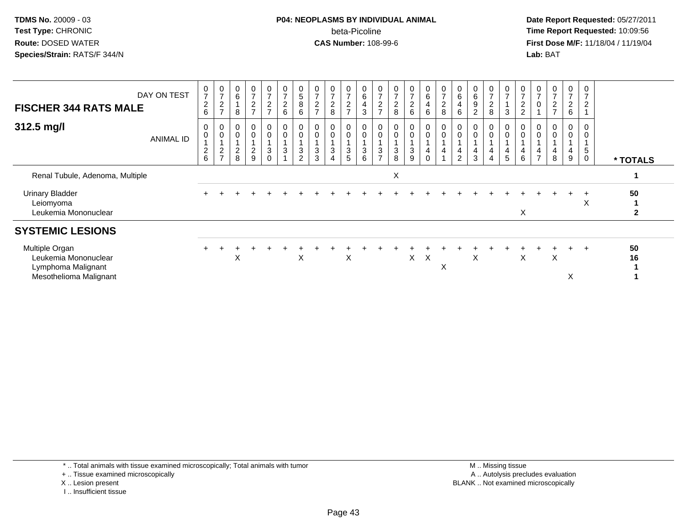#### **P04: NEOPLASMS BY INDIVIDUAL ANIMAL**beta-Picoline<br>CAS Number: 108-99-6

 **Date Report Requested:** 05/27/2011 **Time Report Requested:** 10:09:56 **First Dose M/F:** 11/18/04 / 11/19/04 Lab: BAT **Lab:** BAT

| <b>FISCHER 344 RATS MALE</b>                                                           | DAY ON TEST | $\frac{0}{7}$<br>$^2\phantom{1}6$                              | $\frac{0}{7}$<br>$\sqrt{2}$<br>$\rightarrow$ | $\begin{array}{c} 0 \\ 6 \end{array}$<br>8                    | $\begin{array}{c} 0 \\ 7 \end{array}$<br>$\frac{2}{7}$      | 0<br>$\overline{ }$<br>$\frac{2}{7}$ | $\frac{0}{7}$<br>$\frac{2}{6}$                             | $\begin{array}{c} 0 \\ 5 \end{array}$<br>8<br>6 | $\rightarrow$<br>$\overline{\mathbf{c}}$<br>$\rightarrow$ | $\frac{0}{7}$<br>$\frac{2}{8}$                 | $\frac{0}{7}$<br>$\frac{2}{7}$           | $\begin{array}{c} 0 \\ 6 \end{array}$<br>$\overline{4}$<br>$\mathbf{3}$   | $\overline{ }$<br>$\frac{2}{7}$    | $\overline{7}$<br>$\frac{2}{8}$  | $\frac{0}{7}$<br>$\overline{2}$<br>6     | 0<br>6<br>$\overline{4}$<br>6 | $\frac{0}{7}$<br>$\frac{2}{8}$                | $\begin{array}{c} 0 \\ 6 \end{array}$<br>4<br>$\,6\,$ | $\,6$<br>9<br>$\overline{2}$ | $\overline{ }$<br>2<br>8 | $\frac{0}{7}$<br>3                      | $\frac{0}{7}$<br>$\overline{c}$<br>$\Omega$ | $\frac{0}{7}$<br>0                 | $\frac{0}{7}$<br>$\frac{2}{7}$ | $\mathbf 0$<br>$\overline{ }$<br>$\frac{2}{6}$ | $\mathbf 0$<br>$\overline{7}$<br>$\overline{c}$<br>$\overline{A}$ |          |
|----------------------------------------------------------------------------------------|-------------|----------------------------------------------------------------|----------------------------------------------|---------------------------------------------------------------|-------------------------------------------------------------|--------------------------------------|------------------------------------------------------------|-------------------------------------------------|-----------------------------------------------------------|------------------------------------------------|------------------------------------------|---------------------------------------------------------------------------|------------------------------------|----------------------------------|------------------------------------------|-------------------------------|-----------------------------------------------|-------------------------------------------------------|------------------------------|--------------------------|-----------------------------------------|---------------------------------------------|------------------------------------|--------------------------------|------------------------------------------------|-------------------------------------------------------------------|----------|
| 312.5 mg/l                                                                             | ANIMAL ID   | $\pmb{0}$<br>$\mathbf 0$<br>$\overline{A}$<br>$^2\phantom{1}6$ | 0<br>$\mathbf 0$<br>$\frac{2}{7}$            | $\begin{smallmatrix} 0\\0 \end{smallmatrix}$<br>$\frac{2}{8}$ | $\begin{smallmatrix}0\\0\end{smallmatrix}$<br>$\frac{2}{9}$ | 0<br>0<br>3<br>$\Omega$              | $\mathbf 0$<br>$\ensuremath{\mathsf{3}}$<br>$\overline{A}$ | 0<br>$\pmb{0}$<br>$\sqrt{3}$<br>$\overline{2}$  | 3<br>3                                                    | 0<br>$\pmb{0}$<br>$\sqrt{3}$<br>$\overline{4}$ | 0<br>0<br>$\ensuremath{\mathsf{3}}$<br>5 | $\begin{matrix} 0 \\ 0 \end{matrix}$<br>$\overline{1}$<br>$\sqrt{3}$<br>6 | $\mathbf 0$<br>3<br>$\overline{ }$ | $\mathbf 0$<br>$\mathbf{3}$<br>8 | 0<br>0<br>$\ensuremath{\mathsf{3}}$<br>9 | 0<br>0<br>4<br>0              | $_{\rm 0}^{\rm 0}$<br>$\overline{\mathbf{4}}$ | 0<br>$\pmb{0}$<br>$\overline{4}$<br>$\overline{2}$    | $\mathbf 0$<br>3             | 0<br>4                   | $\overline{0}$<br>$\mathsf 0$<br>4<br>5 | $\mathbf 0$<br>4<br>6                       | $\mathbf 0$<br>4<br>$\overline{ }$ | 4<br>8                         | 0<br>0<br>4<br>9                               | 0<br>$\mathbf 0$<br>1<br>$\overline{5}$<br>$\mathbf 0$            | * TOTALS |
| Renal Tubule, Adenoma, Multiple                                                        |             |                                                                |                                              |                                                               |                                                             |                                      |                                                            |                                                 |                                                           |                                                |                                          |                                                                           |                                    | X                                |                                          |                               |                                               |                                                       |                              |                          |                                         |                                             |                                    |                                |                                                |                                                                   |          |
| <b>Urinary Bladder</b><br>Leiomyoma<br>Leukemia Mononuclear                            |             |                                                                |                                              |                                                               |                                                             |                                      |                                                            |                                                 |                                                           |                                                |                                          |                                                                           |                                    |                                  |                                          |                               |                                               |                                                       |                              |                          |                                         | X                                           |                                    |                                |                                                | X                                                                 | 50<br>2  |
| <b>SYSTEMIC LESIONS</b>                                                                |             |                                                                |                                              |                                                               |                                                             |                                      |                                                            |                                                 |                                                           |                                                |                                          |                                                                           |                                    |                                  |                                          |                               |                                               |                                                       |                              |                          |                                         |                                             |                                    |                                |                                                |                                                                   |          |
| Multiple Organ<br>Leukemia Mononuclear<br>Lymphoma Malignant<br>Mesothelioma Malignant |             |                                                                |                                              | X                                                             |                                                             |                                      |                                                            | X                                               |                                                           |                                                | X                                        |                                                                           |                                    |                                  | $\times$                                 | X                             | X                                             |                                                       | X                            |                          |                                         | X                                           |                                    | X                              | х                                              |                                                                   | 50<br>16 |

\* .. Total animals with tissue examined microscopically; Total animals with tumor

+ .. Tissue examined microscopically

X .. Lesion present

I .. Insufficient tissue

 M .. Missing tissuey the contract of the contract of the contract of the contract of the contract of the contract of the contract of  $A$ . Autolysis precludes evaluation Lesion present BLANK .. Not examined microscopically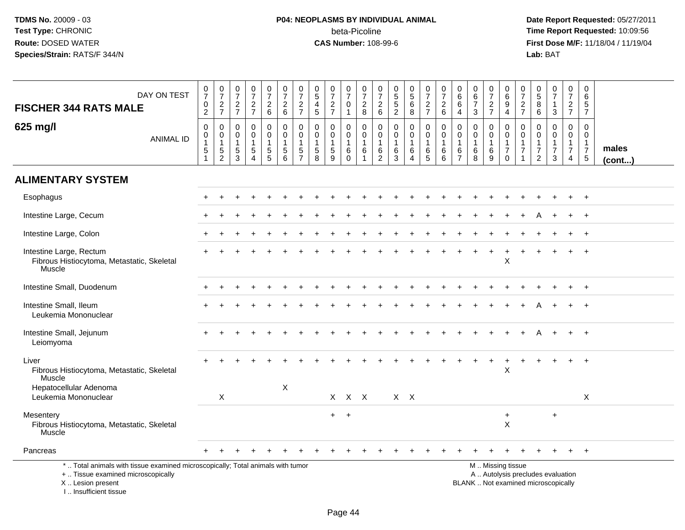## **P04: NEOPLASMS BY INDIVIDUAL ANIMAL**beta-Picoline<br>CAS Number: 108-99-6

| DAY ON TEST<br><b>FISCHER 344 RATS MALE</b>                                                                                                                           | $\frac{0}{7}$<br>$\mathbf 0$<br>$\overline{2}$                         | $\frac{0}{7}$<br>$\overline{c}$<br>$\overline{7}$ | $\begin{smallmatrix}0\\7\end{smallmatrix}$<br>$\frac{2}{7}$    | $\frac{0}{7}$<br>$\overline{a}$<br>$\overline{7}$                    | $\frac{0}{7}$<br>$\overline{a}$<br>6                                     | $\frac{0}{7}$<br>$\boldsymbol{2}$<br>6                                                | $\frac{0}{7}$<br>$\sqrt{2}$<br>$\overline{7}$                    | $\pmb{0}$<br>$\sqrt{5}$<br>$\overline{4}$<br>5                 | $\frac{0}{7}$<br>$\overline{c}$<br>$\overline{7}$ | $\begin{array}{c} 0 \\ 7 \end{array}$<br>$\mathbf 0$<br>$\overline{1}$ | $\frac{0}{7}$<br>$\overline{c}$<br>8                                      | $\frac{0}{7}$<br>$\overline{c}$<br>$\,6\,$                    | $\begin{array}{c} 0 \\ 5 \\ 5 \end{array}$<br>$\sqrt{2}$ | $\begin{array}{c} 0 \\ 5 \end{array}$<br>$\overline{6}$<br>$\bf8$ | $\frac{0}{7}$<br>$\overline{c}$<br>$\overline{7}$ | $\frac{0}{7}$<br>$\overline{2}$<br>6                                    | 0<br>$^6_6$<br>$\overline{4}$                                  | $_{6}^{\rm 0}$<br>$\overline{7}$<br>$\sqrt{3}$       | $\begin{array}{c} 0 \\ 7 \end{array}$<br>$\boldsymbol{2}$<br>$\overline{7}$ | 0<br>6<br>9<br>$\overline{4}$                                                                 | $\pmb{0}$<br>$\overline{7}$<br>$\overline{c}$<br>$\overline{7}$ | $\pmb{0}$<br>$\sqrt{5}$<br>8<br>6                                           | $\frac{0}{7}$<br>$\mathbf{1}$<br>3                                | $\begin{smallmatrix}0\\7\end{smallmatrix}$<br>$\overline{2}$<br>$\overline{7}$   | $\pmb{0}$<br>$\,6\,$<br>$\sqrt{5}$<br>$\overline{7}$                    |                       |
|-----------------------------------------------------------------------------------------------------------------------------------------------------------------------|------------------------------------------------------------------------|---------------------------------------------------|----------------------------------------------------------------|----------------------------------------------------------------------|--------------------------------------------------------------------------|---------------------------------------------------------------------------------------|------------------------------------------------------------------|----------------------------------------------------------------|---------------------------------------------------|------------------------------------------------------------------------|---------------------------------------------------------------------------|---------------------------------------------------------------|----------------------------------------------------------|-------------------------------------------------------------------|---------------------------------------------------|-------------------------------------------------------------------------|----------------------------------------------------------------|------------------------------------------------------|-----------------------------------------------------------------------------|-----------------------------------------------------------------------------------------------|-----------------------------------------------------------------|-----------------------------------------------------------------------------|-------------------------------------------------------------------|----------------------------------------------------------------------------------|-------------------------------------------------------------------------|-----------------------|
| 625 mg/l<br><b>ANIMAL ID</b>                                                                                                                                          | $\mathbf 0$<br>$\pmb{0}$<br>$\mathbf{1}$<br>$\sqrt{5}$<br>$\mathbf{1}$ | 0<br>0<br>$\mathbf{1}$<br>5<br>$\overline{c}$     | $\Omega$<br>0<br>$\mathbf{1}$<br>$\,$ 5 $\,$<br>$\overline{3}$ | $\mathbf 0$<br>$\mathsf 0$<br>$\mathbf{1}$<br>$\sqrt{5}$<br>$\Delta$ | $\mathbf 0$<br>$\mathbf 0$<br>1<br>$\begin{array}{c} 5 \\ 5 \end{array}$ | $\mathbf 0$<br>$\mathbf 0$<br>$\overline{1}$<br>$\begin{array}{c} 5 \\ 6 \end{array}$ | $\Omega$<br>$\mathbf 0$<br>$\overline{1}$<br>5<br>$\overline{7}$ | $\Omega$<br>$\mathbf 0$<br>$\mathbf{1}$<br>$\overline{5}$<br>8 | 0<br>$\mathbf 0$<br>$\mathbf{1}$<br>5<br>9        | $\Omega$<br>0<br>$\overline{1}$<br>6<br>$\mathbf 0$                    | $\mathbf 0$<br>$\mathsf{O}\xspace$<br>$\mathbf{1}$<br>6<br>$\overline{1}$ | $\mathbf 0$<br>$\mathbf 0$<br>$\mathbf{1}$<br>6<br>$\sqrt{2}$ | $\mathbf 0$<br>$\mathbf 0$<br>$\overline{1}$<br>6<br>3   | $\mathbf 0$<br>$\mathbf 0$<br>$\mathbf{1}$<br>6<br>$\overline{4}$ | $\Omega$<br>0<br>$\mathbf{1}$<br>6<br>$\sqrt{5}$  | $\mathbf 0$<br>$\mathbf 0$<br>$\mathbf{1}$<br>$\,6\,$<br>$6\phantom{1}$ | $\Omega$<br>$\mathbf 0$<br>$\mathbf{1}$<br>6<br>$\overline{7}$ | $\mathbf 0$<br>$\mathbf 0$<br>$\mathbf{1}$<br>6<br>8 | $\mathbf 0$<br>$\mathbf 0$<br>$\mathbf{1}$<br>$\,6$<br>9                    | $\Omega$<br>$\mathbf 0$<br>$\overline{1}$<br>$\overline{7}$<br>$\mathbf 0$                    | $\Omega$<br>$\mathbf 0$<br>$\mathbf{1}$<br>7<br>$\mathbf{1}$    | $\Omega$<br>$\mathbf 0$<br>$\mathbf{1}$<br>$\overline{7}$<br>$\overline{2}$ | $\mathbf 0$<br>$\mathbf 0$<br>$\mathbf{1}$<br>$\overline{7}$<br>3 | $\mathbf 0$<br>$\mathbf 0$<br>$\mathbf{1}$<br>$\boldsymbol{7}$<br>$\overline{4}$ | $\Omega$<br>$\mathbf 0$<br>$\mathbf{1}$<br>$\overline{7}$<br>$\sqrt{5}$ | males<br>$($ cont $)$ |
| <b>ALIMENTARY SYSTEM</b>                                                                                                                                              |                                                                        |                                                   |                                                                |                                                                      |                                                                          |                                                                                       |                                                                  |                                                                |                                                   |                                                                        |                                                                           |                                                               |                                                          |                                                                   |                                                   |                                                                         |                                                                |                                                      |                                                                             |                                                                                               |                                                                 |                                                                             |                                                                   |                                                                                  |                                                                         |                       |
| Esophagus                                                                                                                                                             |                                                                        |                                                   |                                                                |                                                                      |                                                                          |                                                                                       |                                                                  |                                                                |                                                   |                                                                        |                                                                           |                                                               |                                                          |                                                                   |                                                   |                                                                         |                                                                |                                                      |                                                                             |                                                                                               |                                                                 |                                                                             |                                                                   |                                                                                  |                                                                         |                       |
| Intestine Large, Cecum                                                                                                                                                |                                                                        |                                                   |                                                                |                                                                      |                                                                          |                                                                                       |                                                                  |                                                                |                                                   |                                                                        |                                                                           |                                                               |                                                          |                                                                   |                                                   |                                                                         |                                                                |                                                      |                                                                             |                                                                                               |                                                                 |                                                                             |                                                                   |                                                                                  | $\overline{1}$                                                          |                       |
| Intestine Large, Colon                                                                                                                                                |                                                                        |                                                   |                                                                |                                                                      |                                                                          |                                                                                       |                                                                  |                                                                |                                                   |                                                                        |                                                                           |                                                               |                                                          |                                                                   |                                                   |                                                                         |                                                                |                                                      |                                                                             |                                                                                               |                                                                 |                                                                             |                                                                   |                                                                                  | $+$                                                                     |                       |
| Intestine Large, Rectum<br>Fibrous Histiocytoma, Metastatic, Skeletal<br>Muscle                                                                                       |                                                                        |                                                   |                                                                |                                                                      |                                                                          |                                                                                       |                                                                  |                                                                |                                                   |                                                                        |                                                                           |                                                               |                                                          |                                                                   |                                                   |                                                                         |                                                                |                                                      |                                                                             | $\boldsymbol{\mathsf{X}}$                                                                     |                                                                 |                                                                             |                                                                   |                                                                                  | $\overline{ }$                                                          |                       |
| Intestine Small, Duodenum                                                                                                                                             |                                                                        |                                                   |                                                                |                                                                      |                                                                          |                                                                                       |                                                                  |                                                                |                                                   |                                                                        |                                                                           |                                                               |                                                          |                                                                   |                                                   |                                                                         |                                                                |                                                      |                                                                             |                                                                                               |                                                                 |                                                                             |                                                                   |                                                                                  |                                                                         |                       |
| Intestine Small, Ileum<br>Leukemia Mononuclear                                                                                                                        |                                                                        |                                                   |                                                                |                                                                      |                                                                          |                                                                                       |                                                                  |                                                                |                                                   |                                                                        |                                                                           |                                                               |                                                          |                                                                   |                                                   |                                                                         |                                                                |                                                      |                                                                             |                                                                                               |                                                                 |                                                                             |                                                                   |                                                                                  | $+$                                                                     |                       |
| Intestine Small, Jejunum<br>Leiomyoma                                                                                                                                 |                                                                        |                                                   |                                                                |                                                                      |                                                                          |                                                                                       |                                                                  |                                                                |                                                   |                                                                        |                                                                           |                                                               |                                                          |                                                                   |                                                   |                                                                         |                                                                |                                                      |                                                                             |                                                                                               |                                                                 |                                                                             |                                                                   |                                                                                  | $+$                                                                     |                       |
| Liver<br>Fibrous Histiocytoma, Metastatic, Skeletal<br>Muscle                                                                                                         |                                                                        |                                                   |                                                                |                                                                      |                                                                          |                                                                                       |                                                                  |                                                                |                                                   |                                                                        |                                                                           |                                                               |                                                          |                                                                   |                                                   |                                                                         |                                                                |                                                      |                                                                             | X                                                                                             |                                                                 |                                                                             |                                                                   | $+$                                                                              | $+$                                                                     |                       |
| Hepatocellular Adenoma<br>Leukemia Mononuclear                                                                                                                        |                                                                        | X                                                 |                                                                |                                                                      |                                                                          | X                                                                                     |                                                                  |                                                                |                                                   | X X X                                                                  |                                                                           |                                                               | $X$ $X$                                                  |                                                                   |                                                   |                                                                         |                                                                |                                                      |                                                                             |                                                                                               |                                                                 |                                                                             |                                                                   |                                                                                  | X                                                                       |                       |
| Mesentery<br>Fibrous Histiocytoma, Metastatic, Skeletal<br>Muscle                                                                                                     |                                                                        |                                                   |                                                                |                                                                      |                                                                          |                                                                                       |                                                                  |                                                                | $+$                                               | $+$                                                                    |                                                                           |                                                               |                                                          |                                                                   |                                                   |                                                                         |                                                                |                                                      |                                                                             | $\ddot{}$<br>$\times$                                                                         |                                                                 |                                                                             | $\ddot{}$                                                         |                                                                                  |                                                                         |                       |
| Pancreas                                                                                                                                                              |                                                                        |                                                   |                                                                |                                                                      |                                                                          |                                                                                       |                                                                  |                                                                |                                                   |                                                                        |                                                                           |                                                               |                                                          |                                                                   |                                                   |                                                                         |                                                                |                                                      |                                                                             |                                                                                               |                                                                 |                                                                             |                                                                   |                                                                                  | $+$                                                                     |                       |
| *  Total animals with tissue examined microscopically; Total animals with tumor<br>+  Tissue examined microscopically<br>X  Lesion present<br>I., Insufficient tissue |                                                                        |                                                   |                                                                |                                                                      |                                                                          |                                                                                       |                                                                  |                                                                |                                                   |                                                                        |                                                                           |                                                               |                                                          |                                                                   |                                                   |                                                                         |                                                                |                                                      |                                                                             | M  Missing tissue<br>A  Autolysis precludes evaluation<br>BLANK  Not examined microscopically |                                                                 |                                                                             |                                                                   |                                                                                  |                                                                         |                       |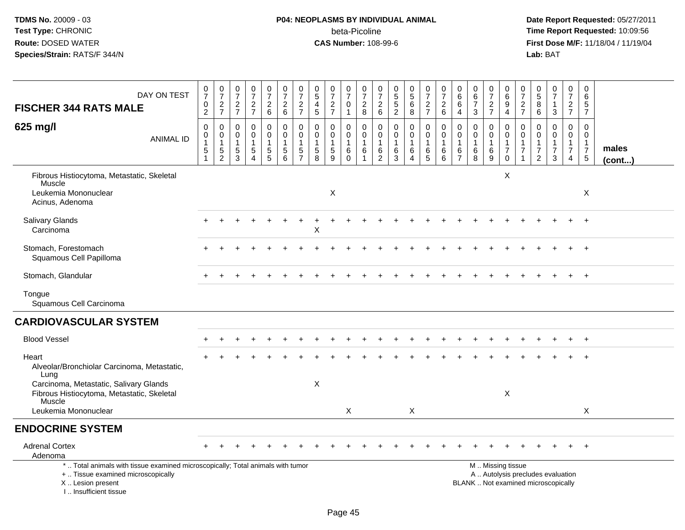| DAY ON TEST<br><b>FISCHER 344 RATS MALE</b>                                                                                                                         | $\frac{0}{7}$<br>$\pmb{0}$<br>$\overline{2}$                      | $\begin{array}{c} 0 \\ 7 \end{array}$<br>$\frac{2}{7}$            | $\begin{smallmatrix}0\\7\end{smallmatrix}$<br>$\frac{2}{7}$          | $\frac{0}{7}$<br>$\frac{2}{7}$                                 | $\begin{smallmatrix}0\\7\end{smallmatrix}$<br>$\begin{array}{c} 2 \\ 6 \end{array}$   | $\frac{0}{7}$<br>$\frac{2}{6}$                                | $\frac{0}{7}$<br>$\frac{2}{7}$                                             | $\begin{array}{c} 0 \\ 5 \end{array}$<br>$\begin{array}{c} 4 \\ 5 \end{array}$ | $\frac{0}{7}$<br>$\frac{2}{7}$               | $\frac{0}{7}$<br>$\boldsymbol{0}$<br>$\mathbf{1}$ | $\begin{array}{c} 0 \\ 7 \end{array}$<br>$_{\rm 8}^2$        | $\pmb{0}$<br>$\overline{7}$<br>$\begin{array}{c} 2 \\ 6 \end{array}$ | $\begin{array}{c} 0 \\ 5 \end{array}$<br>$\frac{5}{2}$ | $\pmb{0}$<br>$\overline{5}$<br>$\,6\,$<br>8                 | 0<br>$\overline{7}$<br>$rac{2}{7}$                                | $\frac{0}{7}$<br>$\boldsymbol{2}$<br>6         | 0<br>$\,6\,$<br>$\,6$<br>$\overline{4}$                | $\pmb{0}$<br>$\,6$<br>$\overline{7}$<br>3                                 | 0<br>$\overline{7}$<br>$\frac{2}{7}$ | $\mathbf 0$<br>$\,6\,$<br>$\boldsymbol{9}$<br>$\overline{4}$                                  | 0<br>$\overline{7}$<br>$\frac{2}{7}$            | 0<br>$\sqrt{5}$<br>8<br>$\,6\,$                                   | $\frac{0}{7}$<br>$\mathbf{1}$<br>$\mathbf{3}$                      | 0<br>$\overline{7}$<br>$\frac{2}{7}$                                         | 0<br>6<br>5<br>$\overline{7}$                                              |                 |
|---------------------------------------------------------------------------------------------------------------------------------------------------------------------|-------------------------------------------------------------------|-------------------------------------------------------------------|----------------------------------------------------------------------|----------------------------------------------------------------|---------------------------------------------------------------------------------------|---------------------------------------------------------------|----------------------------------------------------------------------------|--------------------------------------------------------------------------------|----------------------------------------------|---------------------------------------------------|--------------------------------------------------------------|----------------------------------------------------------------------|--------------------------------------------------------|-------------------------------------------------------------|-------------------------------------------------------------------|------------------------------------------------|--------------------------------------------------------|---------------------------------------------------------------------------|--------------------------------------|-----------------------------------------------------------------------------------------------|-------------------------------------------------|-------------------------------------------------------------------|--------------------------------------------------------------------|------------------------------------------------------------------------------|----------------------------------------------------------------------------|-----------------|
| 625 mg/l<br><b>ANIMAL ID</b>                                                                                                                                        | $\pmb{0}$<br>$\mathbf 0$<br>$\mathbf{1}$<br>$5\,$<br>$\mathbf{1}$ | $\mathbf 0$<br>$\mathbf 0$<br>$\mathbf{1}$<br>5<br>$\overline{2}$ | $\pmb{0}$<br>0<br>$\overline{1}$<br>$\overline{5}$<br>$\overline{3}$ | $\pmb{0}$<br>$\mathbf 0$<br>1<br>$\,$ 5 $\,$<br>$\overline{4}$ | $\mathbf 0$<br>$\mathbf 0$<br>$\overline{1}$<br>$\begin{array}{c} 5 \\ 5 \end{array}$ | $\mathbf 0$<br>$\mathbf 0$<br>$\mathbf{1}$<br>$\sqrt{5}$<br>6 | $\mathbf 0$<br>$\mathbf 0$<br>$\mathbf{1}$<br>$\sqrt{5}$<br>$\overline{7}$ | $\mathbf 0$<br>$\mathbf 0$<br>$\mathbf{1}$<br>$\sqrt{5}$<br>8                  | 0<br>$\mathbf 0$<br>1<br>5<br>$\overline{9}$ | 0<br>$\mathbf 0$<br>$\mathbf{1}$<br>6<br>0        | 0<br>$\mathsf{O}\xspace$<br>$\mathbf{1}$<br>6<br>$\mathbf 1$ | $\mathbf 0$<br>$\mathbf 0$<br>$\mathbf{1}$<br>6<br>$\overline{2}$    | $\pmb{0}$<br>$\pmb{0}$<br>$\mathbf{1}$<br>6<br>3       | 0<br>$\mathbf 0$<br>$\mathbf{1}$<br>$\,6$<br>$\overline{4}$ | $\mathbf 0$<br>$\mathbf 0$<br>$\mathbf{1}$<br>6<br>$\overline{5}$ | 0<br>0<br>$\mathbf{1}$<br>6<br>$6\overline{6}$ | $\mathbf 0$<br>$\mathbf 0$<br>1<br>6<br>$\overline{7}$ | $\mathbf 0$<br>$\mathsf{O}\xspace$<br>$\mathbf{1}$<br>6<br>$\overline{8}$ | 0<br>$\mathbf 0$<br>1<br>6<br>9      | 0<br>$\mathbf 0$<br>$\mathbf{1}$<br>$\overline{7}$<br>$\mathbf 0$                             | $\mathbf 0$<br>$\Omega$<br>-1<br>$\overline{7}$ | $\mathbf 0$<br>$\Omega$<br>-1<br>$\overline{7}$<br>$\overline{2}$ | $\mathbf{0}$<br>$\mathbf 0$<br>1<br>$\overline{7}$<br>$\mathbf{3}$ | $\pmb{0}$<br>$\mathbf 0$<br>$\mathbf{1}$<br>$\overline{7}$<br>$\overline{4}$ | $\mathbf 0$<br>$\mathbf 0$<br>$\mathbf{1}$<br>$\overline{7}$<br>$\sqrt{5}$ | males<br>(cont) |
| Fibrous Histiocytoma, Metastatic, Skeletal<br>Muscle<br>Leukemia Mononuclear<br>Acinus, Adenoma                                                                     |                                                                   |                                                                   |                                                                      |                                                                |                                                                                       |                                                               |                                                                            |                                                                                | X                                            |                                                   |                                                              |                                                                      |                                                        |                                                             |                                                                   |                                                |                                                        |                                                                           |                                      | X                                                                                             |                                                 |                                                                   |                                                                    |                                                                              | X                                                                          |                 |
| Salivary Glands<br>Carcinoma                                                                                                                                        |                                                                   |                                                                   |                                                                      |                                                                |                                                                                       |                                                               |                                                                            | Χ                                                                              |                                              |                                                   |                                                              |                                                                      |                                                        |                                                             |                                                                   |                                                |                                                        |                                                                           |                                      |                                                                                               |                                                 |                                                                   |                                                                    |                                                                              |                                                                            |                 |
| Stomach, Forestomach<br>Squamous Cell Papilloma                                                                                                                     |                                                                   |                                                                   |                                                                      |                                                                |                                                                                       |                                                               |                                                                            |                                                                                |                                              |                                                   |                                                              |                                                                      |                                                        |                                                             |                                                                   |                                                |                                                        |                                                                           |                                      |                                                                                               |                                                 |                                                                   |                                                                    |                                                                              | $\overline{+}$                                                             |                 |
| Stomach, Glandular                                                                                                                                                  |                                                                   |                                                                   |                                                                      |                                                                |                                                                                       |                                                               |                                                                            |                                                                                |                                              |                                                   |                                                              |                                                                      |                                                        |                                                             |                                                                   |                                                |                                                        |                                                                           |                                      |                                                                                               |                                                 |                                                                   |                                                                    |                                                                              | $^{+}$                                                                     |                 |
| Tongue<br>Squamous Cell Carcinoma                                                                                                                                   |                                                                   |                                                                   |                                                                      |                                                                |                                                                                       |                                                               |                                                                            |                                                                                |                                              |                                                   |                                                              |                                                                      |                                                        |                                                             |                                                                   |                                                |                                                        |                                                                           |                                      |                                                                                               |                                                 |                                                                   |                                                                    |                                                                              |                                                                            |                 |
| <b>CARDIOVASCULAR SYSTEM</b>                                                                                                                                        |                                                                   |                                                                   |                                                                      |                                                                |                                                                                       |                                                               |                                                                            |                                                                                |                                              |                                                   |                                                              |                                                                      |                                                        |                                                             |                                                                   |                                                |                                                        |                                                                           |                                      |                                                                                               |                                                 |                                                                   |                                                                    |                                                                              |                                                                            |                 |
| <b>Blood Vessel</b>                                                                                                                                                 |                                                                   |                                                                   |                                                                      |                                                                |                                                                                       |                                                               |                                                                            |                                                                                |                                              |                                                   |                                                              |                                                                      |                                                        |                                                             |                                                                   |                                                |                                                        |                                                                           |                                      |                                                                                               |                                                 |                                                                   |                                                                    |                                                                              | $\overline{1}$                                                             |                 |
| Heart<br>Alveolar/Bronchiolar Carcinoma, Metastatic,<br>Lung                                                                                                        |                                                                   |                                                                   |                                                                      |                                                                |                                                                                       |                                                               |                                                                            |                                                                                |                                              |                                                   |                                                              |                                                                      |                                                        |                                                             |                                                                   |                                                |                                                        |                                                                           |                                      |                                                                                               |                                                 |                                                                   |                                                                    |                                                                              |                                                                            |                 |
| Carcinoma, Metastatic, Salivary Glands<br>Fibrous Histiocytoma, Metastatic, Skeletal<br>Muscle                                                                      |                                                                   |                                                                   |                                                                      |                                                                |                                                                                       |                                                               |                                                                            | $\mathsf X$                                                                    |                                              |                                                   |                                                              |                                                                      |                                                        |                                                             |                                                                   |                                                |                                                        |                                                                           |                                      | X                                                                                             |                                                 |                                                                   |                                                                    |                                                                              |                                                                            |                 |
| Leukemia Mononuclear                                                                                                                                                |                                                                   |                                                                   |                                                                      |                                                                |                                                                                       |                                                               |                                                                            |                                                                                |                                              | X                                                 |                                                              |                                                                      |                                                        | X                                                           |                                                                   |                                                |                                                        |                                                                           |                                      |                                                                                               |                                                 |                                                                   |                                                                    |                                                                              | X                                                                          |                 |
| <b>ENDOCRINE SYSTEM</b>                                                                                                                                             |                                                                   |                                                                   |                                                                      |                                                                |                                                                                       |                                                               |                                                                            |                                                                                |                                              |                                                   |                                                              |                                                                      |                                                        |                                                             |                                                                   |                                                |                                                        |                                                                           |                                      |                                                                                               |                                                 |                                                                   |                                                                    |                                                                              |                                                                            |                 |
| <b>Adrenal Cortex</b><br>Adenoma                                                                                                                                    |                                                                   |                                                                   |                                                                      |                                                                |                                                                                       |                                                               |                                                                            |                                                                                |                                              |                                                   |                                                              |                                                                      |                                                        |                                                             |                                                                   |                                                |                                                        |                                                                           |                                      |                                                                                               |                                                 |                                                                   |                                                                    |                                                                              |                                                                            |                 |
| *  Total animals with tissue examined microscopically; Total animals with tumor<br>+  Tissue examined microscopically<br>X  Lesion present<br>I Insufficient tissue |                                                                   |                                                                   |                                                                      |                                                                |                                                                                       |                                                               |                                                                            |                                                                                |                                              |                                                   |                                                              |                                                                      |                                                        |                                                             |                                                                   |                                                |                                                        |                                                                           |                                      | M  Missing tissue<br>A  Autolysis precludes evaluation<br>BLANK  Not examined microscopically |                                                 |                                                                   |                                                                    |                                                                              |                                                                            |                 |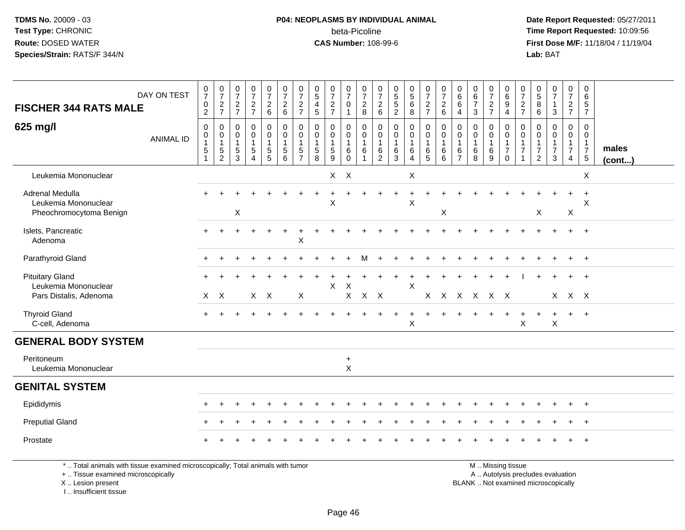### **P04: NEOPLASMS BY INDIVIDUAL ANIMAL**beta-Picoline<br>CAS Number: 108-99-6

 **Date Report Requested:** 05/27/2011 **Time Report Requested:** 10:09:56 **First Dose M/F:** 11/18/04 / 11/19/04<br>Lab: BAT **Lab:** BAT

| <b>FISCHER 344 RATS MALE</b>                                                    | DAY ON TEST      | $\frac{0}{7}$<br>$^{\rm 0}_{\rm 2}$                     | $\begin{array}{c} 0 \\ 7 \end{array}$<br>$\frac{2}{7}$  | $\frac{0}{7}$<br>$\frac{2}{7}$                                     | $\frac{0}{7}$<br>$\frac{2}{7}$                                                 | $\frac{0}{7}$<br>$\frac{2}{6}$                            | $\frac{0}{7}$<br>$\begin{array}{c} 2 \\ 6 \end{array}$      | $\frac{0}{7}$<br>$\frac{2}{7}$                                    | $\begin{smallmatrix}0\0\5\end{smallmatrix}$<br>$\frac{4}{5}$ | $\begin{array}{c} 0 \\ 7 \end{array}$<br>$\frac{2}{7}$             | $\frac{0}{7}$<br>$\mathbf 0$<br>$\overline{1}$                                   | $\frac{0}{7}$<br>$\frac{2}{8}$                                    | $\frac{0}{7}$<br>$\begin{array}{c} 2 \\ 6 \end{array}$      | $\begin{array}{c} 0 \\ 5 \\ 2 \end{array}$                        | $\begin{array}{c} 0 \\ 5 \end{array}$<br>6<br>8                 | $\begin{smallmatrix}0\\7\end{smallmatrix}$<br>$\frac{2}{7}$    | $\begin{smallmatrix}0\\7\end{smallmatrix}$<br>$\begin{array}{c} 2 \\ 6 \end{array}$ | $\begin{array}{c} 0 \\ 6 \end{array}$<br>$\,6\,$<br>$\overline{4}$           | $\begin{array}{c} 0 \\ 6 \end{array}$<br>$\overline{7}$<br>3 | $\frac{0}{7}$<br>$\frac{2}{7}$ | $_{6}^{\rm 0}$<br>$\boldsymbol{9}$<br>$\overline{4}$                      | 0<br>$\overline{7}$<br>$\frac{2}{7}$                   | 0<br>$\,$ 5 $\,$<br>$\bf 8$<br>6                                       | $\begin{array}{c} 0 \\ 7 \end{array}$<br>$\mathbf{1}$<br>$\mathbf{3}$ | $\pmb{0}$<br>$\overline{7}$<br>$rac{2}{7}$                                       | $\mathbf 0$<br>6<br>$\sqrt{5}$<br>$\overline{7}$                                |                 |
|---------------------------------------------------------------------------------|------------------|---------------------------------------------------------|---------------------------------------------------------|--------------------------------------------------------------------|--------------------------------------------------------------------------------|-----------------------------------------------------------|-------------------------------------------------------------|-------------------------------------------------------------------|--------------------------------------------------------------|--------------------------------------------------------------------|----------------------------------------------------------------------------------|-------------------------------------------------------------------|-------------------------------------------------------------|-------------------------------------------------------------------|-----------------------------------------------------------------|----------------------------------------------------------------|-------------------------------------------------------------------------------------|------------------------------------------------------------------------------|--------------------------------------------------------------|--------------------------------|---------------------------------------------------------------------------|--------------------------------------------------------|------------------------------------------------------------------------|-----------------------------------------------------------------------|----------------------------------------------------------------------------------|---------------------------------------------------------------------------------|-----------------|
| 625 mg/l                                                                        | <b>ANIMAL ID</b> | $\pmb{0}$<br>$\pmb{0}$<br>$\mathbf{1}$<br>$\frac{5}{1}$ | $\pmb{0}$<br>$\pmb{0}$<br>$\mathbf{1}$<br>$\frac{5}{2}$ | $\mathbf 0$<br>$\boldsymbol{0}$<br>$\overline{1}$<br>$\frac{5}{3}$ | $\pmb{0}$<br>$\pmb{0}$<br>$\mathbf{1}$<br>$\sqrt{5}$<br>$\boldsymbol{\Lambda}$ | $\mathbf 0$<br>$\pmb{0}$<br>$\mathbf{1}$<br>$\frac{5}{5}$ | $\pmb{0}$<br>$\mathbf 0$<br>$\mathbf{1}$<br>$\sqrt{5}$<br>6 | $\mathbf 0$<br>$\mathbf 0$<br>$\mathbf{1}$<br>5<br>$\overline{7}$ | 0<br>$\pmb{0}$<br>$\mathbf{1}$<br>$\,$ 5 $\,$<br>8           | $\mathbf 0$<br>$\mathsf 0$<br>$\mathbf{1}$<br>$\,$ 5 $\,$<br>$9\,$ | $\boldsymbol{0}$<br>$\boldsymbol{0}$<br>$\overline{1}$<br>$\,6\,$<br>$\mathbf 0$ | $\pmb{0}$<br>$\mathbf 0$<br>$\mathbf{1}$<br>$\,6$<br>$\mathbf{1}$ | $\mathbf 0$<br>$\mathbf 0$<br>-1<br>$\,6$<br>$\overline{2}$ | $\pmb{0}$<br>$\pmb{0}$<br>$\mathbf{1}$<br>$\,6\,$<br>$\mathbf{3}$ | $\mathbf 0$<br>0<br>$\mathbf{1}$<br>6<br>$\boldsymbol{\Lambda}$ | $\pmb{0}$<br>$\boldsymbol{0}$<br>$\mathbf{1}$<br>$\frac{6}{5}$ | $\mathbf 0$<br>$\pmb{0}$<br>$\mathbf{1}$<br>$\,6\,$<br>6                            | $\mathbf 0$<br>$\boldsymbol{0}$<br>$\overline{1}$<br>$\,6$<br>$\overline{7}$ | $\pmb{0}$<br>$\pmb{0}$<br>$\mathbf{1}$<br>$\,6\,$<br>8       | 0<br>0<br>1<br>$\,6$<br>9      | $\pmb{0}$<br>$\pmb{0}$<br>$\mathbf{1}$<br>$\boldsymbol{7}$<br>$\mathbf 0$ | $\mathbf 0$<br>0<br>$\mathbf 1$<br>$\overline{7}$<br>1 | $\mathbf 0$<br>0<br>$\mathbf{1}$<br>$\boldsymbol{7}$<br>$\overline{2}$ | $\mathbf 0$<br>$\mathbf 0$<br>$\mathbf{1}$<br>$\overline{7}$<br>3     | $\mathbf 0$<br>$\mathbf 0$<br>$\overline{1}$<br>$\overline{7}$<br>$\overline{4}$ | $\mathbf 0$<br>$\overline{0}$<br>$\overline{1}$<br>$\overline{7}$<br>$\sqrt{5}$ | males<br>(cont) |
| Leukemia Mononuclear                                                            |                  |                                                         |                                                         |                                                                    |                                                                                |                                                           |                                                             |                                                                   |                                                              | $X$ $X$                                                            |                                                                                  |                                                                   |                                                             |                                                                   | X                                                               |                                                                |                                                                                     |                                                                              |                                                              |                                |                                                                           |                                                        |                                                                        |                                                                       |                                                                                  | $\boldsymbol{\mathsf{X}}$                                                       |                 |
| Adrenal Medulla<br>Leukemia Mononuclear<br>Pheochromocytoma Benign              |                  |                                                         |                                                         | X                                                                  |                                                                                |                                                           |                                                             |                                                                   |                                                              | $\mathsf X$                                                        |                                                                                  |                                                                   |                                                             |                                                                   | $\ddot{}$<br>X                                                  |                                                                | X                                                                                   |                                                                              |                                                              |                                |                                                                           |                                                        | X                                                                      |                                                                       | $\ddot{}$<br>$\boldsymbol{\mathsf{X}}$                                           | $\ddot{}$<br>X                                                                  |                 |
| Islets, Pancreatic<br>Adenoma                                                   |                  | $\ddot{}$                                               |                                                         |                                                                    |                                                                                |                                                           |                                                             | X                                                                 |                                                              |                                                                    |                                                                                  |                                                                   |                                                             |                                                                   |                                                                 |                                                                |                                                                                     |                                                                              |                                                              |                                |                                                                           |                                                        |                                                                        |                                                                       | $\ddot{}$                                                                        | $+$                                                                             |                 |
| Parathyroid Gland                                                               |                  |                                                         |                                                         |                                                                    |                                                                                |                                                           |                                                             |                                                                   |                                                              |                                                                    |                                                                                  | м                                                                 |                                                             |                                                                   |                                                                 |                                                                |                                                                                     |                                                                              |                                                              |                                |                                                                           |                                                        |                                                                        |                                                                       | $\ddot{}$                                                                        | $+$                                                                             |                 |
| <b>Pituitary Gland</b><br>Leukemia Mononuclear<br>Pars Distalis, Adenoma        |                  |                                                         | $X$ $X$                                                 |                                                                    | $X$ $X$                                                                        |                                                           |                                                             | X                                                                 |                                                              | X                                                                  | X                                                                                | $X$ $X$ $X$                                                       |                                                             |                                                                   | X                                                               |                                                                | X X X X X X                                                                         |                                                                              |                                                              |                                |                                                                           |                                                        |                                                                        |                                                                       | X X X                                                                            | $\ddot{}$                                                                       |                 |
| <b>Thyroid Gland</b><br>C-cell, Adenoma                                         |                  | $+$                                                     |                                                         |                                                                    |                                                                                |                                                           |                                                             |                                                                   |                                                              |                                                                    |                                                                                  |                                                                   |                                                             |                                                                   | $\div$<br>X                                                     |                                                                |                                                                                     |                                                                              |                                                              |                                |                                                                           | $\pmb{\times}$                                         |                                                                        | $\mathsf X$                                                           | $+$                                                                              | $+$                                                                             |                 |
| <b>GENERAL BODY SYSTEM</b>                                                      |                  |                                                         |                                                         |                                                                    |                                                                                |                                                           |                                                             |                                                                   |                                                              |                                                                    |                                                                                  |                                                                   |                                                             |                                                                   |                                                                 |                                                                |                                                                                     |                                                                              |                                                              |                                |                                                                           |                                                        |                                                                        |                                                                       |                                                                                  |                                                                                 |                 |
| Peritoneum<br>Leukemia Mononuclear                                              |                  |                                                         |                                                         |                                                                    |                                                                                |                                                           |                                                             |                                                                   |                                                              |                                                                    | $\ddot{}$<br>$\mathsf{X}$                                                        |                                                                   |                                                             |                                                                   |                                                                 |                                                                |                                                                                     |                                                                              |                                                              |                                |                                                                           |                                                        |                                                                        |                                                                       |                                                                                  |                                                                                 |                 |
| <b>GENITAL SYSTEM</b>                                                           |                  |                                                         |                                                         |                                                                    |                                                                                |                                                           |                                                             |                                                                   |                                                              |                                                                    |                                                                                  |                                                                   |                                                             |                                                                   |                                                                 |                                                                |                                                                                     |                                                                              |                                                              |                                |                                                                           |                                                        |                                                                        |                                                                       |                                                                                  |                                                                                 |                 |
| Epididymis                                                                      |                  |                                                         |                                                         |                                                                    |                                                                                |                                                           |                                                             |                                                                   |                                                              |                                                                    |                                                                                  |                                                                   |                                                             |                                                                   |                                                                 |                                                                |                                                                                     |                                                                              |                                                              |                                |                                                                           |                                                        |                                                                        |                                                                       |                                                                                  | $\ddot{}$                                                                       |                 |
| <b>Preputial Gland</b>                                                          |                  |                                                         |                                                         |                                                                    |                                                                                |                                                           |                                                             |                                                                   |                                                              |                                                                    |                                                                                  |                                                                   |                                                             |                                                                   |                                                                 |                                                                |                                                                                     |                                                                              |                                                              |                                |                                                                           |                                                        |                                                                        |                                                                       |                                                                                  | $\ddot{}$                                                                       |                 |
| Prostate                                                                        |                  |                                                         |                                                         |                                                                    |                                                                                |                                                           |                                                             |                                                                   |                                                              |                                                                    |                                                                                  |                                                                   |                                                             |                                                                   |                                                                 |                                                                |                                                                                     |                                                                              |                                                              |                                |                                                                           |                                                        |                                                                        |                                                                       |                                                                                  | $^{+}$                                                                          |                 |
| *  Total animals with tissue examined microscopically; Total animals with tumor |                  |                                                         |                                                         |                                                                    |                                                                                |                                                           |                                                             |                                                                   |                                                              |                                                                    |                                                                                  |                                                                   |                                                             |                                                                   |                                                                 |                                                                |                                                                                     |                                                                              |                                                              |                                | M  Missing tissue                                                         |                                                        |                                                                        |                                                                       |                                                                                  |                                                                                 |                 |

+ .. Tissue examined microscopically

X .. Lesion present

I .. Insufficient tissue

y the contract of the contract of the contract of the contract of the contract of the contract of the contract of  $A$ . Autolysis precludes evaluation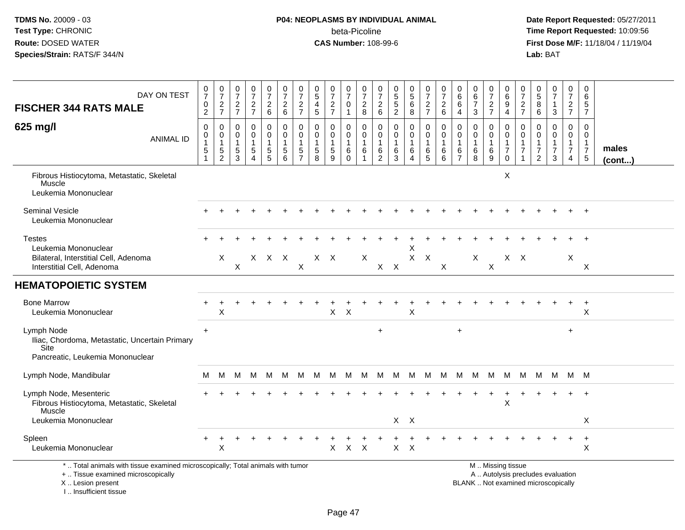### **P04: NEOPLASMS BY INDIVIDUAL ANIMAL**beta-Picoline<br>CAS Number: 108-99-6

 **Date Report Requested:** 05/27/2011 **Time Report Requested:** 10:09:56 **First Dose M/F:** 11/18/04 / 11/19/04<br>Lab: BAT **Lab:** BAT

| DAY ON TEST<br><b>FISCHER 344 RATS MALE</b>                                                                                                | 0<br>$\overline{7}$<br>0<br>$\sqrt{2}$          | $\pmb{0}$<br>$\overline{7}$<br>$\frac{2}{7}$                                | $\frac{0}{7}$<br>$\frac{2}{7}$   | $\frac{0}{7}$<br>$\frac{2}{7}$              | $\frac{0}{7}$<br>$\begin{array}{c} 2 \\ 6 \end{array}$ | $\frac{0}{7}$<br>$\begin{array}{c} 2 \\ 6 \end{array}$ | 0<br>$\overline{7}$<br>$\overline{c}$<br>$\overline{7}$ | 0<br>$\overline{5}$<br>$\overline{4}$<br>$\sqrt{5}$ | $\frac{0}{7}$<br>$\frac{2}{7}$  | $\frac{0}{7}$<br>0<br>$\mathbf{1}$                 | $\frac{0}{7}$<br>$\overline{c}$<br>8 | 0<br>$\overline{7}$<br>$^2\phantom{1}6$ | $\begin{array}{c} 0 \\ 5 \\ 2 \end{array}$     | 0<br>$\overline{5}$<br>6<br>$\bf 8$ | $\frac{0}{7}$<br>$\overline{c}$<br>$\overline{7}$ | 0<br>$\overline{7}$<br>$\overline{\mathbf{c}}$<br>6 | 0<br>6<br>6<br>$\overline{4}$                 | 0<br>$\,6\,$<br>$\overline{7}$<br>3  | $\mathbf 0$<br>$\overline{7}$<br>$\frac{2}{7}$ | $\mathbf 0$<br>$\,6$<br>9<br>$\overline{4}$                                                   | 0<br>$\overline{7}$<br>$\overline{c}$<br>$\overline{7}$            | 0<br>5<br>8<br>6                                          | $\frac{0}{7}$<br>1<br>3            | $\pmb{0}$<br>$\overline{7}$<br>$\overline{2}$<br>$\overline{7}$ | $\mathbf 0$<br>6<br>5<br>$\overline{7}$                          |                 |
|--------------------------------------------------------------------------------------------------------------------------------------------|-------------------------------------------------|-----------------------------------------------------------------------------|----------------------------------|---------------------------------------------|--------------------------------------------------------|--------------------------------------------------------|---------------------------------------------------------|-----------------------------------------------------|---------------------------------|----------------------------------------------------|--------------------------------------|-----------------------------------------|------------------------------------------------|-------------------------------------|---------------------------------------------------|-----------------------------------------------------|-----------------------------------------------|--------------------------------------|------------------------------------------------|-----------------------------------------------------------------------------------------------|--------------------------------------------------------------------|-----------------------------------------------------------|------------------------------------|-----------------------------------------------------------------|------------------------------------------------------------------|-----------------|
| 625 mg/l<br><b>ANIMAL ID</b>                                                                                                               | 0<br>0<br>$\overline{1}$<br>5<br>$\overline{1}$ | $\mathbf 0$<br>$\mathbf 0$<br>$\mathbf{1}$<br>$\,$ 5 $\,$<br>$\overline{c}$ | 0<br>0<br>$\mathbf{1}$<br>5<br>3 | 0<br>$\mathsf{O}$<br>$\mathbf{1}$<br>5<br>4 | 0<br>$\pmb{0}$<br>$\mathbf{1}$<br>$\frac{5}{5}$        | 0<br>$\mathbf 0$<br>$\overline{1}$<br>$\sqrt{5}$<br>6  | 0<br>0<br>-1<br>$\sqrt{5}$<br>$\overline{7}$            | $\mathbf 0$<br>0<br>$\mathbf{1}$<br>$\sqrt{5}$<br>8 | 0<br>$\mathbf 0$<br>1<br>5<br>9 | 0<br>$\pmb{0}$<br>$\mathbf{1}$<br>6<br>$\mathbf 0$ | 0<br>0<br>$\mathbf{1}$<br>6<br>1     | 0<br>0<br>-1<br>$\,6$<br>$\overline{2}$ | 0<br>$\mathbf 0$<br>$\mathbf{1}$<br>$\,6$<br>3 | 0<br>0<br>$\mathbf{1}$<br>6<br>4    | 0<br>$\mathbf 0$<br>$\mathbf{1}$<br>6<br>5        | 0<br>0<br>$\mathbf{1}$<br>6<br>6                    | 0<br>$\mathbf 0$<br>-1<br>6<br>$\overline{7}$ | 0<br>0<br>$\mathbf{1}$<br>$\,6$<br>8 | 0<br>0<br>$\overline{1}$<br>$\,6\,$<br>9       | 0<br>$\mathbf 0$<br>$\overline{1}$<br>$\overline{7}$<br>$\mathbf 0$                           | 0<br>$\mathbf 0$<br>$\mathbf{1}$<br>$\overline{7}$<br>$\mathbf{1}$ | 0<br>$\mathbf 0$<br>1<br>$\overline{7}$<br>$\overline{2}$ | 0<br>0<br>1<br>$\overline{7}$<br>3 | 0<br>$\mathbf 0$<br>$\mathbf{1}$<br>$\overline{7}$<br>4         | $\mathbf 0$<br>0<br>$\mathbf{1}$<br>$\overline{7}$<br>$\sqrt{5}$ | males<br>(cont) |
| Fibrous Histiocytoma, Metastatic, Skeletal<br>Muscle<br>Leukemia Mononuclear                                                               |                                                 |                                                                             |                                  |                                             |                                                        |                                                        |                                                         |                                                     |                                 |                                                    |                                      |                                         |                                                |                                     |                                                   |                                                     |                                               |                                      |                                                | X                                                                                             |                                                                    |                                                           |                                    |                                                                 |                                                                  |                 |
| Seminal Vesicle<br>Leukemia Mononuclear                                                                                                    |                                                 |                                                                             |                                  |                                             |                                                        |                                                        |                                                         |                                                     |                                 |                                                    |                                      |                                         |                                                |                                     |                                                   |                                                     |                                               |                                      |                                                |                                                                                               |                                                                    |                                                           |                                    |                                                                 | $\ddot{}$                                                        |                 |
| <b>Testes</b><br>Leukemia Mononuclear<br>Bilateral, Interstitial Cell, Adenoma<br>Interstitial Cell, Adenoma                               |                                                 | X                                                                           | X                                | X                                           | $X$ $X$                                                |                                                        | $\pmb{\times}$                                          | $X$ $X$                                             |                                 |                                                    | X                                    |                                         | $X$ $X$                                        | X<br>X                              | $\boldsymbol{X}$                                  | X                                                   |                                               | X                                    | X                                              | $X$ $X$                                                                                       |                                                                    |                                                           |                                    | X                                                               | X                                                                |                 |
| <b>HEMATOPOIETIC SYSTEM</b>                                                                                                                |                                                 |                                                                             |                                  |                                             |                                                        |                                                        |                                                         |                                                     |                                 |                                                    |                                      |                                         |                                                |                                     |                                                   |                                                     |                                               |                                      |                                                |                                                                                               |                                                                    |                                                           |                                    |                                                                 |                                                                  |                 |
| <b>Bone Marrow</b><br>Leukemia Mononuclear                                                                                                 |                                                 | X                                                                           |                                  |                                             |                                                        |                                                        |                                                         |                                                     | X.                              | $\mathsf{X}$                                       |                                      |                                         |                                                | X                                   |                                                   |                                                     |                                               |                                      |                                                |                                                                                               |                                                                    |                                                           |                                    |                                                                 | $\ddot{}$<br>X                                                   |                 |
| Lymph Node<br>Iliac, Chordoma, Metastatic, Uncertain Primary<br>Site<br>Pancreatic, Leukemia Mononuclear                                   | $\ddot{}$                                       |                                                                             |                                  |                                             |                                                        |                                                        |                                                         |                                                     |                                 |                                                    |                                      | $\ddot{}$                               |                                                |                                     |                                                   |                                                     | $\ddot{}$                                     |                                      |                                                |                                                                                               |                                                                    |                                                           |                                    | $\ddot{}$                                                       |                                                                  |                 |
| Lymph Node, Mandibular                                                                                                                     | м                                               | M                                                                           | M                                | - M                                         | M .                                                    | M M                                                    |                                                         | M M M                                               |                                 |                                                    | M                                    |                                         | M M M                                          |                                     | M                                                 | M                                                   |                                               |                                      |                                                | M M M M M M M                                                                                 |                                                                    |                                                           |                                    | M M                                                             |                                                                  |                 |
| Lymph Node, Mesenteric<br>Fibrous Histiocytoma, Metastatic, Skeletal<br>Muscle                                                             |                                                 |                                                                             |                                  |                                             |                                                        |                                                        |                                                         |                                                     |                                 |                                                    |                                      |                                         |                                                |                                     |                                                   |                                                     |                                               |                                      | $\ddot{}$                                      | X                                                                                             |                                                                    |                                                           |                                    |                                                                 | $\overline{+}$                                                   |                 |
| Leukemia Mononuclear                                                                                                                       |                                                 |                                                                             |                                  |                                             |                                                        |                                                        |                                                         |                                                     |                                 |                                                    |                                      |                                         | $X$ $X$                                        |                                     |                                                   |                                                     |                                               |                                      |                                                |                                                                                               |                                                                    |                                                           |                                    |                                                                 | Χ                                                                |                 |
| Spleen<br>Leukemia Mononuclear                                                                                                             |                                                 | Χ                                                                           |                                  |                                             |                                                        |                                                        |                                                         |                                                     | X.                              | $\mathsf{X}$                                       | $\mathsf{X}$                         |                                         | $X$ $X$                                        |                                     |                                                   |                                                     |                                               |                                      |                                                |                                                                                               |                                                                    |                                                           |                                    |                                                                 | $\ddot{}$<br>X                                                   |                 |
| *  Total animals with tissue examined microscopically; Total animals with tumor<br>+  Tissue examined microscopically<br>X  Lesion present |                                                 |                                                                             |                                  |                                             |                                                        |                                                        |                                                         |                                                     |                                 |                                                    |                                      |                                         |                                                |                                     |                                                   |                                                     |                                               |                                      |                                                | M  Missing tissue<br>A  Autolysis precludes evaluation<br>BLANK  Not examined microscopically |                                                                    |                                                           |                                    |                                                                 |                                                                  |                 |

I .. Insufficient tissue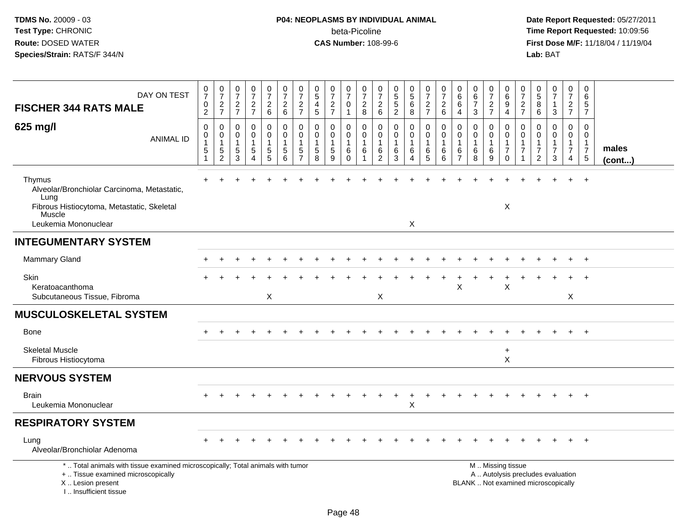## **P04: NEOPLASMS BY INDIVIDUAL ANIMAL**beta-Picoline<br>CAS Number: 108-99-6

| DAY ON TEST<br><b>FISCHER 344 RATS MALE</b>                                                                                                                           | 0<br>$\overline{7}$<br>$\pmb{0}$<br>$\overline{2}$ | $\pmb{0}$<br>$\overline{7}$<br>$\frac{2}{7}$             | $\begin{smallmatrix}0\\7\end{smallmatrix}$<br>$\frac{2}{7}$                    | $\frac{0}{7}$<br>$\frac{2}{7}$                    | $\pmb{0}$<br>$\overline{7}$<br>$\boldsymbol{2}$<br>$\,6\,$                      | $\frac{0}{7}$<br>$\overline{c}$<br>6 | 0<br>$\overline{7}$<br>$\overline{c}$<br>$\overline{7}$ | $\begin{array}{c} 0 \\ 5 \end{array}$<br>$\overline{4}$<br>5 | 0<br>$\overline{7}$<br>$\frac{2}{7}$                      | $\pmb{0}$<br>$\overline{7}$<br>0<br>$\overline{1}$     | 0<br>$\overline{7}$<br>$\overline{c}$<br>$\boldsymbol{8}$      | 0<br>$\overline{7}$<br>$\overline{c}$<br>$6\phantom{1}$ | $\begin{array}{c} 0 \\ 5 \\ 5 \end{array}$<br>$\overline{2}$ | $\begin{array}{c} 0 \\ 5 \\ 6 \end{array}$<br>$\overline{8}$ | $\frac{0}{7}$<br>$\frac{2}{7}$                       | $\boldsymbol{0}$<br>$\overline{7}$<br>$\frac{2}{6}$ | 0<br>$\,6\,$<br>$\,6$<br>$\overline{4}$                           | 0<br>$\,6\,$<br>$\overline{7}$<br>3                      | 0<br>$\overline{7}$<br>$\frac{2}{7}$                              | 0<br>6<br>9<br>$\overline{4}$ | 0<br>7<br>$\frac{2}{7}$ | $\begin{array}{c} 0 \\ 5 \end{array}$<br>$\, 8$<br>$\,6\,$           | $\pmb{0}$<br>$\overline{7}$<br>$\mathbf{1}$<br>3        | $\pmb{0}$<br>$\overline{7}$<br>$\frac{2}{7}$                                   | 0<br>6<br>5<br>$\overline{7}$                      |                       |
|-----------------------------------------------------------------------------------------------------------------------------------------------------------------------|----------------------------------------------------|----------------------------------------------------------|--------------------------------------------------------------------------------|---------------------------------------------------|---------------------------------------------------------------------------------|--------------------------------------|---------------------------------------------------------|--------------------------------------------------------------|-----------------------------------------------------------|--------------------------------------------------------|----------------------------------------------------------------|---------------------------------------------------------|--------------------------------------------------------------|--------------------------------------------------------------|------------------------------------------------------|-----------------------------------------------------|-------------------------------------------------------------------|----------------------------------------------------------|-------------------------------------------------------------------|-------------------------------|-------------------------|----------------------------------------------------------------------|---------------------------------------------------------|--------------------------------------------------------------------------------|----------------------------------------------------|-----------------------|
| 625 mg/l<br><b>ANIMAL ID</b>                                                                                                                                          | 0<br>0<br>$\mathbf{1}$<br>5<br>$\mathbf 1$         | 0<br>0<br>$\overline{1}$<br>$\sqrt{5}$<br>$\overline{c}$ | $\mathbf 0$<br>$\mathbf 0$<br>$\mathbf{1}$<br>$\overline{5}$<br>$\overline{3}$ | 0<br>$\mathsf{O}\xspace$<br>$\mathbf 1$<br>5<br>4 | $\mathbf 0$<br>$\boldsymbol{0}$<br>$\mathbf{1}$<br>$\sqrt{5}$<br>$\overline{5}$ | $\mathbf 0$<br>0<br>1<br>5<br>6      | $\mathbf 0$<br>$\mathbf 0$<br>5<br>$\overline{7}$       | $\mathbf 0$<br>$\mathbf 0$<br>$\,$ 5 $\,$<br>8               | 0<br>$\mathbf 0$<br>$\overline{1}$<br>$\overline{5}$<br>9 | 0<br>$\mathbf 0$<br>$\overline{1}$<br>6<br>$\mathbf 0$ | $\mathbf 0$<br>$\mathbf 0$<br>$\mathbf{1}$<br>6<br>$\mathbf 1$ | 0<br>$\mathbf 0$<br>1<br>6<br>$\overline{c}$            | 0<br>$\mathbf 0$<br>6<br>3                                   | 0<br>$\overline{0}$<br>$\mathbf{1}$<br>6<br>$\overline{4}$   | $\mathbf 0$<br>$\pmb{0}$<br>1<br>6<br>$\overline{5}$ | 0<br>0<br>$\overline{1}$<br>6<br>$6\phantom{1}6$    | $\mathbf 0$<br>$\mathbf 0$<br>$\mathbf{1}$<br>6<br>$\overline{7}$ | 0<br>$\mathbf 0$<br>6<br>8                               | 0<br>$\mathsf{O}\xspace$<br>$\mathbf{1}$<br>6<br>$\boldsymbol{9}$ | 0<br>0<br>1<br>7<br>0         | $\mathbf 0$<br>0<br>7   | 0<br>$\mathbf 0$<br>$\mathbf{1}$<br>$\overline{7}$<br>$\overline{2}$ | 0<br>$\mathbf 0$<br>$\mathbf{1}$<br>$\overline{7}$<br>3 | $\mathbf 0$<br>$\mathbf 0$<br>$\mathbf{1}$<br>$\overline{7}$<br>$\overline{4}$ | 0<br>$\Omega$<br>1<br>$\overline{7}$<br>$\sqrt{5}$ | males<br>$($ cont $)$ |
| Thymus<br>Alveolar/Bronchiolar Carcinoma, Metastatic,<br>Lung<br>Fibrous Histiocytoma, Metastatic, Skeletal                                                           |                                                    |                                                          |                                                                                |                                                   |                                                                                 |                                      |                                                         |                                                              |                                                           |                                                        |                                                                |                                                         |                                                              |                                                              |                                                      |                                                     |                                                                   |                                                          |                                                                   | $\boldsymbol{\mathsf{X}}$     |                         |                                                                      |                                                         |                                                                                | $\ddot{}$                                          |                       |
| Muscle<br>Leukemia Mononuclear                                                                                                                                        |                                                    |                                                          |                                                                                |                                                   |                                                                                 |                                      |                                                         |                                                              |                                                           |                                                        |                                                                |                                                         |                                                              | X                                                            |                                                      |                                                     |                                                                   |                                                          |                                                                   |                               |                         |                                                                      |                                                         |                                                                                |                                                    |                       |
| <b>INTEGUMENTARY SYSTEM</b>                                                                                                                                           |                                                    |                                                          |                                                                                |                                                   |                                                                                 |                                      |                                                         |                                                              |                                                           |                                                        |                                                                |                                                         |                                                              |                                                              |                                                      |                                                     |                                                                   |                                                          |                                                                   |                               |                         |                                                                      |                                                         |                                                                                |                                                    |                       |
| Mammary Gland                                                                                                                                                         |                                                    |                                                          |                                                                                |                                                   |                                                                                 |                                      |                                                         |                                                              |                                                           |                                                        |                                                                |                                                         |                                                              |                                                              |                                                      |                                                     |                                                                   |                                                          |                                                                   |                               |                         |                                                                      |                                                         |                                                                                | $\overline{1}$                                     |                       |
| <b>Skin</b><br>Keratoacanthoma<br>Subcutaneous Tissue, Fibroma                                                                                                        |                                                    |                                                          |                                                                                |                                                   | X                                                                               |                                      |                                                         |                                                              |                                                           |                                                        |                                                                | X                                                       |                                                              |                                                              |                                                      |                                                     | X                                                                 |                                                          |                                                                   | X                             |                         |                                                                      |                                                         | X                                                                              |                                                    |                       |
| <b>MUSCULOSKELETAL SYSTEM</b>                                                                                                                                         |                                                    |                                                          |                                                                                |                                                   |                                                                                 |                                      |                                                         |                                                              |                                                           |                                                        |                                                                |                                                         |                                                              |                                                              |                                                      |                                                     |                                                                   |                                                          |                                                                   |                               |                         |                                                                      |                                                         |                                                                                |                                                    |                       |
| <b>Bone</b>                                                                                                                                                           |                                                    |                                                          |                                                                                |                                                   |                                                                                 |                                      |                                                         |                                                              |                                                           |                                                        |                                                                |                                                         |                                                              |                                                              |                                                      |                                                     |                                                                   |                                                          |                                                                   |                               |                         |                                                                      |                                                         |                                                                                |                                                    |                       |
| <b>Skeletal Muscle</b><br>Fibrous Histiocytoma                                                                                                                        |                                                    |                                                          |                                                                                |                                                   |                                                                                 |                                      |                                                         |                                                              |                                                           |                                                        |                                                                |                                                         |                                                              |                                                              |                                                      |                                                     |                                                                   |                                                          |                                                                   | $\ddot{}$<br>$\mathsf{X}$     |                         |                                                                      |                                                         |                                                                                |                                                    |                       |
| <b>NERVOUS SYSTEM</b>                                                                                                                                                 |                                                    |                                                          |                                                                                |                                                   |                                                                                 |                                      |                                                         |                                                              |                                                           |                                                        |                                                                |                                                         |                                                              |                                                              |                                                      |                                                     |                                                                   |                                                          |                                                                   |                               |                         |                                                                      |                                                         |                                                                                |                                                    |                       |
| <b>Brain</b><br>Leukemia Mononuclear                                                                                                                                  |                                                    |                                                          |                                                                                |                                                   |                                                                                 |                                      |                                                         |                                                              |                                                           |                                                        |                                                                |                                                         |                                                              | +<br>X                                                       |                                                      |                                                     |                                                                   |                                                          |                                                                   |                               |                         |                                                                      |                                                         |                                                                                | $\div$                                             |                       |
| <b>RESPIRATORY SYSTEM</b>                                                                                                                                             |                                                    |                                                          |                                                                                |                                                   |                                                                                 |                                      |                                                         |                                                              |                                                           |                                                        |                                                                |                                                         |                                                              |                                                              |                                                      |                                                     |                                                                   |                                                          |                                                                   |                               |                         |                                                                      |                                                         |                                                                                |                                                    |                       |
| Lung<br>Alveolar/Bronchiolar Adenoma                                                                                                                                  |                                                    |                                                          |                                                                                |                                                   |                                                                                 |                                      |                                                         |                                                              |                                                           |                                                        |                                                                |                                                         |                                                              |                                                              |                                                      |                                                     |                                                                   |                                                          |                                                                   |                               |                         |                                                                      |                                                         |                                                                                |                                                    |                       |
| *  Total animals with tissue examined microscopically; Total animals with tumor<br>+  Tissue examined microscopically<br>X  Lesion present<br>I., Insufficient tissue |                                                    |                                                          |                                                                                |                                                   |                                                                                 |                                      |                                                         |                                                              |                                                           |                                                        |                                                                |                                                         |                                                              |                                                              |                                                      |                                                     |                                                                   | M  Missing tissue<br>BLANK  Not examined microscopically |                                                                   |                               |                         |                                                                      | A  Autolysis precludes evaluation                       |                                                                                |                                                    |                       |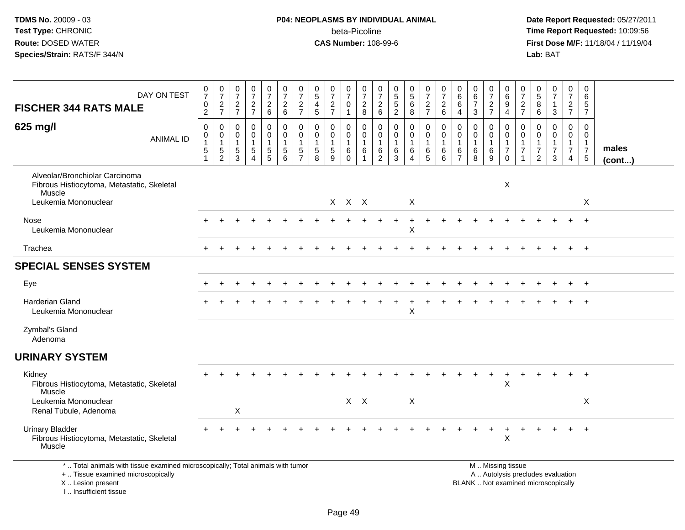I .. Insufficient tissue

| DAY ON TEST<br><b>FISCHER 344 RATS MALE</b>                                                                                                | 0<br>$\overline{7}$<br>0<br>$\overline{c}$        | $\frac{0}{7}$<br>$\frac{2}{7}$                                   | $\frac{0}{7}$<br>$\frac{2}{7}$                                | $\frac{0}{7}$<br>$\frac{2}{7}$                       | $\frac{0}{7}$<br>$\frac{2}{6}$                                            | $\frac{0}{7}$<br>$\begin{array}{c} 2 \\ 6 \end{array}$                     | $\frac{0}{7}$<br>$\frac{2}{7}$                                              | $\pmb{0}$<br>$\overline{5}$<br>$\overline{a}$<br>$\overline{5}$   | $\frac{0}{7}$<br>$\frac{2}{7}$            | 0<br>$\overline{7}$<br>0<br>$\mathbf{1}$             | $\frac{0}{7}$<br>$\overline{c}$<br>8 | 0<br>$\overline{7}$<br>$^2\phantom{1}6$                          | $\begin{smallmatrix} 0\\5 \end{smallmatrix}$<br>$\frac{5}{2}$ | $\begin{array}{c} 0 \\ 5 \end{array}$<br>$\,6\,$<br>8                   | $\frac{0}{7}$<br>$\frac{2}{7}$                                        | 0<br>$\overline{7}$<br>$\overline{2}$<br>6 | 0<br>6<br>6<br>$\overline{4}$                                     | $\begin{array}{c} 0 \\ 6 \end{array}$<br>$\overline{7}$<br>3 | $\frac{0}{7}$<br>$\frac{2}{7}$                                  | 0<br>$\,6$<br>9<br>$\overline{4}$                                                             | $\frac{0}{7}$<br>$\frac{2}{7}$                                       | $\pmb{0}$<br>$\overline{5}$<br>8<br>6                                       | $\frac{0}{7}$<br>$\mathbf 1$<br>3                                 | 0<br>$\overline{7}$<br>$\frac{2}{7}$                                | 0<br>6<br>5<br>$\overline{7}$                                            |                       |
|--------------------------------------------------------------------------------------------------------------------------------------------|---------------------------------------------------|------------------------------------------------------------------|---------------------------------------------------------------|------------------------------------------------------|---------------------------------------------------------------------------|----------------------------------------------------------------------------|-----------------------------------------------------------------------------|-------------------------------------------------------------------|-------------------------------------------|------------------------------------------------------|--------------------------------------|------------------------------------------------------------------|---------------------------------------------------------------|-------------------------------------------------------------------------|-----------------------------------------------------------------------|--------------------------------------------|-------------------------------------------------------------------|--------------------------------------------------------------|-----------------------------------------------------------------|-----------------------------------------------------------------------------------------------|----------------------------------------------------------------------|-----------------------------------------------------------------------------|-------------------------------------------------------------------|---------------------------------------------------------------------|--------------------------------------------------------------------------|-----------------------|
| 625 mg/l<br><b>ANIMAL ID</b>                                                                                                               | $\mathbf 0$<br>$\mathbf 0$<br>1<br>$\overline{5}$ | $\mathbf 0$<br>$\mathbf 0$<br>1<br>$\,$ 5 $\,$<br>$\overline{c}$ | $\mathbf 0$<br>$\mathbf 0$<br>$\mathbf{1}$<br>$\sqrt{5}$<br>3 | $\mathbf 0$<br>$\mathbf 0$<br>$\mathbf{1}$<br>5<br>4 | 0<br>$\mathbf 0$<br>$\mathbf{1}$<br>$\begin{array}{c} 5 \\ 5 \end{array}$ | $\mathbf 0$<br>$\mathbf 0$<br>$\mathbf{1}$<br>$\sqrt{5}$<br>$6\phantom{1}$ | $\mathbf 0$<br>$\mathbf 0$<br>$\mathbf{1}$<br>$\,$ 5 $\,$<br>$\overline{7}$ | $\mathbf 0$<br>$\mathbf 0$<br>$\mathbf{1}$<br>$\overline{5}$<br>8 | 0<br>$\mathbf 0$<br>$\mathbf 1$<br>5<br>9 | 0<br>$\mathbf 0$<br>$\mathbf{1}$<br>6<br>$\mathbf 0$ | 0<br>0<br>$\mathbf{1}$<br>6<br>1     | $\mathbf 0$<br>$\mathbf 0$<br>$\mathbf 1$<br>6<br>$\overline{2}$ | $\pmb{0}$<br>$\mathbf 0$<br>$\,6\,$<br>3                      | $\mathbf 0$<br>$\mathbf 0$<br>$\mathbf{1}$<br>$\,6\,$<br>$\overline{4}$ | $\mathbf 0$<br>$\mathbf 0$<br>$\mathbf{1}$<br>$\,6$<br>$5\phantom{1}$ | $\mathbf 0$<br>$\mathbf 0$<br>1<br>6<br>6  | $\mathbf 0$<br>$\mathbf 0$<br>$\mathbf{1}$<br>6<br>$\overline{7}$ | $\mathbf 0$<br>$\mathbf 0$<br>$\mathbf{1}$<br>6<br>8         | 0<br>$\mathbf 0$<br>$\mathbf{1}$<br>$\,6\,$<br>$\boldsymbol{9}$ | $\mathbf 0$<br>$\mathbf 0$<br>$\mathbf{1}$<br>$\overline{7}$<br>$\mathbf 0$                   | $\mathbf 0$<br>$\mathbf 0$<br>$\overline{1}$<br>$\overline{7}$<br>-1 | $\mathbf 0$<br>$\Omega$<br>$\mathbf{1}$<br>$\overline{7}$<br>$\overline{2}$ | $\mathbf 0$<br>$\mathbf 0$<br>$\mathbf{1}$<br>$\overline{7}$<br>3 | $\mathbf 0$<br>$\mathbf 0$<br>$\mathbf{1}$<br>$\boldsymbol{7}$<br>4 | $\Omega$<br>$\Omega$<br>$\mathbf{1}$<br>$\overline{7}$<br>$\overline{5}$ | males<br>$($ cont $)$ |
| Alveolar/Bronchiolar Carcinoma<br>Fibrous Histiocytoma, Metastatic, Skeletal<br>Muscle<br>Leukemia Mononuclear                             |                                                   |                                                                  |                                                               |                                                      |                                                                           |                                                                            |                                                                             |                                                                   |                                           | X X X                                                |                                      |                                                                  |                                                               | X                                                                       |                                                                       |                                            |                                                                   |                                                              |                                                                 | X                                                                                             |                                                                      |                                                                             |                                                                   |                                                                     | X                                                                        |                       |
| Nose<br>Leukemia Mononuclear                                                                                                               |                                                   |                                                                  |                                                               |                                                      |                                                                           |                                                                            |                                                                             |                                                                   |                                           |                                                      |                                      |                                                                  |                                                               | Х                                                                       |                                                                       |                                            |                                                                   |                                                              |                                                                 |                                                                                               |                                                                      |                                                                             |                                                                   |                                                                     |                                                                          |                       |
| Trachea                                                                                                                                    |                                                   |                                                                  |                                                               |                                                      |                                                                           |                                                                            |                                                                             |                                                                   |                                           |                                                      |                                      |                                                                  |                                                               |                                                                         |                                                                       |                                            |                                                                   |                                                              |                                                                 |                                                                                               |                                                                      |                                                                             |                                                                   |                                                                     | $+$                                                                      |                       |
| <b>SPECIAL SENSES SYSTEM</b>                                                                                                               |                                                   |                                                                  |                                                               |                                                      |                                                                           |                                                                            |                                                                             |                                                                   |                                           |                                                      |                                      |                                                                  |                                                               |                                                                         |                                                                       |                                            |                                                                   |                                                              |                                                                 |                                                                                               |                                                                      |                                                                             |                                                                   |                                                                     |                                                                          |                       |
| Eye                                                                                                                                        |                                                   |                                                                  |                                                               |                                                      |                                                                           |                                                                            |                                                                             |                                                                   |                                           |                                                      |                                      |                                                                  |                                                               |                                                                         |                                                                       |                                            |                                                                   |                                                              |                                                                 |                                                                                               |                                                                      |                                                                             |                                                                   |                                                                     | $^{+}$                                                                   |                       |
| <b>Harderian Gland</b><br>Leukemia Mononuclear                                                                                             |                                                   |                                                                  |                                                               |                                                      |                                                                           |                                                                            |                                                                             |                                                                   |                                           |                                                      |                                      |                                                                  |                                                               | $\mathsf X$                                                             |                                                                       |                                            |                                                                   |                                                              |                                                                 |                                                                                               |                                                                      |                                                                             |                                                                   |                                                                     | $+$                                                                      |                       |
| Zymbal's Gland<br>Adenoma                                                                                                                  |                                                   |                                                                  |                                                               |                                                      |                                                                           |                                                                            |                                                                             |                                                                   |                                           |                                                      |                                      |                                                                  |                                                               |                                                                         |                                                                       |                                            |                                                                   |                                                              |                                                                 |                                                                                               |                                                                      |                                                                             |                                                                   |                                                                     |                                                                          |                       |
| <b>URINARY SYSTEM</b>                                                                                                                      |                                                   |                                                                  |                                                               |                                                      |                                                                           |                                                                            |                                                                             |                                                                   |                                           |                                                      |                                      |                                                                  |                                                               |                                                                         |                                                                       |                                            |                                                                   |                                                              |                                                                 |                                                                                               |                                                                      |                                                                             |                                                                   |                                                                     |                                                                          |                       |
| Kidney<br>Fibrous Histiocytoma, Metastatic, Skeletal<br>Muscle                                                                             |                                                   |                                                                  |                                                               |                                                      |                                                                           |                                                                            |                                                                             |                                                                   |                                           |                                                      |                                      |                                                                  |                                                               |                                                                         |                                                                       |                                            |                                                                   |                                                              |                                                                 | X                                                                                             |                                                                      |                                                                             |                                                                   |                                                                     |                                                                          |                       |
| Leukemia Mononuclear<br>Renal Tubule, Adenoma                                                                                              |                                                   |                                                                  | Χ                                                             |                                                      |                                                                           |                                                                            |                                                                             |                                                                   |                                           |                                                      | $X \times$                           |                                                                  |                                                               | X                                                                       |                                                                       |                                            |                                                                   |                                                              |                                                                 |                                                                                               |                                                                      |                                                                             |                                                                   |                                                                     | X                                                                        |                       |
| <b>Urinary Bladder</b><br>Fibrous Histiocytoma, Metastatic, Skeletal<br>Muscle                                                             |                                                   |                                                                  |                                                               |                                                      |                                                                           |                                                                            |                                                                             |                                                                   |                                           |                                                      |                                      |                                                                  |                                                               |                                                                         |                                                                       |                                            |                                                                   |                                                              |                                                                 | Χ                                                                                             |                                                                      |                                                                             |                                                                   |                                                                     | $\overline{1}$                                                           |                       |
| *  Total animals with tissue examined microscopically; Total animals with tumor<br>+  Tissue examined microscopically<br>X  Lesion present |                                                   |                                                                  |                                                               |                                                      |                                                                           |                                                                            |                                                                             |                                                                   |                                           |                                                      |                                      |                                                                  |                                                               |                                                                         |                                                                       |                                            |                                                                   |                                                              |                                                                 | M  Missing tissue<br>A  Autolysis precludes evaluation<br>BLANK  Not examined microscopically |                                                                      |                                                                             |                                                                   |                                                                     |                                                                          |                       |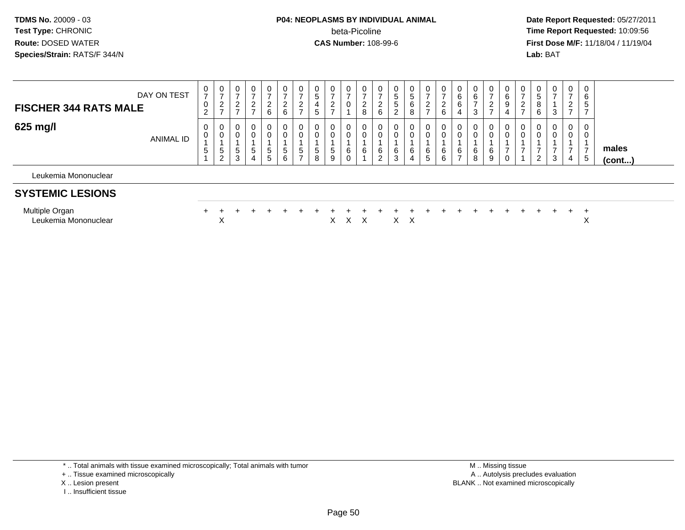#### **P04: NEOPLASMS BY INDIVIDUAL ANIMAL** beta-Picoline**beta-Picoline**<br> **CAS Number:** 108-99-6<br> **CAS Number:** 108-99-6<br> **CAS Number:** 108-99-6

 **Date Report Requested:** 05/27/2011 **First Dose M/F:** 11/18/04 / 11/19/04 Lab: BAT **Lab:** BAT

| DAY ON TEST<br><b>FISCHER 344 RATS MALE</b> | 0<br>$\rightarrow$<br>$\mathbf 0$<br>$\sim$<br><u>_</u> | ◡<br><u>.</u>            | 0 | 0<br>ີ<br><u>.</u><br>6     | $\mathbf{0}$<br>ົ<br><u>.</u><br>6 | U<br>$\rightarrow$<br>∼<br>$\rightarrow$ | 0<br>G<br><sub>5</sub> | <u>.</u> |   | 0<br>∼<br>8 | U<br><u>_</u><br>6 | 0<br>$\mathbf{p}$<br>$\mathbf{p}$<br>2 | 0<br>ີວ<br>6<br>8        | 0<br><sup>o</sup><br>_ | $\epsilon$<br>6 | ⌒      | υ<br>ี<br>د. | 0<br>$\epsilon$  | $\mathbf 0$<br>6<br>9<br>4 | 0<br><u>_</u> | υ<br>ັ<br>8<br>6 | 0      | 0<br>$\rightarrow$<br>$\sim$<br>$\epsilon$<br>$\rightarrow$ | 0<br>6<br>5  |                       |
|---------------------------------------------|---------------------------------------------------------|--------------------------|---|-----------------------------|------------------------------------|------------------------------------------|------------------------|----------|---|-------------|--------------------|----------------------------------------|--------------------------|------------------------|-----------------|--------|--------------|------------------|----------------------------|---------------|------------------|--------|-------------------------------------------------------------|--------------|-----------------------|
| 625 mg/l<br>ANIMAL ID                       | 0<br>0<br>.5                                            | υ<br>.5<br>$\mathcal{D}$ |   | 0<br>0<br><sub>5</sub><br>5 | 0<br>0<br>$\mathbf b$<br>6         | U<br>$\mathbf{p}$<br>$\rightarrow$       | 0<br>0<br>.5<br>8      | G<br>9   | 6 | υ<br>U<br>6 | U<br>6<br>∼        | 0<br>0<br>6<br>$\sim$<br>ು             | 0<br>6<br>$\overline{4}$ | 0<br>0<br>6<br>G       | 6               | 6<br>- | U<br>6<br>8  | 0<br>0<br>6<br>9 | 0<br>0<br>0                | U<br>U        | 0<br>$\sim$<br>- | 0<br>3 | 0<br>0<br>4                                                 | 0<br>0<br>.5 | males<br>$($ cont $)$ |

Leukemia Mononuclear

#### **SYSTEMIC LESIONS**

| vluitiple<br>Organ   |  |  |  |  |  |  |  |  |  |  |  |  |  |
|----------------------|--|--|--|--|--|--|--|--|--|--|--|--|--|
| Leukemia Mononuclear |  |  |  |  |  |  |  |  |  |  |  |  |  |

\* .. Total animals with tissue examined microscopically; Total animals with tumor

- + .. Tissue examined microscopically
- X .. Lesion present
- I .. Insufficient tissue

 M .. Missing tissuey the contract of the contract of the contract of the contract of the contract of the contract of the contract of  $A$ . Autolysis precludes evaluation Lesion present BLANK .. Not examined microscopically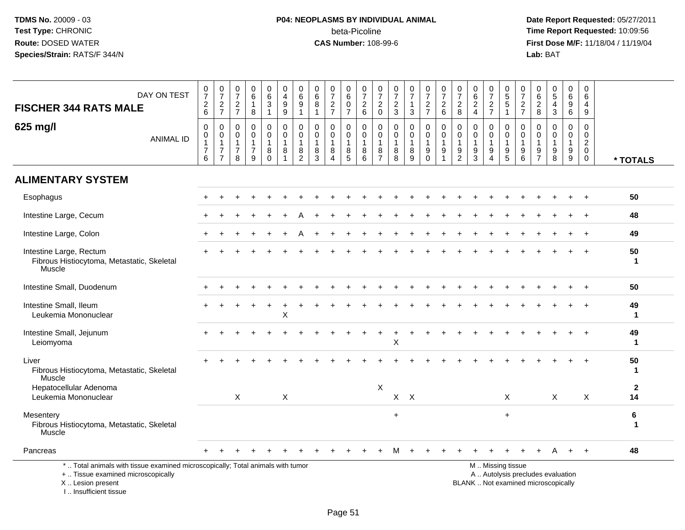## **P04: NEOPLASMS BY INDIVIDUAL ANIMAL**beta-Picoline<br>CAS Number: 108-99-6

| DAY ON TEST<br><b>FISCHER 344 RATS MALE</b>                                                                                                                          | $\frac{0}{7}$<br>$\frac{2}{6}$                                     | $\frac{0}{7}$<br>$\frac{2}{7}$                                             | $\begin{array}{c} 0 \\ 7 \end{array}$<br>$\frac{2}{7}$    | $\pmb{0}$<br>$6\phantom{a}$<br>$\mathbf{1}$<br>8                | 0<br>$6\phantom{a}$<br>3<br>$\mathbf{1}$             | 0<br>$\frac{4}{9}$<br>$\overline{9}$                          | $\mathbf 0$<br>$6\phantom{a}$<br>9<br>$\mathbf{1}$ | $\pmb{0}$<br>$\,6\,$<br>8<br>$\mathbf{1}$             | $\frac{0}{7}$<br>$\frac{2}{7}$                                          | 0<br>$6\phantom{a}$<br>$\mathsf 0$<br>$\overline{7}$ | $\frac{0}{7}$<br>$\frac{2}{6}$                                            | 0<br>$\overline{7}$<br>$^2_{\rm 0}$           | $\frac{0}{7}$<br>$\frac{2}{3}$             | $\frac{0}{7}$<br>1<br>$\mathfrak{S}$                        | $\begin{array}{c} 0 \\ 7 \end{array}$<br>$\frac{2}{7}$              | $\begin{array}{c} 0 \\ 7 \end{array}$<br>$\frac{2}{6}$                             | $\pmb{0}$<br>$\overline{7}$<br>$\frac{2}{8}$                    | $\begin{array}{c} 0 \\ 6 \end{array}$<br>$\frac{2}{4}$    | $\frac{0}{7}$<br>$\frac{2}{7}$                                    | 0, 5, 5, 1                                                                          | $\begin{array}{c} 0 \\ 7 \end{array}$<br>$\frac{2}{7}$ | 0<br>$\frac{6}{8}$                                            | $\begin{array}{c} 0 \\ 5 \end{array}$<br>$\overline{4}$<br>$\overline{3}$        | 0<br>$6\overline{6}$<br>9<br>$6^{\circ}$                       | $\mathbf 0$<br>6<br>$\overline{4}$<br>$\boldsymbol{9}$                     |                    |
|----------------------------------------------------------------------------------------------------------------------------------------------------------------------|--------------------------------------------------------------------|----------------------------------------------------------------------------|-----------------------------------------------------------|-----------------------------------------------------------------|------------------------------------------------------|---------------------------------------------------------------|----------------------------------------------------|-------------------------------------------------------|-------------------------------------------------------------------------|------------------------------------------------------|---------------------------------------------------------------------------|-----------------------------------------------|--------------------------------------------|-------------------------------------------------------------|---------------------------------------------------------------------|------------------------------------------------------------------------------------|-----------------------------------------------------------------|-----------------------------------------------------------|-------------------------------------------------------------------|-------------------------------------------------------------------------------------|--------------------------------------------------------|---------------------------------------------------------------|----------------------------------------------------------------------------------|----------------------------------------------------------------|----------------------------------------------------------------------------|--------------------|
| 625 mg/l<br><b>ANIMAL ID</b>                                                                                                                                         | $\pmb{0}$<br>0<br>$\mathbf{1}$<br>$\overline{7}$<br>$\overline{6}$ | $\pmb{0}$<br>$\pmb{0}$<br>$\mathbf{1}$<br>$\overline{7}$<br>$\overline{7}$ | $\mathbf 0$<br>0<br>$\overline{1}$<br>$\overline{7}$<br>8 | $\pmb{0}$<br>$\mathbf 0$<br>$\mathbf{1}$<br>$\overline{7}$<br>9 | 0<br>$\mathbf 0$<br>$\mathbf{1}$<br>8<br>$\mathbf 0$ | $\pmb{0}$<br>$\mathbf 0$<br>$\mathbf{1}$<br>8<br>$\mathbf{1}$ | $\mathbf 0$<br>0<br>$\mathbf{1}$<br>$\frac{8}{2}$  | $\mathbf 0$<br>0<br>$\mathbf{1}$<br>8<br>$\mathbf{3}$ | $\pmb{0}$<br>$\mathbf 0$<br>$\mathbf{1}$<br>8<br>$\boldsymbol{\Lambda}$ | 0<br>$\mathbf 0$<br>$\overline{1}$<br>$^8$ 5         | $\boldsymbol{0}$<br>$\mathbf 0$<br>$\overline{1}$<br>8<br>$6\phantom{1}6$ | 0<br>0<br>$\mathbf{1}$<br>8<br>$\overline{7}$ | 0<br>$\mathbf 0$<br>$\mathbf{1}$<br>8<br>8 | $\pmb{0}$<br>0<br>$\mathbf{1}$<br>$\bf 8$<br>$\overline{9}$ | 0<br>$\mathbf 0$<br>$\mathbf{1}$<br>$\boldsymbol{9}$<br>$\mathbf 0$ | $\mathbf 0$<br>$\mathbf 0$<br>$\overline{1}$<br>$\boldsymbol{9}$<br>$\overline{1}$ | $\pmb{0}$<br>$\mathbf 0$<br>$\mathbf{1}$<br>9<br>$\overline{2}$ | $\pmb{0}$<br>$\mathbf 0$<br>$\mathbf{1}$<br>$\frac{9}{3}$ | $\mathbf 0$<br>$\mathbf 0$<br>$\mathbf{1}$<br>9<br>$\overline{4}$ | $\mathbf 0$<br>$\mathbf 0$<br>$\mathbf{1}$<br>$\begin{array}{c} 9 \\ 5 \end{array}$ | $\mathbf 0$<br>0<br>$\mathbf{1}$<br>$^9$ 6             | $\mathbf 0$<br>$\mathbf 0$<br>$\overline{1}$<br>$\frac{9}{7}$ | $\mathbf 0$<br>$\mathbf 0$<br>$\mathbf{1}$<br>$\boldsymbol{9}$<br>$\overline{8}$ | $\mathbf 0$<br>$\Omega$<br>$\mathbf{1}$<br>9<br>$\overline{9}$ | $\mathbf 0$<br>$\mathbf 0$<br>$\overline{2}$<br>$\mathbf 0$<br>$\mathbf 0$ | * TOTALS           |
| <b>ALIMENTARY SYSTEM</b>                                                                                                                                             |                                                                    |                                                                            |                                                           |                                                                 |                                                      |                                                               |                                                    |                                                       |                                                                         |                                                      |                                                                           |                                               |                                            |                                                             |                                                                     |                                                                                    |                                                                 |                                                           |                                                                   |                                                                                     |                                                        |                                                               |                                                                                  |                                                                |                                                                            |                    |
| Esophagus                                                                                                                                                            |                                                                    |                                                                            |                                                           |                                                                 |                                                      |                                                               |                                                    |                                                       |                                                                         |                                                      |                                                                           |                                               |                                            |                                                             |                                                                     |                                                                                    |                                                                 |                                                           |                                                                   |                                                                                     |                                                        |                                                               |                                                                                  |                                                                |                                                                            | 50                 |
| Intestine Large, Cecum                                                                                                                                               |                                                                    |                                                                            |                                                           |                                                                 |                                                      |                                                               |                                                    |                                                       |                                                                         |                                                      |                                                                           |                                               |                                            |                                                             |                                                                     |                                                                                    |                                                                 |                                                           |                                                                   |                                                                                     |                                                        |                                                               |                                                                                  |                                                                | $\div$                                                                     | 48                 |
| Intestine Large, Colon                                                                                                                                               |                                                                    |                                                                            |                                                           |                                                                 |                                                      |                                                               |                                                    |                                                       |                                                                         |                                                      |                                                                           |                                               |                                            |                                                             |                                                                     |                                                                                    |                                                                 |                                                           |                                                                   |                                                                                     |                                                        |                                                               |                                                                                  |                                                                |                                                                            | 49                 |
| Intestine Large, Rectum<br>Fibrous Histiocytoma, Metastatic, Skeletal<br>Muscle                                                                                      |                                                                    |                                                                            |                                                           |                                                                 |                                                      |                                                               |                                                    |                                                       |                                                                         |                                                      |                                                                           |                                               |                                            |                                                             |                                                                     |                                                                                    |                                                                 |                                                           |                                                                   |                                                                                     |                                                        |                                                               |                                                                                  |                                                                |                                                                            | 50<br>-1           |
| Intestine Small, Duodenum                                                                                                                                            |                                                                    |                                                                            |                                                           |                                                                 |                                                      |                                                               |                                                    |                                                       |                                                                         |                                                      |                                                                           |                                               |                                            |                                                             |                                                                     |                                                                                    |                                                                 |                                                           |                                                                   |                                                                                     |                                                        |                                                               |                                                                                  |                                                                |                                                                            | 50                 |
| Intestine Small, Ileum<br>Leukemia Mononuclear                                                                                                                       |                                                                    |                                                                            |                                                           |                                                                 |                                                      | X                                                             |                                                    |                                                       |                                                                         |                                                      |                                                                           |                                               |                                            |                                                             |                                                                     |                                                                                    |                                                                 |                                                           |                                                                   |                                                                                     |                                                        |                                                               |                                                                                  |                                                                |                                                                            | 49<br>$\mathbf 1$  |
| Intestine Small, Jejunum<br>Leiomyoma                                                                                                                                |                                                                    |                                                                            |                                                           |                                                                 |                                                      |                                                               |                                                    |                                                       |                                                                         |                                                      |                                                                           |                                               | х                                          |                                                             |                                                                     |                                                                                    |                                                                 |                                                           |                                                                   |                                                                                     |                                                        |                                                               |                                                                                  |                                                                |                                                                            | 49<br>$\mathbf{1}$ |
| Liver<br>Fibrous Histiocytoma, Metastatic, Skeletal<br>Muscle                                                                                                        |                                                                    |                                                                            |                                                           |                                                                 |                                                      |                                                               |                                                    |                                                       |                                                                         |                                                      |                                                                           |                                               |                                            |                                                             |                                                                     |                                                                                    |                                                                 |                                                           |                                                                   |                                                                                     |                                                        |                                                               |                                                                                  |                                                                |                                                                            | 50<br>-1           |
| Hepatocellular Adenoma<br>Leukemia Mononuclear                                                                                                                       |                                                                    |                                                                            | X                                                         |                                                                 |                                                      | $\mathsf{X}$                                                  |                                                    |                                                       |                                                                         |                                                      |                                                                           | $\boldsymbol{\mathsf{X}}$                     | $\times$                                   | $\mathsf{X}$                                                |                                                                     |                                                                                    |                                                                 |                                                           |                                                                   | $\times$                                                                            |                                                        |                                                               | $\times$                                                                         |                                                                | $\times$                                                                   | $\mathbf{2}$<br>14 |
| Mesentery<br>Fibrous Histiocytoma, Metastatic, Skeletal<br>Muscle                                                                                                    |                                                                    |                                                                            |                                                           |                                                                 |                                                      |                                                               |                                                    |                                                       |                                                                         |                                                      |                                                                           |                                               | $\ddot{}$                                  |                                                             |                                                                     |                                                                                    |                                                                 |                                                           |                                                                   | $+$                                                                                 |                                                        |                                                               |                                                                                  |                                                                |                                                                            | 6<br>-1            |
| Pancreas                                                                                                                                                             |                                                                    |                                                                            |                                                           |                                                                 |                                                      |                                                               |                                                    |                                                       |                                                                         |                                                      |                                                                           |                                               |                                            |                                                             |                                                                     |                                                                                    |                                                                 |                                                           |                                                                   |                                                                                     |                                                        |                                                               |                                                                                  |                                                                | $+$                                                                        | 48                 |
| *  Total animals with tissue examined microscopically; Total animals with tumor<br>+  Tissue examined microscopically<br>X  Lesion present<br>L. Insufficient tissue |                                                                    |                                                                            |                                                           |                                                                 |                                                      |                                                               |                                                    |                                                       |                                                                         |                                                      |                                                                           |                                               |                                            |                                                             |                                                                     |                                                                                    |                                                                 |                                                           |                                                                   | M  Missing tissue                                                                   |                                                        |                                                               | A  Autolysis precludes evaluation<br>BLANK  Not examined microscopically         |                                                                |                                                                            |                    |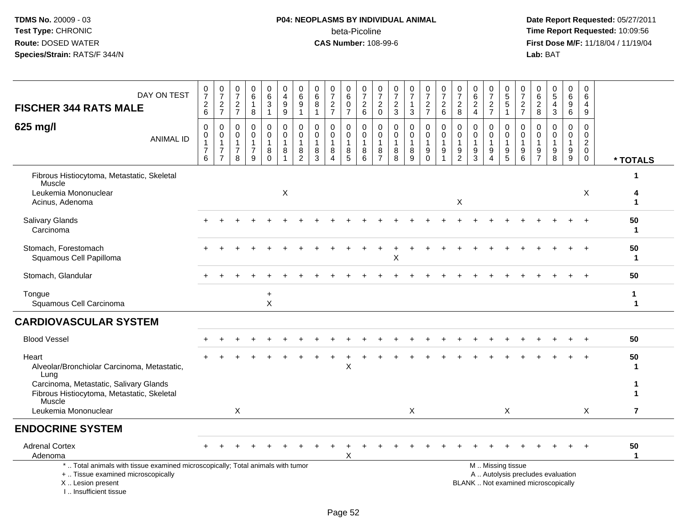#### **P04: NEOPLASMS BY INDIVIDUAL ANIMAL**beta-Picoline<br>CAS Number: 108-99-6

 **Date Report Requested:** 05/27/2011 **Time Report Requested:** 10:09:56 **First Dose M/F:** 11/18/04 / 11/19/04<br>Lab: BAT **Lab:** BAT

| DAY ON TEST<br><b>FISCHER 344 RATS MALE</b>                                                                                                | 0<br>$\overline{7}$<br>$^2\phantom{1}6$                 | $\frac{0}{7}$<br>$\frac{2}{7}$                                                           | 0<br>$\overline{7}$<br>$\frac{2}{7}$                              | 0<br>$\,6\,$<br>1<br>$\bf 8$                           | $\begin{matrix} 0 \\ 6 \end{matrix}$<br>3<br>$\mathbf{1}$ | 0<br>$\overline{4}$<br>$^9_9$                               | $\pmb{0}$<br>$\,6$<br>9<br>1                 | $\mathbf 0$<br>$6\phantom{a}$<br>$\, 8$<br>$\mathbf{1}$ | $\boldsymbol{0}$<br>$\overline{7}$<br>$\frac{2}{7}$                       | 0<br>$\,6\,$<br>$\pmb{0}$<br>$\overline{7}$ | 0<br>$\overline{7}$<br>$\frac{2}{6}$             | $\frac{0}{7}$<br>$\overline{2}$<br>$\overline{0}$                 | 0<br>$\overline{7}$<br>$\frac{2}{3}$ | $\frac{0}{7}$<br>$\mathbf{1}$<br>$\sqrt{3}$              | $\frac{0}{7}$<br>$\frac{2}{7}$                       | $\frac{0}{7}$<br>$\boldsymbol{2}$<br>$\overline{6}$     | 0<br>$\overline{7}$<br>$\overline{c}$<br>$\overline{8}$ | 0<br>$\,6$<br>$\frac{2}{4}$                            | $\frac{0}{7}$<br>$\overline{c}$<br>$\overline{7}$ | 0<br>$\sqrt{5}$<br>$\sqrt{5}$<br>$\overline{1}$ | 0<br>$\overline{7}$<br>$\frac{2}{7}$             | 0<br>6<br>$_{\rm 8}^2$                                            | 0<br>$\sqrt{5}$<br>$\overline{4}$<br>$\mathbf{3}$                        | 0<br>$6\phantom{1}$<br>9<br>$6^{\circ}$    | 0<br>$6\phantom{1}6$<br>$\overline{4}$<br>9                      |                   |
|--------------------------------------------------------------------------------------------------------------------------------------------|---------------------------------------------------------|------------------------------------------------------------------------------------------|-------------------------------------------------------------------|--------------------------------------------------------|-----------------------------------------------------------|-------------------------------------------------------------|----------------------------------------------|---------------------------------------------------------|---------------------------------------------------------------------------|---------------------------------------------|--------------------------------------------------|-------------------------------------------------------------------|--------------------------------------|----------------------------------------------------------|------------------------------------------------------|---------------------------------------------------------|---------------------------------------------------------|--------------------------------------------------------|---------------------------------------------------|-------------------------------------------------|--------------------------------------------------|-------------------------------------------------------------------|--------------------------------------------------------------------------|--------------------------------------------|------------------------------------------------------------------|-------------------|
| 625 mg/l<br><b>ANIMAL ID</b>                                                                                                               | 0<br>$\mathbf 0$<br>$\mathbf{1}$<br>$\overline{7}$<br>6 | $\mathbf 0$<br>$\mathsf{O}\xspace$<br>$\overline{1}$<br>$\overline{7}$<br>$\overline{7}$ | $\mathbf 0$<br>$\mathbf 0$<br>$\mathbf{1}$<br>$\overline{7}$<br>8 | $\mathbf 0$<br>$\mathbf 0$<br>1<br>$\overline{7}$<br>9 | 0<br>$\mathbf 0$<br>8<br>0                                | 0<br>$\mathbf 0$<br>$\mathbf{1}$<br>$\,8\,$<br>$\mathbf{1}$ | 0<br>$\mathbf 0$<br>1<br>8<br>$\overline{2}$ | 0<br>$\mathbf 0$<br>$\overline{1}$<br>8<br>3            | $\mathbf 0$<br>$\mathbf 0$<br>$\mathbf{1}$<br>8<br>$\boldsymbol{\Lambda}$ | 0<br>$\mathbf 0$<br>$\mathbf{1}$<br>8<br>5  | 0<br>$\mathbf 0$<br>$\mathbf{1}$<br>$\bf 8$<br>6 | $\mathbf 0$<br>$\mathbf 0$<br>$\mathbf{1}$<br>8<br>$\overline{7}$ | 0<br>$\mathbf 0$<br>-1<br>8<br>8     | $\pmb{0}$<br>$\mathbf 0$<br>$\mathbf{1}$<br>$\,8\,$<br>9 | 0<br>$\mathbf 0$<br>$\mathbf{1}$<br>9<br>$\mathbf 0$ | $\mathbf 0$<br>$\mathsf{O}\xspace$<br>$\mathbf{1}$<br>9 | 0<br>$\mathbf 0$<br>$\mathbf{1}$<br>9<br>$\overline{2}$ | $\mathbf 0$<br>$\mathbf 0$<br>$\overline{1}$<br>9<br>3 | $\mathbf 0$<br>$\mathbf 0$<br>9<br>4              | 0<br>$\mathbf 0$<br>$\overline{1}$<br>9<br>5    | 0<br>$\mathbf 0$<br>$\overline{1}$<br>$9\,$<br>6 | $\mathbf 0$<br>$\mathbf 0$<br>$\mathbf{1}$<br>9<br>$\overline{7}$ | $\mathbf 0$<br>$\Omega$<br>1<br>9<br>8                                   | 0<br>$\mathbf 0$<br>$\mathbf{1}$<br>9<br>9 | $\mathbf 0$<br>0<br>$\overline{2}$<br>$\mathbf 0$<br>$\mathbf 0$ | * TOTALS          |
| Fibrous Histiocytoma, Metastatic, Skeletal                                                                                                 |                                                         |                                                                                          |                                                                   |                                                        |                                                           |                                                             |                                              |                                                         |                                                                           |                                             |                                                  |                                                                   |                                      |                                                          |                                                      |                                                         |                                                         |                                                        |                                                   |                                                 |                                                  |                                                                   |                                                                          |                                            |                                                                  |                   |
| Muscle<br>Leukemia Mononuclear<br>Acinus, Adenoma                                                                                          |                                                         |                                                                                          |                                                                   |                                                        |                                                           | X                                                           |                                              |                                                         |                                                                           |                                             |                                                  |                                                                   |                                      |                                                          |                                                      |                                                         | X                                                       |                                                        |                                                   |                                                 |                                                  |                                                                   |                                                                          |                                            | X                                                                |                   |
| <b>Salivary Glands</b><br>Carcinoma                                                                                                        |                                                         |                                                                                          |                                                                   |                                                        |                                                           |                                                             |                                              |                                                         |                                                                           |                                             |                                                  |                                                                   |                                      |                                                          |                                                      |                                                         |                                                         |                                                        |                                                   |                                                 |                                                  |                                                                   |                                                                          |                                            |                                                                  | 50<br>-1          |
| Stomach, Forestomach<br>Squamous Cell Papilloma                                                                                            |                                                         |                                                                                          |                                                                   |                                                        |                                                           |                                                             |                                              |                                                         |                                                                           |                                             |                                                  |                                                                   | Χ                                    |                                                          |                                                      |                                                         |                                                         |                                                        |                                                   |                                                 |                                                  |                                                                   |                                                                          |                                            |                                                                  | 50<br>-1          |
| Stomach, Glandular                                                                                                                         |                                                         |                                                                                          |                                                                   |                                                        |                                                           |                                                             |                                              |                                                         |                                                                           |                                             |                                                  |                                                                   |                                      |                                                          |                                                      |                                                         |                                                         |                                                        |                                                   |                                                 |                                                  |                                                                   |                                                                          |                                            |                                                                  | 50                |
| Tongue<br>Squamous Cell Carcinoma                                                                                                          |                                                         |                                                                                          |                                                                   |                                                        | $\ddot{}$<br>$\sf X$                                      |                                                             |                                              |                                                         |                                                                           |                                             |                                                  |                                                                   |                                      |                                                          |                                                      |                                                         |                                                         |                                                        |                                                   |                                                 |                                                  |                                                                   |                                                                          |                                            |                                                                  | 1<br>$\mathbf 1$  |
| <b>CARDIOVASCULAR SYSTEM</b>                                                                                                               |                                                         |                                                                                          |                                                                   |                                                        |                                                           |                                                             |                                              |                                                         |                                                                           |                                             |                                                  |                                                                   |                                      |                                                          |                                                      |                                                         |                                                         |                                                        |                                                   |                                                 |                                                  |                                                                   |                                                                          |                                            |                                                                  |                   |
| <b>Blood Vessel</b>                                                                                                                        |                                                         |                                                                                          |                                                                   |                                                        |                                                           |                                                             |                                              |                                                         |                                                                           |                                             |                                                  |                                                                   |                                      |                                                          |                                                      |                                                         |                                                         |                                                        |                                                   |                                                 |                                                  |                                                                   |                                                                          |                                            |                                                                  | 50                |
| Heart<br>Alveolar/Bronchiolar Carcinoma, Metastatic,<br>Lung                                                                               |                                                         |                                                                                          |                                                                   |                                                        |                                                           |                                                             |                                              |                                                         |                                                                           | X                                           |                                                  |                                                                   |                                      |                                                          |                                                      |                                                         |                                                         |                                                        |                                                   |                                                 |                                                  |                                                                   |                                                                          |                                            |                                                                  | 50                |
| Carcinoma, Metastatic, Salivary Glands<br>Fibrous Histiocytoma, Metastatic, Skeletal<br>Muscle                                             |                                                         |                                                                                          |                                                                   |                                                        |                                                           |                                                             |                                              |                                                         |                                                                           |                                             |                                                  |                                                                   |                                      |                                                          |                                                      |                                                         |                                                         |                                                        |                                                   |                                                 |                                                  |                                                                   |                                                                          |                                            |                                                                  |                   |
| Leukemia Mononuclear                                                                                                                       |                                                         |                                                                                          | $\times$                                                          |                                                        |                                                           |                                                             |                                              |                                                         |                                                                           |                                             |                                                  |                                                                   |                                      | $\times$                                                 |                                                      |                                                         |                                                         |                                                        |                                                   | X                                               |                                                  |                                                                   |                                                                          |                                            | X                                                                | $\overline{7}$    |
| <b>ENDOCRINE SYSTEM</b>                                                                                                                    |                                                         |                                                                                          |                                                                   |                                                        |                                                           |                                                             |                                              |                                                         |                                                                           |                                             |                                                  |                                                                   |                                      |                                                          |                                                      |                                                         |                                                         |                                                        |                                                   |                                                 |                                                  |                                                                   |                                                                          |                                            |                                                                  |                   |
| <b>Adrenal Cortex</b><br>Adenoma                                                                                                           |                                                         |                                                                                          |                                                                   |                                                        |                                                           |                                                             |                                              |                                                         |                                                                           | X                                           |                                                  |                                                                   |                                      |                                                          |                                                      |                                                         |                                                         |                                                        |                                                   |                                                 |                                                  |                                                                   |                                                                          |                                            |                                                                  | 50<br>$\mathbf 1$ |
| *  Total animals with tissue examined microscopically; Total animals with tumor<br>+  Tissue examined microscopically<br>X  Lesion present |                                                         |                                                                                          |                                                                   |                                                        |                                                           |                                                             |                                              |                                                         |                                                                           |                                             |                                                  |                                                                   |                                      |                                                          |                                                      |                                                         |                                                         |                                                        | M  Missing tissue                                 |                                                 |                                                  |                                                                   | A  Autolysis precludes evaluation<br>BLANK  Not examined microscopically |                                            |                                                                  |                   |

I .. Insufficient tissue

Page 52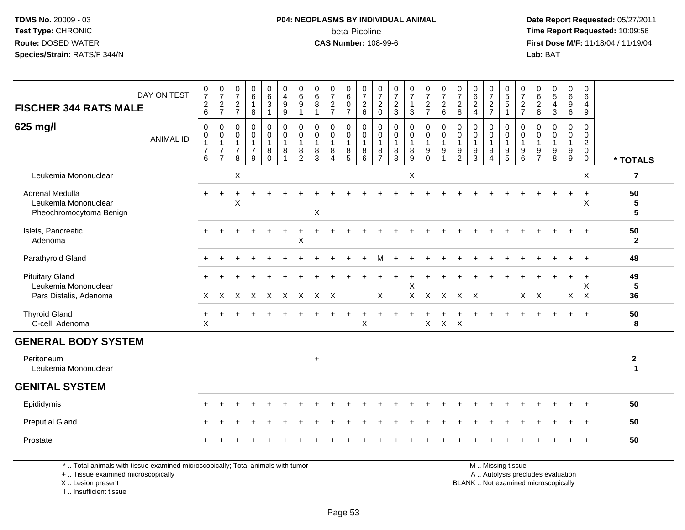#### **P04: NEOPLASMS BY INDIVIDUAL ANIMAL**beta-Picoline<br>CAS Number: 108-99-6

 **Date Report Requested:** 05/27/2011 **Time Report Requested:** 10:09:56 **First Dose M/F:** 11/18/04 / 11/19/04 Lab: BAT **Lab:** BAT

| <b>FISCHER 344 RATS MALE</b>                                                      | DAY ON TEST      | $\frac{0}{7}$<br>$\frac{2}{6}$                        | $\frac{0}{7}$<br>$\frac{2}{7}$                                       | $\frac{0}{7}$<br>$\frac{2}{7}$                            | $\begin{array}{c} 0 \\ 6 \end{array}$<br>$\mathbf{1}$<br>8                                                                                                                                                                     | $\begin{array}{c} 0 \\ 6 \end{array}$<br>$\mathbf{3}$ | $\pmb{0}$<br>$\overline{4}$<br>$\boldsymbol{9}$<br>$\boldsymbol{9}$     | $\begin{array}{c} 0 \\ 6 \end{array}$<br>$\boldsymbol{9}$<br>$\mathbf{1}$ | $\pmb{0}$<br>$\,6$<br>$\bf 8$              | $\begin{array}{c} 0 \\ 7 \end{array}$<br>$\frac{2}{7}$                      | 0<br>$\,6\,$<br>$\mathbf 0$<br>$\overline{7}$ | $\begin{array}{c} 0 \\ 7 \end{array}$<br>$\frac{2}{6}$               | $\begin{smallmatrix}0\\7\end{smallmatrix}$<br>$\frac{2}{0}$ | 0<br>$\overline{7}$<br>$\frac{2}{3}$   | $\frac{0}{7}$<br>$\mathbf{1}$<br>$\mathbf{3}$    | $\begin{array}{c} 0 \\ 7 \end{array}$<br>$\frac{2}{7}$                       | $\frac{0}{7}$<br>$\frac{2}{6}$                                                   | $\frac{0}{7}$<br>$\frac{2}{8}$                          | $_{6}^{\rm 0}$<br>$\frac{2}{4}$                                     | $\frac{0}{7}$<br>$\frac{2}{7}$             | 0<br>$\,$ 5 $\,$<br>$\overline{5}$                        | $\begin{array}{c} 0 \\ 7 \end{array}$<br>$\frac{2}{7}$                | 0<br>$\,6\,$<br>$\frac{2}{8}$                                     | $\mathbf 0$<br>$\overline{5}$<br>$\overline{\mathbf{4}}$<br>$\mathbf{3}$ | 0<br>$6\overline{6}$<br>$\boldsymbol{9}$<br>6 | $\mathsf 0$<br>$\,6\,$<br>$\overline{4}$<br>9                    |                                    |
|-----------------------------------------------------------------------------------|------------------|-------------------------------------------------------|----------------------------------------------------------------------|-----------------------------------------------------------|--------------------------------------------------------------------------------------------------------------------------------------------------------------------------------------------------------------------------------|-------------------------------------------------------|-------------------------------------------------------------------------|---------------------------------------------------------------------------|--------------------------------------------|-----------------------------------------------------------------------------|-----------------------------------------------|----------------------------------------------------------------------|-------------------------------------------------------------|----------------------------------------|--------------------------------------------------|------------------------------------------------------------------------------|----------------------------------------------------------------------------------|---------------------------------------------------------|---------------------------------------------------------------------|--------------------------------------------|-----------------------------------------------------------|-----------------------------------------------------------------------|-------------------------------------------------------------------|--------------------------------------------------------------------------|-----------------------------------------------|------------------------------------------------------------------|------------------------------------|
| 625 mg/l                                                                          | <b>ANIMAL ID</b> | 0<br>$\pmb{0}$<br>$\mathbf{1}$<br>$\overline{7}$<br>6 | 0<br>$\mathbf 0$<br>$\mathbf{1}$<br>$\overline{7}$<br>$\overline{7}$ | $\mathbf 0$<br>0<br>$\overline{1}$<br>$\overline{7}$<br>8 | $\mathbf 0$<br>$\mathbf 0$<br>$\mathbf{1}$<br>$\overline{7}$<br>9                                                                                                                                                              | 0<br>0<br>1<br>8<br>$\Omega$                          | $\mathbf 0$<br>$\mathbf 0$<br>$\mathbf{1}$<br>$\bf 8$<br>$\overline{1}$ | $\mathbf 0$<br>$\mathbf 0$<br>$\mathbf{1}$<br>$\bf 8$<br>$\overline{2}$   | $\mathbf 0$<br>0<br>$\mathbf{1}$<br>8<br>3 | $\mathbf 0$<br>$\mathbf 0$<br>$\overline{1}$<br>8<br>$\boldsymbol{\Lambda}$ | 0<br>0<br>$\mathbf{1}$<br>8<br>5              | $\mathbf 0$<br>$\mathbf 0$<br>$\overline{1}$<br>8<br>$6\phantom{1}6$ | 0<br>$\mathsf{O}$<br>$\mathbf{1}$<br>8<br>$\overline{7}$    | 0<br>0<br>$\mathbf{1}$<br>$\bf 8$<br>8 | $\mathbf 0$<br>0<br>$\mathbf{1}$<br>$\bf 8$<br>9 | $\mathbf 0$<br>$\mathbf 0$<br>$\overline{1}$<br>$\boldsymbol{9}$<br>$\Omega$ | $\mathbf 0$<br>$\mathbf 0$<br>$\mathbf{1}$<br>$\boldsymbol{9}$<br>$\overline{1}$ | $\mathbf 0$<br>0<br>$\mathbf{1}$<br>9<br>$\overline{2}$ | $\mathbf 0$<br>$\mathbf 0$<br>$\mathbf{1}$<br>$\boldsymbol{9}$<br>3 | 0<br>$\mathbf 0$<br>$\mathbf{1}$<br>9<br>4 | 0<br>$\mathbf 0$<br>$\mathbf{1}$<br>$\boldsymbol{9}$<br>5 | $\mathbf 0$<br>$\mathbf 0$<br>$\overline{1}$<br>$\boldsymbol{9}$<br>6 | $\mathbf 0$<br>$\mathbf 0$<br>$\mathbf{1}$<br>9<br>$\overline{7}$ | $\mathbf 0$<br>$\mathbf 0$<br>$\mathbf{1}$<br>9<br>8                     | 0<br>0<br>$\mathbf{1}$<br>9<br>9              | 0<br>$\mathbf 0$<br>$\overline{c}$<br>$\mathbf 0$<br>$\mathbf 0$ | * TOTALS                           |
| Leukemia Mononuclear                                                              |                  |                                                       |                                                                      | X                                                         |                                                                                                                                                                                                                                |                                                       |                                                                         |                                                                           |                                            |                                                                             |                                               |                                                                      |                                                             |                                        | X                                                |                                                                              |                                                                                  |                                                         |                                                                     |                                            |                                                           |                                                                       |                                                                   |                                                                          |                                               | X                                                                | $\overline{7}$                     |
| Adrenal Medulla<br>Leukemia Mononuclear<br>Pheochromocytoma Benign                |                  |                                                       |                                                                      | X                                                         |                                                                                                                                                                                                                                |                                                       |                                                                         |                                                                           | $\boldsymbol{\mathsf{X}}$                  |                                                                             |                                               |                                                                      |                                                             |                                        |                                                  |                                                                              |                                                                                  |                                                         |                                                                     |                                            |                                                           |                                                                       |                                                                   |                                                                          |                                               | $\ddot{}$<br>X                                                   | 50<br>$\sqrt{5}$<br>$5\phantom{1}$ |
| Islets, Pancreatic<br>Adenoma                                                     |                  | $+$                                                   |                                                                      |                                                           |                                                                                                                                                                                                                                |                                                       |                                                                         | $\ddot{}$<br>X                                                            |                                            |                                                                             |                                               |                                                                      |                                                             |                                        |                                                  |                                                                              |                                                                                  |                                                         |                                                                     |                                            |                                                           |                                                                       |                                                                   |                                                                          |                                               | $\ddot{+}$                                                       | 50<br>$\mathbf{2}$                 |
| Parathyroid Gland                                                                 |                  |                                                       |                                                                      |                                                           |                                                                                                                                                                                                                                |                                                       |                                                                         |                                                                           |                                            |                                                                             |                                               |                                                                      |                                                             |                                        |                                                  |                                                                              |                                                                                  |                                                         |                                                                     |                                            |                                                           |                                                                       |                                                                   |                                                                          |                                               | $\div$                                                           | 48                                 |
| <b>Pituitary Gland</b><br>Leukemia Mononuclear<br>Pars Distalis, Adenoma          |                  | $\times$                                              | $\mathsf{X}$                                                         |                                                           |                                                                                                                                                                                                                                |                                                       | X X X X X                                                               |                                                                           | X X                                        |                                                                             |                                               |                                                                      | X                                                           |                                        | X<br>$\mathsf{X}$                                | $\sf X$                                                                      | $\mathsf{X}$                                                                     |                                                         | $X$ $X$                                                             |                                            |                                                           |                                                                       | $X$ $X$                                                           |                                                                          | $\mathsf{X}$                                  | $\ddot{}$<br>X<br>$\mathsf{X}$                                   | 49<br>5<br>36                      |
| <b>Thyroid Gland</b><br>C-cell, Adenoma                                           |                  | $\ddot{}$<br>X                                        |                                                                      |                                                           |                                                                                                                                                                                                                                |                                                       |                                                                         |                                                                           |                                            |                                                                             | $\ddot{}$                                     | $\mathsf X$                                                          |                                                             |                                        | $\ddot{}$                                        | +<br>$\mathsf{X}$                                                            | +<br>$X$ $X$                                                                     | $\ddot{}$                                               |                                                                     |                                            |                                                           |                                                                       |                                                                   |                                                                          |                                               | $\overline{+}$                                                   | 50<br>8                            |
| <b>GENERAL BODY SYSTEM</b>                                                        |                  |                                                       |                                                                      |                                                           |                                                                                                                                                                                                                                |                                                       |                                                                         |                                                                           |                                            |                                                                             |                                               |                                                                      |                                                             |                                        |                                                  |                                                                              |                                                                                  |                                                         |                                                                     |                                            |                                                           |                                                                       |                                                                   |                                                                          |                                               |                                                                  |                                    |
| Peritoneum<br>Leukemia Mononuclear                                                |                  |                                                       |                                                                      |                                                           |                                                                                                                                                                                                                                |                                                       |                                                                         |                                                                           | $\ddot{}$                                  |                                                                             |                                               |                                                                      |                                                             |                                        |                                                  |                                                                              |                                                                                  |                                                         |                                                                     |                                            |                                                           |                                                                       |                                                                   |                                                                          |                                               |                                                                  | $\boldsymbol{2}$<br>$\mathbf 1$    |
| <b>GENITAL SYSTEM</b>                                                             |                  |                                                       |                                                                      |                                                           |                                                                                                                                                                                                                                |                                                       |                                                                         |                                                                           |                                            |                                                                             |                                               |                                                                      |                                                             |                                        |                                                  |                                                                              |                                                                                  |                                                         |                                                                     |                                            |                                                           |                                                                       |                                                                   |                                                                          |                                               |                                                                  |                                    |
| Epididymis                                                                        |                  |                                                       |                                                                      |                                                           |                                                                                                                                                                                                                                |                                                       |                                                                         |                                                                           |                                            |                                                                             |                                               |                                                                      |                                                             |                                        |                                                  |                                                                              |                                                                                  |                                                         |                                                                     |                                            |                                                           |                                                                       |                                                                   |                                                                          |                                               |                                                                  | 50                                 |
| <b>Preputial Gland</b>                                                            |                  |                                                       |                                                                      |                                                           |                                                                                                                                                                                                                                |                                                       |                                                                         |                                                                           |                                            |                                                                             |                                               |                                                                      |                                                             |                                        |                                                  |                                                                              |                                                                                  |                                                         |                                                                     |                                            |                                                           |                                                                       |                                                                   |                                                                          |                                               | $\ddot{}$                                                        | 50                                 |
| Prostate                                                                          |                  |                                                       |                                                                      |                                                           |                                                                                                                                                                                                                                |                                                       |                                                                         |                                                                           |                                            |                                                                             |                                               |                                                                      |                                                             |                                        |                                                  |                                                                              |                                                                                  |                                                         |                                                                     |                                            |                                                           |                                                                       |                                                                   |                                                                          |                                               |                                                                  | 50                                 |
| the transportation of the control of the control of the control of the control of |                  |                                                       |                                                                      |                                                           | the contractor of the contractor of the contractor of the contractor of the contractor of the contractor of the contractor of the contractor of the contractor of the contractor of the contractor of the contractor of the co |                                                       |                                                                         |                                                                           |                                            |                                                                             |                                               |                                                                      |                                                             |                                        |                                                  |                                                                              |                                                                                  |                                                         |                                                                     |                                            | $\mathbf{A}$ and $\mathbf{A}$ are the set of $\mathbf{A}$ |                                                                       |                                                                   |                                                                          |                                               |                                                                  |                                    |

\* .. Total animals with tissue examined microscopically; Total animals with tumor

+ .. Tissue examined microscopically

X .. Lesion present

I .. Insufficient tissue

M .. Missing tissue

y the contract of the contract of the contract of the contract of the contract of the contract of the contract of  $A$ . Autolysis precludes evaluation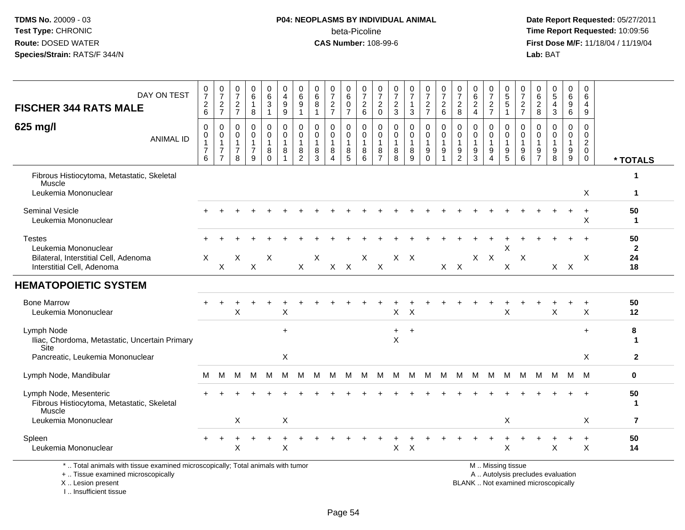#### **P04: NEOPLASMS BY INDIVIDUAL ANIMAL**beta-Picoline<br>CAS Number: 108-99-6

 **Date Report Requested:** 05/27/2011 **Time Report Requested:** 10:09:56 **First Dose M/F:** 11/18/04 / 11/19/04<br>Lab: BAT **Lab:** BAT

| DAY ON TEST<br><b>FISCHER 344 RATS MALE</b>                                                                                                | 0<br>$\boldsymbol{7}$<br>$^2\phantom{1}6$             | $\frac{0}{7}$<br>$\frac{2}{7}$                                       | 0<br>$\overline{7}$<br>$\overline{c}$<br>$\overline{7}$ | 0<br>$\,6\,$<br>1<br>$\bf8$                                       | 0<br>$\,6\,$<br>3<br>$\mathbf{1}$          | 0<br>$\overline{4}$<br>9<br>9                                   | 0<br>6<br>9<br>$\mathbf{1}$        | 0<br>6<br>8<br>$\overline{1}$                  | 0<br>$\overline{7}$<br>$\frac{2}{7}$ | 0<br>$\,6$<br>$\mathbf 0$<br>$\overline{7}$                   | 0<br>$\overline{7}$<br>$\begin{array}{c} 2 \\ 6 \end{array}$ | 0<br>$\overline{7}$<br>$\boldsymbol{2}$<br>$\mathbf 0$ | 0<br>$\boldsymbol{7}$<br>$\frac{2}{3}$                     | $\frac{0}{7}$<br>$\mathbf{1}$<br>$\mathbf{3}$ | 0<br>$\overline{7}$<br>$\frac{2}{7}$      | 0<br>$\overline{7}$<br>$\frac{2}{6}$                    | 0<br>$\overline{7}$<br>$\sqrt{2}$<br>8                   | $\Omega$<br>6<br>$\overline{2}$<br>$\overline{4}$ | 0<br>$\overline{7}$<br>$\frac{2}{7}$ | 0<br>5<br>5<br>$\mathbf{1}$     | 0<br>$\overline{7}$<br>$\frac{2}{7}$             | 0<br>$\,6\,$<br>$\frac{2}{8}$                        | 0<br>$\sqrt{5}$<br>$\overline{4}$<br>$\sqrt{3}$                          | 0<br>$\,6\,$<br>9<br>6                                | 0<br>$\,6\,$<br>4<br>9                                                       |                    |
|--------------------------------------------------------------------------------------------------------------------------------------------|-------------------------------------------------------|----------------------------------------------------------------------|---------------------------------------------------------|-------------------------------------------------------------------|--------------------------------------------|-----------------------------------------------------------------|------------------------------------|------------------------------------------------|--------------------------------------|---------------------------------------------------------------|--------------------------------------------------------------|--------------------------------------------------------|------------------------------------------------------------|-----------------------------------------------|-------------------------------------------|---------------------------------------------------------|----------------------------------------------------------|---------------------------------------------------|--------------------------------------|---------------------------------|--------------------------------------------------|------------------------------------------------------|--------------------------------------------------------------------------|-------------------------------------------------------|------------------------------------------------------------------------------|--------------------|
| 625 mg/l<br><b>ANIMAL ID</b>                                                                                                               | $\pmb{0}$<br>0<br>$\mathbf{1}$<br>$\overline{7}$<br>6 | 0<br>$\mathbf 0$<br>$\mathbf{1}$<br>$\overline{7}$<br>$\overline{7}$ | 0<br>$\mathbf 0$<br>-1<br>7<br>8                        | $\mathbf 0$<br>$\mathbf 0$<br>$\mathbf{1}$<br>$\overline{7}$<br>9 | 0<br>$\mathbf 0$<br>$\mathbf{1}$<br>8<br>0 | $\mathbf 0$<br>$\mathbf 0$<br>$\mathbf{1}$<br>8<br>$\mathbf{1}$ | 0<br>0<br>1<br>8<br>$\overline{c}$ | $\Omega$<br>$\Omega$<br>$\mathbf{1}$<br>8<br>3 | $\mathbf 0$<br>$\Omega$<br>8<br>Δ    | $\mathbf 0$<br>$\mathbf 0$<br>$\mathbf{1}$<br>8<br>$\sqrt{5}$ | 0<br>$\mathbf 0$<br>$\mathbf{1}$<br>8<br>6                   | 0<br>$\mathbf 0$<br>1<br>8<br>$\overline{7}$           | $\mathbf 0$<br>$\mathbf 0$<br>$\mathbf{1}$<br>$\,8\,$<br>8 | 0<br>$\mathbf 0$<br>$\mathbf 1$<br>8<br>9     | 0<br>$\mathbf 0$<br>1<br>9<br>$\mathbf 0$ | $\mathbf 0$<br>$\mathbf 0$<br>$\overline{1}$<br>9<br>-1 | 0<br>$\mathbf{0}$<br>$\mathbf{1}$<br>9<br>$\overline{c}$ | $\Omega$<br>$\Omega$<br>$\mathbf{1}$<br>9<br>3    | 0<br>$\Omega$<br>9<br>4              | 0<br>$\mathbf 0$<br>1<br>9<br>5 | $\mathbf 0$<br>$\mathbf 0$<br>-1<br>9<br>$\,6\,$ | $\mathbf 0$<br>$\Omega$<br>-1<br>9<br>$\overline{7}$ | $\mathbf 0$<br>$\Omega$<br>$\mathbf{1}$<br>9<br>$\,8\,$                  | 0<br>$\Omega$<br>$\mathbf 1$<br>9<br>$\boldsymbol{9}$ | $\mathbf 0$<br>$\mathbf 0$<br>$\boldsymbol{2}$<br>$\mathbf 0$<br>$\mathbf 0$ | * TOTALS           |
| Fibrous Histiocytoma, Metastatic, Skeletal                                                                                                 |                                                       |                                                                      |                                                         |                                                                   |                                            |                                                                 |                                    |                                                |                                      |                                                               |                                                              |                                                        |                                                            |                                               |                                           |                                                         |                                                          |                                                   |                                      |                                 |                                                  |                                                      |                                                                          |                                                       |                                                                              | $\mathbf 1$        |
| Muscle<br>Leukemia Mononuclear                                                                                                             |                                                       |                                                                      |                                                         |                                                                   |                                            |                                                                 |                                    |                                                |                                      |                                                               |                                                              |                                                        |                                                            |                                               |                                           |                                                         |                                                          |                                                   |                                      |                                 |                                                  |                                                      |                                                                          |                                                       | X                                                                            | $\mathbf 1$        |
| <b>Seminal Vesicle</b><br>Leukemia Mononuclear                                                                                             |                                                       |                                                                      |                                                         |                                                                   |                                            |                                                                 |                                    |                                                |                                      |                                                               |                                                              |                                                        |                                                            |                                               |                                           |                                                         |                                                          |                                                   |                                      |                                 |                                                  |                                                      |                                                                          |                                                       | $\ddot{}$<br>X                                                               | 50<br>-1           |
| <b>Testes</b><br>Leukemia Mononuclear                                                                                                      |                                                       |                                                                      |                                                         |                                                                   |                                            |                                                                 |                                    |                                                |                                      |                                                               |                                                              |                                                        |                                                            |                                               |                                           |                                                         |                                                          |                                                   |                                      | X                               |                                                  |                                                      |                                                                          |                                                       |                                                                              | 50<br>$\mathbf{2}$ |
| Bilateral, Interstitial Cell, Adenoma<br>Interstitial Cell, Adenoma                                                                        | X                                                     | X                                                                    | X                                                       | X                                                                 | X                                          |                                                                 | X                                  | X                                              | $X$ $X$                              |                                                               | X                                                            | X                                                      |                                                            | $X$ $X$                                       |                                           |                                                         | $X$ $X$                                                  |                                                   | $X$ $X$                              | X                               | X                                                |                                                      |                                                                          | $X$ $X$                                               | X                                                                            | 24<br>18           |
| <b>HEMATOPOIETIC SYSTEM</b>                                                                                                                |                                                       |                                                                      |                                                         |                                                                   |                                            |                                                                 |                                    |                                                |                                      |                                                               |                                                              |                                                        |                                                            |                                               |                                           |                                                         |                                                          |                                                   |                                      |                                 |                                                  |                                                      |                                                                          |                                                       |                                                                              |                    |
| <b>Bone Marrow</b><br>Leukemia Mononuclear                                                                                                 |                                                       |                                                                      | X                                                       |                                                                   |                                            | X                                                               |                                    |                                                |                                      |                                                               |                                                              |                                                        | X                                                          | $\times$                                      |                                           |                                                         |                                                          |                                                   |                                      | X                               |                                                  |                                                      | $\times$                                                                 |                                                       | X                                                                            | 50<br>12           |
| Lymph Node<br>Iliac, Chordoma, Metastatic, Uncertain Primary<br>Site                                                                       |                                                       |                                                                      |                                                         |                                                                   |                                            | $\ddot{}$                                                       |                                    |                                                |                                      |                                                               |                                                              |                                                        | +<br>X                                                     | $\ddot{}$                                     |                                           |                                                         |                                                          |                                                   |                                      |                                 |                                                  |                                                      |                                                                          |                                                       | $\ddot{}$                                                                    | 8                  |
| Pancreatic, Leukemia Mononuclear                                                                                                           |                                                       |                                                                      |                                                         |                                                                   |                                            | X                                                               |                                    |                                                |                                      |                                                               |                                                              |                                                        |                                                            |                                               |                                           |                                                         |                                                          |                                                   |                                      |                                 |                                                  |                                                      |                                                                          |                                                       | X                                                                            | $\mathbf{2}$       |
| Lymph Node, Mandibular                                                                                                                     | M                                                     | м                                                                    | M                                                       | M                                                                 | м                                          | М                                                               | м                                  | м                                              | M                                    | M                                                             | M                                                            | M                                                      |                                                            | M M                                           | M                                         | M                                                       | M                                                        |                                                   | M M                                  | M                               | M                                                | м                                                    |                                                                          |                                                       | M M M                                                                        | $\bf{0}$           |
| Lymph Node, Mesenteric<br>Fibrous Histiocytoma, Metastatic, Skeletal<br>Muscle                                                             |                                                       |                                                                      |                                                         |                                                                   |                                            |                                                                 |                                    |                                                |                                      |                                                               |                                                              |                                                        |                                                            |                                               |                                           |                                                         |                                                          |                                                   |                                      |                                 |                                                  |                                                      |                                                                          |                                                       |                                                                              | 50<br>-1           |
| Leukemia Mononuclear                                                                                                                       |                                                       |                                                                      | X                                                       |                                                                   |                                            | X                                                               |                                    |                                                |                                      |                                                               |                                                              |                                                        |                                                            |                                               |                                           |                                                         |                                                          |                                                   |                                      | X                               |                                                  |                                                      |                                                                          |                                                       | X                                                                            | $\overline{7}$     |
| Spleen<br>Leukemia Mononuclear                                                                                                             |                                                       |                                                                      | X                                                       |                                                                   |                                            | $\boldsymbol{\mathsf{X}}$                                       |                                    |                                                |                                      |                                                               |                                                              |                                                        | X.                                                         | $\times$                                      |                                           |                                                         |                                                          |                                                   |                                      | $\pmb{\times}$                  |                                                  |                                                      | X                                                                        |                                                       | $\boldsymbol{\mathsf{X}}$                                                    | 50<br>14           |
| *  Total animals with tissue examined microscopically; Total animals with tumor<br>+  Tissue examined microscopically<br>X  Lesion present |                                                       |                                                                      |                                                         |                                                                   |                                            |                                                                 |                                    |                                                |                                      |                                                               |                                                              |                                                        |                                                            |                                               |                                           |                                                         |                                                          |                                                   |                                      | M  Missing tissue               |                                                  |                                                      | A  Autolysis precludes evaluation<br>BLANK  Not examined microscopically |                                                       |                                                                              |                    |

I .. Insufficient tissue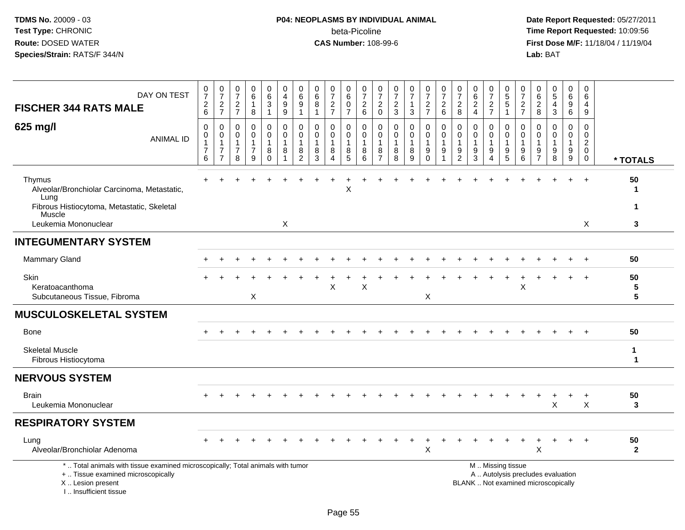### **P04: NEOPLASMS BY INDIVIDUAL ANIMAL**beta-Picoline<br>CAS Number: 108-99-6

| DAY ON TEST<br><b>FISCHER 344 RATS MALE</b>                                                                                                                         | $\frac{0}{7}$<br>$\frac{2}{6}$                                   | $\frac{0}{7}$<br>$\frac{2}{7}$                                                 | $\frac{0}{7}$<br>$\frac{2}{7}$                                              | $_6^0$<br>$\mathbf{1}$<br>8                             | 0<br>$6\phantom{a}$<br>$\sqrt{3}$<br>$\mathbf{1}$ | 0<br>$\overline{4}$<br>$9\,$<br>9                                | 0<br>6<br>$\boldsymbol{9}$<br>$\overline{1}$  | 0<br>6<br>8<br>$\mathbf{1}$            | $\frac{0}{7}$<br>$\frac{2}{7}$  | 0<br>$\overline{6}$<br>$\pmb{0}$<br>$\overline{7}$ | $\frac{0}{7}$<br>$^2\phantom{1}6$          | $\frac{0}{7}$<br>$^2_{\rm 0}$                                       | $\frac{0}{7}$<br>$\frac{2}{3}$                             | $\frac{0}{7}$<br>$\mathbf{3}$   | 0<br>$\overline{7}$<br>$\frac{2}{7}$                   | $\frac{0}{7}$<br>$\begin{array}{c} 2 \\ 6 \end{array}$ | $\frac{0}{7}$<br>$\frac{2}{8}$                                       | 0<br>$\,6\,$<br>$\sqrt{2}$<br>$\overline{4}$ | $\frac{0}{7}$<br>$\frac{2}{7}$                            | 0<br>$\overline{5}$<br>$\sqrt{5}$<br>$\mathbf{1}$ | 0<br>$\overline{7}$<br>$\frac{2}{7}$    | 0<br>6<br>$_{\rm 8}^2$               | $\begin{array}{c} 0 \\ 5 \end{array}$<br>$\overline{4}$<br>$\mathbf{3}$  | 0<br>$\,6\,$<br>9<br>6                                     | 0<br>6<br>4<br>9                                                             |                                     |
|---------------------------------------------------------------------------------------------------------------------------------------------------------------------|------------------------------------------------------------------|--------------------------------------------------------------------------------|-----------------------------------------------------------------------------|---------------------------------------------------------|---------------------------------------------------|------------------------------------------------------------------|-----------------------------------------------|----------------------------------------|---------------------------------|----------------------------------------------------|--------------------------------------------|---------------------------------------------------------------------|------------------------------------------------------------|---------------------------------|--------------------------------------------------------|--------------------------------------------------------|----------------------------------------------------------------------|----------------------------------------------|-----------------------------------------------------------|---------------------------------------------------|-----------------------------------------|--------------------------------------|--------------------------------------------------------------------------|------------------------------------------------------------|------------------------------------------------------------------------------|-------------------------------------|
| 625 mg/l<br><b>ANIMAL ID</b>                                                                                                                                        | $\mathbf 0$<br>$\mathbf 0$<br>$\mathbf 1$<br>$\overline{7}$<br>6 | $\mathbf 0$<br>$\mathbf 0$<br>$\mathbf{1}$<br>$\overline{7}$<br>$\overline{7}$ | $\mathbf 0$<br>$\mathbf 0$<br>$\mathbf{1}$<br>$\overline{\mathcal{I}}$<br>8 | 0<br>$\mathbf 0$<br>$\mathbf{1}$<br>$\overline{7}$<br>9 | 0<br>0<br>$\mathbf{1}$<br>8<br>$\Omega$           | $\mathbf 0$<br>$\mathbf 0$<br>$\mathbf 1$<br>8<br>$\overline{1}$ | 0<br>$\mathbf{0}$<br>$\overline{1}$<br>8<br>2 | $\mathbf 0$<br>$\Omega$<br>1<br>8<br>3 | 0<br>$\mathbf 0$<br>1<br>8<br>4 | 0<br>$\mathbf 0$<br>1<br>$\bf 8$<br>$\overline{5}$ | 0<br>$\mathbf 0$<br>$\mathbf{1}$<br>8<br>6 | $\mathbf 0$<br>$\mathbf 0$<br>$\overline{1}$<br>8<br>$\overline{7}$ | $\mathbf 0$<br>$\mathbf 0$<br>$\mathbf{1}$<br>$\bf 8$<br>8 | 0<br>$\mathbf 0$<br>1<br>8<br>9 | 0<br>0<br>$\mathbf{1}$<br>$\boldsymbol{9}$<br>$\Omega$ | $\mathbf 0$<br>0<br>$\mathbf 1$<br>9                   | $\mathbf 0$<br>$\mathbf 0$<br>$\mathbf 1$<br>$9\,$<br>$\overline{2}$ | $\mathbf 0$<br>$\Omega$<br>-1<br>9<br>3      | 0<br>$\mathbf 0$<br>$\mathbf{1}$<br>$\boldsymbol{9}$<br>4 | 0<br>0<br>$\mathbf{1}$<br>$\boldsymbol{9}$<br>5   | 0<br>$\Omega$<br>$\mathbf{1}$<br>9<br>6 | 0<br>$\Omega$<br>9<br>$\overline{7}$ | $\mathbf 0$<br>$\mathbf 0$<br>$\mathbf{1}$<br>$\boldsymbol{9}$<br>8      | 0<br>$\mathbf{0}$<br>$\mathbf{1}$<br>$\boldsymbol{9}$<br>9 | $\mathbf 0$<br>$\mathbf 0$<br>$\boldsymbol{2}$<br>$\mathbf 0$<br>$\mathbf 0$ | * TOTALS                            |
| Thymus<br>Alveolar/Bronchiolar Carcinoma, Metastatic,<br>Lung                                                                                                       |                                                                  |                                                                                |                                                                             |                                                         |                                                   |                                                                  |                                               |                                        |                                 | Χ                                                  |                                            |                                                                     |                                                            |                                 |                                                        |                                                        |                                                                      |                                              |                                                           |                                                   |                                         |                                      |                                                                          | $\ddot{}$                                                  | $\ddot{}$                                                                    | 50<br>-1                            |
| Fibrous Histiocytoma, Metastatic, Skeletal<br>Muscle<br>Leukemia Mononuclear                                                                                        |                                                                  |                                                                                |                                                                             |                                                         |                                                   | X                                                                |                                               |                                        |                                 |                                                    |                                            |                                                                     |                                                            |                                 |                                                        |                                                        |                                                                      |                                              |                                                           |                                                   |                                         |                                      |                                                                          |                                                            | X                                                                            | -1<br>3                             |
| <b>INTEGUMENTARY SYSTEM</b>                                                                                                                                         |                                                                  |                                                                                |                                                                             |                                                         |                                                   |                                                                  |                                               |                                        |                                 |                                                    |                                            |                                                                     |                                                            |                                 |                                                        |                                                        |                                                                      |                                              |                                                           |                                                   |                                         |                                      |                                                                          |                                                            |                                                                              |                                     |
| <b>Mammary Gland</b>                                                                                                                                                |                                                                  |                                                                                |                                                                             |                                                         |                                                   |                                                                  |                                               |                                        |                                 |                                                    |                                            |                                                                     |                                                            |                                 |                                                        |                                                        |                                                                      |                                              |                                                           |                                                   |                                         |                                      |                                                                          |                                                            | $\ddot{}$                                                                    | 50                                  |
| Skin<br>Keratoacanthoma<br>Subcutaneous Tissue, Fibroma                                                                                                             |                                                                  |                                                                                |                                                                             | X                                                       |                                                   |                                                                  |                                               |                                        | X                               |                                                    | X                                          |                                                                     |                                                            |                                 | X                                                      |                                                        |                                                                      |                                              |                                                           |                                                   | X                                       |                                      |                                                                          |                                                            |                                                                              | 50<br>$\sqrt{5}$<br>$5\phantom{.0}$ |
| <b>MUSCULOSKELETAL SYSTEM</b>                                                                                                                                       |                                                                  |                                                                                |                                                                             |                                                         |                                                   |                                                                  |                                               |                                        |                                 |                                                    |                                            |                                                                     |                                                            |                                 |                                                        |                                                        |                                                                      |                                              |                                                           |                                                   |                                         |                                      |                                                                          |                                                            |                                                                              |                                     |
| <b>Bone</b>                                                                                                                                                         |                                                                  |                                                                                |                                                                             |                                                         |                                                   |                                                                  |                                               |                                        |                                 |                                                    |                                            |                                                                     |                                                            |                                 |                                                        |                                                        |                                                                      |                                              |                                                           |                                                   |                                         |                                      |                                                                          |                                                            |                                                                              | 50                                  |
| <b>Skeletal Muscle</b><br>Fibrous Histiocytoma                                                                                                                      |                                                                  |                                                                                |                                                                             |                                                         |                                                   |                                                                  |                                               |                                        |                                 |                                                    |                                            |                                                                     |                                                            |                                 |                                                        |                                                        |                                                                      |                                              |                                                           |                                                   |                                         |                                      |                                                                          |                                                            |                                                                              | $\mathbf{1}$<br>$\mathbf{1}$        |
| <b>NERVOUS SYSTEM</b>                                                                                                                                               |                                                                  |                                                                                |                                                                             |                                                         |                                                   |                                                                  |                                               |                                        |                                 |                                                    |                                            |                                                                     |                                                            |                                 |                                                        |                                                        |                                                                      |                                              |                                                           |                                                   |                                         |                                      |                                                                          |                                                            |                                                                              |                                     |
| <b>Brain</b><br>Leukemia Mononuclear                                                                                                                                |                                                                  |                                                                                |                                                                             |                                                         |                                                   |                                                                  |                                               |                                        |                                 |                                                    |                                            |                                                                     |                                                            |                                 |                                                        |                                                        |                                                                      |                                              |                                                           |                                                   |                                         |                                      | X                                                                        | $\ddot{}$                                                  | $\ddot{}$<br>X                                                               | 50<br>3                             |
| <b>RESPIRATORY SYSTEM</b>                                                                                                                                           |                                                                  |                                                                                |                                                                             |                                                         |                                                   |                                                                  |                                               |                                        |                                 |                                                    |                                            |                                                                     |                                                            |                                 |                                                        |                                                        |                                                                      |                                              |                                                           |                                                   |                                         |                                      |                                                                          |                                                            |                                                                              |                                     |
| Lung<br>Alveolar/Bronchiolar Adenoma                                                                                                                                |                                                                  |                                                                                |                                                                             |                                                         |                                                   |                                                                  |                                               |                                        |                                 |                                                    |                                            |                                                                     |                                                            |                                 | X                                                      |                                                        |                                                                      |                                              |                                                           |                                                   |                                         | X                                    |                                                                          | $\ddot{}$                                                  | $+$                                                                          | 50<br>$\mathbf{2}$                  |
| *  Total animals with tissue examined microscopically; Total animals with tumor<br>+  Tissue examined microscopically<br>X  Lesion present<br>I Insufficient tissue |                                                                  |                                                                                |                                                                             |                                                         |                                                   |                                                                  |                                               |                                        |                                 |                                                    |                                            |                                                                     |                                                            |                                 |                                                        |                                                        |                                                                      |                                              |                                                           | M  Missing tissue                                 |                                         |                                      | A  Autolysis precludes evaluation<br>BLANK  Not examined microscopically |                                                            |                                                                              |                                     |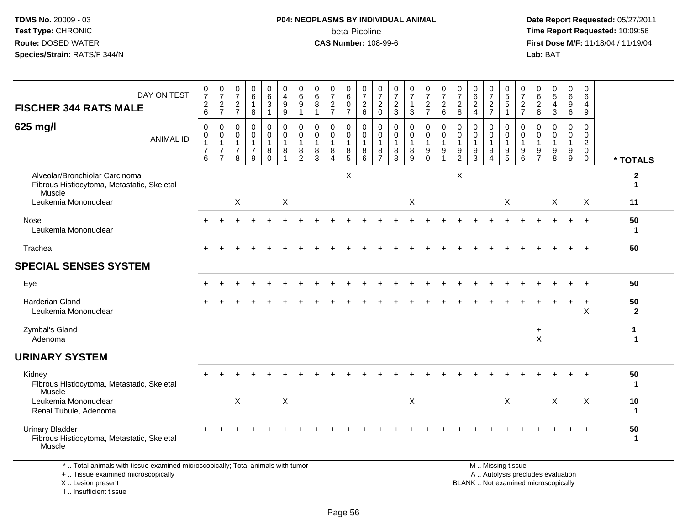### **P04: NEOPLASMS BY INDIVIDUAL ANIMAL**beta-Picoline<br>CAS Number: 108-99-6

 **Date Report Requested:** 05/27/2011 **Time Report Requested:** 10:09:56 **First Dose M/F:** 11/18/04 / 11/19/04<br>Lab: BAT **Lab:** BAT

|                                                                                                                                            |                  |                                              |                                                                              |                                                           |                                                         | 0                                                         |                                                    |                                                                |                                                      |                                                           | 0                                                                           |                                                        |                                                                   |                                |                                                      |                                                              |                                                   |                                                                   |                                                      | 0                                                                 |                                                                                               |                                                  |                                   |                                                        | 0                                                          | $\mathbf 0$                                                          |                                 |
|--------------------------------------------------------------------------------------------------------------------------------------------|------------------|----------------------------------------------|------------------------------------------------------------------------------|-----------------------------------------------------------|---------------------------------------------------------|-----------------------------------------------------------|----------------------------------------------------|----------------------------------------------------------------|------------------------------------------------------|-----------------------------------------------------------|-----------------------------------------------------------------------------|--------------------------------------------------------|-------------------------------------------------------------------|--------------------------------|------------------------------------------------------|--------------------------------------------------------------|---------------------------------------------------|-------------------------------------------------------------------|------------------------------------------------------|-------------------------------------------------------------------|-----------------------------------------------------------------------------------------------|--------------------------------------------------|-----------------------------------|--------------------------------------------------------|------------------------------------------------------------|----------------------------------------------------------------------|---------------------------------|
| DAY ON TEST                                                                                                                                |                  | $\frac{0}{7}$                                | $\frac{0}{7}$                                                                | $\frac{0}{7}$                                             | 0<br>6                                                  | 6                                                         | 0<br>$\overline{\mathbf{4}}$                       | 0<br>$6\phantom{a}$                                            | 0<br>$6\phantom{a}$                                  | 0<br>$\overline{7}$                                       | $\,6\,$                                                                     | 0<br>$\overline{7}$                                    | $\mathbf 0$<br>$\overline{7}$                                     | $\frac{0}{7}$                  | 0<br>$\overline{7}$                                  | $\frac{0}{7}$                                                | 0<br>$\overline{7}$                               | 0<br>$\overline{7}$                                               | 0<br>$6\phantom{a}$                                  | $\overline{7}$                                                    | 0<br>$\overline{5}$                                                                           | 0<br>$\overline{7}$                              | $_{6}^{\rm 0}$                    | 0<br>$\overline{5}$                                    | $6\,$                                                      | 6                                                                    |                                 |
| <b>FISCHER 344 RATS MALE</b>                                                                                                               |                  | $\overline{c}$<br>6                          | $\sqrt{2}$<br>$\overline{7}$                                                 | $\sqrt{2}$<br>$\overline{7}$                              | $\mathbf{1}$<br>8                                       | $\mathbf{3}$<br>$\mathbf{1}$                              | $\boldsymbol{9}$<br>9                              | 9<br>$\mathbf{1}$                                              | 8                                                    | $\sqrt{2}$<br>$\overline{7}$                              | $\mathbf 0$<br>$\overline{7}$                                               | $\sqrt{2}$<br>6                                        | $\overline{2}$<br>$\mathbf 0$                                     | $\overline{c}$<br>$\mathbf{3}$ | $\mathbf{1}$<br>3                                    | $\sqrt{2}$<br>$\overline{7}$                                 | $\overline{2}$<br>6                               | $\sqrt{2}$<br>8                                                   | $\sqrt{2}$<br>$\overline{4}$                         | $\sqrt{2}$<br>$\overline{7}$                                      | $\sqrt{5}$<br>$\mathbf{1}$                                                                    | $\sqrt{2}$<br>$\overline{7}$                     | $\sqrt{2}$<br>8                   | $\overline{4}$<br>3                                    | 9<br>6                                                     | 4<br>9                                                               |                                 |
| 625 mg/l                                                                                                                                   | <b>ANIMAL ID</b> | 0<br>$\mathbf 0$<br>1<br>$\overline{7}$<br>6 | $\mathbf 0$<br>$\pmb{0}$<br>$\mathbf{1}$<br>$\overline{7}$<br>$\overline{7}$ | 0<br>$\mathbf 0$<br>$\overline{1}$<br>$\overline{7}$<br>8 | 0<br>$\mathbf 0$<br>$\mathbf{1}$<br>$\overline{7}$<br>9 | $\mathbf 0$<br>$\pmb{0}$<br>$\mathbf{1}$<br>8<br>$\Omega$ | $\mathbf 0$<br>$\pmb{0}$<br>$\mathbf{1}$<br>8<br>1 | $\Omega$<br>$\mathbf 0$<br>$\mathbf{1}$<br>8<br>$\overline{2}$ | $\mathbf 0$<br>$\mathbf 0$<br>$\mathbf{1}$<br>8<br>3 | 0<br>$\mathbf 0$<br>$\overline{1}$<br>8<br>$\overline{4}$ | $\mathbf 0$<br>$\mathsf{O}\xspace$<br>$\overline{1}$<br>8<br>$\overline{5}$ | $\mathbf 0$<br>$\mathbf 0$<br>$\overline{1}$<br>8<br>6 | $\mathbf 0$<br>$\mathbf 0$<br>$\mathbf{1}$<br>8<br>$\overline{7}$ | 0<br>$\mathbf 0$<br>8<br>8     | $\mathbf 0$<br>$\mathbf 0$<br>$\mathbf{1}$<br>8<br>9 | $\mathbf 0$<br>$\pmb{0}$<br>$\mathbf{1}$<br>9<br>$\mathsf 0$ | $\mathbf 0$<br>$\mathbf 0$<br>$\overline{1}$<br>9 | $\mathbf 0$<br>$\mathbf 0$<br>$\mathbf{1}$<br>9<br>$\overline{2}$ | 0<br>$\mathbf 0$<br>$\mathbf{1}$<br>9<br>$\mathsf 3$ | $\mathbf 0$<br>$\mathbf 0$<br>$\mathbf{1}$<br>9<br>$\overline{4}$ | 0<br>$\mathbf 0$<br>$\mathbf{1}$<br>9<br>5                                                    | $\Omega$<br>$\Omega$<br>1<br>9<br>$6\phantom{1}$ | 0<br>$\mathbf 0$<br>$\frac{9}{7}$ | $\mathbf 0$<br>$\mathbf 0$<br>$\overline{1}$<br>9<br>8 | $\mathbf 0$<br>$\mathbf 0$<br>$\overline{1}$<br>9<br>$9\,$ | $\Omega$<br>$\Omega$<br>$\overline{2}$<br>$\mathbf 0$<br>$\mathbf 0$ | * TOTALS                        |
| Alveolar/Bronchiolar Carcinoma<br>Fibrous Histiocytoma, Metastatic, Skeletal<br>Muscle                                                     |                  |                                              |                                                                              |                                                           |                                                         |                                                           |                                                    |                                                                |                                                      |                                                           | X                                                                           |                                                        |                                                                   |                                |                                                      |                                                              |                                                   | X                                                                 |                                                      |                                                                   |                                                                                               |                                                  |                                   |                                                        |                                                            |                                                                      | $\boldsymbol{2}$<br>$\mathbf 1$ |
| Leukemia Mononuclear                                                                                                                       |                  |                                              |                                                                              | X                                                         |                                                         |                                                           | $\mathsf X$                                        |                                                                |                                                      |                                                           |                                                                             |                                                        |                                                                   |                                | X                                                    |                                                              |                                                   |                                                                   |                                                      |                                                                   | X                                                                                             |                                                  |                                   | X                                                      |                                                            | X                                                                    | 11                              |
| Nose<br>Leukemia Mononuclear                                                                                                               |                  |                                              |                                                                              |                                                           |                                                         |                                                           |                                                    |                                                                |                                                      |                                                           |                                                                             |                                                        |                                                                   |                                |                                                      |                                                              |                                                   |                                                                   |                                                      |                                                                   |                                                                                               |                                                  |                                   |                                                        |                                                            | $\overline{+}$                                                       | 50<br>1                         |
| Trachea                                                                                                                                    |                  |                                              |                                                                              |                                                           |                                                         |                                                           |                                                    |                                                                |                                                      |                                                           |                                                                             |                                                        |                                                                   |                                |                                                      |                                                              |                                                   |                                                                   |                                                      |                                                                   |                                                                                               |                                                  |                                   |                                                        |                                                            |                                                                      | 50                              |
| <b>SPECIAL SENSES SYSTEM</b>                                                                                                               |                  |                                              |                                                                              |                                                           |                                                         |                                                           |                                                    |                                                                |                                                      |                                                           |                                                                             |                                                        |                                                                   |                                |                                                      |                                                              |                                                   |                                                                   |                                                      |                                                                   |                                                                                               |                                                  |                                   |                                                        |                                                            |                                                                      |                                 |
| Eye                                                                                                                                        |                  |                                              |                                                                              |                                                           |                                                         |                                                           |                                                    |                                                                |                                                      |                                                           |                                                                             |                                                        |                                                                   |                                |                                                      |                                                              |                                                   |                                                                   |                                                      |                                                                   |                                                                                               |                                                  |                                   |                                                        |                                                            |                                                                      | 50                              |
| <b>Harderian Gland</b><br>Leukemia Mononuclear                                                                                             |                  |                                              |                                                                              |                                                           |                                                         |                                                           |                                                    |                                                                |                                                      |                                                           |                                                                             |                                                        |                                                                   |                                |                                                      |                                                              |                                                   |                                                                   |                                                      |                                                                   |                                                                                               |                                                  |                                   |                                                        |                                                            | $\ddot{}$<br>$\times$                                                | 50<br>$\overline{2}$            |
| Zymbal's Gland<br>Adenoma                                                                                                                  |                  |                                              |                                                                              |                                                           |                                                         |                                                           |                                                    |                                                                |                                                      |                                                           |                                                                             |                                                        |                                                                   |                                |                                                      |                                                              |                                                   |                                                                   |                                                      |                                                                   |                                                                                               |                                                  | $\ddot{}$<br>X                    |                                                        |                                                            |                                                                      | 1<br>$\mathbf 1$                |
| <b>URINARY SYSTEM</b>                                                                                                                      |                  |                                              |                                                                              |                                                           |                                                         |                                                           |                                                    |                                                                |                                                      |                                                           |                                                                             |                                                        |                                                                   |                                |                                                      |                                                              |                                                   |                                                                   |                                                      |                                                                   |                                                                                               |                                                  |                                   |                                                        |                                                            |                                                                      |                                 |
| Kidney<br>Fibrous Histiocytoma, Metastatic, Skeletal<br>Muscle                                                                             |                  |                                              |                                                                              |                                                           |                                                         |                                                           |                                                    |                                                                |                                                      |                                                           |                                                                             |                                                        |                                                                   |                                |                                                      |                                                              |                                                   |                                                                   |                                                      |                                                                   |                                                                                               |                                                  |                                   |                                                        |                                                            |                                                                      | 50<br>1                         |
| Leukemia Mononuclear<br>Renal Tubule, Adenoma                                                                                              |                  |                                              |                                                                              | X                                                         |                                                         |                                                           | $\times$                                           |                                                                |                                                      |                                                           |                                                                             |                                                        |                                                                   |                                | $\boldsymbol{\mathsf{X}}$                            |                                                              |                                                   |                                                                   |                                                      |                                                                   | $\sf X$                                                                                       |                                                  |                                   | $\times$                                               |                                                            | $\boldsymbol{\mathsf{X}}$                                            | 10<br>1                         |
| <b>Urinary Bladder</b><br>Fibrous Histiocytoma, Metastatic, Skeletal<br>Muscle                                                             |                  |                                              |                                                                              |                                                           |                                                         |                                                           |                                                    |                                                                |                                                      |                                                           |                                                                             |                                                        |                                                                   |                                |                                                      |                                                              |                                                   |                                                                   |                                                      |                                                                   |                                                                                               |                                                  |                                   |                                                        |                                                            |                                                                      | 50<br>$\mathbf{1}$              |
| *  Total animals with tissue examined microscopically; Total animals with tumor<br>+  Tissue examined microscopically<br>X  Lesion present |                  |                                              |                                                                              |                                                           |                                                         |                                                           |                                                    |                                                                |                                                      |                                                           |                                                                             |                                                        |                                                                   |                                |                                                      |                                                              |                                                   |                                                                   |                                                      |                                                                   | M  Missing tissue<br>A  Autolysis precludes evaluation<br>BLANK  Not examined microscopically |                                                  |                                   |                                                        |                                                            |                                                                      |                                 |

X .. Lesion present

I .. Insufficient tissue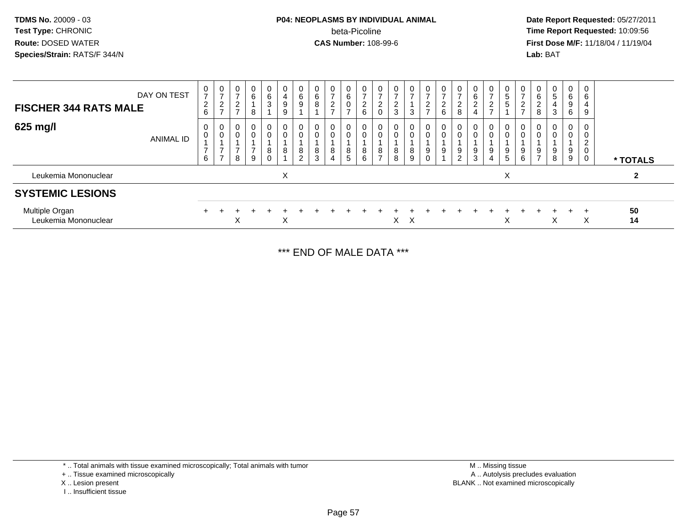#### **P04: NEOPLASMS BY INDIVIDUAL ANIMAL** beta-Picoline**beta-Picoline**<br> **CAS Number:** 108-99-6<br> **CAS Number:** 108-99-6<br> **CAS Number:** 108-99-6

 **Date Report Requested:** 05/27/2011 **First Dose M/F:** 11/18/04 / 11/19/04 Lab: BAT **Lab:** BAT

| <b>FISCHER 344 RATS MALE</b>           | DAY ON TEST      | 0<br>$\overline{ }$<br>2<br>6           | $\pmb{0}$<br>$\overline{ }$<br>$\overline{c}$<br>$\overline{ }$ | 0<br>$\rightarrow$<br>$\sim$<br>▃<br>- | $\mathbf 0$<br>6<br>8                                | 0<br>$\frac{6}{3}$                              | 0<br>4<br>9<br>9 | 0<br>$\,6\,$<br>$\boldsymbol{9}$      | 0<br>6<br>8      | 0<br>$\overline{ }$<br>$\overline{c}$<br>$\rightarrow$ | 6<br>0      | $\mathbf 0$<br>$\overline{ }$<br>$\sim$<br>∠<br>6 | 0<br>$\sim$<br><u>.</u> | 0<br>$\rightarrow$<br>ົ<br>$\epsilon$<br>3 | 0<br>$\overline{ }$<br>3                  | 0<br>$\overline{ }$<br>$\overline{2}$<br>$\rightarrow$ | 0<br>$\overline{ }$<br>$\overline{2}$<br>6 | 0<br>$\overline{ }$<br>$\overline{c}$<br>8 | 0<br>6<br>$\Omega$<br>ے | 0<br>$\overline{ }$<br>$\overline{2}$<br>$\rightarrow$ | 0<br>5<br>$\sqrt{5}$ | 0<br>$\overline{c}$<br>$\rightarrow$ | 6<br>$\sim$<br>∠<br>8 | 5<br>3 | 0<br>6<br>$\boldsymbol{9}$<br>6 | 0<br>6<br>4<br>9                   |                |
|----------------------------------------|------------------|-----------------------------------------|-----------------------------------------------------------------|----------------------------------------|------------------------------------------------------|-------------------------------------------------|------------------|---------------------------------------|------------------|--------------------------------------------------------|-------------|---------------------------------------------------|-------------------------|--------------------------------------------|-------------------------------------------|--------------------------------------------------------|--------------------------------------------|--------------------------------------------|-------------------------|--------------------------------------------------------|----------------------|--------------------------------------|-----------------------|--------|---------------------------------|------------------------------------|----------------|
| 625 mg/l                               | <b>ANIMAL ID</b> | $\mathbf 0$<br>0<br>$\overline{ }$<br>6 | 0<br>$\pmb{0}$<br>$\overline{ }$<br>$\overline{ }$              | 0<br>0<br>⇁<br>8                       | $\overline{0}$<br>$\mathbf 0$<br>$\overline{ }$<br>9 | $\mathbf 0$<br>$\mathsf{O}$<br>8<br>$\mathbf 0$ | 0<br>0<br>8      | 0<br>$\pmb{0}$<br>8<br>$\overline{2}$ | 0<br>0<br>8<br>3 | 0<br>$\mathbf 0$<br>8<br>4                             | 0<br>8<br>5 | 0<br>$\mathbf 0$<br>8<br>6                        | 0<br>0<br>8             | 0<br>0<br>8<br>8                           | 0<br>$\mathbf 0$<br>8<br>$\boldsymbol{9}$ | $\mathbf{0}$<br>0<br>9<br>$\mathbf 0$                  | 9                                          | 0<br>0<br>9<br>$\overline{c}$              | 0<br>9<br>3             | 0<br>0<br>9<br>$\overline{4}$                          | 0<br>0<br>9<br>5     | 0<br>0<br>9<br>6                     | 9<br>$\overline{ }$   | 9<br>8 | 0<br>0<br>9<br>9                | 0<br>0<br>$\overline{2}$<br>0<br>0 | * TOTALS       |
| Leukemia Mononuclear                   |                  |                                         |                                                                 |                                        |                                                      |                                                 | X                |                                       |                  |                                                        |             |                                                   |                         |                                            |                                           |                                                        |                                            |                                            |                         |                                                        | X                    |                                      |                       |        |                                 |                                    | $\overline{2}$ |
| <b>SYSTEMIC LESIONS</b>                |                  |                                         |                                                                 |                                        |                                                      |                                                 |                  |                                       |                  |                                                        |             |                                                   |                         |                                            |                                           |                                                        |                                            |                                            |                         |                                                        |                      |                                      |                       |        |                                 |                                    |                |
| Multiple Organ<br>Leukemia Mononuclear |                  |                                         |                                                                 | X                                      |                                                      |                                                 | X                |                                       |                  |                                                        |             |                                                   |                         | X                                          | $\times$                                  |                                                        |                                            |                                            |                         |                                                        | X                    |                                      |                       | х      | $+$                             | X                                  | 50<br>14       |

\*\*\* END OF MALE DATA \*\*\*

\* .. Total animals with tissue examined microscopically; Total animals with tumor

+ .. Tissue examined microscopically

X .. Lesion present

I .. Insufficient tissue

 M .. Missing tissuey the contract of the contract of the contract of the contract of the contract of the contract of the contract of  $A$ . Autolysis precludes evaluation Lesion present BLANK .. Not examined microscopically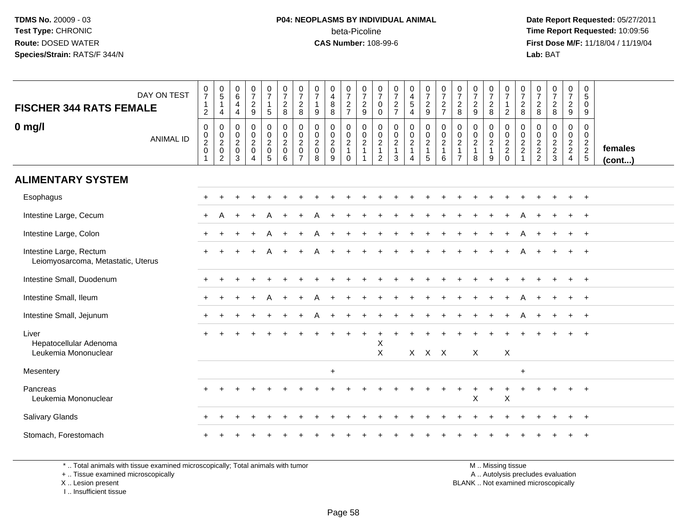#### **P04: NEOPLASMS BY INDIVIDUAL ANIMAL**beta-Picoline<br>CAS Number: 108-99-6

 **Date Report Requested:** 05/27/2011 **Time Report Requested:** 10:09:56 **First Dose M/F:** 11/18/04 / 11/19/04 Lab: BAT **Lab:** BAT

| DAY ON TEST<br><b>FISCHER 344 RATS FEMALE</b>                 | $\frac{0}{7}$<br>$\mathbf{1}$<br>$\overline{2}$           | $\begin{array}{c} 0 \\ 5 \end{array}$<br>$\mathbf{1}$<br>4 | $\begin{array}{c} 0 \\ 6 \end{array}$<br>$\overline{4}$<br>$\overline{4}$ | $\frac{0}{7}$<br>$\boldsymbol{2}$<br>9                    | $\begin{array}{c} 0 \\ 7 \end{array}$<br>$\mathbf{1}$<br>$\sqrt{5}$ | $\begin{array}{c} 0 \\ 7 \end{array}$<br>$\sqrt{2}$<br>8     | $\frac{0}{7}$<br>$\sqrt{2}$<br>8                                    | $\frac{0}{7}$<br>$\mathbf{1}$<br>$\boldsymbol{9}$ | 0<br>$\overline{4}$<br>8<br>8                      | $\frac{0}{7}$<br>$\frac{2}{7}$                                     | $\frac{0}{7}$<br>$\frac{2}{9}$                                   | 0<br>$\overline{7}$<br>$\mathbf 0$<br>0                                | $\frac{0}{7}$<br>$\frac{2}{7}$                            | 0<br>$\frac{4}{5}$<br>$\overline{4}$                                           | $\begin{smallmatrix}0\\7\end{smallmatrix}$<br>$\boldsymbol{2}$<br>9    | $\frac{0}{7}$<br>$\frac{2}{7}$                                      | $\boldsymbol{0}$<br>$\overline{7}$<br>$\sqrt{2}$<br>8          | $\begin{array}{c} 0 \\ 7 \end{array}$<br>$\sqrt{2}$<br>9    | $\frac{0}{7}$<br>$\frac{2}{8}$                          | $\frac{0}{7}$<br>$\mathbf{1}$<br>$\overline{2}$                | $\frac{0}{7}$<br>$\overline{c}$<br>8              | $\frac{0}{7}$<br>$\sqrt{2}$<br>8 | $\frac{0}{7}$<br>$\boldsymbol{2}$<br>$\bf 8$ | $\begin{array}{c} 0 \\ 7 \end{array}$<br>$\frac{2}{9}$ | 0<br>$\sqrt{5}$<br>$\mathbf 0$<br>9         |                   |
|---------------------------------------------------------------|-----------------------------------------------------------|------------------------------------------------------------|---------------------------------------------------------------------------|-----------------------------------------------------------|---------------------------------------------------------------------|--------------------------------------------------------------|---------------------------------------------------------------------|---------------------------------------------------|----------------------------------------------------|--------------------------------------------------------------------|------------------------------------------------------------------|------------------------------------------------------------------------|-----------------------------------------------------------|--------------------------------------------------------------------------------|------------------------------------------------------------------------|---------------------------------------------------------------------|----------------------------------------------------------------|-------------------------------------------------------------|---------------------------------------------------------|----------------------------------------------------------------|---------------------------------------------------|----------------------------------|----------------------------------------------|--------------------------------------------------------|---------------------------------------------|-------------------|
| $0$ mg/l<br><b>ANIMAL ID</b>                                  | $\mathbf 0$<br>$\pmb{0}$<br>$\frac{2}{0}$<br>$\mathbf{1}$ | $\mathbf 0$<br>$\mathbf 0$<br>$\frac{2}{0}$<br>$\sqrt{2}$  | $\boldsymbol{0}$<br>$\boldsymbol{0}$<br>$\frac{2}{0}$<br>3                | $\pmb{0}$<br>$\pmb{0}$<br>$\frac{2}{0}$<br>$\overline{4}$ | $\pmb{0}$<br>$\pmb{0}$<br>$\frac{2}{0}$                             | $\pmb{0}$<br>$\mathbf 0$<br>$\frac{2}{0}$<br>$6\phantom{1}6$ | 0<br>$\mathbf 0$<br>$\overline{2}$<br>$\mathbf 0$<br>$\overline{7}$ | $\mathbf 0$<br>$\pmb{0}$<br>$\frac{2}{0}$<br>8    | 0<br>$\pmb{0}$<br>$\overline{2}$<br>$\pmb{0}$<br>9 | 0<br>$\mathsf{O}$<br>$\overline{c}$<br>$\mathbf{1}$<br>$\mathbf 0$ | $\boldsymbol{0}$<br>$\mathbf 0$<br>$\frac{2}{1}$<br>$\mathbf{1}$ | 0<br>$\mathbf 0$<br>$\overline{c}$<br>$\overline{1}$<br>$\overline{2}$ | $\mathbf 0$<br>$\pmb{0}$<br>$\frac{2}{1}$<br>$\mathbf{3}$ | $\mathbf 0$<br>$\mathbf 0$<br>$\overline{2}$<br>$\mathbf{1}$<br>$\overline{4}$ | $\mathbf 0$<br>$\boldsymbol{0}$<br>$\overline{2}$<br>$\mathbf{1}$<br>5 | $\pmb{0}$<br>$\pmb{0}$<br>$\overline{2}$<br>$\mathbf{1}$<br>$\,6\,$ | $\mathbf 0$<br>$\mathbf 0$<br>$\overline{c}$<br>$\overline{7}$ | $\mathbf 0$<br>$\pmb{0}$<br>$\sqrt{2}$<br>$\mathbf{1}$<br>8 | 0<br>$\mathbf 0$<br>$\overline{2}$<br>$\mathbf{1}$<br>9 | $\pmb{0}$<br>$\pmb{0}$<br>$\frac{2}{2}$<br>$\mathsf{O}\xspace$ | 0<br>$\pmb{0}$<br>$\frac{2}{2}$<br>$\overline{1}$ | 0<br>0<br>$\frac{2}{2}$          | $\mathbf 0$<br>$\pmb{0}$<br>$\frac{2}{3}$    | $\mathbf 0$<br>$\mathbf 0$<br>$\frac{2}{2}$            | $\mathbf 0$<br>$\mathbf 0$<br>$\frac{2}{2}$ | females<br>(cont) |
| <b>ALIMENTARY SYSTEM</b>                                      |                                                           |                                                            |                                                                           |                                                           |                                                                     |                                                              |                                                                     |                                                   |                                                    |                                                                    |                                                                  |                                                                        |                                                           |                                                                                |                                                                        |                                                                     |                                                                |                                                             |                                                         |                                                                |                                                   |                                  |                                              |                                                        |                                             |                   |
| Esophagus                                                     |                                                           |                                                            |                                                                           |                                                           |                                                                     |                                                              |                                                                     |                                                   |                                                    |                                                                    |                                                                  |                                                                        |                                                           |                                                                                |                                                                        |                                                                     |                                                                |                                                             |                                                         |                                                                |                                                   |                                  |                                              |                                                        | $\ddot{}$                                   |                   |
| Intestine Large, Cecum                                        | $+$                                                       | A                                                          |                                                                           |                                                           |                                                                     |                                                              |                                                                     |                                                   |                                                    |                                                                    |                                                                  |                                                                        |                                                           |                                                                                |                                                                        |                                                                     |                                                                |                                                             |                                                         |                                                                |                                                   |                                  |                                              |                                                        | $^{+}$                                      |                   |
| Intestine Large, Colon                                        |                                                           |                                                            |                                                                           |                                                           |                                                                     |                                                              |                                                                     |                                                   |                                                    |                                                                    |                                                                  |                                                                        |                                                           |                                                                                |                                                                        |                                                                     |                                                                |                                                             |                                                         |                                                                |                                                   |                                  |                                              |                                                        | $^{+}$                                      |                   |
| Intestine Large, Rectum<br>Leiomyosarcoma, Metastatic, Uterus |                                                           |                                                            |                                                                           |                                                           |                                                                     |                                                              |                                                                     |                                                   |                                                    |                                                                    |                                                                  |                                                                        |                                                           |                                                                                |                                                                        |                                                                     |                                                                |                                                             |                                                         |                                                                |                                                   |                                  |                                              |                                                        | $^{+}$                                      |                   |
| Intestine Small, Duodenum                                     |                                                           |                                                            |                                                                           |                                                           |                                                                     |                                                              |                                                                     |                                                   |                                                    |                                                                    |                                                                  |                                                                        |                                                           |                                                                                |                                                                        |                                                                     |                                                                |                                                             |                                                         |                                                                |                                                   |                                  |                                              |                                                        | $+$                                         |                   |
| Intestine Small, Ileum                                        |                                                           |                                                            |                                                                           |                                                           |                                                                     |                                                              |                                                                     |                                                   |                                                    |                                                                    |                                                                  |                                                                        |                                                           |                                                                                |                                                                        |                                                                     |                                                                |                                                             |                                                         |                                                                |                                                   |                                  |                                              |                                                        | $+$                                         |                   |
| Intestine Small, Jejunum                                      |                                                           |                                                            |                                                                           |                                                           |                                                                     |                                                              |                                                                     |                                                   |                                                    |                                                                    |                                                                  |                                                                        |                                                           |                                                                                |                                                                        |                                                                     |                                                                |                                                             |                                                         |                                                                | А                                                 |                                  |                                              |                                                        | $+$                                         |                   |
| Liver<br>Hepatocellular Adenoma                               |                                                           |                                                            |                                                                           |                                                           |                                                                     |                                                              |                                                                     |                                                   |                                                    |                                                                    | $\ddot{}$                                                        | X                                                                      |                                                           |                                                                                |                                                                        |                                                                     |                                                                |                                                             |                                                         |                                                                |                                                   |                                  |                                              |                                                        | $+$                                         |                   |
| Leukemia Mononuclear                                          |                                                           |                                                            |                                                                           |                                                           |                                                                     |                                                              |                                                                     |                                                   |                                                    |                                                                    |                                                                  | X                                                                      |                                                           |                                                                                | X X X                                                                  |                                                                     |                                                                | $\mathsf{X}$                                                |                                                         | $\boldsymbol{\mathsf{X}}$                                      |                                                   |                                  |                                              |                                                        |                                             |                   |
| Mesentery                                                     |                                                           |                                                            |                                                                           |                                                           |                                                                     |                                                              |                                                                     |                                                   | $\ddot{}$                                          |                                                                    |                                                                  |                                                                        |                                                           |                                                                                |                                                                        |                                                                     |                                                                |                                                             |                                                         |                                                                | $\ddot{}$                                         |                                  |                                              |                                                        |                                             |                   |
| Pancreas<br>Leukemia Mononuclear                              |                                                           |                                                            |                                                                           |                                                           |                                                                     |                                                              |                                                                     |                                                   |                                                    |                                                                    |                                                                  |                                                                        |                                                           |                                                                                |                                                                        |                                                                     |                                                                | $\pmb{\times}$                                              | $\ddot{}$                                               | +<br>$\mathsf X$                                               | $\ddot{}$                                         |                                  |                                              | $\ddot{}$                                              | $+$                                         |                   |
| <b>Salivary Glands</b>                                        |                                                           |                                                            |                                                                           |                                                           |                                                                     |                                                              |                                                                     |                                                   |                                                    |                                                                    |                                                                  |                                                                        |                                                           |                                                                                |                                                                        |                                                                     |                                                                |                                                             |                                                         |                                                                |                                                   |                                  |                                              |                                                        | $+$                                         |                   |
| Stomach, Forestomach                                          |                                                           |                                                            |                                                                           |                                                           |                                                                     |                                                              |                                                                     |                                                   |                                                    |                                                                    |                                                                  |                                                                        |                                                           |                                                                                |                                                                        |                                                                     |                                                                |                                                             |                                                         |                                                                |                                                   |                                  |                                              |                                                        |                                             |                   |

\* .. Total animals with tissue examined microscopically; Total animals with tumor

+ .. Tissue examined microscopically

 Lesion present BLANK .. Not examined microscopicallyX .. Lesion present

I .. Insufficient tissue

M .. Missing tissue

y the contract of the contract of the contract of the contract of the contract of the contract of the contract of  $A$ . Autolysis precludes evaluation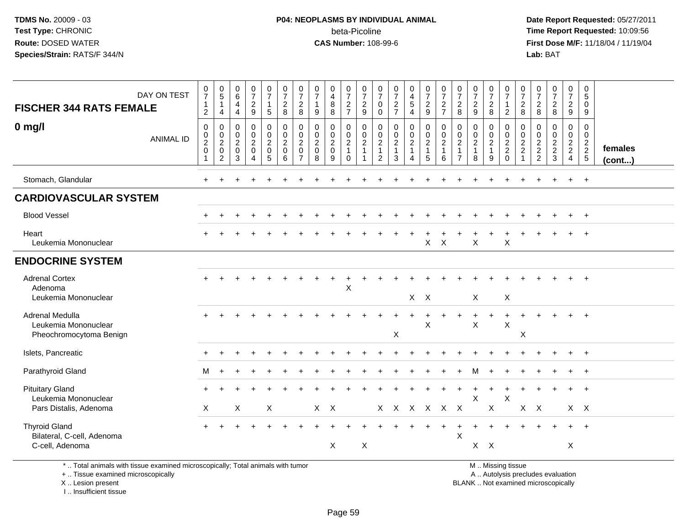#### **P04: NEOPLASMS BY INDIVIDUAL ANIMAL**beta-Picoline<br>CAS Number: 108-99-6

 **Date Report Requested:** 05/27/2011 **Time Report Requested:** 10:09:56 **First Dose M/F:** 11/18/04 / 11/19/04 Lab: BAT **Lab:** BAT

| DAY ON TEST<br><b>FISCHER 344 RATS FEMALE</b><br>$0$ mg/l<br><b>ANIMAL ID</b> | 0<br>$\overline{7}$<br>$\mathbf{1}$<br>$\overline{c}$<br>$\mathbf 0$<br>0<br>$\boldsymbol{2}$<br>$\mathbf 0$<br>1 | $\begin{matrix} 0 \\ 5 \end{matrix}$<br>$\mathbf{1}$<br>4<br>$\mathbf 0$<br>$\boldsymbol{0}$<br>$\frac{2}{0}$<br>$\overline{c}$ | $\begin{array}{c} 0 \\ 6 \end{array}$<br>$\overline{4}$<br>$\overline{4}$<br>$\pmb{0}$<br>$\boldsymbol{0}$<br>$\sqrt{2}$<br>$\mathsf{O}\xspace$<br>3 | $\frac{0}{7}$<br>$\overline{2}$<br>$\boldsymbol{9}$<br>$\pmb{0}$<br>$\pmb{0}$<br>$\boldsymbol{2}$<br>$\mathsf{O}\xspace$<br>$\Lambda$ | 0<br>$\overline{7}$<br>$\mathbf{1}$<br>$\overline{5}$<br>$\pmb{0}$<br>$\mathsf{O}\xspace$<br>$\mathbf{2}$<br>$\mathbf 0$<br>5 | $\frac{0}{7}$<br>$\overline{2}$<br>8<br>$\pmb{0}$<br>$\mathbf 0$<br>$\boldsymbol{2}$<br>$\mathbf 0$<br>6 | 0<br>$\overline{7}$<br>$\overline{2}$<br>$\,8\,$<br>0<br>$\boldsymbol{0}$<br>$\sqrt{2}$<br>$\mathbf 0$<br>7 | $\frac{0}{7}$<br>$\mathbf{1}$<br>$\boldsymbol{9}$<br>$\mathbf 0$<br>$\mathbf 0$<br>$\overline{c}$<br>$\mathsf{O}\xspace$<br>8 | 0<br>$\overline{4}$<br>$\bf 8$<br>8<br>$\mathbf 0$<br>$\pmb{0}$<br>$\boldsymbol{2}$<br>$\pmb{0}$<br>9 | $\frac{0}{7}$<br>$\frac{2}{7}$<br>$\mathbf 0$<br>$\pmb{0}$<br>$\overline{c}$<br>$\mathbf{1}$<br>$\Omega$ | $\frac{0}{7}$<br>$\sqrt{2}$<br>9<br>$\mathsf 0$<br>$\mathbf 0$<br>$\overline{c}$<br>$\mathbf{1}$<br>-1 | 0<br>$\overline{7}$<br>$\mathbf 0$<br>$\mathbf 0$<br>0<br>$\pmb{0}$<br>$\boldsymbol{2}$<br>$\overline{1}$<br>2 | $\frac{0}{7}$<br>$rac{2}{7}$<br>$\pmb{0}$<br>$\begin{smallmatrix} 0\\2 \end{smallmatrix}$<br>$\mathbf{1}$<br>3 | $\begin{smallmatrix}0\0\4\end{smallmatrix}$<br>5<br>$\overline{4}$<br>$\mathbf 0$<br>$\mathbf 0$<br>$\frac{2}{1}$<br>4 | $\frac{0}{7}$<br>$\overline{c}$<br>9<br>0<br>$\mathbf 0$<br>$\overline{2}$<br>$\mathbf{1}$<br>5 | $\frac{0}{7}$<br>$\frac{2}{7}$<br>$\pmb{0}$<br>$\pmb{0}$<br>$\boldsymbol{2}$<br>$\overline{1}$<br>6 | 0<br>$\overline{7}$<br>$\overline{2}$<br>8<br>$\mathbf 0$<br>$\boldsymbol{0}$<br>$\overline{c}$<br>$\mathbf{1}$<br>$\overline{7}$ | $\frac{0}{7}$<br>$\overline{2}$<br>$9\,$<br>$\pmb{0}$<br>$\mathbf 0$<br>$\sqrt{2}$<br>$\mathbf{1}$<br>8 | $\frac{0}{7}$<br>$\overline{c}$<br>8<br>0<br>$\mathbf 0$<br>$\overline{c}$<br>$\mathbf{1}$<br>9 | $\frac{0}{7}$<br>$\mathbf{1}$<br>$\overline{2}$<br>$\,0\,$<br>$\begin{array}{c} 0 \\ 2 \\ 2 \\ 0 \end{array}$ | $\frac{0}{7}$<br>$\sqrt{2}$<br>8<br>0<br>$\mathbf 0$<br>$\frac{2}{2}$<br>$\overline{1}$ | 0<br>$\overline{7}$<br>$\overline{2}$<br>$\,8\,$<br>0<br>0<br>$\frac{2}{2}$ | $\frac{0}{7}$<br>$\overline{2}$<br>$\boldsymbol{8}$<br>$\mathbf 0$<br>$\mathbf 0$<br>$\overline{c}$<br>$\overline{2}$<br>3 | 0<br>$\overline{7}$<br>$\overline{2}$<br>9<br>0<br>$\mathbf 0$<br>$\frac{2}{2}$<br>$\overline{4}$ | 0<br>$5\phantom{.0}$<br>$\mathsf{O}\xspace$<br>$9\,$<br>$\mathbf 0$<br>$\pmb{0}$<br>$\frac{2}{2}$<br>5 | females<br>$($ cont $)$ |
|-------------------------------------------------------------------------------|-------------------------------------------------------------------------------------------------------------------|---------------------------------------------------------------------------------------------------------------------------------|------------------------------------------------------------------------------------------------------------------------------------------------------|---------------------------------------------------------------------------------------------------------------------------------------|-------------------------------------------------------------------------------------------------------------------------------|----------------------------------------------------------------------------------------------------------|-------------------------------------------------------------------------------------------------------------|-------------------------------------------------------------------------------------------------------------------------------|-------------------------------------------------------------------------------------------------------|----------------------------------------------------------------------------------------------------------|--------------------------------------------------------------------------------------------------------|----------------------------------------------------------------------------------------------------------------|----------------------------------------------------------------------------------------------------------------|------------------------------------------------------------------------------------------------------------------------|-------------------------------------------------------------------------------------------------|-----------------------------------------------------------------------------------------------------|-----------------------------------------------------------------------------------------------------------------------------------|---------------------------------------------------------------------------------------------------------|-------------------------------------------------------------------------------------------------|---------------------------------------------------------------------------------------------------------------|-----------------------------------------------------------------------------------------|-----------------------------------------------------------------------------|----------------------------------------------------------------------------------------------------------------------------|---------------------------------------------------------------------------------------------------|--------------------------------------------------------------------------------------------------------|-------------------------|
| Stomach, Glandular                                                            |                                                                                                                   |                                                                                                                                 |                                                                                                                                                      |                                                                                                                                       |                                                                                                                               |                                                                                                          |                                                                                                             |                                                                                                                               |                                                                                                       |                                                                                                          |                                                                                                        |                                                                                                                |                                                                                                                |                                                                                                                        |                                                                                                 |                                                                                                     |                                                                                                                                   |                                                                                                         |                                                                                                 |                                                                                                               |                                                                                         |                                                                             |                                                                                                                            | $\div$                                                                                            | $+$                                                                                                    |                         |
| <b>CARDIOVASCULAR SYSTEM</b>                                                  |                                                                                                                   |                                                                                                                                 |                                                                                                                                                      |                                                                                                                                       |                                                                                                                               |                                                                                                          |                                                                                                             |                                                                                                                               |                                                                                                       |                                                                                                          |                                                                                                        |                                                                                                                |                                                                                                                |                                                                                                                        |                                                                                                 |                                                                                                     |                                                                                                                                   |                                                                                                         |                                                                                                 |                                                                                                               |                                                                                         |                                                                             |                                                                                                                            |                                                                                                   |                                                                                                        |                         |
| <b>Blood Vessel</b>                                                           |                                                                                                                   |                                                                                                                                 |                                                                                                                                                      |                                                                                                                                       |                                                                                                                               |                                                                                                          |                                                                                                             |                                                                                                                               |                                                                                                       |                                                                                                          |                                                                                                        |                                                                                                                |                                                                                                                |                                                                                                                        |                                                                                                 |                                                                                                     |                                                                                                                                   |                                                                                                         |                                                                                                 |                                                                                                               |                                                                                         |                                                                             |                                                                                                                            |                                                                                                   | $+$                                                                                                    |                         |
| Heart<br>Leukemia Mononuclear                                                 |                                                                                                                   |                                                                                                                                 |                                                                                                                                                      |                                                                                                                                       |                                                                                                                               |                                                                                                          |                                                                                                             |                                                                                                                               |                                                                                                       |                                                                                                          |                                                                                                        |                                                                                                                |                                                                                                                |                                                                                                                        | X                                                                                               | $\mathsf{X}$                                                                                        |                                                                                                                                   | X                                                                                                       |                                                                                                 | $\boldsymbol{\mathsf{X}}$                                                                                     |                                                                                         |                                                                             |                                                                                                                            |                                                                                                   | $\overline{1}$                                                                                         |                         |
| <b>ENDOCRINE SYSTEM</b>                                                       |                                                                                                                   |                                                                                                                                 |                                                                                                                                                      |                                                                                                                                       |                                                                                                                               |                                                                                                          |                                                                                                             |                                                                                                                               |                                                                                                       |                                                                                                          |                                                                                                        |                                                                                                                |                                                                                                                |                                                                                                                        |                                                                                                 |                                                                                                     |                                                                                                                                   |                                                                                                         |                                                                                                 |                                                                                                               |                                                                                         |                                                                             |                                                                                                                            |                                                                                                   |                                                                                                        |                         |
| <b>Adrenal Cortex</b><br>Adenoma<br>Leukemia Mononuclear                      |                                                                                                                   |                                                                                                                                 |                                                                                                                                                      |                                                                                                                                       |                                                                                                                               |                                                                                                          |                                                                                                             |                                                                                                                               | ÷                                                                                                     | X                                                                                                        |                                                                                                        |                                                                                                                |                                                                                                                | $X$ $X$                                                                                                                |                                                                                                 |                                                                                                     |                                                                                                                                   | $\sf X$                                                                                                 |                                                                                                 | X                                                                                                             |                                                                                         |                                                                             |                                                                                                                            |                                                                                                   | $\ddot{}$                                                                                              |                         |
| Adrenal Medulla<br>Leukemia Mononuclear<br>Pheochromocytoma Benign            |                                                                                                                   |                                                                                                                                 |                                                                                                                                                      |                                                                                                                                       |                                                                                                                               |                                                                                                          |                                                                                                             |                                                                                                                               |                                                                                                       |                                                                                                          |                                                                                                        |                                                                                                                | X                                                                                                              |                                                                                                                        | $\boldsymbol{\mathsf{X}}$                                                                       |                                                                                                     |                                                                                                                                   | X                                                                                                       |                                                                                                 | $\boldsymbol{\mathsf{X}}$                                                                                     | Χ                                                                                       |                                                                             |                                                                                                                            |                                                                                                   | $\ddot{}$                                                                                              |                         |
| Islets, Pancreatic                                                            |                                                                                                                   |                                                                                                                                 |                                                                                                                                                      |                                                                                                                                       |                                                                                                                               |                                                                                                          |                                                                                                             |                                                                                                                               |                                                                                                       |                                                                                                          |                                                                                                        |                                                                                                                |                                                                                                                |                                                                                                                        |                                                                                                 |                                                                                                     |                                                                                                                                   |                                                                                                         |                                                                                                 |                                                                                                               |                                                                                         |                                                                             |                                                                                                                            | $\ddot{}$                                                                                         | $+$                                                                                                    |                         |
| Parathyroid Gland                                                             | М                                                                                                                 | $\ddot{}$                                                                                                                       |                                                                                                                                                      |                                                                                                                                       |                                                                                                                               |                                                                                                          |                                                                                                             |                                                                                                                               |                                                                                                       |                                                                                                          |                                                                                                        |                                                                                                                |                                                                                                                |                                                                                                                        |                                                                                                 |                                                                                                     |                                                                                                                                   | м                                                                                                       |                                                                                                 |                                                                                                               |                                                                                         |                                                                             |                                                                                                                            |                                                                                                   | $^{+}$                                                                                                 |                         |
| <b>Pituitary Gland</b><br>Leukemia Mononuclear<br>Pars Distalis, Adenoma      | $\times$                                                                                                          |                                                                                                                                 | X                                                                                                                                                    |                                                                                                                                       | X                                                                                                                             |                                                                                                          |                                                                                                             | $X$ $X$                                                                                                                       |                                                                                                       |                                                                                                          |                                                                                                        |                                                                                                                |                                                                                                                |                                                                                                                        |                                                                                                 | X X X X X X                                                                                         |                                                                                                                                   | X                                                                                                       | X                                                                                               | $\boldsymbol{\mathsf{X}}$                                                                                     |                                                                                         | $X$ $X$                                                                     |                                                                                                                            | $\ddot{}$                                                                                         | $+$<br>$X$ $X$                                                                                         |                         |
| <b>Thyroid Gland</b><br>Bilateral, C-cell, Adenoma<br>C-cell, Adenoma         |                                                                                                                   |                                                                                                                                 |                                                                                                                                                      |                                                                                                                                       |                                                                                                                               |                                                                                                          |                                                                                                             |                                                                                                                               | X                                                                                                     |                                                                                                          | X                                                                                                      |                                                                                                                |                                                                                                                |                                                                                                                        |                                                                                                 |                                                                                                     | $\boldsymbol{\mathsf{X}}$                                                                                                         | $X$ $X$                                                                                                 |                                                                                                 |                                                                                                               |                                                                                         |                                                                             |                                                                                                                            | X                                                                                                 | $\ddot{}$                                                                                              |                         |

\* .. Total animals with tissue examined microscopically; Total animals with tumor

+ .. Tissue examined microscopically

X .. Lesion present

I .. Insufficient tissue

M .. Missing tissue

y the contract of the contract of the contract of the contract of the contract of the contract of the contract of  $A$ . Autolysis precludes evaluation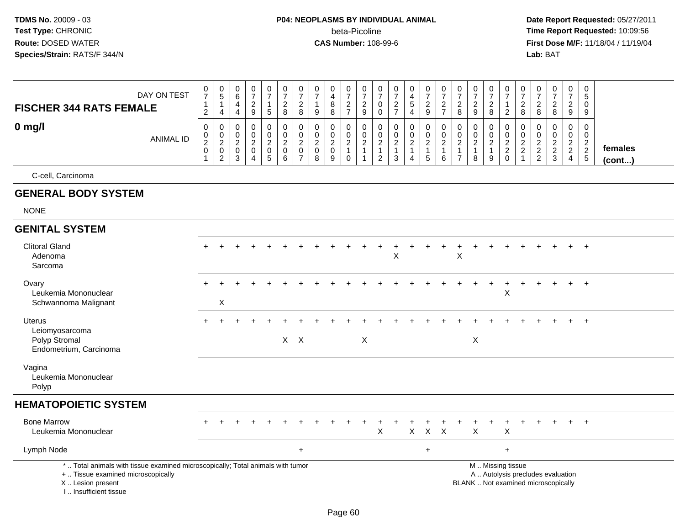|                                                                                                                                                                     | DAY ON TEST      | 0<br>$\overline{7}$<br>$\mathbf 1$ | $\frac{0}{5}$<br>$\overline{1}$                | 0<br>6<br>$\overline{4}$                        | 0<br>$\overline{7}$<br>$\overline{2}$                                          | 0<br>$\overline{7}$<br>1                                       | 0<br>$\overline{7}$<br>$\overline{a}$                                                   | $\frac{0}{7}$<br>$\boldsymbol{2}$                                             | 0<br>$\overline{7}$<br>$\mathbf{1}$                              | 0<br>$\overline{\mathbf{4}}$<br>$\, 8$                       | 0<br>$\overline{7}$                                   | 0<br>$\overline{7}$<br>$\sqrt{2}$                                | 0<br>$\overline{7}$<br>0                                                       | 0<br>$\overline{7}$<br>$\overline{c}$                               | 0<br>$\overline{4}$<br>$\,$ 5 $\,$                      | $\frac{0}{7}$                                       | 0<br>$\overline{7}$                                             | 0<br>$\overline{7}$<br>$\overline{2}$                                            | 0<br>$\overline{7}$<br>$\mathbf{2}$                               | $\frac{0}{7}$<br>$\overline{\mathbf{c}}$      | $\frac{0}{7}$<br>$\mathbf{1}$          | $\frac{0}{7}$                                       | 0<br>$\overline{7}$                         | 0<br>$\overline{7}$<br>$\overline{c}$                                    | 0<br>$\overline{7}$<br>$\sqrt{2}$ | 0<br>$\overline{5}$<br>0          |                   |
|---------------------------------------------------------------------------------------------------------------------------------------------------------------------|------------------|------------------------------------|------------------------------------------------|-------------------------------------------------|--------------------------------------------------------------------------------|----------------------------------------------------------------|-----------------------------------------------------------------------------------------|-------------------------------------------------------------------------------|------------------------------------------------------------------|--------------------------------------------------------------|-------------------------------------------------------|------------------------------------------------------------------|--------------------------------------------------------------------------------|---------------------------------------------------------------------|---------------------------------------------------------|-----------------------------------------------------|-----------------------------------------------------------------|----------------------------------------------------------------------------------|-------------------------------------------------------------------|-----------------------------------------------|----------------------------------------|-----------------------------------------------------|---------------------------------------------|--------------------------------------------------------------------------|-----------------------------------|-----------------------------------|-------------------|
| <b>FISCHER 344 RATS FEMALE</b>                                                                                                                                      |                  | $\overline{2}$                     | $\overline{4}$                                 | $\overline{4}$                                  | 9                                                                              | $5\phantom{.0}$                                                | 8                                                                                       | 8                                                                             | 9                                                                | 8                                                            | $\frac{2}{7}$                                         | 9                                                                | $\mathbf 0$                                                                    | $\overline{7}$                                                      | $\overline{4}$                                          | $\frac{2}{9}$                                       | $\frac{2}{7}$                                                   | 8                                                                                | 9                                                                 | 8                                             | $\overline{2}$                         | $_{8}^{\rm 2}$                                      | $_{\rm 8}^2$                                | 8                                                                        | $\boldsymbol{9}$                  | 9                                 |                   |
| $0$ mg/l                                                                                                                                                            | <b>ANIMAL ID</b> | 0<br>0<br>$^2_{\rm 0}$             | $\mathbf 0$<br>$\frac{0}{2}$<br>$\overline{c}$ | $\Omega$<br>$\mathbf 0$<br>$\sqrt{2}$<br>0<br>3 | $\Omega$<br>$\mathbf 0$<br>$\sqrt{2}$<br>$\mathbf 0$<br>$\boldsymbol{\Lambda}$ | 0<br>$\mathbf 0$<br>$\overline{c}$<br>$\mathsf{O}\xspace$<br>5 | $\mathbf 0$<br>$\mathbf 0$<br>$\boldsymbol{2}$<br>$\mathsf{O}\xspace$<br>$6\phantom{1}$ | $\mathbf 0$<br>$\mathbf 0$<br>$\overline{c}$<br>$\mathbf 0$<br>$\overline{7}$ | $\mathbf 0$<br>$\mathbf 0$<br>$\overline{2}$<br>$\mathbf 0$<br>8 | $\mathbf 0$<br>$\mathbf 0$<br>$\sqrt{2}$<br>$\mathsf 0$<br>9 | 0<br>$\pmb{0}$<br>$\overline{c}$<br>$\mathbf{1}$<br>0 | $\Omega$<br>$\mathbf 0$<br>$\boldsymbol{2}$<br>$\mathbf{1}$<br>1 | $\mathbf 0$<br>$\mathbf 0$<br>$\overline{c}$<br>$\mathbf{1}$<br>$\overline{2}$ | $\mathbf 0$<br>$\mathbf 0$<br>$\boldsymbol{2}$<br>$\mathbf{1}$<br>3 | 0<br>$\pmb{0}$<br>$\overline{c}$<br>1<br>$\overline{4}$ | 0<br>$\mathbf 0$<br>$\sqrt{2}$<br>$\mathbf{1}$<br>5 | $\mathbf 0$<br>$\pmb{0}$<br>$\overline{c}$<br>$\mathbf{1}$<br>6 | $\mathbf 0$<br>$\mathbf 0$<br>$\boldsymbol{2}$<br>$\mathbf{1}$<br>$\overline{7}$ | $\mathbf 0$<br>$\mathbf 0$<br>$\overline{2}$<br>$\mathbf{1}$<br>8 | 0<br>0<br>$\overline{a}$<br>$\mathbf{1}$<br>9 | 0<br>$\mathbf 0$<br>$\frac{2}{2}$<br>0 | 0<br>$\mathbf 0$<br>$\frac{2}{2}$<br>$\overline{1}$ | $\mathbf 0$<br>$\mathbf 0$<br>$\frac{2}{2}$ | $\mathbf 0$<br>$\mathbf 0$<br>$\frac{2}{3}$                              | 0<br>$\mathbf 0$<br>$\frac{2}{4}$ | 0<br>$\mathbf 0$<br>$\frac{2}{2}$ | females<br>(cont) |
| C-cell, Carcinoma                                                                                                                                                   |                  |                                    |                                                |                                                 |                                                                                |                                                                |                                                                                         |                                                                               |                                                                  |                                                              |                                                       |                                                                  |                                                                                |                                                                     |                                                         |                                                     |                                                                 |                                                                                  |                                                                   |                                               |                                        |                                                     |                                             |                                                                          |                                   |                                   |                   |
| <b>GENERAL BODY SYSTEM</b>                                                                                                                                          |                  |                                    |                                                |                                                 |                                                                                |                                                                |                                                                                         |                                                                               |                                                                  |                                                              |                                                       |                                                                  |                                                                                |                                                                     |                                                         |                                                     |                                                                 |                                                                                  |                                                                   |                                               |                                        |                                                     |                                             |                                                                          |                                   |                                   |                   |
| <b>NONE</b>                                                                                                                                                         |                  |                                    |                                                |                                                 |                                                                                |                                                                |                                                                                         |                                                                               |                                                                  |                                                              |                                                       |                                                                  |                                                                                |                                                                     |                                                         |                                                     |                                                                 |                                                                                  |                                                                   |                                               |                                        |                                                     |                                             |                                                                          |                                   |                                   |                   |
| <b>GENITAL SYSTEM</b>                                                                                                                                               |                  |                                    |                                                |                                                 |                                                                                |                                                                |                                                                                         |                                                                               |                                                                  |                                                              |                                                       |                                                                  |                                                                                |                                                                     |                                                         |                                                     |                                                                 |                                                                                  |                                                                   |                                               |                                        |                                                     |                                             |                                                                          |                                   |                                   |                   |
| <b>Clitoral Gland</b><br>Adenoma<br>Sarcoma                                                                                                                         |                  |                                    |                                                |                                                 |                                                                                |                                                                |                                                                                         |                                                                               |                                                                  |                                                              |                                                       |                                                                  |                                                                                | X                                                                   |                                                         |                                                     |                                                                 | X                                                                                |                                                                   |                                               |                                        |                                                     |                                             |                                                                          |                                   | $+$                               |                   |
| Ovary<br>Leukemia Mononuclear<br>Schwannoma Malignant                                                                                                               |                  |                                    | X                                              |                                                 |                                                                                |                                                                |                                                                                         |                                                                               |                                                                  |                                                              |                                                       |                                                                  |                                                                                |                                                                     |                                                         |                                                     |                                                                 |                                                                                  |                                                                   |                                               | X                                      |                                                     |                                             |                                                                          |                                   | $+$                               |                   |
| Uterus<br>Leiomyosarcoma<br>Polyp Stromal<br>Endometrium, Carcinoma                                                                                                 |                  | $+$                                | $\ddot{}$                                      | $\ddot{}$                                       |                                                                                |                                                                |                                                                                         | $X$ $X$                                                                       |                                                                  |                                                              |                                                       | $\boldsymbol{\mathsf{X}}$                                        |                                                                                |                                                                     |                                                         |                                                     |                                                                 |                                                                                  | X                                                                 |                                               |                                        |                                                     |                                             |                                                                          | $+$                               | $+$                               |                   |
| Vagina<br>Leukemia Mononuclear<br>Polyp                                                                                                                             |                  |                                    |                                                |                                                 |                                                                                |                                                                |                                                                                         |                                                                               |                                                                  |                                                              |                                                       |                                                                  |                                                                                |                                                                     |                                                         |                                                     |                                                                 |                                                                                  |                                                                   |                                               |                                        |                                                     |                                             |                                                                          |                                   |                                   |                   |
| <b>HEMATOPOIETIC SYSTEM</b>                                                                                                                                         |                  |                                    |                                                |                                                 |                                                                                |                                                                |                                                                                         |                                                                               |                                                                  |                                                              |                                                       |                                                                  |                                                                                |                                                                     |                                                         |                                                     |                                                                 |                                                                                  |                                                                   |                                               |                                        |                                                     |                                             |                                                                          |                                   |                                   |                   |
| <b>Bone Marrow</b><br>Leukemia Mononuclear                                                                                                                          |                  |                                    |                                                |                                                 |                                                                                |                                                                |                                                                                         |                                                                               |                                                                  |                                                              |                                                       |                                                                  | X                                                                              |                                                                     | $\pmb{\times}$                                          | $\mathsf{X}$                                        | $\mathsf{X}$                                                    |                                                                                  | X                                                                 |                                               | X                                      |                                                     |                                             |                                                                          |                                   |                                   |                   |
| Lymph Node                                                                                                                                                          |                  |                                    |                                                |                                                 |                                                                                |                                                                |                                                                                         | $\ddot{}$                                                                     |                                                                  |                                                              |                                                       |                                                                  |                                                                                |                                                                     |                                                         | $\ddot{}$                                           |                                                                 |                                                                                  |                                                                   |                                               | $\ddot{}$                              |                                                     |                                             |                                                                          |                                   |                                   |                   |
| *  Total animals with tissue examined microscopically; Total animals with tumor<br>+  Tissue examined microscopically<br>X  Lesion present<br>I Insufficient tissue |                  |                                    |                                                |                                                 |                                                                                |                                                                |                                                                                         |                                                                               |                                                                  |                                                              |                                                       |                                                                  |                                                                                |                                                                     |                                                         |                                                     |                                                                 |                                                                                  |                                                                   | M  Missing tissue                             |                                        |                                                     |                                             | A  Autolysis precludes evaluation<br>BLANK  Not examined microscopically |                                   |                                   |                   |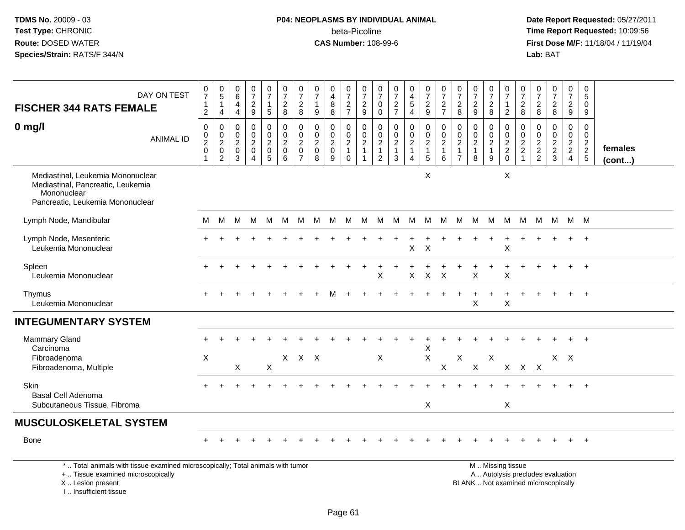I .. Insufficient tissue

## **P04: NEOPLASMS BY INDIVIDUAL ANIMAL**beta-Picoline<br>CAS Number: 108-99-6

| <b>FISCHER 344 RATS FEMALE</b>                                                                                                             | DAY ON TEST      | $\begin{array}{c} 0 \\ 7 \end{array}$<br>$\overline{1}$<br>$\boldsymbol{2}$ | $\begin{array}{c} 0 \\ 5 \end{array}$<br>$\mathbf{1}$<br>4                 | $\begin{array}{c} 0 \\ 6 \end{array}$<br>$\overline{4}$<br>$\overline{4}$ | $\begin{array}{c} 0 \\ 7 \end{array}$<br>$\overline{\mathbf{c}}$<br>9 | $\mathbf 0$<br>$\overline{7}$<br>$\mathbf{1}$<br>$\sqrt{5}$ | $\mathbf 0$<br>$\overline{7}$<br>$\overline{c}$<br>8   | $\mathbf 0$<br>$\overline{7}$<br>$\overline{2}$<br>8                | $\pmb{0}$<br>$\overline{7}$<br>9                                   | 0<br>$\overline{4}$<br>8<br>8                        | $\begin{smallmatrix}0\\7\end{smallmatrix}$<br>$\sqrt{2}$<br>$\overline{7}$ | 0<br>$\overline{7}$<br>$\sqrt{2}$<br>$\boldsymbol{9}$ | $\mathbf 0$<br>$\overline{7}$<br>0<br>$\mathbf 0$                  | $\frac{0}{7}$<br>$\frac{2}{7}$                            | $\pmb{0}$<br>$\overline{4}$<br>$\,$ 5 $\,$<br>$\overline{4}$     | $\begin{smallmatrix}0\\7\end{smallmatrix}$<br>$\sqrt{2}$<br>9         | $\frac{0}{7}$<br>$\overline{a}$<br>$\overline{7}$       | $\frac{0}{7}$<br>$\sqrt{2}$<br>8                           | $\begin{array}{c} 0 \\ 7 \end{array}$<br>$\sqrt{2}$<br>$\boldsymbol{9}$ | $\frac{0}{7}$<br>$\overline{c}$<br>8                       | 0<br>$\overline{7}$<br>$\mathbf{1}$<br>$\overline{2}$             | 0<br>$\overline{7}$<br>$\boldsymbol{2}$<br>$\, 8$ | 0<br>$\overline{7}$<br>$\overline{c}$<br>8                | $\frac{0}{7}$<br>$\overline{a}$<br>8                                     | $\begin{smallmatrix}0\\7\end{smallmatrix}$<br>$\sqrt{2}$<br>9 | $\mathbf 0$<br>$\overline{5}$<br>$\mathbf 0$<br>9 |                   |
|--------------------------------------------------------------------------------------------------------------------------------------------|------------------|-----------------------------------------------------------------------------|----------------------------------------------------------------------------|---------------------------------------------------------------------------|-----------------------------------------------------------------------|-------------------------------------------------------------|--------------------------------------------------------|---------------------------------------------------------------------|--------------------------------------------------------------------|------------------------------------------------------|----------------------------------------------------------------------------|-------------------------------------------------------|--------------------------------------------------------------------|-----------------------------------------------------------|------------------------------------------------------------------|-----------------------------------------------------------------------|---------------------------------------------------------|------------------------------------------------------------|-------------------------------------------------------------------------|------------------------------------------------------------|-------------------------------------------------------------------|---------------------------------------------------|-----------------------------------------------------------|--------------------------------------------------------------------------|---------------------------------------------------------------|---------------------------------------------------|-------------------|
| $0$ mg/l                                                                                                                                   | <b>ANIMAL ID</b> | $\mathbf 0$<br>0<br>$\boldsymbol{2}$<br>$\mathbf 0$<br>1                    | 0<br>$\boldsymbol{0}$<br>$\boldsymbol{2}$<br>$\mathbf 0$<br>$\overline{2}$ | 0<br>$\mathbf 0$<br>$\sqrt{2}$<br>0<br>3                                  | 0<br>$\pmb{0}$<br>$\overline{c}$<br>$\pmb{0}$<br>$\overline{4}$       | 0<br>$\mathbf 0$<br>$\overline{c}$<br>$\mathbf 0$<br>5      | 0<br>$\mathbf 0$<br>$\overline{c}$<br>$\mathbf 0$<br>6 | 0<br>$\mathbf 0$<br>$\overline{c}$<br>$\mathbf 0$<br>$\overline{7}$ | $\mathbf 0$<br>$\mathbf 0$<br>$\boldsymbol{2}$<br>$\mathbf 0$<br>8 | 0<br>0<br>$\overline{c}$<br>$\mathsf{O}\xspace$<br>9 | 0<br>$\mathbf 0$<br>$\sqrt{2}$<br>$\mathbf{1}$<br>$\mathbf 0$              | 0<br>$\pmb{0}$<br>$\overline{c}$<br>1                 | 0<br>$\mathbf 0$<br>$\sqrt{2}$<br>$\overline{1}$<br>$\overline{2}$ | 0<br>$\mathbf 0$<br>$\boldsymbol{2}$<br>$\mathbf{1}$<br>3 | 0<br>$\mathbf 0$<br>$\sqrt{2}$<br>$\mathbf{1}$<br>$\overline{4}$ | 0<br>$\mathbf 0$<br>$\overline{c}$<br>$\mathbf{1}$<br>$5\phantom{.0}$ | 0<br>$\mathbf 0$<br>$\overline{a}$<br>$\mathbf{1}$<br>6 | 0<br>0<br>$\overline{2}$<br>$\mathbf{1}$<br>$\overline{7}$ | 0<br>$\mathbf 0$<br>$\sqrt{2}$<br>$\mathbf{1}$<br>8                     | 0<br>$\boldsymbol{0}$<br>$\sqrt{2}$<br>$\overline{1}$<br>9 | 0<br>$\mathbf 0$<br>$\sqrt{2}$<br>$\boldsymbol{2}$<br>$\mathbf 0$ | 0<br>0<br>$\overline{c}$<br>$\boldsymbol{2}$<br>1 | $\mathbf 0$<br>$\mathbf 0$<br>$\sqrt{2}$<br>$\frac{2}{2}$ | 0<br>$\mathbf 0$<br>$\overline{a}$<br>$\frac{2}{3}$                      | 0<br>$\mathbf 0$<br>$\frac{2}{2}$<br>4                        | 0<br>$\mathbf 0$<br>$\frac{2}{2}$                 | females<br>(cont) |
| Mediastinal, Leukemia Mononuclear<br>Mediastinal, Pancreatic, Leukemia<br>Mononuclear<br>Pancreatic, Leukemia Mononuclear                  |                  |                                                                             |                                                                            |                                                                           |                                                                       |                                                             |                                                        |                                                                     |                                                                    |                                                      |                                                                            |                                                       |                                                                    |                                                           |                                                                  | X                                                                     |                                                         |                                                            |                                                                         |                                                            | X                                                                 |                                                   |                                                           |                                                                          |                                                               |                                                   |                   |
| Lymph Node, Mandibular                                                                                                                     |                  | M                                                                           | M                                                                          | M                                                                         | M                                                                     | M                                                           | M                                                      | M                                                                   | M                                                                  | M                                                    | M                                                                          | M                                                     | M                                                                  | M                                                         | M M                                                              |                                                                       | M                                                       | M                                                          | M                                                                       | M                                                          | M                                                                 | M                                                 | M                                                         | - M                                                                      | M M                                                           |                                                   |                   |
| Lymph Node, Mesenteric<br>Leukemia Mononuclear                                                                                             |                  |                                                                             |                                                                            |                                                                           |                                                                       |                                                             |                                                        |                                                                     |                                                                    |                                                      |                                                                            |                                                       |                                                                    |                                                           | X                                                                | $\boldsymbol{\mathsf{X}}$                                             |                                                         |                                                            |                                                                         |                                                            | X                                                                 |                                                   |                                                           |                                                                          |                                                               |                                                   |                   |
| Spleen<br>Leukemia Mononuclear                                                                                                             |                  |                                                                             |                                                                            |                                                                           |                                                                       |                                                             |                                                        |                                                                     |                                                                    |                                                      |                                                                            |                                                       | X                                                                  |                                                           | X                                                                | $\sf X$                                                               | $\times$                                                |                                                            | X                                                                       |                                                            | $\times$                                                          |                                                   |                                                           |                                                                          |                                                               | $\overline{1}$                                    |                   |
| Thymus<br>Leukemia Mononuclear                                                                                                             |                  |                                                                             |                                                                            |                                                                           |                                                                       |                                                             |                                                        |                                                                     |                                                                    |                                                      |                                                                            |                                                       |                                                                    |                                                           |                                                                  |                                                                       |                                                         |                                                            | $\ddot{}$<br>X                                                          | $\ddot{}$                                                  | $\ddot{}$<br>X                                                    |                                                   |                                                           |                                                                          |                                                               | $+$                                               |                   |
| <b>INTEGUMENTARY SYSTEM</b>                                                                                                                |                  |                                                                             |                                                                            |                                                                           |                                                                       |                                                             |                                                        |                                                                     |                                                                    |                                                      |                                                                            |                                                       |                                                                    |                                                           |                                                                  |                                                                       |                                                         |                                                            |                                                                         |                                                            |                                                                   |                                                   |                                                           |                                                                          |                                                               |                                                   |                   |
| <b>Mammary Gland</b><br>Carcinoma                                                                                                          |                  |                                                                             |                                                                            |                                                                           |                                                                       |                                                             |                                                        |                                                                     |                                                                    |                                                      |                                                                            |                                                       |                                                                    |                                                           |                                                                  | Χ                                                                     |                                                         |                                                            |                                                                         |                                                            |                                                                   |                                                   |                                                           |                                                                          |                                                               | $+$                                               |                   |
| Fibroadenoma<br>Fibroadenoma, Multiple                                                                                                     |                  | X                                                                           |                                                                            | X                                                                         |                                                                       | $\pmb{\times}$                                              |                                                        | X X X                                                               |                                                                    |                                                      |                                                                            |                                                       | X                                                                  |                                                           |                                                                  | $\boldsymbol{\mathsf{X}}$                                             | X                                                       | X                                                          | $\mathsf{X}$                                                            | X                                                          | $\mathsf{X}^-$                                                    | $X$ $X$                                           |                                                           |                                                                          | X X                                                           |                                                   |                   |
| Skin<br><b>Basal Cell Adenoma</b><br>Subcutaneous Tissue, Fibroma                                                                          |                  |                                                                             |                                                                            |                                                                           |                                                                       |                                                             |                                                        |                                                                     |                                                                    |                                                      |                                                                            |                                                       |                                                                    |                                                           |                                                                  | $\boldsymbol{\mathsf{X}}$                                             |                                                         |                                                            |                                                                         |                                                            | X                                                                 |                                                   |                                                           |                                                                          |                                                               | $^{+}$                                            |                   |
| <b>MUSCULOSKELETAL SYSTEM</b>                                                                                                              |                  |                                                                             |                                                                            |                                                                           |                                                                       |                                                             |                                                        |                                                                     |                                                                    |                                                      |                                                                            |                                                       |                                                                    |                                                           |                                                                  |                                                                       |                                                         |                                                            |                                                                         |                                                            |                                                                   |                                                   |                                                           |                                                                          |                                                               |                                                   |                   |
| <b>Bone</b>                                                                                                                                |                  |                                                                             |                                                                            |                                                                           |                                                                       |                                                             |                                                        |                                                                     |                                                                    |                                                      |                                                                            |                                                       |                                                                    |                                                           |                                                                  |                                                                       |                                                         |                                                            |                                                                         |                                                            |                                                                   |                                                   |                                                           |                                                                          |                                                               |                                                   |                   |
| *  Total animals with tissue examined microscopically; Total animals with tumor<br>+  Tissue examined microscopically<br>X  Lesion present |                  |                                                                             |                                                                            |                                                                           |                                                                       |                                                             |                                                        |                                                                     |                                                                    |                                                      |                                                                            |                                                       |                                                                    |                                                           |                                                                  |                                                                       |                                                         |                                                            |                                                                         |                                                            | M  Missing tissue                                                 |                                                   |                                                           | A  Autolysis precludes evaluation<br>BLANK  Not examined microscopically |                                                               |                                                   |                   |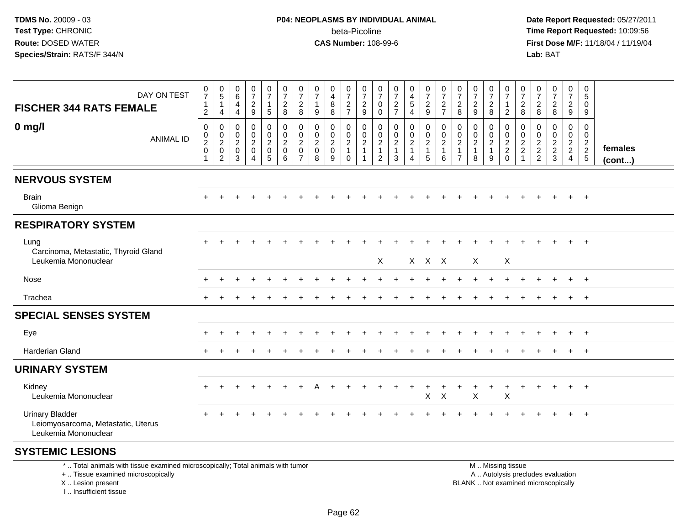**Date Report Requested:** 05/27/2011 **Time Report Requested:** 10:09:56 **First Dose M/F:** 11/18/04 / 11/19/04<br>Lab: BAT **Lab:** BAT

| DAY ON TEST<br><b>FISCHER 344 RATS FEMALE</b>                                                                                             | $\frac{0}{7}$<br>$\mathbf{1}$<br>$\overline{2}$              | $\begin{array}{c} 0 \\ 5 \end{array}$<br>$\mathbf{1}$<br>4                         | 0<br>6<br>4<br>4                                       | $\frac{0}{7}$<br>$\frac{2}{9}$                                                            | 0<br>$\overline{7}$<br>$\mathbf{1}$<br>$\sqrt{5}$          | 0<br>$\overline{7}$<br>$\overline{a}$<br>8                         | $\frac{0}{7}$<br>$\overline{c}$<br>8                              | 0<br>$\overline{7}$<br>$\mathbf{1}$<br>9                       | 0<br>4<br>$\bf 8$<br>8                                      | 0<br>$\overline{7}$<br>$\sqrt{2}$<br>$\overline{7}$                     | 0<br>$\overline{7}$<br>$\sqrt{2}$<br>9                                 | 0<br>$\overline{7}$<br>$\overline{0}$<br>$\mathbf 0$                           | $\frac{0}{7}$<br>$\boldsymbol{2}$<br>$\overline{7}$     | 0<br>$\tilde{4}$<br>5<br>$\overline{4}$       | $\begin{smallmatrix}0\\7\end{smallmatrix}$<br>$\frac{2}{9}$ | $\begin{array}{c} 0 \\ 7 \end{array}$<br>$\frac{2}{7}$      | $\frac{0}{7}$<br>$\overline{2}$<br>8                             | $\frac{0}{7}$<br>$\sqrt{2}$<br>9                     | 0<br>$\overline{7}$<br>$\overline{c}$<br>8 | 0<br>$\overline{7}$<br>$\mathbf{1}$<br>$\overline{2}$  | 0<br>$\overline{7}$<br>$\boldsymbol{2}$<br>8          | 0<br>$\overline{7}$<br>$\overline{a}$<br>8                  | $\begin{smallmatrix}0\\7\end{smallmatrix}$<br>$\frac{2}{8}$ | 0<br>$\overline{7}$<br>$\overline{a}$<br>9                             | 0<br>5<br>$\Omega$<br>9                                    |                   |
|-------------------------------------------------------------------------------------------------------------------------------------------|--------------------------------------------------------------|------------------------------------------------------------------------------------|--------------------------------------------------------|-------------------------------------------------------------------------------------------|------------------------------------------------------------|--------------------------------------------------------------------|-------------------------------------------------------------------|----------------------------------------------------------------|-------------------------------------------------------------|-------------------------------------------------------------------------|------------------------------------------------------------------------|--------------------------------------------------------------------------------|---------------------------------------------------------|-----------------------------------------------|-------------------------------------------------------------|-------------------------------------------------------------|------------------------------------------------------------------|------------------------------------------------------|--------------------------------------------|--------------------------------------------------------|-------------------------------------------------------|-------------------------------------------------------------|-------------------------------------------------------------|------------------------------------------------------------------------|------------------------------------------------------------|-------------------|
| $0$ mg/l<br><b>ANIMAL ID</b>                                                                                                              | $\mathbf 0$<br>$\mathsf{O}$<br>$\overline{c}$<br>$\mathbf 0$ | $\,0\,$<br>$\boldsymbol{0}$<br>$\sqrt{2}$<br>$\mathsf{O}\xspace$<br>$\overline{2}$ | 0<br>$\mathbf 0$<br>$\overline{a}$<br>$\mathbf 0$<br>3 | $\mathbf 0$<br>$\mathbf 0$<br>$\sqrt{2}$<br>$\mathsf{O}\xspace$<br>$\boldsymbol{\Lambda}$ | 0<br>0<br>$\overline{c}$<br>$\mathbf 0$<br>$5\phantom{.0}$ | $\mathbf 0$<br>$\mathbf 0$<br>$\boldsymbol{2}$<br>$\mathbf 0$<br>6 | 0<br>0<br>$\overline{c}$<br>$\mathsf{O}\xspace$<br>$\overline{7}$ | $\Omega$<br>$\mathbf{0}$<br>$\overline{2}$<br>$\mathbf 0$<br>8 | $\Omega$<br>0<br>$\overline{c}$<br>$\mathsf{O}\xspace$<br>9 | $\mathbf 0$<br>$\mathbf 0$<br>$\sqrt{2}$<br>$\mathbf{1}$<br>$\mathbf 0$ | 0<br>$\mathbf 0$<br>$\overline{c}$<br>$\overline{1}$<br>$\overline{1}$ | $\mathbf 0$<br>$\mathbf 0$<br>$\overline{c}$<br>$\mathbf{1}$<br>$\overline{c}$ | 0<br>$\mathbf 0$<br>$\overline{c}$<br>$\mathbf{1}$<br>3 | 0<br>0<br>$\overline{a}$<br>$\mathbf{1}$<br>4 | 0<br>$\mathbf 0$<br>$\sqrt{2}$<br>$\mathbf{1}$<br>5         | $\pmb{0}$<br>$\mathbf 0$<br>$\sqrt{2}$<br>$\mathbf{1}$<br>6 | 0<br>$\mathbf 0$<br>$\sqrt{2}$<br>$\mathbf{1}$<br>$\overline{7}$ | $\mathbf{0}$<br>0<br>$\sqrt{2}$<br>$\mathbf{1}$<br>8 | 0<br>$\mathbf 0$<br>$\mathbf{2}$<br>1<br>9 | 0<br>$\mathbf 0$<br>$\frac{2}{2}$<br>0                 | 0<br>$\mathbf 0$<br>$\sqrt{2}$<br>$\overline{a}$<br>1 | $\Omega$<br>0<br>$\begin{array}{c} 2 \\ 2 \\ 2 \end{array}$ | $\mathbf 0$<br>$\mathbf 0$<br>$\sqrt{2}$<br>$\frac{2}{3}$   | 0<br>$\mathbf 0$<br>$\overline{2}$<br>$\overline{2}$<br>$\overline{4}$ | $\Omega$<br>$\mathbf 0$<br>$\overline{2}$<br>$\frac{2}{5}$ | females<br>(cont) |
| <b>NERVOUS SYSTEM</b>                                                                                                                     |                                                              |                                                                                    |                                                        |                                                                                           |                                                            |                                                                    |                                                                   |                                                                |                                                             |                                                                         |                                                                        |                                                                                |                                                         |                                               |                                                             |                                                             |                                                                  |                                                      |                                            |                                                        |                                                       |                                                             |                                                             |                                                                        |                                                            |                   |
| <b>Brain</b><br>Glioma Benign                                                                                                             |                                                              |                                                                                    |                                                        |                                                                                           |                                                            |                                                                    |                                                                   |                                                                |                                                             |                                                                         |                                                                        |                                                                                |                                                         |                                               |                                                             |                                                             |                                                                  |                                                      |                                            |                                                        |                                                       |                                                             |                                                             |                                                                        | $+$                                                        |                   |
| <b>RESPIRATORY SYSTEM</b>                                                                                                                 |                                                              |                                                                                    |                                                        |                                                                                           |                                                            |                                                                    |                                                                   |                                                                |                                                             |                                                                         |                                                                        |                                                                                |                                                         |                                               |                                                             |                                                             |                                                                  |                                                      |                                            |                                                        |                                                       |                                                             |                                                             |                                                                        |                                                            |                   |
| Lung<br>Carcinoma, Metastatic, Thyroid Gland<br>Leukemia Mononuclear                                                                      |                                                              |                                                                                    |                                                        |                                                                                           |                                                            |                                                                    |                                                                   |                                                                |                                                             |                                                                         |                                                                        | Χ                                                                              |                                                         |                                               | X X X                                                       |                                                             |                                                                  | Χ                                                    |                                            | Χ                                                      |                                                       |                                                             |                                                             |                                                                        | $\ddot{}$                                                  |                   |
| Nose                                                                                                                                      |                                                              |                                                                                    |                                                        |                                                                                           |                                                            |                                                                    |                                                                   |                                                                |                                                             |                                                                         |                                                                        |                                                                                |                                                         |                                               |                                                             |                                                             |                                                                  |                                                      |                                            |                                                        |                                                       |                                                             |                                                             |                                                                        | $+$                                                        |                   |
| Trachea                                                                                                                                   |                                                              |                                                                                    |                                                        |                                                                                           |                                                            |                                                                    |                                                                   |                                                                |                                                             |                                                                         |                                                                        |                                                                                |                                                         |                                               |                                                             |                                                             |                                                                  |                                                      |                                            |                                                        |                                                       |                                                             |                                                             | $+$                                                                    | $+$                                                        |                   |
| <b>SPECIAL SENSES SYSTEM</b>                                                                                                              |                                                              |                                                                                    |                                                        |                                                                                           |                                                            |                                                                    |                                                                   |                                                                |                                                             |                                                                         |                                                                        |                                                                                |                                                         |                                               |                                                             |                                                             |                                                                  |                                                      |                                            |                                                        |                                                       |                                                             |                                                             |                                                                        |                                                            |                   |
| Eye                                                                                                                                       |                                                              |                                                                                    |                                                        |                                                                                           |                                                            |                                                                    |                                                                   |                                                                |                                                             |                                                                         |                                                                        |                                                                                |                                                         |                                               |                                                             |                                                             |                                                                  |                                                      |                                            |                                                        |                                                       |                                                             |                                                             |                                                                        | $+$                                                        |                   |
| Harderian Gland                                                                                                                           |                                                              |                                                                                    |                                                        |                                                                                           |                                                            |                                                                    |                                                                   |                                                                |                                                             |                                                                         |                                                                        |                                                                                |                                                         |                                               |                                                             |                                                             |                                                                  |                                                      |                                            |                                                        |                                                       |                                                             |                                                             | $\ddot{}$                                                              | $+$                                                        |                   |
| <b>URINARY SYSTEM</b>                                                                                                                     |                                                              |                                                                                    |                                                        |                                                                                           |                                                            |                                                                    |                                                                   |                                                                |                                                             |                                                                         |                                                                        |                                                                                |                                                         |                                               |                                                             |                                                             |                                                                  |                                                      |                                            |                                                        |                                                       |                                                             |                                                             |                                                                        |                                                            |                   |
| Kidney<br>Leukemia Mononuclear                                                                                                            |                                                              |                                                                                    |                                                        |                                                                                           |                                                            |                                                                    |                                                                   |                                                                |                                                             |                                                                         |                                                                        |                                                                                |                                                         |                                               | +<br>X                                                      | $\sf X$                                                     |                                                                  | X                                                    | $\ddot{}$                                  | $\ddot{}$<br>$\boldsymbol{\mathsf{X}}$                 | $\ddot{}$                                             | $\ddot{}$                                                   | $+$                                                         | $+$                                                                    | $+$                                                        |                   |
| <b>Urinary Bladder</b><br>Leiomyosarcoma, Metastatic, Uterus<br>Leukemia Mononuclear                                                      |                                                              |                                                                                    |                                                        |                                                                                           |                                                            |                                                                    |                                                                   |                                                                |                                                             |                                                                         |                                                                        |                                                                                |                                                         |                                               |                                                             |                                                             |                                                                  |                                                      |                                            |                                                        |                                                       |                                                             |                                                             |                                                                        | $\pm$                                                      |                   |
| <b>SYSTEMIC LESIONS</b>                                                                                                                   |                                                              |                                                                                    |                                                        |                                                                                           |                                                            |                                                                    |                                                                   |                                                                |                                                             |                                                                         |                                                                        |                                                                                |                                                         |                                               |                                                             |                                                             |                                                                  |                                                      |                                            |                                                        |                                                       |                                                             |                                                             |                                                                        |                                                            |                   |
| *  Total animals with tissue examined microscopically; Total animals with tumor<br>+  Tissue examined microscopically<br>X Lesion present |                                                              |                                                                                    |                                                        |                                                                                           |                                                            |                                                                    |                                                                   |                                                                |                                                             |                                                                         |                                                                        |                                                                                |                                                         |                                               |                                                             |                                                             |                                                                  | BLANK Not examined microscopically                   |                                            | M  Missing tissue<br>A  Autolysis precludes evaluation |                                                       |                                                             |                                                             |                                                                        |                                                            |                   |

I .. Insufficient tissue

ot examined microscopically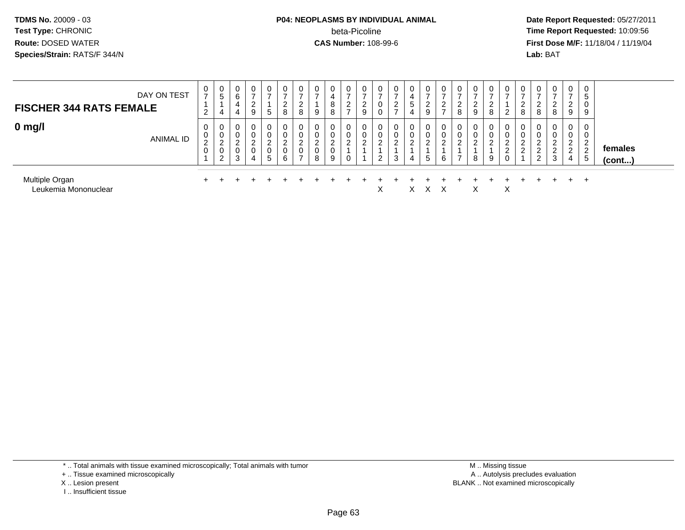## **P04: NEOPLASMS BY INDIVIDUAL ANIMAL**beta-Picoline<br>CAS Number: 108-99-6

 **Date Report Requested:** 05/27/2011 **Time Report Requested:** 10:09:56 **First Dose M/F:** 11/18/04 / 11/19/04 Lab: BAT **Lab:** BAT

| <b>FISCHER 344 RATS FEMALE</b>         | DAY ON TEST      | 0<br>$\overline{2}$                   | 0<br>5<br>4                             | 0<br>6<br>4<br>4           | $\mathbf 0$<br>2<br>9                             | 0<br>$\overline{\phantom{a}}$<br>5       | 0<br>◠<br>∠<br>8           | 0<br>ാ<br>L<br>8                       | 0<br>$\overline{\phantom{a}}$<br>9             | 0<br>4<br>8<br>8                             | ◠<br><u>_</u>              | 2<br>9 | 0<br>0<br>0                | Ü<br><u>_</u>              | 0<br><sub>5</sub><br>4 | 0<br>-<br>◠<br>$\epsilon$<br>9   | 2                       | $\epsilon$<br>8                                  | 0<br><u>.</u><br>$\boldsymbol{9}$ | $\mathbf{0}$<br><u>.</u><br>8 | $\mathbf 0$<br>2           | 0<br>2<br>8                  | 0<br><u>.</u><br>8                             | 0<br>8                               | 0<br>$\rightarrow$<br>◠<br>$\epsilon$<br>9                 | 0<br>5<br>0<br>9                                           |                         |
|----------------------------------------|------------------|---------------------------------------|-----------------------------------------|----------------------------|---------------------------------------------------|------------------------------------------|----------------------------|----------------------------------------|------------------------------------------------|----------------------------------------------|----------------------------|--------|----------------------------|----------------------------|------------------------|----------------------------------|-------------------------|--------------------------------------------------|-----------------------------------|-------------------------------|----------------------------|------------------------------|------------------------------------------------|--------------------------------------|------------------------------------------------------------|------------------------------------------------------------|-------------------------|
| $0$ mg/l                               | <b>ANIMAL ID</b> | 0<br>0<br>$\Omega$<br>$\epsilon$<br>0 | 0<br>0<br>ົ<br>∠<br>0<br>$\overline{2}$ | 0<br>0<br>ົ<br>∼<br>0<br>3 | $\mathbf 0$<br>$\overline{2}$<br>$\mathbf 0$<br>4 | 0<br>0<br>$\sim$<br>$\epsilon$<br>0<br>5 | 0<br>0<br>ົ<br>∠<br>0<br>6 | 0<br>0<br>ົ<br>L<br>0<br>$\rightarrow$ | 0<br>$\mathbf 0$<br>ົ<br>∼<br>$\mathbf 0$<br>8 | 0<br>0<br>$\overline{2}$<br>$\mathbf 0$<br>9 | $\sim$<br>$\sim$<br>$\sim$ | 2      | 0<br>0<br>ົ<br>▵<br>$\sim$ | 0<br>U<br>$\sim$<br>∼<br>3 | 0<br>0<br>റ<br>4       | 0<br>0<br>ົ<br>∠<br><sub>5</sub> | $\mathcal{D}$<br>ے<br>6 | ◡<br>ັບ<br>$\sim$<br>$\epsilon$<br>$\rightarrow$ | 0<br>0<br>$\sim$<br>▵<br>8        | 0<br>0<br>$\sim$<br>9         | 0<br>0<br>ົ<br>∠<br>2<br>0 | 0<br>0<br>ົ<br>$\mathcal{D}$ | 0<br>υ<br>$\sim$<br>$\sim$<br>∼<br>$\sim$<br>∼ | 0<br>$\mathbf 0$<br>$\sim$<br>2<br>3 | $\mathbf 0$<br>0<br>ົ<br>$\epsilon$<br>$\overline{2}$<br>4 | 0<br>0<br>ົ<br>$\epsilon$<br>$\epsilon$<br>$5\phantom{.0}$ | females<br>$($ cont $)$ |
| Multiple Organ<br>Leukemia Mononuclear |                  |                                       |                                         |                            |                                                   |                                          |                            |                                        |                                                |                                              |                            |        | $\checkmark$<br>⌒          |                            |                        | ㅅ                                |                         |                                                  | X                                 |                               | X                          |                              |                                                |                                      | $+$                                                        | $+$                                                        |                         |

- + .. Tissue examined microscopically
- X .. Lesion present
- I .. Insufficient tissue

 M .. Missing tissuey the contract of the contract of the contract of the contract of the contract of the contract of the contract of  $A$ . Autolysis precludes evaluation Lesion present BLANK .. Not examined microscopically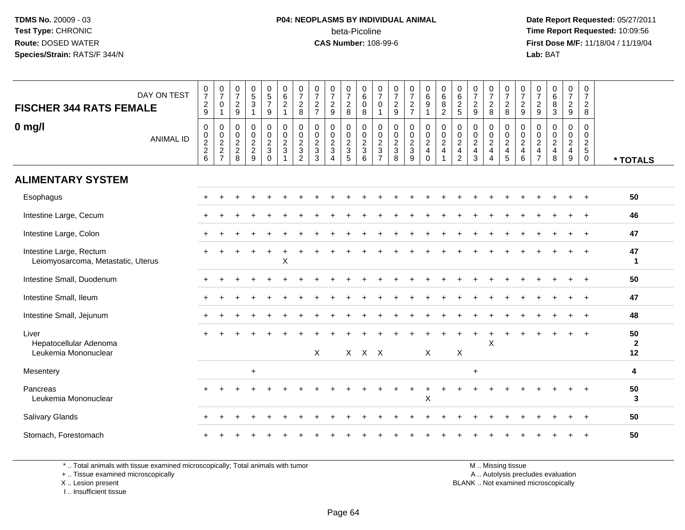#### **P04: NEOPLASMS BY INDIVIDUAL ANIMAL**beta-Picoline<br>CAS Number: 108-99-6

 **Date Report Requested:** 05/27/2011 **Time Report Requested:** 10:09:56 **First Dose M/F:** 11/18/04 / 11/19/04 Lab: BAT **Lab:** BAT

| DAY ON TEST<br><b>FISCHER 344 RATS FEMALE</b>                 | $\frac{0}{7}$<br>$\frac{2}{9}$  | $\begin{smallmatrix}0\\7\end{smallmatrix}$<br>0<br>$\mathbf{1}$ | $\frac{0}{7}$<br>$\frac{2}{9}$       | $\begin{array}{c} 0 \\ 5 \\ 3 \end{array}$<br>$\overline{1}$ | $\begin{matrix} 0 \\ 5 \end{matrix}$<br>$\overline{7}$<br>$\boldsymbol{9}$ | 0<br>6<br>$\frac{2}{1}$                                | $\frac{0}{7}$<br>$_{8}^2$                               | 0<br>$\boldsymbol{7}$<br>$\frac{2}{7}$              | $\frac{0}{7}$<br>$\frac{2}{9}$ | $\frac{0}{7}$<br>$_{\rm 8}^2$                     | 0<br>$\,6\,$<br>$\mathbf 0$<br>8 | 0<br>$\overline{7}$<br>$\mathbf 0$<br>$\mathbf{1}$ | $\frac{0}{7}$<br>$\frac{2}{9}$                 | $\frac{0}{7}$<br>$\frac{2}{7}$ | $_{\rm 6}^{\rm 0}$<br>$\frac{9}{1}$           | $\begin{array}{c} 0 \\ 6 \end{array}$<br>$\frac{8}{2}$                                 | $0\over 6$<br>$\frac{2}{5}$                             | $\frac{0}{7}$<br>$\frac{2}{9}$             | $\frac{0}{7}$<br>$_{\rm 8}^2$                           | 0<br>$\boldsymbol{7}$<br>$_{\rm 8}^2$                   | $\frac{0}{7}$<br>$\frac{2}{9}$                                           | $\frac{0}{7}$<br>$\frac{2}{9}$                    | $\begin{matrix} 0 \\ 6 \end{matrix}$<br>8<br>$\overline{3}$ | $\frac{0}{7}$<br>$\frac{2}{9}$ | 0<br>$\boldsymbol{7}$<br>$\frac{2}{8}$                   |                    |
|---------------------------------------------------------------|---------------------------------|-----------------------------------------------------------------|--------------------------------------|--------------------------------------------------------------|----------------------------------------------------------------------------|--------------------------------------------------------|---------------------------------------------------------|-----------------------------------------------------|--------------------------------|---------------------------------------------------|----------------------------------|----------------------------------------------------|------------------------------------------------|--------------------------------|-----------------------------------------------|----------------------------------------------------------------------------------------|---------------------------------------------------------|--------------------------------------------|---------------------------------------------------------|---------------------------------------------------------|--------------------------------------------------------------------------|---------------------------------------------------|-------------------------------------------------------------|--------------------------------|----------------------------------------------------------|--------------------|
| $0$ mg/l<br><b>ANIMAL ID</b>                                  | $\pmb{0}$<br>$\frac{0}{2}$<br>6 | 0<br>$_{2}^{\rm 0}$<br>$\overline{c}$<br>$\overline{7}$         | 0<br>$\pmb{0}$<br>$\frac{2}{2}$<br>8 | $\pmb{0}$<br>$\frac{0}{2}$<br>9                              | 0<br>$\mathsf 0$<br>$\frac{2}{3}$<br>$\Omega$                              | $\pmb{0}$<br>$\pmb{0}$<br>$\overline{c}$<br>$\sqrt{3}$ | 0<br>$\pmb{0}$<br>$\overline{c}$<br>3<br>$\overline{2}$ | 0<br>$\pmb{0}$<br>$\overline{2}$<br>$\sqrt{3}$<br>3 | 0<br>$\frac{0}{2}$<br>$\Delta$ | 0<br>$\pmb{0}$<br>$\frac{2}{3}$<br>$\overline{5}$ | 0<br>$\frac{0}{2}$<br>6          | 0<br>$\pmb{0}$<br>$\frac{2}{3}$<br>$\overline{7}$  | $\mathbf 0$<br>$\pmb{0}$<br>$\frac{2}{3}$<br>8 | 0<br>$\frac{0}{2}$<br>9        | $\boldsymbol{0}$<br>$\frac{0}{2}$<br>$\Omega$ | $\begin{matrix} 0 \\ 0 \\ 2 \end{matrix}$<br>$\overline{\mathbf{4}}$<br>$\overline{1}$ | 0<br>$\pmb{0}$<br>$\overline{2}$<br>4<br>$\overline{2}$ | 0<br>$\pmb{0}$<br>$\overline{2}$<br>4<br>3 | 0<br>$_2^0$<br>$\overline{4}$<br>$\boldsymbol{\Lambda}$ | 0<br>$\pmb{0}$<br>$\overline{2}$<br>$\overline{4}$<br>5 | 0<br>$\begin{smallmatrix} 0\\2 \end{smallmatrix}$<br>$\overline{4}$<br>6 | 0<br>0<br>$\boldsymbol{2}$<br>4<br>$\overline{7}$ | 0<br>$\frac{0}{2}$<br>8                                     | 0<br>$\frac{0}{2}$<br>9        | 0<br>$\mathsf{O}\xspace$<br>$\frac{2}{5}$<br>$\mathbf 0$ | * TOTALS           |
| <b>ALIMENTARY SYSTEM</b>                                      |                                 |                                                                 |                                      |                                                              |                                                                            |                                                        |                                                         |                                                     |                                |                                                   |                                  |                                                    |                                                |                                |                                               |                                                                                        |                                                         |                                            |                                                         |                                                         |                                                                          |                                                   |                                                             |                                |                                                          |                    |
| Esophagus                                                     |                                 |                                                                 |                                      |                                                              |                                                                            |                                                        |                                                         |                                                     |                                |                                                   |                                  |                                                    |                                                |                                |                                               |                                                                                        |                                                         |                                            |                                                         |                                                         |                                                                          |                                                   |                                                             |                                |                                                          | 50                 |
| Intestine Large, Cecum                                        |                                 |                                                                 |                                      |                                                              |                                                                            |                                                        |                                                         |                                                     |                                |                                                   |                                  |                                                    |                                                |                                |                                               |                                                                                        |                                                         |                                            |                                                         |                                                         |                                                                          |                                                   |                                                             |                                |                                                          | 46                 |
| Intestine Large, Colon                                        |                                 |                                                                 |                                      |                                                              |                                                                            |                                                        |                                                         |                                                     |                                |                                                   |                                  |                                                    |                                                |                                |                                               |                                                                                        |                                                         |                                            |                                                         |                                                         |                                                                          |                                                   |                                                             |                                |                                                          | 47                 |
| Intestine Large, Rectum<br>Leiomyosarcoma, Metastatic, Uterus |                                 |                                                                 |                                      |                                                              |                                                                            | X                                                      |                                                         |                                                     |                                |                                                   |                                  |                                                    |                                                |                                |                                               |                                                                                        |                                                         |                                            |                                                         |                                                         |                                                                          |                                                   |                                                             |                                |                                                          | 47<br>1            |
| Intestine Small, Duodenum                                     |                                 |                                                                 |                                      |                                                              |                                                                            |                                                        |                                                         |                                                     |                                |                                                   |                                  |                                                    |                                                |                                |                                               |                                                                                        |                                                         |                                            |                                                         |                                                         |                                                                          |                                                   |                                                             |                                |                                                          | 50                 |
| Intestine Small, Ileum                                        |                                 |                                                                 |                                      |                                                              |                                                                            |                                                        |                                                         |                                                     |                                |                                                   |                                  |                                                    |                                                |                                |                                               |                                                                                        |                                                         |                                            |                                                         |                                                         |                                                                          |                                                   |                                                             |                                | $\overline{+}$                                           | 47                 |
| Intestine Small, Jejunum                                      |                                 |                                                                 |                                      |                                                              |                                                                            |                                                        |                                                         |                                                     |                                |                                                   |                                  |                                                    |                                                |                                |                                               |                                                                                        |                                                         |                                            |                                                         |                                                         |                                                                          |                                                   |                                                             |                                | $\div$                                                   | 48                 |
| Liver<br>Hepatocellular Adenoma                               |                                 |                                                                 |                                      |                                                              |                                                                            |                                                        |                                                         |                                                     |                                |                                                   |                                  |                                                    |                                                |                                |                                               |                                                                                        |                                                         |                                            | $\pmb{\times}$                                          |                                                         |                                                                          |                                                   |                                                             |                                |                                                          | 50<br>$\mathbf{2}$ |
| Leukemia Mononuclear                                          |                                 |                                                                 |                                      |                                                              |                                                                            |                                                        |                                                         | X                                                   |                                |                                                   | $X$ $X$ $X$                      |                                                    |                                                |                                | X                                             |                                                                                        | X                                                       |                                            |                                                         |                                                         |                                                                          |                                                   |                                                             |                                |                                                          | 12                 |
| Mesentery                                                     |                                 |                                                                 |                                      | $\ddot{}$                                                    |                                                                            |                                                        |                                                         |                                                     |                                |                                                   |                                  |                                                    |                                                |                                |                                               |                                                                                        |                                                         | $+$                                        |                                                         |                                                         |                                                                          |                                                   |                                                             |                                |                                                          | 4                  |
| Pancreas<br>Leukemia Mononuclear                              |                                 |                                                                 |                                      |                                                              |                                                                            |                                                        |                                                         |                                                     |                                |                                                   |                                  |                                                    |                                                |                                | $\ddot{}$<br>X                                |                                                                                        |                                                         |                                            |                                                         |                                                         |                                                                          |                                                   |                                                             |                                |                                                          | 50<br>3            |
| <b>Salivary Glands</b>                                        |                                 |                                                                 |                                      |                                                              |                                                                            |                                                        |                                                         |                                                     |                                |                                                   |                                  |                                                    |                                                |                                |                                               |                                                                                        |                                                         |                                            |                                                         |                                                         |                                                                          |                                                   |                                                             |                                |                                                          | 50                 |
| Stomach, Forestomach                                          |                                 |                                                                 |                                      |                                                              |                                                                            |                                                        |                                                         |                                                     |                                |                                                   |                                  |                                                    |                                                |                                |                                               |                                                                                        |                                                         |                                            |                                                         |                                                         |                                                                          |                                                   |                                                             |                                |                                                          | 50                 |

\* .. Total animals with tissue examined microscopically; Total animals with tumor

+ .. Tissue examined microscopically

 Lesion present BLANK .. Not examined microscopicallyX .. Lesion present

I .. Insufficient tissue

M .. Missing tissue

y the contract of the contract of the contract of the contract of the contract of the contract of the contract of  $A$ . Autolysis precludes evaluation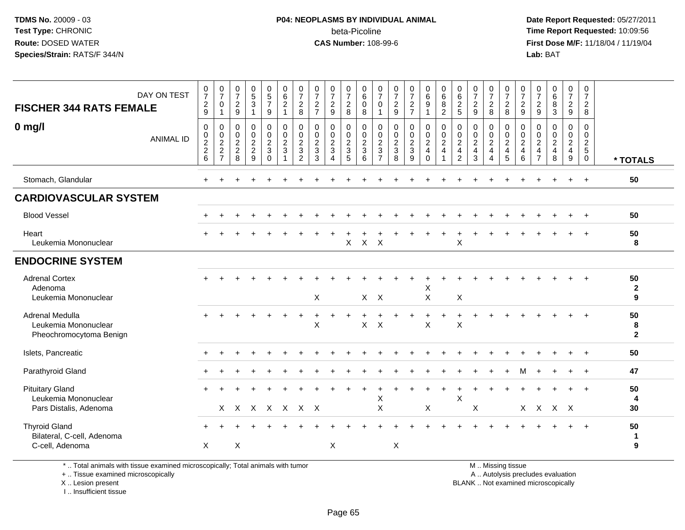## **P04: NEOPLASMS BY INDIVIDUAL ANIMAL**beta-Picoline<br>CAS Number: 108-99-6

 **Date Report Requested:** 05/27/2011 **Time Report Requested:** 10:09:56 **First Dose M/F:** 11/18/04 / 11/19/04 Lab: BAT **Lab:** BAT

| DAY ON TEST<br><b>FISCHER 344 RATS FEMALE</b><br>$0$ mg/l<br><b>ANIMAL ID</b> | $\frac{0}{7}$<br>$\frac{2}{9}$<br>0<br>$\pmb{0}$<br>$\frac{2}{2}$<br>$\,6\,$ | $\frac{0}{7}$<br>0<br>$\mathbf{1}$<br>$\mathbf 0$<br>$\frac{0}{2}$<br>$\overline{7}$ | $\frac{0}{7}$<br>$\frac{2}{9}$<br>$\mathbf 0$<br>$\mathbf 0$<br>$\frac{2}{2}$<br>8 | $\begin{array}{c} 0 \\ 5 \\ 3 \end{array}$<br>$\mathbf{1}$<br>0<br>$\mathsf{O}\xspace$<br>$\frac{2}{2}$<br>9 | 0<br>$\frac{5}{7}$<br>9<br>$\mathbf 0$<br>$\pmb{0}$<br>$\overline{c}$<br>3<br>$\mathbf 0$ | 0<br>$\overline{6}$<br>$\overline{2}$<br>$\mathbf{1}$<br>0<br>$\pmb{0}$<br>$\boldsymbol{2}$<br>3 | $\frac{0}{7}$<br>$\sqrt{2}$<br>8<br>$\mathbf 0$<br>$\mathbf 0$<br>$\sqrt{2}$<br>3<br>$\overline{2}$ | 0<br>$\overline{7}$<br>$\overline{\mathbf{c}}$<br>$\overline{7}$<br>0<br>$\mathsf{O}\xspace$<br>$\overline{2}$<br>$\mathbf{3}$<br>3 | 0<br>$\overline{7}$<br>$\frac{2}{9}$<br>0<br>$\mathsf{O}\xspace$<br>$\frac{2}{3}$<br>$\overline{4}$ | $\frac{0}{7}$<br>$\frac{2}{8}$<br>$\mathbf 0$<br>$\pmb{0}$<br>$\frac{2}{3}$<br>$\sqrt{5}$ | 0<br>$\,6\,$<br>$\mathbf 0$<br>8<br>$\mathbf 0$<br>$\mathbf 0$<br>$\overline{c}$<br>$\mathbf{3}$<br>$\,6\,$ | $\frac{0}{7}$<br>$\mathbf 0$<br>1<br>0<br>$\mathsf 0$<br>$\sqrt{2}$<br>3<br>$\overline{7}$ | $\frac{0}{7}$<br>$\frac{2}{9}$<br>0<br>$\mathbf 0$<br>$\overline{a}$<br>$\overline{3}$<br>8 | $\frac{0}{7}$<br>$\frac{2}{7}$<br>$\pmb{0}$<br>$\ddot{\mathbf{0}}$<br>$\overline{2}$<br>3<br>9 | 0<br>$\overline{6}$<br>$\overline{9}$<br>$\pmb{0}$<br>$\ddot{\mathbf{0}}$<br>$\boldsymbol{2}$<br>$\overline{4}$<br>$\mathbf 0$ | 0<br>$6\phantom{a}$<br>$\overline{8}$<br>$\overline{2}$<br>0<br>$\mathbf 0$<br>$\sqrt{2}$<br>$\overline{4}$ | $\mathbf 0$<br>$\overline{6}$<br>$\frac{2}{5}$<br>$\mathbf 0$<br>$\mathsf 0$<br>$\overline{2}$<br>$\overline{4}$<br>$\overline{2}$ | 0<br>$\overline{7}$<br>$\frac{2}{9}$<br>0<br>$\pmb{0}$<br>$\overline{2}$<br>$\overline{4}$<br>3 | 0<br>$\overline{7}$<br>$\overline{\mathbf{c}}$<br>8<br>$\mathbf 0$<br>$\mathsf{O}\xspace$<br>$\sqrt{2}$<br>$\overline{4}$<br>$\overline{4}$ | 0<br>$\overline{7}$<br>$\overline{c}$<br>8<br>$\mathbf 0$<br>0<br>$\overline{c}$<br>$\overline{4}$<br>$\sqrt{5}$ | $\frac{0}{7}$<br>$\overline{\mathbf{c}}$<br>9<br>$\mathbf 0$<br>0<br>$\sqrt{2}$<br>$\overline{4}$<br>6 | $\frac{0}{7}$<br>$\frac{2}{9}$<br>0<br>$\pmb{0}$<br>$\overline{c}$<br>$\overline{4}$<br>$\overline{7}$ | 0<br>$6\overline{6}$<br>8<br>3<br>0<br>$\overline{0}$<br>$\overline{2}$<br>$\overline{4}$<br>8 | 0<br>$\overline{7}$<br>$\frac{2}{9}$<br>$\mathbf 0$<br>$\mathbf 0$<br>$\overline{2}$<br>$\overline{4}$<br>9 | 0<br>$\overline{7}$<br>$\overline{2}$<br>8<br>$\Omega$<br>$\mathbf 0$<br>$\overline{2}$<br>$5\phantom{.0}$<br>$\mathbf 0$ | * TOTALS                |
|-------------------------------------------------------------------------------|------------------------------------------------------------------------------|--------------------------------------------------------------------------------------|------------------------------------------------------------------------------------|--------------------------------------------------------------------------------------------------------------|-------------------------------------------------------------------------------------------|--------------------------------------------------------------------------------------------------|-----------------------------------------------------------------------------------------------------|-------------------------------------------------------------------------------------------------------------------------------------|-----------------------------------------------------------------------------------------------------|-------------------------------------------------------------------------------------------|-------------------------------------------------------------------------------------------------------------|--------------------------------------------------------------------------------------------|---------------------------------------------------------------------------------------------|------------------------------------------------------------------------------------------------|--------------------------------------------------------------------------------------------------------------------------------|-------------------------------------------------------------------------------------------------------------|------------------------------------------------------------------------------------------------------------------------------------|-------------------------------------------------------------------------------------------------|---------------------------------------------------------------------------------------------------------------------------------------------|------------------------------------------------------------------------------------------------------------------|--------------------------------------------------------------------------------------------------------|--------------------------------------------------------------------------------------------------------|------------------------------------------------------------------------------------------------|-------------------------------------------------------------------------------------------------------------|---------------------------------------------------------------------------------------------------------------------------|-------------------------|
| Stomach, Glandular                                                            |                                                                              |                                                                                      |                                                                                    |                                                                                                              |                                                                                           |                                                                                                  |                                                                                                     |                                                                                                                                     |                                                                                                     |                                                                                           |                                                                                                             |                                                                                            |                                                                                             |                                                                                                |                                                                                                                                |                                                                                                             |                                                                                                                                    |                                                                                                 |                                                                                                                                             |                                                                                                                  |                                                                                                        |                                                                                                        |                                                                                                |                                                                                                             |                                                                                                                           | 50                      |
| <b>CARDIOVASCULAR SYSTEM</b>                                                  |                                                                              |                                                                                      |                                                                                    |                                                                                                              |                                                                                           |                                                                                                  |                                                                                                     |                                                                                                                                     |                                                                                                     |                                                                                           |                                                                                                             |                                                                                            |                                                                                             |                                                                                                |                                                                                                                                |                                                                                                             |                                                                                                                                    |                                                                                                 |                                                                                                                                             |                                                                                                                  |                                                                                                        |                                                                                                        |                                                                                                |                                                                                                             |                                                                                                                           |                         |
| <b>Blood Vessel</b>                                                           |                                                                              |                                                                                      |                                                                                    |                                                                                                              |                                                                                           |                                                                                                  |                                                                                                     |                                                                                                                                     |                                                                                                     |                                                                                           |                                                                                                             |                                                                                            |                                                                                             |                                                                                                |                                                                                                                                |                                                                                                             |                                                                                                                                    |                                                                                                 |                                                                                                                                             |                                                                                                                  |                                                                                                        |                                                                                                        |                                                                                                |                                                                                                             |                                                                                                                           | 50                      |
| Heart<br>Leukemia Mononuclear                                                 |                                                                              |                                                                                      |                                                                                    |                                                                                                              |                                                                                           |                                                                                                  |                                                                                                     |                                                                                                                                     |                                                                                                     | $\mathsf{X}$                                                                              | $X$ $X$                                                                                                     |                                                                                            |                                                                                             |                                                                                                |                                                                                                                                |                                                                                                             | $\pmb{\times}$                                                                                                                     |                                                                                                 |                                                                                                                                             |                                                                                                                  |                                                                                                        |                                                                                                        |                                                                                                |                                                                                                             | $\overline{+}$                                                                                                            | 50<br>8                 |
| <b>ENDOCRINE SYSTEM</b>                                                       |                                                                              |                                                                                      |                                                                                    |                                                                                                              |                                                                                           |                                                                                                  |                                                                                                     |                                                                                                                                     |                                                                                                     |                                                                                           |                                                                                                             |                                                                                            |                                                                                             |                                                                                                |                                                                                                                                |                                                                                                             |                                                                                                                                    |                                                                                                 |                                                                                                                                             |                                                                                                                  |                                                                                                        |                                                                                                        |                                                                                                |                                                                                                             |                                                                                                                           |                         |
| <b>Adrenal Cortex</b><br>Adenoma<br>Leukemia Mononuclear                      |                                                                              |                                                                                      |                                                                                    |                                                                                                              |                                                                                           |                                                                                                  |                                                                                                     | $\times$                                                                                                                            |                                                                                                     |                                                                                           | $X$ $X$                                                                                                     |                                                                                            |                                                                                             |                                                                                                | Х<br>$\mathsf{X}$                                                                                                              |                                                                                                             | $\boldsymbol{\mathsf{X}}$                                                                                                          |                                                                                                 |                                                                                                                                             |                                                                                                                  |                                                                                                        |                                                                                                        |                                                                                                |                                                                                                             |                                                                                                                           | 50<br>$\mathbf{2}$<br>9 |
| Adrenal Medulla<br>Leukemia Mononuclear<br>Pheochromocytoma Benign            |                                                                              |                                                                                      |                                                                                    |                                                                                                              |                                                                                           |                                                                                                  |                                                                                                     | X                                                                                                                                   |                                                                                                     |                                                                                           | X                                                                                                           | $\times$                                                                                   |                                                                                             |                                                                                                | X                                                                                                                              |                                                                                                             | X                                                                                                                                  |                                                                                                 |                                                                                                                                             |                                                                                                                  |                                                                                                        |                                                                                                        |                                                                                                |                                                                                                             | $\ddot{}$                                                                                                                 | 50<br>8<br>$\mathbf{2}$ |
| Islets, Pancreatic                                                            |                                                                              |                                                                                      |                                                                                    |                                                                                                              |                                                                                           |                                                                                                  |                                                                                                     |                                                                                                                                     |                                                                                                     |                                                                                           |                                                                                                             |                                                                                            |                                                                                             |                                                                                                |                                                                                                                                |                                                                                                             |                                                                                                                                    |                                                                                                 |                                                                                                                                             |                                                                                                                  |                                                                                                        |                                                                                                        |                                                                                                |                                                                                                             | $\overline{+}$                                                                                                            | 50                      |
| Parathyroid Gland                                                             |                                                                              |                                                                                      |                                                                                    |                                                                                                              |                                                                                           |                                                                                                  |                                                                                                     |                                                                                                                                     |                                                                                                     |                                                                                           |                                                                                                             |                                                                                            |                                                                                             |                                                                                                |                                                                                                                                |                                                                                                             |                                                                                                                                    |                                                                                                 |                                                                                                                                             |                                                                                                                  | м                                                                                                      |                                                                                                        |                                                                                                |                                                                                                             | $+$                                                                                                                       | 47                      |
| <b>Pituitary Gland</b><br>Leukemia Mononuclear<br>Pars Distalis, Adenoma      |                                                                              |                                                                                      | X X X X X X X                                                                      |                                                                                                              |                                                                                           |                                                                                                  |                                                                                                     |                                                                                                                                     |                                                                                                     |                                                                                           |                                                                                                             | Х<br>$\mathsf{X}$                                                                          |                                                                                             |                                                                                                | X                                                                                                                              |                                                                                                             | X                                                                                                                                  | X                                                                                               |                                                                                                                                             |                                                                                                                  |                                                                                                        | X X X X                                                                                                |                                                                                                |                                                                                                             |                                                                                                                           | 50<br>4<br>30           |
| <b>Thyroid Gland</b><br>Bilateral, C-cell, Adenoma<br>C-cell, Adenoma         | $\times$                                                                     |                                                                                      | X                                                                                  |                                                                                                              |                                                                                           |                                                                                                  |                                                                                                     |                                                                                                                                     | X                                                                                                   |                                                                                           |                                                                                                             |                                                                                            | X                                                                                           |                                                                                                |                                                                                                                                |                                                                                                             |                                                                                                                                    |                                                                                                 |                                                                                                                                             |                                                                                                                  |                                                                                                        |                                                                                                        |                                                                                                |                                                                                                             | $+$                                                                                                                       | 50<br>1<br>9            |

\* .. Total animals with tissue examined microscopically; Total animals with tumor

+ .. Tissue examined microscopically

X .. Lesion present

I .. Insufficient tissue

M .. Missing tissue

y the contract of the contract of the contract of the contract of the contract of the contract of the contract of  $A$ . Autolysis precludes evaluation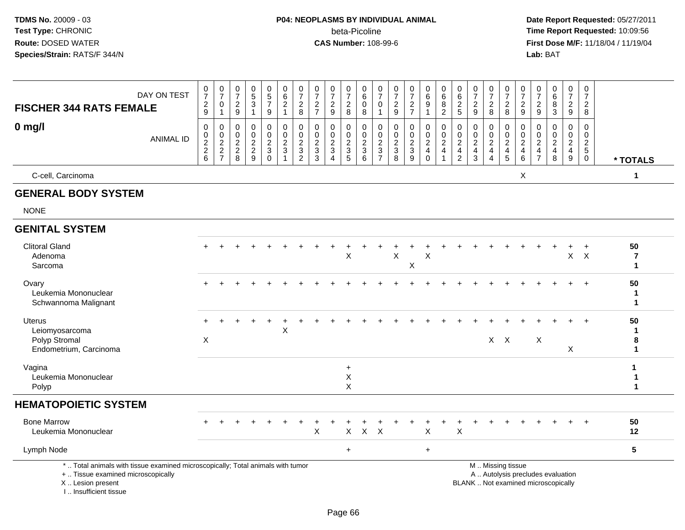# **P04: NEOPLASMS BY INDIVIDUAL ANIMAL**beta-Picoline<br>CAS Number: 108-99-6

 **Date Report Requested:** 05/27/2011 **Time Report Requested:** 10:09:56 **First Dose M/F:** 11/18/04 / 11/19/04<br>Lab: BAT **Lab:** BAT

| <b>FISCHER 344 RATS FEMALE</b>                                                                                                             | DAY ON TEST      | 0<br>$\overline{7}$<br>$\overline{c}$<br>9                       | $\begin{array}{c} 0 \\ 7 \end{array}$<br>$\mathbf 0$<br>$\mathbf{1}$ | $\pmb{0}$<br>$\overline{7}$<br>$\boldsymbol{2}$<br>9 | 0<br>5<br>$\mathbf{3}$<br>1                         | $\begin{array}{c} 0 \\ 5 \end{array}$<br>$\overline{7}$<br>9       | $_{6}^{\rm 0}$<br>$\overline{a}$<br>$\mathbf{1}$ | $\frac{0}{7}$<br>$\sqrt{2}$<br>$\,8\,$                                                    | $\begin{array}{c} 0 \\ 7 \end{array}$<br>$\boldsymbol{2}$<br>$\overline{7}$ | $\begin{array}{c} 0 \\ 7 \end{array}$<br>$\sqrt{2}$<br>9       | $\frac{0}{7}$<br>$\boldsymbol{2}$<br>8                              | $\pmb{0}$<br>6<br>0<br>8                                             | $\frac{0}{7}$<br>0<br>$\mathbf{1}$              | $\pmb{0}$<br>$\overline{7}$<br>$\overline{c}$<br>9              | $\begin{array}{c} 0 \\ 7 \end{array}$<br>$\boldsymbol{2}$<br>$\overline{7}$ | $\pmb{0}$<br>6<br>$9\,$<br>$\overline{1}$                           | $\mathbf 0$<br>$\,6\,$<br>$\, 8$<br>$\overline{c}$                               | 0<br>6<br>$\sqrt{2}$<br>$\sqrt{5}$                                | 0<br>$\overline{7}$<br>$\sqrt{2}$<br>$9\,$      | $\begin{array}{c} 0 \\ 7 \end{array}$<br>$\boldsymbol{2}$<br>8         | $\frac{0}{7}$<br>$\overline{c}$<br>8                        | $\pmb{0}$<br>$\overline{7}$<br>$\overline{c}$<br>9 | 0<br>$\overline{7}$<br>$\boldsymbol{2}$<br>9             | $\begin{array}{c} 0 \\ 6 \end{array}$<br>$\overline{8}$<br>$\sqrt{3}$    | $\begin{smallmatrix}0\\7\end{smallmatrix}$<br>$\overline{2}$<br>$9\,$ | $\mathbf 0$<br>$\overline{7}$<br>$\overline{2}$<br>8             |                             |
|--------------------------------------------------------------------------------------------------------------------------------------------|------------------|------------------------------------------------------------------|----------------------------------------------------------------------|------------------------------------------------------|-----------------------------------------------------|--------------------------------------------------------------------|--------------------------------------------------|-------------------------------------------------------------------------------------------|-----------------------------------------------------------------------------|----------------------------------------------------------------|---------------------------------------------------------------------|----------------------------------------------------------------------|-------------------------------------------------|-----------------------------------------------------------------|-----------------------------------------------------------------------------|---------------------------------------------------------------------|----------------------------------------------------------------------------------|-------------------------------------------------------------------|-------------------------------------------------|------------------------------------------------------------------------|-------------------------------------------------------------|----------------------------------------------------|----------------------------------------------------------|--------------------------------------------------------------------------|-----------------------------------------------------------------------|------------------------------------------------------------------|-----------------------------|
| $0$ mg/l                                                                                                                                   | <b>ANIMAL ID</b> | 0<br>$\pmb{0}$<br>$\overline{2}$<br>$\sqrt{2}$<br>$6\phantom{1}$ | $\mathbf 0$<br>$\frac{0}{2}$<br>$\sqrt{2}$<br>$\overline{7}$         | 0<br>0<br>$\sqrt{2}$<br>$\boldsymbol{2}$<br>8        | 0<br>0<br>$\boldsymbol{2}$<br>$\boldsymbol{2}$<br>9 | 0<br>$\boldsymbol{0}$<br>$\overline{c}$<br>$\mathbf 3$<br>$\Omega$ | 0<br>$\mathbf 0$<br>$\overline{2}$<br>3          | $\mathbf 0$<br>$\pmb{0}$<br>$\overline{2}$<br>$\ensuremath{\mathsf{3}}$<br>$\overline{c}$ | 0<br>0<br>$\overline{2}$<br>$\mathbf 3$<br>3                                | 0<br>$\mathbf 0$<br>$\sqrt{2}$<br>$\sqrt{3}$<br>$\overline{4}$ | 0<br>0<br>$\sqrt{2}$<br>$\ensuremath{\mathsf{3}}$<br>$\overline{5}$ | 0<br>$\mathbf 0$<br>$\overline{2}$<br>$\ensuremath{\mathsf{3}}$<br>6 | 0<br>0<br>$\overline{c}$<br>3<br>$\overline{7}$ | 0<br>0<br>$\overline{c}$<br>$\ensuremath{\mathsf{3}}$<br>$\bf8$ | 0<br>$\pmb{0}$<br>$\overline{2}$<br>$\ensuremath{\mathsf{3}}$<br>9          | 0<br>$\mathbf 0$<br>$\overline{2}$<br>$\overline{4}$<br>$\mathbf 0$ | $\mathbf 0$<br>$\mathbf 0$<br>$\overline{c}$<br>$\overline{4}$<br>$\overline{1}$ | 0<br>0<br>$\sqrt{2}$<br>$\overline{\mathbf{4}}$<br>$\overline{2}$ | 0<br>0<br>$\overline{2}$<br>$\overline{4}$<br>3 | 0<br>$\mathbf 0$<br>$\overline{c}$<br>$\overline{4}$<br>$\overline{4}$ | 0<br>$\mathsf{O}\xspace$<br>$\overline{2}$<br>$\frac{4}{5}$ | 0<br>0<br>$\overline{c}$<br>$\overline{4}$<br>6    | 0<br>0<br>$\sqrt{2}$<br>$\overline{4}$<br>$\overline{7}$ | $\mathbf 0$<br>$\mathbf 0$<br>$\overline{2}$<br>$\overline{4}$<br>8      | 0<br>$\mathbf 0$<br>$\boldsymbol{2}$<br>$\overline{4}$<br>9           | 0<br>$\mathbf 0$<br>$\sqrt{2}$<br>$5\phantom{.0}$<br>$\mathbf 0$ | * TOTALS                    |
| C-cell, Carcinoma                                                                                                                          |                  |                                                                  |                                                                      |                                                      |                                                     |                                                                    |                                                  |                                                                                           |                                                                             |                                                                |                                                                     |                                                                      |                                                 |                                                                 |                                                                             |                                                                     |                                                                                  |                                                                   |                                                 |                                                                        |                                                             | X                                                  |                                                          |                                                                          |                                                                       |                                                                  | 1                           |
| <b>GENERAL BODY SYSTEM</b>                                                                                                                 |                  |                                                                  |                                                                      |                                                      |                                                     |                                                                    |                                                  |                                                                                           |                                                                             |                                                                |                                                                     |                                                                      |                                                 |                                                                 |                                                                             |                                                                     |                                                                                  |                                                                   |                                                 |                                                                        |                                                             |                                                    |                                                          |                                                                          |                                                                       |                                                                  |                             |
| <b>NONE</b>                                                                                                                                |                  |                                                                  |                                                                      |                                                      |                                                     |                                                                    |                                                  |                                                                                           |                                                                             |                                                                |                                                                     |                                                                      |                                                 |                                                                 |                                                                             |                                                                     |                                                                                  |                                                                   |                                                 |                                                                        |                                                             |                                                    |                                                          |                                                                          |                                                                       |                                                                  |                             |
| <b>GENITAL SYSTEM</b>                                                                                                                      |                  |                                                                  |                                                                      |                                                      |                                                     |                                                                    |                                                  |                                                                                           |                                                                             |                                                                |                                                                     |                                                                      |                                                 |                                                                 |                                                                             |                                                                     |                                                                                  |                                                                   |                                                 |                                                                        |                                                             |                                                    |                                                          |                                                                          |                                                                       |                                                                  |                             |
| <b>Clitoral Gland</b><br>Adenoma<br>Sarcoma                                                                                                |                  | $+$                                                              |                                                                      |                                                      |                                                     |                                                                    |                                                  |                                                                                           |                                                                             |                                                                | X                                                                   |                                                                      |                                                 | X                                                               | X                                                                           | X                                                                   |                                                                                  |                                                                   |                                                 |                                                                        |                                                             |                                                    |                                                          |                                                                          |                                                                       | $\ddot{}$<br>$X$ $X$                                             | 50<br>7<br>$\mathbf{1}$     |
| Ovary<br>Leukemia Mononuclear<br>Schwannoma Malignant                                                                                      |                  |                                                                  |                                                                      |                                                      |                                                     |                                                                    |                                                  |                                                                                           |                                                                             |                                                                |                                                                     |                                                                      |                                                 |                                                                 |                                                                             |                                                                     |                                                                                  |                                                                   |                                                 |                                                                        |                                                             |                                                    |                                                          |                                                                          |                                                                       | $+$                                                              | 50<br>1<br>$\mathbf 1$      |
| Uterus<br>Leiomyosarcoma<br>Polyp Stromal<br>Endometrium, Carcinoma                                                                        |                  | $\boldsymbol{\mathsf{X}}$                                        |                                                                      |                                                      |                                                     |                                                                    | X                                                |                                                                                           |                                                                             |                                                                |                                                                     |                                                                      |                                                 |                                                                 |                                                                             |                                                                     |                                                                                  |                                                                   |                                                 |                                                                        | $X$ $X$                                                     |                                                    | X                                                        |                                                                          | X                                                                     | $\ddot{}$                                                        | 50<br>$\mathbf 1$<br>8<br>1 |
| Vagina<br>Leukemia Mononuclear<br>Polyp                                                                                                    |                  |                                                                  |                                                                      |                                                      |                                                     |                                                                    |                                                  |                                                                                           |                                                                             |                                                                | $\ddot{}$<br>Х<br>X                                                 |                                                                      |                                                 |                                                                 |                                                                             |                                                                     |                                                                                  |                                                                   |                                                 |                                                                        |                                                             |                                                    |                                                          |                                                                          |                                                                       |                                                                  | 1<br>1                      |
| <b>HEMATOPOIETIC SYSTEM</b>                                                                                                                |                  |                                                                  |                                                                      |                                                      |                                                     |                                                                    |                                                  |                                                                                           |                                                                             |                                                                |                                                                     |                                                                      |                                                 |                                                                 |                                                                             |                                                                     |                                                                                  |                                                                   |                                                 |                                                                        |                                                             |                                                    |                                                          |                                                                          |                                                                       |                                                                  |                             |
| <b>Bone Marrow</b><br>Leukemia Mononuclear                                                                                                 |                  |                                                                  |                                                                      |                                                      |                                                     |                                                                    |                                                  |                                                                                           | $\pmb{\times}$                                                              |                                                                | X                                                                   | $\mathsf{X}$                                                         | $\times$                                        |                                                                 |                                                                             | X                                                                   |                                                                                  | $\mathsf X$                                                       |                                                 |                                                                        |                                                             |                                                    |                                                          |                                                                          |                                                                       | $+$                                                              | 50<br>12                    |
| Lymph Node                                                                                                                                 |                  |                                                                  |                                                                      |                                                      |                                                     |                                                                    |                                                  |                                                                                           |                                                                             |                                                                | $\ddot{}$                                                           |                                                                      |                                                 |                                                                 |                                                                             | $\ddot{}$                                                           |                                                                                  |                                                                   |                                                 |                                                                        |                                                             |                                                    |                                                          |                                                                          |                                                                       |                                                                  | $5\phantom{.0}$             |
| *  Total animals with tissue examined microscopically; Total animals with tumor<br>+  Tissue examined microscopically<br>X  Lesion present |                  |                                                                  |                                                                      |                                                      |                                                     |                                                                    |                                                  |                                                                                           |                                                                             |                                                                |                                                                     |                                                                      |                                                 |                                                                 |                                                                             |                                                                     |                                                                                  |                                                                   |                                                 |                                                                        | M  Missing tissue                                           |                                                    |                                                          | A  Autolysis precludes evaluation<br>BLANK  Not examined microscopically |                                                                       |                                                                  |                             |

X .. Lesion present I .. Insufficient tissue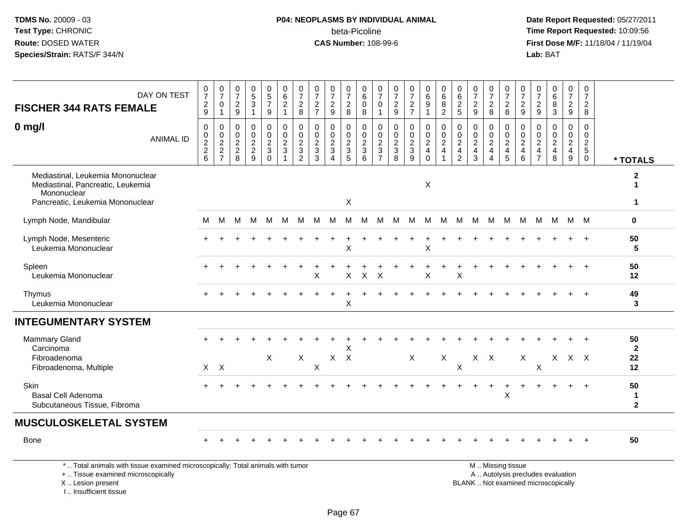## **P04: NEOPLASMS BY INDIVIDUAL ANIMAL**beta-Picoline<br>CAS Number: 108-99-6

 **Date Report Requested:** 05/27/2011 **Time Report Requested:** 10:09:56 **First Dose M/F:** 11/18/04 / 11/19/04<br>Lab: BAT **Lab:** BAT

| DAY ON TEST<br><b>FISCHER 344 RATS FEMALE</b>                                                                             | $\frac{0}{7}$<br>$\frac{2}{9}$ | $\frac{0}{7}$<br>$\mathbf 0$<br>$\mathbf{1}$ | 0<br>$\overline{7}$<br>$\overline{c}$<br>9                        | 0<br>$\overline{5}$<br>$\mathbf{3}$<br>$\overline{1}$     | $\begin{array}{c} 0 \\ 5 \\ 7 \end{array}$<br>9                        | 0<br>6<br>$\overline{c}$<br>$\mathbf{1}$                       | $\frac{0}{7}$<br>$\frac{2}{8}$                                                 | 0<br>$\overline{7}$<br>$\overline{2}$<br>$\overline{7}$         | 0<br>$\overline{7}$<br>$\boldsymbol{2}$<br>$9\,$                               | $\frac{0}{7}$<br>$\overline{c}$<br>8                 | 0<br>$6\phantom{a}$<br>$\mathsf{O}\xspace$<br>8                      | $\frac{0}{7}$<br>0<br>$\mathbf{1}$                                           | $\frac{0}{7}$<br>$\frac{2}{9}$    | $\frac{0}{7}$<br>$\frac{2}{7}$                   | 0<br>$\overline{6}$<br>9                               | 0<br>$6\phantom{a}$<br>$\bf 8$<br>$\overline{2}$       | 0625                                                                      | 0<br>$\overline{7}$<br>$\frac{2}{9}$                                                   | $\frac{0}{7}$<br>$\frac{2}{8}$                                                           | 0<br>$\overline{7}$<br>$\overline{c}$<br>8      | 0<br>$\overline{7}$<br>$\frac{2}{9}$                                                            | 0<br>$\overline{7}$<br>$\overline{c}$<br>9           | 0<br>$\,6\,$<br>8<br>3                                             | $\frac{0}{7}$<br>$\boldsymbol{2}$<br>$\overline{9}$                                | 0<br>$\overline{7}$<br>$\frac{2}{8}$                                      |                                                     |
|---------------------------------------------------------------------------------------------------------------------------|--------------------------------|----------------------------------------------|-------------------------------------------------------------------|-----------------------------------------------------------|------------------------------------------------------------------------|----------------------------------------------------------------|--------------------------------------------------------------------------------|-----------------------------------------------------------------|--------------------------------------------------------------------------------|------------------------------------------------------|----------------------------------------------------------------------|------------------------------------------------------------------------------|-----------------------------------|--------------------------------------------------|--------------------------------------------------------|--------------------------------------------------------|---------------------------------------------------------------------------|----------------------------------------------------------------------------------------|------------------------------------------------------------------------------------------|-------------------------------------------------|-------------------------------------------------------------------------------------------------|------------------------------------------------------|--------------------------------------------------------------------|------------------------------------------------------------------------------------|---------------------------------------------------------------------------|-----------------------------------------------------|
| $0$ mg/l<br><b>ANIMAL ID</b>                                                                                              | 0<br>0<br>$\frac{2}{2}$ 6      | $\mathbf 0$<br>$\frac{0}{2}$<br>7            | $\mathbf 0$<br>$\pmb{0}$<br>$\overline{2}$<br>$\overline{c}$<br>8 | 0<br>$\pmb{0}$<br>$\boldsymbol{2}$<br>$\overline{c}$<br>9 | $\mathbf 0$<br>$\pmb{0}$<br>$\overline{2}$<br>$\mathbf{3}$<br>$\Omega$ | $\mathbf 0$<br>$\overline{0}$<br>$\overline{2}$<br>$\mathsf 3$ | $\mathbf 0$<br>$\mathsf 0$<br>$\overline{2}$<br>$\mathbf{3}$<br>$\overline{2}$ | $\mathbf 0$<br>$\mathbf 0$<br>$\overline{2}$<br>$\sqrt{3}$<br>3 | $\mathbf 0$<br>$\pmb{0}$<br>$\overline{2}$<br>$\mathfrak{Z}$<br>$\overline{4}$ | 0<br>$\mathsf{O}$<br>$\frac{2}{3}$<br>$\overline{5}$ | 0<br>$\mathbf 0$<br>$\overline{2}$<br>$\mathbf{3}$<br>$6\phantom{1}$ | $\mathbf 0$<br>$\mathbf 0$<br>$\overline{2}$<br>$\sqrt{3}$<br>$\overline{7}$ | 0<br>$\mathbf 0$<br>$\frac{2}{3}$ | $\mathbf 0$<br>$\mathbf 0$<br>$\frac{2}{3}$<br>9 | 0<br>$\mathbf 0$<br>$\overline{2}$<br>4<br>$\mathbf 0$ | 0<br>$\frac{0}{2}$<br>$\overline{4}$<br>$\overline{1}$ | $\mathbf 0$<br>$\frac{0}{2}$<br>$\overline{\mathbf{4}}$<br>$\overline{2}$ | $\mathbf 0$<br>$\mathbf 0$<br>$\overline{2}$<br>$\overline{\mathbf{4}}$<br>$\mathsf 3$ | $\mathbf 0$<br>$\mathbf 0$<br>$\overline{2}$<br>$\overline{4}$<br>$\boldsymbol{\Lambda}$ | 0<br>0<br>$\overline{2}$<br>$\overline{4}$<br>5 | $\mathbf 0$<br>$\begin{smallmatrix} 0\\2 \end{smallmatrix}$<br>$\overline{4}$<br>$6\phantom{1}$ | $\Omega$<br>0<br>$\mathbf{2}$<br>4<br>$\overline{7}$ | $\mathbf 0$<br>0<br>$\overline{2}$<br>$\overline{\mathbf{4}}$<br>8 | $\mathbf 0$<br>$\mathbf 0$<br>$\overline{2}$<br>$\overline{4}$<br>$\boldsymbol{9}$ | $\mathbf 0$<br>$\mathbf 0$<br>$\overline{c}$<br>$\sqrt{5}$<br>$\mathbf 0$ | * TOTALS                                            |
| Mediastinal, Leukemia Mononuclear<br>Mediastinal, Pancreatic, Leukemia<br>Mononuclear<br>Pancreatic, Leukemia Mononuclear |                                |                                              |                                                                   |                                                           |                                                                        |                                                                |                                                                                |                                                                 |                                                                                | X                                                    |                                                                      |                                                                              |                                   |                                                  | X                                                      |                                                        |                                                                           |                                                                                        |                                                                                          |                                                 |                                                                                                 |                                                      |                                                                    |                                                                                    |                                                                           | $\mathbf{2}$<br>$\blacktriangleleft$<br>$\mathbf 1$ |
| Lymph Node, Mandibular                                                                                                    | M                              | M                                            | М                                                                 | м                                                         | M                                                                      | M                                                              | м                                                                              | M                                                               | M                                                                              | M                                                    | M                                                                    | м                                                                            | М                                 | M                                                | М                                                      | M                                                      | M                                                                         | м                                                                                      | м                                                                                        | M                                               | M                                                                                               | M                                                    | M                                                                  |                                                                                    | M M                                                                       | $\mathbf 0$                                         |
| Lymph Node, Mesenteric<br>Leukemia Mononuclear                                                                            |                                |                                              |                                                                   |                                                           |                                                                        |                                                                |                                                                                |                                                                 |                                                                                | X                                                    |                                                                      |                                                                              |                                   |                                                  | X                                                      |                                                        |                                                                           |                                                                                        |                                                                                          |                                                 |                                                                                                 |                                                      |                                                                    |                                                                                    | $\ddot{}$                                                                 | 50<br>$5\phantom{1}$                                |
| Spleen<br>Leukemia Mononuclear                                                                                            |                                |                                              |                                                                   |                                                           |                                                                        |                                                                |                                                                                | Χ                                                               |                                                                                | X                                                    | X                                                                    | $\boldsymbol{\mathsf{X}}$                                                    |                                   |                                                  | Χ                                                      |                                                        | X                                                                         |                                                                                        |                                                                                          |                                                 |                                                                                                 |                                                      |                                                                    |                                                                                    |                                                                           | 50<br>12                                            |
| Thymus<br>Leukemia Mononuclear                                                                                            |                                |                                              |                                                                   |                                                           |                                                                        |                                                                |                                                                                |                                                                 |                                                                                | X                                                    |                                                                      |                                                                              |                                   |                                                  |                                                        |                                                        |                                                                           |                                                                                        |                                                                                          |                                                 |                                                                                                 |                                                      |                                                                    |                                                                                    |                                                                           | 49<br>3                                             |
| <b>INTEGUMENTARY SYSTEM</b>                                                                                               |                                |                                              |                                                                   |                                                           |                                                                        |                                                                |                                                                                |                                                                 |                                                                                |                                                      |                                                                      |                                                                              |                                   |                                                  |                                                        |                                                        |                                                                           |                                                                                        |                                                                                          |                                                 |                                                                                                 |                                                      |                                                                    |                                                                                    |                                                                           |                                                     |
| Mammary Gland<br>Carcinoma<br>Fibroadenoma<br>Fibroadenoma, Multiple                                                      |                                | $X$ $X$                                      |                                                                   |                                                           | X                                                                      |                                                                | $\mathsf X$                                                                    | X                                                               | $X$ $X$                                                                        | X                                                    |                                                                      |                                                                              |                                   | $\mathsf X$                                      |                                                        | X                                                      | X                                                                         |                                                                                        | $X$ $X$                                                                                  |                                                 | X                                                                                               | X                                                    |                                                                    | $X$ $X$ $X$                                                                        |                                                                           | 50<br>$\mathbf{2}$<br>22<br>12                      |
| Skin<br><b>Basal Cell Adenoma</b><br>Subcutaneous Tissue, Fibroma                                                         | $+$                            |                                              |                                                                   |                                                           |                                                                        |                                                                |                                                                                |                                                                 |                                                                                |                                                      |                                                                      |                                                                              |                                   |                                                  |                                                        |                                                        |                                                                           |                                                                                        |                                                                                          | ÷<br>$\mathsf X$                                |                                                                                                 |                                                      |                                                                    | $\ddot{}$                                                                          | $+$                                                                       | 50<br>$\mathbf{1}$<br>$\mathbf{2}$                  |
| <b>MUSCULOSKELETAL SYSTEM</b>                                                                                             |                                |                                              |                                                                   |                                                           |                                                                        |                                                                |                                                                                |                                                                 |                                                                                |                                                      |                                                                      |                                                                              |                                   |                                                  |                                                        |                                                        |                                                                           |                                                                                        |                                                                                          |                                                 |                                                                                                 |                                                      |                                                                    |                                                                                    |                                                                           |                                                     |
| Bone                                                                                                                      |                                |                                              |                                                                   |                                                           |                                                                        |                                                                |                                                                                |                                                                 |                                                                                |                                                      |                                                                      |                                                                              |                                   |                                                  |                                                        |                                                        |                                                                           |                                                                                        |                                                                                          |                                                 |                                                                                                 |                                                      |                                                                    |                                                                                    |                                                                           | 50                                                  |
| *  Total animals with tissue examined microscopically; Total animals with tumor                                           |                                |                                              |                                                                   |                                                           |                                                                        |                                                                |                                                                                |                                                                 |                                                                                |                                                      |                                                                      |                                                                              |                                   |                                                  |                                                        |                                                        |                                                                           |                                                                                        |                                                                                          | M  Missing tissue                               |                                                                                                 |                                                      |                                                                    |                                                                                    |                                                                           |                                                     |

+ .. Tissue examined microscopically

 Lesion present BLANK .. Not examined microscopicallyX .. Lesion present

I .. Insufficient tissue

y the contract of the contract of the contract of the contract of the contract of the contract of the contract of  $A$ . Autolysis precludes evaluation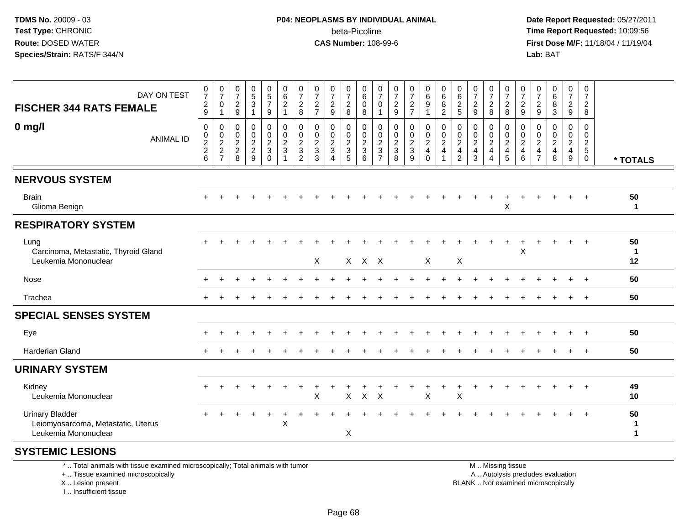#### **P04: NEOPLASMS BY INDIVIDUAL ANIMAL**beta-Picoline<br>CAS Number: 108-99-6

 **Date Report Requested:** 05/27/2011 **Time Report Requested:** 10:09:56 **First Dose M/F:** 11/18/04 / 11/19/04 Lab: BAT **Lab:** BAT

| DAY ON TEST<br><b>FISCHER 344 RATS FEMALE</b>                                        | 0729                                  | $\frac{0}{7}$<br>$\pmb{0}$<br>$\mathbf{1}$ | $\frac{0}{7}$<br>$\frac{2}{9}$ | $\begin{array}{c} 0 \\ 5 \\ 3 \end{array}$<br>$\overline{\mathbf{1}}$ | $\begin{array}{c} 0 \\ 5 \\ 7 \end{array}$<br>$\boldsymbol{9}$ | 0<br>$\frac{6}{2}$<br>$\mathbf{1}$                        | $\frac{0}{7}$<br>$\frac{2}{8}$            | $\frac{0}{7}$<br>$\overline{c}$<br>$\overline{7}$       | $\frac{0}{7}$<br>$\frac{2}{9}$                          | $\frac{0}{7}$<br>$\boldsymbol{2}$<br>8 | 0<br>$6\phantom{a}$<br>$\pmb{0}$<br>8   | $\frac{0}{7}$<br>$\pmb{0}$<br>$\mathbf{1}$                      | $\frac{0}{7}$<br>$\frac{2}{9}$                               | $\frac{0}{7}$<br>$\frac{2}{7}$                         | $_{6}^{\rm 0}$<br>$\boldsymbol{9}$<br>$\overline{1}$ | $\begin{matrix}0\\6\end{matrix}$<br>$\, 8$<br>$\overline{2}$   | 0<br>$6\phantom{a}$<br>$\frac{2}{5}$                                   | $\frac{0}{7}$<br>$\sqrt{2}$<br>$\boldsymbol{9}$                   | $\frac{0}{7}$<br>$\overline{c}$<br>8                | $\frac{0}{7}$<br>$_{\rm 8}^2$        | 0<br>$\overline{7}$<br>$\boldsymbol{2}$<br>$9\,$ | $\frac{0}{7}$<br>$\boldsymbol{2}$<br>$\boldsymbol{9}$ | $\begin{matrix} 0 \\ 6 \end{matrix}$<br>$\bf 8$<br>$\mathfrak{S}$ | $\frac{0}{7}$<br>$\overline{c}$<br>$\mathsf g$           | 0<br>$\overline{7}$<br>$_{\rm 8}^2$    |                        |
|--------------------------------------------------------------------------------------|---------------------------------------|--------------------------------------------|--------------------------------|-----------------------------------------------------------------------|----------------------------------------------------------------|-----------------------------------------------------------|-------------------------------------------|---------------------------------------------------------|---------------------------------------------------------|----------------------------------------|-----------------------------------------|-----------------------------------------------------------------|--------------------------------------------------------------|--------------------------------------------------------|------------------------------------------------------|----------------------------------------------------------------|------------------------------------------------------------------------|-------------------------------------------------------------------|-----------------------------------------------------|--------------------------------------|--------------------------------------------------|-------------------------------------------------------|-------------------------------------------------------------------|----------------------------------------------------------|----------------------------------------|------------------------|
| $0 \text{ mg/l}$<br><b>ANIMAL ID</b>                                                 | $\pmb{0}$<br>$0$<br>$2$<br>$2$<br>$6$ | $\,0\,$<br>$\frac{0}{2}$<br>$\frac{2}{7}$  | 0<br>$\frac{0}{2}$<br>8        | $\mathbf 0$<br>$\pmb{0}$<br>$\overline{2}$<br>$\overline{c}$<br>9     | 0<br>$\frac{0}{2}$<br>$\sqrt{3}$<br>$\Omega$                   | $\pmb{0}$<br>$\frac{0}{2}$<br>$\mathbf{3}$<br>$\mathbf 1$ | 0<br>$\frac{0}{2}$<br>3<br>$\overline{2}$ | $\mathbf 0$<br>0<br>$\overline{c}$<br>$\mathbf{3}$<br>3 | $\mathbf 0$<br>$\frac{0}{2}$<br>$\mathbf 3$<br>$\Delta$ | 0<br>$\pmb{0}$<br>$\frac{2}{3}$<br>5   | 0<br>$\frac{0}{2}$<br>$\mathbf{3}$<br>6 | $\mathbf 0$<br>$_{2}^{\rm 0}$<br>$\mathbf{3}$<br>$\overline{7}$ | $\pmb{0}$<br>$\begin{array}{c} 0 \\ 2 \\ 3 \\ 8 \end{array}$ | $\mathsf{O}\xspace$<br>$\frac{0}{2}$<br>$\overline{9}$ | 0<br>$\frac{0}{2}$<br>$\mathbf 0$                    | $\pmb{0}$<br>$\frac{0}{2}$<br>$\overline{4}$<br>$\overline{1}$ | 0<br>$\mathbf 0$<br>$\overline{2}$<br>$\overline{4}$<br>$\overline{2}$ | $\mathbf 0$<br>$\pmb{0}$<br>$\overline{2}$<br>$\overline{4}$<br>3 | $\mathbf 0$<br>$_2^0$<br>$\overline{4}$<br>$\Delta$ | 0<br>$\frac{0}{2}$<br>$\overline{5}$ | 0<br>$\frac{0}{2}$<br>$\overline{4}$<br>6        | 0<br>0<br>$\overline{2}$<br>4<br>$\overline{7}$       | $\mathbf 0$<br>$\frac{0}{2}$<br>8                                 | $\mathbf 0$<br>$^{\rm 0}_{\rm 2}$<br>$\overline{4}$<br>9 | $\mathbf 0$<br>0<br>$\frac{2}{5}$<br>0 | * TOTALS               |
| <b>NERVOUS SYSTEM</b>                                                                |                                       |                                            |                                |                                                                       |                                                                |                                                           |                                           |                                                         |                                                         |                                        |                                         |                                                                 |                                                              |                                                        |                                                      |                                                                |                                                                        |                                                                   |                                                     |                                      |                                                  |                                                       |                                                                   |                                                          |                                        |                        |
| <b>Brain</b><br>Glioma Benign                                                        |                                       |                                            |                                |                                                                       |                                                                |                                                           |                                           |                                                         |                                                         |                                        |                                         |                                                                 |                                                              |                                                        |                                                      |                                                                |                                                                        |                                                                   |                                                     | X                                    |                                                  |                                                       |                                                                   |                                                          |                                        | 50<br>$\mathbf{1}$     |
| <b>RESPIRATORY SYSTEM</b>                                                            |                                       |                                            |                                |                                                                       |                                                                |                                                           |                                           |                                                         |                                                         |                                        |                                         |                                                                 |                                                              |                                                        |                                                      |                                                                |                                                                        |                                                                   |                                                     |                                      |                                                  |                                                       |                                                                   |                                                          |                                        |                        |
| Lung<br>Carcinoma, Metastatic, Thyroid Gland<br>Leukemia Mononuclear                 |                                       |                                            |                                |                                                                       |                                                                |                                                           |                                           | X                                                       |                                                         |                                        | X X X                                   |                                                                 |                                                              |                                                        | X                                                    |                                                                | X                                                                      |                                                                   |                                                     |                                      | $\ddot{}$<br>X                                   |                                                       |                                                                   | $\ddot{}$                                                | $+$                                    | 50<br>-1<br>12         |
| Nose                                                                                 |                                       |                                            |                                |                                                                       |                                                                |                                                           |                                           |                                                         |                                                         |                                        |                                         |                                                                 |                                                              |                                                        |                                                      |                                                                |                                                                        |                                                                   |                                                     |                                      |                                                  |                                                       |                                                                   |                                                          |                                        | 50                     |
| Trachea                                                                              |                                       |                                            |                                |                                                                       |                                                                |                                                           |                                           |                                                         |                                                         |                                        |                                         |                                                                 |                                                              |                                                        |                                                      |                                                                |                                                                        |                                                                   |                                                     |                                      |                                                  |                                                       |                                                                   | $\ddot{}$                                                | $+$                                    | 50                     |
| <b>SPECIAL SENSES SYSTEM</b>                                                         |                                       |                                            |                                |                                                                       |                                                                |                                                           |                                           |                                                         |                                                         |                                        |                                         |                                                                 |                                                              |                                                        |                                                      |                                                                |                                                                        |                                                                   |                                                     |                                      |                                                  |                                                       |                                                                   |                                                          |                                        |                        |
| Eye                                                                                  |                                       |                                            |                                |                                                                       |                                                                |                                                           |                                           |                                                         |                                                         |                                        |                                         |                                                                 |                                                              |                                                        |                                                      |                                                                |                                                                        |                                                                   |                                                     |                                      |                                                  |                                                       |                                                                   |                                                          |                                        | 50                     |
| <b>Harderian Gland</b>                                                               |                                       |                                            |                                |                                                                       |                                                                |                                                           |                                           |                                                         |                                                         |                                        |                                         |                                                                 |                                                              |                                                        |                                                      |                                                                |                                                                        |                                                                   |                                                     |                                      |                                                  |                                                       |                                                                   |                                                          | $\ddot{}$                              | 50                     |
| <b>URINARY SYSTEM</b>                                                                |                                       |                                            |                                |                                                                       |                                                                |                                                           |                                           |                                                         |                                                         |                                        |                                         |                                                                 |                                                              |                                                        |                                                      |                                                                |                                                                        |                                                                   |                                                     |                                      |                                                  |                                                       |                                                                   |                                                          |                                        |                        |
| Kidney<br>Leukemia Mononuclear                                                       |                                       |                                            |                                |                                                                       |                                                                |                                                           |                                           | X                                                       |                                                         | X                                      | $\mathsf{X}$                            | $\mathsf{X}$                                                    |                                                              |                                                        | $\boldsymbol{\mathsf{X}}$                            |                                                                | X                                                                      |                                                                   |                                                     |                                      |                                                  |                                                       |                                                                   |                                                          | $\overline{+}$                         | 49<br>10               |
| <b>Urinary Bladder</b><br>Leiomyosarcoma, Metastatic, Uterus<br>Leukemia Mononuclear |                                       |                                            |                                |                                                                       |                                                                | $\boldsymbol{\mathsf{X}}$                                 |                                           |                                                         |                                                         | X                                      |                                         |                                                                 |                                                              |                                                        |                                                      |                                                                |                                                                        |                                                                   |                                                     |                                      |                                                  |                                                       |                                                                   |                                                          | $\overline{1}$                         | 50<br>1<br>$\mathbf 1$ |

#### **SYSTEMIC LESIONS**

\* .. Total animals with tissue examined microscopically; Total animals with tumor

+ .. Tissue examined microscopically

X .. Lesion present

I .. Insufficient tissue

 M .. Missing tissuey the contract of the contract of the contract of the contract of the contract of the contract of the contract of  $A$ . Autolysis precludes evaluation Lesion present BLANK .. Not examined microscopically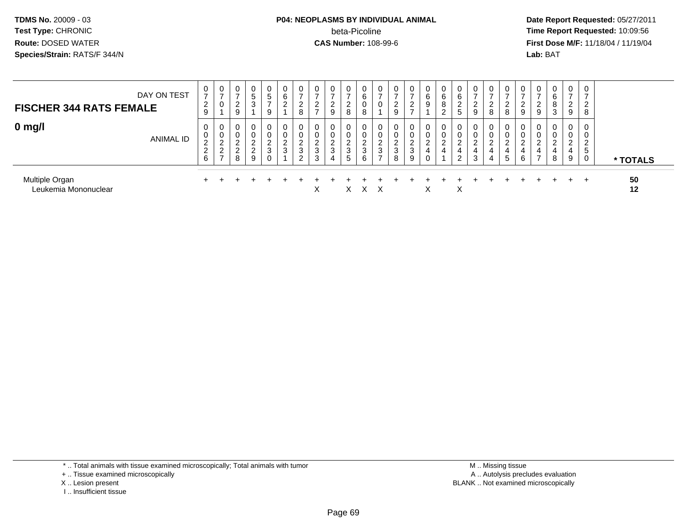#### **P04: NEOPLASMS BY INDIVIDUAL ANIMAL**beta-Picoline<br>CAS Number: 108-99-6

 **Date Report Requested:** 05/27/2011 **Time Report Requested:** 10:09:56 **First Dose M/F:** 11/18/04 / 11/19/04 Lab: BAT **Lab:** BAT

| DAY ON TEST<br><b>FISCHER 344 RATS FEMALE</b> | U<br>$\overline{ }$<br>2<br>9                                          | U<br>U                                             | 0<br>ົ<br>∠<br>9                            | 0<br><sub>5</sub><br>3                                      | 0<br>5<br>$\rightarrow$<br>9        | 6<br>2              | $\rightarrow$<br>$\sim$<br>$\epsilon$<br>8 | ົ<br>-           | $\mathbf{0}$<br>-<br>$\sqrt{2}$<br>9 | 0<br>$\overline{ }$<br>2<br>8   | 0<br>6<br>U<br>8      | 0                           | 9           | 0<br>-<br>ົ<br>-                 | U<br>6<br>9 | 0<br>6<br>8<br>∠           | U<br>6<br>ົ<br>∠<br>5 | 0<br>$\overline{ }$<br>$\mathcal{P}$<br>9 | 8           | 8                | 0<br>-<br>ົ<br>9                 | 9 | 0<br>6<br>8<br>3      | $\mathbf{0}$<br>$\rightarrow$<br>ົ<br>∠<br>9      | 0<br>$\rightarrow$<br>-2<br>∠<br>8 |          |
|-----------------------------------------------|------------------------------------------------------------------------|----------------------------------------------------|---------------------------------------------|-------------------------------------------------------------|-------------------------------------|---------------------|--------------------------------------------|------------------|--------------------------------------|---------------------------------|-----------------------|-----------------------------|-------------|----------------------------------|-------------|----------------------------|-----------------------|-------------------------------------------|-------------|------------------|----------------------------------|---|-----------------------|---------------------------------------------------|------------------------------------|----------|
| $0$ mg/l<br>ANIMAL ID                         | 0<br>$\mathbf{0}$<br>$\sim$<br>$\epsilon$<br>$\sim$<br>$\epsilon$<br>6 | 0<br>U<br>ີ<br>▃<br>ີ<br><u>_</u><br>$\rightarrow$ | 0<br>0<br>ົ<br>L<br>$\sim$<br><u>_</u><br>8 | 0<br>0<br>$\overline{2}$<br>$\mathcal{P}$<br>$\overline{9}$ | 0<br>0<br>ົ<br>$\epsilon$<br>3<br>0 | $\overline{2}$<br>3 | $\sim$<br>۷<br>$\Omega$<br>C.<br>$\sim$    | ີ<br>ے<br>3<br>3 | 0<br>0<br>റ<br>3<br>$\overline{4}$   | 0<br>0<br>ົ<br>$rac{2}{3}$<br>5 | 0<br>0<br>ົ<br>3<br>6 | 0<br>U<br>$\sim$<br>ົ<br>C. | っ<br>3<br>8 | $\mathbf{0}$<br>0<br>ົ<br>3<br>9 | ⌒           | $\mathbf 0$<br>0<br>ົ<br>4 | ົ<br>4<br>2           | 0<br>0<br>ົ<br>$\overline{4}$<br>3        | ົ<br>4<br>4 | 4<br>$\mathbf b$ | $\mathbf{0}$<br>0<br>$\sim$<br>6 | ີ | 0<br>0<br>റ<br>4<br>8 | $\mathbf{0}$<br>U<br>$\sim$<br><u>_</u><br>4<br>9 | 0<br>0<br>ົາ<br>∼<br>5<br>0        | * TOTALS |
| Multiple Organ<br>Leukemia Mononuclear        |                                                                        |                                                    |                                             |                                                             |                                     |                     |                                            | X                |                                      | $\times$                        | $X \times$            |                             |             |                                  | х           |                            | X                     |                                           |             |                  |                                  |   |                       | $\div$                                            | $+$                                | 50<br>12 |

\* .. Total animals with tissue examined microscopically; Total animals with tumor

+ .. Tissue examined microscopically

X .. Lesion present

I .. Insufficient tissue

 M .. Missing tissuey the contract of the contract of the contract of the contract of the contract of the contract of the contract of  $A$ . Autolysis precludes evaluation Lesion present BLANK .. Not examined microscopically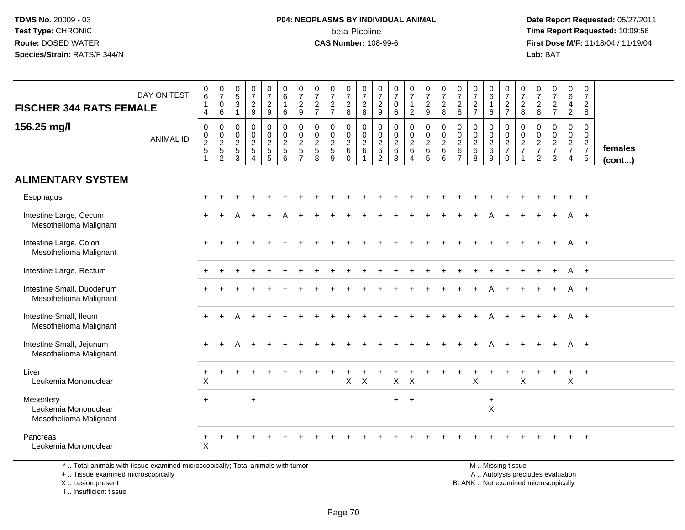#### **P04: NEOPLASMS BY INDIVIDUAL ANIMAL**beta-Picoline<br>CAS Number: 108-99-6

 **Date Report Requested:** 05/27/2011 **Time Report Requested:** 10:09:56 **First Dose M/F:** 11/18/04 / 11/19/04<br>**Lab:** BAT **Lab:** BAT

| <b>FISCHER 344 RATS FEMALE</b>                              | DAY ON TEST      | $_{6}^{\rm 0}$<br>$\overline{1}$<br>4 | $\begin{array}{c} 0 \\ 7 \end{array}$<br>$\pmb{0}$<br>6 | $\begin{array}{c} 0 \\ 5 \end{array}$<br>3<br>-1      | $\frac{0}{7}$<br>$\overline{c}$<br>9                          | $\frac{0}{7}$<br>$\frac{2}{9}$                        | $\begin{array}{c} 0 \\ 6 \end{array}$<br>$\mathbf{1}$<br>6         | $\frac{0}{7}$<br>$\frac{2}{9}$                     | $\frac{0}{7}$<br>$\frac{2}{7}$                              | $\begin{array}{c} 0 \\ 7 \end{array}$<br>$rac{2}{7}$              | $\frac{0}{7}$<br>$_{\rm 8}^2$                                 | $\frac{0}{7}$<br>$\frac{2}{8}$                      | $\frac{0}{7}$<br>$\frac{2}{9}$                            | $\frac{0}{7}$<br>$\mathbf 0$<br>6                            | $\frac{0}{7}$<br>$\mathbf{1}$<br>$\overline{2}$                                          | $\begin{smallmatrix}0\\7\end{smallmatrix}$<br>$\frac{2}{9}$           | $\begin{array}{c} 0 \\ 7 \end{array}$<br>$\frac{2}{8}$ | $\begin{array}{c} 0 \\ 7 \end{array}$<br>$\frac{2}{8}$                  | $\frac{0}{7}$<br>$\frac{2}{7}$                             | $_{6}^{\rm 0}$<br>$\mathbf{1}$<br>6                | $\begin{array}{c} 0 \\ 7 \end{array}$<br>$\frac{2}{7}$        | $\frac{0}{7}$<br>$\frac{2}{8}$                                         | $\frac{0}{7}$<br>$_{8}^{\rm 2}$                | $\begin{array}{c} 0 \\ 7 \end{array}$<br>$\frac{2}{7}$ | $\pmb{0}$<br>$\frac{6}{4}$<br>$\overline{2}$   | $\begin{array}{c} 0 \\ 7 \\ 2 \\ 8 \end{array}$                         |                   |
|-------------------------------------------------------------|------------------|---------------------------------------|---------------------------------------------------------|-------------------------------------------------------|---------------------------------------------------------------|-------------------------------------------------------|--------------------------------------------------------------------|----------------------------------------------------|-------------------------------------------------------------|-------------------------------------------------------------------|---------------------------------------------------------------|-----------------------------------------------------|-----------------------------------------------------------|--------------------------------------------------------------|------------------------------------------------------------------------------------------|-----------------------------------------------------------------------|--------------------------------------------------------|-------------------------------------------------------------------------|------------------------------------------------------------|----------------------------------------------------|---------------------------------------------------------------|------------------------------------------------------------------------|------------------------------------------------|--------------------------------------------------------|------------------------------------------------|-------------------------------------------------------------------------|-------------------|
| 156.25 mg/l                                                 | <b>ANIMAL ID</b> | 0<br>$\pmb{0}$<br>$\frac{2}{5}$       | $\boldsymbol{0}$<br>$\frac{0}{2}$<br>2                  | 0<br>$\mathbf 0$<br>$\overline{2}$<br>$\sqrt{5}$<br>3 | $\mathbf 0$<br>$\pmb{0}$<br>$\overline{2}$<br>$\sqrt{5}$<br>4 | 0<br>$\mathbf 0$<br>$\overline{c}$<br>$\sqrt{5}$<br>5 | $\mathbf 0$<br>$\pmb{0}$<br>$\overline{2}$<br>$5\phantom{.0}$<br>6 | 0<br>$\frac{0}{2}$<br>$\sqrt{5}$<br>$\overline{7}$ | $\mathbf 0$<br>$\mathbf 0$<br>$\sqrt{2}$<br>$\sqrt{5}$<br>8 | $\mathbf 0$<br>$\pmb{0}$<br>$\overline{2}$<br>$\overline{5}$<br>9 | 0<br>$\mathsf{O}\xspace$<br>$\sqrt{2}$<br>$\,6\,$<br>$\Omega$ | $\mathbf 0$<br>$\frac{0}{2}$<br>6<br>$\overline{1}$ | 0<br>$\mathbf 0$<br>$\overline{2}$<br>6<br>$\overline{2}$ | $\mathbf 0$<br>$\mathsf 0$<br>$\overline{2}$<br>$\,6\,$<br>3 | $\mathbf 0$<br>$\begin{smallmatrix} 0\\2 \end{smallmatrix}$<br>$\,6\,$<br>$\overline{4}$ | $\mathbf 0$<br>$\mathbf 0$<br>$\overline{2}$<br>$\,6\,$<br>$\sqrt{5}$ | $\mathbf 0$<br>$\frac{0}{2}$<br>$\,6\,$<br>6           | $\mathbf 0$<br>$\pmb{0}$<br>$\overline{2}$<br>$\,6\,$<br>$\overline{7}$ | $\mathbf 0$<br>$\pmb{0}$<br>$\overline{2}$<br>$\,6\,$<br>8 | 0<br>$\mathbf 0$<br>$\overline{2}$<br>$\,6\,$<br>9 | $\mathbf 0$<br>$\frac{0}{2}$<br>$\overline{7}$<br>$\mathbf 0$ | $\mathbf 0$<br>$\frac{0}{2}$<br>$\overline{7}$<br>$\blacktriangleleft$ | $\mathbf 0$<br>$\frac{0}{2}$<br>$\overline{2}$ | $\mathbf 0$<br>$\mathbf 0$<br>$\frac{2}{7}$<br>3       | $\mathbf 0$<br>$\mathbf 0$<br>$rac{2}{7}$<br>4 | 0<br>$\boldsymbol{0}$<br>$\overline{2}$<br>$\overline{7}$<br>$\sqrt{5}$ | females<br>(cont) |
| <b>ALIMENTARY SYSTEM</b>                                    |                  |                                       |                                                         |                                                       |                                                               |                                                       |                                                                    |                                                    |                                                             |                                                                   |                                                               |                                                     |                                                           |                                                              |                                                                                          |                                                                       |                                                        |                                                                         |                                                            |                                                    |                                                               |                                                                        |                                                |                                                        |                                                |                                                                         |                   |
| Esophagus                                                   |                  |                                       |                                                         |                                                       |                                                               |                                                       |                                                                    |                                                    |                                                             |                                                                   |                                                               |                                                     |                                                           |                                                              |                                                                                          |                                                                       |                                                        |                                                                         |                                                            |                                                    |                                                               |                                                                        |                                                |                                                        |                                                |                                                                         |                   |
| Intestine Large, Cecum<br>Mesothelioma Malignant            |                  |                                       |                                                         | А                                                     |                                                               |                                                       |                                                                    |                                                    |                                                             |                                                                   |                                                               |                                                     |                                                           |                                                              |                                                                                          |                                                                       |                                                        |                                                                         |                                                            |                                                    |                                                               |                                                                        |                                                |                                                        |                                                | $\overline{+}$                                                          |                   |
| Intestine Large, Colon<br>Mesothelioma Malignant            |                  |                                       |                                                         |                                                       |                                                               |                                                       |                                                                    |                                                    |                                                             |                                                                   |                                                               |                                                     |                                                           |                                                              |                                                                                          |                                                                       |                                                        |                                                                         |                                                            |                                                    |                                                               |                                                                        |                                                |                                                        |                                                | A +                                                                     |                   |
| Intestine Large, Rectum                                     |                  |                                       |                                                         |                                                       |                                                               |                                                       |                                                                    |                                                    |                                                             |                                                                   |                                                               |                                                     |                                                           |                                                              |                                                                                          |                                                                       |                                                        |                                                                         |                                                            |                                                    |                                                               |                                                                        |                                                |                                                        | A                                              | $+$                                                                     |                   |
| Intestine Small, Duodenum<br>Mesothelioma Malignant         |                  | $+$                                   |                                                         |                                                       |                                                               |                                                       |                                                                    |                                                    |                                                             |                                                                   |                                                               |                                                     |                                                           |                                                              |                                                                                          |                                                                       |                                                        |                                                                         |                                                            | A                                                  |                                                               | $\div$                                                                 |                                                |                                                        | A                                              | $+$                                                                     |                   |
| Intestine Small, Ileum<br>Mesothelioma Malignant            |                  |                                       |                                                         |                                                       |                                                               |                                                       |                                                                    |                                                    |                                                             |                                                                   |                                                               |                                                     |                                                           |                                                              |                                                                                          |                                                                       |                                                        |                                                                         |                                                            |                                                    |                                                               |                                                                        |                                                |                                                        | A                                              | $+$                                                                     |                   |
| Intestine Small, Jejunum<br>Mesothelioma Malignant          |                  | $+$                                   |                                                         | А                                                     |                                                               |                                                       |                                                                    |                                                    |                                                             |                                                                   |                                                               |                                                     |                                                           |                                                              |                                                                                          |                                                                       |                                                        |                                                                         |                                                            |                                                    |                                                               |                                                                        |                                                |                                                        | A                                              | $+$                                                                     |                   |
| Liver<br>Leukemia Mononuclear                               |                  | $+$<br>X                              |                                                         |                                                       |                                                               |                                                       |                                                                    |                                                    |                                                             |                                                                   | $\mathsf{X}$                                                  | $\times$                                            |                                                           | $\mathsf{X}$                                                 | $\times$                                                                                 |                                                                       |                                                        |                                                                         | X                                                          |                                                    |                                                               | $\mathsf{X}$                                                           |                                                |                                                        | $\ddot{}$<br>X                                 | $+$                                                                     |                   |
| Mesentery<br>Leukemia Mononuclear<br>Mesothelioma Malignant |                  | $+$                                   |                                                         |                                                       | $\ddot{}$                                                     |                                                       |                                                                    |                                                    |                                                             |                                                                   |                                                               |                                                     |                                                           | $+$                                                          | $+$                                                                                      |                                                                       |                                                        |                                                                         |                                                            | +<br>$\sf X$                                       |                                                               |                                                                        |                                                |                                                        |                                                |                                                                         |                   |
| Pancreas<br>Leukemia Mononuclear                            |                  | $+$<br>X                              | $\overline{ }$                                          |                                                       |                                                               |                                                       |                                                                    |                                                    |                                                             |                                                                   |                                                               |                                                     |                                                           |                                                              |                                                                                          |                                                                       |                                                        |                                                                         |                                                            |                                                    |                                                               |                                                                        |                                                |                                                        |                                                | $^{+}$                                                                  |                   |

\* .. Total animals with tissue examined microscopically; Total animals with tumor

+ .. Tissue examined microscopically

 Lesion present BLANK .. Not examined microscopicallyX .. Lesion present

I .. Insufficient tissue

M .. Missing tissue

y the contract of the contract of the contract of the contract of the contract of the contract of the contract of  $A$ . Autolysis precludes evaluation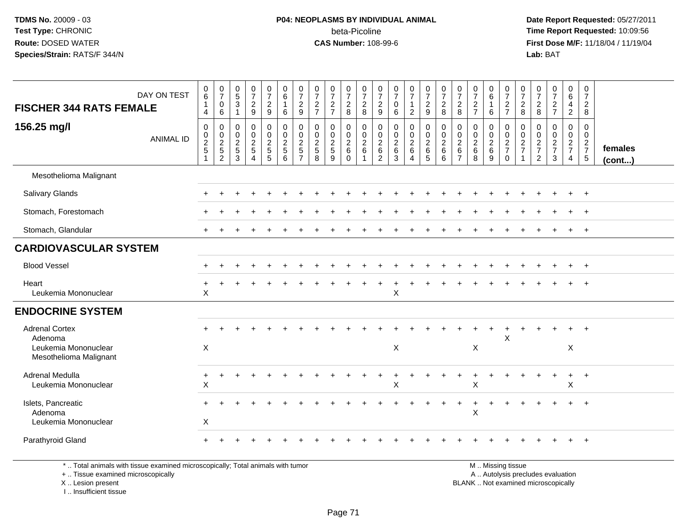#### **P04: NEOPLASMS BY INDIVIDUAL ANIMAL**beta-Picoline<br>CAS Number: 108-99-6

 **Date Report Requested:** 05/27/2011 **Time Report Requested:** 10:09:56 **First Dose M/F:** 11/18/04 / 11/19/04 Lab: BAT **Lab:** BAT

| <b>FISCHER 344 RATS FEMALE</b>                                                     | DAY ON TEST      | $\begin{array}{c} 0 \\ 6 \end{array}$<br>1<br>$\overline{4}$ | $\begin{smallmatrix}0\\7\end{smallmatrix}$<br>$\pmb{0}$<br>$\,6\,$ | $\begin{array}{c} 0 \\ 5 \end{array}$<br>3<br>$\overline{1}$ | $\frac{0}{7}$<br>$\overline{2}$<br>9                                 | $\frac{0}{7}$<br>$\overline{2}$<br>$\boldsymbol{9}$ | $\begin{array}{c} 0 \\ 6 \\ 1 \end{array}$<br>6 | $\begin{array}{c} 0 \\ 7 \end{array}$<br>$\frac{2}{9}$ | $\frac{0}{7}$<br>$\frac{2}{7}$                                    | $\frac{0}{7}$<br>$\frac{2}{7}$    | $\frac{0}{7}$<br>$\frac{2}{8}$                                    | $\begin{array}{c} 0 \\ 7 \\ 2 \\ 8 \end{array}$ | $\frac{0}{7}$<br>$\sqrt{2}$<br>$\boldsymbol{9}$   | $\frac{0}{7}$<br>$\mathbf 0$<br>6 | $\frac{0}{7}$<br>$\mathbf{1}$<br>$\overline{2}$ | $\frac{0}{7}$<br>9                     | $\frac{0}{7}$<br>8        | $\frac{0}{7}$<br>$\overline{c}$<br>8                            | $\frac{0}{7}$<br>$\overline{2}$<br>$\overline{7}$          | 0<br>$\overline{6}$<br>6               | $\frac{0}{7}$<br>$\frac{2}{7}$      | $\frac{0}{7}$<br>$\overline{2}$<br>8   | $\frac{0}{7}$<br>$_{\rm 8}^2$                       | $\frac{0}{7}$<br>$\frac{2}{7}$ | $_{6}^{\rm 0}$<br>$\overline{4}$<br>$\overline{2}$          | 0<br>$\overline{7}$<br>$\overline{2}$<br>8                     |                   |
|------------------------------------------------------------------------------------|------------------|--------------------------------------------------------------|--------------------------------------------------------------------|--------------------------------------------------------------|----------------------------------------------------------------------|-----------------------------------------------------|-------------------------------------------------|--------------------------------------------------------|-------------------------------------------------------------------|-----------------------------------|-------------------------------------------------------------------|-------------------------------------------------|---------------------------------------------------|-----------------------------------|-------------------------------------------------|----------------------------------------|---------------------------|-----------------------------------------------------------------|------------------------------------------------------------|----------------------------------------|-------------------------------------|----------------------------------------|-----------------------------------------------------|--------------------------------|-------------------------------------------------------------|----------------------------------------------------------------|-------------------|
| 156.25 mg/l                                                                        | <b>ANIMAL ID</b> | 0<br>$\begin{array}{c} 0 \\ 2 \\ 5 \end{array}$              | 0<br>$\frac{0}{2}$<br>$\overline{2}$                               | 0<br>$\mathbf 0$<br>$\frac{2}{5}$<br>3                       | $\mathbf 0$<br>$\pmb{0}$<br>$\overline{2}$<br>$\sqrt{5}$<br>$\Delta$ | 0<br>$\mathsf 0$<br>$\frac{2}{5}$<br>5              | $\mathbf 0$<br>$\frac{0}{2}$<br>6               | 0<br>$\frac{0}{2}$<br>5<br>$\overline{7}$              | $\mathbf 0$<br>$\pmb{0}$<br>$\overline{2}$<br>$\overline{5}$<br>8 | $\mathbf 0$<br>$\frac{0}{2}$<br>9 | 0<br>$\mathsf{O}\xspace$<br>$\overline{2}$<br>$\,6\,$<br>$\Omega$ | $\mathbf 0$<br>$\frac{0}{2}$ 6<br>$\mathbf{1}$  | 0<br>$\pmb{0}$<br>$\frac{2}{6}$<br>$\overline{2}$ | 0<br>$\frac{0}{2}$ 6<br>3         | 0<br>$\frac{0}{2}$                              | 0<br>$\frac{0}{2}$ 6<br>$\overline{5}$ | 0<br>$\frac{0}{2}$ 6<br>6 | 0<br>$\mathbf 0$<br>$\overline{2}$<br>$\,6\,$<br>$\overline{7}$ | $\mathbf 0$<br>$\pmb{0}$<br>$\overline{2}$<br>$\,6\,$<br>8 | 0<br>$\mathbf 0$<br>$\frac{2}{6}$<br>9 | 0<br>$\frac{0}{2}$<br>7<br>$\Omega$ | 0<br>$\mathbf 0$<br>$\frac{2}{7}$<br>1 | $\mathbf 0$<br>0<br>$\frac{2}{7}$<br>$\overline{2}$ | 0<br>$\frac{0}{2}$<br>3        | 0<br>$\mathsf{O}\xspace$<br>$\frac{2}{7}$<br>$\overline{4}$ | $\mathbf 0$<br>$\mathbf 0$<br>$\frac{2}{7}$<br>$5\phantom{.0}$ | females<br>(cont) |
| Mesothelioma Malignant                                                             |                  |                                                              |                                                                    |                                                              |                                                                      |                                                     |                                                 |                                                        |                                                                   |                                   |                                                                   |                                                 |                                                   |                                   |                                                 |                                        |                           |                                                                 |                                                            |                                        |                                     |                                        |                                                     |                                |                                                             |                                                                |                   |
| <b>Salivary Glands</b>                                                             |                  |                                                              |                                                                    |                                                              |                                                                      |                                                     |                                                 |                                                        |                                                                   |                                   |                                                                   |                                                 |                                                   |                                   |                                                 |                                        |                           |                                                                 |                                                            |                                        |                                     |                                        |                                                     |                                |                                                             | $+$                                                            |                   |
| Stomach, Forestomach                                                               |                  |                                                              |                                                                    |                                                              |                                                                      |                                                     |                                                 |                                                        |                                                                   |                                   |                                                                   |                                                 |                                                   |                                   |                                                 |                                        |                           |                                                                 |                                                            |                                        |                                     |                                        |                                                     |                                |                                                             | $\ddot{}$                                                      |                   |
| Stomach, Glandular                                                                 |                  | $+$                                                          |                                                                    |                                                              |                                                                      |                                                     |                                                 |                                                        |                                                                   |                                   |                                                                   |                                                 |                                                   |                                   |                                                 |                                        |                           |                                                                 |                                                            |                                        |                                     |                                        |                                                     |                                |                                                             | $\overline{+}$                                                 |                   |
| <b>CARDIOVASCULAR SYSTEM</b>                                                       |                  |                                                              |                                                                    |                                                              |                                                                      |                                                     |                                                 |                                                        |                                                                   |                                   |                                                                   |                                                 |                                                   |                                   |                                                 |                                        |                           |                                                                 |                                                            |                                        |                                     |                                        |                                                     |                                |                                                             |                                                                |                   |
| <b>Blood Vessel</b>                                                                |                  |                                                              |                                                                    |                                                              |                                                                      |                                                     |                                                 |                                                        |                                                                   |                                   |                                                                   |                                                 |                                                   |                                   |                                                 |                                        |                           |                                                                 |                                                            |                                        |                                     |                                        |                                                     |                                |                                                             | $+$                                                            |                   |
| Heart<br>Leukemia Mononuclear                                                      |                  | $\pmb{\times}$                                               |                                                                    |                                                              |                                                                      |                                                     |                                                 |                                                        |                                                                   |                                   |                                                                   |                                                 |                                                   | X                                 |                                                 |                                        |                           |                                                                 |                                                            |                                        |                                     |                                        |                                                     |                                |                                                             |                                                                |                   |
| <b>ENDOCRINE SYSTEM</b>                                                            |                  |                                                              |                                                                    |                                                              |                                                                      |                                                     |                                                 |                                                        |                                                                   |                                   |                                                                   |                                                 |                                                   |                                   |                                                 |                                        |                           |                                                                 |                                                            |                                        |                                     |                                        |                                                     |                                |                                                             |                                                                |                   |
| <b>Adrenal Cortex</b><br>Adenoma<br>Leukemia Mononuclear<br>Mesothelioma Malignant |                  | X                                                            |                                                                    |                                                              |                                                                      |                                                     |                                                 |                                                        |                                                                   |                                   |                                                                   |                                                 |                                                   | X                                 |                                                 |                                        |                           |                                                                 | X                                                          |                                        | $\boldsymbol{\mathsf{X}}$           |                                        |                                                     |                                | $\ddot{}$<br>X                                              | $+$                                                            |                   |
| Adrenal Medulla<br>Leukemia Mononuclear                                            |                  | +<br>X                                                       |                                                                    |                                                              |                                                                      |                                                     |                                                 |                                                        |                                                                   |                                   |                                                                   |                                                 |                                                   | X                                 |                                                 |                                        |                           |                                                                 | $\boldsymbol{\mathsf{X}}$                                  |                                        |                                     |                                        |                                                     |                                | $\ddot{}$<br>$\mathsf X$                                    | $+$                                                            |                   |
| Islets, Pancreatic<br>Adenoma<br>Leukemia Mononuclear                              |                  | X                                                            |                                                                    |                                                              |                                                                      |                                                     |                                                 |                                                        |                                                                   |                                   |                                                                   |                                                 |                                                   |                                   |                                                 |                                        |                           |                                                                 | $\ddot{}$<br>X                                             |                                        |                                     |                                        |                                                     |                                |                                                             | $+$                                                            |                   |
| Parathyroid Gland                                                                  |                  | $+$                                                          |                                                                    |                                                              |                                                                      |                                                     |                                                 |                                                        |                                                                   |                                   |                                                                   |                                                 |                                                   |                                   |                                                 |                                        |                           |                                                                 |                                                            |                                        |                                     |                                        |                                                     |                                |                                                             | $+$                                                            |                   |

\* .. Total animals with tissue examined microscopically; Total animals with tumor

+ .. Tissue examined microscopically

 Lesion present BLANK .. Not examined microscopicallyX .. Lesion present

I .. Insufficient tissue

 M .. Missing tissuey the contract of the contract of the contract of the contract of the contract of the contract of the contract of  $A$ . Autolysis precludes evaluation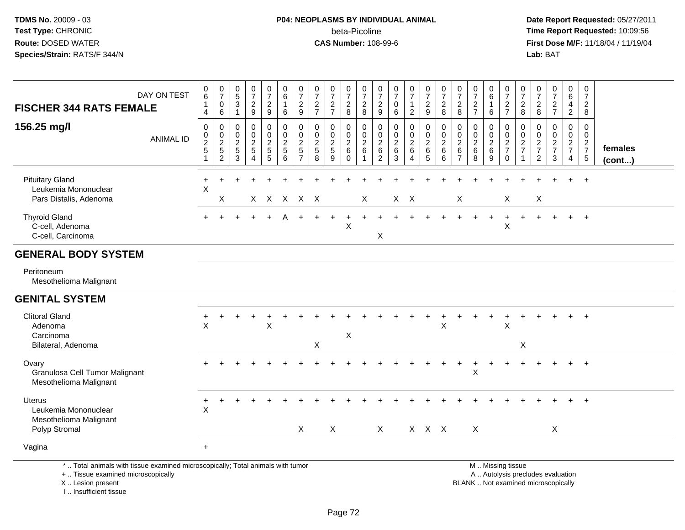#### **P04: NEOPLASMS BY INDIVIDUAL ANIMAL**beta-Picoline<br>CAS Number: 108-99-6

 **Date Report Requested:** 05/27/2011 **Time Report Requested:** 10:09:56 **First Dose M/F:** 11/18/04 / 11/19/04 Lab: BAT **Lab:** BAT

| DAY ON TEST<br><b>FISCHER 344 RATS FEMALE</b>                             | $\begin{matrix} 0 \\ 6 \end{matrix}$<br>$\mathbf{1}$<br>4 | $\frac{0}{7}$<br>$\pmb{0}$<br>$\,6$            | $\begin{array}{c} 0 \\ 5 \end{array}$<br>$\mathsf 3$<br>$\mathbf{1}$ | $\frac{0}{7}$<br>$\overline{c}$<br>9                                        | $\frac{0}{7}$<br>$\overline{2}$<br>$\boldsymbol{9}$ | $_{6}^{\rm 0}$<br>$\mathbf{1}$<br>6 | $\begin{array}{c} 0 \\ 7 \end{array}$<br>$\overline{c}$<br>9        | $\frac{0}{7}$<br>$\overline{c}$<br>$\overline{7}$ | $\frac{0}{7}$<br>$\sqrt{2}$<br>$\overline{7}$             | 0<br>$\overline{7}$<br>$\boldsymbol{2}$<br>$\bf 8$ | $\pmb{0}$<br>$\overline{7}$<br>$\overline{c}$<br>8     | $\frac{0}{7}$<br>$\boldsymbol{2}$<br>9 | $\frac{0}{7}$<br>$\mathbf 0$<br>$\,6$                | $\begin{smallmatrix}0\\7\end{smallmatrix}$<br>$\mathbf{1}$<br>$\sqrt{2}$ | $\frac{0}{7}$<br>$\overline{c}$<br>$9\,$ | $\frac{0}{7}$<br>$\overline{c}$<br>8         | 0<br>$\overline{7}$<br>$\overline{2}$<br>8                | $\frac{0}{7}$<br>$\sqrt{2}$<br>$\overline{7}$ | 0<br>$6\phantom{a}$<br>$\mathbf{1}$<br>$\,6\,$ | $\frac{0}{7}$<br>$\overline{c}$<br>$\overline{7}$              | $\frac{0}{7}$<br>$\sqrt{2}$<br>8                  | 0<br>$\overline{7}$<br>$\boldsymbol{2}$<br>8 | $\frac{0}{7}$<br>$\boldsymbol{2}$<br>$\overline{7}$ | $\pmb{0}$<br>$6\phantom{a}$<br>$\overline{4}$<br>$\overline{c}$ | $\mathbf 0$<br>$\boldsymbol{7}$<br>$\overline{c}$<br>8 |                   |
|---------------------------------------------------------------------------|-----------------------------------------------------------|------------------------------------------------|----------------------------------------------------------------------|-----------------------------------------------------------------------------|-----------------------------------------------------|-------------------------------------|---------------------------------------------------------------------|---------------------------------------------------|-----------------------------------------------------------|----------------------------------------------------|--------------------------------------------------------|----------------------------------------|------------------------------------------------------|--------------------------------------------------------------------------|------------------------------------------|----------------------------------------------|-----------------------------------------------------------|-----------------------------------------------|------------------------------------------------|----------------------------------------------------------------|---------------------------------------------------|----------------------------------------------|-----------------------------------------------------|-----------------------------------------------------------------|--------------------------------------------------------|-------------------|
| 156.25 mg/l<br><b>ANIMAL ID</b>                                           | $\mathbf 0$<br>$\begin{array}{c} 0 \\ 2 \\ 5 \end{array}$ | $\pmb{0}$<br>$\frac{0}{2}$<br>$\overline{2}$   | 0<br>0<br>$\boldsymbol{2}$<br>$\sqrt{5}$<br>3                        | $\mathbf 0$<br>$\mathbf 0$<br>$\overline{2}$<br>5<br>$\boldsymbol{\Lambda}$ | 0<br>0<br>$\frac{2}{5}$<br>5                        | 0<br>$\frac{0}{2}$<br>6             | $\mathbf 0$<br>$\mathbf 0$<br>$\overline{2}$<br>5<br>$\overline{7}$ | 0<br>0<br>$\boldsymbol{2}$<br>$\sqrt{5}$<br>8     | $\mathbf 0$<br>0<br>$\overline{2}$<br>$\overline{5}$<br>9 | 0<br>$\mathbf 0$<br>$\frac{2}{6}$<br>$\mathbf{0}$  | $\mathbf 0$<br>$\mathbf 0$<br>$\overline{2}$<br>6<br>1 | 0<br>$^{\rm 0}_{\rm 2}$<br>$\,6$<br>2  | 0<br>$\begin{array}{c} 0 \\ 2 \\ 6 \end{array}$<br>3 | $\pmb{0}$<br>$\frac{0}{2}$<br>$\boldsymbol{\Lambda}$                     | 0<br>$\frac{0}{2}$ 6<br>$\sqrt{5}$       | $\mathbf 0$<br>$\frac{0}{2}$<br>$\,6\,$<br>6 | 0<br>$\mathbf 0$<br>$\overline{2}$<br>6<br>$\overline{7}$ | 0<br>0<br>$\overline{2}$<br>$\,6\,$<br>8      | 0<br>0<br>$\boldsymbol{2}$<br>$\,6\,$<br>9     | 0<br>$\begin{array}{c} 0 \\ 2 \\ 7 \end{array}$<br>$\mathbf 0$ | 0<br>$\mathbf 0$<br>$\frac{2}{7}$<br>$\mathbf{1}$ | 0<br>0<br>$\frac{2}{7}$<br>$\overline{c}$    | 0<br>$\mathbf 0$<br>$\frac{2}{7}$<br>3              | 0<br>0<br>$\frac{2}{7}$<br>$\overline{4}$                       | 0<br>$\mathbf 0$<br>$rac{2}{7}$<br>$\sqrt{5}$          | females<br>(cont) |
| <b>Pituitary Gland</b><br>Leukemia Mononuclear<br>Pars Distalis, Adenoma  | $\ddot{}$<br>X                                            | $\ddot{}$<br>Χ                                 |                                                                      |                                                                             |                                                     | x x x x x                           |                                                                     |                                                   |                                                           |                                                    | $\mathsf{X}$                                           |                                        |                                                      | $X$ $X$                                                                  |                                          |                                              | $\mathsf X$                                               |                                               |                                                | X                                                              |                                                   | $\boldsymbol{\mathsf{X}}$                    |                                                     |                                                                 | $\ddot{}$                                              |                   |
| <b>Thyroid Gland</b><br>C-cell, Adenoma<br>C-cell, Carcinoma              |                                                           |                                                |                                                                      |                                                                             |                                                     |                                     |                                                                     |                                                   |                                                           | $\mathsf X$                                        |                                                        | Χ                                      |                                                      |                                                                          |                                          |                                              |                                                           |                                               |                                                | X                                                              |                                                   |                                              |                                                     | $+$                                                             | $+$                                                    |                   |
| <b>GENERAL BODY SYSTEM</b>                                                |                                                           |                                                |                                                                      |                                                                             |                                                     |                                     |                                                                     |                                                   |                                                           |                                                    |                                                        |                                        |                                                      |                                                                          |                                          |                                              |                                                           |                                               |                                                |                                                                |                                                   |                                              |                                                     |                                                                 |                                                        |                   |
| Peritoneum<br>Mesothelioma Malignant                                      |                                                           |                                                |                                                                      |                                                                             |                                                     |                                     |                                                                     |                                                   |                                                           |                                                    |                                                        |                                        |                                                      |                                                                          |                                          |                                              |                                                           |                                               |                                                |                                                                |                                                   |                                              |                                                     |                                                                 |                                                        |                   |
| <b>GENITAL SYSTEM</b>                                                     |                                                           |                                                |                                                                      |                                                                             |                                                     |                                     |                                                                     |                                                   |                                                           |                                                    |                                                        |                                        |                                                      |                                                                          |                                          |                                              |                                                           |                                               |                                                |                                                                |                                                   |                                              |                                                     |                                                                 |                                                        |                   |
| <b>Clitoral Gland</b><br>Adenoma<br>Carcinoma<br>Bilateral, Adenoma       | $\sf X$                                                   |                                                |                                                                      |                                                                             | $\sf X$                                             |                                     |                                                                     | X                                                 |                                                           | $\boldsymbol{\mathsf{X}}$                          |                                                        |                                        |                                                      |                                                                          |                                          | $\times$                                     |                                                           |                                               |                                                | $\mathsf X$                                                    | Χ                                                 |                                              |                                                     | $\ddot{}$                                                       | $\ddot{}$                                              |                   |
| Ovary<br>Granulosa Cell Tumor Malignant<br>Mesothelioma Malignant         |                                                           |                                                |                                                                      |                                                                             |                                                     |                                     |                                                                     |                                                   |                                                           |                                                    |                                                        |                                        |                                                      |                                                                          |                                          |                                              |                                                           | $\ddot{}$<br>X                                | $\ddot{}$                                      | $\ddot{}$                                                      |                                                   |                                              |                                                     | $+$                                                             | $+$                                                    |                   |
| Uterus<br>Leukemia Mononuclear<br>Mesothelioma Malignant<br>Polyp Stromal | +<br>$\mathsf{X}$                                         | $\div$                                         |                                                                      |                                                                             |                                                     |                                     | X                                                                   |                                                   | X                                                         |                                                    |                                                        | X                                      |                                                      |                                                                          | X X X                                    |                                              |                                                           | X                                             |                                                |                                                                |                                                   |                                              | X                                                   |                                                                 | $^{+}$                                                 |                   |
| Vagina<br>$\star$ . The final production of the state of $\star$          | $\ddot{}$                                                 | وبريه والإنزاد والمستنفرة المهما تربر بالمستمر |                                                                      |                                                                             |                                                     |                                     |                                                                     |                                                   |                                                           |                                                    |                                                        |                                        |                                                      |                                                                          |                                          |                                              |                                                           | $M = M_{\text{total}}$                        |                                                |                                                                |                                                   |                                              |                                                     |                                                                 |                                                        |                   |

\* .. Total animals with tissue examined microscopically; Total animals with tumor

+ .. Tissue examined microscopically

X .. Lesion present

I .. Insufficient tissue

 M .. Missing tissuey the contract of the contract of the contract of the contract of the contract of the contract of the contract of  $A$ . Autolysis precludes evaluation Lesion present BLANK .. Not examined microscopically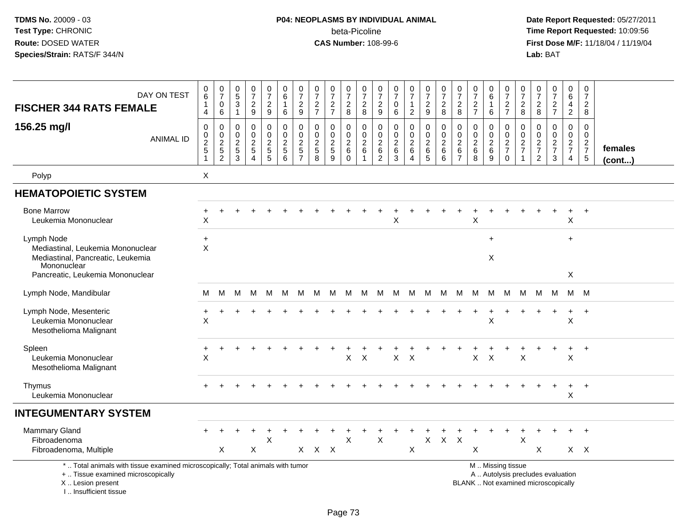# **P04: NEOPLASMS BY INDIVIDUAL ANIMAL**beta-Picoline<br>CAS Number: 108-99-6

| DAY ON TEST<br><b>FISCHER 344 RATS FEMALE</b>                                                                                                                       | $_{6}^{\rm 0}$<br>$\mathbf{1}$<br>4         | $\frac{0}{7}$<br>$\pmb{0}$<br>6                                                      | 0<br>$\sqrt{5}$<br>$\mathbf{3}$<br>$\mathbf{1}$        | $\frac{0}{7}$<br>$\boldsymbol{2}$<br>$9\,$                     | $\frac{0}{7}$<br>$\overline{c}$<br>9                    | $\mathbf 0$<br>$\,6\,$<br>$\overline{1}$<br>6            | 0<br>$\overline{7}$<br>$\overline{c}$<br>9                | $\frac{0}{7}$<br>$\overline{c}$<br>$\overline{7}$                           | $\frac{0}{7}$<br>$\boldsymbol{2}$<br>$\overline{7}$ | $\frac{0}{7}$<br>$\overline{c}$<br>8                         | $\frac{0}{7}$<br>$\sqrt{2}$<br>8                                    | $\frac{0}{7}$<br>$\overline{2}$<br>$\boldsymbol{9}$ | $\frac{0}{7}$<br>$\mathbf 0$<br>6                            | $\frac{0}{7}$<br>$\overline{2}$                                           | $\frac{0}{7}$<br>$\overline{c}$<br>$\boldsymbol{9}$                     | $\begin{array}{c} 0 \\ 7 \end{array}$<br>$\boldsymbol{2}$<br>8 | $\begin{array}{c} 0 \\ 7 \end{array}$<br>$\overline{c}$<br>8 | $\frac{0}{7}$<br>$\sqrt{2}$<br>$\overline{7}$          | $_{6}^{\rm 0}$<br>-1<br>6                    | $\begin{array}{c} 0 \\ 7 \end{array}$<br>$\frac{2}{7}$     | 0<br>$\overline{7}$<br>$\overline{c}$<br>8        | $\frac{0}{7}$<br>$\overline{c}$<br>8                        | $\frac{0}{7}$<br>$\overline{c}$<br>$\overline{7}$                        | $\begin{array}{c} 0 \\ 6 \end{array}$<br>4<br>$\overline{2}$  | $\frac{0}{7}$<br>$\overline{c}$<br>8                           |                   |
|---------------------------------------------------------------------------------------------------------------------------------------------------------------------|---------------------------------------------|--------------------------------------------------------------------------------------|--------------------------------------------------------|----------------------------------------------------------------|---------------------------------------------------------|----------------------------------------------------------|-----------------------------------------------------------|-----------------------------------------------------------------------------|-----------------------------------------------------|--------------------------------------------------------------|---------------------------------------------------------------------|-----------------------------------------------------|--------------------------------------------------------------|---------------------------------------------------------------------------|-------------------------------------------------------------------------|----------------------------------------------------------------|--------------------------------------------------------------|--------------------------------------------------------|----------------------------------------------|------------------------------------------------------------|---------------------------------------------------|-------------------------------------------------------------|--------------------------------------------------------------------------|---------------------------------------------------------------|----------------------------------------------------------------|-------------------|
| 156.25 mg/l<br><b>ANIMAL ID</b>                                                                                                                                     | 0<br>$_2^0$<br>$\sqrt{5}$<br>$\overline{1}$ | $\mathbf 0$<br>$\mathsf{O}\xspace$<br>$\overline{2}$<br>$\sqrt{5}$<br>$\overline{2}$ | $\mathbf{0}$<br>0<br>$\overline{2}$<br>$\sqrt{5}$<br>3 | 0<br>$\mathbf 0$<br>$\sqrt{2}$<br>$\sqrt{5}$<br>$\overline{4}$ | 0<br>$\mathbf 0$<br>$\boldsymbol{2}$<br>$\sqrt{5}$<br>5 | $\Omega$<br>$\mathbf 0$<br>$\sqrt{2}$<br>$\sqrt{5}$<br>6 | 0<br>$\mathbf 0$<br>$\overline{c}$<br>5<br>$\overline{7}$ | $\mathbf 0$<br>$\mathsf{O}\xspace$<br>$\overline{2}$<br>$\overline{5}$<br>8 | $\Omega$<br>$\mathbf 0$<br>$\overline{2}$<br>5<br>9 | 0<br>$\mathbf 0$<br>$\overline{2}$<br>$\,6\,$<br>$\mathbf 0$ | $\mathbf 0$<br>$\mathsf 0$<br>$\sqrt{2}$<br>$\,6\,$<br>$\mathbf{1}$ | 0<br>0<br>$\overline{2}$<br>$\,6\,$<br>2            | $\mathbf 0$<br>$\mathbf 0$<br>$\overline{2}$<br>$\,6\,$<br>3 | $\mathbf 0$<br>$\mathsf 0$<br>$\overline{c}$<br>$\,6\,$<br>$\overline{4}$ | $\mathbf 0$<br>$\mathbf 0$<br>$\boldsymbol{2}$<br>$\,6\,$<br>$\sqrt{5}$ | $\mathbf 0$<br>$\mathsf 0$<br>$\overline{c}$<br>6<br>6         | 0<br>0<br>$\overline{2}$<br>$\,6\,$<br>$\overline{7}$        | $\mathbf 0$<br>$\pmb{0}$<br>$\sqrt{2}$<br>$\,6\,$<br>8 | 0<br>$\mathbf 0$<br>$\sqrt{2}$<br>$\,6$<br>9 | $\mathbf 0$<br>$\mathbf 0$<br>$\frac{2}{7}$<br>$\mathbf 0$ | $\Omega$<br>0<br>$\overline{c}$<br>$\overline{7}$ | 0<br>$\mathsf{O}\xspace$<br>$\frac{2}{7}$<br>$\overline{2}$ | $\mathbf 0$<br>$\mathsf{O}$<br>$\overline{c}$<br>$\overline{7}$<br>3     | $\mathbf 0$<br>$\mathbf 0$<br>$\frac{2}{7}$<br>$\overline{4}$ | $\mathbf 0$<br>$\mathbf 0$<br>$\frac{2}{7}$<br>$5\phantom{.0}$ | females<br>(cont) |
| Polyp                                                                                                                                                               | X                                           |                                                                                      |                                                        |                                                                |                                                         |                                                          |                                                           |                                                                             |                                                     |                                                              |                                                                     |                                                     |                                                              |                                                                           |                                                                         |                                                                |                                                              |                                                        |                                              |                                                            |                                                   |                                                             |                                                                          |                                                               |                                                                |                   |
| <b>HEMATOPOIETIC SYSTEM</b>                                                                                                                                         |                                             |                                                                                      |                                                        |                                                                |                                                         |                                                          |                                                           |                                                                             |                                                     |                                                              |                                                                     |                                                     |                                                              |                                                                           |                                                                         |                                                                |                                                              |                                                        |                                              |                                                            |                                                   |                                                             |                                                                          |                                                               |                                                                |                   |
| <b>Bone Marrow</b><br>Leukemia Mononuclear                                                                                                                          | $\div$<br>X                                 |                                                                                      |                                                        |                                                                |                                                         |                                                          |                                                           |                                                                             |                                                     |                                                              |                                                                     |                                                     | X                                                            |                                                                           |                                                                         |                                                                |                                                              | X                                                      |                                              |                                                            |                                                   |                                                             | $\ddot{}$                                                                | $\ddot{}$<br>X                                                | $+$                                                            |                   |
| Lymph Node                                                                                                                                                          | $\ddot{}$                                   |                                                                                      |                                                        |                                                                |                                                         |                                                          |                                                           |                                                                             |                                                     |                                                              |                                                                     |                                                     |                                                              |                                                                           |                                                                         |                                                                |                                                              |                                                        | $\ddot{}$                                    |                                                            |                                                   |                                                             |                                                                          | $+$                                                           |                                                                |                   |
| Mediastinal, Leukemia Mononuclear<br>Mediastinal, Pancreatic, Leukemia<br>Mononuclear<br>Pancreatic, Leukemia Mononuclear                                           | $\sf X$                                     |                                                                                      |                                                        |                                                                |                                                         |                                                          |                                                           |                                                                             |                                                     |                                                              |                                                                     |                                                     |                                                              |                                                                           |                                                                         |                                                                |                                                              |                                                        | X                                            |                                                            |                                                   |                                                             |                                                                          | X                                                             |                                                                |                   |
|                                                                                                                                                                     |                                             |                                                                                      |                                                        |                                                                |                                                         |                                                          |                                                           |                                                                             |                                                     |                                                              |                                                                     |                                                     |                                                              |                                                                           |                                                                         |                                                                |                                                              |                                                        |                                              |                                                            |                                                   |                                                             |                                                                          |                                                               |                                                                |                   |
| Lymph Node, Mandibular                                                                                                                                              | M                                           | M                                                                                    | м                                                      | M                                                              | M                                                       | M                                                        | M                                                         |                                                                             | M M M M M M M M M M M M                             |                                                              |                                                                     |                                                     |                                                              |                                                                           |                                                                         |                                                                |                                                              |                                                        |                                              |                                                            | M                                                 |                                                             | M M                                                                      | M M                                                           |                                                                |                   |
| Lymph Node, Mesenteric<br>Leukemia Mononuclear<br>Mesothelioma Malignant                                                                                            | $\ddot{}$<br>$\times$                       | $\div$                                                                               |                                                        |                                                                |                                                         |                                                          |                                                           |                                                                             |                                                     |                                                              |                                                                     |                                                     |                                                              |                                                                           |                                                                         |                                                                |                                                              | $\ddot{}$                                              | $\ddot{}$<br>X                               |                                                            |                                                   |                                                             | $\ddot{}$                                                                | $+$<br>X                                                      | $+$                                                            |                   |
| Spleen<br>Leukemia Mononuclear<br>Mesothelioma Malignant                                                                                                            | $\div$<br>X                                 |                                                                                      |                                                        |                                                                |                                                         |                                                          |                                                           |                                                                             |                                                     | X                                                            | $\sf X$                                                             |                                                     | $\mathsf{X}$                                                 | $\times$                                                                  |                                                                         |                                                                |                                                              | X                                                      | $\boldsymbol{\mathsf{X}}$                    |                                                            | X                                                 |                                                             |                                                                          | X                                                             | $+$                                                            |                   |
| Thymus<br>Leukemia Mononuclear                                                                                                                                      |                                             |                                                                                      |                                                        |                                                                |                                                         |                                                          |                                                           |                                                                             |                                                     |                                                              |                                                                     |                                                     |                                                              |                                                                           |                                                                         |                                                                |                                                              |                                                        |                                              |                                                            |                                                   |                                                             |                                                                          | $\ddot{}$<br>X                                                | $+$                                                            |                   |
| <b>INTEGUMENTARY SYSTEM</b>                                                                                                                                         |                                             |                                                                                      |                                                        |                                                                |                                                         |                                                          |                                                           |                                                                             |                                                     |                                                              |                                                                     |                                                     |                                                              |                                                                           |                                                                         |                                                                |                                                              |                                                        |                                              |                                                            |                                                   |                                                             |                                                                          |                                                               |                                                                |                   |
| <b>Mammary Gland</b><br>Fibroadenoma                                                                                                                                |                                             |                                                                                      |                                                        |                                                                | $\sf X$                                                 |                                                          |                                                           |                                                                             |                                                     | X                                                            |                                                                     | $\mathsf{X}$                                        |                                                              |                                                                           | $\pmb{\times}$                                                          | $\mathsf{X}$                                                   | $\pmb{\times}$                                               |                                                        |                                              |                                                            | $\mathsf{X}$                                      |                                                             |                                                                          |                                                               | $+$                                                            |                   |
| Fibroadenoma, Multiple                                                                                                                                              |                                             | X                                                                                    |                                                        | X                                                              |                                                         |                                                          |                                                           | $X$ $X$ $X$                                                                 |                                                     |                                                              |                                                                     |                                                     |                                                              | X                                                                         |                                                                         |                                                                |                                                              | X                                                      |                                              |                                                            |                                                   | $\times$                                                    |                                                                          |                                                               | $X$ $X$                                                        |                   |
| *  Total animals with tissue examined microscopically; Total animals with tumor<br>+  Tissue examined microscopically<br>X  Lesion present<br>I Insufficient tissue |                                             |                                                                                      |                                                        |                                                                |                                                         |                                                          |                                                           |                                                                             |                                                     |                                                              |                                                                     |                                                     |                                                              |                                                                           |                                                                         |                                                                |                                                              |                                                        |                                              | M  Missing tissue                                          |                                                   |                                                             | A  Autolysis precludes evaluation<br>BLANK  Not examined microscopically |                                                               |                                                                |                   |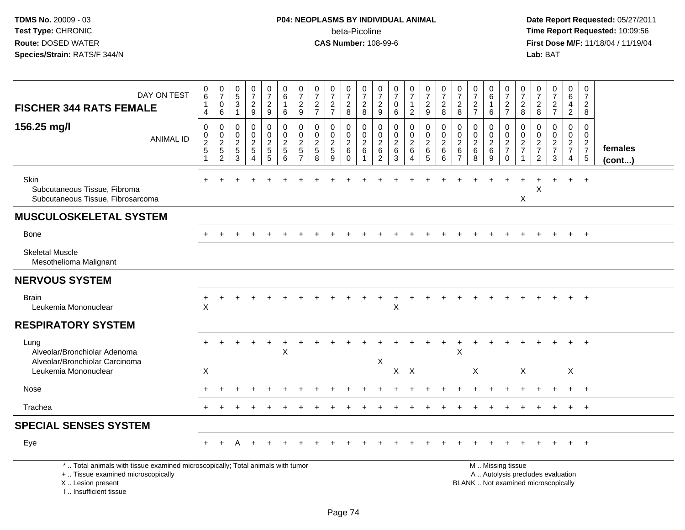| DAY ON TEST<br><b>FISCHER 344 RATS FEMALE</b>                                                                                                                       | 0<br>$6\overline{6}$<br>$\mathbf{1}$<br>$\overline{4}$ | $\begin{array}{c} 0 \\ 7 \end{array}$<br>$\pmb{0}$<br>$\,6$      | $\pmb{0}$<br>$\overline{5}$<br>$\mathsf 3$<br>$\overline{1}$          | $\begin{array}{c} 0 \\ 7 \end{array}$<br>$\frac{2}{9}$           | 0<br>$\overline{7}$<br>$\overline{c}$<br>9      | 0<br>$\,6\,$<br>1<br>6                                            | $\frac{0}{7}$<br>$\overline{c}$<br>9                       | 0<br>$\overline{7}$<br>$\frac{2}{7}$                              | $\begin{array}{c} 0 \\ 7 \end{array}$<br>$\frac{2}{7}$              | $\boldsymbol{0}$<br>$\overline{7}$<br>$_{\rm 8}^2$                 | 0<br>$\overline{7}$<br>$\sqrt{2}$<br>8                  | 0<br>$\overline{7}$<br>$\overline{c}$<br>9                              | 0<br>$\overline{7}$<br>$\pmb{0}$<br>$\,6\,$    | $\frac{0}{7}$<br>$\mathbf{1}$<br>$\overline{2}$              | $\frac{0}{7}$<br>$\overline{c}$<br>9           | $\frac{0}{7}$<br>$\sqrt{2}$<br>8                             | $\frac{0}{7}$<br>$\frac{2}{8}$                  | $\pmb{0}$<br>$\overline{7}$<br>$\frac{2}{7}$       | 0<br>6<br>6                             | $\frac{0}{7}$<br>$\frac{2}{7}$            | 0<br>$\overline{7}$<br>$\overline{c}$<br>8 | 0<br>$\overline{7}$<br>$_{8}^2$                     | $\begin{smallmatrix}0\\7\end{smallmatrix}$<br>$\frac{2}{7}$              | 0<br>6<br>$\overline{\mathbf{4}}$<br>$\overline{2}$ | 0<br>$\overline{7}$<br>$\boldsymbol{2}$<br>8               |                         |
|---------------------------------------------------------------------------------------------------------------------------------------------------------------------|--------------------------------------------------------|------------------------------------------------------------------|-----------------------------------------------------------------------|------------------------------------------------------------------|-------------------------------------------------|-------------------------------------------------------------------|------------------------------------------------------------|-------------------------------------------------------------------|---------------------------------------------------------------------|--------------------------------------------------------------------|---------------------------------------------------------|-------------------------------------------------------------------------|------------------------------------------------|--------------------------------------------------------------|------------------------------------------------|--------------------------------------------------------------|-------------------------------------------------|----------------------------------------------------|-----------------------------------------|-------------------------------------------|--------------------------------------------|-----------------------------------------------------|--------------------------------------------------------------------------|-----------------------------------------------------|------------------------------------------------------------|-------------------------|
| 156.25 mg/l<br><b>ANIMAL ID</b>                                                                                                                                     | $\mathbf 0$<br>$\frac{0}{2}$<br>-1                     | $\boldsymbol{0}$<br>$\pmb{0}$<br>$\frac{2}{5}$<br>$\overline{2}$ | $\mathbf 0$<br>$\mathbf 0$<br>$\boldsymbol{2}$<br>$\overline{5}$<br>3 | $\mathbf 0$<br>$\pmb{0}$<br>$\sqrt{2}$<br>$\sqrt{5}$<br>$\Delta$ | 0<br>$\mathbf 0$<br>$\frac{2}{5}$<br>$\sqrt{5}$ | $\mathbf 0$<br>$\mathbf 0$<br>$\boldsymbol{2}$<br>$\sqrt{5}$<br>6 | 0<br>0<br>$\boldsymbol{2}$<br>$\sqrt{5}$<br>$\overline{7}$ | $\mathbf 0$<br>$\mathbf 0$<br>$\boldsymbol{2}$<br>$\sqrt{5}$<br>8 | $\mathbf 0$<br>$\mathbf 0$<br>$\overline{c}$<br>$\overline{5}$<br>9 | $\mathbf 0$<br>$\mathsf{O}\xspace$<br>$^2\phantom{1}6$<br>$\Omega$ | 0<br>$\mathbf 0$<br>$\overline{2}$<br>6<br>$\mathbf{1}$ | $\mathbf 0$<br>0<br>$\overline{c}$<br>$6\phantom{1}6$<br>$\overline{c}$ | 0<br>$\mathbf 0$<br>$\boldsymbol{2}$<br>6<br>3 | 0<br>$\overline{0}$<br>$\overline{c}$<br>6<br>$\overline{4}$ | 0<br>$\ddot{\mathbf{0}}$<br>$\frac{2}{6}$<br>5 | $\pmb{0}$<br>$\ddot{\mathbf{0}}$<br>$\frac{2}{6}$<br>$\,6\,$ | 0<br>0<br>$\overline{c}$<br>6<br>$\overline{7}$ | $\mathbf 0$<br>$\mathbf 0$<br>$\sqrt{2}$<br>6<br>8 | 0<br>$\mathbf 0$<br>$^{\,2}_{\,6}$<br>9 | 0<br>$\frac{0}{2}$<br>$\mathsf{O}\xspace$ | 0<br>$\mathbf 0$<br>$\frac{2}{7}$<br>1     | $\mathbf 0$<br>0<br>$\frac{2}{7}$<br>$\overline{2}$ | $\mathbf 0$<br>$\mathsf{O}\xspace$<br>$\frac{2}{7}$<br>$\mathbf{3}$      | 0<br>$\mathbf 0$<br>$rac{2}{7}$<br>$\overline{4}$   | $\Omega$<br>$\mathbf 0$<br>$\frac{2}{7}$<br>$\overline{5}$ | females<br>$($ cont $)$ |
| Skin<br>Subcutaneous Tissue, Fibroma<br>Subcutaneous Tissue, Fibrosarcoma                                                                                           |                                                        |                                                                  |                                                                       |                                                                  |                                                 |                                                                   |                                                            |                                                                   |                                                                     |                                                                    |                                                         |                                                                         |                                                |                                                              |                                                |                                                              |                                                 |                                                    |                                         |                                           | Χ                                          | X                                                   |                                                                          | $+$                                                 | $+$                                                        |                         |
| <b>MUSCULOSKELETAL SYSTEM</b>                                                                                                                                       |                                                        |                                                                  |                                                                       |                                                                  |                                                 |                                                                   |                                                            |                                                                   |                                                                     |                                                                    |                                                         |                                                                         |                                                |                                                              |                                                |                                                              |                                                 |                                                    |                                         |                                           |                                            |                                                     |                                                                          |                                                     |                                                            |                         |
| <b>Bone</b>                                                                                                                                                         |                                                        |                                                                  |                                                                       |                                                                  |                                                 |                                                                   |                                                            |                                                                   |                                                                     |                                                                    |                                                         |                                                                         |                                                |                                                              |                                                |                                                              |                                                 |                                                    |                                         |                                           |                                            |                                                     |                                                                          |                                                     | $\overline{+}$                                             |                         |
| <b>Skeletal Muscle</b><br>Mesothelioma Malignant                                                                                                                    |                                                        |                                                                  |                                                                       |                                                                  |                                                 |                                                                   |                                                            |                                                                   |                                                                     |                                                                    |                                                         |                                                                         |                                                |                                                              |                                                |                                                              |                                                 |                                                    |                                         |                                           |                                            |                                                     |                                                                          |                                                     |                                                            |                         |
| <b>NERVOUS SYSTEM</b>                                                                                                                                               |                                                        |                                                                  |                                                                       |                                                                  |                                                 |                                                                   |                                                            |                                                                   |                                                                     |                                                                    |                                                         |                                                                         |                                                |                                                              |                                                |                                                              |                                                 |                                                    |                                         |                                           |                                            |                                                     |                                                                          |                                                     |                                                            |                         |
| <b>Brain</b><br>Leukemia Mononuclear                                                                                                                                | $\ddot{}$<br>$\pmb{\times}$                            | $\ddot{}$                                                        |                                                                       |                                                                  |                                                 |                                                                   |                                                            |                                                                   |                                                                     |                                                                    |                                                         |                                                                         | Χ                                              |                                                              |                                                |                                                              |                                                 |                                                    |                                         |                                           |                                            |                                                     |                                                                          |                                                     | $+$                                                        |                         |
| <b>RESPIRATORY SYSTEM</b>                                                                                                                                           |                                                        |                                                                  |                                                                       |                                                                  |                                                 |                                                                   |                                                            |                                                                   |                                                                     |                                                                    |                                                         |                                                                         |                                                |                                                              |                                                |                                                              |                                                 |                                                    |                                         |                                           |                                            |                                                     |                                                                          |                                                     |                                                            |                         |
| Lung<br>Alveolar/Bronchiolar Adenoma<br>Alveolar/Bronchiolar Carcinoma                                                                                              |                                                        |                                                                  |                                                                       |                                                                  |                                                 | $\times$                                                          |                                                            |                                                                   |                                                                     |                                                                    |                                                         | $\boldsymbol{\mathsf{X}}$                                               |                                                |                                                              |                                                |                                                              | X                                               |                                                    |                                         |                                           |                                            |                                                     |                                                                          |                                                     |                                                            |                         |
| Leukemia Mononuclear                                                                                                                                                | X                                                      |                                                                  |                                                                       |                                                                  |                                                 |                                                                   |                                                            |                                                                   |                                                                     |                                                                    |                                                         |                                                                         |                                                | $X$ $X$                                                      |                                                |                                                              |                                                 | $\mathsf{X}$                                       |                                         |                                           | X                                          |                                                     |                                                                          | X                                                   |                                                            |                         |
| Nose                                                                                                                                                                |                                                        |                                                                  |                                                                       |                                                                  |                                                 |                                                                   |                                                            |                                                                   |                                                                     |                                                                    |                                                         |                                                                         |                                                |                                                              |                                                |                                                              |                                                 |                                                    |                                         |                                           |                                            |                                                     |                                                                          | $\ddot{}$                                           | $\overline{+}$                                             |                         |
| Trachea                                                                                                                                                             |                                                        |                                                                  |                                                                       |                                                                  |                                                 |                                                                   |                                                            |                                                                   |                                                                     |                                                                    |                                                         |                                                                         |                                                |                                                              |                                                |                                                              |                                                 |                                                    |                                         |                                           |                                            |                                                     |                                                                          |                                                     | $\overline{+}$                                             |                         |
| <b>SPECIAL SENSES SYSTEM</b>                                                                                                                                        |                                                        |                                                                  |                                                                       |                                                                  |                                                 |                                                                   |                                                            |                                                                   |                                                                     |                                                                    |                                                         |                                                                         |                                                |                                                              |                                                |                                                              |                                                 |                                                    |                                         |                                           |                                            |                                                     |                                                                          |                                                     |                                                            |                         |
| Eye                                                                                                                                                                 |                                                        |                                                                  |                                                                       |                                                                  |                                                 |                                                                   |                                                            |                                                                   |                                                                     |                                                                    |                                                         |                                                                         |                                                |                                                              |                                                |                                                              |                                                 |                                                    |                                         |                                           |                                            |                                                     |                                                                          | $\ddot{}$                                           | $^{+}$                                                     |                         |
| *  Total animals with tissue examined microscopically; Total animals with tumor<br>+  Tissue examined microscopically<br>X  Lesion present<br>I Insufficient tissue |                                                        |                                                                  |                                                                       |                                                                  |                                                 |                                                                   |                                                            |                                                                   |                                                                     |                                                                    |                                                         |                                                                         |                                                |                                                              |                                                |                                                              |                                                 | M  Missing tissue                                  |                                         |                                           |                                            |                                                     | A  Autolysis precludes evaluation<br>BLANK  Not examined microscopically |                                                     |                                                            |                         |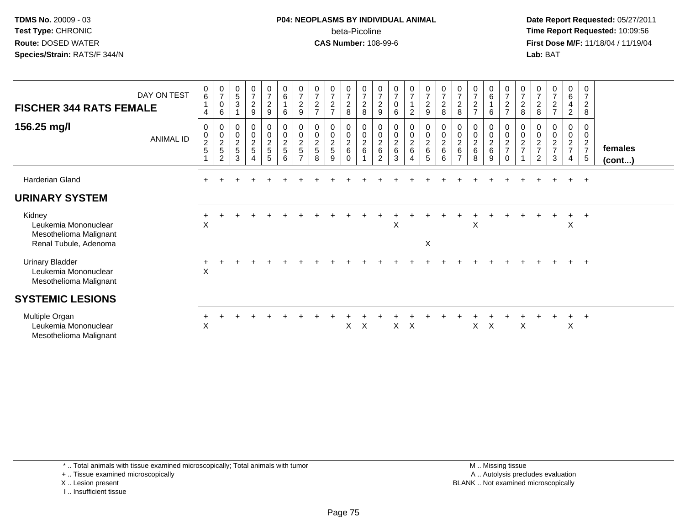### **P04: NEOPLASMS BY INDIVIDUAL ANIMAL**beta-Picoline<br>CAS Number: 108-99-6

 **Date Report Requested:** 05/27/2011 **Time Report Requested:** 10:09:56 **First Dose M/F:** 11/18/04 / 11/19/04<br>**Lab:** BAT **Lab:** BAT

| <b>FISCHER 344 RATS FEMALE</b>                                                    | DAY ON TEST | $\pmb{0}$<br>$\,6\,$<br>$\mathbf{1}$<br>$\overline{4}$         | $\frac{0}{7}$<br>0<br>6                    | $\begin{smallmatrix}0\0\5\end{smallmatrix}$<br>$\sqrt{3}$   | $\frac{0}{7}$<br>$\overline{c}$<br>9                 | $\frac{0}{7}$<br>$\overline{c}$<br>9 | $\begin{array}{c} 0 \\ 6 \end{array}$<br>$\overline{1}$<br>6 | $\frac{0}{7}$<br>$\sqrt{2}$<br>$\boldsymbol{9}$     | $\frac{0}{7}$<br>$\boldsymbol{2}$<br>$\overline{7}$                  | $\frac{0}{7}$<br>$\overline{c}$<br>$\overline{ }$ | $\frac{0}{7}$<br>$\frac{2}{8}$ | $\frac{0}{7}$<br>$\begin{array}{c} 2 \\ 8 \end{array}$ | $\frac{0}{7}$<br>$\overline{c}$<br>9           | $\begin{smallmatrix}0\\7\end{smallmatrix}$<br>$\pmb{0}$<br>6 | $\frac{0}{7}$<br>$\overline{2}$          | $\frac{0}{7}$<br>9      | $\frac{0}{7}$<br>$\frac{2}{8}$             | 0<br>$\overline{7}$<br>$\overline{\mathbf{c}}$<br>8 | $\frac{0}{7}$<br>$\sqrt{2}$<br>$\overline{ }$                 | $0\over 6$<br>6                    | $\begin{array}{c} 0 \\ 7 \\ 2 \end{array}$<br>$\overline{7}$            | 0<br>$\overline{7}$<br>$\overline{\mathbf{c}}$<br>8 | $\frac{0}{7}$<br>$\boldsymbol{2}$<br>8                    | $\frac{0}{7}$<br>$\boldsymbol{2}$<br>$\overline{ }$ | 0<br>6<br>$\overline{a}$<br>$\overline{2}$                             | 0<br>$\overline{7}$<br>$\boldsymbol{2}$<br>8             |                   |
|-----------------------------------------------------------------------------------|-------------|----------------------------------------------------------------|--------------------------------------------|-------------------------------------------------------------|------------------------------------------------------|--------------------------------------|--------------------------------------------------------------|-----------------------------------------------------|----------------------------------------------------------------------|---------------------------------------------------|--------------------------------|--------------------------------------------------------|------------------------------------------------|--------------------------------------------------------------|------------------------------------------|-------------------------|--------------------------------------------|-----------------------------------------------------|---------------------------------------------------------------|------------------------------------|-------------------------------------------------------------------------|-----------------------------------------------------|-----------------------------------------------------------|-----------------------------------------------------|------------------------------------------------------------------------|----------------------------------------------------------|-------------------|
| 156.25 mg/l                                                                       | ANIMAL ID   | 0<br>$\,0\,$<br>$\overline{2}$<br>$\sqrt{5}$<br>$\overline{A}$ | 0<br>$\pmb{0}$<br>$\overline{c}$<br>5<br>2 | 0<br>$\begin{smallmatrix} 0\\2 \end{smallmatrix}$<br>5<br>3 | $\mathbf 0$<br>$\pmb{0}$<br>$\overline{c}$<br>5<br>4 | 0<br>0<br>$\overline{a}$<br>5<br>5   | $_{\rm 0}^{\rm 0}$<br>$\boldsymbol{2}$<br>$\,$ 5 $\,$<br>6   | 0<br>$\pmb{0}$<br>$\sqrt{2}$<br>5<br>$\overline{ }$ | $\boldsymbol{0}$<br>$\pmb{0}$<br>$\boldsymbol{2}$<br>$\sqrt{5}$<br>8 | 0<br>0<br>$\frac{2}{5}$<br>9                      | 0<br>$_2^0$<br>6<br>$\Omega$   | 0<br>$\mathbf 0$<br>$\boldsymbol{2}$<br>$\,6\,$        | $\mathbf 0$<br>$\frac{0}{2}$<br>$\overline{2}$ | $\pmb{0}$<br>$\frac{0}{2}$<br>$\,6\,$<br>3                   | 0<br>0<br>$\overline{a}$<br>$\,6\,$<br>4 | 0<br>$\frac{0}{2}$<br>5 | 0<br>$\pmb{0}$<br>$\overline{c}$<br>6<br>6 | 0<br>0<br>$\overline{c}$<br>6                       | $\pmb{0}$<br>$\mathop{2}\limits^{\mathbb{O}}$<br>$\,6\,$<br>8 | 0<br>0<br>$\overline{2}$<br>6<br>9 | $\begin{matrix} 0 \\ 0 \\ 2 \end{matrix}$<br>$\overline{7}$<br>$\Omega$ | 0<br>0<br>$\overline{\mathbf{c}}$<br>$\overline{ }$ | 0<br>$\boldsymbol{2}$<br>$\overline{7}$<br>$\overline{2}$ | 0<br>0<br>$\overline{c}$<br>$\overline{ }$<br>3     | 0<br>$\mathbf 0$<br>$\overline{c}$<br>$\overline{7}$<br>$\overline{4}$ | 0<br>0<br>$\overline{c}$<br>$\overline{7}$<br>$\sqrt{5}$ | females<br>(cont) |
| Harderian Gland                                                                   |             |                                                                |                                            |                                                             |                                                      |                                      |                                                              |                                                     |                                                                      |                                                   |                                |                                                        |                                                |                                                              |                                          |                         |                                            |                                                     |                                                               |                                    |                                                                         |                                                     |                                                           |                                                     | $\pm$                                                                  | $+$                                                      |                   |
| <b>URINARY SYSTEM</b>                                                             |             |                                                                |                                            |                                                             |                                                      |                                      |                                                              |                                                     |                                                                      |                                                   |                                |                                                        |                                                |                                                              |                                          |                         |                                            |                                                     |                                                               |                                    |                                                                         |                                                     |                                                           |                                                     |                                                                        |                                                          |                   |
| Kidney<br>Leukemia Mononuclear<br>Mesothelioma Malignant<br>Renal Tubule, Adenoma |             | X                                                              |                                            |                                                             |                                                      |                                      |                                                              |                                                     |                                                                      |                                                   |                                |                                                        |                                                | Χ                                                            |                                          | X                       |                                            |                                                     | X                                                             |                                    |                                                                         |                                                     |                                                           | $\ddot{}$                                           | $+$<br>X                                                               | $+$                                                      |                   |
| <b>Urinary Bladder</b><br>Leukemia Mononuclear<br>Mesothelioma Malignant          |             | X                                                              |                                            |                                                             |                                                      |                                      |                                                              |                                                     |                                                                      |                                                   |                                |                                                        |                                                |                                                              |                                          |                         |                                            |                                                     |                                                               |                                    |                                                                         |                                                     |                                                           |                                                     |                                                                        | $+$                                                      |                   |
| <b>SYSTEMIC LESIONS</b>                                                           |             |                                                                |                                            |                                                             |                                                      |                                      |                                                              |                                                     |                                                                      |                                                   |                                |                                                        |                                                |                                                              |                                          |                         |                                            |                                                     |                                                               |                                    |                                                                         |                                                     |                                                           |                                                     |                                                                        |                                                          |                   |
| Multiple Organ<br>Leukemia Mononuclear<br>Mesothelioma Malignant                  |             | X                                                              |                                            |                                                             |                                                      |                                      |                                                              |                                                     |                                                                      |                                                   | X.                             | $\mathsf{X}$                                           |                                                | $\times$                                                     | $\boldsymbol{\mathsf{X}}$                |                         |                                            |                                                     | X.                                                            | X                                  |                                                                         | X                                                   |                                                           |                                                     | $+$<br>X                                                               | $+$                                                      |                   |

+ .. Tissue examined microscopically

X .. Lesion present

I .. Insufficient tissue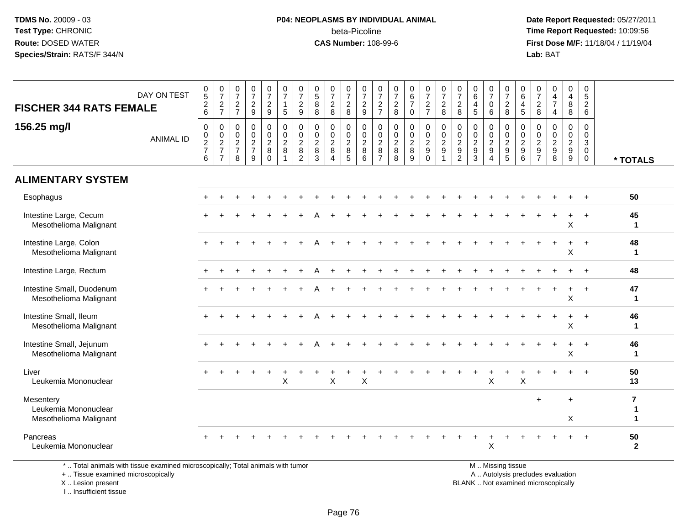# **P04: NEOPLASMS BY INDIVIDUAL ANIMAL**beta-Picoline<br>CAS Number: 108-99-6

 **Date Report Requested:** 05/27/2011 **Time Report Requested:** 10:09:56 **First Dose M/F:** 11/18/04 / 11/19/04<br>**Lab:** BAT **Lab:** BAT

| <b>FISCHER 344 RATS FEMALE</b>                                                  | DAY ON TEST      | $0$<br>5<br>2<br>6                                           | $\frac{0}{7}$<br>$\frac{2}{7}$                                              | $\frac{0}{7}$<br>$\frac{2}{7}$         | $\frac{0}{7}$<br>$\frac{2}{9}$                 | $\frac{0}{7}$<br>$\frac{2}{9}$                              | $\frac{0}{7}$<br>$\mathbf{1}$<br>$5\phantom{.0}$   | $\frac{0}{7}$<br>$\frac{2}{9}$                 | $\begin{smallmatrix}0\0\5\end{smallmatrix}$<br>$\bf 8$<br>8 | $\begin{array}{c} 0 \\ 7 \end{array}$<br>$\frac{2}{8}$ | $\frac{0}{7}$<br>$\frac{2}{8}$                       | $\frac{0}{7}$<br>$\frac{2}{9}$         | $\frac{0}{7}$<br>$\frac{2}{7}$     | $\frac{0}{7}$<br>8                                      | $\begin{array}{c} 0 \\ 6 \\ 7 \end{array}$<br>$\mathbf 0$      | $\frac{0}{7}$<br>$\frac{2}{7}$    | $\frac{0}{7}$<br>$\frac{2}{8}$                                    | $\frac{0}{7}$<br>$\frac{2}{8}$                      | 0<br>$\,6\,$<br>$\overline{4}$<br>$5\phantom{1}$                  | $\frac{0}{7}$<br>$\mathbf 0$<br>6      | 0728                                                      | $_{6}^{\rm 0}$<br>$\overline{4}$<br>5                          | $\frac{0}{7}$<br>$\begin{array}{c} 2 \\ 8 \end{array}$ | $\begin{array}{c} 0 \\ 4 \\ 7 \end{array}$<br>$\overline{4}$   | $\pmb{0}$<br>$\overline{4}$<br>$\frac{8}{8}$ | 0<br>$\sqrt{5}$<br>$\overline{2}$<br>6                        |                                    |
|---------------------------------------------------------------------------------|------------------|--------------------------------------------------------------|-----------------------------------------------------------------------------|----------------------------------------|------------------------------------------------|-------------------------------------------------------------|----------------------------------------------------|------------------------------------------------|-------------------------------------------------------------|--------------------------------------------------------|------------------------------------------------------|----------------------------------------|------------------------------------|---------------------------------------------------------|----------------------------------------------------------------|-----------------------------------|-------------------------------------------------------------------|-----------------------------------------------------|-------------------------------------------------------------------|----------------------------------------|-----------------------------------------------------------|----------------------------------------------------------------|--------------------------------------------------------|----------------------------------------------------------------|----------------------------------------------|---------------------------------------------------------------|------------------------------------|
| 156.25 mg/l                                                                     | <b>ANIMAL ID</b> | $\pmb{0}$<br>$\begin{array}{c} 0 \\ 2 \\ 7 \end{array}$<br>6 | $\mathbf 0$<br>$\begin{array}{c} 0 \\ 2 \\ 7 \end{array}$<br>$\overline{7}$ | $\mathbf 0$<br>0<br>$\frac{2}{7}$<br>8 | $\mathbf 0$<br>$\pmb{0}$<br>$\frac{2}{7}$<br>9 | 0<br>$\begin{array}{c} 0 \\ 2 \\ 8 \end{array}$<br>$\Omega$ | $\boldsymbol{0}$<br>$_{2}^{\rm 0}$<br>$\bf 8$<br>1 | $\mathbf 0$<br>$\frac{0}{2}$<br>$\overline{2}$ | 0<br>0<br>$\sqrt{2}$<br>$\bf 8$<br>3                        | $\pmb{0}$<br>$\frac{0}{2}$<br>$\overline{4}$           | 0<br>$\begin{array}{c} 0 \\ 2 \\ 8 \end{array}$<br>5 | $\boldsymbol{0}$<br>$\frac{0}{2}$<br>6 | 0<br>$_2^0$<br>8<br>$\overline{7}$ | $\pmb{0}$<br>$\begin{array}{c} 0 \\ 2 \\ 8 \end{array}$ | $\mathbf 0$<br>$\begin{array}{c} 0 \\ 2 \\ 8 \\ 9 \end{array}$ | 0<br>$\frac{0}{2}$<br>$\mathbf 0$ | $\begin{array}{c} 0 \\ 0 \\ 2 \\ 9 \end{array}$<br>$\overline{1}$ | 0<br>$\mathbf 0$<br>$\frac{2}{9}$<br>$\overline{2}$ | $\pmb{0}$<br>$\pmb{0}$<br>$\overline{2}$<br>$\boldsymbol{9}$<br>3 | 0<br>$\mathbf 0$<br>$\frac{2}{9}$<br>4 | $\pmb{0}$<br>$\begin{array}{c}\n0 \\ 2 \\ 5\n\end{array}$ | 0<br>$\boldsymbol{0}$<br>$\overline{2}$<br>9<br>$\overline{6}$ | 0<br>0<br>$\begin{array}{c} 2 \\ 9 \\ 7 \end{array}$   | $\mathbf 0$<br>$\begin{array}{c} 0 \\ 2 \\ 9 \\ 8 \end{array}$ | 0<br>0<br>9<br>9                             | $\mathsf 0$<br>$\mathbf 0$<br>3<br>$\mathbf 0$<br>$\mathbf 0$ | * TOTALS                           |
| <b>ALIMENTARY SYSTEM</b>                                                        |                  |                                                              |                                                                             |                                        |                                                |                                                             |                                                    |                                                |                                                             |                                                        |                                                      |                                        |                                    |                                                         |                                                                |                                   |                                                                   |                                                     |                                                                   |                                        |                                                           |                                                                |                                                        |                                                                |                                              |                                                               |                                    |
| Esophagus                                                                       |                  |                                                              |                                                                             |                                        |                                                |                                                             |                                                    |                                                |                                                             |                                                        |                                                      |                                        |                                    |                                                         |                                                                |                                   |                                                                   |                                                     |                                                                   |                                        |                                                           |                                                                |                                                        |                                                                |                                              | $\overline{+}$                                                | 50                                 |
| Intestine Large, Cecum<br>Mesothelioma Malignant                                |                  |                                                              |                                                                             |                                        |                                                |                                                             |                                                    |                                                |                                                             |                                                        |                                                      |                                        |                                    |                                                         |                                                                |                                   |                                                                   |                                                     |                                                                   |                                        |                                                           |                                                                |                                                        |                                                                | +<br>$\sf X$                                 | $+$                                                           | 45<br>1                            |
| Intestine Large, Colon<br>Mesothelioma Malignant                                |                  |                                                              |                                                                             |                                        |                                                |                                                             |                                                    |                                                |                                                             |                                                        |                                                      |                                        |                                    |                                                         |                                                                |                                   |                                                                   |                                                     |                                                                   |                                        |                                                           |                                                                |                                                        |                                                                | $\ddot{}$<br>X                               | $+$                                                           | 48<br>1                            |
| Intestine Large, Rectum                                                         |                  |                                                              |                                                                             |                                        |                                                |                                                             |                                                    |                                                |                                                             |                                                        |                                                      |                                        |                                    |                                                         |                                                                |                                   |                                                                   |                                                     |                                                                   |                                        |                                                           |                                                                |                                                        |                                                                |                                              |                                                               | 48                                 |
| Intestine Small, Duodenum<br>Mesothelioma Malignant                             |                  |                                                              |                                                                             |                                        |                                                |                                                             |                                                    |                                                |                                                             |                                                        |                                                      |                                        |                                    |                                                         |                                                                |                                   |                                                                   |                                                     |                                                                   |                                        |                                                           |                                                                |                                                        |                                                                | $\times$                                     | $\ddot{}$                                                     | 47<br>$\mathbf{1}$                 |
| Intestine Small, Ileum<br>Mesothelioma Malignant                                |                  |                                                              |                                                                             |                                        |                                                |                                                             |                                                    |                                                |                                                             |                                                        |                                                      |                                        |                                    |                                                         |                                                                |                                   |                                                                   |                                                     |                                                                   |                                        |                                                           |                                                                |                                                        |                                                                | $\ddot{}$<br>X                               | $+$                                                           | 46<br>1                            |
| Intestine Small, Jejunum<br>Mesothelioma Malignant                              |                  |                                                              |                                                                             |                                        |                                                |                                                             |                                                    |                                                |                                                             |                                                        |                                                      |                                        |                                    |                                                         |                                                                |                                   |                                                                   |                                                     |                                                                   |                                        |                                                           |                                                                |                                                        |                                                                | $\ddot{}$<br>X                               | $+$                                                           | 46<br>1                            |
| Liver<br>Leukemia Mononuclear                                                   |                  |                                                              |                                                                             |                                        |                                                |                                                             | $\sf X$                                            |                                                |                                                             | $\sf X$                                                |                                                      | $\sf X$                                |                                    |                                                         |                                                                |                                   |                                                                   |                                                     |                                                                   | X                                      |                                                           | $\sf X$                                                        |                                                        |                                                                |                                              |                                                               | 50<br>13                           |
| Mesentery<br>Leukemia Mononuclear<br>Mesothelioma Malignant                     |                  |                                                              |                                                                             |                                        |                                                |                                                             |                                                    |                                                |                                                             |                                                        |                                                      |                                        |                                    |                                                         |                                                                |                                   |                                                                   |                                                     |                                                                   |                                        |                                                           |                                                                | $+$                                                    |                                                                | $+$<br>X                                     |                                                               | $\overline{7}$<br>1<br>$\mathbf 1$ |
| Pancreas<br>Leukemia Mononuclear                                                |                  |                                                              |                                                                             |                                        |                                                |                                                             |                                                    |                                                |                                                             |                                                        |                                                      |                                        |                                    |                                                         |                                                                |                                   |                                                                   |                                                     |                                                                   | X                                      |                                                           |                                                                |                                                        |                                                                |                                              | $+$                                                           | 50<br>$\mathbf{2}$                 |
| *  Total animals with tissue examined microscopically; Total animals with tumor |                  |                                                              |                                                                             |                                        |                                                |                                                             |                                                    |                                                |                                                             |                                                        |                                                      |                                        |                                    |                                                         |                                                                |                                   |                                                                   |                                                     |                                                                   |                                        | M  Missing tissue                                         |                                                                |                                                        |                                                                |                                              |                                                               |                                    |

+ .. Tissue examined microscopically

X .. Lesion present

I .. Insufficient tissue

y the contract of the contract of the contract of the contract of the contract of the contract of the contract of  $A$ . Autolysis precludes evaluation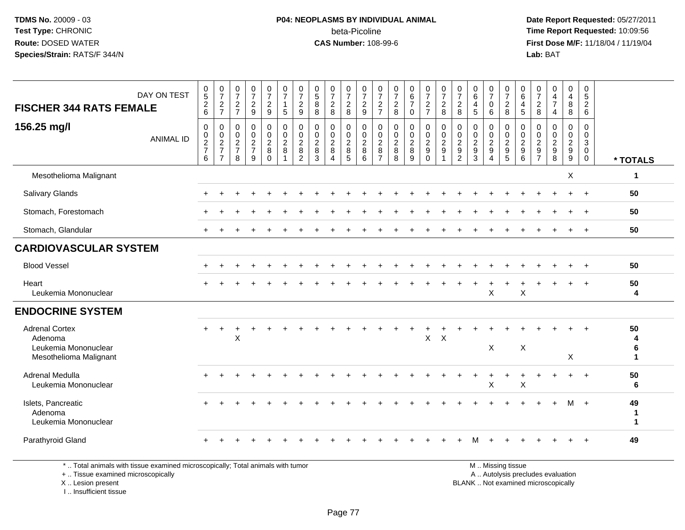### **P04: NEOPLASMS BY INDIVIDUAL ANIMAL**beta-Picoline<br>CAS Number: 108-99-6

 **Date Report Requested:** 05/27/2011 **Time Report Requested:** 10:09:56 **First Dose M/F:** 11/18/04 / 11/19/04<br>**Lab:** BAT **Lab:** BAT

| DAY ON TEST                                                                        | $0$<br>5<br>2<br>6                   | $\frac{0}{7}$                        | $\frac{0}{7}$                     | $\frac{0}{7}$                   | $\frac{0}{7}$                                               | $\frac{0}{7}$<br>$\mathbf{1}$                                     | $\frac{0}{7}$                                           | $\begin{smallmatrix}0\0\5\end{smallmatrix}$          | $\frac{0}{7}$                                                   | $\frac{0}{7}$                                                | $\frac{0}{7}$                                  | $\frac{0}{7}$                                                 | $\frac{0}{7}$           | $\begin{array}{c} 0 \\ 6 \\ 7 \end{array}$ | $\frac{0}{7}$                                                                | $\frac{0}{7}$                                     | $\frac{0}{7}$                                       | $\pmb{0}$<br>$\,6$                                   | $\frac{0}{7}$                                               | $\frac{0}{7}$                                            | $\boldsymbol{0}$<br>$\,6\,$                                         | $\frac{0}{7}$                                                      | 0<br>$\frac{4}{7}$                                          | $\begin{smallmatrix}0\\4\end{smallmatrix}$ | 0<br>$\frac{5}{2}$                                                      |                             |
|------------------------------------------------------------------------------------|--------------------------------------|--------------------------------------|-----------------------------------|---------------------------------|-------------------------------------------------------------|-------------------------------------------------------------------|---------------------------------------------------------|------------------------------------------------------|-----------------------------------------------------------------|--------------------------------------------------------------|------------------------------------------------|---------------------------------------------------------------|-------------------------|--------------------------------------------|------------------------------------------------------------------------------|---------------------------------------------------|-----------------------------------------------------|------------------------------------------------------|-------------------------------------------------------------|----------------------------------------------------------|---------------------------------------------------------------------|--------------------------------------------------------------------|-------------------------------------------------------------|--------------------------------------------|-------------------------------------------------------------------------|-----------------------------|
| <b>FISCHER 344 RATS FEMALE</b>                                                     |                                      | $\frac{2}{7}$                        | $\frac{2}{7}$                     | $\sqrt{2}$<br>$9\,$             | $\overline{a}$<br>$9\,$                                     | $\overline{5}$                                                    | $\frac{2}{9}$                                           | $\bf 8$<br>8                                         | $\frac{2}{8}$                                                   | $\sqrt{2}$<br>$\,8\,$                                        | $\overline{c}$<br>9                            | $\frac{2}{7}$                                                 | $_{8}^2$                | $\mathbf 0$                                | $\frac{2}{7}$                                                                | $\frac{2}{8}$                                     | $\overline{c}$<br>8                                 | $\overline{\mathbf{4}}$<br>$\overline{5}$            | 0<br>6                                                      | $\frac{2}{8}$                                            | $\overline{4}$<br>$\sqrt{5}$                                        | $_{8}^{\rm 2}$                                                     | 4                                                           | $\bf 8$<br>8                               |                                                                         |                             |
| 156.25 mg/l<br><b>ANIMAL ID</b>                                                    | 0<br>$\frac{0}{2}$<br>$6\phantom{a}$ | 0<br>$\frac{0}{2}$<br>$\overline{7}$ | $\mathbf 0$<br>$\frac{0}{2}$<br>8 | $\pmb{0}$<br>$\frac{0}{2}$<br>9 | 0<br>$\mathsf{O}\xspace$<br>$\overline{2}$<br>8<br>$\Omega$ | $\begin{array}{c} 0 \\ 0 \\ 2 \\ 8 \end{array}$<br>$\overline{1}$ | 0<br>$\pmb{0}$<br>$\overline{2}$<br>8<br>$\overline{2}$ | $\mathbf 0$<br>$\pmb{0}$<br>$\overline{c}$<br>8<br>3 | $\pmb{0}$<br>$\frac{0}{2}$<br>$\,8\,$<br>$\boldsymbol{\Lambda}$ | 0<br>$\mathsf{O}\xspace$<br>$\boldsymbol{2}$<br>$\,8\,$<br>5 | $\pmb{0}$<br>$\mathbf 0$<br>$\frac{2}{8}$<br>6 | 0<br>$\pmb{0}$<br>$\overline{c}$<br>$\,8\,$<br>$\overline{7}$ | 0<br>$\frac{0}{2}$<br>8 | 0<br>$\frac{0}{2}$<br>9                    | $\mathbf 0$<br>$\mathbf 0$<br>$\overline{c}$<br>$\boldsymbol{9}$<br>$\Omega$ | $\pmb{0}$<br>$\frac{0}{2}$<br>9<br>$\overline{1}$ | 0<br>$\mathbf 0$<br>$\frac{2}{9}$<br>$\overline{2}$ | $\mathbf 0$<br>$\pmb{0}$<br>$\sqrt{2}$<br>$9\,$<br>3 | 0<br>$\mathbf 0$<br>$\overline{2}$<br>$\boldsymbol{9}$<br>4 | 0<br>$\frac{0}{2}$<br>$\boldsymbol{9}$<br>$\overline{5}$ | $\mathbf 0$<br>$\pmb{0}$<br>$\overline{2}$<br>$\boldsymbol{9}$<br>6 | $\mathbf 0$<br>$\boldsymbol{0}$<br>$\frac{2}{9}$<br>$\overline{7}$ | 0<br>$\mathbf 0$<br>$\overline{2}$<br>$\boldsymbol{9}$<br>8 | 0<br>$\mathbf 0$<br>$\frac{2}{9}$          | $\mathbf 0$<br>$\pmb{0}$<br>$\mathbf{3}$<br>$\mathbf 0$<br>$\mathbf{0}$ | * TOTALS                    |
| Mesothelioma Malignant                                                             |                                      |                                      |                                   |                                 |                                                             |                                                                   |                                                         |                                                      |                                                                 |                                                              |                                                |                                                               |                         |                                            |                                                                              |                                                   |                                                     |                                                      |                                                             |                                                          |                                                                     |                                                                    |                                                             | X                                          |                                                                         | $\mathbf{1}$                |
| <b>Salivary Glands</b>                                                             |                                      |                                      |                                   |                                 |                                                             |                                                                   |                                                         |                                                      |                                                                 |                                                              |                                                |                                                               |                         |                                            |                                                                              |                                                   |                                                     |                                                      |                                                             |                                                          |                                                                     |                                                                    |                                                             |                                            | $\overline{+}$                                                          | 50                          |
| Stomach, Forestomach                                                               |                                      |                                      |                                   |                                 |                                                             |                                                                   |                                                         |                                                      |                                                                 |                                                              |                                                |                                                               |                         |                                            |                                                                              |                                                   |                                                     |                                                      |                                                             |                                                          |                                                                     |                                                                    |                                                             |                                            | $^+$                                                                    | 50                          |
| Stomach, Glandular                                                                 |                                      |                                      |                                   |                                 |                                                             |                                                                   |                                                         |                                                      |                                                                 |                                                              |                                                |                                                               |                         |                                            |                                                                              |                                                   |                                                     |                                                      |                                                             |                                                          |                                                                     |                                                                    |                                                             |                                            |                                                                         | 50                          |
| <b>CARDIOVASCULAR SYSTEM</b>                                                       |                                      |                                      |                                   |                                 |                                                             |                                                                   |                                                         |                                                      |                                                                 |                                                              |                                                |                                                               |                         |                                            |                                                                              |                                                   |                                                     |                                                      |                                                             |                                                          |                                                                     |                                                                    |                                                             |                                            |                                                                         |                             |
| <b>Blood Vessel</b>                                                                |                                      |                                      |                                   |                                 |                                                             |                                                                   |                                                         |                                                      |                                                                 |                                                              |                                                |                                                               |                         |                                            |                                                                              |                                                   |                                                     |                                                      |                                                             |                                                          |                                                                     |                                                                    |                                                             |                                            |                                                                         | 50                          |
| Heart<br>Leukemia Mononuclear                                                      |                                      |                                      |                                   |                                 |                                                             |                                                                   |                                                         |                                                      |                                                                 |                                                              |                                                |                                                               |                         |                                            |                                                                              |                                                   |                                                     |                                                      | X                                                           |                                                          | X                                                                   |                                                                    |                                                             |                                            | $\overline{+}$                                                          | 50<br>4                     |
| <b>ENDOCRINE SYSTEM</b>                                                            |                                      |                                      |                                   |                                 |                                                             |                                                                   |                                                         |                                                      |                                                                 |                                                              |                                                |                                                               |                         |                                            |                                                                              |                                                   |                                                     |                                                      |                                                             |                                                          |                                                                     |                                                                    |                                                             |                                            |                                                                         |                             |
| <b>Adrenal Cortex</b><br>Adenoma<br>Leukemia Mononuclear<br>Mesothelioma Malignant |                                      |                                      | X                                 |                                 |                                                             |                                                                   |                                                         |                                                      |                                                                 |                                                              |                                                |                                                               |                         |                                            | $\mathsf{X}$                                                                 | X                                                 |                                                     |                                                      | X                                                           |                                                          | X                                                                   |                                                                    |                                                             | X                                          |                                                                         | 50<br>4<br>6<br>$\mathbf 1$ |
| <b>Adrenal Medulla</b><br>Leukemia Mononuclear                                     |                                      |                                      |                                   |                                 |                                                             |                                                                   |                                                         |                                                      |                                                                 |                                                              |                                                |                                                               |                         |                                            |                                                                              |                                                   |                                                     |                                                      | X                                                           |                                                          | $\mathsf X$                                                         |                                                                    |                                                             |                                            | $+$                                                                     | 50<br>6                     |
| Islets, Pancreatic<br>Adenoma<br>Leukemia Mononuclear                              |                                      |                                      |                                   |                                 |                                                             |                                                                   |                                                         |                                                      |                                                                 |                                                              |                                                |                                                               |                         |                                            |                                                                              |                                                   |                                                     |                                                      |                                                             |                                                          |                                                                     |                                                                    |                                                             |                                            | M +                                                                     | 49<br>-1<br>$\mathbf 1$     |
| Parathyroid Gland                                                                  |                                      |                                      |                                   |                                 |                                                             |                                                                   |                                                         |                                                      |                                                                 |                                                              |                                                |                                                               |                         |                                            |                                                                              |                                                   |                                                     |                                                      |                                                             |                                                          |                                                                     |                                                                    |                                                             |                                            |                                                                         | 49                          |

\* .. Total animals with tissue examined microscopically; Total animals with tumor

+ .. Tissue examined microscopically

X .. Lesion present

I .. Insufficient tissue

M .. Missing tissue

y the contract of the contract of the contract of the contract of the contract of the contract of the contract of  $A$ . Autolysis precludes evaluation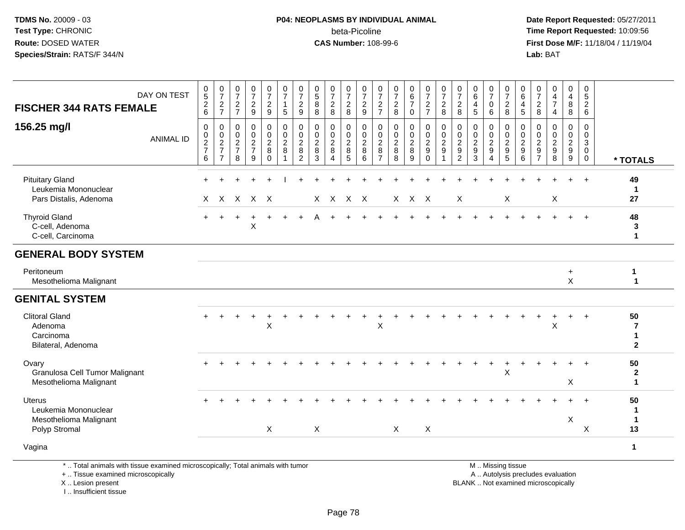# **P04: NEOPLASMS BY INDIVIDUAL ANIMAL**beta-Picoline<br>CAS Number: 108-99-6

 **Date Report Requested:** 05/27/2011 **Time Report Requested:** 10:09:56 **First Dose M/F:** 11/18/04 / 11/19/04<br>**Lab:** BAT **Lab:** BAT

| <b>FISCHER 344 RATS FEMALE</b>                                                                                        | DAY ON TEST      | $\begin{matrix} 0 \\ 5 \end{matrix}$<br>$\frac{2}{6}$            | $\frac{0}{7}$<br>$\overline{a}$<br>$\overline{7}$ | $\frac{0}{7}$<br>$\sqrt{2}$<br>$\overline{7}$ | $\frac{0}{7}$<br>$\boldsymbol{2}$<br>$9\,$ | $\frac{0}{7}$<br>$\overline{c}$<br>$9\,$        | $\begin{array}{c} 0 \\ 7 \end{array}$<br>$\mathbf{1}$<br>$\sqrt{5}$       | $\frac{0}{7}$<br>$\overline{c}$<br>9            | $\begin{array}{c} 0 \\ 5 \end{array}$<br>$\bf 8$<br>8           | $\frac{0}{7}$<br>$\overline{c}$<br>8            | $\frac{0}{7}$<br>$\overline{c}$<br>8                 | $\frac{0}{7}$<br>$\boldsymbol{2}$<br>9                                           | 0<br>$\overline{7}$<br>$\overline{2}$<br>$\overline{7}$   | $\frac{0}{7}$<br>$\overline{c}$<br>8             | $_{6}^{\rm 0}$<br>$\overline{7}$<br>$\mathbf 0$    | $\frac{0}{7}$<br>$\frac{2}{7}$                      | $\frac{0}{7}$<br>$\overline{c}$<br>8                               | 0<br>$\overline{7}$<br>$\overline{c}$<br>8 | $\begin{array}{c} 0 \\ 6 \end{array}$<br>$\overline{4}$<br>5 | 0<br>$\overline{7}$<br>0<br>$\,6\,$    | $\frac{0}{7}$<br>$\overline{c}$<br>8                          | 0<br>$6\overline{6}$<br>4<br>5                                        | $\frac{0}{7}$<br>$\overline{c}$<br>8                           | $_4^{\rm 0}$<br>$\overline{7}$<br>$\overline{4}$ | 0<br>$\overline{4}$<br>8<br>8                                               | $\mathbf 0$<br>$\overline{5}$<br>$\boldsymbol{2}$<br>6        |                                                    |
|-----------------------------------------------------------------------------------------------------------------------|------------------|------------------------------------------------------------------|---------------------------------------------------|-----------------------------------------------|--------------------------------------------|-------------------------------------------------|---------------------------------------------------------------------------|-------------------------------------------------|-----------------------------------------------------------------|-------------------------------------------------|------------------------------------------------------|----------------------------------------------------------------------------------|-----------------------------------------------------------|--------------------------------------------------|----------------------------------------------------|-----------------------------------------------------|--------------------------------------------------------------------|--------------------------------------------|--------------------------------------------------------------|----------------------------------------|---------------------------------------------------------------|-----------------------------------------------------------------------|----------------------------------------------------------------|--------------------------------------------------|-----------------------------------------------------------------------------|---------------------------------------------------------------|----------------------------------------------------|
| 156.25 mg/l                                                                                                           | <b>ANIMAL ID</b> | $\pmb{0}$<br>$\begin{array}{c} 0 \\ 2 \\ 7 \end{array}$<br>$\,6$ | 0<br>0<br>$\frac{2}{7}$<br>$\overline{7}$         | 0<br>$\mathbf 0$<br>$\frac{2}{7}$<br>8        | $\pmb{0}$<br>$\frac{0}{2}$<br>9            | 0<br>$\pmb{0}$<br>$_{8}^{\rm 2}$<br>$\mathbf 0$ | $\mathbf 0$<br>$\begin{array}{c} 0 \\ 2 \\ 8 \end{array}$<br>$\mathbf{1}$ | 0<br>0<br>$\overline{2}$<br>8<br>$\overline{c}$ | 0<br>$\mathbf 0$<br>$\overline{2}$<br>$\bf 8$<br>$\overline{3}$ | 0<br>0<br>$\overline{2}$<br>$\overline{8}$<br>4 | 0<br>$\mathbf 0$<br>$_{8}^{\rm 2}$<br>$\overline{5}$ | $\mathbf 0$<br>$\mathbf 0$<br>$\overline{2}$<br>$\overline{8}$<br>$6\phantom{1}$ | 0<br>$\mathbf 0$<br>$\overline{2}$<br>8<br>$\overline{7}$ | $\mathbf 0$<br>$\mathbf 0$<br>$\frac{2}{8}$<br>8 | 0<br>$\mathbf 0$<br>$\overline{c}$<br>$\bf 8$<br>9 | $\mathbf 0$<br>$\frac{0}{2}$<br>$\ddot{\mathbf{0}}$ | $\pmb{0}$<br>$^{\rm 0}_{\rm 2}$<br>$\boldsymbol{9}$<br>$\mathbf 1$ | 0<br>0<br>$\frac{2}{9}$<br>$\overline{c}$  | $\mathbf 0$<br>$\frac{0}{2}$<br>$\overline{3}$               | 0<br>$\mathbf 0$<br>$\frac{2}{9}$<br>4 | $\mathbf 0$<br>$\mathbf 0$<br>$\frac{2}{9}$<br>$\overline{5}$ | $\mathbf 0$<br>$\mathbf 0$<br>$\overline{2}$<br>$\boldsymbol{9}$<br>6 | 0<br>$\mathbf 0$<br>$\begin{array}{c} 2 \\ 9 \\ 7 \end{array}$ | 0<br>$0$<br>$9$<br>$8$                           | $\mathbf 0$<br>$\overline{0}$<br>$\begin{array}{c} 2 \\ 9 \\ 9 \end{array}$ | $\mathbf 0$<br>$\mathbf 0$<br>3<br>$\mathbf 0$<br>$\mathbf 0$ | * TOTALS                                           |
| <b>Pituitary Gland</b><br>Leukemia Mononuclear<br>Pars Distalis, Adenoma                                              |                  | X.                                                               |                                                   |                                               | X X X X                                    |                                                 |                                                                           |                                                 |                                                                 | $X$ $X$                                         | $X$ $X$                                              |                                                                                  |                                                           |                                                  | X X X                                              |                                                     |                                                                    | X                                          |                                                              |                                        | X                                                             |                                                                       |                                                                | X                                                |                                                                             |                                                               | 49<br>$\mathbf 1$<br>27                            |
| <b>Thyroid Gland</b><br>C-cell, Adenoma<br>C-cell, Carcinoma                                                          |                  |                                                                  |                                                   |                                               | X                                          |                                                 |                                                                           |                                                 |                                                                 |                                                 |                                                      |                                                                                  |                                                           |                                                  |                                                    |                                                     |                                                                    |                                            |                                                              |                                        |                                                               |                                                                       |                                                                |                                                  |                                                                             | $+$                                                           | 48<br>3<br>$\mathbf 1$                             |
| <b>GENERAL BODY SYSTEM</b>                                                                                            |                  |                                                                  |                                                   |                                               |                                            |                                                 |                                                                           |                                                 |                                                                 |                                                 |                                                      |                                                                                  |                                                           |                                                  |                                                    |                                                     |                                                                    |                                            |                                                              |                                        |                                                               |                                                                       |                                                                |                                                  |                                                                             |                                                               |                                                    |
| Peritoneum<br>Mesothelioma Malignant                                                                                  |                  |                                                                  |                                                   |                                               |                                            |                                                 |                                                                           |                                                 |                                                                 |                                                 |                                                      |                                                                                  |                                                           |                                                  |                                                    |                                                     |                                                                    |                                            |                                                              |                                        |                                                               |                                                                       |                                                                |                                                  | $\ddot{}$<br>X                                                              |                                                               | 1<br>$\mathbf{1}$                                  |
| <b>GENITAL SYSTEM</b>                                                                                                 |                  |                                                                  |                                                   |                                               |                                            |                                                 |                                                                           |                                                 |                                                                 |                                                 |                                                      |                                                                                  |                                                           |                                                  |                                                    |                                                     |                                                                    |                                            |                                                              |                                        |                                                               |                                                                       |                                                                |                                                  |                                                                             |                                                               |                                                    |
| <b>Clitoral Gland</b><br>Adenoma<br>Carcinoma<br>Bilateral, Adenoma                                                   |                  | $+$                                                              |                                                   |                                               |                                            | X                                               |                                                                           |                                                 |                                                                 |                                                 |                                                      |                                                                                  | X                                                         |                                                  |                                                    |                                                     |                                                                    |                                            |                                                              |                                        |                                                               |                                                                       |                                                                | X                                                |                                                                             | $\ddot{}$                                                     | 50<br>$\overline{7}$<br>$\mathbf 1$<br>$\mathbf 2$ |
| Ovary<br>Granulosa Cell Tumor Malignant<br>Mesothelioma Malignant                                                     |                  |                                                                  |                                                   |                                               |                                            |                                                 |                                                                           |                                                 |                                                                 |                                                 |                                                      |                                                                                  |                                                           |                                                  |                                                    |                                                     |                                                                    |                                            |                                                              | $+$                                    | $\ddot{}$<br>X                                                |                                                                       |                                                                |                                                  | X                                                                           | $+$                                                           | 50<br>$\mathbf{2}$<br>$\blacktriangleleft$         |
| <b>Uterus</b><br>Leukemia Mononuclear<br>Mesothelioma Malignant<br>Polyp Stromal                                      |                  |                                                                  |                                                   |                                               |                                            | X                                               |                                                                           |                                                 | X                                                               |                                                 |                                                      |                                                                                  |                                                           | $\sf X$                                          |                                                    | X                                                   |                                                                    |                                            |                                                              |                                        |                                                               |                                                                       |                                                                |                                                  | X                                                                           | $+$<br>X                                                      | 50<br>1<br>$\mathbf 1$<br>13                       |
| Vagina                                                                                                                |                  |                                                                  |                                                   |                                               |                                            |                                                 |                                                                           |                                                 |                                                                 |                                                 |                                                      |                                                                                  |                                                           |                                                  |                                                    |                                                     |                                                                    |                                            |                                                              |                                        |                                                               |                                                                       |                                                                |                                                  |                                                                             |                                                               | $\mathbf{1}$                                       |
| *  Total animals with tissue examined microscopically; Total animals with tumor<br>+  Tissue examined microscopically |                  |                                                                  |                                                   |                                               |                                            |                                                 |                                                                           |                                                 |                                                                 |                                                 |                                                      |                                                                                  |                                                           |                                                  |                                                    |                                                     |                                                                    |                                            |                                                              |                                        | M  Missing tissue<br>A  Autolysis precludes evaluation        |                                                                       |                                                                |                                                  |                                                                             |                                                               |                                                    |

X .. Lesion present

I .. Insufficient tissue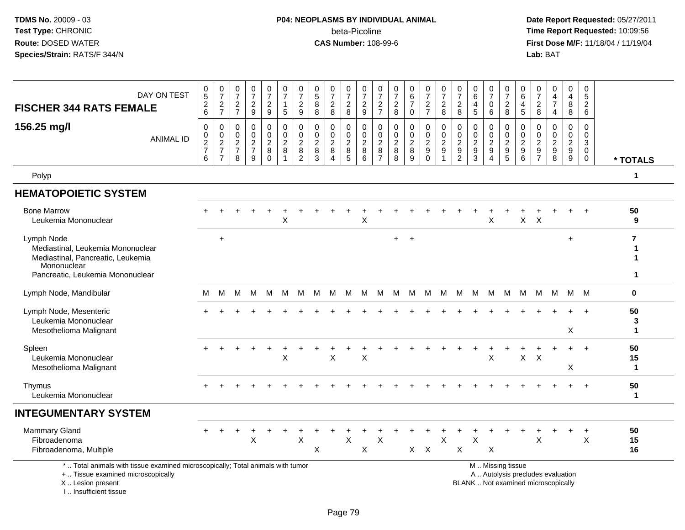# **P04: NEOPLASMS BY INDIVIDUAL ANIMAL**beta-Picoline<br>CAS Number: 108-99-6

 **Date Report Requested:** 05/27/2011 **Time Report Requested:** 10:09:56 **First Dose M/F:** 11/18/04 / 11/19/04<br>**Lab:** BAT **Lab:** BAT

| DAY ON TEST<br><b>FISCHER 344 RATS FEMALE</b>                                                                                              | $\begin{array}{c} 0 \\ 5 \end{array}$<br>$^2\phantom{1}6$ | $\frac{0}{7}$<br>$\frac{2}{7}$                                | $\pmb{0}$<br>$\overline{7}$<br>$\frac{2}{7}$     | $\frac{0}{7}$<br>$\frac{2}{9}$                   | $\frac{0}{7}$<br>$\frac{2}{9}$                                         | $\frac{0}{7}$<br>$\mathbf{1}$<br>$\overline{5}$ | $\frac{0}{7}$<br>$\frac{2}{9}$                               | 0<br>$\overline{5}$<br>8<br>8                       | $\pmb{0}$<br>$\overline{7}$<br>$\frac{2}{8}$                                    | $\frac{0}{7}$<br>$\frac{2}{8}$        | 0<br>$\overline{7}$<br>$\frac{2}{9}$             | $\frac{0}{7}$<br>$\frac{2}{7}$                                 | 0<br>$\overline{7}$<br>$\frac{2}{8}$   | $\begin{array}{c} 0 \\ 6 \end{array}$<br>$\overline{7}$<br>$\mathbf 0$ | $\frac{0}{7}$<br>$\frac{2}{7}$                   | 0<br>$\overline{7}$<br>$\frac{2}{8}$             | $\frac{0}{7}$<br>$\overline{2}$<br>8                        | 0<br>6<br>$\overline{\mathbf{4}}$<br>$\sqrt{5}$ | $\frac{0}{7}$<br>0<br>6                                                            | 0<br>$\overline{7}$<br>$_{\rm 8}^2$                       | 0<br>$\,6\,$<br>4<br>$\overline{5}$                                    | 0<br>$\overline{7}$<br>$\overline{c}$<br>8                 | 0<br>$\overline{4}$<br>$\overline{7}$<br>$\overline{4}$                  | 0<br>$\overline{4}$<br>8<br>8                    | 0<br>5<br>$\overline{c}$<br>6                                 |                                |
|--------------------------------------------------------------------------------------------------------------------------------------------|-----------------------------------------------------------|---------------------------------------------------------------|--------------------------------------------------|--------------------------------------------------|------------------------------------------------------------------------|-------------------------------------------------|--------------------------------------------------------------|-----------------------------------------------------|---------------------------------------------------------------------------------|---------------------------------------|--------------------------------------------------|----------------------------------------------------------------|----------------------------------------|------------------------------------------------------------------------|--------------------------------------------------|--------------------------------------------------|-------------------------------------------------------------|-------------------------------------------------|------------------------------------------------------------------------------------|-----------------------------------------------------------|------------------------------------------------------------------------|------------------------------------------------------------|--------------------------------------------------------------------------|--------------------------------------------------|---------------------------------------------------------------|--------------------------------|
| 156.25 mg/l<br><b>ANIMAL ID</b>                                                                                                            | $\mathbf 0$<br>$\mathbf 0$<br>$\frac{2}{7}$<br>6          | $\mathbf 0$<br>$\mathbf 0$<br>$\frac{2}{7}$<br>$\overline{7}$ | $\mathbf 0$<br>$\mathbf 0$<br>$\frac{2}{7}$<br>8 | $\mathbf 0$<br>$\mathbf 0$<br>$\frac{2}{7}$<br>9 | $\mathsf 0$<br>$\mathbf 0$<br>$\overline{c}$<br>$\bf 8$<br>$\mathbf 0$ | 0<br>$\mathbf 0$<br>$_{8}^2$                    | $\mathbf 0$<br>$\mathbf 0$<br>$_{\rm 8}^2$<br>$\overline{c}$ | $\mathbf 0$<br>$\Omega$<br>$\overline{c}$<br>8<br>3 | $\Omega$<br>$\mathbf 0$<br>$\boldsymbol{2}$<br>$\, 8$<br>$\boldsymbol{\Lambda}$ | 0<br>$\mathbf 0$<br>$_{\rm 8}^2$<br>5 | $\mathbf 0$<br>$\mathbf 0$<br>$\frac{2}{8}$<br>6 | $\mathbf 0$<br>$\mathbf 0$<br>$_{8}^{\rm 2}$<br>$\overline{7}$ | 0<br>$\mathbf 0$<br>$\frac{2}{8}$<br>8 | $\mathbf 0$<br>$\pmb{0}$<br>$\frac{2}{8}$<br>$\overline{9}$            | 0<br>$\mathbf 0$<br>$\frac{2}{9}$<br>$\mathbf 0$ | $\mathbf 0$<br>$\mathbf 0$<br>$\frac{2}{9}$<br>1 | $\mathbf 0$<br>$\pmb{0}$<br>$\frac{2}{9}$<br>$\overline{c}$ | $\Omega$<br>$\mathbf 0$<br>$\frac{2}{9}$<br>3   | $\mathbf 0$<br>$\mathbf 0$<br>$\overline{c}$<br>$\boldsymbol{9}$<br>$\overline{4}$ | $\mathbf 0$<br>$\mathbf 0$<br>$\frac{2}{9}$<br>$\sqrt{5}$ | 0<br>$\Omega$<br>$\overline{c}$<br>$\boldsymbol{9}$<br>$6\phantom{1}6$ | $\mathbf 0$<br>$\Omega$<br>$\frac{2}{9}$<br>$\overline{7}$ | $\mathbf 0$<br>$\mathbf 0$<br>$\frac{2}{9}$<br>8                         | $\mathbf 0$<br>$\mathbf 0$<br>$\frac{2}{9}$<br>9 | $\mathbf 0$<br>$\mathbf 0$<br>3<br>$\mathbf 0$<br>$\mathbf 0$ | * TOTALS                       |
| Polyp                                                                                                                                      |                                                           |                                                               |                                                  |                                                  |                                                                        |                                                 |                                                              |                                                     |                                                                                 |                                       |                                                  |                                                                |                                        |                                                                        |                                                  |                                                  |                                                             |                                                 |                                                                                    |                                                           |                                                                        |                                                            |                                                                          |                                                  |                                                               | $\mathbf 1$                    |
| <b>HEMATOPOIETIC SYSTEM</b>                                                                                                                |                                                           |                                                               |                                                  |                                                  |                                                                        |                                                 |                                                              |                                                     |                                                                                 |                                       |                                                  |                                                                |                                        |                                                                        |                                                  |                                                  |                                                             |                                                 |                                                                                    |                                                           |                                                                        |                                                            |                                                                          |                                                  |                                                               |                                |
| <b>Bone Marrow</b><br>Leukemia Mononuclear                                                                                                 |                                                           |                                                               |                                                  |                                                  |                                                                        | $\sf X$                                         |                                                              |                                                     |                                                                                 |                                       | X                                                |                                                                |                                        |                                                                        |                                                  |                                                  |                                                             |                                                 | X                                                                                  |                                                           | X                                                                      | $\times$                                                   |                                                                          |                                                  |                                                               | 50<br>9                        |
| Lymph Node<br>Mediastinal, Leukemia Mononuclear<br>Mediastinal, Pancreatic, Leukemia<br>Mononuclear<br>Pancreatic, Leukemia Mononuclear    |                                                           | $\ddot{}$                                                     |                                                  |                                                  |                                                                        |                                                 |                                                              |                                                     |                                                                                 |                                       |                                                  |                                                                | $\ddot{}$                              | $\overline{1}$                                                         |                                                  |                                                  |                                                             |                                                 |                                                                                    |                                                           |                                                                        |                                                            |                                                                          | $\ddot{}$                                        |                                                               | $\overline{7}$<br>-1<br>1<br>1 |
| Lymph Node, Mandibular                                                                                                                     | м                                                         | м                                                             | М                                                | M                                                | M                                                                      | M                                               | M                                                            | м                                                   | M                                                                               | M                                     | M                                                |                                                                | M M M M M M                            |                                                                        |                                                  |                                                  |                                                             |                                                 | M M M                                                                              |                                                           | M                                                                      | M                                                          |                                                                          | M M M                                            |                                                               | 0                              |
| Lymph Node, Mesenteric<br>Leukemia Mononuclear<br>Mesothelioma Malignant                                                                   |                                                           |                                                               |                                                  |                                                  |                                                                        |                                                 |                                                              |                                                     |                                                                                 |                                       |                                                  |                                                                |                                        |                                                                        |                                                  |                                                  |                                                             |                                                 |                                                                                    |                                                           |                                                                        |                                                            |                                                                          | X                                                |                                                               | 50<br>3<br>$\mathbf 1$         |
| Spleen<br>Leukemia Mononuclear<br>Mesothelioma Malignant                                                                                   |                                                           |                                                               |                                                  |                                                  | $\ddot{}$                                                              | $\ddot{}$<br>X                                  |                                                              |                                                     | X                                                                               |                                       | $\sf X$                                          |                                                                |                                        |                                                                        |                                                  |                                                  |                                                             |                                                 | X                                                                                  |                                                           | $\mathsf{X}$                                                           | X                                                          |                                                                          | X                                                | $\div$                                                        | 50<br>15<br>$\mathbf{1}$       |
| Thymus<br>Leukemia Mononuclear                                                                                                             |                                                           |                                                               |                                                  |                                                  |                                                                        |                                                 |                                                              |                                                     |                                                                                 |                                       |                                                  |                                                                |                                        |                                                                        |                                                  |                                                  |                                                             |                                                 |                                                                                    |                                                           |                                                                        |                                                            |                                                                          |                                                  |                                                               | 50<br>$\mathbf{1}$             |
| <b>INTEGUMENTARY SYSTEM</b>                                                                                                                |                                                           |                                                               |                                                  |                                                  |                                                                        |                                                 |                                                              |                                                     |                                                                                 |                                       |                                                  |                                                                |                                        |                                                                        |                                                  |                                                  |                                                             |                                                 |                                                                                    |                                                           |                                                                        |                                                            |                                                                          |                                                  |                                                               |                                |
| <b>Mammary Gland</b><br>Fibroadenoma<br>Fibroadenoma, Multiple                                                                             |                                                           |                                                               |                                                  | X                                                |                                                                        |                                                 | $\times$                                                     | X                                                   |                                                                                 | $\times$                              | X                                                | X                                                              |                                        | $X -$                                                                  | $\boldsymbol{\mathsf{X}}$                        | $\mathsf{X}$                                     | $\pmb{\times}$                                              | X                                               | X                                                                                  |                                                           |                                                                        | X                                                          |                                                                          |                                                  | $\ddot{}$<br>X                                                | 50<br>15<br>16                 |
| *  Total animals with tissue examined microscopically; Total animals with tumor<br>+  Tissue examined microscopically<br>X  Lesion present |                                                           |                                                               |                                                  |                                                  |                                                                        |                                                 |                                                              |                                                     |                                                                                 |                                       |                                                  |                                                                |                                        |                                                                        |                                                  |                                                  |                                                             |                                                 |                                                                                    | M  Missing tissue                                         |                                                                        |                                                            | A  Autolysis precludes evaluation<br>BLANK  Not examined microscopically |                                                  |                                                               |                                |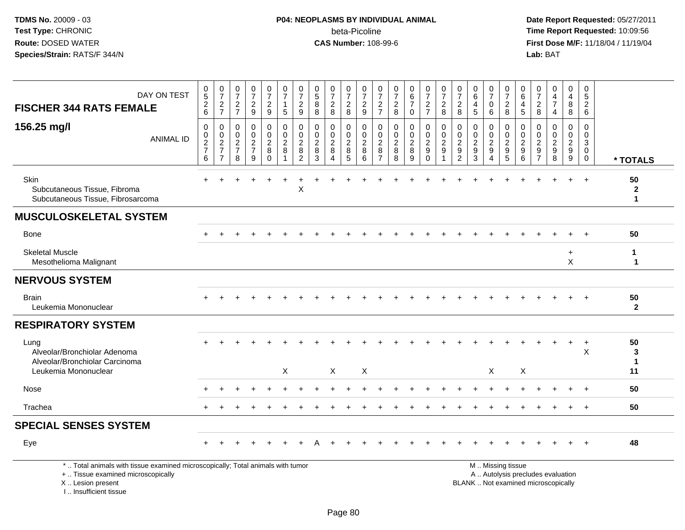# **P04: NEOPLASMS BY INDIVIDUAL ANIMAL**beta-Picoline<br>CAS Number: 108-99-6

| DAY ON TEST<br><b>FISCHER 344 RATS FEMALE</b>                                                                                                                       | $\begin{array}{c} 0 \\ 5 \end{array}$<br>$\frac{2}{6}$ | $\begin{smallmatrix} 0\\7 \end{smallmatrix}$<br>$rac{2}{7}$ | 0<br>$\overline{7}$<br>$\sqrt{2}$<br>$\overline{7}$   | $\frac{0}{7}$<br>$\frac{2}{9}$                   | $\frac{0}{7}$<br>$\sqrt{2}$<br>9                      | $\begin{array}{c} 0 \\ 7 \end{array}$<br>$\mathbf{1}$<br>$\sqrt{5}$ | $\frac{0}{7}$<br>$\overline{c}$<br>9                    | $\begin{array}{c} 0 \\ 5 \end{array}$<br>$\bf8$<br>$\bf8$      | $\frac{0}{7}$<br>$\overline{c}$<br>8                              | $\begin{smallmatrix}0\\7\end{smallmatrix}$<br>$\frac{2}{8}$ | 0<br>$\overline{7}$<br>$\sqrt{2}$<br>9   | $\pmb{0}$<br>$\overline{7}$<br>$\frac{2}{7}$           | $\frac{0}{7}$<br>$\frac{2}{8}$                          | $\begin{array}{c} 0 \\ 6 \\ 7 \end{array}$<br>$\mathbf 0$ | $\frac{0}{7}$<br>$\overline{2}$<br>$\overline{7}$     | $\frac{0}{7}$<br>$\sqrt{2}$<br>8                     | 0<br>$\overline{7}$<br>$\overline{c}$<br>8                                         | 0<br>6<br>4<br>5                                                      | $\frac{0}{7}$<br>0<br>6                                                  | $\frac{0}{7}$<br>$\boldsymbol{2}$<br>8                                              | $\mathbf 0$<br>$\,6\,$<br>$\overline{4}$<br>$5\phantom{.0}$ | 0<br>$\overline{7}$<br>$\overline{c}$<br>8                                         | $\mathbf 0$<br>$\overline{\mathbf{4}}$<br>$\overline{7}$<br>4         | $\mathbf 0$<br>$\overline{4}$<br>$\bf 8$<br>8               | $\mathbf 0$<br>$\sqrt{5}$<br>$\overline{2}$<br>6                  |                                          |
|---------------------------------------------------------------------------------------------------------------------------------------------------------------------|--------------------------------------------------------|-------------------------------------------------------------|-------------------------------------------------------|--------------------------------------------------|-------------------------------------------------------|---------------------------------------------------------------------|---------------------------------------------------------|----------------------------------------------------------------|-------------------------------------------------------------------|-------------------------------------------------------------|------------------------------------------|--------------------------------------------------------|---------------------------------------------------------|-----------------------------------------------------------|-------------------------------------------------------|------------------------------------------------------|------------------------------------------------------------------------------------|-----------------------------------------------------------------------|--------------------------------------------------------------------------|-------------------------------------------------------------------------------------|-------------------------------------------------------------|------------------------------------------------------------------------------------|-----------------------------------------------------------------------|-------------------------------------------------------------|-------------------------------------------------------------------|------------------------------------------|
| 156.25 mg/l<br><b>ANIMAL ID</b>                                                                                                                                     | $\pmb{0}$<br>$\frac{0}{2}$<br>6                        | $\mathbf 0$<br>$\frac{0}{2}$<br>$\overline{7}$              | $\mathbf 0$<br>0<br>$\sqrt{2}$<br>$\overline{7}$<br>8 | $\mathbf 0$<br>$\mathbf 0$<br>$\frac{2}{7}$<br>9 | 0<br>$\mathbf 0$<br>$\sqrt{2}$<br>$\bf 8$<br>$\Omega$ | $\mathbf 0$<br>$\mathbf 0$<br>$\overline{c}$<br>8<br>$\overline{1}$ | 0<br>$\pmb{0}$<br>$\overline{c}$<br>8<br>$\overline{2}$ | $\mathbf 0$<br>$\mathbf 0$<br>$\boldsymbol{2}$<br>$\,8\,$<br>3 | $\mathbf 0$<br>$\pmb{0}$<br>$\overline{c}$<br>$\bf 8$<br>$\Delta$ | 0<br>$\mathbf 0$<br>$\sqrt{2}$<br>$\bf 8$<br>5              | 0<br>$\mathbf 0$<br>$\sqrt{2}$<br>8<br>6 | $\mathbf 0$<br>$\mathbf 0$<br>2<br>8<br>$\overline{7}$ | $\mathbf 0$<br>$\mathbf 0$<br>$\sqrt{2}$<br>$\, 8$<br>8 | 0<br>$\mathbf 0$<br>$\overline{a}$<br>8<br>9              | 0<br>$\frac{0}{2}$<br>$\boldsymbol{9}$<br>$\mathbf 0$ | 0<br>$\pmb{0}$<br>$\overline{2}$<br>$\boldsymbol{9}$ | $\mathbf 0$<br>$\mathbf 0$<br>$\overline{2}$<br>$\boldsymbol{9}$<br>$\overline{2}$ | $\mathbf 0$<br>$\mathbf 0$<br>$\overline{2}$<br>$\boldsymbol{9}$<br>3 | 0<br>$\mathbf 0$<br>$\overline{c}$<br>$\boldsymbol{9}$<br>$\overline{4}$ | 0<br>$\mathsf{O}\xspace$<br>$\overline{2}$<br>$\begin{array}{c} 9 \\ 5 \end{array}$ | 0<br>$^{\rm 0}_{\rm 2}$<br>$\boldsymbol{9}$<br>6            | $\mathbf 0$<br>$\mathbf 0$<br>$\overline{2}$<br>$\boldsymbol{9}$<br>$\overline{7}$ | $\mathbf 0$<br>$\mathbf 0$<br>$\overline{c}$<br>$\boldsymbol{9}$<br>8 | 0<br>$\mathbf 0$<br>$\overline{2}$<br>$\boldsymbol{9}$<br>9 | $\mathbf 0$<br>0<br>$\mathbf{3}$<br>$\mathbf 0$<br>$\overline{0}$ | * TOTALS                                 |
| Skin<br>Subcutaneous Tissue, Fibroma<br>Subcutaneous Tissue, Fibrosarcoma                                                                                           |                                                        |                                                             |                                                       |                                                  |                                                       |                                                                     | X                                                       |                                                                |                                                                   |                                                             |                                          |                                                        |                                                         |                                                           |                                                       |                                                      |                                                                                    |                                                                       |                                                                          |                                                                                     |                                                             |                                                                                    |                                                                       | $+$                                                         | $\overline{+}$                                                    | 50<br>$\boldsymbol{2}$<br>$\mathbf{1}$   |
| <b>MUSCULOSKELETAL SYSTEM</b>                                                                                                                                       |                                                        |                                                             |                                                       |                                                  |                                                       |                                                                     |                                                         |                                                                |                                                                   |                                                             |                                          |                                                        |                                                         |                                                           |                                                       |                                                      |                                                                                    |                                                                       |                                                                          |                                                                                     |                                                             |                                                                                    |                                                                       |                                                             |                                                                   |                                          |
| <b>Bone</b>                                                                                                                                                         |                                                        |                                                             |                                                       |                                                  |                                                       |                                                                     |                                                         |                                                                |                                                                   |                                                             |                                          |                                                        |                                                         |                                                           |                                                       |                                                      |                                                                                    |                                                                       |                                                                          |                                                                                     |                                                             |                                                                                    |                                                                       |                                                             |                                                                   | 50                                       |
| <b>Skeletal Muscle</b><br>Mesothelioma Malignant                                                                                                                    |                                                        |                                                             |                                                       |                                                  |                                                       |                                                                     |                                                         |                                                                |                                                                   |                                                             |                                          |                                                        |                                                         |                                                           |                                                       |                                                      |                                                                                    |                                                                       |                                                                          |                                                                                     |                                                             |                                                                                    |                                                                       | $\ddot{}$<br>$\pmb{\times}$                                 |                                                                   | $\mathbf{1}$<br>$\mathbf{1}$             |
| <b>NERVOUS SYSTEM</b>                                                                                                                                               |                                                        |                                                             |                                                       |                                                  |                                                       |                                                                     |                                                         |                                                                |                                                                   |                                                             |                                          |                                                        |                                                         |                                                           |                                                       |                                                      |                                                                                    |                                                                       |                                                                          |                                                                                     |                                                             |                                                                                    |                                                                       |                                                             |                                                                   |                                          |
| <b>Brain</b><br>Leukemia Mononuclear                                                                                                                                |                                                        |                                                             |                                                       |                                                  |                                                       |                                                                     |                                                         |                                                                |                                                                   |                                                             |                                          |                                                        |                                                         |                                                           |                                                       |                                                      |                                                                                    |                                                                       |                                                                          |                                                                                     |                                                             |                                                                                    |                                                                       |                                                             |                                                                   | 50<br>$\mathbf{2}$                       |
| <b>RESPIRATORY SYSTEM</b>                                                                                                                                           |                                                        |                                                             |                                                       |                                                  |                                                       |                                                                     |                                                         |                                                                |                                                                   |                                                             |                                          |                                                        |                                                         |                                                           |                                                       |                                                      |                                                                                    |                                                                       |                                                                          |                                                                                     |                                                             |                                                                                    |                                                                       |                                                             |                                                                   |                                          |
| Lung<br>Alveolar/Bronchiolar Adenoma<br>Alveolar/Bronchiolar Carcinoma<br>Leukemia Mononuclear                                                                      |                                                        |                                                             |                                                       |                                                  |                                                       | $\mathsf{X}$                                                        |                                                         |                                                                | $\times$                                                          |                                                             | X                                        |                                                        |                                                         |                                                           |                                                       |                                                      |                                                                                    |                                                                       | Χ                                                                        |                                                                                     | X                                                           |                                                                                    |                                                                       | $+$                                                         | $^{+}$<br>X                                                       | 50<br>$\mathbf{3}$<br>$\mathbf{1}$<br>11 |
| Nose                                                                                                                                                                |                                                        |                                                             |                                                       |                                                  |                                                       |                                                                     |                                                         |                                                                |                                                                   |                                                             |                                          |                                                        |                                                         |                                                           |                                                       |                                                      |                                                                                    |                                                                       |                                                                          |                                                                                     |                                                             |                                                                                    |                                                                       |                                                             |                                                                   | 50                                       |
| Trachea                                                                                                                                                             |                                                        |                                                             |                                                       |                                                  |                                                       |                                                                     |                                                         |                                                                |                                                                   |                                                             |                                          |                                                        |                                                         |                                                           |                                                       |                                                      |                                                                                    |                                                                       |                                                                          |                                                                                     |                                                             |                                                                                    |                                                                       |                                                             |                                                                   | 50                                       |
| <b>SPECIAL SENSES SYSTEM</b>                                                                                                                                        |                                                        |                                                             |                                                       |                                                  |                                                       |                                                                     |                                                         |                                                                |                                                                   |                                                             |                                          |                                                        |                                                         |                                                           |                                                       |                                                      |                                                                                    |                                                                       |                                                                          |                                                                                     |                                                             |                                                                                    |                                                                       |                                                             |                                                                   |                                          |
| Eye                                                                                                                                                                 |                                                        |                                                             |                                                       |                                                  |                                                       |                                                                     |                                                         |                                                                |                                                                   |                                                             |                                          |                                                        |                                                         |                                                           |                                                       |                                                      |                                                                                    |                                                                       |                                                                          |                                                                                     |                                                             |                                                                                    |                                                                       |                                                             |                                                                   | 48                                       |
| *  Total animals with tissue examined microscopically; Total animals with tumor<br>+  Tissue examined microscopically<br>X  Lesion present<br>I Insufficient tissue |                                                        |                                                             |                                                       |                                                  |                                                       |                                                                     |                                                         |                                                                |                                                                   |                                                             |                                          |                                                        |                                                         |                                                           |                                                       |                                                      |                                                                                    | M  Missing tissue<br>BLANK  Not examined microscopically              |                                                                          |                                                                                     |                                                             |                                                                                    | A  Autolysis precludes evaluation                                     |                                                             |                                                                   |                                          |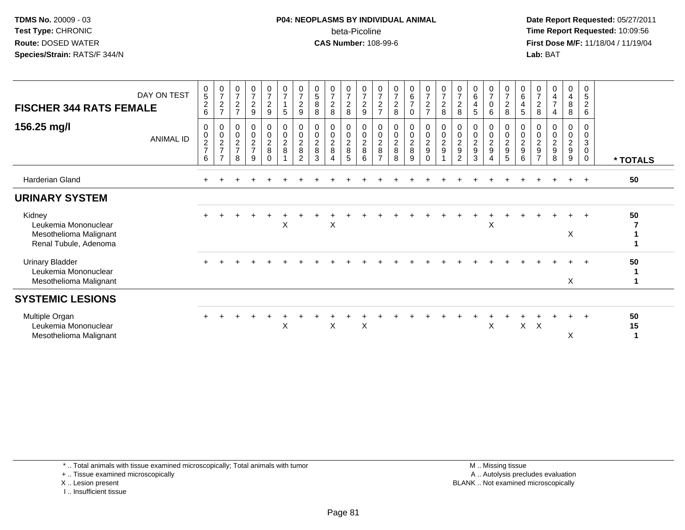### **P04: NEOPLASMS BY INDIVIDUAL ANIMAL**beta-Picoline<br>CAS Number: 108-99-6

 **Date Report Requested:** 05/27/2011 **Time Report Requested:** 10:09:56 **First Dose M/F:** 11/18/04 / 11/19/04<br>**Lab:** BAT **Lab:** BAT

| <b>FISCHER 344 RATS FEMALE</b>                                                    | DAY ON TEST      | $\pmb{0}$<br>$\overline{5}$<br>$\overline{c}$<br>6 | $\frac{0}{7}$<br>$\overline{c}$<br>$\overline{ }$      | 0<br>$\overline{7}$<br>$\boldsymbol{2}$<br>$\overline{ }$ | $\frac{0}{7}$<br>$\boldsymbol{2}$<br>9 | $\frac{0}{7}$<br>$\overline{c}$<br>9             | 0<br>$\overline{7}$<br>$\mathbf{1}$<br>5      | $\frac{0}{7}$<br>$\overline{a}$<br>9                              | $\begin{matrix} 0 \\ 5 \end{matrix}$<br>$\bf8$<br>8 | $\frac{0}{7}$<br>$\boldsymbol{2}$<br>8                | $\frac{0}{7}$<br>$\boldsymbol{2}$<br>8         | $\begin{array}{c} 0 \\ 7 \end{array}$<br>$\overline{c}$<br>9       | 0<br>$\overline{7}$<br>$\overline{c}$<br>$\overline{ }$   | $\begin{array}{c} 0 \\ 7 \end{array}$<br>$\sqrt{2}$<br>8         | $\begin{array}{c} 0 \\ 6 \\ 7 \end{array}$<br>$\mathbf 0$ | $\frac{0}{7}$<br>$\boldsymbol{2}$<br>$\overline{7}$         | $\frac{0}{7}$<br>$\overline{c}$<br>8                     | 0<br>$\overline{7}$<br>$\overline{c}$<br>8              | $_{6}^{\rm 0}$<br>$\overline{4}$<br>5                        | 0<br>$\overline{7}$<br>0<br>6                                            | $\begin{smallmatrix}0\\7\end{smallmatrix}$<br>$\boldsymbol{2}$<br>8 | 0<br>$6\phantom{a}$<br>$\overline{4}$<br>5                            | 0<br>$\overline{7}$<br>$\overline{c}$<br>8                          | 0<br>4<br>$\overline{7}$                                | 0<br>$\overline{4}$<br>8<br>8                             | 0<br>5<br>$\overline{c}$<br>6                      |               |
|-----------------------------------------------------------------------------------|------------------|----------------------------------------------------|--------------------------------------------------------|-----------------------------------------------------------|----------------------------------------|--------------------------------------------------|-----------------------------------------------|-------------------------------------------------------------------|-----------------------------------------------------|-------------------------------------------------------|------------------------------------------------|--------------------------------------------------------------------|-----------------------------------------------------------|------------------------------------------------------------------|-----------------------------------------------------------|-------------------------------------------------------------|----------------------------------------------------------|---------------------------------------------------------|--------------------------------------------------------------|--------------------------------------------------------------------------|---------------------------------------------------------------------|-----------------------------------------------------------------------|---------------------------------------------------------------------|---------------------------------------------------------|-----------------------------------------------------------|----------------------------------------------------|---------------|
| 156.25 mg/l                                                                       | <b>ANIMAL ID</b> | $\pmb{0}$<br>$\pmb{0}$<br>$\frac{2}{7}$<br>6       | 0<br>$\frac{0}{2}$<br>$\overline{7}$<br>$\overline{ }$ | 0<br>$\,0\,$<br>$\sqrt{2}$<br>$\overline{7}$<br>8         | 00027<br>9                             | 0<br>$\overline{0}$<br>$\frac{2}{8}$<br>$\Omega$ | $\,0\,$<br>$\mathbf 0$<br>$\overline{2}$<br>8 | 0<br>$\ddot{\mathbf{0}}$<br>$\overline{c}$<br>8<br>$\overline{2}$ | $\mathbf 0$<br>$\sqrt{2}$<br>$\, 8$<br>3            | $_{\rm 0}^{\rm 0}$<br>$\frac{2}{8}$<br>$\overline{4}$ | 0<br>$\mathsf{O}\xspace$<br>$\frac{2}{8}$<br>5 | $\begin{smallmatrix}0\\0\end{smallmatrix}$<br>$\sqrt{2}$<br>8<br>6 | 0<br>$\pmb{0}$<br>$\boldsymbol{2}$<br>8<br>$\overline{ }$ | $\begin{smallmatrix}0\\0\end{smallmatrix}$<br>$\frac{2}{8}$<br>8 | 0<br>$\overline{0}$<br>$\overline{2}$<br>8<br>9           | $\begin{array}{c} 0 \\ 0 \\ 2 \\ 9 \end{array}$<br>$\Omega$ | $\begin{smallmatrix} 0\\0\\2 \end{smallmatrix}$<br>$9\,$ | 0<br>$\pmb{0}$<br>$\overline{c}$<br>9<br>$\overline{2}$ | 0<br>$\ddot{o}$<br>$\boldsymbol{2}$<br>$\boldsymbol{9}$<br>3 | 0<br>$\mathsf 0$<br>$\overline{2}$<br>$\boldsymbol{9}$<br>$\overline{A}$ | 0<br>$\mathsf{O}\xspace$<br>$\sqrt{2}$<br>$\boldsymbol{9}$<br>5     | $\mathbf 0$<br>$\pmb{0}$<br>$\boldsymbol{2}$<br>$\boldsymbol{9}$<br>6 | 0<br>$\pmb{0}$<br>$\boldsymbol{2}$<br>9<br>$\overline{\phantom{a}}$ | $\boldsymbol{0}$<br>$\sqrt{2}$<br>$\boldsymbol{9}$<br>8 | 0<br>$\pmb{0}$<br>$\overline{2}$<br>$\boldsymbol{9}$<br>9 | 0<br>0<br>$\mathbf{3}$<br>$\pmb{0}$<br>$\mathbf 0$ | * TOTALS      |
| Harderian Gland                                                                   |                  |                                                    |                                                        |                                                           |                                        |                                                  |                                               |                                                                   |                                                     |                                                       |                                                |                                                                    |                                                           |                                                                  |                                                           |                                                             |                                                          |                                                         |                                                              |                                                                          |                                                                     |                                                                       |                                                                     |                                                         |                                                           | $+$                                                | 50            |
| <b>URINARY SYSTEM</b>                                                             |                  |                                                    |                                                        |                                                           |                                        |                                                  |                                               |                                                                   |                                                     |                                                       |                                                |                                                                    |                                                           |                                                                  |                                                           |                                                             |                                                          |                                                         |                                                              |                                                                          |                                                                     |                                                                       |                                                                     |                                                         |                                                           |                                                    |               |
| Kidney<br>Leukemia Mononuclear<br>Mesothelioma Malignant<br>Renal Tubule, Adenoma |                  |                                                    |                                                        |                                                           |                                        |                                                  | X                                             |                                                                   |                                                     | X                                                     |                                                |                                                                    |                                                           |                                                                  |                                                           |                                                             |                                                          |                                                         |                                                              | X                                                                        |                                                                     |                                                                       |                                                                     |                                                         | X                                                         | $\div$                                             | 50            |
| <b>Urinary Bladder</b><br>Leukemia Mononuclear<br>Mesothelioma Malignant          |                  |                                                    |                                                        |                                                           |                                        |                                                  |                                               |                                                                   |                                                     |                                                       |                                                |                                                                    |                                                           |                                                                  |                                                           |                                                             |                                                          |                                                         |                                                              |                                                                          |                                                                     |                                                                       |                                                                     |                                                         | X                                                         |                                                    | 50            |
| <b>SYSTEMIC LESIONS</b>                                                           |                  |                                                    |                                                        |                                                           |                                        |                                                  |                                               |                                                                   |                                                     |                                                       |                                                |                                                                    |                                                           |                                                                  |                                                           |                                                             |                                                          |                                                         |                                                              |                                                                          |                                                                     |                                                                       |                                                                     |                                                         |                                                           |                                                    |               |
| Multiple Organ<br>Leukemia Mononuclear<br>Mesothelioma Malignant                  |                  |                                                    |                                                        |                                                           |                                        |                                                  | X                                             |                                                                   |                                                     | X                                                     |                                                | X                                                                  |                                                           |                                                                  |                                                           |                                                             |                                                          |                                                         |                                                              | X                                                                        |                                                                     | X                                                                     | X                                                                   |                                                         | $\div$<br>X                                               | $\ddot{}$                                          | 50<br>15<br>1 |

\* .. Total animals with tissue examined microscopically; Total animals with tumor

+ .. Tissue examined microscopically

X .. Lesion present

I .. Insufficient tissue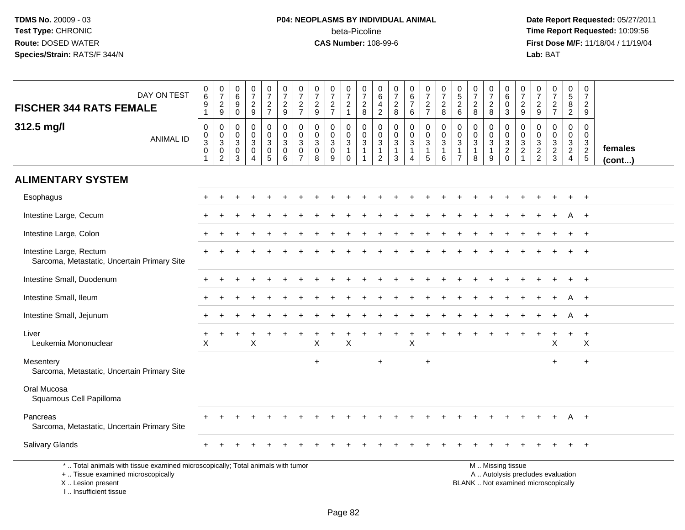# **P04: NEOPLASMS BY INDIVIDUAL ANIMAL**beta-Picoline<br>CAS Number: 108-99-6

| DAY ON TEST<br><b>FISCHER 344 RATS FEMALE</b>                                                                                                                        | $\boldsymbol{0}$<br>6<br>$\mathsf g$<br>$\mathbf{1}$ | $\frac{0}{7}$<br>$\frac{2}{9}$                                        | $\begin{array}{c} 0 \\ 6 \end{array}$<br>$\boldsymbol{9}$<br>$\mathbf 0$ | $\begin{array}{c} 0 \\ 7 \end{array}$<br>$\frac{2}{9}$         | $\begin{smallmatrix}0\\7\end{smallmatrix}$<br>$\frac{2}{7}$ | $\frac{0}{7}$<br>$\frac{2}{9}$           | $\frac{0}{7}$<br>$\frac{2}{7}$                                | $\frac{0}{7}$<br>$\frac{2}{9}$                       | $\frac{0}{7}$<br>$\frac{2}{7}$                           | $\begin{array}{c} 0 \\ 7 \end{array}$<br>$\frac{2}{1}$                  | $\frac{0}{7}$<br>$\frac{2}{8}$                                            | 0<br>$\,6\,$<br>$\overline{4}$<br>$\sqrt{2}$        | $\frac{0}{7}$<br>$\frac{2}{8}$                       | $\begin{array}{c} 0 \\ 6 \\ 7 \end{array}$<br>$\,6\,$ | $\begin{array}{c} 0 \\ 7 \end{array}$<br>$\frac{2}{7}$        | $\frac{0}{7}$<br>$\frac{2}{8}$                              | 0,526                                                 | $\frac{0}{7}$<br>$\sqrt{2}$<br>8                                | $\frac{0}{7}$<br>$_{\rm 8}^2$                               | $\begin{array}{c} 0 \\ 6 \end{array}$<br>$\pmb{0}$<br>3 | $\frac{0}{7}$<br>$\overline{c}$<br>9                    | $\pmb{0}$<br>$\overline{7}$<br>$\frac{2}{9}$    | $\begin{smallmatrix}0\\7\end{smallmatrix}$<br>$\frac{2}{7}$ | $\begin{array}{c} 0 \\ 5 \end{array}$<br>$\frac{8}{2}$                            | $\pmb{0}$<br>$\overline{7}$<br>$\sqrt{2}$<br>9            |                         |
|----------------------------------------------------------------------------------------------------------------------------------------------------------------------|------------------------------------------------------|-----------------------------------------------------------------------|--------------------------------------------------------------------------|----------------------------------------------------------------|-------------------------------------------------------------|------------------------------------------|---------------------------------------------------------------|------------------------------------------------------|----------------------------------------------------------|-------------------------------------------------------------------------|---------------------------------------------------------------------------|-----------------------------------------------------|------------------------------------------------------|-------------------------------------------------------|---------------------------------------------------------------|-------------------------------------------------------------|-------------------------------------------------------|-----------------------------------------------------------------|-------------------------------------------------------------|---------------------------------------------------------|---------------------------------------------------------|-------------------------------------------------|-------------------------------------------------------------|-----------------------------------------------------------------------------------|-----------------------------------------------------------|-------------------------|
| 312.5 mg/l<br><b>ANIMAL ID</b>                                                                                                                                       | 0<br>$_{3}^{\rm 0}$<br>$\mathsf 0$<br>1              | $\boldsymbol{0}$<br>$\frac{0}{3}$<br>$\overline{0}$<br>$\overline{c}$ | $\mathbf 0$<br>$\mathbf 0$<br>$\mathsf 3$<br>0<br>3                      | $\mathbf 0$<br>$\mathsf{O}\xspace$<br>3<br>0<br>$\overline{4}$ | 0<br>$\mathbf 0$<br>$\mathbf{3}$<br>$\pmb{0}$<br>5          | 0<br>$\mathbf 0$<br>$\sqrt{3}$<br>0<br>6 | 0<br>$\pmb{0}$<br>$\mathbf{3}$<br>$\pmb{0}$<br>$\overline{7}$ | 0<br>$\mathbf 0$<br>$\mathbf{3}$<br>$\mathbf 0$<br>8 | 0<br>$\mathsf{O}\xspace$<br>$\sqrt{3}$<br>$\pmb{0}$<br>9 | $\mathbf 0$<br>$\mathbf 0$<br>$\sqrt{3}$<br>$\mathbf{1}$<br>$\mathbf 0$ | 0<br>$\mathsf{O}\xspace$<br>$\mathbf 3$<br>$\mathbf{1}$<br>$\overline{1}$ | 0<br>$\mathbf 0$<br>3<br>$\mathbf{1}$<br>$\sqrt{2}$ | $\mathbf 0$<br>$\mathbf 0$<br>3<br>$\mathbf{1}$<br>3 | 0<br>$\mathbf 0$<br>3<br>$\mathbf{1}$<br>4            | 0<br>$\mathsf{O}\xspace$<br>$\mathbf{3}$<br>$\mathbf{1}$<br>5 | $\mathbf 0$<br>$\pmb{0}$<br>$\sqrt{3}$<br>$\mathbf{1}$<br>6 | 0<br>$\pmb{0}$<br>3<br>$\mathbf{1}$<br>$\overline{7}$ | $\mathbf 0$<br>$\mathbf 0$<br>$\mathbf{3}$<br>$\mathbf{1}$<br>8 | 0<br>$\mathsf{O}\xspace$<br>$\sqrt{3}$<br>$\mathbf{1}$<br>9 | 0<br>$_{3}^{\rm 0}$<br>$\overline{2}$<br>$\mathbf 0$    | 0<br>$\mathbf 0$<br>3<br>$\overline{2}$<br>$\mathbf{1}$ | 0<br>$\mathbf 0$<br>$\sqrt{3}$<br>$\frac{2}{2}$ | $\pmb{0}$<br>$\mathbf 0$<br>$\frac{3}{2}$                   | 0<br>$\mathbf 0$<br>$\ensuremath{\mathsf{3}}$<br>$\overline{2}$<br>$\overline{4}$ | $\mathbf 0$<br>$\mathbf 0$<br>$\frac{3}{2}$<br>$\sqrt{5}$ | females<br>$($ cont $)$ |
| <b>ALIMENTARY SYSTEM</b>                                                                                                                                             |                                                      |                                                                       |                                                                          |                                                                |                                                             |                                          |                                                               |                                                      |                                                          |                                                                         |                                                                           |                                                     |                                                      |                                                       |                                                               |                                                             |                                                       |                                                                 |                                                             |                                                         |                                                         |                                                 |                                                             |                                                                                   |                                                           |                         |
| Esophagus                                                                                                                                                            |                                                      |                                                                       |                                                                          |                                                                |                                                             |                                          |                                                               |                                                      |                                                          |                                                                         |                                                                           |                                                     |                                                      |                                                       |                                                               |                                                             |                                                       |                                                                 |                                                             |                                                         |                                                         |                                                 |                                                             |                                                                                   |                                                           |                         |
| Intestine Large, Cecum                                                                                                                                               |                                                      |                                                                       |                                                                          |                                                                |                                                             |                                          |                                                               |                                                      |                                                          |                                                                         |                                                                           |                                                     |                                                      |                                                       |                                                               |                                                             |                                                       |                                                                 |                                                             |                                                         |                                                         |                                                 |                                                             | A                                                                                 | $+$                                                       |                         |
| Intestine Large, Colon                                                                                                                                               |                                                      |                                                                       |                                                                          |                                                                |                                                             |                                          |                                                               |                                                      |                                                          |                                                                         |                                                                           |                                                     |                                                      |                                                       |                                                               |                                                             |                                                       |                                                                 |                                                             |                                                         |                                                         |                                                 |                                                             |                                                                                   |                                                           |                         |
| Intestine Large, Rectum<br>Sarcoma, Metastatic, Uncertain Primary Site                                                                                               |                                                      |                                                                       |                                                                          |                                                                |                                                             |                                          |                                                               |                                                      |                                                          |                                                                         |                                                                           |                                                     |                                                      |                                                       |                                                               |                                                             |                                                       |                                                                 |                                                             |                                                         |                                                         |                                                 |                                                             |                                                                                   |                                                           |                         |
| Intestine Small, Duodenum                                                                                                                                            |                                                      |                                                                       |                                                                          |                                                                |                                                             |                                          |                                                               |                                                      |                                                          |                                                                         |                                                                           |                                                     |                                                      |                                                       |                                                               |                                                             |                                                       |                                                                 |                                                             |                                                         |                                                         |                                                 |                                                             |                                                                                   |                                                           |                         |
| Intestine Small, Ileum                                                                                                                                               |                                                      |                                                                       |                                                                          |                                                                |                                                             |                                          |                                                               |                                                      |                                                          |                                                                         |                                                                           |                                                     |                                                      |                                                       |                                                               |                                                             |                                                       |                                                                 |                                                             |                                                         |                                                         |                                                 |                                                             |                                                                                   |                                                           |                         |
| Intestine Small, Jejunum                                                                                                                                             |                                                      |                                                                       |                                                                          |                                                                |                                                             |                                          |                                                               |                                                      |                                                          |                                                                         |                                                                           |                                                     |                                                      |                                                       |                                                               |                                                             |                                                       |                                                                 |                                                             |                                                         |                                                         |                                                 |                                                             | A                                                                                 | $+$                                                       |                         |
| Liver<br>Leukemia Mononuclear                                                                                                                                        | X                                                    |                                                                       |                                                                          | X                                                              |                                                             |                                          |                                                               | X                                                    |                                                          | $\mathsf X$                                                             |                                                                           |                                                     |                                                      | Χ                                                     |                                                               |                                                             |                                                       |                                                                 |                                                             |                                                         |                                                         |                                                 | X                                                           |                                                                                   | $\ddot{}$<br>$\mathsf X$                                  |                         |
| Mesentery<br>Sarcoma, Metastatic, Uncertain Primary Site                                                                                                             |                                                      |                                                                       |                                                                          |                                                                |                                                             |                                          |                                                               | $+$                                                  |                                                          |                                                                         |                                                                           | $+$                                                 |                                                      |                                                       | $+$                                                           |                                                             |                                                       |                                                                 |                                                             |                                                         |                                                         |                                                 | $+$                                                         |                                                                                   | $\ddot{}$                                                 |                         |
| Oral Mucosa<br>Squamous Cell Papilloma                                                                                                                               |                                                      |                                                                       |                                                                          |                                                                |                                                             |                                          |                                                               |                                                      |                                                          |                                                                         |                                                                           |                                                     |                                                      |                                                       |                                                               |                                                             |                                                       |                                                                 |                                                             |                                                         |                                                         |                                                 |                                                             |                                                                                   |                                                           |                         |
| Pancreas<br>Sarcoma, Metastatic, Uncertain Primary Site                                                                                                              |                                                      |                                                                       |                                                                          |                                                                |                                                             |                                          |                                                               |                                                      |                                                          |                                                                         |                                                                           |                                                     |                                                      |                                                       |                                                               |                                                             |                                                       |                                                                 |                                                             |                                                         |                                                         |                                                 |                                                             | A                                                                                 | $+$                                                       |                         |
| Salivary Glands                                                                                                                                                      |                                                      |                                                                       |                                                                          |                                                                |                                                             |                                          |                                                               |                                                      |                                                          |                                                                         |                                                                           |                                                     |                                                      |                                                       |                                                               |                                                             |                                                       |                                                                 |                                                             |                                                         |                                                         |                                                 |                                                             |                                                                                   |                                                           |                         |
| *  Total animals with tissue examined microscopically; Total animals with tumor<br>+  Tissue examined microscopically<br>X  Lesion present<br>L. Insufficient tissue |                                                      |                                                                       |                                                                          |                                                                |                                                             |                                          |                                                               |                                                      |                                                          |                                                                         |                                                                           |                                                     |                                                      |                                                       |                                                               |                                                             |                                                       | BLANK  Not examined microscopically                             |                                                             | M  Missing tissue                                       | A  Autolysis precludes evaluation                       |                                                 |                                                             |                                                                                   |                                                           |                         |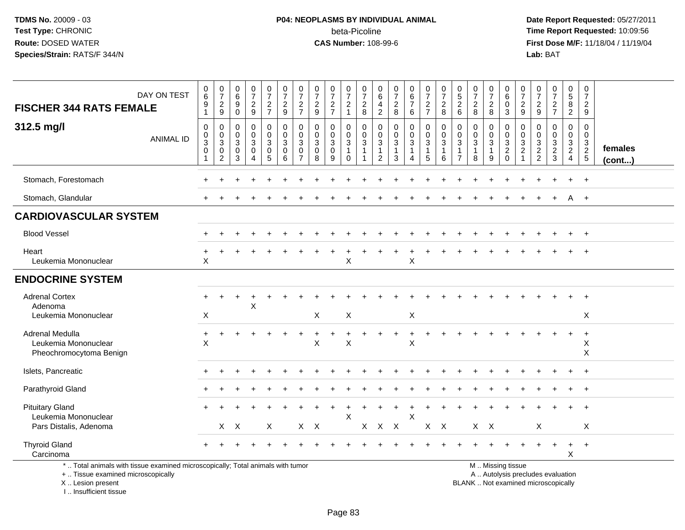# **P04: NEOPLASMS BY INDIVIDUAL ANIMAL**beta-Picoline<br>CAS Number: 108-99-6

 **Date Report Requested:** 05/27/2011 **Time Report Requested:** 10:09:56 **First Dose M/F:** 11/18/04 / 11/19/04<br>**Lab:** BAT **Lab:** BAT

| <b>FISCHER 344 RATS FEMALE</b>                                                                                                             | DAY ON TEST      | $\pmb{0}$<br>$\,6\,$<br>9<br>$\mathbf{1}$                 | $\begin{smallmatrix}0\\7\end{smallmatrix}$<br>$\frac{2}{9}$                    | $\begin{array}{c} 0 \\ 6 \end{array}$<br>9<br>$\mathbf 0$ | $\frac{0}{7}$<br>$\frac{2}{9}$            | $\frac{0}{7}$<br>$\frac{2}{7}$            | $\begin{smallmatrix}0\\7\end{smallmatrix}$<br>$\frac{2}{9}$  | 0<br>$\overline{7}$<br>$\frac{2}{7}$         | $\frac{0}{7}$<br>$\frac{2}{9}$                       | 0<br>$\boldsymbol{7}$<br>$rac{2}{7}$              | 0<br>$\overline{7}$<br>$\frac{2}{1}$                                         | 0<br>$\overline{7}$<br>$_{8}^2$                 | 0<br>6<br>$\frac{4}{2}$                                                         | $\frac{0}{7}$<br>$\frac{2}{8}$                                      | $\begin{array}{c} 0 \\ 6 \end{array}$<br>$\overline{7}$<br>$\,6\,$ | $\frac{0}{7}$<br>$\frac{2}{7}$                              | 0<br>$\overline{7}$<br>$_{8}^2$            | 0<br>$\sqrt{5}$<br>$\overline{c}$<br>$6\phantom{a}$               | $\frac{0}{7}$<br>$\overline{c}$<br>8 | $\mathbf 0$<br>$\overline{7}$<br>$_{\rm 8}^2$          | 0<br>$\,6\,$<br>$\mathbf 0$<br>$\mathbf{3}$                                                   | 0<br>$\overline{7}$<br>$\frac{2}{9}$                     | 0<br>$\boldsymbol{7}$<br>$\frac{2}{9}$      | $\frac{0}{7}$<br>$\frac{2}{7}$                    | 0<br>5<br>8<br>$\overline{2}$                          | 0<br>$\overline{7}$<br>$\overline{2}$<br>$\boldsymbol{9}$ |                         |
|--------------------------------------------------------------------------------------------------------------------------------------------|------------------|-----------------------------------------------------------|--------------------------------------------------------------------------------|-----------------------------------------------------------|-------------------------------------------|-------------------------------------------|--------------------------------------------------------------|----------------------------------------------|------------------------------------------------------|---------------------------------------------------|------------------------------------------------------------------------------|-------------------------------------------------|---------------------------------------------------------------------------------|---------------------------------------------------------------------|--------------------------------------------------------------------|-------------------------------------------------------------|--------------------------------------------|-------------------------------------------------------------------|--------------------------------------|--------------------------------------------------------|-----------------------------------------------------------------------------------------------|----------------------------------------------------------|---------------------------------------------|---------------------------------------------------|--------------------------------------------------------|-----------------------------------------------------------|-------------------------|
| 312.5 mg/l                                                                                                                                 | <b>ANIMAL ID</b> | $\mathbf 0$<br>$\pmb{0}$<br>$\overline{3}$<br>$\mathbf 0$ | $\pmb{0}$<br>$\mathbf 0$<br>$\overline{3}$<br>$\overline{0}$<br>$\overline{2}$ | $\mathbf 0$<br>$\mathbf 0$<br>$\mathbf{3}$<br>0<br>3      | 0<br>$\mathbf 0$<br>3<br>$\mathbf 0$<br>4 | 0<br>$\mathbf 0$<br>$\overline{3}$ 0<br>5 | 0<br>$\mathbf 0$<br>$\mathbf{3}$<br>$\mathsf{O}\xspace$<br>6 | 0<br>$\mathbf 0$<br>3<br>0<br>$\overline{7}$ | 0<br>$\mathbf 0$<br>$\mathbf{3}$<br>$\mathbf 0$<br>8 | 0<br>$\mathbf 0$<br>$\mathbf 3$<br>$\pmb{0}$<br>9 | 0<br>$\mathbf 0$<br>$\ensuremath{\mathsf{3}}$<br>$\mathbf{1}$<br>$\mathbf 0$ | $\mathbf 0$<br>$\mathbf 0$<br>3<br>$\mathbf{1}$ | 0<br>$\mathbf 0$<br>$\ensuremath{\mathsf{3}}$<br>$\mathbf{1}$<br>$\overline{2}$ | $\pmb{0}$<br>$\mathsf{O}\xspace$<br>$\sqrt{3}$<br>$\mathbf{1}$<br>3 | 0<br>0<br>3<br>$\overline{1}$<br>4                                 | $\pmb{0}$<br>$\mathbf 0$<br>$\sqrt{3}$<br>$\mathbf{1}$<br>5 | 0<br>$\mathbf 0$<br>3<br>$\mathbf{1}$<br>6 | $\mathbf 0$<br>$\mathbf 0$<br>3<br>$\mathbf{1}$<br>$\overline{7}$ | 0<br>0<br>$\sqrt{3}$<br>8            | 0<br>$\mathbf 0$<br>$\mathbf 3$<br>$\overline{1}$<br>9 | 0<br>$\mathbf 0$<br>$\sqrt{3}$<br>$\overline{2}$<br>$\mathbf 0$                               | $\mathbf 0$<br>$\mathbf 0$<br>3<br>$\boldsymbol{2}$<br>1 | $\mathbf 0$<br>$\mathbf 0$<br>$\frac{3}{2}$ | 0<br>$\mathbf 0$<br>$\mathbf{3}$<br>$\frac{2}{3}$ | 0<br>$\overline{0}$<br>$\frac{3}{2}$<br>$\overline{4}$ | $\mathbf 0$<br>$\mathbf 0$<br>$\frac{3}{2}$               | females<br>$($ cont $)$ |
| Stomach, Forestomach                                                                                                                       |                  |                                                           |                                                                                |                                                           |                                           |                                           |                                                              |                                              |                                                      |                                                   |                                                                              |                                                 |                                                                                 |                                                                     |                                                                    |                                                             |                                            |                                                                   |                                      |                                                        |                                                                                               |                                                          |                                             |                                                   | $\ddot{}$                                              | $+$                                                       |                         |
| Stomach, Glandular                                                                                                                         |                  |                                                           |                                                                                |                                                           |                                           |                                           |                                                              |                                              |                                                      |                                                   |                                                                              |                                                 |                                                                                 |                                                                     |                                                                    |                                                             |                                            |                                                                   |                                      |                                                        |                                                                                               |                                                          |                                             | $\div$                                            | A                                                      | $+$                                                       |                         |
| <b>CARDIOVASCULAR SYSTEM</b>                                                                                                               |                  |                                                           |                                                                                |                                                           |                                           |                                           |                                                              |                                              |                                                      |                                                   |                                                                              |                                                 |                                                                                 |                                                                     |                                                                    |                                                             |                                            |                                                                   |                                      |                                                        |                                                                                               |                                                          |                                             |                                                   |                                                        |                                                           |                         |
| <b>Blood Vessel</b>                                                                                                                        |                  |                                                           |                                                                                |                                                           |                                           |                                           |                                                              |                                              |                                                      |                                                   |                                                                              |                                                 |                                                                                 |                                                                     |                                                                    |                                                             |                                            |                                                                   |                                      |                                                        |                                                                                               |                                                          |                                             |                                                   |                                                        | $\pm$                                                     |                         |
| Heart<br>Leukemia Mononuclear                                                                                                              |                  | $\ddot{}$<br>X                                            |                                                                                |                                                           |                                           |                                           |                                                              |                                              |                                                      |                                                   | $\mathsf X$                                                                  |                                                 |                                                                                 | $\overline{1}$                                                      | $\ddot{}$<br>$\sf X$                                               |                                                             |                                            |                                                                   |                                      |                                                        |                                                                                               |                                                          |                                             |                                                   |                                                        | $\overline{+}$                                            |                         |
| <b>ENDOCRINE SYSTEM</b>                                                                                                                    |                  |                                                           |                                                                                |                                                           |                                           |                                           |                                                              |                                              |                                                      |                                                   |                                                                              |                                                 |                                                                                 |                                                                     |                                                                    |                                                             |                                            |                                                                   |                                      |                                                        |                                                                                               |                                                          |                                             |                                                   |                                                        |                                                           |                         |
| <b>Adrenal Cortex</b><br>Adenoma<br>Leukemia Mononuclear                                                                                   |                  | X                                                         |                                                                                |                                                           | X                                         |                                           |                                                              |                                              | X                                                    |                                                   | X                                                                            |                                                 |                                                                                 |                                                                     | X                                                                  |                                                             |                                            |                                                                   |                                      |                                                        |                                                                                               |                                                          |                                             |                                                   |                                                        | X                                                         |                         |
| Adrenal Medulla<br>Leukemia Mononuclear<br>Pheochromocytoma Benign                                                                         |                  | $\ddot{}$<br>X                                            |                                                                                |                                                           |                                           |                                           |                                                              |                                              | X                                                    |                                                   | X                                                                            |                                                 |                                                                                 |                                                                     | X                                                                  |                                                             |                                            |                                                                   |                                      |                                                        |                                                                                               |                                                          |                                             |                                                   |                                                        | $\ddot{}$<br>X<br>X                                       |                         |
| Islets, Pancreatic                                                                                                                         |                  |                                                           |                                                                                |                                                           |                                           |                                           |                                                              |                                              |                                                      |                                                   |                                                                              |                                                 |                                                                                 |                                                                     |                                                                    |                                                             |                                            |                                                                   |                                      |                                                        |                                                                                               |                                                          |                                             |                                                   |                                                        | $\ddot{+}$                                                |                         |
| Parathyroid Gland                                                                                                                          |                  |                                                           |                                                                                |                                                           |                                           |                                           |                                                              |                                              |                                                      |                                                   |                                                                              |                                                 |                                                                                 |                                                                     |                                                                    |                                                             |                                            |                                                                   |                                      |                                                        |                                                                                               |                                                          |                                             |                                                   |                                                        |                                                           |                         |
| <b>Pituitary Gland</b><br>Leukemia Mononuclear<br>Pars Distalis, Adenoma                                                                   |                  |                                                           |                                                                                | $X$ $X$                                                   |                                           | X                                         |                                                              | $X$ $X$                                      |                                                      |                                                   | $\mathsf{X}$                                                                 | $\mathsf{X}$                                    | $X$ $X$                                                                         |                                                                     | $\times$                                                           | X X                                                         |                                            |                                                                   | $X$ $X$                              |                                                        |                                                                                               |                                                          | $\boldsymbol{\mathsf{X}}$                   |                                                   |                                                        | $\pm$<br>X                                                |                         |
| <b>Thyroid Gland</b><br>Carcinoma                                                                                                          |                  |                                                           |                                                                                |                                                           |                                           |                                           |                                                              |                                              |                                                      |                                                   |                                                                              |                                                 |                                                                                 |                                                                     |                                                                    |                                                             |                                            |                                                                   |                                      |                                                        |                                                                                               |                                                          |                                             | $\ddot{}$                                         | $\ddot{}$<br>X                                         | $+$                                                       |                         |
| *  Total animals with tissue examined microscopically; Total animals with tumor<br>+  Tissue examined microscopically<br>X  Lesion present |                  |                                                           |                                                                                |                                                           |                                           |                                           |                                                              |                                              |                                                      |                                                   |                                                                              |                                                 |                                                                                 |                                                                     |                                                                    |                                                             |                                            |                                                                   |                                      |                                                        | M  Missing tissue<br>A  Autolysis precludes evaluation<br>BLANK  Not examined microscopically |                                                          |                                             |                                                   |                                                        |                                                           |                         |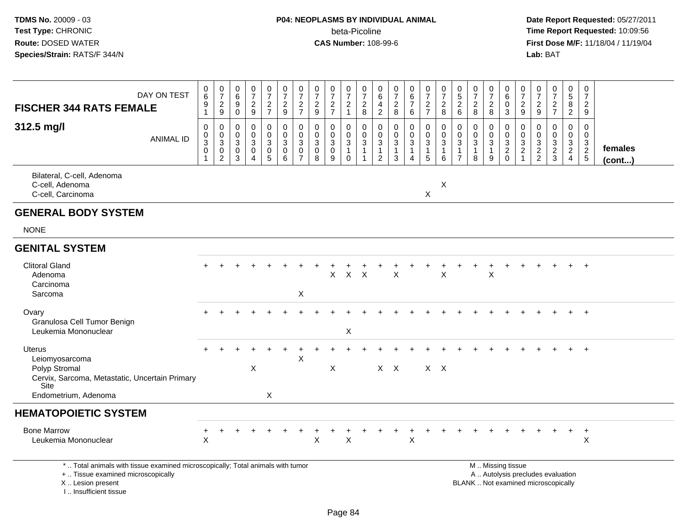# **P04: NEOPLASMS BY INDIVIDUAL ANIMAL**beta-Picoline<br>CAS Number: 108-99-6

 **Date Report Requested:** 05/27/2011 **Time Report Requested:** 10:09:56 **First Dose M/F:** 11/18/04 / 11/19/04<br>**Lab:** BAT **Lab:** BAT

| DAY ON TEST<br><b>FISCHER 344 RATS FEMALE</b>                                                                               | 0<br>$\,6\,$<br>9                            | $\frac{0}{7}$<br>$\overline{2}$                               | 0<br>6<br>9                                    | 0<br>$\overline{7}$<br>$\sqrt{2}$                         | $\frac{0}{7}$<br>$\frac{2}{7}$                                                         | $\begin{smallmatrix}0\\7\end{smallmatrix}$<br>$\frac{2}{9}$                        | $\pmb{0}$<br>$\overline{7}$<br>$\frac{2}{7}$                              | 0<br>$\overline{7}$<br>$\overline{c}$                        | $\pmb{0}$<br>$\overline{7}$<br>$\frac{2}{7}$                 | $\frac{0}{7}$<br>$\overline{2}$                         | $\pmb{0}$<br>$\overline{7}$<br>$\overline{c}$                                             | $\boldsymbol{0}$<br>$\,6\,$<br>$\overline{4}$                                              | 0<br>$\overline{7}$<br>$_{8}^{\rm 2}$                             | $\pmb{0}$<br>$6\phantom{a}$<br>$\overline{7}$                                                     | $\frac{0}{7}$<br>$\frac{2}{7}$                       | 0<br>$\overline{7}$<br>$\overline{c}$                              | $\begin{array}{c} 0 \\ 5 \end{array}$<br>$\overline{2}$      | 0<br>$\overline{7}$<br>$\overline{c}$                          | $\frac{0}{7}$<br>$\overline{c}$                                  | 0<br>$\,6\,$<br>$\mathbf 0$                                      | $\mathbf 0$<br>$\overline{7}$<br>$\frac{2}{9}$   | 0<br>$\overline{7}$<br>$\overline{2}$                                                     | 0<br>$\overline{7}$<br>$\frac{2}{7}$                        | 0<br>$\overline{5}$<br>$\bf 8$                                                   | 0<br>$\overline{7}$<br>$\overline{2}$            |                         |
|-----------------------------------------------------------------------------------------------------------------------------|----------------------------------------------|---------------------------------------------------------------|------------------------------------------------|-----------------------------------------------------------|----------------------------------------------------------------------------------------|------------------------------------------------------------------------------------|---------------------------------------------------------------------------|--------------------------------------------------------------|--------------------------------------------------------------|---------------------------------------------------------|-------------------------------------------------------------------------------------------|--------------------------------------------------------------------------------------------|-------------------------------------------------------------------|---------------------------------------------------------------------------------------------------|------------------------------------------------------|--------------------------------------------------------------------|--------------------------------------------------------------|----------------------------------------------------------------|------------------------------------------------------------------|------------------------------------------------------------------|--------------------------------------------------|-------------------------------------------------------------------------------------------|-------------------------------------------------------------|----------------------------------------------------------------------------------|--------------------------------------------------|-------------------------|
| 312.5 mg/l<br><b>ANIMAL ID</b>                                                                                              | $\mathbf 1$<br>0<br>0<br>$\overline{3}$<br>0 | 9<br>$\,0\,$<br>$_{3}^{\rm 0}$<br>$\pmb{0}$<br>$\overline{2}$ | $\mathbf 0$<br>0<br>$\mathbf 0$<br>3<br>0<br>3 | 9<br>$\mathbf 0$<br>0<br>3<br>$\pmb{0}$<br>$\overline{4}$ | $\mathbf 0$<br>$\mathbf 0$<br>$\ensuremath{\mathsf{3}}$<br>$\pmb{0}$<br>$\overline{5}$ | $\pmb{0}$<br>$\pmb{0}$<br>$\ensuremath{\mathsf{3}}$<br>$\pmb{0}$<br>$6\phantom{a}$ | $\pmb{0}$<br>$\mathbf 0$<br>$\mathbf{3}$<br>$\mathbf 0$<br>$\overline{7}$ | $9\,$<br>$\mathbf 0$<br>$\mathbf 0$<br>3<br>$\mathbf 0$<br>8 | $\mathbf 0$<br>$\mathbf 0$<br>$\sqrt{3}$<br>$\mathbf 0$<br>9 | $\mathbf{1}$<br>0<br>0<br>3<br>$\mathbf{1}$<br>$\Omega$ | 8<br>$\mathsf{O}\xspace$<br>$\mathbf 0$<br>$\overline{3}$<br>$\mathbf{1}$<br>$\mathbf{1}$ | $\overline{c}$<br>$\mathbf 0$<br>$\pmb{0}$<br>$\sqrt{3}$<br>$\mathbf{1}$<br>$\overline{c}$ | $\mathbf 0$<br>$\mathbf 0$<br>$\mathbf{3}$<br>$\overline{1}$<br>3 | $6\phantom{1}6$<br>$\mathbf 0$<br>$\overline{0}$<br>$\mathbf 3$<br>$\mathbf{1}$<br>$\overline{4}$ | 0<br>$\mathbf 0$<br>$\mathsf 3$<br>$\mathbf{1}$<br>5 | 8<br>$\pmb{0}$<br>$\mathbf 0$<br>$\mathbf{3}$<br>$\mathbf{1}$<br>6 | 6<br>$\mathbf 0$<br>0<br>$\mathbf{3}$<br>1<br>$\overline{7}$ | 8<br>$\Omega$<br>$\Omega$<br>$\mathbf{3}$<br>$\mathbf{1}$<br>8 | 8<br>$\mathbf 0$<br>$\pmb{0}$<br>$\sqrt{3}$<br>$\mathbf{1}$<br>9 | 3<br>$\mathbf 0$<br>$\mathbf 0$<br>$\mathbf{3}$<br>$\frac{2}{0}$ | $\mathbf 0$<br>$\mathbf 0$<br>$\frac{3}{2}$<br>1 | $\boldsymbol{9}$<br>$\mathbf 0$<br>$\Omega$<br>$\begin{array}{c} 3 \\ 2 \\ 2 \end{array}$ | $\mathbf 0$<br>$\mathbf 0$<br>$\mathbf{3}$<br>$\frac{2}{3}$ | $\overline{2}$<br>0<br>$\mathbf 0$<br>$\begin{array}{c} 3 \\ 2 \\ 4 \end{array}$ | 9<br>$\mathbf 0$<br>$\mathbf 0$<br>$\frac{3}{2}$ | females<br>$($ cont $)$ |
| Bilateral, C-cell, Adenoma<br>C-cell, Adenoma<br>C-cell, Carcinoma                                                          |                                              |                                                               |                                                |                                                           |                                                                                        |                                                                                    |                                                                           |                                                              |                                                              |                                                         |                                                                                           |                                                                                            |                                                                   |                                                                                                   | $\boldsymbol{\mathsf{X}}$                            | X                                                                  |                                                              |                                                                |                                                                  |                                                                  |                                                  |                                                                                           |                                                             |                                                                                  |                                                  |                         |
| <b>GENERAL BODY SYSTEM</b>                                                                                                  |                                              |                                                               |                                                |                                                           |                                                                                        |                                                                                    |                                                                           |                                                              |                                                              |                                                         |                                                                                           |                                                                                            |                                                                   |                                                                                                   |                                                      |                                                                    |                                                              |                                                                |                                                                  |                                                                  |                                                  |                                                                                           |                                                             |                                                                                  |                                                  |                         |
| <b>NONE</b>                                                                                                                 |                                              |                                                               |                                                |                                                           |                                                                                        |                                                                                    |                                                                           |                                                              |                                                              |                                                         |                                                                                           |                                                                                            |                                                                   |                                                                                                   |                                                      |                                                                    |                                                              |                                                                |                                                                  |                                                                  |                                                  |                                                                                           |                                                             |                                                                                  |                                                  |                         |
| <b>GENITAL SYSTEM</b>                                                                                                       |                                              |                                                               |                                                |                                                           |                                                                                        |                                                                                    |                                                                           |                                                              |                                                              |                                                         |                                                                                           |                                                                                            |                                                                   |                                                                                                   |                                                      |                                                                    |                                                              |                                                                |                                                                  |                                                                  |                                                  |                                                                                           |                                                             |                                                                                  |                                                  |                         |
| <b>Clitoral Gland</b><br>Adenoma<br>Carcinoma<br>Sarcoma                                                                    |                                              |                                                               |                                                |                                                           |                                                                                        |                                                                                    | X                                                                         |                                                              | $\mathsf{X}$                                                 | $\mathsf{X}$                                            | $\mathsf{X}$                                                                              |                                                                                            | $\mathsf{X}$                                                      |                                                                                                   |                                                      | $\boldsymbol{\mathsf{X}}$                                          |                                                              |                                                                | X                                                                |                                                                  |                                                  |                                                                                           |                                                             |                                                                                  | $\ddot{}$                                        |                         |
| Ovary<br>Granulosa Cell Tumor Benign<br>Leukemia Mononuclear                                                                |                                              |                                                               |                                                |                                                           |                                                                                        |                                                                                    |                                                                           |                                                              |                                                              | X                                                       |                                                                                           |                                                                                            |                                                                   |                                                                                                   |                                                      |                                                                    |                                                              |                                                                |                                                                  |                                                                  |                                                  |                                                                                           |                                                             |                                                                                  | $\ddot{}$                                        |                         |
| Uterus<br>Leiomyosarcoma<br>Polyp Stromal<br>Cervix, Sarcoma, Metastatic, Uncertain Primary<br>Site<br>Endometrium, Adenoma |                                              |                                                               |                                                | X                                                         | X                                                                                      |                                                                                    | $\mathsf X$                                                               |                                                              | X                                                            |                                                         |                                                                                           |                                                                                            | $X$ $X$                                                           |                                                                                                   |                                                      | $X$ $X$                                                            |                                                              |                                                                |                                                                  |                                                                  |                                                  |                                                                                           |                                                             |                                                                                  | $\ddot{+}$                                       |                         |
| <b>HEMATOPOIETIC SYSTEM</b>                                                                                                 |                                              |                                                               |                                                |                                                           |                                                                                        |                                                                                    |                                                                           |                                                              |                                                              |                                                         |                                                                                           |                                                                                            |                                                                   |                                                                                                   |                                                      |                                                                    |                                                              |                                                                |                                                                  |                                                                  |                                                  |                                                                                           |                                                             |                                                                                  |                                                  |                         |
| <b>Bone Marrow</b><br>Leukemia Mononuclear                                                                                  | $\mathsf X$                                  |                                                               |                                                |                                                           |                                                                                        |                                                                                    |                                                                           | $\pmb{\times}$                                               |                                                              | X                                                       |                                                                                           |                                                                                            |                                                                   | $\boldsymbol{\mathsf{X}}$                                                                         |                                                      |                                                                    |                                                              |                                                                |                                                                  |                                                                  |                                                  |                                                                                           |                                                             |                                                                                  | $\ddot{}$<br>$\pmb{\times}$                      |                         |
| *  Total animals with tissue examined microscopically; Total animals with tumor<br>+  Tissue examined microscopically       |                                              |                                                               |                                                |                                                           |                                                                                        |                                                                                    |                                                                           |                                                              |                                                              |                                                         |                                                                                           |                                                                                            |                                                                   |                                                                                                   |                                                      |                                                                    |                                                              | M  Missing tissue                                              |                                                                  |                                                                  |                                                  |                                                                                           | A  Autolysis precludes evaluation                           |                                                                                  |                                                  |                         |

X .. Lesion present

I .. Insufficient tissue

 A .. Autolysis precludes evaluationLesion present BLANK .. Not examined microscopically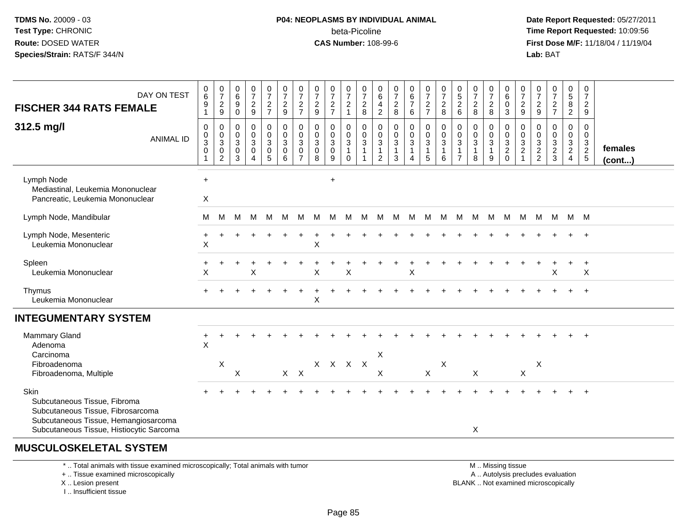### **P04: NEOPLASMS BY INDIVIDUAL ANIMAL**beta-Picoline<br>CAS Number: 108-99-6

 **Date Report Requested:** 05/27/2011 **Time Report Requested:** 10:09:56 **First Dose M/F:** 11/18/04 / 11/19/04<br>**Lab:** BAT **Lab:** BAT

| DAY ON TEST<br><b>FISCHER 344 RATS FEMALE</b><br>312.5 mg/l<br><b>ANIMAL ID</b>                                                                               | $\pmb{0}$<br>6<br>$\boldsymbol{9}$<br>$\mathbf{1}$<br>$\mathbf 0$<br>$\mathbf 0$<br>$\sqrt{3}$<br>$\pmb{0}$<br>$\mathbf{1}$ | $\frac{0}{7}$<br>$\overline{c}$<br>9<br>0<br>$\mathbf 0$<br>3<br>$\,0\,$<br>$\overline{c}$ | $\begin{array}{c} 0 \\ 6 \end{array}$<br>$\boldsymbol{9}$<br>$\ddot{\mathbf{0}}$<br>$\pmb{0}$<br>$\pmb{0}$<br>$\sqrt{3}$<br>$\pmb{0}$<br>3 | $\frac{0}{7}$<br>$\frac{2}{9}$<br>$\mathbf 0$<br>$\mathsf{O}\xspace$<br>$\overline{3}$<br>$\mathsf 0$<br>$\overline{4}$ | $\frac{0}{7}$<br>$\frac{2}{7}$<br>0<br>$\mathbf 0$<br>3<br>$\begin{matrix} 0 \\ 5 \end{matrix}$ | $\frac{0}{7}$<br>$\frac{2}{9}$<br>$_{\rm 0}^{\rm 0}$<br>$\sqrt{3}$<br>$\pmb{0}$<br>6 | $\frac{0}{7}$<br>$\overline{2}$<br>$\overline{7}$<br>0<br>$\mathbf 0$<br>$\mathbf{3}$<br>$\mathbf 0$<br>$\overline{7}$ | $\frac{0}{7}$<br>$\overline{2}$<br>$\boldsymbol{9}$<br>$\pmb{0}$<br>$\mathbf 0$<br>$\mathbf 3$<br>$\pmb{0}$<br>8 | $\frac{0}{7}$<br>$\frac{2}{7}$<br>0<br>$\mathbf 0$<br>$\mathbf{3}$<br>$\pmb{0}$<br>9 | $\frac{0}{7}$<br>$\overline{2}$<br>$\mathbf{1}$<br>0<br>$\mathbf 0$<br>$\mathbf{3}$<br>$\mathbf{1}$<br>$\Omega$ | $\frac{0}{7}$<br>$_{\rm 8}^2$<br>$_{\rm 0}^{\rm 0}$<br>$\sqrt{3}$ | $\begin{array}{c} 0 \\ 6 \end{array}$<br>$\overline{4}$<br>$\overline{2}$<br>$\boldsymbol{0}$<br>$\mathbf 0$<br>$\overline{3}$<br>$\overline{1}$<br>$\overline{2}$ | $\frac{0}{7}$<br>$\frac{2}{8}$<br>$\mathbf 0$<br>$\mathsf 0$<br>$\sqrt{3}$<br>$\mathbf{1}$<br>3 | $\begin{array}{c} 0 \\ 6 \\ 7 \end{array}$<br>6<br>0<br>$\mathbf 0$<br>3<br>1<br>$\overline{4}$ | $\frac{0}{7}$<br>$\frac{2}{7}$<br>$\begin{smallmatrix} 0\\0 \end{smallmatrix}$<br>$\overline{3}$<br>$\mathbf{1}$<br>$5\phantom{.0}$ | $\frac{0}{7}$<br>$\overline{c}$<br>8<br>$\pmb{0}$<br>$\mathbf 0$<br>$\mathbf{3}$<br>$\mathbf{1}$<br>6 | $\begin{smallmatrix}0\0\5\end{smallmatrix}$<br>$\overline{a}$<br>$\,6\,$<br>0<br>$\mathbf 0$<br>3<br>$\overline{7}$ | $\frac{0}{7}$<br>$\frac{2}{8}$<br>$\mathbf 0$<br>$\pmb{0}$<br>$\sqrt{3}$<br>$\mathbf{1}$<br>8 | $\frac{0}{7}$<br>$\overline{2}$<br>$\,8\,$<br>0<br>$\mathbf 0$<br>3<br>1<br>9 | 0<br>$6\overline{6}$<br>$\mathbf 0$<br>$\mathsf 3$<br>0<br>$\mathbf 0$<br>$\frac{3}{2}$<br>$\Omega$ | $\frac{0}{7}$<br>$\frac{2}{9}$<br>0<br>$\mathbf 0$<br>$\ensuremath{\mathsf{3}}$<br>$\overline{\mathbf{c}}$ | $\frac{0}{7}$<br>$\frac{2}{9}$<br>0<br>0<br>$\frac{3}{2}$ | $\frac{0}{7}$<br>$\frac{2}{7}$<br>0<br>$\pmb{0}$<br>$\frac{3}{2}$ | $\mathbf 0$<br>$\overline{5}$<br>8<br>$\overline{2}$<br>0<br>$\mathbf 0$<br>$\frac{3}{2}$<br>$\overline{4}$ | 0<br>$\overline{7}$<br>$\overline{2}$<br>$\boldsymbol{9}$<br>$\mathbf 0$<br>$\mathbf 0$<br>$\frac{3}{2}$<br>$5\phantom{.0}$ | females<br>$($ cont $)$ |
|---------------------------------------------------------------------------------------------------------------------------------------------------------------|-----------------------------------------------------------------------------------------------------------------------------|--------------------------------------------------------------------------------------------|--------------------------------------------------------------------------------------------------------------------------------------------|-------------------------------------------------------------------------------------------------------------------------|-------------------------------------------------------------------------------------------------|--------------------------------------------------------------------------------------|------------------------------------------------------------------------------------------------------------------------|------------------------------------------------------------------------------------------------------------------|--------------------------------------------------------------------------------------|-----------------------------------------------------------------------------------------------------------------|-------------------------------------------------------------------|--------------------------------------------------------------------------------------------------------------------------------------------------------------------|-------------------------------------------------------------------------------------------------|-------------------------------------------------------------------------------------------------|-------------------------------------------------------------------------------------------------------------------------------------|-------------------------------------------------------------------------------------------------------|---------------------------------------------------------------------------------------------------------------------|-----------------------------------------------------------------------------------------------|-------------------------------------------------------------------------------|-----------------------------------------------------------------------------------------------------|------------------------------------------------------------------------------------------------------------|-----------------------------------------------------------|-------------------------------------------------------------------|-------------------------------------------------------------------------------------------------------------|-----------------------------------------------------------------------------------------------------------------------------|-------------------------|
| Lymph Node<br>Mediastinal, Leukemia Mononuclear<br>Pancreatic, Leukemia Mononuclear                                                                           | $\ddot{}$<br>X                                                                                                              |                                                                                            |                                                                                                                                            |                                                                                                                         |                                                                                                 |                                                                                      |                                                                                                                        |                                                                                                                  | $\ddot{}$                                                                            |                                                                                                                 |                                                                   |                                                                                                                                                                    |                                                                                                 |                                                                                                 |                                                                                                                                     |                                                                                                       |                                                                                                                     |                                                                                               |                                                                               |                                                                                                     |                                                                                                            |                                                           |                                                                   |                                                                                                             |                                                                                                                             |                         |
| Lymph Node, Mandibular                                                                                                                                        | м                                                                                                                           | М                                                                                          | M                                                                                                                                          | M                                                                                                                       | M                                                                                               | M                                                                                    | м                                                                                                                      | M                                                                                                                | M                                                                                    | M                                                                                                               | M                                                                 | M                                                                                                                                                                  | M                                                                                               | M                                                                                               | M                                                                                                                                   | M                                                                                                     | M M                                                                                                                 |                                                                                               | M                                                                             | M                                                                                                   | M                                                                                                          | M                                                         | M M M                                                             |                                                                                                             |                                                                                                                             |                         |
| Lymph Node, Mesenteric<br>Leukemia Mononuclear                                                                                                                | $\boldsymbol{\mathsf{X}}$                                                                                                   |                                                                                            |                                                                                                                                            |                                                                                                                         |                                                                                                 |                                                                                      |                                                                                                                        | X                                                                                                                |                                                                                      |                                                                                                                 |                                                                   |                                                                                                                                                                    |                                                                                                 |                                                                                                 |                                                                                                                                     |                                                                                                       |                                                                                                                     |                                                                                               |                                                                               |                                                                                                     |                                                                                                            |                                                           |                                                                   |                                                                                                             |                                                                                                                             |                         |
| Spleen<br>Leukemia Mononuclear                                                                                                                                | X                                                                                                                           |                                                                                            |                                                                                                                                            | X                                                                                                                       |                                                                                                 |                                                                                      |                                                                                                                        | Х                                                                                                                |                                                                                      | Χ                                                                                                               |                                                                   |                                                                                                                                                                    |                                                                                                 | X                                                                                               |                                                                                                                                     |                                                                                                       |                                                                                                                     |                                                                                               |                                                                               |                                                                                                     |                                                                                                            |                                                           | Χ                                                                 |                                                                                                             | $\ddot{}$<br>$\boldsymbol{\mathsf{X}}$                                                                                      |                         |
| Thymus<br>Leukemia Mononuclear                                                                                                                                |                                                                                                                             |                                                                                            |                                                                                                                                            |                                                                                                                         |                                                                                                 |                                                                                      |                                                                                                                        | X                                                                                                                |                                                                                      |                                                                                                                 |                                                                   |                                                                                                                                                                    |                                                                                                 |                                                                                                 |                                                                                                                                     |                                                                                                       |                                                                                                                     |                                                                                               |                                                                               |                                                                                                     |                                                                                                            |                                                           |                                                                   |                                                                                                             | $^{+}$                                                                                                                      |                         |
| <b>INTEGUMENTARY SYSTEM</b>                                                                                                                                   |                                                                                                                             |                                                                                            |                                                                                                                                            |                                                                                                                         |                                                                                                 |                                                                                      |                                                                                                                        |                                                                                                                  |                                                                                      |                                                                                                                 |                                                                   |                                                                                                                                                                    |                                                                                                 |                                                                                                 |                                                                                                                                     |                                                                                                       |                                                                                                                     |                                                                                               |                                                                               |                                                                                                     |                                                                                                            |                                                           |                                                                   |                                                                                                             |                                                                                                                             |                         |
| Mammary Gland<br>Adenoma<br>Carcinoma                                                                                                                         | $\ddot{}$<br>$\sf X$                                                                                                        |                                                                                            |                                                                                                                                            |                                                                                                                         |                                                                                                 |                                                                                      |                                                                                                                        |                                                                                                                  |                                                                                      |                                                                                                                 |                                                                   | X                                                                                                                                                                  |                                                                                                 |                                                                                                 |                                                                                                                                     |                                                                                                       |                                                                                                                     |                                                                                               |                                                                               |                                                                                                     |                                                                                                            |                                                           |                                                                   |                                                                                                             | $\ddot{}$                                                                                                                   |                         |
| Fibroadenoma<br>Fibroadenoma, Multiple                                                                                                                        |                                                                                                                             | X                                                                                          | X                                                                                                                                          |                                                                                                                         |                                                                                                 | $X$ $X$                                                                              |                                                                                                                        |                                                                                                                  | X X X X                                                                              |                                                                                                                 |                                                                   | X                                                                                                                                                                  |                                                                                                 |                                                                                                 | $\mathsf{X}$                                                                                                                        | X                                                                                                     |                                                                                                                     | $\mathsf{X}$                                                                                  |                                                                               |                                                                                                     | $\mathsf X$                                                                                                | X                                                         |                                                                   |                                                                                                             |                                                                                                                             |                         |
| Skin<br>Subcutaneous Tissue, Fibroma<br>Subcutaneous Tissue, Fibrosarcoma<br>Subcutaneous Tissue, Hemangiosarcoma<br>Subcutaneous Tissue, Histiocytic Sarcoma |                                                                                                                             |                                                                                            |                                                                                                                                            |                                                                                                                         |                                                                                                 |                                                                                      |                                                                                                                        |                                                                                                                  |                                                                                      |                                                                                                                 |                                                                   |                                                                                                                                                                    |                                                                                                 |                                                                                                 |                                                                                                                                     |                                                                                                       |                                                                                                                     | X                                                                                             |                                                                               |                                                                                                     |                                                                                                            |                                                           |                                                                   |                                                                                                             |                                                                                                                             |                         |

### **MUSCULOSKELETAL SYSTEM**

\* .. Total animals with tissue examined microscopically; Total animals with tumor

+ .. Tissue examined microscopically

X .. Lesion present

I .. Insufficient tissue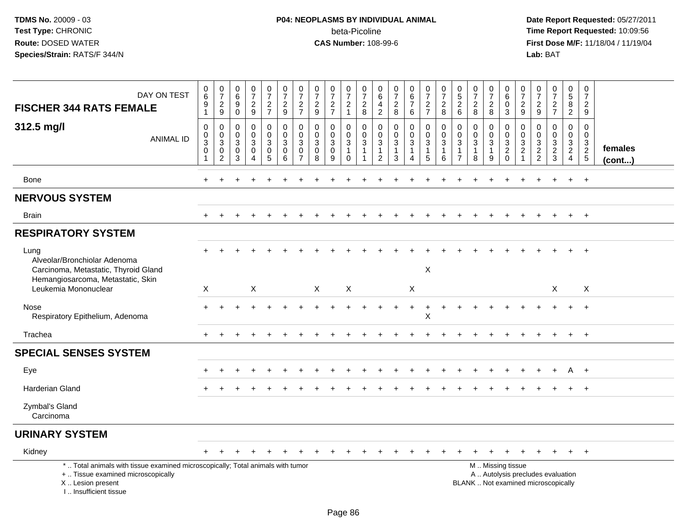# **P04: NEOPLASMS BY INDIVIDUAL ANIMAL**beta-Picoline<br>CAS Number: 108-99-6

| DAY ON TEST<br><b>FISCHER 344 RATS FEMALE</b>                                                                                                                         | $\,0\,$<br>$\,6\,$<br>$9\,$<br>$\overline{1}$                                  | $\frac{0}{7}$<br>$\frac{2}{9}$                                    | $\begin{array}{c} 0 \\ 6 \end{array}$<br>9<br>$\mathbf 0$     | $\frac{0}{7}$<br>$\frac{2}{9}$                                                   | $\begin{array}{c} 0 \\ 7 \end{array}$<br>$\frac{2}{7}$                                  | $\frac{0}{7}$<br>$\frac{2}{9}$             | $\frac{0}{7}$<br>$rac{2}{7}$                                     | $\frac{0}{7}$<br>$\frac{2}{9}$                                  | $\frac{0}{7}$<br>$\frac{2}{7}$                                  | $\frac{0}{7}$<br>$\overline{2}$<br>$\mathbf{1}$       | $\frac{0}{7}$<br>$\begin{array}{c} 2 \\ 8 \end{array}$                        | 0<br>$\,6\,$<br>$\overline{4}$<br>$\overline{2}$                  | $\frac{0}{7}$<br>$\overline{c}$<br>8                            | $\begin{array}{c} 0 \\ 6 \\ 7 \end{array}$<br>6                             | $\begin{array}{c} 0 \\ 7 \end{array}$<br>$\frac{2}{7}$ | $\frac{0}{7}$<br>$\overline{c}$<br>8                            | $0$<br>5<br>2<br>6                                                  | $\frac{0}{7}$<br>$\frac{2}{8}$                                  | $\frac{0}{7}$<br>$\mathbf{2}$<br>8         | $\begin{matrix} 0 \\ 6 \end{matrix}$<br>$\mathbf 0$<br>$\overline{3}$ | $\frac{0}{7}$<br>$\overline{c}$<br>9                               | $\frac{0}{7}$<br>$\frac{2}{9}$                              | $\begin{array}{c} 0 \\ 7 \end{array}$<br>$\frac{2}{7}$                   | 0<br>$\frac{5}{8}$<br>$\overline{2}$                                           | $\pmb{0}$<br>$\overline{7}$<br>$\overline{2}$<br>$\overline{9}$      |                         |
|-----------------------------------------------------------------------------------------------------------------------------------------------------------------------|--------------------------------------------------------------------------------|-------------------------------------------------------------------|---------------------------------------------------------------|----------------------------------------------------------------------------------|-----------------------------------------------------------------------------------------|--------------------------------------------|------------------------------------------------------------------|-----------------------------------------------------------------|-----------------------------------------------------------------|-------------------------------------------------------|-------------------------------------------------------------------------------|-------------------------------------------------------------------|-----------------------------------------------------------------|-----------------------------------------------------------------------------|--------------------------------------------------------|-----------------------------------------------------------------|---------------------------------------------------------------------|-----------------------------------------------------------------|--------------------------------------------|-----------------------------------------------------------------------|--------------------------------------------------------------------|-------------------------------------------------------------|--------------------------------------------------------------------------|--------------------------------------------------------------------------------|----------------------------------------------------------------------|-------------------------|
| 312.5 mg/l<br><b>ANIMAL ID</b>                                                                                                                                        | $\mathbf 0$<br>$\pmb{0}$<br>$\ensuremath{\mathsf{3}}$<br>$\boldsymbol{0}$<br>1 | 0<br>$\mathbf 0$<br>$\mathbf{3}$<br>$\mathbf 0$<br>$\overline{2}$ | $\mathbf 0$<br>$\mathbf 0$<br>$\mathsf 3$<br>$\mathbf 0$<br>3 | $\mathbf 0$<br>$\pmb{0}$<br>$\sqrt{3}$<br>$\mathbf 0$<br>$\overline{\mathbf{4}}$ | $\mathbf 0$<br>$\mathsf{O}\xspace$<br>$\mathbf{3}$<br>$\mathsf{O}\xspace$<br>$\sqrt{5}$ | 0<br>$\mathbf 0$<br>$\mathbf{3}$<br>0<br>6 | $\mathbf 0$<br>$\mathbf 0$<br>3<br>$\mathbf 0$<br>$\overline{7}$ | $\mathbf 0$<br>$\mathbf 0$<br>$\sqrt{3}$<br>$\overline{0}$<br>8 | $\mathbf 0$<br>$\mathbf{0}$<br>$\mathbf{3}$<br>$\mathbf 0$<br>9 | 0<br>$\mathbf 0$<br>$\mathbf{3}$<br>$\mathbf{1}$<br>0 | $\mathbf 0$<br>$\mathbf 0$<br>$\mathsf 3$<br>$\overline{1}$<br>$\overline{1}$ | $\mathbf 0$<br>$\mathbf 0$<br>3<br>$\mathbf{1}$<br>$\overline{2}$ | $\mathbf 0$<br>$\mathbf 0$<br>$\sqrt{3}$<br>$\overline{1}$<br>3 | 0<br>$\mathbf 0$<br>$\mathbf{3}$<br>$\mathbf{1}$<br>$\overline{\mathbf{4}}$ | 0<br>$\mathbf 0$<br>$\mathbf{3}$<br>$\mathbf{1}$<br>5  | $\mathbf 0$<br>$\mathbf 0$<br>$\mathbf{3}$<br>$\mathbf{1}$<br>6 | 0<br>$\mathbf 0$<br>$\mathbf 3$<br>$\overline{1}$<br>$\overline{7}$ | $\mathbf 0$<br>$\mathbf 0$<br>$\mathbf{3}$<br>$\mathbf{1}$<br>8 | 0<br>$\mathbf 0$<br>3<br>$\mathbf{1}$<br>9 | 0<br>$\overline{0}$<br>$\frac{3}{2}$                                  | 0<br>$\mathbf 0$<br>$\mathbf{3}$<br>$\overline{2}$<br>$\mathbf{1}$ | $\mathbf 0$<br>$\mathbf 0$<br>$\mathbf{3}$<br>$\frac{2}{2}$ | $\mathbf 0$<br>$\pmb{0}$<br>$\frac{3}{2}$                                | $\mathbf 0$<br>$\mathbf 0$<br>$\mathbf{3}$<br>$\overline{2}$<br>$\overline{4}$ | $\mathbf 0$<br>$\mathbf 0$<br>3<br>$\overline{2}$<br>$5\phantom{.0}$ | females<br>$($ cont $)$ |
| Bone                                                                                                                                                                  | $+$                                                                            | $\ddot{}$                                                         | $\div$                                                        | $\pm$                                                                            | $\ddot{}$                                                                               | $\div$                                     |                                                                  |                                                                 | $\ddot{}$                                                       | $\ddot{}$                                             |                                                                               | $\ddot{}$                                                         |                                                                 | $\ddot{}$                                                                   | $\ddot{}$                                              | $\ddot{}$                                                       |                                                                     | $\overline{ }$                                                  | $\div$                                     |                                                                       | $\div$                                                             |                                                             |                                                                          | $+$                                                                            | $+$                                                                  |                         |
| <b>NERVOUS SYSTEM</b>                                                                                                                                                 |                                                                                |                                                                   |                                                               |                                                                                  |                                                                                         |                                            |                                                                  |                                                                 |                                                                 |                                                       |                                                                               |                                                                   |                                                                 |                                                                             |                                                        |                                                                 |                                                                     |                                                                 |                                            |                                                                       |                                                                    |                                                             |                                                                          |                                                                                |                                                                      |                         |
| <b>Brain</b>                                                                                                                                                          |                                                                                |                                                                   |                                                               |                                                                                  |                                                                                         |                                            |                                                                  |                                                                 |                                                                 |                                                       |                                                                               |                                                                   |                                                                 |                                                                             |                                                        |                                                                 |                                                                     |                                                                 |                                            |                                                                       |                                                                    |                                                             |                                                                          | $+$                                                                            | $+$                                                                  |                         |
| <b>RESPIRATORY SYSTEM</b>                                                                                                                                             |                                                                                |                                                                   |                                                               |                                                                                  |                                                                                         |                                            |                                                                  |                                                                 |                                                                 |                                                       |                                                                               |                                                                   |                                                                 |                                                                             |                                                        |                                                                 |                                                                     |                                                                 |                                            |                                                                       |                                                                    |                                                             |                                                                          |                                                                                |                                                                      |                         |
| Lung<br>Alveolar/Bronchiolar Adenoma<br>Carcinoma, Metastatic, Thyroid Gland<br>Hemangiosarcoma, Metastatic, Skin                                                     |                                                                                |                                                                   |                                                               |                                                                                  |                                                                                         |                                            |                                                                  |                                                                 |                                                                 |                                                       |                                                                               |                                                                   |                                                                 |                                                                             | $\boldsymbol{\mathsf{X}}$                              |                                                                 |                                                                     |                                                                 |                                            |                                                                       |                                                                    |                                                             |                                                                          |                                                                                |                                                                      |                         |
| Leukemia Mononuclear                                                                                                                                                  | $\mathsf{X}$                                                                   |                                                                   |                                                               | X                                                                                |                                                                                         |                                            |                                                                  | $\mathsf{X}$                                                    |                                                                 | X                                                     |                                                                               |                                                                   |                                                                 | X                                                                           |                                                        |                                                                 |                                                                     |                                                                 |                                            |                                                                       |                                                                    |                                                             | X                                                                        |                                                                                | $\mathsf{X}$                                                         |                         |
| Nose<br>Respiratory Epithelium, Adenoma                                                                                                                               | $\pm$                                                                          |                                                                   |                                                               |                                                                                  |                                                                                         |                                            |                                                                  |                                                                 |                                                                 |                                                       |                                                                               |                                                                   |                                                                 | $\ddot{}$                                                                   | $\ddot{}$<br>$\pmb{\times}$                            | $\ddot{}$                                                       |                                                                     |                                                                 |                                            |                                                                       |                                                                    |                                                             |                                                                          | $\ddot{}$                                                                      | $^{+}$                                                               |                         |
| Trachea                                                                                                                                                               |                                                                                |                                                                   |                                                               |                                                                                  |                                                                                         |                                            |                                                                  |                                                                 |                                                                 |                                                       |                                                                               |                                                                   |                                                                 |                                                                             |                                                        |                                                                 |                                                                     |                                                                 |                                            |                                                                       |                                                                    |                                                             |                                                                          |                                                                                | $+$                                                                  |                         |
| <b>SPECIAL SENSES SYSTEM</b>                                                                                                                                          |                                                                                |                                                                   |                                                               |                                                                                  |                                                                                         |                                            |                                                                  |                                                                 |                                                                 |                                                       |                                                                               |                                                                   |                                                                 |                                                                             |                                                        |                                                                 |                                                                     |                                                                 |                                            |                                                                       |                                                                    |                                                             |                                                                          |                                                                                |                                                                      |                         |
| Eye                                                                                                                                                                   |                                                                                |                                                                   |                                                               |                                                                                  |                                                                                         |                                            |                                                                  |                                                                 |                                                                 |                                                       |                                                                               |                                                                   |                                                                 |                                                                             |                                                        |                                                                 |                                                                     |                                                                 |                                            |                                                                       |                                                                    |                                                             |                                                                          | A                                                                              | $+$                                                                  |                         |
| <b>Harderian Gland</b>                                                                                                                                                |                                                                                |                                                                   |                                                               |                                                                                  |                                                                                         |                                            |                                                                  |                                                                 |                                                                 |                                                       |                                                                               |                                                                   |                                                                 |                                                                             |                                                        |                                                                 |                                                                     |                                                                 |                                            |                                                                       |                                                                    |                                                             |                                                                          | $+$                                                                            | $+$                                                                  |                         |
| Zymbal's Gland<br>Carcinoma                                                                                                                                           |                                                                                |                                                                   |                                                               |                                                                                  |                                                                                         |                                            |                                                                  |                                                                 |                                                                 |                                                       |                                                                               |                                                                   |                                                                 |                                                                             |                                                        |                                                                 |                                                                     |                                                                 |                                            |                                                                       |                                                                    |                                                             |                                                                          |                                                                                |                                                                      |                         |
| <b>URINARY SYSTEM</b>                                                                                                                                                 |                                                                                |                                                                   |                                                               |                                                                                  |                                                                                         |                                            |                                                                  |                                                                 |                                                                 |                                                       |                                                                               |                                                                   |                                                                 |                                                                             |                                                        |                                                                 |                                                                     |                                                                 |                                            |                                                                       |                                                                    |                                                             |                                                                          |                                                                                |                                                                      |                         |
| Kidney                                                                                                                                                                |                                                                                |                                                                   |                                                               |                                                                                  |                                                                                         |                                            |                                                                  |                                                                 |                                                                 |                                                       |                                                                               |                                                                   |                                                                 |                                                                             |                                                        |                                                                 |                                                                     |                                                                 |                                            |                                                                       |                                                                    |                                                             |                                                                          |                                                                                | $+$                                                                  |                         |
| *  Total animals with tissue examined microscopically; Total animals with tumor<br>+  Tissue examined microscopically<br>X  Lesion present<br>I., Insufficient tissue |                                                                                |                                                                   |                                                               |                                                                                  |                                                                                         |                                            |                                                                  |                                                                 |                                                                 |                                                       |                                                                               |                                                                   |                                                                 |                                                                             |                                                        |                                                                 |                                                                     |                                                                 |                                            | M  Missing tissue                                                     |                                                                    |                                                             | A  Autolysis precludes evaluation<br>BLANK  Not examined microscopically |                                                                                |                                                                      |                         |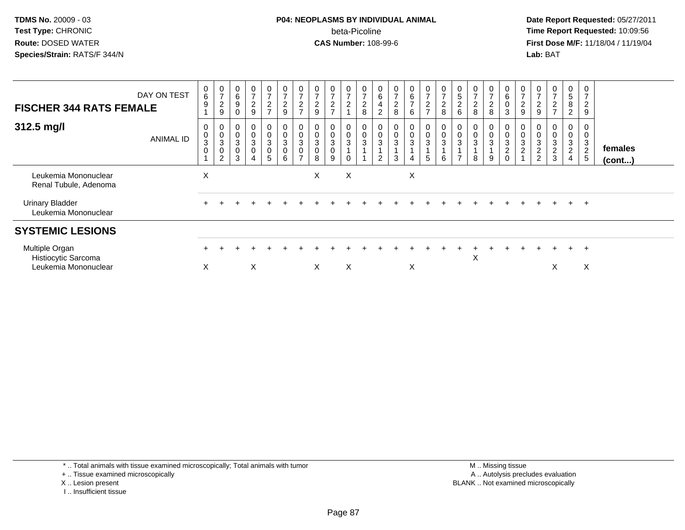**Date Report Requested:** 05/27/2011 **Time Report Requested:** 10:09:56 **First Dose M/F:** 11/18/04 / 11/19/04<br>**Lab:** BAT **Lab:** BAT

| <b>FISCHER 344 RATS FEMALE</b>                                | DAY ON TEST      | 0<br>$\,6\,$<br>9                         | $\frac{0}{7}$<br>$\boldsymbol{2}$<br>9                          | $\,6$<br>9                 | $\overline{ }$<br>$\overline{c}$<br>9     | $\frac{0}{7}$<br>$\overline{c}$<br>$\overline{ }$ | $\frac{0}{7}$<br>$\boldsymbol{2}$<br>9                          | $\overline{c}$      | 0<br>$\rightarrow$<br>$\boldsymbol{2}$<br>9           | $\frac{0}{7}$<br>$\frac{2}{7}$ | $\frac{0}{7}$<br>$\boldsymbol{2}$ | 0<br>$\overline{ }$<br>$\overline{c}$<br>8 | $\,6\,$<br>$\overline{\mathbf{4}}$<br>$\overline{2}$ | 0<br>$\overline{ }$<br>$\overline{a}$<br>8 | $\begin{array}{c} 0 \\ 6 \\ 7 \end{array}$<br>6    | $\mathbf 0$<br>$\rightarrow$<br>$\overline{c}$<br>$\overline{ }$ | $\frac{0}{7}$<br>$\sqrt{2}$<br>8  | $\cup$<br>$\mathbf 5$<br>$\overline{c}$<br>$6\phantom{1}$ | $\frac{0}{7}$<br>$\overline{\mathbf{c}}$<br>8 | $\overline{7}$<br>$\boldsymbol{2}$<br>8 | 6<br>0<br>3                              | $\frac{0}{7}$<br>$\boldsymbol{2}$<br>9 | 0<br>$\rightarrow$<br>$\overline{c}$<br>9 | $\rightarrow$<br>$\frac{2}{7}$ | 0582                                                               | $\overline{c}$<br>9                                    |                   |
|---------------------------------------------------------------|------------------|-------------------------------------------|-----------------------------------------------------------------|----------------------------|-------------------------------------------|---------------------------------------------------|-----------------------------------------------------------------|---------------------|-------------------------------------------------------|--------------------------------|-----------------------------------|--------------------------------------------|------------------------------------------------------|--------------------------------------------|----------------------------------------------------|------------------------------------------------------------------|-----------------------------------|-----------------------------------------------------------|-----------------------------------------------|-----------------------------------------|------------------------------------------|----------------------------------------|-------------------------------------------|--------------------------------|--------------------------------------------------------------------|--------------------------------------------------------|-------------------|
| 312.5 mg/l                                                    | <b>ANIMAL ID</b> | 0<br>$\,0\,$<br>$\sqrt{3}$<br>$\mathbf 0$ | 0<br>$\mathbf 0$<br>$\mathbf{3}$<br>$\pmb{0}$<br>$\overline{c}$ | 0<br>3<br>$\mathbf 0$<br>3 | 0<br>$\mathbf 0$<br>3<br>$\mathbf 0$<br>4 | 0<br>3<br>$\mathbf 0$<br>5                        | 0<br>$\mathbf 0$<br>$\ensuremath{\mathsf{3}}$<br>$\pmb{0}$<br>6 | 3<br>$\overline{ }$ | 0<br>$\pmb{0}$<br>$\ensuremath{\mathsf{3}}$<br>0<br>8 | 0<br>0<br>3<br>0<br>9          | 0<br>$\frac{0}{3}$<br>$\pmb{0}$   | $\pmb{0}$<br>3                             | $\pmb{0}$<br>$\mathbf{3}$<br>$\overline{2}$          | 0<br>0<br>3<br>3                           | 0<br>$\mathbf 0$<br>$\mathbf{3}$<br>$\overline{4}$ | 0<br>$\pmb{0}$<br>$\mathbf{3}$<br>5                              | 0<br>$\pmb{0}$<br>$\sqrt{3}$<br>6 | 0<br>$\pmb{0}$<br>3<br>$\overline{ }$                     | 0<br>0<br>3<br>8                              | $\mathbf 0$<br>3<br>9                   | 3<br>$\overline{\mathbf{c}}$<br>$\Omega$ | $\mathbf{3}$<br>$\overline{c}$         | $\pmb{0}$<br>$\sqrt{3}$<br>$\frac{2}{2}$  | 0<br>3<br>$\frac{2}{3}$        | 0<br>$\pmb{0}$<br>$\sqrt{3}$<br>$\boldsymbol{2}$<br>$\overline{4}$ | 0<br>$\mathbf{3}$<br>$\overline{2}$<br>$5\phantom{.0}$ | females<br>(cont) |
| Leukemia Mononuclear<br>Renal Tubule, Adenoma                 |                  | X                                         |                                                                 |                            |                                           |                                                   |                                                                 |                     | X                                                     |                                | X                                 |                                            |                                                      |                                            | X                                                  |                                                                  |                                   |                                                           |                                               |                                         |                                          |                                        |                                           |                                |                                                                    |                                                        |                   |
| <b>Urinary Bladder</b><br>Leukemia Mononuclear                |                  |                                           |                                                                 |                            |                                           |                                                   |                                                                 |                     |                                                       |                                |                                   |                                            |                                                      |                                            |                                                    |                                                                  |                                   |                                                           |                                               |                                         |                                          |                                        |                                           |                                | $+$                                                                | $+$                                                    |                   |
| <b>SYSTEMIC LESIONS</b>                                       |                  |                                           |                                                                 |                            |                                           |                                                   |                                                                 |                     |                                                       |                                |                                   |                                            |                                                      |                                            |                                                    |                                                                  |                                   |                                                           |                                               |                                         |                                          |                                        |                                           |                                |                                                                    |                                                        |                   |
| Multiple Organ<br>Histiocytic Sarcoma<br>Leukemia Mononuclear |                  | X                                         |                                                                 |                            | X                                         |                                                   |                                                                 |                     | X                                                     |                                | X                                 |                                            |                                                      |                                            | X                                                  |                                                                  |                                   |                                                           | X                                             |                                         |                                          |                                        |                                           | X                              |                                                                    | $+$<br>X                                               |                   |

\* .. Total animals with tissue examined microscopically; Total animals with tumor

- + .. Tissue examined microscopically
- X .. Lesion present
- I .. Insufficient tissue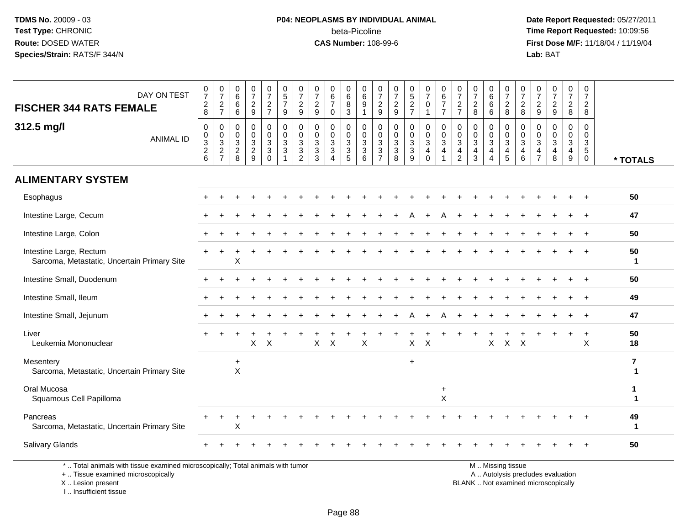# **P04: NEOPLASMS BY INDIVIDUAL ANIMAL**beta-Picoline<br>CAS Number: 108-99-6

 **Date Report Requested:** 05/27/2011 **Time Report Requested:** 10:09:56 **First Dose M/F:** 11/18/04 / 11/19/04<br>**Lab:** BAT **Lab:** BAT

| DAY ON TEST<br><b>FISCHER 344 RATS FEMALE</b>                                                                                              | $\frac{0}{7}$<br>$\frac{2}{8}$          | $\frac{0}{7}$<br>$\frac{2}{7}$    | 0<br>$6\phantom{a}$<br>$\,6$<br>6       | 0<br>$\overline{7}$<br>$\overline{c}$<br>9          | $\frac{0}{7}$<br>$\frac{2}{7}$                             | 0<br>$\overline{5}$<br>$\overline{7}$<br>9                    | $\frac{0}{7}$<br>$\sqrt{2}$<br>$9\,$                                                  | $\pmb{0}$<br>$\overline{7}$<br>$\sqrt{2}$<br>9                | 0<br>$\,6\,$<br>$\overline{7}$<br>$\mathbf 0$ | 0<br>$\,6\,$<br>$\, 8$<br>$\mathbf{3}$                                          | 0<br>$\,6$<br>9<br>$\mathbf{1}$                                 | $\frac{0}{7}$<br>$\overline{c}$<br>9         | 0<br>$\overline{7}$<br>$\sqrt{2}$<br>9                      | $\begin{array}{c} 0 \\ 5 \\ 2 \end{array}$<br>$\overline{7}$ | $\frac{0}{7}$<br>0<br>$\mathbf{1}$         | 0<br>6<br>$\overline{7}$<br>$\overline{7}$                           | 0<br>$\overline{7}$<br>$\boldsymbol{2}$<br>$\overline{7}$ | 0<br>$\overline{7}$<br>$\mathbf{2}$<br>8                               | 0<br>$\,6\,$<br>$\,6$<br>6                                                                                   | 0<br>$\overline{7}$<br>$^2_{\bf 8}$                                           | 0<br>$\overline{7}$<br>$\overline{c}$<br>8                      | 0<br>$\overline{7}$<br>$\overline{c}$<br>9                | $\frac{0}{7}$<br>$\sqrt{2}$<br>9                                          | $\frac{0}{7}$<br>$\overline{c}$<br>8       | 0<br>$\overline{7}$<br>$\overline{a}$<br>8          |                                         |
|--------------------------------------------------------------------------------------------------------------------------------------------|-----------------------------------------|-----------------------------------|-----------------------------------------|-----------------------------------------------------|------------------------------------------------------------|---------------------------------------------------------------|---------------------------------------------------------------------------------------|---------------------------------------------------------------|-----------------------------------------------|---------------------------------------------------------------------------------|-----------------------------------------------------------------|----------------------------------------------|-------------------------------------------------------------|--------------------------------------------------------------|--------------------------------------------|----------------------------------------------------------------------|-----------------------------------------------------------|------------------------------------------------------------------------|--------------------------------------------------------------------------------------------------------------|-------------------------------------------------------------------------------|-----------------------------------------------------------------|-----------------------------------------------------------|---------------------------------------------------------------------------|--------------------------------------------|-----------------------------------------------------|-----------------------------------------|
| 312.5 mg/l<br><b>ANIMAL ID</b>                                                                                                             | $\pmb{0}$<br>$\pmb{0}$<br>$\frac{3}{2}$ | 0<br>$\mathbf 0$<br>$\frac{3}{2}$ | 0<br>0<br>$\mathbf{3}$<br>$\frac{2}{8}$ | $\Omega$<br>$\Omega$<br>$\sqrt{3}$<br>$\frac{2}{9}$ | 0<br>$\pmb{0}$<br>$\mathbf{3}$<br>$\mathbf{3}$<br>$\Omega$ | $\mathbf 0$<br>$\mathbf 0$<br>$\sqrt{3}$<br>$\mathbf{3}$<br>1 | $\mathbf 0$<br>$\pmb{0}$<br>$\ensuremath{\mathsf{3}}$<br>$\sqrt{3}$<br>$\overline{2}$ | $\mathbf 0$<br>$\mathbf 0$<br>$\sqrt{3}$<br>$\mathbf{3}$<br>3 | $\mathbf 0$<br>$\Omega$<br>3<br>3<br>4        | 0<br>$\mathbf 0$<br>$\ensuremath{\mathsf{3}}$<br>$\mathbf{3}$<br>$\overline{5}$ | $\mathbf 0$<br>$\mathbf 0$<br>$\mathbf{3}$<br>$\mathbf{3}$<br>6 | 0<br>$\mathbf 0$<br>3<br>3<br>$\overline{7}$ | $\mathbf 0$<br>$\mathbf 0$<br>$\sqrt{3}$<br>$\sqrt{3}$<br>8 | $\mathbf 0$<br>$\pmb{0}$<br>$_3^3$<br>$\overline{9}$         | 0<br>$\mathbf 0$<br>$\mathbf{3}$<br>4<br>0 | $\mathbf 0$<br>$\overline{0}$<br>$\mathbf{3}$<br>$\overline{4}$<br>1 | 0<br>$\mathbf 0$<br>3<br>4<br>$\overline{2}$              | $\Omega$<br>$\Omega$<br>$\mathbf{3}$<br>$\overline{4}$<br>$\mathbf{3}$ | $\mathbf 0$<br>$\mathbf 0$<br>$\ensuremath{\mathsf{3}}$<br>$\overline{\mathbf{4}}$<br>$\boldsymbol{\Lambda}$ | $\mathbf 0$<br>$\mathbf 0$<br>$\mathsf 3$<br>$\overline{4}$<br>$\overline{5}$ | 0<br>$\Omega$<br>$\sqrt{3}$<br>$\overline{4}$<br>$6\phantom{1}$ | $\mathbf 0$<br>0<br>3<br>$\overline{4}$<br>$\overline{7}$ | $\mathbf 0$<br>$\mathbf 0$<br>$\mathsf 3$<br>$\overline{\mathbf{4}}$<br>8 | $\mathbf 0$<br>$\Omega$<br>3<br>4<br>$9\,$ | $\mathbf 0$<br>$\mathbf 0$<br>3<br>5<br>$\mathbf 0$ | * TOTALS                                |
| <b>ALIMENTARY SYSTEM</b>                                                                                                                   |                                         |                                   |                                         |                                                     |                                                            |                                                               |                                                                                       |                                                               |                                               |                                                                                 |                                                                 |                                              |                                                             |                                                              |                                            |                                                                      |                                                           |                                                                        |                                                                                                              |                                                                               |                                                                 |                                                           |                                                                           |                                            |                                                     |                                         |
| Esophagus                                                                                                                                  |                                         |                                   |                                         |                                                     |                                                            |                                                               |                                                                                       |                                                               |                                               |                                                                                 |                                                                 |                                              |                                                             |                                                              |                                            |                                                                      |                                                           |                                                                        |                                                                                                              |                                                                               |                                                                 |                                                           |                                                                           |                                            |                                                     | 50                                      |
| Intestine Large, Cecum                                                                                                                     |                                         |                                   |                                         |                                                     |                                                            |                                                               |                                                                                       |                                                               |                                               |                                                                                 |                                                                 |                                              |                                                             |                                                              |                                            |                                                                      |                                                           |                                                                        |                                                                                                              |                                                                               |                                                                 |                                                           |                                                                           |                                            |                                                     | 47                                      |
| Intestine Large, Colon                                                                                                                     |                                         |                                   |                                         |                                                     |                                                            |                                                               |                                                                                       |                                                               |                                               |                                                                                 |                                                                 |                                              |                                                             |                                                              |                                            |                                                                      |                                                           |                                                                        |                                                                                                              |                                                                               |                                                                 |                                                           |                                                                           |                                            | $\ddot{}$                                           | 50                                      |
| Intestine Large, Rectum<br>Sarcoma, Metastatic, Uncertain Primary Site                                                                     |                                         |                                   | Χ                                       |                                                     |                                                            |                                                               |                                                                                       |                                                               |                                               |                                                                                 |                                                                 |                                              |                                                             |                                                              |                                            |                                                                      |                                                           |                                                                        |                                                                                                              |                                                                               |                                                                 |                                                           |                                                                           |                                            |                                                     | 50<br>$\blacktriangleleft$              |
| Intestine Small, Duodenum                                                                                                                  |                                         |                                   |                                         |                                                     |                                                            |                                                               |                                                                                       |                                                               |                                               |                                                                                 |                                                                 |                                              |                                                             |                                                              |                                            |                                                                      |                                                           |                                                                        |                                                                                                              |                                                                               |                                                                 |                                                           |                                                                           |                                            |                                                     | 50                                      |
| Intestine Small, Ileum                                                                                                                     |                                         |                                   |                                         |                                                     |                                                            |                                                               |                                                                                       |                                                               |                                               |                                                                                 |                                                                 |                                              |                                                             |                                                              |                                            |                                                                      |                                                           |                                                                        |                                                                                                              |                                                                               |                                                                 |                                                           |                                                                           |                                            |                                                     | 49                                      |
| Intestine Small, Jejunum                                                                                                                   |                                         |                                   |                                         |                                                     |                                                            |                                                               |                                                                                       |                                                               |                                               |                                                                                 |                                                                 |                                              |                                                             |                                                              |                                            |                                                                      |                                                           |                                                                        |                                                                                                              |                                                                               |                                                                 |                                                           |                                                                           |                                            |                                                     | 47                                      |
| Liver<br>Leukemia Mononuclear                                                                                                              |                                         |                                   |                                         | X                                                   | X                                                          |                                                               |                                                                                       | Χ                                                             | $\times$                                      |                                                                                 | X                                                               |                                              |                                                             | X                                                            | $\times$                                   |                                                                      |                                                           |                                                                        | X                                                                                                            | $\pmb{\times}$                                                                | $\boldsymbol{\mathsf{X}}$                                       |                                                           |                                                                           |                                            | $\div$<br>X                                         | 50<br>18                                |
| Mesentery<br>Sarcoma, Metastatic, Uncertain Primary Site                                                                                   |                                         |                                   | $\ddot{}$<br>$\boldsymbol{\mathsf{X}}$  |                                                     |                                                            |                                                               |                                                                                       |                                                               |                                               |                                                                                 |                                                                 |                                              |                                                             | $\ddot{}$                                                    |                                            |                                                                      |                                                           |                                                                        |                                                                                                              |                                                                               |                                                                 |                                                           |                                                                           |                                            |                                                     | $\overline{\mathbf{r}}$<br>$\mathbf{1}$ |
| Oral Mucosa<br>Squamous Cell Papilloma                                                                                                     |                                         |                                   |                                         |                                                     |                                                            |                                                               |                                                                                       |                                                               |                                               |                                                                                 |                                                                 |                                              |                                                             |                                                              |                                            | $\ddot{}$<br>X                                                       |                                                           |                                                                        |                                                                                                              |                                                                               |                                                                 |                                                           |                                                                           |                                            |                                                     | 1<br>$\mathbf{1}$                       |
| Pancreas<br>Sarcoma, Metastatic, Uncertain Primary Site                                                                                    |                                         |                                   | Χ                                       |                                                     |                                                            |                                                               |                                                                                       |                                                               |                                               |                                                                                 |                                                                 |                                              |                                                             |                                                              |                                            |                                                                      |                                                           |                                                                        |                                                                                                              |                                                                               |                                                                 |                                                           |                                                                           |                                            |                                                     | 49<br>$\mathbf 1$                       |
| <b>Salivary Glands</b>                                                                                                                     |                                         |                                   |                                         |                                                     |                                                            |                                                               |                                                                                       |                                                               |                                               |                                                                                 |                                                                 |                                              |                                                             |                                                              |                                            |                                                                      |                                                           |                                                                        |                                                                                                              |                                                                               |                                                                 |                                                           |                                                                           |                                            |                                                     | 50                                      |
| *  Total animals with tissue examined microscopically; Total animals with tumor<br>+  Tissue examined microscopically<br>X  Lesion present |                                         |                                   |                                         |                                                     |                                                            |                                                               |                                                                                       |                                                               |                                               |                                                                                 |                                                                 |                                              |                                                             |                                                              |                                            |                                                                      |                                                           | BLANK  Not examined microscopically                                    |                                                                                                              | M  Missing tissue                                                             |                                                                 |                                                           | A  Autolysis precludes evaluation                                         |                                            |                                                     |                                         |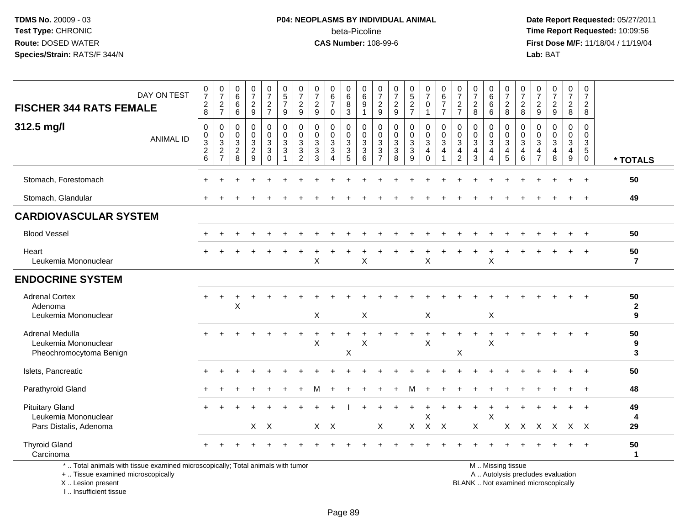# **P04: NEOPLASMS BY INDIVIDUAL ANIMAL**beta-Picoline<br>CAS Number: 108-99-6

 **Date Report Requested:** 05/27/2011 **Time Report Requested:** 10:09:56 **First Dose M/F:** 11/18/04 / 11/19/04<br>Lab: BAT **Lab:** BAT

| <b>FISCHER 344 RATS FEMALE</b>                                           | DAY ON TEST                                                                     | $\frac{0}{7}$<br>$\begin{array}{c} 2 \\ 8 \end{array}$         | $\frac{0}{7}$<br>$\frac{2}{7}$              | $\pmb{0}$<br>$\,6\,$<br>$6\phantom{1}6$<br>6  | $\frac{0}{7}$<br>$\frac{2}{9}$                          | $\frac{0}{7}$<br>$\frac{2}{7}$                                | $\begin{array}{c} 0 \\ 5 \end{array}$<br>$\overline{7}$<br>$\boldsymbol{9}$ | $\begin{smallmatrix}0\\7\end{smallmatrix}$<br>$\frac{2}{9}$         | 0<br>$\overline{7}$<br>$\frac{2}{9}$                                      | 0<br>$\,6\,$<br>7<br>$\mathbf 0$             | 0<br>$\,6\,$<br>8<br>3            | $\begin{array}{c} 0 \\ 6 \end{array}$<br>$\boldsymbol{9}$<br>$\mathbf{1}$ | $\frac{0}{7}$<br>$\frac{2}{9}$                                                 | $\frac{0}{7}$<br>$\frac{2}{9}$                                             | 0<br>5<br>2<br>7                             | $\frac{0}{7}$<br>0<br>$\mathbf{1}$        | $\begin{array}{c} 0 \\ 6 \end{array}$<br>$\overline{7}$<br>$\overline{7}$ | $\frac{0}{7}$<br>$\frac{2}{7}$                                                    | $\begin{smallmatrix}0\\7\end{smallmatrix}$<br>$_{8}^{\rm 2}$   | 0<br>$\,6$<br>6<br>6                                  | $\frac{0}{7}$<br>$_{8}^2$                              | $\frac{0}{7}$<br>$_{\rm 8}^2$                                      | 0<br>$\boldsymbol{7}$<br>$\frac{2}{9}$                               | $\begin{smallmatrix}0\\7\end{smallmatrix}$<br>$\frac{2}{9}$        | $\frac{0}{7}$<br>$\frac{2}{8}$                              | $\mathbf 0$<br>$\overline{7}$<br>$\overline{a}$<br>8       |                         |
|--------------------------------------------------------------------------|---------------------------------------------------------------------------------|----------------------------------------------------------------|---------------------------------------------|-----------------------------------------------|---------------------------------------------------------|---------------------------------------------------------------|-----------------------------------------------------------------------------|---------------------------------------------------------------------|---------------------------------------------------------------------------|----------------------------------------------|-----------------------------------|---------------------------------------------------------------------------|--------------------------------------------------------------------------------|----------------------------------------------------------------------------|----------------------------------------------|-------------------------------------------|---------------------------------------------------------------------------|-----------------------------------------------------------------------------------|----------------------------------------------------------------|-------------------------------------------------------|--------------------------------------------------------|--------------------------------------------------------------------|----------------------------------------------------------------------|--------------------------------------------------------------------|-------------------------------------------------------------|------------------------------------------------------------|-------------------------|
| 312.5 mg/l                                                               | <b>ANIMAL ID</b>                                                                | 0<br>$\mathbf 0$<br>$\ensuremath{\mathsf{3}}$<br>$\frac{2}{6}$ | $\mathbf 0$<br>$\mathbf 0$<br>$\frac{3}{2}$ | $\Omega$<br>$\mathbf 0$<br>3<br>$\frac{2}{8}$ | 0<br>$\mathbf 0$<br>$\mathbf{3}$<br>$\overline{c}$<br>9 | $\mathbf 0$<br>$\mathbf 0$<br>3<br>$\overline{3}$<br>$\Omega$ | 0<br>$\mathbf 0$<br>$\mathbf{3}$<br>$\overline{3}$                          | 0<br>$\mathbf 0$<br>$\mathbf 3$<br>$\overline{3}$<br>$\overline{2}$ | $\Omega$<br>$\mathbf 0$<br>$\mathbf{3}$<br>$\ensuremath{\mathsf{3}}$<br>3 | 0<br>$\mathbf 0$<br>3<br>$\overline{3}$<br>Δ | 0<br>$\mathbf 0$<br>$\frac{3}{3}$ | 0<br>$\mathbf 0$<br>$\mathbf{3}$<br>$\overline{3}$<br>$6\phantom{1}$      | $\mathbf 0$<br>$\mathbf 0$<br>$\mathbf{3}$<br>$\overline{3}$<br>$\overline{7}$ | $\mathbf 0$<br>$\mathbf 0$<br>$\sqrt{3}$<br>$\ensuremath{\mathsf{3}}$<br>8 | 0<br>$\mathbf 0$<br>3<br>$\overline{3}$<br>9 | 0<br>$\mathbf 0$<br>3<br>4<br>$\mathbf 0$ | 0<br>$\mathbf 0$<br>$\sqrt{3}$<br>4                                       | 0<br>$\mathbf 0$<br>$\ensuremath{\mathsf{3}}$<br>$\overline{4}$<br>$\overline{2}$ | $\Omega$<br>$\mathbf 0$<br>$\mathbf{3}$<br>$\overline{4}$<br>3 | 0<br>$\mathbf 0$<br>3<br>$\overline{\mathbf{4}}$<br>4 | $\mathbf 0$<br>$\mathbf 0$<br>$\frac{3}{4}$            | 0<br>$\mathbf 0$<br>$\sqrt{3}$<br>$\overline{4}$<br>$6\phantom{1}$ | $\mathbf 0$<br>$\mathbf{0}$<br>3<br>$\overline{4}$<br>$\overline{7}$ | $\mathbf 0$<br>$\mathbf{0}$<br>$\mathbf{3}$<br>$\overline{4}$<br>8 | 0<br>$\mathbf 0$<br>3<br>$\overline{4}$<br>$\boldsymbol{9}$ | $\mathbf 0$<br>$\mathbf 0$<br>$\frac{3}{5}$<br>$\mathbf 0$ | * TOTALS                |
| Stomach, Forestomach                                                     |                                                                                 |                                                                |                                             |                                               |                                                         |                                                               |                                                                             |                                                                     |                                                                           |                                              |                                   |                                                                           |                                                                                |                                                                            |                                              |                                           |                                                                           |                                                                                   |                                                                |                                                       |                                                        |                                                                    |                                                                      |                                                                    |                                                             | $\ddot{+}$                                                 | 50                      |
| Stomach, Glandular                                                       |                                                                                 |                                                                |                                             |                                               |                                                         |                                                               |                                                                             |                                                                     |                                                                           |                                              |                                   |                                                                           |                                                                                |                                                                            |                                              |                                           |                                                                           |                                                                                   |                                                                |                                                       |                                                        |                                                                    |                                                                      |                                                                    |                                                             |                                                            | 49                      |
| <b>CARDIOVASCULAR SYSTEM</b>                                             |                                                                                 |                                                                |                                             |                                               |                                                         |                                                               |                                                                             |                                                                     |                                                                           |                                              |                                   |                                                                           |                                                                                |                                                                            |                                              |                                           |                                                                           |                                                                                   |                                                                |                                                       |                                                        |                                                                    |                                                                      |                                                                    |                                                             |                                                            |                         |
| <b>Blood Vessel</b>                                                      |                                                                                 |                                                                |                                             |                                               |                                                         |                                                               |                                                                             |                                                                     |                                                                           |                                              |                                   |                                                                           |                                                                                |                                                                            |                                              |                                           |                                                                           |                                                                                   |                                                                |                                                       |                                                        |                                                                    |                                                                      |                                                                    |                                                             |                                                            | 50                      |
| Heart<br>Leukemia Mononuclear                                            |                                                                                 |                                                                |                                             |                                               |                                                         |                                                               |                                                                             |                                                                     | Χ                                                                         |                                              |                                   | Χ                                                                         |                                                                                |                                                                            |                                              | X                                         |                                                                           |                                                                                   |                                                                | Χ                                                     |                                                        |                                                                    |                                                                      |                                                                    |                                                             |                                                            | 50<br>$\overline{7}$    |
| <b>ENDOCRINE SYSTEM</b>                                                  |                                                                                 |                                                                |                                             |                                               |                                                         |                                                               |                                                                             |                                                                     |                                                                           |                                              |                                   |                                                                           |                                                                                |                                                                            |                                              |                                           |                                                                           |                                                                                   |                                                                |                                                       |                                                        |                                                                    |                                                                      |                                                                    |                                                             |                                                            |                         |
| <b>Adrenal Cortex</b><br>Adenoma<br>Leukemia Mononuclear                 |                                                                                 |                                                                |                                             | X                                             |                                                         |                                                               |                                                                             |                                                                     | X                                                                         |                                              |                                   | Χ                                                                         |                                                                                |                                                                            |                                              | X                                         |                                                                           |                                                                                   |                                                                | X                                                     |                                                        |                                                                    |                                                                      |                                                                    |                                                             |                                                            | 50<br>$\mathbf{2}$<br>9 |
| Adrenal Medulla<br>Leukemia Mononuclear<br>Pheochromocytoma Benign       |                                                                                 |                                                                |                                             |                                               |                                                         |                                                               |                                                                             |                                                                     | X                                                                         |                                              | X                                 | X                                                                         |                                                                                |                                                                            |                                              | $\times$                                  |                                                                           | X                                                                                 |                                                                | X                                                     |                                                        |                                                                    |                                                                      |                                                                    |                                                             |                                                            | 50<br>9<br>3            |
| Islets, Pancreatic                                                       |                                                                                 |                                                                |                                             |                                               |                                                         |                                                               |                                                                             |                                                                     |                                                                           |                                              |                                   |                                                                           |                                                                                |                                                                            |                                              |                                           |                                                                           |                                                                                   |                                                                |                                                       |                                                        |                                                                    |                                                                      |                                                                    |                                                             |                                                            | 50                      |
| Parathyroid Gland                                                        |                                                                                 |                                                                |                                             |                                               |                                                         |                                                               |                                                                             |                                                                     |                                                                           |                                              |                                   |                                                                           |                                                                                |                                                                            | м                                            |                                           |                                                                           |                                                                                   |                                                                |                                                       |                                                        |                                                                    |                                                                      |                                                                    |                                                             |                                                            | 48                      |
| <b>Pituitary Gland</b><br>Leukemia Mononuclear<br>Pars Distalis, Adenoma |                                                                                 |                                                                |                                             |                                               |                                                         | $X$ $X$                                                       |                                                                             |                                                                     | $X$ $X$                                                                   |                                              |                                   |                                                                           | X                                                                              |                                                                            | X                                            | $\times$<br>$X$ $X$                       |                                                                           |                                                                                   | X                                                              | $\sf X$                                               | $\mathsf{X}$                                           | $\mathsf{X}$                                                       |                                                                      | X X                                                                | X X                                                         |                                                            | 49<br>4<br>29           |
| <b>Thyroid Gland</b><br>Carcinoma                                        |                                                                                 |                                                                |                                             |                                               |                                                         |                                                               |                                                                             |                                                                     |                                                                           |                                              |                                   |                                                                           |                                                                                |                                                                            |                                              |                                           |                                                                           |                                                                                   |                                                                |                                                       |                                                        |                                                                    |                                                                      |                                                                    |                                                             |                                                            | 50<br>1                 |
| +  Tissue examined microscopically<br>X  Lesion present                  | *  Total animals with tissue examined microscopically; Total animals with tumor |                                                                |                                             |                                               |                                                         |                                                               |                                                                             |                                                                     |                                                                           |                                              |                                   |                                                                           |                                                                                |                                                                            |                                              |                                           |                                                                           |                                                                                   | BLANK  Not examined microscopically                            |                                                       | M  Missing tissue<br>A  Autolysis precludes evaluation |                                                                    |                                                                      |                                                                    |                                                             |                                                            |                         |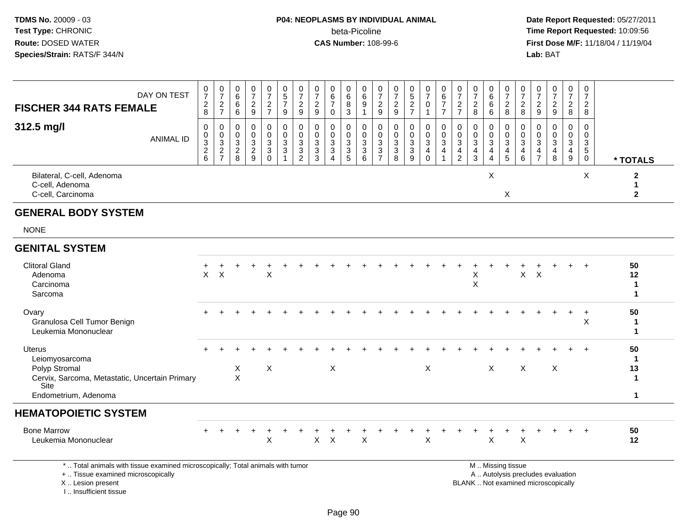# **P04: NEOPLASMS BY INDIVIDUAL ANIMAL**beta-Picoline<br>CAS Number: 108-99-6

 **Date Report Requested:** 05/27/2011 **Time Report Requested:** 10:09:56 **First Dose M/F:** 11/18/04 / 11/19/04<br>**Lab:** BAT **Lab:** BAT

| DAY ON TEST<br><b>FISCHER 344 RATS FEMALE</b>                                                                                      | 0<br>$\overline{7}$<br>$\overline{a}$<br>$\,8\,$ | $\begin{smallmatrix}0\\7\end{smallmatrix}$<br>$\overline{c}$<br>$\overline{7}$ | 0<br>$6\overline{6}$<br>$\,6\,$<br>$\,6\,$  | 0<br>$\overline{7}$<br>$\overline{c}$<br>$\boldsymbol{9}$         | $\frac{0}{7}$<br>$\frac{2}{7}$                                         | 0<br>$\frac{5}{7}$<br>9                   | $\frac{0}{7}$<br>$\overline{2}$<br>9        | $\frac{0}{7}$<br>$\overline{c}$<br>9                                         | 0<br>$\,6\,$<br>$\boldsymbol{7}$<br>$\pmb{0}$                                         | $\begin{array}{c} 0 \\ 6 \end{array}$<br>$\overline{8}$<br>$\sqrt{3}$ | $\begin{matrix} 0 \\ 6 \end{matrix}$<br>$\boldsymbol{9}$<br>$\overline{1}$ | $\frac{0}{7}$<br>$\overline{c}$<br>9                          | 0<br>$\overline{7}$<br>$\overline{2}$<br>$9\,$ | $0$<br>5<br>2<br>7                      | $\frac{0}{7}$<br>$\mathsf 0$<br>$\mathbf 1$                                 | 0<br>$6\overline{6}$<br>$\overline{7}$<br>$\overline{7}$ | 0<br>$\overline{7}$<br>$\sqrt{2}$<br>$\overline{7}$         | 0<br>$\overline{7}$<br>$\overline{2}$<br>8                                   | $\begin{array}{c} 0 \\ 6 \end{array}$<br>$\,6\,$<br>6                            | 0<br>$\overline{7}$<br>$\boldsymbol{2}$<br>$\,8\,$                 | $\frac{0}{7}$<br>$\overline{2}$<br>8 | 0<br>$\overline{7}$<br>$\overline{c}$<br>9   | 0<br>$\overline{7}$<br>$\boldsymbol{2}$<br>$\boldsymbol{9}$ | $\mathbf 0$<br>$\overline{7}$<br>$\overline{c}$<br>$\bf 8$                            | 0<br>$\overline{7}$<br>$\overline{c}$<br>8                  |                                                        |
|------------------------------------------------------------------------------------------------------------------------------------|--------------------------------------------------|--------------------------------------------------------------------------------|---------------------------------------------|-------------------------------------------------------------------|------------------------------------------------------------------------|-------------------------------------------|---------------------------------------------|------------------------------------------------------------------------------|---------------------------------------------------------------------------------------|-----------------------------------------------------------------------|----------------------------------------------------------------------------|---------------------------------------------------------------|------------------------------------------------|-----------------------------------------|-----------------------------------------------------------------------------|----------------------------------------------------------|-------------------------------------------------------------|------------------------------------------------------------------------------|----------------------------------------------------------------------------------|--------------------------------------------------------------------|--------------------------------------|----------------------------------------------|-------------------------------------------------------------|---------------------------------------------------------------------------------------|-------------------------------------------------------------|--------------------------------------------------------|
| 312.5 mg/l<br><b>ANIMAL ID</b>                                                                                                     | 0<br>0<br>$\overline{3}$<br>$\frac{2}{6}$        | $\mathsf{O}\xspace$<br>$\begin{array}{c} 0 \\ 3 \\ 2 \\ 7 \end{array}$         | $\mathbf 0$<br>$\mathbf 0$<br>$\frac{3}{2}$ | $\mathsf{O}\xspace$<br>$\mathbf 0$<br>$\sqrt{3}$<br>$\frac{2}{9}$ | $\mathbf 0$<br>$\mathbf 0$<br>$\sqrt{3}$<br>$\overline{3}$<br>$\Omega$ | $\mathbf 0$<br>$\mathbf 0$<br>3<br>3<br>1 | $\mathbf 0$<br>$\mathbf 0$<br>$\frac{3}{2}$ | $\mathbf 0$<br>$\mathbf 0$<br>$\mathbf{3}$<br>$\ensuremath{\mathsf{3}}$<br>3 | $\mathbf 0$<br>0<br>$\sqrt{3}$<br>$\ensuremath{\mathsf{3}}$<br>$\boldsymbol{\Lambda}$ | $\mathbf 0$<br>$\mathbf 0$<br>$\frac{3}{3}$<br>5                      | $\mathsf{O}\xspace$<br>$\mathbf 0$<br>$\sqrt{3}$<br>$\overline{3}$ 6       | $\mathbf 0$<br>$\mathbf 0$<br>$\overline{3}$<br>$\frac{3}{7}$ | $\mathbf 0$<br>$\mathbf 0$<br>3<br>3<br>8      | $\pmb{0}$<br>$\pmb{0}$<br>$\frac{3}{9}$ | $\mathbf 0$<br>$\mathsf{O}$<br>$\overline{3}$<br>$\overline{4}$<br>$\Omega$ | 0<br>$\mathbf 0$<br>$\overline{3}$<br>$\overline{4}$     | $\mathbf 0$<br>$\pmb{0}$<br>$\overline{3}$<br>$\frac{4}{2}$ | $\mathbf 0$<br>$\mathbf 0$<br>$\mathbf{3}$<br>$\overline{4}$<br>$\mathbf{3}$ | $\mathbf 0$<br>$\mathbf 0$<br>$\overline{3}$<br>$\overline{4}$<br>$\overline{4}$ | 0<br>$\mathbf 0$<br>$\overline{3}$<br>$\overline{\mathbf{4}}$<br>5 | 0<br>$\mathbf 0$<br>$\frac{3}{4}$ 6  | 0<br>$\mathbf 0$<br>3<br>4<br>$\overline{7}$ | $\mathbf 0$<br>0<br>$\mathbf{3}$<br>$\frac{4}{8}$           | $\mathbf 0$<br>$\mathbf 0$<br>$\overline{3}$<br>$\begin{array}{c} 4 \\ 9 \end{array}$ | 0<br>$\mathbf 0$<br>$\sqrt{3}$<br>$\sqrt{5}$<br>$\mathbf 0$ | * TOTALS                                               |
| Bilateral, C-cell, Adenoma<br>C-cell, Adenoma<br>C-cell, Carcinoma                                                                 |                                                  |                                                                                |                                             |                                                                   |                                                                        |                                           |                                             |                                                                              |                                                                                       |                                                                       |                                                                            |                                                               |                                                |                                         |                                                                             |                                                          |                                                             |                                                                              | X                                                                                | X                                                                  |                                      |                                              |                                                             |                                                                                       | X                                                           | $\mathbf{2}$<br>$\mathbf{1}$<br>$\mathbf{2}$           |
| <b>GENERAL BODY SYSTEM</b>                                                                                                         |                                                  |                                                                                |                                             |                                                                   |                                                                        |                                           |                                             |                                                                              |                                                                                       |                                                                       |                                                                            |                                                               |                                                |                                         |                                                                             |                                                          |                                                             |                                                                              |                                                                                  |                                                                    |                                      |                                              |                                                             |                                                                                       |                                                             |                                                        |
| <b>NONE</b>                                                                                                                        |                                                  |                                                                                |                                             |                                                                   |                                                                        |                                           |                                             |                                                                              |                                                                                       |                                                                       |                                                                            |                                                               |                                                |                                         |                                                                             |                                                          |                                                             |                                                                              |                                                                                  |                                                                    |                                      |                                              |                                                             |                                                                                       |                                                             |                                                        |
| <b>GENITAL SYSTEM</b>                                                                                                              |                                                  |                                                                                |                                             |                                                                   |                                                                        |                                           |                                             |                                                                              |                                                                                       |                                                                       |                                                                            |                                                               |                                                |                                         |                                                                             |                                                          |                                                             |                                                                              |                                                                                  |                                                                    |                                      |                                              |                                                             |                                                                                       |                                                             |                                                        |
| <b>Clitoral Gland</b><br>Adenoma<br>Carcinoma<br>Sarcoma                                                                           | $\times$                                         | $\boldsymbol{\mathsf{X}}$                                                      |                                             |                                                                   | $\times$                                                               |                                           |                                             |                                                                              |                                                                                       |                                                                       |                                                                            |                                                               |                                                |                                         |                                                                             |                                                          |                                                             | $\pmb{\times}$<br>$\times$                                                   |                                                                                  |                                                                    | $\mathsf{X}$                         | $\mathsf{X}$                                 |                                                             |                                                                                       |                                                             | 50<br>12<br>$\mathbf 1$<br>$\blacktriangleleft$        |
| Ovary<br>Granulosa Cell Tumor Benign<br>Leukemia Mononuclear                                                                       |                                                  |                                                                                |                                             |                                                                   |                                                                        |                                           |                                             |                                                                              |                                                                                       |                                                                       |                                                                            |                                                               |                                                |                                         |                                                                             |                                                          |                                                             |                                                                              |                                                                                  |                                                                    |                                      |                                              |                                                             |                                                                                       | $\ddot{}$<br>$\boldsymbol{\mathsf{X}}$                      | 50<br>$\mathbf 1$<br>$\mathbf{1}$                      |
| <b>Uterus</b><br>Leiomyosarcoma<br>Polyp Stromal<br>Cervix, Sarcoma, Metastatic, Uncertain Primary<br>Site<br>Endometrium, Adenoma |                                                  |                                                                                | X<br>$\mathsf{X}$                           |                                                                   | X                                                                      |                                           |                                             |                                                                              | $\mathsf X$                                                                           |                                                                       |                                                                            |                                                               |                                                |                                         | X                                                                           |                                                          |                                                             |                                                                              | X                                                                                |                                                                    | $\boldsymbol{\mathsf{X}}$            |                                              | $\times$                                                    |                                                                                       | $\ddot{}$                                                   | 50<br>$\mathbf 1$<br>13<br>$\mathbf 1$<br>$\mathbf{1}$ |
| <b>HEMATOPOIETIC SYSTEM</b>                                                                                                        |                                                  |                                                                                |                                             |                                                                   |                                                                        |                                           |                                             |                                                                              |                                                                                       |                                                                       |                                                                            |                                                               |                                                |                                         |                                                                             |                                                          |                                                             |                                                                              |                                                                                  |                                                                    |                                      |                                              |                                                             |                                                                                       |                                                             |                                                        |
| <b>Bone Marrow</b><br>Leukemia Mononuclear                                                                                         |                                                  |                                                                                |                                             |                                                                   | X                                                                      |                                           |                                             | $\mathsf{X}$                                                                 | $\boldsymbol{X}$                                                                      |                                                                       | $\boldsymbol{\mathsf{X}}$                                                  |                                                               |                                                |                                         | $\sf X$                                                                     |                                                          |                                                             |                                                                              | X                                                                                |                                                                    | $\boldsymbol{\mathsf{X}}$            |                                              |                                                             |                                                                                       | $+$                                                         | 50<br>12                                               |
| *  Total animals with tissue examined microscopically; Total animals with tumor<br>+  Tissue examined microscopically              |                                                  |                                                                                |                                             |                                                                   |                                                                        |                                           |                                             |                                                                              |                                                                                       |                                                                       |                                                                            |                                                               |                                                |                                         |                                                                             |                                                          |                                                             |                                                                              |                                                                                  | M  Missing tissue                                                  |                                      |                                              | A  Autolysis precludes evaluation                           |                                                                                       |                                                             |                                                        |

 Lesion present BLANK .. Not examined microscopicallyX .. Lesion present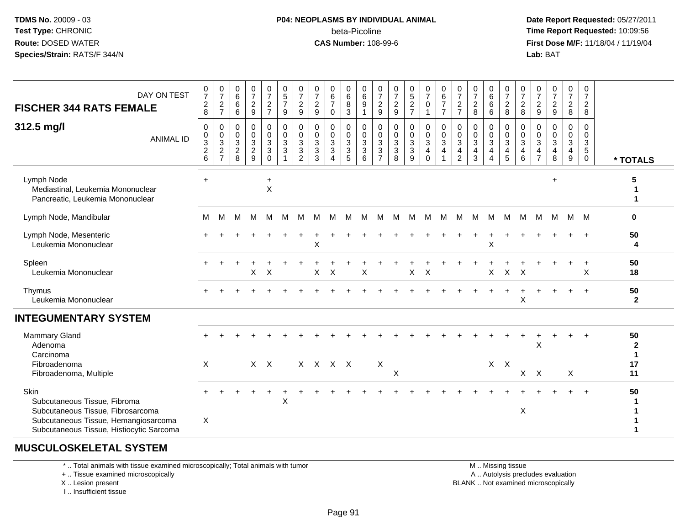#### **P04: NEOPLASMS BY INDIVIDUAL ANIMAL** beta-Picoline**beta-Picoline**<br> **CAS Number:** 108-99-6<br> **CAS Number:** 108-99-6<br> **CAS Number:** 108-99-6

 **Date Report Requested:** 05/27/2011 **First Dose M/F:** 11/18/04 / 11/19/04<br>**Lab:** BAT **Lab:** BAT

| DAY ON TEST<br><b>FISCHER 344 RATS FEMALE</b>                                                                                                                 | $\begin{smallmatrix}0\\7\end{smallmatrix}$<br>$\frac{2}{8}$ | $\frac{0}{7}$<br>$\sqrt{2}$<br>$\overline{7}$                        | $\mathbf 0$<br>$\,6\,$<br>6<br>6                                 | $\frac{0}{7}$<br>$\frac{2}{9}$         | $\begin{smallmatrix}0\\7\end{smallmatrix}$<br>$\frac{2}{7}$      | $\begin{array}{c} 0 \\ 5 \end{array}$<br>$\overline{7}$<br>$\boldsymbol{9}$ | $\frac{0}{7}$<br>$\frac{2}{9}$                                                 | $\frac{0}{7}$<br>$\sqrt{2}$<br>9                                           | 0<br>$\,6$<br>$\overline{7}$<br>0             | $\pmb{0}$<br>$6\phantom{a}$<br>8<br>$\overline{3}$    | 0<br>$6\overline{6}$<br>$\boldsymbol{9}$<br>$\mathbf{1}$                             | 0<br>$\overline{7}$<br>$\boldsymbol{2}$<br>9 | $\frac{0}{7}$<br>$\frac{2}{9}$                                    | $\begin{array}{c} 0 \\ 5 \end{array}$<br>$\frac{2}{7}$             | 0<br>$\overline{7}$<br>$\mathbf 0$<br>1           | $\begin{matrix} 0 \\ 6 \end{matrix}$<br>$\overline{7}$<br>$\overline{7}$ | $\frac{0}{7}$<br>$\frac{2}{7}$                             | $\frac{0}{7}$<br>$\frac{2}{8}$         | 0<br>$6\phantom{a}$<br>$\,6\,$<br>$\,6\,$                                 | $\frac{0}{7}$<br>$\frac{2}{8}$                            | 0<br>$\overline{7}$<br>$\overline{2}$<br>8 | $\frac{0}{7}$<br>$\frac{2}{9}$                                 | $\frac{0}{7}$<br>$\frac{2}{9}$                                  | 0<br>$\overline{7}$<br>$\frac{2}{8}$                  | 0<br>$\overline{7}$<br>$\overline{2}$<br>8                           |                                  |
|---------------------------------------------------------------------------------------------------------------------------------------------------------------|-------------------------------------------------------------|----------------------------------------------------------------------|------------------------------------------------------------------|----------------------------------------|------------------------------------------------------------------|-----------------------------------------------------------------------------|--------------------------------------------------------------------------------|----------------------------------------------------------------------------|-----------------------------------------------|-------------------------------------------------------|--------------------------------------------------------------------------------------|----------------------------------------------|-------------------------------------------------------------------|--------------------------------------------------------------------|---------------------------------------------------|--------------------------------------------------------------------------|------------------------------------------------------------|----------------------------------------|---------------------------------------------------------------------------|-----------------------------------------------------------|--------------------------------------------|----------------------------------------------------------------|-----------------------------------------------------------------|-------------------------------------------------------|----------------------------------------------------------------------|----------------------------------|
| 312.5 mg/l<br><b>ANIMAL ID</b>                                                                                                                                | $\mathbf 0$<br>$_{3}^{\rm 0}$<br>$\frac{2}{6}$              | $\mathbf 0$<br>0<br>$\mathbf{3}$<br>$\overline{2}$<br>$\overline{7}$ | $\mathbf 0$<br>0<br>$\mathbf{3}$<br>$\overline{\mathbf{c}}$<br>8 | 0<br>$\mathbf 0$<br>3<br>$\frac{2}{9}$ | $\boldsymbol{0}$<br>$\mathbf 0$<br>3<br>$\mathbf{3}$<br>$\Omega$ | 0<br>$\pmb{0}$<br>$\mathbf{3}$<br>3                                         | 0<br>$\mathbf 0$<br>$\mathbf 3$<br>$\ensuremath{\mathsf{3}}$<br>$\overline{2}$ | $\mathbf 0$<br>$\mathbf 0$<br>$\sqrt{3}$<br>$\ensuremath{\mathsf{3}}$<br>3 | 0<br>0<br>3<br>$\mathbf{3}$<br>$\overline{A}$ | 0<br>$\pmb{0}$<br>$\mathbf{3}$<br>$\overline{3}$<br>5 | $\mathbf 0$<br>$\mathsf{O}\xspace$<br>$\mathbf{3}$<br>$\ensuremath{\mathsf{3}}$<br>6 | 0<br>0<br>3<br>$\sqrt{3}$<br>$\overline{7}$  | $\mathbf 0$<br>$\overline{0}$ <sub>3</sub><br>$\overline{3}$<br>8 | 0<br>$\mathsf 0$<br>$\ensuremath{\mathsf{3}}$<br>$\mathbf{3}$<br>9 | 0<br>$\mathbf 0$<br>$\mathbf{3}$<br>4<br>$\Omega$ | 0<br>$\mathbf 0$<br>3<br>4                                               | 0<br>0<br>$\mathbf{3}$<br>$\overline{4}$<br>$\overline{2}$ | $\mathbf 0$<br>$\frac{0}{3}$<br>4<br>3 | 0<br>$\pmb{0}$<br>$\sqrt{3}$<br>$\overline{\mathbf{4}}$<br>$\overline{4}$ | 0<br>$\mathbf 0$<br>$\overline{3}$<br>$\overline{4}$<br>5 | $\Omega$<br>0<br>3<br>4<br>6               | $\Omega$<br>$\mathbf 0$<br>$\mathbf{3}$<br>4<br>$\overline{7}$ | $\mathbf 0$<br>$\pmb{0}$<br>$\mathbf{3}$<br>$\overline{4}$<br>8 | $\mathbf{0}$<br>$\mathbf 0$<br>$\mathbf{3}$<br>4<br>9 | $\Omega$<br>$\mathbf 0$<br>$\mathbf{3}$<br>$\sqrt{5}$<br>$\mathbf 0$ | * TOTALS                         |
| Lymph Node<br>Mediastinal, Leukemia Mononuclear<br>Pancreatic, Leukemia Mononuclear                                                                           | $+$                                                         |                                                                      |                                                                  |                                        | $\ddot{}$<br>$\mathsf X$                                         |                                                                             |                                                                                |                                                                            |                                               |                                                       |                                                                                      |                                              |                                                                   |                                                                    |                                                   |                                                                          |                                                            |                                        |                                                                           |                                                           |                                            |                                                                | $\ddot{}$                                                       |                                                       |                                                                      |                                  |
| Lymph Node, Mandibular                                                                                                                                        | м                                                           | м                                                                    | M                                                                | M                                      | M                                                                | M                                                                           | м                                                                              | M                                                                          | M                                             | M                                                     | M                                                                                    | м                                            | M                                                                 | M                                                                  | M                                                 | M                                                                        | M                                                          | M                                      | M                                                                         | M                                                         | M                                          | M                                                              | M                                                               | M                                                     | M                                                                    | 0                                |
| Lymph Node, Mesenteric<br>Leukemia Mononuclear                                                                                                                |                                                             |                                                                      |                                                                  |                                        |                                                                  |                                                                             |                                                                                | $\times$                                                                   |                                               |                                                       |                                                                                      |                                              |                                                                   |                                                                    |                                                   |                                                                          |                                                            |                                        | $\pmb{\times}$                                                            |                                                           |                                            |                                                                |                                                                 |                                                       | $+$                                                                  | 50<br>4                          |
| Spleen<br>Leukemia Mononuclear                                                                                                                                |                                                             |                                                                      |                                                                  | X                                      | $\times$                                                         |                                                                             |                                                                                | $\times$                                                                   | $\times$                                      |                                                       | X                                                                                    |                                              |                                                                   | X                                                                  | $\boldsymbol{\mathsf{X}}$                         |                                                                          |                                                            |                                        | X                                                                         | $\mathsf{X}$                                              | $\boldsymbol{\mathsf{X}}$                  |                                                                |                                                                 |                                                       | X                                                                    | 50<br>18                         |
| Thymus<br>Leukemia Mononuclear                                                                                                                                |                                                             |                                                                      |                                                                  |                                        |                                                                  |                                                                             |                                                                                |                                                                            |                                               |                                                       |                                                                                      |                                              |                                                                   |                                                                    |                                                   |                                                                          |                                                            |                                        |                                                                           |                                                           | X                                          |                                                                |                                                                 |                                                       | $+$                                                                  | 50<br>$\mathbf{2}$               |
| <b>INTEGUMENTARY SYSTEM</b>                                                                                                                                   |                                                             |                                                                      |                                                                  |                                        |                                                                  |                                                                             |                                                                                |                                                                            |                                               |                                                       |                                                                                      |                                              |                                                                   |                                                                    |                                                   |                                                                          |                                                            |                                        |                                                                           |                                                           |                                            |                                                                |                                                                 |                                                       |                                                                      |                                  |
| <b>Mammary Gland</b><br>Adenoma<br>Carcinoma                                                                                                                  |                                                             |                                                                      |                                                                  |                                        |                                                                  |                                                                             |                                                                                |                                                                            |                                               |                                                       |                                                                                      |                                              |                                                                   |                                                                    |                                                   |                                                                          |                                                            |                                        |                                                                           |                                                           |                                            | X                                                              |                                                                 |                                                       |                                                                      | 50<br>$\mathbf 2$<br>$\mathbf 1$ |
| Fibroadenoma<br>Fibroadenoma, Multiple                                                                                                                        | X                                                           |                                                                      |                                                                  |                                        | $X$ $X$                                                          |                                                                             |                                                                                | X X X X                                                                    |                                               |                                                       |                                                                                      | X                                            | X                                                                 |                                                                    |                                                   |                                                                          |                                                            |                                        |                                                                           | $X$ $X$                                                   |                                            | $X$ $X$                                                        |                                                                 | X                                                     |                                                                      | 17<br>11                         |
| Skin<br>Subcutaneous Tissue, Fibroma<br>Subcutaneous Tissue, Fibrosarcoma<br>Subcutaneous Tissue, Hemangiosarcoma<br>Subcutaneous Tissue, Histiocytic Sarcoma | X                                                           |                                                                      |                                                                  |                                        |                                                                  | $\boldsymbol{\mathsf{X}}$                                                   |                                                                                |                                                                            |                                               |                                                       |                                                                                      |                                              |                                                                   |                                                                    |                                                   |                                                                          |                                                            |                                        |                                                                           |                                                           | Χ                                          |                                                                |                                                                 |                                                       |                                                                      | 50                               |

### **MUSCULOSKELETAL SYSTEM**

\* .. Total animals with tissue examined microscopically; Total animals with tumor

+ .. Tissue examined microscopically

X .. Lesion present

I .. Insufficient tissue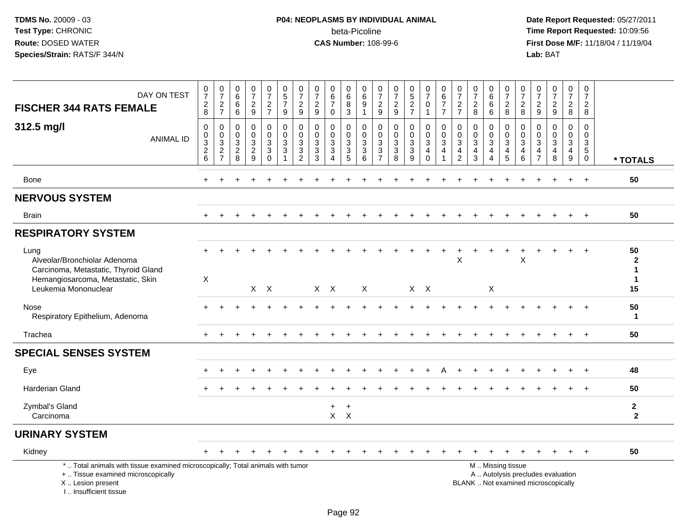# **P04: NEOPLASMS BY INDIVIDUAL ANIMAL**beta-Picoline<br>CAS Number: 108-99-6

| DAY ON TEST<br><b>FISCHER 344 RATS FEMALE</b>                                                                                                                       | $\frac{0}{7}$<br>$\begin{array}{c} 2 \\ 8 \end{array}$                | $\frac{0}{7}$<br>$\frac{2}{7}$                        | $\begin{array}{c} 0 \\ 6 \end{array}$<br>$6\phantom{1}6$<br>$6\phantom{1}6$ | $\frac{0}{7}$<br>$\frac{2}{9}$                        | $\frac{0}{7}$<br>$\frac{2}{7}$                                                         | $\begin{array}{c} 0 \\ 5 \\ 7 \end{array}$<br>9                                      | $\frac{0}{7}$<br>$\overline{c}$<br>9                              | $\frac{0}{7}$<br>$\frac{2}{9}$                                 | $_{6}^{\rm 0}$<br>$\overline{7}$<br>$\mathbf 0$       | $\begin{array}{c} 0 \\ 6 \end{array}$<br>$\, 8$<br>$\mathbf{3}$   | 0<br>$\,6$<br>$\boldsymbol{9}$<br>$\mathbf{1}$ | $\frac{0}{7}$<br>$\frac{2}{9}$                                                           | $\frac{0}{7}$<br>$\frac{2}{9}$  | $0$<br>5<br>2<br>7                                             | $\frac{0}{7}$<br>$\pmb{0}$<br>$\mathbf{1}$                        | $\begin{array}{c} 0 \\ 6 \end{array}$<br>$\overline{7}$<br>$\overline{7}$ | $\frac{0}{7}$<br>$\frac{2}{7}$                                                              | $\frac{0}{7}$<br>$_{\rm 8}^2$              | $\begin{matrix} 0 \\ 6 \end{matrix}$<br>6<br>6                      | 0<br>$\overline{7}$<br>$_{8}^2$                        | $\frac{0}{7}$<br>$_{8}^2$                                                          | $\begin{array}{c} 0 \\ 7 \end{array}$<br>$\frac{2}{9}$                         | $\begin{smallmatrix}0\\7\end{smallmatrix}$<br>$\frac{2}{9}$              | $\frac{0}{7}$<br>$\overline{c}$<br>8                                 |     | $\pmb{0}$<br>$\overline{7}$<br>$\overline{2}$<br>8 |                                                        |
|---------------------------------------------------------------------------------------------------------------------------------------------------------------------|-----------------------------------------------------------------------|-------------------------------------------------------|-----------------------------------------------------------------------------|-------------------------------------------------------|----------------------------------------------------------------------------------------|--------------------------------------------------------------------------------------|-------------------------------------------------------------------|----------------------------------------------------------------|-------------------------------------------------------|-------------------------------------------------------------------|------------------------------------------------|------------------------------------------------------------------------------------------|---------------------------------|----------------------------------------------------------------|-------------------------------------------------------------------|---------------------------------------------------------------------------|---------------------------------------------------------------------------------------------|--------------------------------------------|---------------------------------------------------------------------|--------------------------------------------------------|------------------------------------------------------------------------------------|--------------------------------------------------------------------------------|--------------------------------------------------------------------------|----------------------------------------------------------------------|-----|----------------------------------------------------|--------------------------------------------------------|
| 312.5 mg/l<br><b>ANIMAL ID</b>                                                                                                                                      | $\mathbf 0$<br>$\mathbf 0$<br>$\overline{3}$<br>$\sqrt{2}$<br>$\,6\,$ | 0<br>$\mathbf 0$<br>3<br>$\sqrt{2}$<br>$\overline{7}$ | $\Omega$<br>$\mathbf 0$<br>3<br>$\sqrt{2}$<br>8                             | 0<br>$\mathbf 0$<br>$\sqrt{3}$<br>$\overline{c}$<br>9 | 0<br>$\mathbf 0$<br>$\ensuremath{\mathsf{3}}$<br>$\ensuremath{\mathsf{3}}$<br>$\Omega$ | $\mathbf 0$<br>$\mathsf{O}\xspace$<br>$\ensuremath{\mathsf{3}}$<br>$\mathbf{3}$<br>1 | $\mathbf 0$<br>$\mathbf 0$<br>3<br>$\mathbf{3}$<br>$\overline{2}$ | 0<br>$\mathbf 0$<br>$\ensuremath{\mathsf{3}}$<br>$\frac{3}{3}$ | 0<br>$\mathbf 0$<br>3<br>$\sqrt{3}$<br>$\overline{4}$ | $\mathbf 0$<br>$\mathbf 0$<br>$\mathbf{3}$<br>$\overline{3}$<br>5 | 0<br>$\mathbf 0$<br>3<br>$\sqrt{3}$<br>6       | $\mathbf 0$<br>$\mathbf 0$<br>$\ensuremath{\mathsf{3}}$<br>$\mathbf 3$<br>$\overline{7}$ | 0<br>$\mathbf 0$<br>3<br>3<br>8 | 0<br>$\mathbf 0$<br>$\ensuremath{\mathsf{3}}$<br>$\frac{3}{9}$ | 0<br>$\mathbf 0$<br>$\ensuremath{\mathsf{3}}$<br>4<br>$\mathbf 0$ | $\mathbf 0$<br>$\mathbf 0$<br>3<br>4                                      | $\mathbf 0$<br>$\mathbf 0$<br>$\ensuremath{\mathsf{3}}$<br>$\overline{4}$<br>$\overline{2}$ | 0<br>$\mathbf 0$<br>$\mathbf{3}$<br>4<br>3 | 0<br>$\mathbf 0$<br>$\mathsf 3$<br>$\overline{4}$<br>$\overline{4}$ | $\mathbf 0$<br>$\mathbf 0$<br>3<br>$\overline{4}$<br>5 | $\mathbf 0$<br>$\mathbf 0$<br>$\ensuremath{\mathsf{3}}$<br>$\overline{4}$<br>$\,6$ | $\mathbf 0$<br>$\mathbf 0$<br>$\ensuremath{\mathsf{3}}$<br>4<br>$\overline{7}$ | 0<br>$\mathbf 0$<br>3<br>$\overline{4}$<br>8                             | 0<br>$\mathbf 0$<br>$\ensuremath{\mathsf{3}}$<br>$\overline{4}$<br>9 |     | $\Omega$<br>$\mathbf 0$<br>3<br>5<br>$\mathbf 0$   | * TOTALS                                               |
| Bone                                                                                                                                                                |                                                                       |                                                       |                                                                             |                                                       |                                                                                        |                                                                                      |                                                                   |                                                                |                                                       |                                                                   |                                                |                                                                                          |                                 |                                                                |                                                                   |                                                                           |                                                                                             |                                            |                                                                     |                                                        |                                                                                    |                                                                                |                                                                          | $+$                                                                  |     | $+$                                                | 50                                                     |
| <b>NERVOUS SYSTEM</b>                                                                                                                                               |                                                                       |                                                       |                                                                             |                                                       |                                                                                        |                                                                                      |                                                                   |                                                                |                                                       |                                                                   |                                                |                                                                                          |                                 |                                                                |                                                                   |                                                                           |                                                                                             |                                            |                                                                     |                                                        |                                                                                    |                                                                                |                                                                          |                                                                      |     |                                                    |                                                        |
| <b>Brain</b>                                                                                                                                                        | $+$                                                                   | $\ddot{}$                                             |                                                                             |                                                       |                                                                                        |                                                                                      |                                                                   |                                                                |                                                       |                                                                   |                                                |                                                                                          | $\ddot{}$                       |                                                                |                                                                   |                                                                           | ÷                                                                                           | $\ddot{}$                                  |                                                                     |                                                        |                                                                                    | $\overline{1}$                                                                 | $+$                                                                      | $+$                                                                  | $+$ |                                                    | 50                                                     |
| <b>RESPIRATORY SYSTEM</b>                                                                                                                                           |                                                                       |                                                       |                                                                             |                                                       |                                                                                        |                                                                                      |                                                                   |                                                                |                                                       |                                                                   |                                                |                                                                                          |                                 |                                                                |                                                                   |                                                                           |                                                                                             |                                            |                                                                     |                                                        |                                                                                    |                                                                                |                                                                          |                                                                      |     |                                                    |                                                        |
| Lung<br>Alveolar/Bronchiolar Adenoma<br>Carcinoma, Metastatic, Thyroid Gland<br>Hemangiosarcoma, Metastatic, Skin<br>Leukemia Mononuclear                           | X                                                                     |                                                       |                                                                             |                                                       | $X$ $X$                                                                                |                                                                                      |                                                                   |                                                                | $X$ $X$                                               |                                                                   | $\mathsf{X}$                                   |                                                                                          |                                 |                                                                | $X$ $X$                                                           |                                                                           | X                                                                                           |                                            | $\times$                                                            |                                                        | X                                                                                  |                                                                                |                                                                          |                                                                      |     |                                                    | 50<br>$\mathbf{2}$<br>$\mathbf 1$<br>$\mathbf 1$<br>15 |
| Nose<br>Respiratory Epithelium, Adenoma                                                                                                                             |                                                                       |                                                       |                                                                             |                                                       |                                                                                        |                                                                                      |                                                                   |                                                                |                                                       |                                                                   |                                                |                                                                                          |                                 |                                                                |                                                                   |                                                                           |                                                                                             |                                            |                                                                     |                                                        |                                                                                    |                                                                                |                                                                          |                                                                      |     |                                                    | 50<br>1                                                |
| Trachea                                                                                                                                                             |                                                                       |                                                       |                                                                             |                                                       |                                                                                        |                                                                                      |                                                                   |                                                                |                                                       |                                                                   |                                                |                                                                                          |                                 |                                                                |                                                                   |                                                                           |                                                                                             |                                            |                                                                     |                                                        |                                                                                    |                                                                                |                                                                          |                                                                      |     |                                                    | 50                                                     |
| <b>SPECIAL SENSES SYSTEM</b>                                                                                                                                        |                                                                       |                                                       |                                                                             |                                                       |                                                                                        |                                                                                      |                                                                   |                                                                |                                                       |                                                                   |                                                |                                                                                          |                                 |                                                                |                                                                   |                                                                           |                                                                                             |                                            |                                                                     |                                                        |                                                                                    |                                                                                |                                                                          |                                                                      |     |                                                    |                                                        |
| Eye                                                                                                                                                                 |                                                                       |                                                       |                                                                             |                                                       |                                                                                        |                                                                                      |                                                                   |                                                                |                                                       |                                                                   |                                                |                                                                                          |                                 |                                                                |                                                                   |                                                                           |                                                                                             |                                            |                                                                     |                                                        |                                                                                    |                                                                                |                                                                          |                                                                      |     |                                                    | 48                                                     |
| <b>Harderian Gland</b>                                                                                                                                              |                                                                       |                                                       |                                                                             |                                                       |                                                                                        |                                                                                      |                                                                   |                                                                |                                                       |                                                                   |                                                |                                                                                          |                                 |                                                                |                                                                   |                                                                           |                                                                                             |                                            |                                                                     |                                                        |                                                                                    |                                                                                |                                                                          |                                                                      |     | $\ddot{}$                                          | 50                                                     |
| Zymbal's Gland<br>Carcinoma                                                                                                                                         |                                                                       |                                                       |                                                                             |                                                       |                                                                                        |                                                                                      |                                                                   |                                                                | $\ddot{}$                                             | $+$<br>$X$ $X$                                                    |                                                |                                                                                          |                                 |                                                                |                                                                   |                                                                           |                                                                                             |                                            |                                                                     |                                                        |                                                                                    |                                                                                |                                                                          |                                                                      |     |                                                    | $\mathbf{2}$<br>$\overline{2}$                         |
| <b>URINARY SYSTEM</b>                                                                                                                                               |                                                                       |                                                       |                                                                             |                                                       |                                                                                        |                                                                                      |                                                                   |                                                                |                                                       |                                                                   |                                                |                                                                                          |                                 |                                                                |                                                                   |                                                                           |                                                                                             |                                            |                                                                     |                                                        |                                                                                    |                                                                                |                                                                          |                                                                      |     |                                                    |                                                        |
| Kidney                                                                                                                                                              |                                                                       |                                                       |                                                                             |                                                       |                                                                                        |                                                                                      |                                                                   |                                                                |                                                       |                                                                   |                                                |                                                                                          |                                 |                                                                |                                                                   |                                                                           |                                                                                             |                                            |                                                                     |                                                        |                                                                                    |                                                                                |                                                                          |                                                                      |     |                                                    | 50                                                     |
| *  Total animals with tissue examined microscopically; Total animals with tumor<br>+  Tissue examined microscopically<br>X  Lesion present<br>I Insufficient tissue |                                                                       |                                                       |                                                                             |                                                       |                                                                                        |                                                                                      |                                                                   |                                                                |                                                       |                                                                   |                                                |                                                                                          |                                 |                                                                |                                                                   |                                                                           |                                                                                             |                                            |                                                                     | M  Missing tissue                                      |                                                                                    |                                                                                | A  Autolysis precludes evaluation<br>BLANK  Not examined microscopically |                                                                      |     |                                                    |                                                        |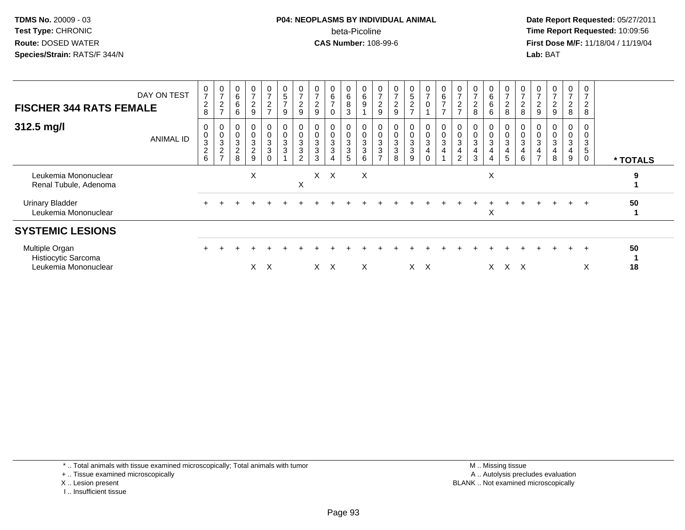### **P04: NEOPLASMS BY INDIVIDUAL ANIMAL**beta-Picoline<br>CAS Number: 108-99-6

 **Date Report Requested:** 05/27/2011 **Time Report Requested:** 10:09:56 **First Dose M/F:** 11/18/04 / 11/19/04<br>**Lab:** BAT **Lab:** BAT

| <b>FISCHER 344 RATS FEMALE</b>                                | DAY ON TEST      | $\frac{0}{7}$<br>$\frac{2}{8}$           | $\frac{0}{7}$<br>$\boldsymbol{2}$<br>$\rightarrow$   | 0<br>6<br>6<br>6                                                                     | $\frac{0}{7}$<br>$\boldsymbol{2}$<br>9 | $\frac{0}{7}$<br>$\frac{2}{7}$                           | 0<br>5<br>7<br>9                                                    | $\frac{0}{7}$<br>$\overline{c}$<br>9 | $\frac{0}{7}$<br>$\overline{c}$<br>9 | $\mathbf 0$<br>$\,6\,$<br>$\rightarrow$<br>0                                          | $\begin{matrix}0\\6\\8\end{matrix}$<br>$\sqrt{3}$ | $\begin{array}{c} 0 \\ 6 \\ 9 \end{array}$                | 0<br>$\overline{ }$<br>2<br>9              | $\frac{0}{7}$<br>$\overline{c}$<br>9                            | $\frac{0}{5}$                             | $\frac{0}{7}$         | $\begin{array}{c} 0 \\ 6 \\ 7 \end{array}$<br>$\rightarrow$        | $\frac{0}{7}$<br>$\overline{c}$<br>$\rightarrow$ | $\overline{7}$<br>$\overline{c}$<br>8 | 6<br>6<br>6 | $\frac{0}{7}$<br>$\boldsymbol{2}$<br>8 | $\frac{0}{7}$<br>$\boldsymbol{2}$<br>8 | 0<br>$\boldsymbol{2}$<br>9              | 0<br>$\overline{7}$<br>$\overline{2}$<br>9 | 0<br>$\overline{7}$<br>$\boldsymbol{2}$<br>8 | 0<br>$\overline{7}$<br>$\overline{\mathbf{c}}$<br>8 |          |
|---------------------------------------------------------------|------------------|------------------------------------------|------------------------------------------------------|--------------------------------------------------------------------------------------|----------------------------------------|----------------------------------------------------------|---------------------------------------------------------------------|--------------------------------------|--------------------------------------|---------------------------------------------------------------------------------------|---------------------------------------------------|-----------------------------------------------------------|--------------------------------------------|-----------------------------------------------------------------|-------------------------------------------|-----------------------|--------------------------------------------------------------------|--------------------------------------------------|---------------------------------------|-------------|----------------------------------------|----------------------------------------|-----------------------------------------|--------------------------------------------|----------------------------------------------|-----------------------------------------------------|----------|
| 312.5 mg/l                                                    | <b>ANIMAL ID</b> | $\pmb{0}$<br>$\sqrt{3}$<br>$\frac{2}{6}$ | $\begin{matrix}0\\0\\3\end{matrix}$<br>$\frac{2}{7}$ | 0<br>$\pmb{0}$<br>$\ensuremath{\mathsf{3}}$<br>$\begin{array}{c} 2 \\ 8 \end{array}$ | 0<br>$\pmb{0}$<br>$\frac{3}{2}$<br>9   | $_{\rm 0}^{\rm 0}$<br>$\overline{3}$<br>3<br>$\mathbf 0$ | $\pmb{0}$<br>$\ensuremath{\mathsf{3}}$<br>$\ensuremath{\mathsf{3}}$ | 0<br>3<br>3<br>$\overline{c}$        | $\mathsf 0$<br>3<br>$\sqrt{3}$<br>3  | 0<br>$\mathsf{O}\xspace$<br>$\ensuremath{\mathsf{3}}$<br>$\sqrt{3}$<br>$\overline{4}$ | 0<br>$\frac{0}{3}$<br>$\mathbf{3}$<br>$\sqrt{5}$  | 0<br>$\mathbf 0$<br>$\overline{3}$<br>$\sqrt{3}$<br>$\,6$ | 0<br>$\pmb{0}$<br>3<br>3<br>$\overline{ }$ | $\mathbf 0$<br>$\overline{3}$<br>$\ensuremath{\mathsf{3}}$<br>8 | $_0^0$<br>$\mathbf 3$<br>$\mathbf 3$<br>9 | 0<br>0<br>3<br>4<br>0 | $\mathbf 0$<br>$\ddot{\mathbf{0}}$<br>$\sqrt{3}$<br>$\overline{4}$ | $\pmb{0}$<br>$\sqrt{3}$<br>4<br>$\overline{2}$   | $\boldsymbol{0}$<br>3<br>3            | 3<br>4      | 0<br>3<br>4<br>5                       | $\pmb{0}$<br>3<br>4<br>6               | $\,0\,$<br>$\sqrt{3}$<br>$\overline{ }$ | $\pmb{0}$<br>$\sqrt{3}$<br>4<br>8          | 0<br>0<br>3<br>4<br>9                        | 0<br>3<br>$\overline{5}$<br>$\mathbf 0$             | * TOTALS |
| Leukemia Mononuclear<br>Renal Tubule, Adenoma                 |                  |                                          |                                                      |                                                                                      | X                                      |                                                          |                                                                     | X                                    |                                      | $X \times$                                                                            |                                                   | X                                                         |                                            |                                                                 |                                           |                       |                                                                    |                                                  |                                       | X           |                                        |                                        |                                         |                                            |                                              |                                                     | 9        |
| <b>Urinary Bladder</b><br>Leukemia Mononuclear                |                  |                                          |                                                      |                                                                                      |                                        |                                                          |                                                                     |                                      |                                      |                                                                                       |                                                   |                                                           |                                            |                                                                 |                                           |                       |                                                                    |                                                  |                                       | Χ           |                                        |                                        |                                         |                                            | $+$                                          | $+$                                                 | 50       |
| <b>SYSTEMIC LESIONS</b>                                       |                  |                                          |                                                      |                                                                                      |                                        |                                                          |                                                                     |                                      |                                      |                                                                                       |                                                   |                                                           |                                            |                                                                 |                                           |                       |                                                                    |                                                  |                                       |             |                                        |                                        |                                         |                                            |                                              |                                                     |          |
| Multiple Organ<br>Histiocytic Sarcoma<br>Leukemia Mononuclear |                  |                                          |                                                      |                                                                                      | X.                                     | $\times$                                                 |                                                                     |                                      |                                      | X X                                                                                   |                                                   | X                                                         |                                            |                                                                 | X                                         | $\times$              |                                                                    |                                                  |                                       | X.          | x x                                    |                                        |                                         |                                            |                                              | $\overline{ }$<br>X                                 | 50<br>18 |

\* .. Total animals with tissue examined microscopically; Total animals with tumor

+ .. Tissue examined microscopically

- X .. Lesion present
- I .. Insufficient tissue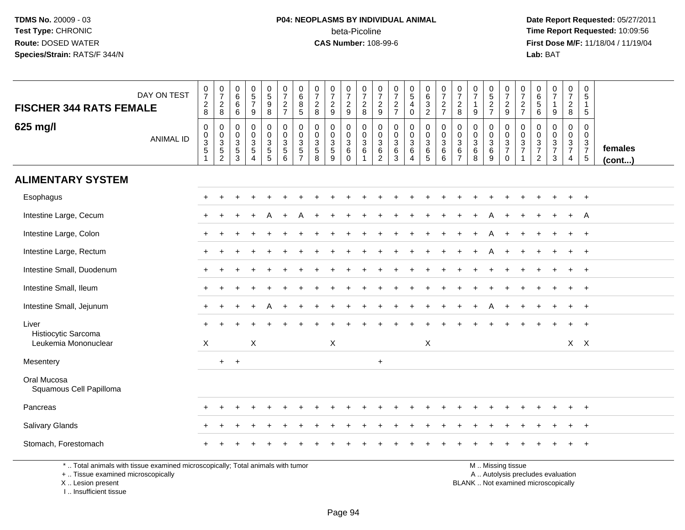# **P04: NEOPLASMS BY INDIVIDUAL ANIMAL**beta-Picoline<br>CAS Number: 108-99-6

|                                                                                                                                            | DAY ON TEST      | $\frac{0}{7}$                                                                 | $\frac{0}{7}$                                       | $_{6}^{\rm 0}$                                                           | $\begin{array}{c} 0 \\ 5 \\ 7 \end{array}$                           | $\begin{array}{c} 0 \\ 5 \end{array}$  | $\frac{0}{7}$                                    | 0<br>$\,6\,$                                                            | 0<br>$\overline{7}$                          | 0<br>$\overline{7}$                                     | 0<br>$\overline{7}$                                               | $\frac{0}{7}$                                                         | 0<br>$\overline{7}$                                               | $\frac{0}{7}$                                                                    | $\begin{array}{c} 0 \\ 5 \end{array}$      | 0<br>$\,6\,$                          | $\frac{0}{7}$                                                | 0<br>$\overline{7}$                              | $\frac{0}{7}$                                            | $\pmb{0}$<br>$\overline{5}$                  | 0<br>$\overline{7}$                                                                           | 0<br>$\overline{7}$                                                         | 0<br>6                                                     | $\frac{0}{7}$                                    | 0<br>$\overline{7}$                                 | 0<br>$\sqrt{5}$                                      |                         |
|--------------------------------------------------------------------------------------------------------------------------------------------|------------------|-------------------------------------------------------------------------------|-----------------------------------------------------|--------------------------------------------------------------------------|----------------------------------------------------------------------|----------------------------------------|--------------------------------------------------|-------------------------------------------------------------------------|----------------------------------------------|---------------------------------------------------------|-------------------------------------------------------------------|-----------------------------------------------------------------------|-------------------------------------------------------------------|----------------------------------------------------------------------------------|--------------------------------------------|---------------------------------------|--------------------------------------------------------------|--------------------------------------------------|----------------------------------------------------------|----------------------------------------------|-----------------------------------------------------------------------------------------------|-----------------------------------------------------------------------------|------------------------------------------------------------|--------------------------------------------------|-----------------------------------------------------|------------------------------------------------------|-------------------------|
| <b>FISCHER 344 RATS FEMALE</b>                                                                                                             |                  | $\sqrt{2}$<br>8                                                               | $\overline{a}$<br>8                                 | 6<br>6                                                                   | 9                                                                    | $\boldsymbol{9}$<br>8                  | $\frac{2}{7}$                                    | $\,8\,$<br>$\sqrt{5}$                                                   | $\overline{2}$<br>8                          | $\frac{2}{9}$                                           | $\frac{2}{9}$                                                     | $\boldsymbol{2}$<br>8                                                 | $\frac{2}{9}$                                                     | $\frac{2}{7}$                                                                    | $\overline{4}$<br>$\mathbf 0$              | 3<br>$\overline{2}$                   | $\frac{2}{7}$                                                | $\sqrt{2}$<br>8                                  | 9                                                        | $\frac{2}{7}$                                | $\sqrt{2}$<br>9                                                                               | $\overline{c}$<br>$\overline{7}$                                            | 5<br>6                                                     | $\mathbf{1}$<br>9                                | $\overline{a}$<br>8                                 | $\mathbf{1}$<br>5                                    |                         |
| 625 mg/l                                                                                                                                   | <b>ANIMAL ID</b> | $\boldsymbol{0}$<br>$\pmb{0}$<br>$\overline{3}$<br>$\sqrt{5}$<br>$\mathbf{1}$ | 0<br>$\mathbf 0$<br>$\frac{3}{5}$<br>$\overline{2}$ | $\mathbf 0$<br>$\mathbf 0$<br>$\ensuremath{\mathsf{3}}$<br>$\frac{5}{3}$ | 0<br>$\mathbf 0$<br>$\mathbf{3}$<br>$\overline{5}$<br>$\overline{A}$ | 0<br>$\mathbf 0$<br>3<br>$\frac{5}{5}$ | $\mathbf 0$<br>$\mathbf 0$<br>$\frac{3}{5}$<br>6 | $\mathbf 0$<br>$\Omega$<br>$\mathbf{3}$<br>$\sqrt{5}$<br>$\overline{7}$ | $\Omega$<br>$\Omega$<br>3<br>$\sqrt{5}$<br>8 | 0<br>$\mathbf 0$<br>$\mathbf{3}$<br>$\overline{5}$<br>9 | $\mathbf 0$<br>$\mathbf 0$<br>$\mathbf{3}$<br>$\,6\,$<br>$\Omega$ | $\mathbf 0$<br>$\mathbf 0$<br>$\ensuremath{\mathsf{3}}$<br>$\,6$<br>1 | $\mathbf 0$<br>$\mathbf 0$<br>$\mathbf{3}$<br>6<br>$\overline{2}$ | $\mathbf 0$<br>$\pmb{0}$<br>$\ensuremath{\mathsf{3}}$<br>$\,6$<br>$\overline{3}$ | 0<br>$\mathbf 0$<br>$\mathbf{3}$<br>6<br>4 | 0<br>$\mathbf 0$<br>3<br>$\,6\,$<br>5 | $\mathbf 0$<br>$\mathbf 0$<br>3<br>$\,6\,$<br>$\overline{6}$ | $\Omega$<br>$\Omega$<br>3<br>6<br>$\overline{7}$ | $\mathbf 0$<br>$\mathbf 0$<br>$\sqrt{3}$<br>$\,6\,$<br>8 | 0<br>$\mathbf 0$<br>$^3$ 6<br>$\overline{9}$ | $\mathbf 0$<br>$\Omega$<br>$\mathbf{3}$<br>$\overline{7}$<br>$\mathbf 0$                      | $\mathbf 0$<br>$\Omega$<br>$\ensuremath{\mathsf{3}}$<br>$\overline{7}$<br>1 | $\mathbf 0$<br>$\Omega$<br>$\frac{3}{7}$<br>$\overline{2}$ | $\mathbf 0$<br>$\mathbf 0$<br>$\frac{3}{7}$<br>3 | 0<br>$\mathbf 0$<br>$\frac{3}{7}$<br>$\overline{4}$ | $\mathbf 0$<br>$\mathbf 0$<br>$\frac{3}{7}$<br>$5\,$ | females<br>$($ cont $)$ |
| <b>ALIMENTARY SYSTEM</b>                                                                                                                   |                  |                                                                               |                                                     |                                                                          |                                                                      |                                        |                                                  |                                                                         |                                              |                                                         |                                                                   |                                                                       |                                                                   |                                                                                  |                                            |                                       |                                                              |                                                  |                                                          |                                              |                                                                                               |                                                                             |                                                            |                                                  |                                                     |                                                      |                         |
| Esophagus                                                                                                                                  |                  |                                                                               |                                                     |                                                                          |                                                                      |                                        |                                                  |                                                                         |                                              |                                                         |                                                                   |                                                                       |                                                                   |                                                                                  |                                            |                                       |                                                              |                                                  |                                                          |                                              |                                                                                               |                                                                             |                                                            |                                                  | $\ddot{}$                                           | $^{+}$                                               |                         |
| Intestine Large, Cecum                                                                                                                     |                  |                                                                               |                                                     |                                                                          |                                                                      |                                        |                                                  |                                                                         |                                              |                                                         |                                                                   |                                                                       |                                                                   |                                                                                  |                                            |                                       |                                                              |                                                  |                                                          |                                              |                                                                                               |                                                                             |                                                            |                                                  |                                                     | A                                                    |                         |
| Intestine Large, Colon                                                                                                                     |                  |                                                                               |                                                     |                                                                          |                                                                      |                                        |                                                  |                                                                         |                                              |                                                         |                                                                   |                                                                       |                                                                   |                                                                                  |                                            |                                       |                                                              |                                                  |                                                          | A                                            |                                                                                               |                                                                             |                                                            |                                                  | $\ddot{}$                                           | $+$                                                  |                         |
| Intestine Large, Rectum                                                                                                                    |                  |                                                                               |                                                     |                                                                          |                                                                      |                                        |                                                  |                                                                         |                                              |                                                         |                                                                   |                                                                       |                                                                   |                                                                                  |                                            |                                       |                                                              |                                                  |                                                          |                                              |                                                                                               |                                                                             |                                                            |                                                  |                                                     | $\overline{1}$                                       |                         |
| Intestine Small, Duodenum                                                                                                                  |                  |                                                                               |                                                     |                                                                          |                                                                      |                                        |                                                  |                                                                         |                                              |                                                         |                                                                   |                                                                       |                                                                   |                                                                                  |                                            |                                       |                                                              |                                                  |                                                          |                                              |                                                                                               |                                                                             |                                                            |                                                  |                                                     |                                                      |                         |
| Intestine Small, Ileum                                                                                                                     |                  | $\div$                                                                        |                                                     |                                                                          |                                                                      |                                        |                                                  |                                                                         |                                              |                                                         |                                                                   |                                                                       |                                                                   |                                                                                  |                                            |                                       |                                                              |                                                  |                                                          |                                              |                                                                                               |                                                                             |                                                            |                                                  | $\pm$                                               | $+$                                                  |                         |
| Intestine Small, Jejunum                                                                                                                   |                  |                                                                               |                                                     |                                                                          |                                                                      |                                        |                                                  |                                                                         |                                              |                                                         |                                                                   |                                                                       |                                                                   |                                                                                  |                                            |                                       |                                                              |                                                  |                                                          |                                              |                                                                                               |                                                                             |                                                            |                                                  |                                                     | $+$                                                  |                         |
| Liver<br>Histiocytic Sarcoma                                                                                                               |                  |                                                                               |                                                     |                                                                          |                                                                      |                                        |                                                  |                                                                         |                                              |                                                         |                                                                   |                                                                       |                                                                   |                                                                                  |                                            |                                       |                                                              |                                                  |                                                          |                                              |                                                                                               |                                                                             |                                                            |                                                  |                                                     |                                                      |                         |
| Leukemia Mononuclear                                                                                                                       |                  | $\mathsf X$                                                                   |                                                     |                                                                          | $\mathsf X$                                                          |                                        |                                                  |                                                                         |                                              | X                                                       |                                                                   |                                                                       |                                                                   |                                                                                  |                                            | $\mathsf X$                           |                                                              |                                                  |                                                          |                                              |                                                                                               |                                                                             |                                                            |                                                  |                                                     | $X$ $X$                                              |                         |
| Mesentery                                                                                                                                  |                  |                                                                               | $+$                                                 | $\overline{+}$                                                           |                                                                      |                                        |                                                  |                                                                         |                                              |                                                         |                                                                   |                                                                       | $\ddot{}$                                                         |                                                                                  |                                            |                                       |                                                              |                                                  |                                                          |                                              |                                                                                               |                                                                             |                                                            |                                                  |                                                     |                                                      |                         |
| Oral Mucosa<br>Squamous Cell Papilloma                                                                                                     |                  |                                                                               |                                                     |                                                                          |                                                                      |                                        |                                                  |                                                                         |                                              |                                                         |                                                                   |                                                                       |                                                                   |                                                                                  |                                            |                                       |                                                              |                                                  |                                                          |                                              |                                                                                               |                                                                             |                                                            |                                                  |                                                     |                                                      |                         |
| Pancreas                                                                                                                                   |                  |                                                                               |                                                     |                                                                          |                                                                      |                                        |                                                  |                                                                         |                                              |                                                         |                                                                   |                                                                       |                                                                   |                                                                                  |                                            |                                       |                                                              |                                                  |                                                          |                                              |                                                                                               |                                                                             |                                                            |                                                  |                                                     | $^+$                                                 |                         |
| <b>Salivary Glands</b>                                                                                                                     |                  |                                                                               |                                                     |                                                                          |                                                                      |                                        |                                                  |                                                                         |                                              |                                                         |                                                                   |                                                                       |                                                                   |                                                                                  |                                            |                                       |                                                              |                                                  |                                                          |                                              |                                                                                               |                                                                             |                                                            |                                                  |                                                     | $\overline{1}$                                       |                         |
| Stomach, Forestomach                                                                                                                       |                  |                                                                               |                                                     |                                                                          |                                                                      |                                        |                                                  |                                                                         |                                              |                                                         |                                                                   |                                                                       |                                                                   |                                                                                  |                                            |                                       |                                                              |                                                  |                                                          |                                              |                                                                                               |                                                                             |                                                            |                                                  |                                                     |                                                      |                         |
| *  Total animals with tissue examined microscopically; Total animals with tumor<br>+  Tissue examined microscopically<br>X  Lesion present |                  |                                                                               |                                                     |                                                                          |                                                                      |                                        |                                                  |                                                                         |                                              |                                                         |                                                                   |                                                                       |                                                                   |                                                                                  |                                            |                                       |                                                              |                                                  |                                                          |                                              | M  Missing tissue<br>A  Autolysis precludes evaluation<br>BLANK  Not examined microscopically |                                                                             |                                                            |                                                  |                                                     |                                                      |                         |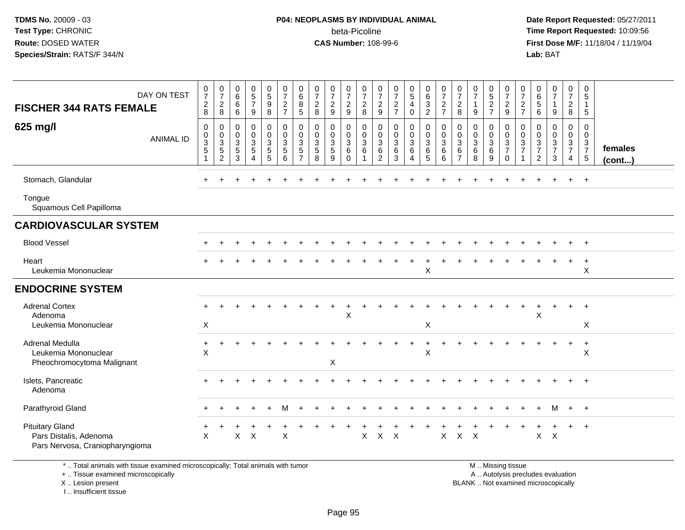### **P04: NEOPLASMS BY INDIVIDUAL ANIMAL**beta-Picoline<br>CAS Number: 108-99-6

 **Date Report Requested:** 05/27/2011 **Time Report Requested:** 10:09:56 **First Dose M/F:** 11/18/04 / 11/19/04<br>**Lab:** BAT **Lab:** BAT

| DAY ON TEST<br><b>FISCHER 344 RATS FEMALE</b><br>625 mg/l                           | $\frac{0}{7}$<br>$\boldsymbol{2}$<br>8<br>$\mathbf 0$ | $\frac{0}{7}$<br>$\overline{c}$<br>8<br>$\mathbf 0$   | $_{6}^{\rm 0}$<br>$6\overline{6}$<br>6<br>$\mathbf 0$ | $\begin{array}{c} 0 \\ 5 \\ 7 \end{array}$<br>9<br>0 | 0<br>9<br>9<br>8<br>$\pmb{0}$                                          | $\frac{0}{7}$<br>$\frac{2}{7}$<br>$\pmb{0}$ | 0<br>$\,6\,$<br>8<br>$\sqrt{5}$<br>0             | $\frac{0}{7}$<br>$\overline{2}$<br>8<br>$\mathbf 0$ | $\frac{0}{7}$<br>$\overline{2}$<br>$\boldsymbol{9}$<br>0 | $\frac{0}{7}$<br>$\sqrt{2}$<br>$\boldsymbol{9}$<br>0 | $\frac{0}{7}$<br>$\sqrt{2}$<br>$\,8\,$<br>$\mathbf 0$ | $\frac{0}{7}$<br>$\frac{2}{9}$<br>$\mathbf 0$ | $\frac{0}{7}$<br>$\frac{2}{7}$<br>$\pmb{0}$          | $\begin{array}{c} 0 \\ 5 \end{array}$<br>$\overline{4}$<br>$\mathsf 0$<br>0 | 0<br>6<br>3<br>2<br>0                                  | $\frac{0}{7}$<br>$\boldsymbol{2}$<br>$\overline{7}$<br>$\pmb{0}$ | 0<br>$\overline{7}$<br>$\sqrt{2}$<br>$\,8\,$<br>$\mathbf 0$ | $\frac{0}{7}$<br>$\mathbf{1}$<br>9<br>$\mathbf 0$ | 0<br>$\frac{5}{2}$<br>0                   | 0<br>$\overline{7}$<br>$\boldsymbol{2}$<br>$\boldsymbol{9}$<br>$\pmb{0}$ | 0<br>$\overline{7}$<br>$\overline{c}$<br>$\overline{7}$<br>$\mathbf 0$ | 0<br>$\,6$<br>$\overline{5}$<br>6<br>0 | $\begin{array}{c} 0 \\ 7 \end{array}$<br>$\mathbf{1}$<br>$9\,$<br>$\mathbf 0$ | 0<br>$\overline{7}$<br>$\boldsymbol{2}$<br>$\bf 8$<br>0 | 0<br>$\sqrt{5}$<br>$\overline{1}$<br>$\sqrt{5}$<br>$\mathbf 0$ |                         |
|-------------------------------------------------------------------------------------|-------------------------------------------------------|-------------------------------------------------------|-------------------------------------------------------|------------------------------------------------------|------------------------------------------------------------------------|---------------------------------------------|--------------------------------------------------|-----------------------------------------------------|----------------------------------------------------------|------------------------------------------------------|-------------------------------------------------------|-----------------------------------------------|------------------------------------------------------|-----------------------------------------------------------------------------|--------------------------------------------------------|------------------------------------------------------------------|-------------------------------------------------------------|---------------------------------------------------|-------------------------------------------|--------------------------------------------------------------------------|------------------------------------------------------------------------|----------------------------------------|-------------------------------------------------------------------------------|---------------------------------------------------------|----------------------------------------------------------------|-------------------------|
| <b>ANIMAL ID</b>                                                                    | $\pmb{0}$<br>$\sqrt{3}$<br>$\sqrt{5}$                 | $\mathbf 0$<br>$\sqrt{3}$<br>$\sqrt{5}$<br>$\sqrt{2}$ | $\pmb{0}$<br>$\sqrt{3}$<br>$\sqrt{5}$<br>3            | 0<br>3<br>5<br>Δ                                     | $\pmb{0}$<br>$\ensuremath{\mathsf{3}}$<br>$\sqrt{5}$<br>$\overline{5}$ | $\pmb{0}$<br>$\frac{3}{5}$<br>6             | $\mathbf 0$<br>3<br>$\sqrt{5}$<br>$\overline{7}$ | $\boldsymbol{0}$<br>$\mathbf{3}$<br>$\sqrt{5}$<br>8 | $\mathbf 0$<br>$\sqrt{3}$<br>$\sqrt{5}$<br>9             | $\pmb{0}$<br>$\mathsf 3$<br>$\,6\,$<br>$\Omega$      | $\pmb{0}$<br>$\sqrt{3}$<br>$\,6\,$                    | $\boldsymbol{0}$<br>$^3$ 6<br>$\overline{2}$  | $\mathbf 0$<br>$\sqrt{3}$<br>$\,6\,$<br>$\mathbf{3}$ | $\pmb{0}$<br>$\mathbf{3}$<br>$\,6\,$<br>4                                   | $\pmb{0}$<br>$\ensuremath{\mathsf{3}}$<br>$\,6\,$<br>5 | $\pmb{0}$<br>$\ensuremath{\mathsf{3}}$<br>$\,6\,$<br>6           | $\mathbf 0$<br>$\mathbf{3}$<br>$\,6\,$<br>$\overline{7}$    | $\mathbf 0$<br>$\mathbf{3}$<br>6<br>8             | $\pmb{0}$<br>$\mathbf{3}$<br>$\,6\,$<br>9 | $\pmb{0}$<br>$\frac{3}{7}$<br>$\mathsf{O}\xspace$                        | 0<br>3<br>$\overline{7}$<br>1                                          | 0<br>$\frac{3}{7}$<br>$\boldsymbol{2}$ | $\mathsf 0$<br>$\frac{3}{7}$<br>$\mathbf{3}$                                  | $\mathbf 0$<br>$\frac{3}{7}$<br>$\overline{4}$          | $\mathbf 0$<br>$\frac{3}{7}$<br>$\sqrt{5}$                     | females<br>$($ cont $)$ |
| Stomach, Glandular                                                                  |                                                       |                                                       |                                                       |                                                      |                                                                        |                                             |                                                  |                                                     |                                                          |                                                      |                                                       |                                               |                                                      |                                                                             |                                                        |                                                                  |                                                             |                                                   |                                           |                                                                          |                                                                        |                                        |                                                                               |                                                         | $+$                                                            |                         |
| Tongue<br>Squamous Cell Papilloma                                                   |                                                       |                                                       |                                                       |                                                      |                                                                        |                                             |                                                  |                                                     |                                                          |                                                      |                                                       |                                               |                                                      |                                                                             |                                                        |                                                                  |                                                             |                                                   |                                           |                                                                          |                                                                        |                                        |                                                                               |                                                         |                                                                |                         |
| <b>CARDIOVASCULAR SYSTEM</b>                                                        |                                                       |                                                       |                                                       |                                                      |                                                                        |                                             |                                                  |                                                     |                                                          |                                                      |                                                       |                                               |                                                      |                                                                             |                                                        |                                                                  |                                                             |                                                   |                                           |                                                                          |                                                                        |                                        |                                                                               |                                                         |                                                                |                         |
| <b>Blood Vessel</b>                                                                 |                                                       |                                                       |                                                       |                                                      |                                                                        |                                             |                                                  |                                                     |                                                          |                                                      |                                                       |                                               |                                                      |                                                                             |                                                        |                                                                  |                                                             |                                                   |                                           |                                                                          |                                                                        |                                        |                                                                               |                                                         | $^{+}$                                                         |                         |
| Heart<br>Leukemia Mononuclear                                                       |                                                       |                                                       |                                                       |                                                      |                                                                        |                                             |                                                  |                                                     |                                                          |                                                      |                                                       |                                               |                                                      |                                                                             | X                                                      |                                                                  |                                                             |                                                   |                                           |                                                                          |                                                                        |                                        |                                                                               | +                                                       | $\ddot{}$<br>X                                                 |                         |
| <b>ENDOCRINE SYSTEM</b>                                                             |                                                       |                                                       |                                                       |                                                      |                                                                        |                                             |                                                  |                                                     |                                                          |                                                      |                                                       |                                               |                                                      |                                                                             |                                                        |                                                                  |                                                             |                                                   |                                           |                                                                          |                                                                        |                                        |                                                                               |                                                         |                                                                |                         |
| <b>Adrenal Cortex</b><br>Adenoma<br>Leukemia Mononuclear                            | X                                                     |                                                       |                                                       |                                                      |                                                                        |                                             |                                                  |                                                     |                                                          | X                                                    |                                                       |                                               |                                                      |                                                                             | X                                                      |                                                                  |                                                             |                                                   |                                           |                                                                          |                                                                        | X                                      |                                                                               | $\ddot{}$                                               | $^{+}$<br>$\sf X$                                              |                         |
| <b>Adrenal Medulla</b><br>Leukemia Mononuclear<br>Pheochromocytoma Malignant        | $\ddot{}$<br>X                                        |                                                       |                                                       |                                                      |                                                                        |                                             |                                                  |                                                     | X                                                        |                                                      |                                                       |                                               |                                                      |                                                                             | $\boldsymbol{\mathsf{X}}$                              |                                                                  |                                                             |                                                   |                                           |                                                                          |                                                                        |                                        |                                                                               |                                                         | $\ddot{}$<br>X                                                 |                         |
| Islets, Pancreatic<br>Adenoma                                                       |                                                       |                                                       |                                                       |                                                      |                                                                        |                                             |                                                  |                                                     |                                                          |                                                      |                                                       |                                               |                                                      |                                                                             |                                                        |                                                                  |                                                             |                                                   |                                           |                                                                          |                                                                        |                                        |                                                                               |                                                         |                                                                |                         |
| Parathyroid Gland                                                                   |                                                       |                                                       |                                                       |                                                      |                                                                        | м                                           |                                                  |                                                     |                                                          |                                                      |                                                       |                                               |                                                      |                                                                             |                                                        |                                                                  |                                                             |                                                   |                                           |                                                                          |                                                                        |                                        | м                                                                             | $+$                                                     | $+$                                                            |                         |
| <b>Pituitary Gland</b><br>Pars Distalis, Adenoma<br>Pars Nervosa, Craniopharyngioma | $\mathsf X$                                           |                                                       | X                                                     | $\times$                                             |                                                                        | $\sf X$                                     |                                                  |                                                     |                                                          |                                                      | $\mathsf X$                                           | $\mathsf X$                                   | X                                                    |                                                                             |                                                        | $\mathsf X$                                                      | $\mathsf X$                                                 | $\times$                                          |                                           |                                                                          |                                                                        | X                                      | $\boldsymbol{\mathsf{X}}$                                                     |                                                         | $\ddot{}$                                                      |                         |

\* .. Total animals with tissue examined microscopically; Total animals with tumor

+ .. Tissue examined microscopically

 Lesion present BLANK .. Not examined microscopicallyX .. Lesion present

I .. Insufficient tissue

M .. Missing tissue

y the contract of the contract of the contract of the contract of the contract of the contract of the contract of  $A$ . Autolysis precludes evaluation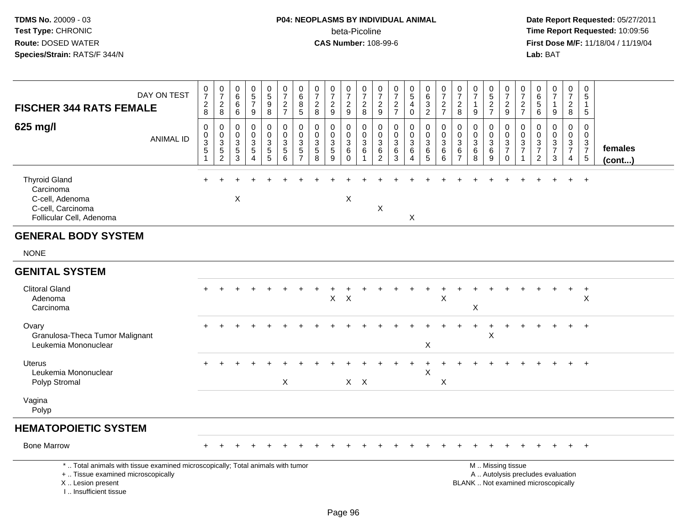# **P04: NEOPLASMS BY INDIVIDUAL ANIMAL**beta-Picoline<br>CAS Number: 108-99-6

| <b>FISCHER 344 RATS FEMALE</b>                                                                                                                                      | DAY ON TEST      | $\frac{0}{7}$<br>$_{\rm 8}^2$               | $\frac{0}{7}$<br>$_{\rm 8}^2$                                  | 0<br>$\,6\,$<br>6<br>$\,6\,$                       | $\pmb{0}$<br>$\sqrt{5}$<br>$\overline{7}$<br>$9\,$           | $\begin{array}{c} 0 \\ 5 \end{array}$<br>$\boldsymbol{9}$<br>8 | $\frac{0}{7}$<br>$\frac{2}{7}$                                         | $\begin{array}{c} 0 \\ 6 \\ 8 \end{array}$<br>5                               | $\frac{0}{7}$<br>$\overline{c}$<br>8                             | $\frac{0}{7}$<br>$\frac{2}{9}$         | $\frac{0}{7}$<br>$\frac{2}{9}$                            | $\frac{0}{7}$<br>$\overline{c}$<br>8                     | $\pmb{0}$<br>$\overline{7}$<br>$\frac{2}{9}$                         | $\frac{0}{7}$<br>$\frac{2}{7}$            | $\begin{array}{c} 0 \\ 5 \\ 4 \end{array}$<br>$\mathbf 0$ | $\begin{matrix} 0 \\ 6 \\ 3 \end{matrix}$<br>$\overline{2}$   | $\frac{0}{7}$<br>$\frac{2}{7}$                                    | $\frac{0}{7}$<br>$\overline{2}$<br>8       | $\frac{0}{7}$<br>$\mathbf{1}$<br>9                        | $\begin{array}{c} 0 \\ 5 \\ 2 \end{array}$<br>$\overline{7}$ | $\frac{0}{7}$<br>$\overline{c}$<br>9                                                          | 0<br>$\overline{7}$<br>$\overline{c}$<br>$\overline{7}$ | $\begin{array}{c} 0 \\ 6 \\ 5 \end{array}$<br>6     | $\frac{0}{7}$<br>$\mathbf{1}$<br>9               | $\frac{0}{7}$<br>$\overline{a}$<br>8                | 0<br>$5\phantom{.0}$<br>$\mathbf{1}$<br>$\overline{5}$        |                         |
|---------------------------------------------------------------------------------------------------------------------------------------------------------------------|------------------|---------------------------------------------|----------------------------------------------------------------|----------------------------------------------------|--------------------------------------------------------------|----------------------------------------------------------------|------------------------------------------------------------------------|-------------------------------------------------------------------------------|------------------------------------------------------------------|----------------------------------------|-----------------------------------------------------------|----------------------------------------------------------|----------------------------------------------------------------------|-------------------------------------------|-----------------------------------------------------------|---------------------------------------------------------------|-------------------------------------------------------------------|--------------------------------------------|-----------------------------------------------------------|--------------------------------------------------------------|-----------------------------------------------------------------------------------------------|---------------------------------------------------------|-----------------------------------------------------|--------------------------------------------------|-----------------------------------------------------|---------------------------------------------------------------|-------------------------|
| 625 mg/l                                                                                                                                                            | <b>ANIMAL ID</b> | $\mathbf 0$<br>$\mathbf 0$<br>$\frac{3}{5}$ | $\mathbf 0$<br>$\begin{array}{c} 0 \\ 3 \\ 5 \\ 2 \end{array}$ | $\mathbf 0$<br>$\mathbf 0$<br>3<br>$\sqrt{5}$<br>3 | $\Omega$<br>$\mathbf 0$<br>3<br>$\sqrt{5}$<br>$\overline{4}$ | 0<br>$\mathbf 0$<br>3<br>$\sqrt{5}$<br>5                       | 0<br>$\mathbf 0$<br>$\ensuremath{\mathsf{3}}$<br>$\sqrt{5}$<br>$\,6\,$ | 0<br>$\mathbf 0$<br>$\ensuremath{\mathsf{3}}$<br>$\sqrt{5}$<br>$\overline{7}$ | $\mathbf 0$<br>0<br>$\ensuremath{\mathsf{3}}$<br>$\sqrt{5}$<br>8 | 0<br>$\mathbf 0$<br>$\frac{3}{5}$<br>9 | 0<br>$\mathbf 0$<br>$\mathsf 3$<br>$\,6\,$<br>$\mathbf 0$ | 0<br>$\mathbf 0$<br>3<br>$\,6\,$<br>$\blacktriangleleft$ | $\mathbf 0$<br>$\mathbf 0$<br>3<br>$6\phantom{1}6$<br>$\overline{c}$ | $\mathbf 0$<br>$\mathbf 0$<br>3<br>6<br>3 | 0<br>$\mathbf 0$<br>3<br>$\,6\,$<br>4                     | 0<br>$\mathbf 0$<br>$\ensuremath{\mathsf{3}}$<br>$\,6\,$<br>5 | 0<br>$\pmb{0}$<br>$\ensuremath{\mathsf{3}}$<br>$\,6\,$<br>$\,6\,$ | $\mathbf 0$<br>$\mathbf 0$<br>3<br>$\,6\,$ | $\mathbf 0$<br>$\mathbf 0$<br>$\mathbf 3$<br>$\,6\,$<br>8 | 0<br>$\mathbf 0$<br>3<br>$\,6\,$<br>9                        | 0<br>$\mathbf 0$<br>$\frac{3}{7}$<br>$\mathbf 0$                                              | 0<br>$\mathbf 0$<br>3<br>$\overline{7}$                 | $\mathbf 0$<br>$\mathsf{O}\xspace$<br>$\frac{3}{7}$ | $\mathbf 0$<br>$\mathbf 0$<br>$\frac{3}{7}$<br>3 | 0<br>$\mathbf 0$<br>$\frac{3}{7}$<br>$\overline{4}$ | $\mathbf 0$<br>$\mathbf 0$<br>$\frac{3}{7}$<br>$\overline{5}$ | females<br>$($ cont $)$ |
| <b>Thyroid Gland</b><br>Carcinoma<br>C-cell, Adenoma<br>C-cell, Carcinoma<br>Follicular Cell, Adenoma                                                               |                  |                                             |                                                                | $\boldsymbol{\mathsf{X}}$                          |                                                              |                                                                |                                                                        |                                                                               |                                                                  |                                        | X                                                         |                                                          | $\pmb{\times}$                                                       |                                           | X                                                         |                                                               |                                                                   |                                            |                                                           |                                                              |                                                                                               |                                                         |                                                     |                                                  |                                                     | $\ddot{}$                                                     |                         |
| <b>GENERAL BODY SYSTEM</b>                                                                                                                                          |                  |                                             |                                                                |                                                    |                                                              |                                                                |                                                                        |                                                                               |                                                                  |                                        |                                                           |                                                          |                                                                      |                                           |                                                           |                                                               |                                                                   |                                            |                                                           |                                                              |                                                                                               |                                                         |                                                     |                                                  |                                                     |                                                               |                         |
| <b>NONE</b>                                                                                                                                                         |                  |                                             |                                                                |                                                    |                                                              |                                                                |                                                                        |                                                                               |                                                                  |                                        |                                                           |                                                          |                                                                      |                                           |                                                           |                                                               |                                                                   |                                            |                                                           |                                                              |                                                                                               |                                                         |                                                     |                                                  |                                                     |                                                               |                         |
| <b>GENITAL SYSTEM</b>                                                                                                                                               |                  |                                             |                                                                |                                                    |                                                              |                                                                |                                                                        |                                                                               |                                                                  |                                        |                                                           |                                                          |                                                                      |                                           |                                                           |                                                               |                                                                   |                                            |                                                           |                                                              |                                                                                               |                                                         |                                                     |                                                  |                                                     |                                                               |                         |
| <b>Clitoral Gland</b><br>Adenoma<br>Carcinoma                                                                                                                       |                  |                                             |                                                                |                                                    |                                                              |                                                                |                                                                        |                                                                               |                                                                  | $\mathsf{X}$                           | $\times$                                                  |                                                          |                                                                      |                                           |                                                           |                                                               | X                                                                 |                                            | X                                                         |                                                              |                                                                                               |                                                         |                                                     |                                                  |                                                     | $\ddot{}$<br>X                                                |                         |
| Ovary<br>Granulosa-Theca Tumor Malignant<br>Leukemia Mononuclear                                                                                                    |                  |                                             |                                                                |                                                    |                                                              |                                                                |                                                                        |                                                                               |                                                                  |                                        |                                                           |                                                          |                                                                      |                                           |                                                           | X                                                             |                                                                   |                                            |                                                           | $\times$                                                     |                                                                                               |                                                         |                                                     |                                                  |                                                     | $\ddot{}$                                                     |                         |
| Uterus<br>Leukemia Mononuclear<br>Polyp Stromal                                                                                                                     |                  |                                             |                                                                |                                                    |                                                              |                                                                | X                                                                      |                                                                               |                                                                  |                                        | $X$ $X$                                                   |                                                          |                                                                      |                                           |                                                           | $\ddot{}$<br>X                                                | X                                                                 |                                            |                                                           |                                                              |                                                                                               |                                                         |                                                     |                                                  |                                                     | $+$                                                           |                         |
| Vagina<br>Polyp                                                                                                                                                     |                  |                                             |                                                                |                                                    |                                                              |                                                                |                                                                        |                                                                               |                                                                  |                                        |                                                           |                                                          |                                                                      |                                           |                                                           |                                                               |                                                                   |                                            |                                                           |                                                              |                                                                                               |                                                         |                                                     |                                                  |                                                     |                                                               |                         |
| <b>HEMATOPOIETIC SYSTEM</b>                                                                                                                                         |                  |                                             |                                                                |                                                    |                                                              |                                                                |                                                                        |                                                                               |                                                                  |                                        |                                                           |                                                          |                                                                      |                                           |                                                           |                                                               |                                                                   |                                            |                                                           |                                                              |                                                                                               |                                                         |                                                     |                                                  |                                                     |                                                               |                         |
| <b>Bone Marrow</b>                                                                                                                                                  |                  |                                             |                                                                |                                                    |                                                              |                                                                |                                                                        |                                                                               |                                                                  |                                        |                                                           |                                                          |                                                                      |                                           |                                                           |                                                               |                                                                   |                                            |                                                           |                                                              |                                                                                               |                                                         |                                                     |                                                  |                                                     | $\overline{ }$                                                |                         |
| *  Total animals with tissue examined microscopically; Total animals with tumor<br>+  Tissue examined microscopically<br>X  Lesion present<br>I Insufficient tissue |                  |                                             |                                                                |                                                    |                                                              |                                                                |                                                                        |                                                                               |                                                                  |                                        |                                                           |                                                          |                                                                      |                                           |                                                           |                                                               |                                                                   |                                            |                                                           |                                                              | M  Missing tissue<br>A  Autolysis precludes evaluation<br>BLANK  Not examined microscopically |                                                         |                                                     |                                                  |                                                     |                                                               |                         |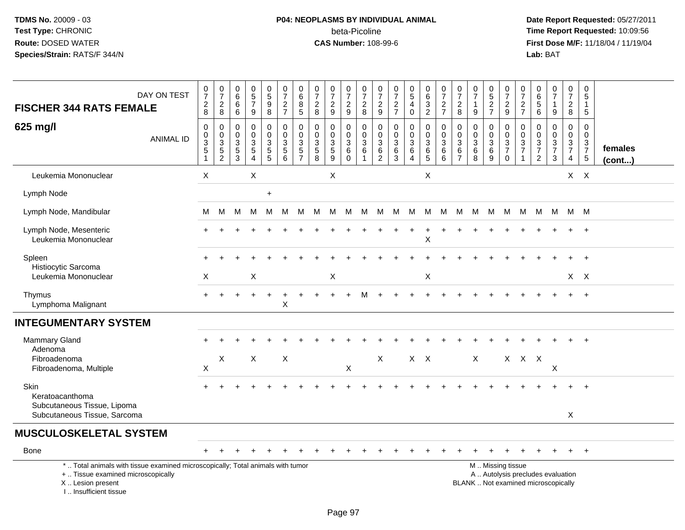# **P04: NEOPLASMS BY INDIVIDUAL ANIMAL**beta-Picoline<br>CAS Number: 108-99-6

| DAY ON TEST<br><b>FISCHER 344 RATS FEMALE</b>                                                                                                                       | $\frac{0}{7}$<br>$\frac{2}{8}$         | $\frac{0}{7}$<br>$\sqrt{2}$<br>8                             | $\begin{array}{c} 0 \\ 6 \end{array}$<br>$\,6\,$<br>6 | $\begin{array}{c} 0 \\ 5 \\ 7 \end{array}$<br>9                                | $\begin{array}{c} 0 \\ 5 \end{array}$<br>$\overline{9}$<br>$\bf8$ | $\frac{0}{7}$<br>$\frac{2}{7}$                                       | $_{6}^{\rm 0}$<br>$\bar{8}$<br>5                       | $\frac{0}{7}$<br>$\sqrt{2}$<br>$\,8\,$                             | $\frac{0}{7}$<br>$\frac{2}{9}$            | $\frac{0}{7}$<br>$\frac{2}{9}$                            | $\frac{0}{7}$<br>$\frac{2}{8}$                              | $\frac{0}{7}$<br>$\frac{2}{9}$               | $\frac{0}{7}$<br>$\frac{2}{7}$                      | $\begin{array}{c} 0 \\ 5 \\ 4 \end{array}$<br>$\mathbf 0$                    | $\begin{array}{c} 0 \\ 6 \end{array}$<br>$\frac{3}{2}$ | $\frac{0}{7}$<br>$\frac{2}{7}$                                                     | $\frac{0}{7}$<br>$\sqrt{2}$<br>8                 | 0<br>$\overline{7}$<br>1<br>9                                      | $\begin{matrix} 0 \\ 5 \end{matrix}$<br>$\overline{2}$<br>$\overline{7}$ | $\frac{0}{7}$<br>$\overline{c}$<br>9                       | $\frac{0}{7}$<br>$\frac{2}{7}$       | $\pmb{0}$<br>$\,6\,$<br>$\overline{5}$<br>6 | $\frac{0}{7}$<br>$\mathbf{1}$<br>9               | $\begin{array}{c} 0 \\ 7 \end{array}$<br>$\frac{2}{8}$ | 0<br>5<br>$\mathbf{1}$<br>$\overline{5}$                                 |                         |
|---------------------------------------------------------------------------------------------------------------------------------------------------------------------|----------------------------------------|--------------------------------------------------------------|-------------------------------------------------------|--------------------------------------------------------------------------------|-------------------------------------------------------------------|----------------------------------------------------------------------|--------------------------------------------------------|--------------------------------------------------------------------|-------------------------------------------|-----------------------------------------------------------|-------------------------------------------------------------|----------------------------------------------|-----------------------------------------------------|------------------------------------------------------------------------------|--------------------------------------------------------|------------------------------------------------------------------------------------|--------------------------------------------------|--------------------------------------------------------------------|--------------------------------------------------------------------------|------------------------------------------------------------|--------------------------------------|---------------------------------------------|--------------------------------------------------|--------------------------------------------------------|--------------------------------------------------------------------------|-------------------------|
| 625 mg/l<br><b>ANIMAL ID</b>                                                                                                                                        | $\mathsf 0$<br>$\frac{0}{3}$<br>5<br>1 | $\pmb{0}$<br>$\begin{array}{c} 0 \\ 3 \\ 5 \\ 2 \end{array}$ | $\mathbf 0$<br>$\mathbf 0$<br>$\frac{3}{5}$           | $\mathbf 0$<br>$\mathbf 0$<br>$\mathbf{3}$<br>$\overline{5}$<br>$\overline{4}$ | 0<br>$\mathbf 0$<br>$\ensuremath{\mathsf{3}}$<br>$\overline{5}$   | 0<br>$\mathbf 0$<br>$\mathbf{3}$<br>$\overline{5}$<br>$6\phantom{1}$ | $\mathsf{O}\xspace$<br>$\pmb{0}$<br>3<br>$\frac{5}{7}$ | 0<br>$\pmb{0}$<br>$\ensuremath{\mathsf{3}}$<br>$\overline{5}$<br>8 | $\mathbf 0$<br>$\mathbf 0$<br>$rac{3}{9}$ | 0<br>$\mathsf{O}\xspace$<br>$\frac{3}{6}$<br>$\mathbf{0}$ | 0<br>$\mathbf 0$<br>$\mathbf{3}$<br>$\,6\,$<br>$\mathbf{1}$ | 0<br>$\mathbf 0$<br>3<br>6<br>$\overline{c}$ | $\mathbf 0$<br>$\frac{0}{3}$<br>$\overline{6}$<br>3 | $\pmb{0}$<br>$\mathbf 0$<br>$\mathbf{3}$<br>$6\phantom{a}$<br>$\overline{4}$ | 0<br>$\overline{0}$<br>$\overline{3}$<br>$rac{6}{5}$   | $\pmb{0}$<br>$\overline{0}$<br>$\overline{3}$<br>$6\phantom{a}$<br>$6\phantom{1}6$ | 0<br>$\mathbf 0$<br>3<br>$\,6$<br>$\overline{7}$ | $\mathbf 0$<br>$\mathbf 0$<br>$\mathbf{3}$<br>$6\phantom{1}6$<br>8 | 0<br>$\mathbf 0$<br>$\sqrt{3}$<br>$6\phantom{a}$<br>9                    | $\mathbf 0$<br>$\mathbf 0$<br>$\frac{3}{7}$<br>$\mathbf 0$ | 0<br>$\frac{0}{3}$<br>$\overline{1}$ | 0<br>$\mathbf 0$<br>$\frac{3}{7}$<br>2      | $\mathbf 0$<br>$\mathbf 0$<br>$\frac{3}{7}$<br>3 | 0<br>$\mathbf 0$<br>$\frac{3}{7}$<br>$\overline{4}$    | $\mathbf 0$<br>$\mathbf 0$<br>$\begin{array}{c} 3 \\ 7 \\ 5 \end{array}$ | females<br>$($ cont $)$ |
| Leukemia Mononuclear                                                                                                                                                | $\sf X$                                |                                                              |                                                       | X                                                                              |                                                                   |                                                                      |                                                        |                                                                    | X                                         |                                                           |                                                             |                                              |                                                     |                                                                              | $\times$                                               |                                                                                    |                                                  |                                                                    |                                                                          |                                                            |                                      |                                             |                                                  |                                                        | $X$ $X$                                                                  |                         |
| Lymph Node                                                                                                                                                          |                                        |                                                              |                                                       |                                                                                | $\ddot{}$                                                         |                                                                      |                                                        |                                                                    |                                           |                                                           |                                                             |                                              |                                                     |                                                                              |                                                        |                                                                                    |                                                  |                                                                    |                                                                          |                                                            |                                      |                                             |                                                  |                                                        |                                                                          |                         |
| Lymph Node, Mandibular                                                                                                                                              | м                                      | M                                                            | м                                                     | м                                                                              | М                                                                 | М                                                                    | M                                                      | M                                                                  | M                                         | M                                                         | M                                                           | М                                            | M                                                   | M                                                                            | M                                                      | M                                                                                  | м                                                | М                                                                  | M                                                                        | M                                                          | M                                    | M                                           | M                                                | M M                                                    |                                                                          |                         |
| Lymph Node, Mesenteric<br>Leukemia Mononuclear                                                                                                                      |                                        |                                                              |                                                       |                                                                                |                                                                   |                                                                      |                                                        |                                                                    |                                           |                                                           |                                                             |                                              |                                                     |                                                                              | X                                                      |                                                                                    |                                                  |                                                                    |                                                                          |                                                            |                                      |                                             |                                                  |                                                        |                                                                          |                         |
| Spleen<br>Histiocytic Sarcoma                                                                                                                                       |                                        |                                                              |                                                       |                                                                                |                                                                   |                                                                      |                                                        |                                                                    |                                           |                                                           |                                                             |                                              |                                                     |                                                                              |                                                        |                                                                                    |                                                  |                                                                    |                                                                          |                                                            |                                      |                                             |                                                  |                                                        |                                                                          |                         |
| Leukemia Mononuclear                                                                                                                                                | Χ                                      |                                                              |                                                       | X                                                                              |                                                                   |                                                                      |                                                        |                                                                    | X                                         |                                                           |                                                             |                                              |                                                     |                                                                              | Χ                                                      |                                                                                    |                                                  |                                                                    |                                                                          |                                                            |                                      |                                             |                                                  |                                                        | X X                                                                      |                         |
| Thymus<br>Lymphoma Malignant                                                                                                                                        | $+$                                    |                                                              |                                                       |                                                                                | $\ddot{}$                                                         | X                                                                    |                                                        |                                                                    |                                           | $+$                                                       | M                                                           | $\ddot{}$                                    |                                                     |                                                                              |                                                        |                                                                                    |                                                  |                                                                    |                                                                          |                                                            |                                      |                                             |                                                  | $\ddot{}$                                              | $^{+}$                                                                   |                         |
| <b>INTEGUMENTARY SYSTEM</b>                                                                                                                                         |                                        |                                                              |                                                       |                                                                                |                                                                   |                                                                      |                                                        |                                                                    |                                           |                                                           |                                                             |                                              |                                                     |                                                                              |                                                        |                                                                                    |                                                  |                                                                    |                                                                          |                                                            |                                      |                                             |                                                  |                                                        |                                                                          |                         |
| Mammary Gland<br>Adenoma                                                                                                                                            |                                        |                                                              |                                                       |                                                                                |                                                                   |                                                                      |                                                        |                                                                    |                                           |                                                           |                                                             |                                              |                                                     |                                                                              |                                                        |                                                                                    |                                                  |                                                                    |                                                                          |                                                            |                                      |                                             |                                                  |                                                        |                                                                          |                         |
| Fibroadenoma<br>Fibroadenoma, Multiple                                                                                                                              | $\mathsf X$                            | X                                                            |                                                       | $\pmb{\times}$                                                                 |                                                                   | $\boldsymbol{\mathsf{X}}$                                            |                                                        |                                                                    |                                           | $\mathsf X$                                               |                                                             | X                                            |                                                     |                                                                              | $X$ $X$                                                |                                                                                    |                                                  | $\mathsf{X}$                                                       |                                                                          |                                                            | $X$ $X$ $X$                          |                                             | $\boldsymbol{\mathsf{X}}$                        |                                                        |                                                                          |                         |
| Skin<br>Keratoacanthoma<br>Subcutaneous Tissue, Lipoma                                                                                                              |                                        |                                                              |                                                       |                                                                                |                                                                   |                                                                      |                                                        |                                                                    |                                           |                                                           |                                                             |                                              |                                                     |                                                                              |                                                        |                                                                                    |                                                  |                                                                    |                                                                          |                                                            |                                      |                                             |                                                  |                                                        |                                                                          |                         |
| Subcutaneous Tissue, Sarcoma                                                                                                                                        |                                        |                                                              |                                                       |                                                                                |                                                                   |                                                                      |                                                        |                                                                    |                                           |                                                           |                                                             |                                              |                                                     |                                                                              |                                                        |                                                                                    |                                                  |                                                                    |                                                                          |                                                            |                                      |                                             |                                                  | $\mathsf{X}$                                           |                                                                          |                         |
| <b>MUSCULOSKELETAL SYSTEM</b>                                                                                                                                       |                                        |                                                              |                                                       |                                                                                |                                                                   |                                                                      |                                                        |                                                                    |                                           |                                                           |                                                             |                                              |                                                     |                                                                              |                                                        |                                                                                    |                                                  |                                                                    |                                                                          |                                                            |                                      |                                             |                                                  |                                                        |                                                                          |                         |
| Bone                                                                                                                                                                |                                        |                                                              |                                                       |                                                                                |                                                                   |                                                                      |                                                        |                                                                    |                                           |                                                           |                                                             |                                              |                                                     |                                                                              |                                                        |                                                                                    |                                                  |                                                                    |                                                                          |                                                            |                                      |                                             |                                                  |                                                        | $^{+}$                                                                   |                         |
| *  Total animals with tissue examined microscopically; Total animals with tumor<br>+  Tissue examined microscopically<br>X  Lesion present<br>I Insufficient tissue |                                        |                                                              |                                                       |                                                                                |                                                                   |                                                                      |                                                        |                                                                    |                                           |                                                           |                                                             |                                              |                                                     |                                                                              |                                                        |                                                                                    |                                                  | BLANK  Not examined microscopically                                |                                                                          | M  Missing tissue                                          |                                      |                                             | A  Autolysis precludes evaluation                |                                                        |                                                                          |                         |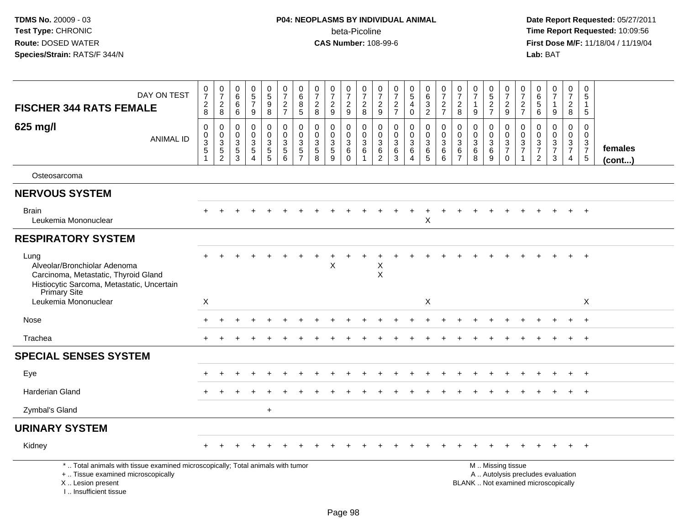# **P04: NEOPLASMS BY INDIVIDUAL ANIMAL**beta-Picoline<br>CAS Number: 108-99-6

| DAY ON TEST<br><b>FISCHER 344 RATS FEMALE</b>                                                                                                                       | $\frac{0}{7}$<br>$_{8}^2$                         | $\frac{0}{7}$<br>$\frac{2}{8}$                               | 0<br>$\,6\,$<br>6<br>6                                         | 0<br>$\overline{5}$<br>$\overline{7}$<br>9                      | $\begin{matrix} 0 \\ 5 \end{matrix}$<br>$\boldsymbol{9}$<br>8  | $\begin{smallmatrix}0\\7\end{smallmatrix}$<br>$\frac{2}{7}$      | $\begin{array}{c} 0 \\ 6 \end{array}$<br>8<br>$\sqrt{5}$    | 0<br>$\overline{7}$<br>$\sqrt{2}$<br>8              | $\begin{array}{c} 0 \\ 7 \end{array}$<br>$\sqrt{2}$<br>9     | 0<br>$\overline{7}$<br>$\boldsymbol{2}$<br>$\boldsymbol{9}$ | $\frac{0}{7}$<br>$\sqrt{2}$<br>8                                        | 0<br>$\overline{7}$<br>$\boldsymbol{2}$<br>9 | $\begin{array}{c} 0 \\ 7 \end{array}$<br>$\boldsymbol{2}$<br>$\overline{7}$ | $\begin{array}{c} 0 \\ 5 \end{array}$<br>$\overline{4}$<br>$\mathbf 0$ | $\pmb{0}$<br>$\overline{6}$<br>$\frac{3}{2}$     | $\frac{0}{7}$<br>$\frac{2}{7}$                            | 0<br>$\overline{7}$<br>$\sqrt{2}$<br>8                      | $\mathbf 0$<br>$\overline{7}$<br>-1<br>9               | $\begin{array}{c} 0 \\ 5 \end{array}$<br>$\frac{2}{7}$        | $\begin{smallmatrix}0\\7\end{smallmatrix}$<br>$\boldsymbol{2}$<br>9            | $\frac{0}{7}$<br>$\frac{2}{7}$                            | 0<br>$\,6\,$<br>$\sqrt{5}$<br>6                                 | $\begin{smallmatrix} 0\\7 \end{smallmatrix}$<br>$\overline{1}$<br>9      | 0<br>$\overline{7}$<br>$\sqrt{2}$<br>8                 | 0<br>5<br>1<br>5                                                               |                         |
|---------------------------------------------------------------------------------------------------------------------------------------------------------------------|---------------------------------------------------|--------------------------------------------------------------|----------------------------------------------------------------|-----------------------------------------------------------------|----------------------------------------------------------------|------------------------------------------------------------------|-------------------------------------------------------------|-----------------------------------------------------|--------------------------------------------------------------|-------------------------------------------------------------|-------------------------------------------------------------------------|----------------------------------------------|-----------------------------------------------------------------------------|------------------------------------------------------------------------|--------------------------------------------------|-----------------------------------------------------------|-------------------------------------------------------------|--------------------------------------------------------|---------------------------------------------------------------|--------------------------------------------------------------------------------|-----------------------------------------------------------|-----------------------------------------------------------------|--------------------------------------------------------------------------|--------------------------------------------------------|--------------------------------------------------------------------------------|-------------------------|
| 625 mg/l<br><b>ANIMAL ID</b>                                                                                                                                        | 0<br>$\mathbf 0$<br>$\overline{3}$<br>$\,$ 5 $\,$ | $\pmb{0}$<br>$\begin{array}{c} 0 \\ 3 \\ 5 \\ 2 \end{array}$ | $\mathbf 0$<br>$\mathbf 0$<br>$\mathbf{3}$<br>$\,$ 5 $\,$<br>3 | $\mathbf 0$<br>$\mathbf 0$<br>3<br>$\sqrt{5}$<br>$\overline{4}$ | 0<br>$\mathbf 0$<br>$\ensuremath{\mathsf{3}}$<br>$\frac{5}{5}$ | 0<br>$\mathsf 0$<br>$\ensuremath{\mathsf{3}}$<br>$\sqrt{5}$<br>6 | $\mathbf 0$<br>$\pmb{0}$<br>$\overline{3}$<br>$\frac{5}{7}$ | 0<br>$\mathbf 0$<br>$\mathsf 3$<br>$\,$ 5 $\,$<br>8 | $\mathbf 0$<br>$\mathbf 0$<br>$\mathbf 3$<br>$\sqrt{5}$<br>9 | 0<br>$\mathbf 0$<br>$\mathbf{3}$<br>$\,6\,$<br>$\Omega$     | $\mathbf 0$<br>$\mathbf 0$<br>$\mathbf{3}$<br>$\,6\,$<br>$\overline{1}$ | 0<br>$\mathbf 0$<br>$\sqrt{3}$<br>$\,6$<br>2 | $\mathbf 0$<br>$\mathbf 0$<br>$\sqrt{3}$<br>$\,6\,$<br>3                    | $\mathbf 0$<br>$\pmb{0}$<br>$\sqrt{3}$<br>$\,6$<br>$\overline{4}$      | 0<br>$\mathbf 0$<br>$\mathsf 3$<br>$\frac{6}{5}$ | $\mathbf 0$<br>$\mathbf 0$<br>$\mathbf 3$<br>$\,6\,$<br>6 | 0<br>$\mathbf 0$<br>$\mathbf{3}$<br>$\,6$<br>$\overline{7}$ | $\mathbf 0$<br>$\mathbf 0$<br>$\sqrt{3}$<br>$\,6$<br>8 | 0<br>$\mathbf 0$<br>$\ensuremath{\mathsf{3}}$<br>$\,6\,$<br>9 | 0<br>$\mathbf 0$<br>$\ensuremath{\mathsf{3}}$<br>$\overline{7}$<br>$\mathbf 0$ | $\mathbf 0$<br>$\begin{array}{c} 0 \\ 3 \\ 7 \end{array}$ | $\mathbf 0$<br>$\mathbf 0$<br>$\sqrt{3}$<br>$\overline{7}$<br>2 | $\mathbf 0$<br>$\mathbf 0$<br>$\frac{3}{7}$<br>3                         | 0<br>$\overline{0}$<br>$\frac{3}{7}$<br>$\overline{4}$ | $\mathbf 0$<br>$\mathbf 0$<br>$\mathbf{3}$<br>$\overline{7}$<br>$\overline{5}$ | females<br>$($ cont $)$ |
| Osteosarcoma                                                                                                                                                        |                                                   |                                                              |                                                                |                                                                 |                                                                |                                                                  |                                                             |                                                     |                                                              |                                                             |                                                                         |                                              |                                                                             |                                                                        |                                                  |                                                           |                                                             |                                                        |                                                               |                                                                                |                                                           |                                                                 |                                                                          |                                                        |                                                                                |                         |
| <b>NERVOUS SYSTEM</b>                                                                                                                                               |                                                   |                                                              |                                                                |                                                                 |                                                                |                                                                  |                                                             |                                                     |                                                              |                                                             |                                                                         |                                              |                                                                             |                                                                        |                                                  |                                                           |                                                             |                                                        |                                                               |                                                                                |                                                           |                                                                 |                                                                          |                                                        |                                                                                |                         |
| <b>Brain</b><br>Leukemia Mononuclear                                                                                                                                |                                                   |                                                              |                                                                |                                                                 |                                                                |                                                                  |                                                             |                                                     |                                                              |                                                             |                                                                         |                                              |                                                                             | $\ddot{}$                                                              | $\ddot{}$<br>X                                   |                                                           |                                                             |                                                        |                                                               |                                                                                |                                                           |                                                                 |                                                                          |                                                        | $^{+}$                                                                         |                         |
| <b>RESPIRATORY SYSTEM</b>                                                                                                                                           |                                                   |                                                              |                                                                |                                                                 |                                                                |                                                                  |                                                             |                                                     |                                                              |                                                             |                                                                         |                                              |                                                                             |                                                                        |                                                  |                                                           |                                                             |                                                        |                                                               |                                                                                |                                                           |                                                                 |                                                                          |                                                        |                                                                                |                         |
| Lung<br>Alveolar/Bronchiolar Adenoma<br>Carcinoma, Metastatic, Thyroid Gland<br>Histiocytic Sarcoma, Metastatic, Uncertain<br>Primary Site                          |                                                   |                                                              |                                                                |                                                                 |                                                                |                                                                  |                                                             |                                                     | X                                                            |                                                             |                                                                         | X<br>X                                       |                                                                             |                                                                        |                                                  |                                                           |                                                             |                                                        |                                                               |                                                                                |                                                           |                                                                 |                                                                          |                                                        |                                                                                |                         |
| Leukemia Mononuclear                                                                                                                                                | X                                                 |                                                              |                                                                |                                                                 |                                                                |                                                                  |                                                             |                                                     |                                                              |                                                             |                                                                         |                                              |                                                                             |                                                                        | X                                                |                                                           |                                                             |                                                        |                                                               |                                                                                |                                                           |                                                                 |                                                                          |                                                        | X                                                                              |                         |
| Nose                                                                                                                                                                |                                                   |                                                              |                                                                |                                                                 |                                                                |                                                                  |                                                             |                                                     |                                                              |                                                             |                                                                         |                                              |                                                                             |                                                                        |                                                  |                                                           |                                                             |                                                        |                                                               |                                                                                |                                                           |                                                                 |                                                                          |                                                        |                                                                                |                         |
| Trachea                                                                                                                                                             |                                                   |                                                              |                                                                |                                                                 |                                                                |                                                                  |                                                             |                                                     |                                                              |                                                             |                                                                         |                                              |                                                                             |                                                                        |                                                  |                                                           |                                                             |                                                        |                                                               |                                                                                |                                                           |                                                                 |                                                                          | $\ddot{}$                                              | $+$                                                                            |                         |
| <b>SPECIAL SENSES SYSTEM</b>                                                                                                                                        |                                                   |                                                              |                                                                |                                                                 |                                                                |                                                                  |                                                             |                                                     |                                                              |                                                             |                                                                         |                                              |                                                                             |                                                                        |                                                  |                                                           |                                                             |                                                        |                                                               |                                                                                |                                                           |                                                                 |                                                                          |                                                        |                                                                                |                         |
| Eye                                                                                                                                                                 |                                                   |                                                              |                                                                |                                                                 |                                                                |                                                                  |                                                             |                                                     |                                                              |                                                             |                                                                         |                                              |                                                                             |                                                                        |                                                  |                                                           |                                                             |                                                        |                                                               |                                                                                |                                                           |                                                                 |                                                                          |                                                        | $\div$                                                                         |                         |
| Harderian Gland                                                                                                                                                     |                                                   |                                                              |                                                                |                                                                 |                                                                |                                                                  |                                                             |                                                     |                                                              |                                                             |                                                                         |                                              |                                                                             |                                                                        |                                                  |                                                           |                                                             |                                                        |                                                               |                                                                                |                                                           |                                                                 |                                                                          |                                                        | $\ddot{}$                                                                      |                         |
| Zymbal's Gland                                                                                                                                                      |                                                   |                                                              |                                                                |                                                                 | $\ddot{}$                                                      |                                                                  |                                                             |                                                     |                                                              |                                                             |                                                                         |                                              |                                                                             |                                                                        |                                                  |                                                           |                                                             |                                                        |                                                               |                                                                                |                                                           |                                                                 |                                                                          |                                                        |                                                                                |                         |
| <b>URINARY SYSTEM</b>                                                                                                                                               |                                                   |                                                              |                                                                |                                                                 |                                                                |                                                                  |                                                             |                                                     |                                                              |                                                             |                                                                         |                                              |                                                                             |                                                                        |                                                  |                                                           |                                                             |                                                        |                                                               |                                                                                |                                                           |                                                                 |                                                                          |                                                        |                                                                                |                         |
| Kidney                                                                                                                                                              |                                                   |                                                              |                                                                |                                                                 |                                                                |                                                                  |                                                             |                                                     |                                                              |                                                             |                                                                         |                                              |                                                                             |                                                                        |                                                  |                                                           |                                                             |                                                        |                                                               |                                                                                |                                                           |                                                                 |                                                                          |                                                        | $^{+}$                                                                         |                         |
| *  Total animals with tissue examined microscopically; Total animals with tumor<br>+  Tissue examined microscopically<br>X  Lesion present<br>I Insufficient tissue |                                                   |                                                              |                                                                |                                                                 |                                                                |                                                                  |                                                             |                                                     |                                                              |                                                             |                                                                         |                                              |                                                                             |                                                                        |                                                  |                                                           |                                                             |                                                        |                                                               | M  Missing tissue                                                              |                                                           |                                                                 | A  Autolysis precludes evaluation<br>BLANK  Not examined microscopically |                                                        |                                                                                |                         |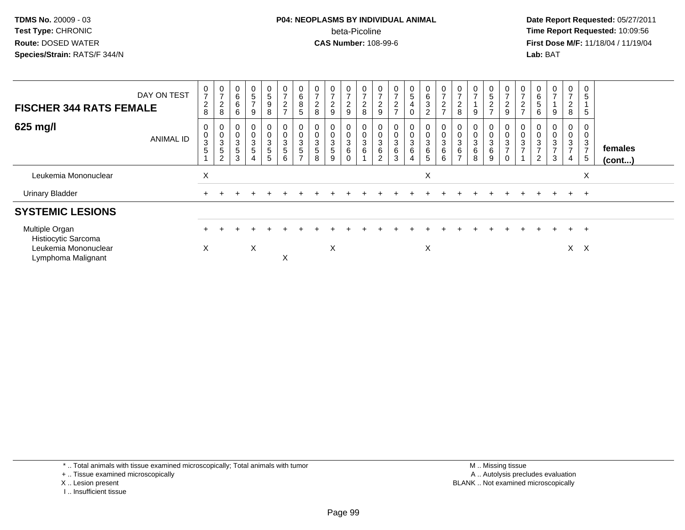### **P04: NEOPLASMS BY INDIVIDUAL ANIMAL**beta-Picoline<br>CAS Number: 108-99-6

 **Date Report Requested:** 05/27/2011 **Time Report Requested:** 10:09:56 **First Dose M/F:** 11/18/04 / 11/19/04<br>**Lab:** BAT **Lab:** BAT

| <b>FISCHER 344 RATS FEMALE</b>                                | DAY ON TEST      | 0<br>$\overline{7}$<br>$\boldsymbol{2}$<br>8 | $\boldsymbol{0}$<br>$\overline{ }$<br>$\Omega$<br>$rac{2}{8}$ | 0<br>$\,6$<br>6<br>6     | $\mathbf{0}$<br>5<br>$\overline{ }$<br>9                            | 0<br>$\overline{5}$<br>9<br>8    | $\frac{0}{7}$<br>$\frac{2}{7}$                                    | 0<br>$\,6$<br>$\bf 8$<br>$\sqrt{5}$                      | 0<br>$\overline{7}$<br>$\overline{2}$<br>8                 | $\mathbf 0$<br>$\overline{ }$<br>$\frac{2}{9}$ | $\overline{z}$<br>$\frac{2}{9}$                   | 0<br>$\overline{ }$<br>$\frac{2}{8}$ | $\overline{ }$<br>$\frac{2}{9}$                    | 0<br>$\overline{ }$<br>$\frac{2}{7}$                 | $\begin{matrix} 0 \\ 5 \end{matrix}$<br>$\overline{\mathbf{4}}$<br>$\pmb{0}$ | $\mathbf 0$<br>$\,6\,$<br>$\sqrt{3}$<br>$\overline{2}$ | 0<br>$\overline{ }$<br>$\overline{2}$<br>$\overline{ }$ | $\overline{7}$<br>$\overline{c}$<br>8 | $\overline{ }$<br>9 | $\frac{0}{5}$<br>$\frac{2}{7}$                      | 0<br>$\rightarrow$<br>$\overline{2}$<br>$\boldsymbol{9}$     | $\overline{ }$<br>$\sim$<br>$\epsilon$<br>$\rightarrow$ | 0<br>$\,6\,$<br>$\sqrt{5}$<br>6                                  | 0<br>$\overline{ }$<br>9                                | 0<br>$\overline{7}$<br>$\overline{c}$<br>$\,8\,$        | 0<br>5<br>5           |                   |
|---------------------------------------------------------------|------------------|----------------------------------------------|---------------------------------------------------------------|--------------------------|---------------------------------------------------------------------|----------------------------------|-------------------------------------------------------------------|----------------------------------------------------------|------------------------------------------------------------|------------------------------------------------|---------------------------------------------------|--------------------------------------|----------------------------------------------------|------------------------------------------------------|------------------------------------------------------------------------------|--------------------------------------------------------|---------------------------------------------------------|---------------------------------------|---------------------|-----------------------------------------------------|--------------------------------------------------------------|---------------------------------------------------------|------------------------------------------------------------------|---------------------------------------------------------|---------------------------------------------------------|-----------------------|-------------------|
| 625 mg/l                                                      | <b>ANIMAL ID</b> | 0<br>$\pmb{0}$<br>3<br>5                     | 0<br>3<br>$\sqrt{5}$<br>$\overline{2}$                        | $\pmb{0}$<br>3<br>5<br>3 | 0<br>$\pmb{0}$<br>$\ensuremath{\mathsf{3}}$<br>$5\phantom{.0}$<br>4 | 0<br>0<br>$\mathbf{3}$<br>5<br>5 | $\begin{smallmatrix}0\\0\\3\end{smallmatrix}$<br>$\,$ 5 $\,$<br>6 | $\pmb{0}$<br>$\mathbf 3$<br>$\sqrt{5}$<br>$\overline{ }$ | 0<br>$\begin{smallmatrix}0\0\3\end{smallmatrix}$<br>5<br>8 | 0<br>$\pmb{0}$<br>3<br>5<br>9                  | $\mathbf 0$<br>$\mathsf 3$<br>6<br>$\overline{0}$ | $\mathbf 0$<br>$\pmb{0}$<br>3<br>6   | $\pmb{0}$<br>$\sqrt{3}$<br>$\,6$<br>$\overline{2}$ | 0<br>$\begin{array}{c} 0 \\ 3 \\ 6 \\ 3 \end{array}$ | $\begin{smallmatrix}0\0\0\3\end{smallmatrix}$<br>$\,6\,$<br>4                | $\begin{matrix}0\\0\\3\\6\end{matrix}$<br>5            | 0<br>$\pmb{0}$<br>$\ensuremath{\mathsf{3}}$<br>6<br>6   | $_{3}^{\rm 0}$<br>6<br>$\overline{ }$ | 0<br>3<br>6<br>8    | $\begin{matrix} 0 \\ 0 \\ 3 \end{matrix}$<br>6<br>9 | $\pmb{0}$<br>$\ensuremath{\mathsf{3}}$<br>$\rightarrow$<br>0 | $\mathbf 0$<br>$\sqrt{3}$<br>$\rightarrow$              | $\mathbf 0$<br>$\frac{0}{3}$<br>$\overline{ }$<br>$\overline{2}$ | 0<br>0<br>$\mathbf{3}$<br>$\overline{\phantom{a}}$<br>3 | 0<br>$\pmb{0}$<br>3<br>$\overline{7}$<br>$\overline{4}$ | 3<br>⇁<br>5           | females<br>(cont) |
| Leukemia Mononuclear                                          |                  | X                                            |                                                               |                          |                                                                     |                                  |                                                                   |                                                          |                                                            |                                                |                                                   |                                      |                                                    |                                                      |                                                                              | X                                                      |                                                         |                                       |                     |                                                     |                                                              |                                                         |                                                                  |                                                         |                                                         | X                     |                   |
| <b>Urinary Bladder</b>                                        |                  |                                              |                                                               |                          |                                                                     |                                  |                                                                   |                                                          |                                                            |                                                |                                                   |                                      |                                                    |                                                      |                                                                              |                                                        |                                                         |                                       |                     |                                                     |                                                              |                                                         |                                                                  | $\ddot{}$                                               | $+$                                                     | $^+$                  |                   |
| <b>SYSTEMIC LESIONS</b>                                       |                  |                                              |                                                               |                          |                                                                     |                                  |                                                                   |                                                          |                                                            |                                                |                                                   |                                      |                                                    |                                                      |                                                                              |                                                        |                                                         |                                       |                     |                                                     |                                                              |                                                         |                                                                  |                                                         |                                                         |                       |                   |
| Multiple Organ<br>Histiocytic Sarcoma<br>Leukemia Mononuclear |                  | X                                            |                                                               |                          | X                                                                   |                                  |                                                                   |                                                          |                                                            | X                                              |                                                   |                                      |                                                    |                                                      |                                                                              | Χ                                                      |                                                         |                                       |                     |                                                     |                                                              |                                                         |                                                                  |                                                         | $+$<br>X.                                               | $\pm$<br>$\mathsf{X}$ |                   |
| Lymphoma Malignant                                            |                  |                                              |                                                               |                          |                                                                     |                                  | X                                                                 |                                                          |                                                            |                                                |                                                   |                                      |                                                    |                                                      |                                                                              |                                                        |                                                         |                                       |                     |                                                     |                                                              |                                                         |                                                                  |                                                         |                                                         |                       |                   |

\* .. Total animals with tissue examined microscopically; Total animals with tumor

+ .. Tissue examined microscopically

- X .. Lesion present
- I .. Insufficient tissue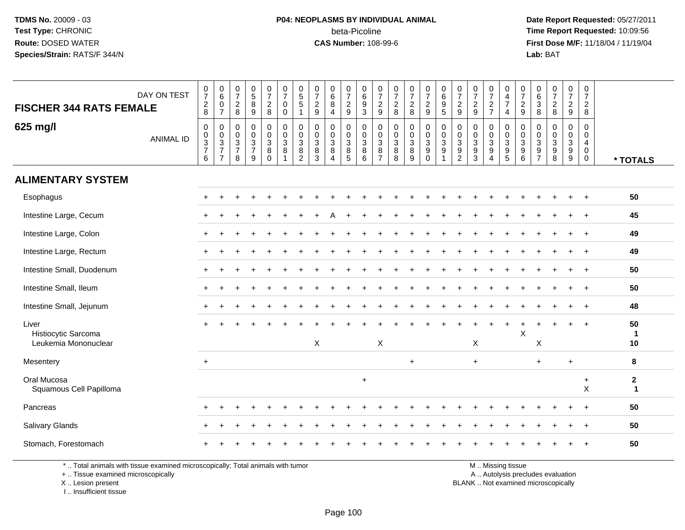# **P04: NEOPLASMS BY INDIVIDUAL ANIMAL**beta-Picoline<br>CAS Number: 108-99-6

 **Date Report Requested:** 05/27/2011 **Time Report Requested:** 10:09:56 **First Dose M/F:** 11/18/04 / 11/19/04<br>**Lab:** BAT **Lab:** BAT

| <b>FISCHER 344 RATS FEMALE</b>                                                  | DAY ON TEST      | $\frac{0}{7}$<br>$^{\,2}_{\,8}$                                                    | $\begin{matrix} 0 \\ 6 \end{matrix}$<br>$\pmb{0}$                                                 | $\frac{0}{7}$<br>$\overline{c}$                                            | $\begin{array}{c} 0 \\ 5 \end{array}$<br>$\bf 8$                                             | $\frac{0}{7}$<br>$\frac{2}{8}$                        | $\frac{0}{7}$<br>$\mathbf 0$                                                   | $\begin{array}{c} 0 \\ 5 \end{array}$<br>$\sqrt{5}$ | $\frac{0}{7}$<br>$\frac{2}{9}$                        | $_{6}^{\rm 0}$<br>8                                                     | $\frac{0}{7}$<br>$\frac{2}{9}$               | $\begin{array}{c} 0 \\ 6 \end{array}$<br>$\frac{9}{3}$                   | 0<br>$\overline{7}$<br>$\overline{c}$                    | $\frac{0}{7}$<br>$\boldsymbol{2}$                             | $\frac{0}{7}$<br>$\overline{c}$               | $\frac{0}{7}$<br>$\overline{c}$                                       | $\begin{array}{c} 0 \\ 6 \end{array}$<br>$\frac{9}{5}$ | $\frac{0}{7}$<br>$\frac{2}{9}$                                       | $\frac{0}{7}$<br>$\frac{2}{9}$                                               | $\frac{0}{7}$<br>$\frac{2}{7}$                                     | 0<br>$\overline{\mathbf{4}}$<br>$\overline{7}$                                      | $\frac{0}{7}$<br>$\overline{c}$      | $_{6}^{\rm 0}$<br>$\frac{3}{8}$               | $\frac{0}{7}$<br>$\overline{c}$                                      | $\frac{0}{7}$<br>$\overline{a}$                                               | $\pmb{0}$<br>$\overline{7}$<br>$\overline{c}$                                         |                                |
|---------------------------------------------------------------------------------|------------------|------------------------------------------------------------------------------------|---------------------------------------------------------------------------------------------------|----------------------------------------------------------------------------|----------------------------------------------------------------------------------------------|-------------------------------------------------------|--------------------------------------------------------------------------------|-----------------------------------------------------|-------------------------------------------------------|-------------------------------------------------------------------------|----------------------------------------------|--------------------------------------------------------------------------|----------------------------------------------------------|---------------------------------------------------------------|-----------------------------------------------|-----------------------------------------------------------------------|--------------------------------------------------------|----------------------------------------------------------------------|------------------------------------------------------------------------------|--------------------------------------------------------------------|-------------------------------------------------------------------------------------|--------------------------------------|-----------------------------------------------|----------------------------------------------------------------------|-------------------------------------------------------------------------------|---------------------------------------------------------------------------------------|--------------------------------|
| 625 mg/l                                                                        | <b>ANIMAL ID</b> | $\mathbf 0$<br>$\pmb{0}$<br>$\ensuremath{\mathsf{3}}$<br>$\overline{7}$<br>$\,6\,$ | $\overline{7}$<br>0<br>$\pmb{0}$<br>$\ensuremath{\mathsf{3}}$<br>$\overline{7}$<br>$\overline{7}$ | $\bf 8$<br>$\mathbf 0$<br>$\mathbf 0$<br>$\sqrt{3}$<br>$\overline{7}$<br>8 | $\overline{9}$<br>$\mathbf 0$<br>$\pmb{0}$<br>$\sqrt{3}$<br>$\overline{7}$<br>$\overline{9}$ | 0<br>$\pmb{0}$<br>$\sqrt{3}$<br>$\, 8$<br>$\mathbf 0$ | $\mathbf 0$<br>0<br>$\mathbf 0$<br>$\overline{3}$<br>$\,8\,$<br>$\overline{1}$ | 1<br>0<br>0<br>3<br>8<br>$\overline{2}$             | $\mathbf 0$<br>$\pmb{0}$<br>$\sqrt{3}$<br>$\bf8$<br>3 | $\overline{4}$<br>0<br>$\pmb{0}$<br>$\mathbf{3}$<br>8<br>$\overline{4}$ | 0<br>$\mathsf 0$<br>$\mathfrak{S}$<br>8<br>5 | $\mathbf 0$<br>$\pmb{0}$<br>$\overline{3}$<br>$\bf 8$<br>$6\phantom{1}6$ | 9<br>0<br>0<br>$\mathbf{3}$<br>$\bf 8$<br>$\overline{7}$ | 8<br>$\mathbf 0$<br>$\mathbf 0$<br>$\sqrt{3}$<br>$\,8\,$<br>8 | 8<br>0<br>$\pmb{0}$<br>$\mathbf{3}$<br>8<br>9 | 9<br>$\mathbf 0$<br>$\mathbf 0$<br>$\sqrt{3}$<br>$9\,$<br>$\mathbf 0$ | 0<br>$\pmb{0}$<br>$\sqrt{3}$<br>$\boldsymbol{9}$       | 0<br>$\pmb{0}$<br>$\mathbf{3}$<br>$\boldsymbol{9}$<br>$\overline{c}$ | $\mathbf 0$<br>$\mathbf 0$<br>$\sqrt{3}$<br>$\boldsymbol{9}$<br>$\mathbf{3}$ | 0<br>$\pmb{0}$<br>$\sqrt{3}$<br>$\boldsymbol{9}$<br>$\overline{4}$ | $\overline{4}$<br>$\mathbf 0$<br>$\mathsf 0$<br>$\sqrt{3}$<br>$\boldsymbol{9}$<br>5 | 9<br>0<br>$\mathbf 0$<br>3<br>9<br>6 | 0<br>0<br>$\mathbf{3}$<br>9<br>$\overline{7}$ | $\,8\,$<br>0<br>$\pmb{0}$<br>$\overline{3}$<br>$\boldsymbol{9}$<br>8 | $9\,$<br>0<br>$\pmb{0}$<br>$\sqrt{3}$<br>$\boldsymbol{9}$<br>$\boldsymbol{9}$ | $\,8\,$<br>$\mathbf 0$<br>$\mathbf 0$<br>$\overline{4}$<br>$\mathbf 0$<br>$\mathbf 0$ | * TOTALS                       |
| <b>ALIMENTARY SYSTEM</b>                                                        |                  |                                                                                    |                                                                                                   |                                                                            |                                                                                              |                                                       |                                                                                |                                                     |                                                       |                                                                         |                                              |                                                                          |                                                          |                                                               |                                               |                                                                       |                                                        |                                                                      |                                                                              |                                                                    |                                                                                     |                                      |                                               |                                                                      |                                                                               |                                                                                       |                                |
| Esophagus                                                                       |                  |                                                                                    |                                                                                                   |                                                                            |                                                                                              |                                                       |                                                                                |                                                     |                                                       |                                                                         |                                              |                                                                          |                                                          |                                                               |                                               |                                                                       |                                                        |                                                                      |                                                                              |                                                                    |                                                                                     |                                      |                                               |                                                                      |                                                                               |                                                                                       | 50                             |
| Intestine Large, Cecum                                                          |                  |                                                                                    |                                                                                                   |                                                                            |                                                                                              |                                                       |                                                                                |                                                     |                                                       |                                                                         |                                              |                                                                          |                                                          |                                                               |                                               |                                                                       |                                                        |                                                                      |                                                                              |                                                                    |                                                                                     |                                      |                                               |                                                                      |                                                                               |                                                                                       | 45                             |
| Intestine Large, Colon                                                          |                  |                                                                                    |                                                                                                   |                                                                            |                                                                                              |                                                       |                                                                                |                                                     |                                                       |                                                                         |                                              |                                                                          |                                                          |                                                               |                                               |                                                                       |                                                        |                                                                      |                                                                              |                                                                    |                                                                                     |                                      |                                               |                                                                      |                                                                               |                                                                                       | 49                             |
| Intestine Large, Rectum                                                         |                  |                                                                                    |                                                                                                   |                                                                            |                                                                                              |                                                       |                                                                                |                                                     |                                                       |                                                                         |                                              |                                                                          |                                                          |                                                               |                                               |                                                                       |                                                        |                                                                      |                                                                              |                                                                    |                                                                                     |                                      |                                               |                                                                      |                                                                               |                                                                                       | 49                             |
| Intestine Small, Duodenum                                                       |                  |                                                                                    |                                                                                                   |                                                                            |                                                                                              |                                                       |                                                                                |                                                     |                                                       |                                                                         |                                              |                                                                          |                                                          |                                                               |                                               |                                                                       |                                                        |                                                                      |                                                                              |                                                                    |                                                                                     |                                      |                                               |                                                                      | $+$                                                                           | $+$                                                                                   | 50                             |
| Intestine Small, Ileum                                                          |                  |                                                                                    |                                                                                                   |                                                                            |                                                                                              |                                                       |                                                                                |                                                     |                                                       |                                                                         |                                              |                                                                          |                                                          |                                                               |                                               |                                                                       |                                                        |                                                                      |                                                                              |                                                                    |                                                                                     |                                      |                                               |                                                                      |                                                                               | $\overline{+}$                                                                        | 50                             |
| Intestine Small, Jejunum                                                        |                  |                                                                                    |                                                                                                   |                                                                            |                                                                                              |                                                       |                                                                                |                                                     |                                                       |                                                                         |                                              |                                                                          |                                                          |                                                               |                                               |                                                                       |                                                        |                                                                      |                                                                              |                                                                    |                                                                                     |                                      |                                               |                                                                      |                                                                               |                                                                                       | 48                             |
| Liver<br>Histiocytic Sarcoma<br>Leukemia Mononuclear                            |                  |                                                                                    |                                                                                                   |                                                                            |                                                                                              |                                                       |                                                                                |                                                     | $\pmb{\times}$                                        |                                                                         |                                              |                                                                          | $\boldsymbol{\mathsf{X}}$                                |                                                               |                                               |                                                                       |                                                        |                                                                      | X                                                                            |                                                                    |                                                                                     | $\mathsf{X}$                         | X                                             |                                                                      |                                                                               |                                                                                       | 50<br>$\mathbf{1}$<br>10       |
| Mesentery                                                                       |                  | $+$                                                                                |                                                                                                   |                                                                            |                                                                                              |                                                       |                                                                                |                                                     |                                                       |                                                                         |                                              |                                                                          |                                                          |                                                               | $+$                                           |                                                                       |                                                        |                                                                      | $\ddot{}$                                                                    |                                                                    |                                                                                     |                                      | $+$                                           |                                                                      | $\ddot{}$                                                                     |                                                                                       | 8                              |
| Oral Mucosa<br>Squamous Cell Papilloma                                          |                  |                                                                                    |                                                                                                   |                                                                            |                                                                                              |                                                       |                                                                                |                                                     |                                                       |                                                                         |                                              | $\ddot{}$                                                                |                                                          |                                                               |                                               |                                                                       |                                                        |                                                                      |                                                                              |                                                                    |                                                                                     |                                      |                                               |                                                                      |                                                                               | $\ddot{}$<br>X                                                                        | $\overline{2}$<br>$\mathbf{1}$ |
| Pancreas                                                                        |                  |                                                                                    |                                                                                                   |                                                                            |                                                                                              |                                                       |                                                                                |                                                     |                                                       |                                                                         |                                              |                                                                          |                                                          |                                                               |                                               |                                                                       |                                                        |                                                                      |                                                                              |                                                                    |                                                                                     |                                      |                                               |                                                                      |                                                                               |                                                                                       | 50                             |
| <b>Salivary Glands</b>                                                          |                  |                                                                                    |                                                                                                   |                                                                            |                                                                                              |                                                       |                                                                                |                                                     |                                                       |                                                                         |                                              |                                                                          |                                                          |                                                               |                                               |                                                                       |                                                        |                                                                      |                                                                              |                                                                    |                                                                                     |                                      |                                               |                                                                      |                                                                               | $\overline{+}$                                                                        | 50                             |
| Stomach, Forestomach                                                            |                  |                                                                                    |                                                                                                   |                                                                            |                                                                                              |                                                       |                                                                                |                                                     |                                                       |                                                                         |                                              |                                                                          |                                                          |                                                               |                                               |                                                                       |                                                        |                                                                      |                                                                              |                                                                    |                                                                                     |                                      |                                               |                                                                      |                                                                               |                                                                                       | 50                             |
| *  Total animals with tissue examined microscopically; Total animals with tumor |                  |                                                                                    |                                                                                                   |                                                                            |                                                                                              |                                                       |                                                                                |                                                     |                                                       |                                                                         |                                              |                                                                          |                                                          |                                                               |                                               |                                                                       |                                                        |                                                                      |                                                                              |                                                                    | M  Missing tissue                                                                   |                                      |                                               |                                                                      |                                                                               |                                                                                       |                                |

+ .. Tissue examined microscopically

X .. Lesion present

I .. Insufficient tissue

y the contract of the contract of the contract of the contract of the contract of the contract of the contract of  $A$ . Autolysis precludes evaluation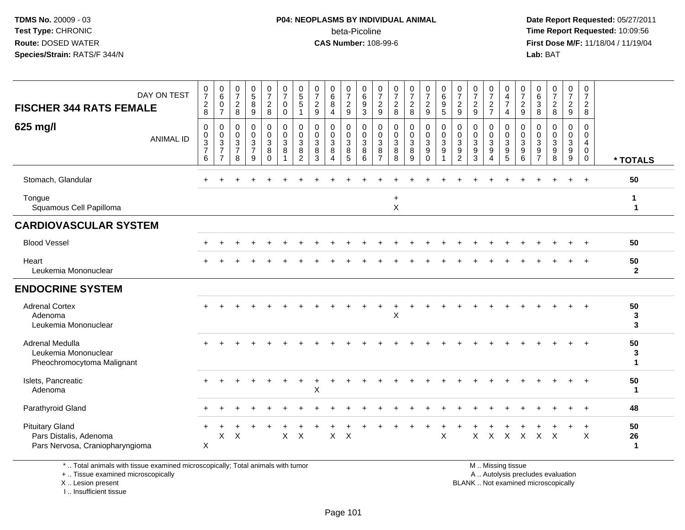### **P04: NEOPLASMS BY INDIVIDUAL ANIMAL**beta-Picoline<br>CAS Number: 108-99-6

 **Date Report Requested:** 05/27/2011 **Time Report Requested:** 10:09:56 **First Dose M/F:** 11/18/04 / 11/19/04<br>**Lab:** BAT **Lab:** BAT

| <b>FISCHER 344 RATS FEMALE</b>                                                      | DAY ON TEST      | $\frac{0}{7}$<br>$\boldsymbol{2}$<br>8             | $\begin{matrix} 0 \\ 6 \end{matrix}$<br>0<br>$\overline{7}$ | $\frac{0}{7}$<br>$\sqrt{2}$<br>8                                      | $\begin{array}{c} 0 \\ 5 \\ 8 \end{array}$<br>$\boldsymbol{9}$        | $\frac{0}{7}$<br>$\frac{2}{8}$                                | $\frac{0}{7}$<br>$\mathbf 0$<br>$\mathbf 0$                                  | $^{\rm 0}_{\rm 5}$<br>$\overline{5}$<br>1               | $\frac{0}{7}$<br>$\sqrt{2}$<br>$\boldsymbol{9}$     | 0<br>$\overline{6}$<br>8<br>$\overline{4}$         | $\frac{0}{7}$<br>$\frac{2}{9}$                                | 0<br>$6\phantom{a}$<br>$\boldsymbol{9}$<br>$\mathbf{3}$ | 0<br>$\overline{7}$<br>$\frac{2}{9}$                   | $\frac{0}{7}$<br>$\frac{2}{8}$                      | $\frac{0}{7}$<br>$\frac{2}{8}$                                | $\frac{0}{7}$<br>$\frac{2}{9}$                                | $\begin{array}{c} 0 \\ 6 \end{array}$<br>$\frac{9}{5}$                       | $\frac{0}{7}$<br>$\frac{2}{9}$                                                | $\frac{0}{7}$<br>$\frac{2}{9}$                                | $\frac{0}{7}$<br>$\frac{2}{7}$                             | 0<br>$\frac{4}{7}$<br>4                               | $\frac{0}{7}$<br>$\frac{2}{9}$                   | 0<br>$6\phantom{a}$<br>3<br>8                | $\frac{0}{7}$<br>$\overline{2}$<br>8                  | $\frac{0}{7}$<br>$\frac{2}{9}$                                        | $\begin{smallmatrix}0\\7\end{smallmatrix}$<br>$\frac{2}{8}$ |                          |
|-------------------------------------------------------------------------------------|------------------|----------------------------------------------------|-------------------------------------------------------------|-----------------------------------------------------------------------|-----------------------------------------------------------------------|---------------------------------------------------------------|------------------------------------------------------------------------------|---------------------------------------------------------|-----------------------------------------------------|----------------------------------------------------|---------------------------------------------------------------|---------------------------------------------------------|--------------------------------------------------------|-----------------------------------------------------|---------------------------------------------------------------|---------------------------------------------------------------|------------------------------------------------------------------------------|-------------------------------------------------------------------------------|---------------------------------------------------------------|------------------------------------------------------------|-------------------------------------------------------|--------------------------------------------------|----------------------------------------------|-------------------------------------------------------|-----------------------------------------------------------------------|-------------------------------------------------------------|--------------------------|
| 625 mg/l                                                                            | <b>ANIMAL ID</b> | $\mathbf 0$<br>$\pmb{0}$<br>$\frac{3}{7}$<br>$\,6$ | 0<br>$\pmb{0}$<br>$\frac{3}{7}$<br>$\overline{7}$           | $\pmb{0}$<br>$\mathsf{O}\xspace$<br>$\sqrt{3}$<br>$\overline{7}$<br>8 | $\pmb{0}$<br>$\mathsf{O}\xspace$<br>$\sqrt{3}$<br>$\overline{7}$<br>9 | $\pmb{0}$<br>$\mathbf 0$<br>$\sqrt{3}$<br>$\,8\,$<br>$\Omega$ | $\pmb{0}$<br>$\mathbf 0$<br>$\mathbf{3}$<br>$\overline{8}$<br>$\overline{1}$ | $\mathbf 0$<br>$\mathbf 0$<br>$\sqrt{3}$<br>$\bf8$<br>2 | $\mathbf 0$<br>$\mathbf 0$<br>$\mathsf 3$<br>8<br>3 | $\mathbf 0$<br>$\pmb{0}$<br>$\mathbf{3}$<br>8<br>Δ | 0<br>$\mathsf{O}\xspace$<br>$\sqrt{3}$<br>$\overline{8}$<br>5 | 0<br>$\mathbf 0$<br>$\mathbf{3}$<br>8<br>6              | $\mathbf 0$<br>$\mathbf 0$<br>3<br>8<br>$\overline{7}$ | 0<br>$\pmb{0}$<br>$\sqrt{3}$<br>$\overline{8}$<br>8 | $\pmb{0}$<br>$\pmb{0}$<br>$\mathbf{3}$<br>$\overline{8}$<br>9 | $\mathbf 0$<br>$\mathbf 0$<br>3<br>$\overline{9}$<br>$\Omega$ | $\pmb{0}$<br>$\pmb{0}$<br>$\overline{3}$<br>$\overline{9}$<br>$\overline{ }$ | $\mathbf 0$<br>$\pmb{0}$<br>$\mathbf 3$<br>$\boldsymbol{9}$<br>$\overline{2}$ | $\pmb{0}$<br>$\mathbf 0$<br>$\sqrt{3}$<br>$\overline{9}$<br>3 | $\mathbf 0$<br>$\pmb{0}$<br>$\mathbf{3}$<br>$\overline{9}$ | 0<br>$\pmb{0}$<br>$\mathbf{3}$<br>$\overline{9}$<br>5 | $\mathbf 0$<br>$\mathbf 0$<br>$\frac{3}{9}$<br>6 | 0<br>$\mathbf 0$<br>3<br>9<br>$\overline{7}$ | $\Omega$<br>$\mathbf 0$<br>3<br>$\boldsymbol{9}$<br>8 | $\mathsf{O}$<br>$\mathsf{O}\xspace$<br>$\mathbf{3}$<br>$\overline{9}$ | $\mathsf 0$<br>$\pmb{0}$<br>4<br>$\mathsf 0$<br>$\mathbf 0$ | * TOTALS                 |
| Stomach, Glandular                                                                  |                  |                                                    |                                                             |                                                                       |                                                                       |                                                               |                                                                              |                                                         |                                                     |                                                    |                                                               |                                                         |                                                        |                                                     |                                                               |                                                               |                                                                              |                                                                               |                                                               |                                                            |                                                       |                                                  |                                              |                                                       |                                                                       |                                                             | 50                       |
| Tongue<br>Squamous Cell Papilloma                                                   |                  |                                                    |                                                             |                                                                       |                                                                       |                                                               |                                                                              |                                                         |                                                     |                                                    |                                                               |                                                         |                                                        | $\ddot{}$<br>$\times$                               |                                                               |                                                               |                                                                              |                                                                               |                                                               |                                                            |                                                       |                                                  |                                              |                                                       |                                                                       |                                                             | 1<br>$\mathbf 1$         |
| <b>CARDIOVASCULAR SYSTEM</b>                                                        |                  |                                                    |                                                             |                                                                       |                                                                       |                                                               |                                                                              |                                                         |                                                     |                                                    |                                                               |                                                         |                                                        |                                                     |                                                               |                                                               |                                                                              |                                                                               |                                                               |                                                            |                                                       |                                                  |                                              |                                                       |                                                                       |                                                             |                          |
| <b>Blood Vessel</b>                                                                 |                  |                                                    |                                                             |                                                                       |                                                                       |                                                               |                                                                              |                                                         |                                                     |                                                    |                                                               |                                                         |                                                        |                                                     |                                                               |                                                               |                                                                              |                                                                               |                                                               |                                                            |                                                       |                                                  |                                              |                                                       |                                                                       |                                                             | 50                       |
| Heart<br>Leukemia Mononuclear                                                       |                  |                                                    |                                                             |                                                                       |                                                                       |                                                               |                                                                              |                                                         |                                                     |                                                    |                                                               |                                                         |                                                        |                                                     |                                                               |                                                               |                                                                              |                                                                               |                                                               |                                                            |                                                       |                                                  |                                              |                                                       |                                                                       |                                                             | 50<br>$\mathbf{2}$       |
| <b>ENDOCRINE SYSTEM</b>                                                             |                  |                                                    |                                                             |                                                                       |                                                                       |                                                               |                                                                              |                                                         |                                                     |                                                    |                                                               |                                                         |                                                        |                                                     |                                                               |                                                               |                                                                              |                                                                               |                                                               |                                                            |                                                       |                                                  |                                              |                                                       |                                                                       |                                                             |                          |
| <b>Adrenal Cortex</b><br>Adenoma<br>Leukemia Mononuclear                            |                  |                                                    |                                                             |                                                                       |                                                                       |                                                               |                                                                              |                                                         |                                                     |                                                    |                                                               |                                                         |                                                        | X                                                   |                                                               |                                                               |                                                                              |                                                                               |                                                               |                                                            |                                                       |                                                  |                                              |                                                       |                                                                       |                                                             | 50<br>3<br>3             |
| Adrenal Medulla<br>Leukemia Mononuclear<br>Pheochromocytoma Malignant               |                  |                                                    |                                                             |                                                                       |                                                                       |                                                               |                                                                              |                                                         |                                                     |                                                    |                                                               |                                                         |                                                        |                                                     |                                                               |                                                               |                                                                              |                                                                               |                                                               |                                                            |                                                       |                                                  |                                              |                                                       |                                                                       |                                                             | 50<br>3<br>1             |
| Islets, Pancreatic<br>Adenoma                                                       |                  |                                                    |                                                             |                                                                       |                                                                       |                                                               |                                                                              |                                                         | X                                                   |                                                    |                                                               |                                                         |                                                        |                                                     |                                                               |                                                               |                                                                              |                                                                               |                                                               |                                                            |                                                       |                                                  |                                              |                                                       |                                                                       |                                                             | 50<br>$\mathbf 1$        |
| Parathyroid Gland                                                                   |                  |                                                    |                                                             |                                                                       |                                                                       |                                                               |                                                                              |                                                         |                                                     |                                                    |                                                               |                                                         |                                                        |                                                     |                                                               |                                                               |                                                                              |                                                                               |                                                               |                                                            |                                                       |                                                  |                                              |                                                       |                                                                       | $\ddot{}$                                                   | 48                       |
| <b>Pituitary Gland</b><br>Pars Distalis, Adenoma<br>Pars Nervosa, Craniopharyngioma |                  | $\boldsymbol{\mathsf{X}}$                          | X                                                           | X                                                                     |                                                                       |                                                               | $\mathsf{X}$                                                                 | $\mathsf{X}$                                            |                                                     | $\boldsymbol{\mathsf{X}}$                          | $\times$                                                      |                                                         |                                                        |                                                     |                                                               |                                                               | $\boldsymbol{\mathsf{X}}$                                                    |                                                                               | X                                                             | $\times$                                                   | $\boldsymbol{\mathsf{X}}$                             | $\boldsymbol{X}$                                 | $\mathsf{X}$                                 | $\times$                                              |                                                                       | $\boldsymbol{\mathsf{X}}$                                   | 50<br>26<br>$\mathbf{1}$ |

\* .. Total animals with tissue examined microscopically; Total animals with tumor

+ .. Tissue examined microscopically

X .. Lesion present

I .. Insufficient tissue

M .. Missing tissue

y the contract of the contract of the contract of the contract of the contract of the contract of the contract of  $A$ . Autolysis precludes evaluation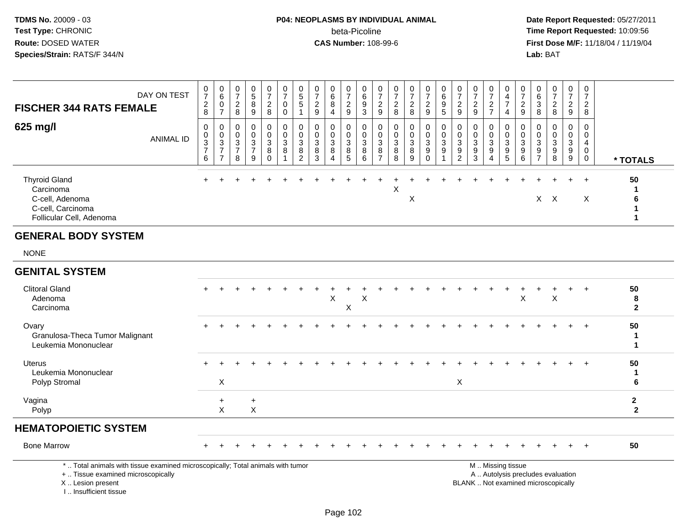### **P04: NEOPLASMS BY INDIVIDUAL ANIMAL**beta-Picoline<br>CAS Number: 108-99-6

 **Date Report Requested:** 05/27/2011 **Time Report Requested:** 10:09:56 **First Dose M/F:** 11/18/04 / 11/19/04 Lab: BAT **Lab:** BAT

| <b>FISCHER 344 RATS FEMALE</b>                                                                                                      | DAY ON TEST      | 0<br>$\overline{ }$<br>$_{\rm 8}^2$                                          | $_{6}^{\rm 0}$<br>$\mathsf{O}\xspace$<br>$\rightarrow$           | 0<br>$\overline{ }$<br>$\boldsymbol{2}$<br>8                          | $\sqrt{5}$<br>8<br>9 | $\frac{0}{7}$<br>$^{\mathsf{2}}_{\mathsf{8}}$        | 0<br>$\rightarrow$<br>0<br>0           | $\begin{array}{c} 0 \\ 5 \\ 5 \end{array}$               | $\frac{0}{7}$<br>$\frac{2}{9}$ | $\begin{matrix} 0 \\ 6 \end{matrix}$<br>8<br>$\overline{4}$  | $\frac{0}{7}$<br>$\frac{2}{9}$                       | 0<br>6<br>9<br>3             | $\mathbf 0$<br>$\overline{ }$<br>$\overline{\mathbf{c}}$<br>9 | $\overline{0}$<br>$\overline{ }$<br>$\frac{2}{8}$ | $\frac{2}{8}$                                   | $\frac{0}{7}$<br>$\frac{2}{9}$ | 0<br>6<br>$\boldsymbol{9}$<br>5 | 0<br>$\overline{\mathbf{c}}$<br>$\boldsymbol{9}$                     | $\overline{ }$<br>$\boldsymbol{2}$<br>9      | 0<br>$\overline{c}$<br>$\overline{ }$ | 4<br>$\rightarrow$<br>4 | 0<br>$\overline{\phantom{0}}$<br>$\frac{2}{9}$ | 0<br>6<br>3<br>8                                         | $\frac{0}{7}$<br>$\overline{c}$<br>8   | 0<br>$\overline{7}$<br>$\overline{c}$<br>$\boldsymbol{9}$ | 0<br>$\overline{ }$<br>ົ<br>∠<br>8 |          |
|-------------------------------------------------------------------------------------------------------------------------------------|------------------|------------------------------------------------------------------------------|------------------------------------------------------------------|-----------------------------------------------------------------------|----------------------|------------------------------------------------------|----------------------------------------|----------------------------------------------------------|--------------------------------|--------------------------------------------------------------|------------------------------------------------------|------------------------------|---------------------------------------------------------------|---------------------------------------------------|-------------------------------------------------|--------------------------------|---------------------------------|----------------------------------------------------------------------|----------------------------------------------|---------------------------------------|-------------------------|------------------------------------------------|----------------------------------------------------------|----------------------------------------|-----------------------------------------------------------|------------------------------------|----------|
| 625 mg/l                                                                                                                            | <b>ANIMAL ID</b> | 0<br>$\mathsf{O}\xspace$<br>$\ensuremath{\mathsf{3}}$<br>$\overline{ }$<br>6 | $\begin{matrix} 0 \\ 0 \\ 3 \\ 7 \end{matrix}$<br>$\overline{ }$ | $_{\rm 0}^{\rm 0}$<br>$\ensuremath{\mathsf{3}}$<br>$\rightarrow$<br>8 | 0003<br>9            | $\begin{array}{c} 0 \\ 0 \\ 3 \\ 8 \end{array}$<br>0 | 0<br>$\begin{matrix}0\3\8\end{matrix}$ | $\begin{matrix}0\\0\\3\\8\end{matrix}$<br>$\overline{2}$ | 0<br>0<br>3<br>8<br>3          | $\begin{array}{c} 0 \\ 3 \\ 8 \end{array}$<br>$\overline{4}$ | $\begin{array}{c} 0 \\ 0 \\ 3 \\ 8 \end{array}$<br>5 | $_0^0$<br>$\frac{3}{8}$<br>6 | $\pmb{0}$<br>$\mathbf{3}$<br>$\, 8$<br>$\overline{ }$         | $\begin{array}{c} 0 \\ 3 \\ 8 \end{array}$<br>8   | $\begin{array}{c} 0 \\ 3 \\ 8 \end{array}$<br>9 | 0<br>0<br>3<br>9<br>0          | $\frac{0}{3}$                   | 0<br>$\pmb{0}$<br>$\mathbf{3}$<br>$\boldsymbol{9}$<br>$\overline{2}$ | 0<br>$\overline{3}$<br>$\boldsymbol{9}$<br>3 | $\pmb{0}$<br>$\overline{3}$<br>9<br>4 | $\frac{3}{9}$<br>5      | $_0^0$<br>$\ensuremath{\mathsf{3}}$<br>9<br>6  | $\,0\,$<br>$\ensuremath{\mathsf{3}}$<br>$\boldsymbol{9}$ | $\frac{0}{3}$<br>$\boldsymbol{9}$<br>8 | 0<br>$\pmb{0}$<br>$\mathsf 3$<br>$\boldsymbol{9}$<br>9    | 0<br>4<br>0<br>0                   | * TOTALS |
| <b>Thyroid Gland</b><br>Carcinoma<br>C-cell, Adenoma<br>C-cell, Carcinoma<br>Follicular Cell, Adenoma<br><b>GENERAL BODY SYSTEM</b> |                  |                                                                              |                                                                  |                                                                       |                      |                                                      |                                        |                                                          |                                |                                                              |                                                      |                              |                                                               | X                                                 | X                                               |                                |                                 |                                                                      |                                              |                                       |                         | $+$                                            |                                                          | X X                                    | $+$                                                       | $\div$<br>X                        | 50<br>6  |

NONE

### **GENITAL SYSTEM**

| <b>Clitoral Gland</b><br>Adenoma<br>Carcinoma                    | $+$ |          | $\div$ |            |  |  | X | X | Χ |  |  |   |  | Χ | ᄉ | $+$ | $+$ | 50<br>8 |
|------------------------------------------------------------------|-----|----------|--------|------------|--|--|---|---|---|--|--|---|--|---|---|-----|-----|---------|
| Ovary<br>Granulosa-Theca Tumor Malignant<br>Leukemia Mononuclear | $+$ |          |        |            |  |  |   |   |   |  |  |   |  |   |   | $+$ | $+$ | 50      |
| Uterus<br>Leukemia Mononuclear<br>Polyp Stromal                  | $+$ | X        |        |            |  |  |   |   |   |  |  | X |  |   |   | $+$ | $+$ | 50      |
| Vagina<br>Polyp                                                  |     | $+$<br>X |        | $\pm$<br>X |  |  |   |   |   |  |  |   |  |   |   |     |     |         |
| <b>HEMATOPOIETIC SYSTEM</b>                                      |     |          |        |            |  |  |   |   |   |  |  |   |  |   |   |     |     |         |
| <b>Bone Marrow</b>                                               | ÷   |          |        |            |  |  |   |   |   |  |  |   |  |   |   |     | $+$ | 50      |

\* .. Total animals with tissue examined microscopically; Total animals with tumor

+ .. Tissue examined microscopically

X .. Lesion present

I .. Insufficient tissue

M .. Missing tissue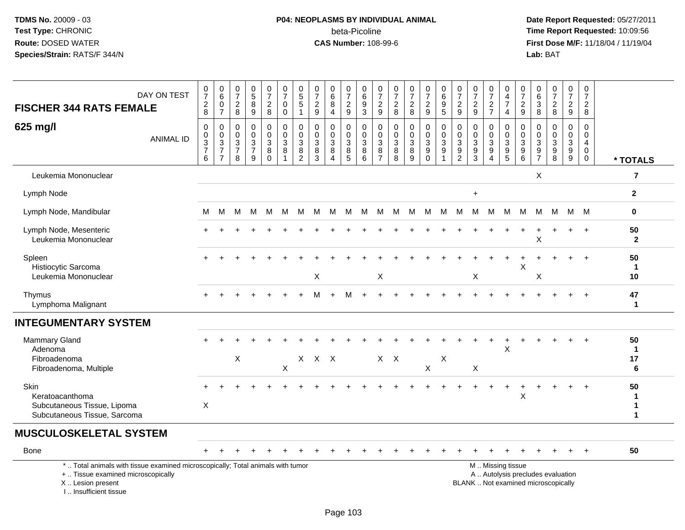### **P04: NEOPLASMS BY INDIVIDUAL ANIMAL**beta-Picoline<br>CAS Number: 108-99-6

| DAY ON TEST<br><b>FISCHER 344 RATS FEMALE</b>                                                                                                                       | $\frac{0}{7}$<br>$\frac{2}{8}$                             | $\pmb{0}$<br>$\,6\,$<br>$\pmb{0}$<br>$\overline{7}$           | $\,0\,$<br>$\overline{7}$<br>$\frac{2}{8}$                                        | $\pmb{0}$<br>$\overline{5}$<br>8<br>$9\,$                         | $\frac{0}{7}$<br>$\frac{2}{8}$          | $\frac{0}{7}$<br>$\mathsf{O}$<br>$\mathbf 0$                         | $\begin{smallmatrix}0\0\5\end{smallmatrix}$<br>$\sqrt{5}$<br>$\mathbf{1}$ | $\frac{0}{7}$<br>$\frac{2}{9}$                                                 | 0<br>$\,6\,$<br>8<br>$\overline{4}$                             | $\frac{0}{7}$<br>$\frac{2}{9}$                                            | 0<br>6<br>9<br>$\overline{3}$                      | $\frac{0}{7}$<br>$\frac{2}{9}$                                            | $\pmb{0}$<br>$\overline{7}$<br>$_{\rm 8}^2$                     | $\begin{array}{c} 0 \\ 7 \end{array}$<br>$\boldsymbol{2}$<br>8      | $\begin{smallmatrix}0\\7\end{smallmatrix}$<br>$\frac{2}{9}$   | $\pmb{0}$<br>$\,6\,$<br>$\boldsymbol{9}$<br>$\overline{5}$      | $\pmb{0}$<br>$\overline{7}$<br>$\frac{2}{9}$                                     | 0<br>$\overline{7}$<br>$\frac{2}{9}$                            | $\frac{0}{7}$<br>$\frac{2}{7}$  | 0<br>$\overline{4}$<br>$\overline{7}$<br>$\overline{4}$              | $\begin{array}{c} 0 \\ 7 \end{array}$<br>$\frac{2}{9}$ | $\pmb{0}$<br>$\,6\,$<br>$\mathsf 3$<br>$\overline{8}$      | $\frac{0}{7}$<br>$\boldsymbol{2}$<br>$\,8\,$                             | $\begin{smallmatrix}0\\7\end{smallmatrix}$<br>$\frac{2}{9}$     | 0<br>$\overline{7}$<br>$\overline{a}$<br>8                     |                         |
|---------------------------------------------------------------------------------------------------------------------------------------------------------------------|------------------------------------------------------------|---------------------------------------------------------------|-----------------------------------------------------------------------------------|-------------------------------------------------------------------|-----------------------------------------|----------------------------------------------------------------------|---------------------------------------------------------------------------|--------------------------------------------------------------------------------|-----------------------------------------------------------------|---------------------------------------------------------------------------|----------------------------------------------------|---------------------------------------------------------------------------|-----------------------------------------------------------------|---------------------------------------------------------------------|---------------------------------------------------------------|-----------------------------------------------------------------|----------------------------------------------------------------------------------|-----------------------------------------------------------------|---------------------------------|----------------------------------------------------------------------|--------------------------------------------------------|------------------------------------------------------------|--------------------------------------------------------------------------|-----------------------------------------------------------------|----------------------------------------------------------------|-------------------------|
| 625 mg/l<br><b>ANIMAL ID</b>                                                                                                                                        | $\boldsymbol{0}$<br>$\boldsymbol{0}$<br>$\frac{3}{7}$<br>6 | $\mathbf 0$<br>$\mathbf 0$<br>$\frac{3}{7}$<br>$\overline{7}$ | $\mathbf 0$<br>$\overline{0}$<br>$\ensuremath{\mathsf{3}}$<br>$\overline{7}$<br>8 | $\mathbf 0$<br>$\mathbf 0$<br>$\sqrt{3}$<br>$\boldsymbol{7}$<br>9 | 0<br>$\mathbf 0$<br>3<br>8<br>$\bar{0}$ | $\pmb{0}$<br>$\mathsf{O}\xspace$<br>$\mathsf 3$<br>8<br>$\mathbf{1}$ | $\pmb{0}$<br>$\pmb{0}$<br>$\sqrt{3}$<br>$\bf 8$<br>$\overline{2}$         | $\mathbf 0$<br>$\mathbf 0$<br>$\ensuremath{\mathsf{3}}$<br>8<br>$\overline{3}$ | $\mathbf 0$<br>$\mathbf 0$<br>$\sqrt{3}$<br>8<br>$\overline{4}$ | 0<br>$\mathbf 0$<br>$\ensuremath{\mathsf{3}}$<br>$\, 8$<br>$\overline{5}$ | $\mathbf 0$<br>$\mathbf 0$<br>$\sqrt{3}$<br>8<br>6 | $\mathbf 0$<br>$\mathsf{O}\xspace$<br>$\mathbf{3}$<br>8<br>$\overline{7}$ | $\mathbf 0$<br>$\mathbf 0$<br>$\sqrt{3}$<br>8<br>$\overline{8}$ | $\pmb{0}$<br>$\mathbf 0$<br>$\sqrt{3}$<br>$\bf 8$<br>$\overline{9}$ | $\mathbf 0$<br>$\mathbf 0$<br>$\frac{3}{9}$<br>$\overline{0}$ | $\mathbf 0$<br>$\mathbf 0$<br>$\sqrt{3}$<br>9<br>$\overline{1}$ | $\pmb{0}$<br>$\mathbf 0$<br>$\ensuremath{\mathsf{3}}$<br>$9\,$<br>$\overline{2}$ | $\mathbf 0$<br>$\mathbf 0$<br>$\sqrt{3}$<br>9<br>$\overline{3}$ | 0<br>$\mathbf 0$<br>3<br>9<br>4 | 0<br>$\mathbf 0$<br>$\sqrt{3}$<br>$\boldsymbol{9}$<br>$\overline{5}$ | 0<br>$\mathbf 0$<br>$\sqrt{3}$<br>$^9$ 6               | $\mathbf 0$<br>$\mathbf 0$<br>$\mathsf 3$<br>$\frac{9}{7}$ | $\mathbf 0$<br>$\Omega$<br>$\mathbf 3$<br>9<br>8                         | $\mathbf 0$<br>$\mathbf 0$<br>$\sqrt{3}$<br>9<br>$\overline{9}$ | $\mathbf 0$<br>$\mathbf 0$<br>4<br>$\mathbf{0}$<br>$\mathbf 0$ | * TOTALS                |
| Leukemia Mononuclear                                                                                                                                                |                                                            |                                                               |                                                                                   |                                                                   |                                         |                                                                      |                                                                           |                                                                                |                                                                 |                                                                           |                                                    |                                                                           |                                                                 |                                                                     |                                                               |                                                                 |                                                                                  |                                                                 |                                 |                                                                      |                                                        | X                                                          |                                                                          |                                                                 |                                                                | 7                       |
| Lymph Node                                                                                                                                                          |                                                            |                                                               |                                                                                   |                                                                   |                                         |                                                                      |                                                                           |                                                                                |                                                                 |                                                                           |                                                    |                                                                           |                                                                 |                                                                     |                                                               |                                                                 |                                                                                  | $\ddot{}$                                                       |                                 |                                                                      |                                                        |                                                            |                                                                          |                                                                 |                                                                | $\mathbf{2}$            |
| Lymph Node, Mandibular                                                                                                                                              | м                                                          | м                                                             | м                                                                                 | M                                                                 | M                                       | M                                                                    | M                                                                         | м                                                                              | M                                                               | M                                                                         | M                                                  | M                                                                         | M                                                               | M                                                                   | M                                                             | M                                                               | M                                                                                | м                                                               | M                               | M                                                                    | M                                                      | M                                                          | м                                                                        |                                                                 | M M                                                            | 0                       |
| Lymph Node, Mesenteric<br>Leukemia Mononuclear                                                                                                                      |                                                            |                                                               |                                                                                   |                                                                   |                                         |                                                                      |                                                                           |                                                                                |                                                                 |                                                                           |                                                    |                                                                           |                                                                 |                                                                     |                                                               |                                                                 |                                                                                  |                                                                 |                                 |                                                                      |                                                        | X                                                          |                                                                          |                                                                 |                                                                | 50<br>$\mathbf{2}$      |
| Spleen<br>Histiocytic Sarcoma<br>Leukemia Mononuclear                                                                                                               |                                                            |                                                               |                                                                                   |                                                                   |                                         |                                                                      |                                                                           | Χ                                                                              |                                                                 |                                                                           |                                                    | X                                                                         |                                                                 |                                                                     |                                                               |                                                                 |                                                                                  | X                                                               |                                 |                                                                      | X                                                      | Χ                                                          |                                                                          |                                                                 |                                                                | 50<br>$\mathbf 1$<br>10 |
| Thymus<br>Lymphoma Malignant                                                                                                                                        |                                                            |                                                               |                                                                                   |                                                                   |                                         |                                                                      |                                                                           | м                                                                              |                                                                 | м                                                                         |                                                    |                                                                           |                                                                 |                                                                     |                                                               |                                                                 |                                                                                  |                                                                 |                                 |                                                                      |                                                        |                                                            |                                                                          |                                                                 | $\overline{1}$                                                 | 47<br>1                 |
| <b>INTEGUMENTARY SYSTEM</b>                                                                                                                                         |                                                            |                                                               |                                                                                   |                                                                   |                                         |                                                                      |                                                                           |                                                                                |                                                                 |                                                                           |                                                    |                                                                           |                                                                 |                                                                     |                                                               |                                                                 |                                                                                  |                                                                 |                                 |                                                                      |                                                        |                                                            |                                                                          |                                                                 |                                                                |                         |
| <b>Mammary Gland</b><br>Adenoma<br>Fibroadenoma<br>Fibroadenoma, Multiple                                                                                           |                                                            |                                                               | $\boldsymbol{\mathsf{X}}$                                                         |                                                                   |                                         | X                                                                    |                                                                           | $X$ $X$ $X$                                                                    |                                                                 |                                                                           |                                                    |                                                                           | $X$ $X$                                                         |                                                                     | $\mathsf{X}$                                                  | X                                                               |                                                                                  | X                                                               |                                 | X                                                                    |                                                        |                                                            |                                                                          |                                                                 |                                                                | 50<br>1<br>17<br>6      |
| Skin<br>Keratoacanthoma<br>Subcutaneous Tissue, Lipoma<br>Subcutaneous Tissue, Sarcoma                                                                              | X                                                          |                                                               |                                                                                   |                                                                   |                                         |                                                                      |                                                                           |                                                                                |                                                                 |                                                                           |                                                    |                                                                           |                                                                 |                                                                     |                                                               |                                                                 |                                                                                  |                                                                 |                                 | $\ddot{}$                                                            | +<br>X                                                 |                                                            |                                                                          |                                                                 |                                                                | 50<br>1<br>1<br>1       |
| <b>MUSCULOSKELETAL SYSTEM</b>                                                                                                                                       |                                                            |                                                               |                                                                                   |                                                                   |                                         |                                                                      |                                                                           |                                                                                |                                                                 |                                                                           |                                                    |                                                                           |                                                                 |                                                                     |                                                               |                                                                 |                                                                                  |                                                                 |                                 |                                                                      |                                                        |                                                            |                                                                          |                                                                 |                                                                |                         |
| Bone                                                                                                                                                                |                                                            |                                                               |                                                                                   |                                                                   |                                         |                                                                      |                                                                           |                                                                                |                                                                 |                                                                           |                                                    |                                                                           |                                                                 |                                                                     |                                                               |                                                                 |                                                                                  |                                                                 |                                 |                                                                      |                                                        |                                                            |                                                                          |                                                                 |                                                                | 50                      |
| *  Total animals with tissue examined microscopically; Total animals with tumor<br>+  Tissue examined microscopically<br>X  Lesion present<br>I Insufficient tissue |                                                            |                                                               |                                                                                   |                                                                   |                                         |                                                                      |                                                                           |                                                                                |                                                                 |                                                                           |                                                    |                                                                           |                                                                 |                                                                     |                                                               |                                                                 |                                                                                  |                                                                 |                                 | M  Missing tissue                                                    |                                                        |                                                            | A  Autolysis precludes evaluation<br>BLANK  Not examined microscopically |                                                                 |                                                                |                         |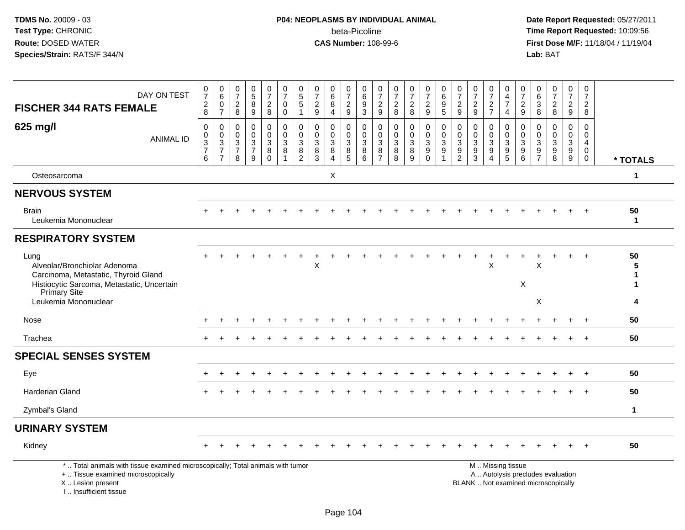I .. Insufficient tissue

# **P04: NEOPLASMS BY INDIVIDUAL ANIMAL**beta-Picoline<br>CAS Number: 108-99-6

| DAY ON TEST<br><b>FISCHER 344 RATS FEMALE</b>                                                                                              | $\frac{0}{7}$<br>$_{\rm 2}^2$        | 0<br>$6\overline{6}$<br>$\pmb{0}$<br>$\overline{7}$ | 0<br>$\overline{7}$<br>$\overline{\mathbf{c}}$<br>8 | $\begin{array}{c} 0 \\ 5 \end{array}$<br>8<br>9    | $\frac{0}{7}$<br>$\sqrt{2}$<br>8                      | $\begin{array}{c} 0 \\ 7 \end{array}$<br>$\mathbf 0$<br>$\mathbf 0$ | $^{\rm 0}_{\rm 5}$<br>5<br>1            | $\frac{0}{7}$<br>$\sqrt{2}$<br>9                 | 0<br>$6\overline{6}$<br>8<br>$\overline{4}$           | $\frac{0}{7}$<br>$\overline{c}$<br>9 | 0<br>$6\overline{6}$<br>$\frac{9}{3}$ | 0<br>$\overline{7}$<br>$\frac{2}{9}$    | $\frac{0}{7}$<br>$\boldsymbol{2}$<br>8 | $\frac{0}{7}$<br>$\frac{2}{8}$                     | $\frac{0}{7}$<br>$\sqrt{2}$<br>9                          | 0<br>$6\phantom{a}$<br>9<br>5                               | $\frac{0}{7}$<br>$\overline{2}$<br>9                  | $\begin{array}{c} 0 \\ 7 \end{array}$<br>$\overline{c}$<br>9 | 0<br>$\overline{7}$<br>$\sqrt{2}$<br>$\overline{7}$ | $\mathbf 0$<br>$\overline{\mathbf{4}}$<br>$\overline{7}$<br>$\overline{4}$ | 0<br>$\overline{7}$<br>$\overline{2}$<br>9 | 0<br>$\overline{6}$<br>$\sqrt{3}$<br>8                            | 0<br>$\overline{7}$<br>$\overline{a}$<br>8                               | 0<br>$\overline{7}$<br>$\overline{a}$<br>9 | 0<br>$\overline{7}$<br>$\overline{2}$<br>8 |                              |
|--------------------------------------------------------------------------------------------------------------------------------------------|--------------------------------------|-----------------------------------------------------|-----------------------------------------------------|----------------------------------------------------|-------------------------------------------------------|---------------------------------------------------------------------|-----------------------------------------|--------------------------------------------------|-------------------------------------------------------|--------------------------------------|---------------------------------------|-----------------------------------------|----------------------------------------|----------------------------------------------------|-----------------------------------------------------------|-------------------------------------------------------------|-------------------------------------------------------|--------------------------------------------------------------|-----------------------------------------------------|----------------------------------------------------------------------------|--------------------------------------------|-------------------------------------------------------------------|--------------------------------------------------------------------------|--------------------------------------------|--------------------------------------------|------------------------------|
| 625 mg/l                                                                                                                                   | $\pmb{0}$                            | $\mathbf 0$                                         | $\mathbf 0$                                         | $\mathbf 0$                                        | 0                                                     | $\mathbf 0$                                                         | 0                                       | $\Omega$                                         | $\Omega$                                              | 0                                    | $\mathbf 0$                           | 0                                       | $\mathbf 0$                            | $\mathbf 0$                                        | 0                                                         | $\mathbf 0$                                                 | $\Omega$                                              | $\mathbf 0$                                                  | $\mathbf 0$                                         | $\mathbf 0$                                                                | $\Omega$                                   | $\mathbf 0$                                                       | $\mathbf 0$                                                              | $\mathbf 0$                                | $\Omega$                                   |                              |
| <b>ANIMAL ID</b>                                                                                                                           | $\frac{0}{3}$<br>$\overline{7}$<br>6 | $\frac{0}{3}$<br>$\overline{7}$                     | $\mathbf 0$<br>3<br>$\overline{7}$<br>8             | $\mathbf 0$<br>$\mathbf{3}$<br>$\overline{7}$<br>9 | $\mathbf 0$<br>$\mathbf{3}$<br>$\bf 8$<br>$\mathbf 0$ | $\mathbf 0$<br>$\sqrt{3}$<br>8<br>1                                 | $\mathbf 0$<br>3<br>8<br>$\overline{2}$ | $\mathbf 0$<br>$\sqrt{3}$<br>$\overline{8}$<br>3 | 0<br>$\mathbf{3}$<br>$\overline{8}$<br>$\overline{4}$ | $\frac{0}{3}$<br>$\overline{8}$<br>5 | $\pmb{0}$<br>$_8^3$<br>$6\phantom{1}$ | $\mathbf 0$<br>$_8^3$<br>$\overline{7}$ | $\mathbf 0$<br>$\sqrt{3}$<br>8<br>8    | $_{3}^{\rm 0}$<br>$\overline{8}$<br>$\overline{9}$ | $\pmb{0}$<br>$\mathsf 3$<br>$\overline{9}$<br>$\mathbf 0$ | $\pmb{0}$<br>$\mathbf{3}$<br>$\overline{9}$<br>$\mathbf{1}$ | 0<br>$\mathbf{3}$<br>$\overline{9}$<br>$\overline{2}$ | $\pmb{0}$<br>$\overline{3}$<br>$\overline{9}$<br>3           | $\mathbf 0$<br>$\mathbf{3}$<br>9<br>$\overline{4}$  | $\mathbf 0$<br>$\overline{3}$<br>9<br>5                                    | $\mathbf 0$<br>$\mathbf{3}$<br>9<br>6      | $\mathbf 0$<br>$\mathbf{3}$<br>$\boldsymbol{9}$<br>$\overline{7}$ | 0<br>3<br>9<br>8                                                         | $\mathsf{O}\xspace$<br>$\frac{3}{9}$<br>9  | 0<br>4<br>$\mathbf 0$<br>$\mathbf 0$       | * TOTALS                     |
| Osteosarcoma                                                                                                                               |                                      |                                                     |                                                     |                                                    |                                                       |                                                                     |                                         |                                                  | $\pmb{\times}$                                        |                                      |                                       |                                         |                                        |                                                    |                                                           |                                                             |                                                       |                                                              |                                                     |                                                                            |                                            |                                                                   |                                                                          |                                            |                                            | $\mathbf{1}$                 |
| <b>NERVOUS SYSTEM</b>                                                                                                                      |                                      |                                                     |                                                     |                                                    |                                                       |                                                                     |                                         |                                                  |                                                       |                                      |                                       |                                         |                                        |                                                    |                                                           |                                                             |                                                       |                                                              |                                                     |                                                                            |                                            |                                                                   |                                                                          |                                            |                                            |                              |
| <b>Brain</b><br>Leukemia Mononuclear                                                                                                       |                                      |                                                     |                                                     |                                                    |                                                       |                                                                     |                                         |                                                  |                                                       |                                      |                                       |                                         |                                        |                                                    |                                                           |                                                             |                                                       |                                                              |                                                     |                                                                            |                                            |                                                                   |                                                                          |                                            |                                            | 50<br>$\mathbf{1}$           |
| <b>RESPIRATORY SYSTEM</b>                                                                                                                  |                                      |                                                     |                                                     |                                                    |                                                       |                                                                     |                                         |                                                  |                                                       |                                      |                                       |                                         |                                        |                                                    |                                                           |                                                             |                                                       |                                                              |                                                     |                                                                            |                                            |                                                                   |                                                                          |                                            |                                            |                              |
| Lung<br>Alveolar/Bronchiolar Adenoma<br>Carcinoma, Metastatic, Thyroid Gland<br>Histiocytic Sarcoma, Metastatic, Uncertain                 |                                      |                                                     |                                                     |                                                    |                                                       |                                                                     |                                         | X                                                |                                                       |                                      |                                       |                                         |                                        |                                                    |                                                           |                                                             |                                                       |                                                              | X                                                   |                                                                            | $\times$                                   | $\times$                                                          |                                                                          |                                            | $\ddot{}$                                  | 50<br>5<br>-1<br>$\mathbf 1$ |
| <b>Primary Site</b><br>Leukemia Mononuclear                                                                                                |                                      |                                                     |                                                     |                                                    |                                                       |                                                                     |                                         |                                                  |                                                       |                                      |                                       |                                         |                                        |                                                    |                                                           |                                                             |                                                       |                                                              |                                                     |                                                                            |                                            | X                                                                 |                                                                          |                                            |                                            | 4                            |
| Nose                                                                                                                                       |                                      |                                                     |                                                     |                                                    |                                                       |                                                                     |                                         |                                                  |                                                       |                                      |                                       |                                         |                                        |                                                    |                                                           |                                                             |                                                       |                                                              |                                                     |                                                                            |                                            |                                                                   |                                                                          |                                            | $\ddot{}$                                  | 50                           |
| Trachea                                                                                                                                    | $+$                                  |                                                     |                                                     |                                                    |                                                       |                                                                     |                                         |                                                  |                                                       |                                      |                                       |                                         |                                        |                                                    |                                                           |                                                             |                                                       |                                                              |                                                     |                                                                            |                                            |                                                                   |                                                                          |                                            | $\ddot{}$                                  | 50                           |
| <b>SPECIAL SENSES SYSTEM</b>                                                                                                               |                                      |                                                     |                                                     |                                                    |                                                       |                                                                     |                                         |                                                  |                                                       |                                      |                                       |                                         |                                        |                                                    |                                                           |                                                             |                                                       |                                                              |                                                     |                                                                            |                                            |                                                                   |                                                                          |                                            |                                            |                              |
| Eye                                                                                                                                        |                                      |                                                     |                                                     |                                                    |                                                       |                                                                     |                                         |                                                  |                                                       |                                      |                                       |                                         |                                        |                                                    |                                                           |                                                             |                                                       |                                                              |                                                     |                                                                            |                                            |                                                                   |                                                                          |                                            |                                            | 50                           |
| <b>Harderian Gland</b>                                                                                                                     |                                      |                                                     |                                                     |                                                    |                                                       |                                                                     |                                         |                                                  |                                                       |                                      |                                       |                                         |                                        |                                                    |                                                           |                                                             |                                                       |                                                              |                                                     |                                                                            |                                            |                                                                   |                                                                          |                                            | $+$                                        | 50                           |
| Zymbal's Gland                                                                                                                             |                                      |                                                     |                                                     |                                                    |                                                       |                                                                     |                                         |                                                  |                                                       |                                      |                                       |                                         |                                        |                                                    |                                                           |                                                             |                                                       |                                                              |                                                     |                                                                            |                                            |                                                                   |                                                                          |                                            |                                            | $\mathbf{1}$                 |
| <b>URINARY SYSTEM</b>                                                                                                                      |                                      |                                                     |                                                     |                                                    |                                                       |                                                                     |                                         |                                                  |                                                       |                                      |                                       |                                         |                                        |                                                    |                                                           |                                                             |                                                       |                                                              |                                                     |                                                                            |                                            |                                                                   |                                                                          |                                            |                                            |                              |
| Kidney                                                                                                                                     |                                      |                                                     |                                                     |                                                    |                                                       |                                                                     |                                         |                                                  |                                                       |                                      |                                       |                                         |                                        |                                                    |                                                           |                                                             |                                                       |                                                              |                                                     |                                                                            |                                            |                                                                   |                                                                          |                                            |                                            | 50                           |
| *  Total animals with tissue examined microscopically; Total animals with tumor<br>+  Tissue examined microscopically<br>X  Lesion present |                                      |                                                     |                                                     |                                                    |                                                       |                                                                     |                                         |                                                  |                                                       |                                      |                                       |                                         |                                        |                                                    |                                                           |                                                             |                                                       |                                                              |                                                     | M  Missing tissue                                                          |                                            |                                                                   | A  Autolysis precludes evaluation<br>BLANK  Not examined microscopically |                                            |                                            |                              |